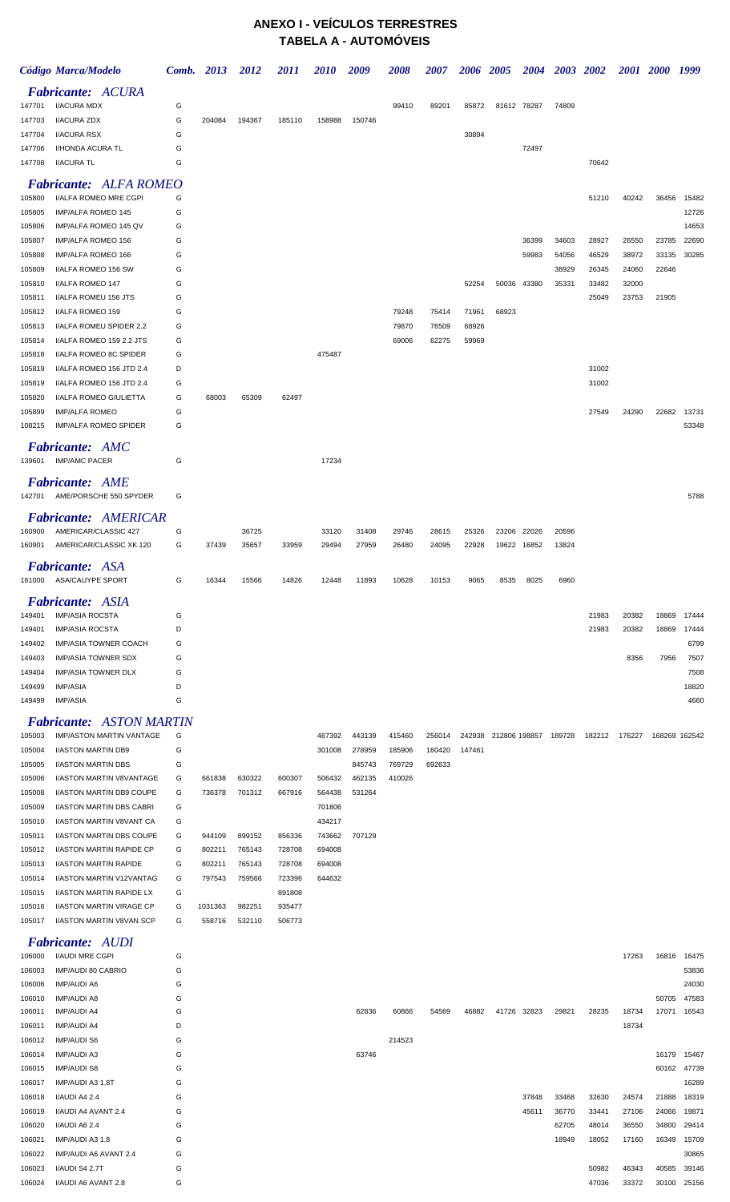## **ANEXO I - VEÍCULOS TERRESTRES TABELA A - AUTOMÓVEIS**

|                             | Código Marca/Modelo                                                | Comb.  | 2013    | 2012   | <i>2011</i> | <i><b>2010</b></i> | 2009             | 2008   | <i><b>2007</b></i> | 2006   | <b>2005</b>                 | <b>2004</b> | <b>2003</b> | <b>2002</b> | 2001   | <b>2000</b>   | 1999           |
|-----------------------------|--------------------------------------------------------------------|--------|---------|--------|-------------|--------------------|------------------|--------|--------------------|--------|-----------------------------|-------------|-------------|-------------|--------|---------------|----------------|
| 147701                      | <b>Fabricante: ACURA</b><br>I/ACURA MDX                            | G      |         |        |             |                    |                  | 99410  | 89201              | 85872  |                             | 81612 78287 | 74809       |             |        |               |                |
| 147703                      | I/ACURA ZDX                                                        | G      | 204084  | 194367 | 185110      | 158988             | 150746           |        |                    |        |                             |             |             |             |        |               |                |
| 147704                      | <b>I/ACURA RSX</b>                                                 | G      |         |        |             |                    |                  |        |                    | 30894  |                             |             |             |             |        |               |                |
| 147706                      | I/HONDA ACURA TL                                                   | G      |         |        |             |                    |                  |        |                    |        |                             | 72497       |             |             |        |               |                |
| 147708                      | I/ACURA TL                                                         | G      |         |        |             |                    |                  |        |                    |        |                             |             |             | 70642       |        |               |                |
| 105800                      | <b>Fabricante: ALFA ROMEO</b><br>I/ALFA ROMEO MRE CGPI             | G      |         |        |             |                    |                  |        |                    |        |                             |             |             | 51210       | 40242  | 36456         | 15482          |
| 105805                      | IMP/ALFA ROMEO 145                                                 | G      |         |        |             |                    |                  |        |                    |        |                             |             |             |             |        |               | 12726          |
| 105806                      | IMP/ALFA ROMEO 145 QV                                              | G      |         |        |             |                    |                  |        |                    |        |                             |             |             |             |        |               | 14653          |
| 105807                      | IMP/ALFA ROMEO 156                                                 | G      |         |        |             |                    |                  |        |                    |        |                             | 36399       | 34603       | 28927       | 26550  | 23785         | 22690          |
| 105808                      | IMP/ALFA ROMEO 166                                                 | G      |         |        |             |                    |                  |        |                    |        |                             | 59983       | 54056       | 46529       | 38972  | 33135         | 30285          |
| 105809                      | I/ALFA ROMEO 156 SW                                                | G      |         |        |             |                    |                  |        |                    |        |                             |             | 38929       | 26345       | 24060  | 22646         |                |
| 105810                      | I/ALFA ROMEO 147                                                   | G      |         |        |             |                    |                  |        |                    | 52254  | 50036                       | 43380       | 35331       | 33482       | 32000  |               |                |
| 105811                      | I/ALFA ROMEU 156 JTS                                               | G      |         |        |             |                    |                  |        |                    |        |                             |             |             | 25049       | 23753  | 21905         |                |
| 105812                      | I/ALFA ROMEO 159                                                   | G      |         |        |             |                    |                  | 79248  | 75414              | 71961  | 68923                       |             |             |             |        |               |                |
| 105813                      | I/ALFA ROMEU SPIDER 2.2                                            | G      |         |        |             |                    |                  | 79870  | 76509              | 68926  |                             |             |             |             |        |               |                |
| 105814                      | I/ALFA ROMEO 159 2.2 JTS                                           | G      |         |        |             |                    |                  | 69006  | 62275              | 59969  |                             |             |             |             |        |               |                |
| 105818<br>105819            | I/ALFA ROMEO 8C SPIDER<br>I/ALFA ROMEO 156 JTD 2.4                 | G<br>D |         |        |             | 475487             |                  |        |                    |        |                             |             |             | 31002       |        |               |                |
| 105819                      | I/ALFA ROMEO 156 JTD 2.4                                           | G      |         |        |             |                    |                  |        |                    |        |                             |             |             | 31002       |        |               |                |
| 105820                      | I/ALFA ROMEO GIULIETTA                                             | G      | 68003   | 65309  | 62497       |                    |                  |        |                    |        |                             |             |             |             |        |               |                |
| 105899                      | <b>IMP/ALFA ROMEO</b>                                              | G      |         |        |             |                    |                  |        |                    |        |                             |             |             | 27549       | 24290  | 22682         | 13731          |
| 108215                      | IMP/ALFA ROMEO SPIDER                                              | G      |         |        |             |                    |                  |        |                    |        |                             |             |             |             |        |               | 53348          |
| 139601                      | <b>Fabricante: AMC</b><br><b>IMP/AMC PACER</b>                     | G      |         |        |             | 17234              |                  |        |                    |        |                             |             |             |             |        |               |                |
| 142701                      | <b>Fabricante: AME</b><br>AME/PORSCHE 550 SPYDER                   | G      |         |        |             |                    |                  |        |                    |        |                             |             |             |             |        |               | 5788           |
|                             | <b>Fabricante: AMERICAR</b>                                        |        |         |        |             |                    |                  |        |                    |        |                             |             |             |             |        |               |                |
| 160900                      | AMERICAR/CLASSIC 427                                               | G      |         | 36725  |             | 33120              | 31408            | 29746  | 28615              | 25326  | 23206                       | 22026       | 20596       |             |        |               |                |
| 160901                      | AMERICAR/CLASSIC XK 120                                            | G      | 37439   | 35657  | 33959       | 29494              | 27959            | 26480  | 24095              | 22928  |                             | 19622 16852 | 13824       |             |        |               |                |
| 161000                      | <b>Fabricante: ASA</b><br><b>ASA/CAUYPE SPORT</b>                  | G      | 16344   | 15566  | 14826       | 12448              | 11893            | 10628  | 10153              | 9065   | 8535                        | 8025        | 6960        |             |        |               |                |
| $\mathbf{r}$ , $\mathbf{r}$ | $A$ CT $A$<br>$\sim$<br><b>Fabricante: ASIA</b>                    |        |         |        |             |                    |                  |        |                    |        |                             |             |             |             |        |               |                |
| 149401                      | <b>IMP/ASIA ROCSTA</b>                                             | G      |         |        |             |                    |                  |        |                    |        |                             |             |             | 21983       | 20382  | 18869         | 17444          |
| 149401                      | <b>IMP/ASIA ROCSTA</b>                                             | D      |         |        |             |                    |                  |        |                    |        |                             |             |             | 21983       | 20382  | 18869         | 17444          |
| 149402                      | <b>IMP/ASIA TOWNER COACH</b>                                       | G      |         |        |             |                    |                  |        |                    |        |                             |             |             |             |        |               | 6799           |
| 149403                      | <b>IMP/ASIA TOWNER SDX</b>                                         | G      |         |        |             |                    |                  |        |                    |        |                             |             |             |             | 8356   | 7956          | 7507           |
| 149404                      | <b>IMP/ASIA TOWNER DLX</b>                                         | G      |         |        |             |                    |                  |        |                    |        |                             |             |             |             |        |               | 7508           |
| 149499                      | <b>IMP/ASIA</b>                                                    | D      |         |        |             |                    |                  |        |                    |        |                             |             |             |             |        |               | 18820          |
| 149499                      | <b>IMP/ASIA</b>                                                    | G      |         |        |             |                    |                  |        |                    |        |                             |             |             |             |        |               | 4660           |
| 105003                      | <b>Fabricante: ASTON MARTIN</b><br><b>IMP/ASTON MARTIN VANTAGE</b> | G      |         |        |             | 467392             | 443139           | 415460 | 256014             |        | 242938 212806 198857 189728 |             |             | 182212      | 176227 | 168269 162542 |                |
| 105004                      | I/ASTON MARTIN DB9                                                 | G      |         |        |             | 301008             | 278959           | 185906 | 160420             | 147461 |                             |             |             |             |        |               |                |
| 105005                      | I/ASTON MARTIN DBS                                                 | G      |         |        |             |                    | 845743           | 769729 | 692633             |        |                             |             |             |             |        |               |                |
| 105006                      | I/ASTON MARTIN V8VANTAGE<br>I/ASTON MARTIN DB9 COUPE               | G<br>G | 661838  | 630322 | 600307      | 506432<br>564438   | 462135<br>531264 | 410026 |                    |        |                             |             |             |             |        |               |                |
| 105008<br>105009            | I/ASTON MARTIN DBS CABRI                                           | G      | 736378  | 701312 | 667916      | 701806             |                  |        |                    |        |                             |             |             |             |        |               |                |
| 105010                      | I/ASTON MARTIN V8VANT CA                                           | G      |         |        |             | 434217             |                  |        |                    |        |                             |             |             |             |        |               |                |
| 105011                      | I/ASTON MARTIN DBS COUPE                                           | G      | 944109  | 899152 | 856336      | 743662             | 707129           |        |                    |        |                             |             |             |             |        |               |                |
| 105012                      | I/ASTON MARTIN RAPIDE CP                                           | G      | 802211  | 765143 | 728708      | 694008             |                  |        |                    |        |                             |             |             |             |        |               |                |
| 105013                      | I/ASTON MARTIN RAPIDE                                              | G      | 802211  | 765143 | 728708      | 694008             |                  |        |                    |        |                             |             |             |             |        |               |                |
| 105014                      | I/ASTON MARTIN V12VANTAG                                           | G      | 797543  | 759566 | 723396      | 644632             |                  |        |                    |        |                             |             |             |             |        |               |                |
| 105015                      | I/ASTON MARTIN RAPIDE LX                                           | G      |         |        | 891808      |                    |                  |        |                    |        |                             |             |             |             |        |               |                |
| 105016                      | I/ASTON MARTIN VIRAGE CP                                           | G      | 1031363 | 982251 | 935477      |                    |                  |        |                    |        |                             |             |             |             |        |               |                |
| 105017                      | I/ASTON MARTIN V8VAN SCP                                           | G      | 558716  | 532110 | 506773      |                    |                  |        |                    |        |                             |             |             |             |        |               |                |
| 106000                      | <b>Fabricante: AUDI</b><br>I/AUDI MRE CGPI                         | G      |         |        |             |                    |                  |        |                    |        |                             |             |             |             | 17263  | 16816         | 16475          |
| 106003                      | IMP/AUDI 80 CABRIO                                                 | G      |         |        |             |                    |                  |        |                    |        |                             |             |             |             |        |               | 53836          |
| 106006                      | <b>IMP/AUDI A6</b>                                                 | G      |         |        |             |                    |                  |        |                    |        |                             |             |             |             |        |               | 24030          |
| 106010                      | <b>IMP/AUDI A8</b>                                                 | G      |         |        |             |                    |                  |        |                    |        |                             |             |             |             |        | 50705         | 47583          |
| 106011                      | <b>IMP/AUDI A4</b>                                                 | G      |         |        |             |                    | 62836            | 60866  | 54569              | 46882  |                             | 41726 32823 | 29821       | 28235       | 18734  | 17071         | 16543          |
| 106011                      | <b>IMP/AUDI A4</b>                                                 | D      |         |        |             |                    |                  |        |                    |        |                             |             |             |             | 18734  |               |                |
| 106012                      | <b>IMP/AUDI S6</b>                                                 | G      |         |        |             |                    |                  | 214523 |                    |        |                             |             |             |             |        |               |                |
| 106014                      | <b>IMP/AUDI A3</b>                                                 | G      |         |        |             |                    | 63746            |        |                    |        |                             |             |             |             |        | 16179         | 15467          |
| 106015                      | <b>IMP/AUDI S8</b>                                                 | G      |         |        |             |                    |                  |        |                    |        |                             |             |             |             |        | 60162         | 47739          |
| 106017<br>106018            | IMP/AUDI A3 1.8T<br>I/AUDI A4 2.4                                  | G<br>G |         |        |             |                    |                  |        |                    |        |                             | 37848       | 33468       | 32630       | 24574  | 21888         | 16289<br>18319 |
| 106019                      | I/AUDI A4 AVANT 2.4                                                | G      |         |        |             |                    |                  |        |                    |        |                             | 45611       | 36770       | 33441       | 27106  | 24066         | 19871          |
| 106020                      | I/AUDI A6 2.4                                                      | G      |         |        |             |                    |                  |        |                    |        |                             |             | 62705       | 48014       | 36550  | 34800         | 29414          |
| 106021                      | IMP/AUDI A3 1.8                                                    | G      |         |        |             |                    |                  |        |                    |        |                             |             | 18949       | 18052       | 17160  |               | 16349 15709    |
| 106022                      | IMP/AUDI A6 AVANT 2.4                                              | G      |         |        |             |                    |                  |        |                    |        |                             |             |             |             |        |               | 30865          |
| 106023                      | I/AUDI S4 2.7T                                                     | G      |         |        |             |                    |                  |        |                    |        |                             |             |             | 50982       | 46343  | 40585         | 39146          |
| 106024                      | I/AUDI A6 AVANT 2.8                                                | G      |         |        |             |                    |                  |        |                    |        |                             |             |             | 47036       | 33372  |               | 30100 25156    |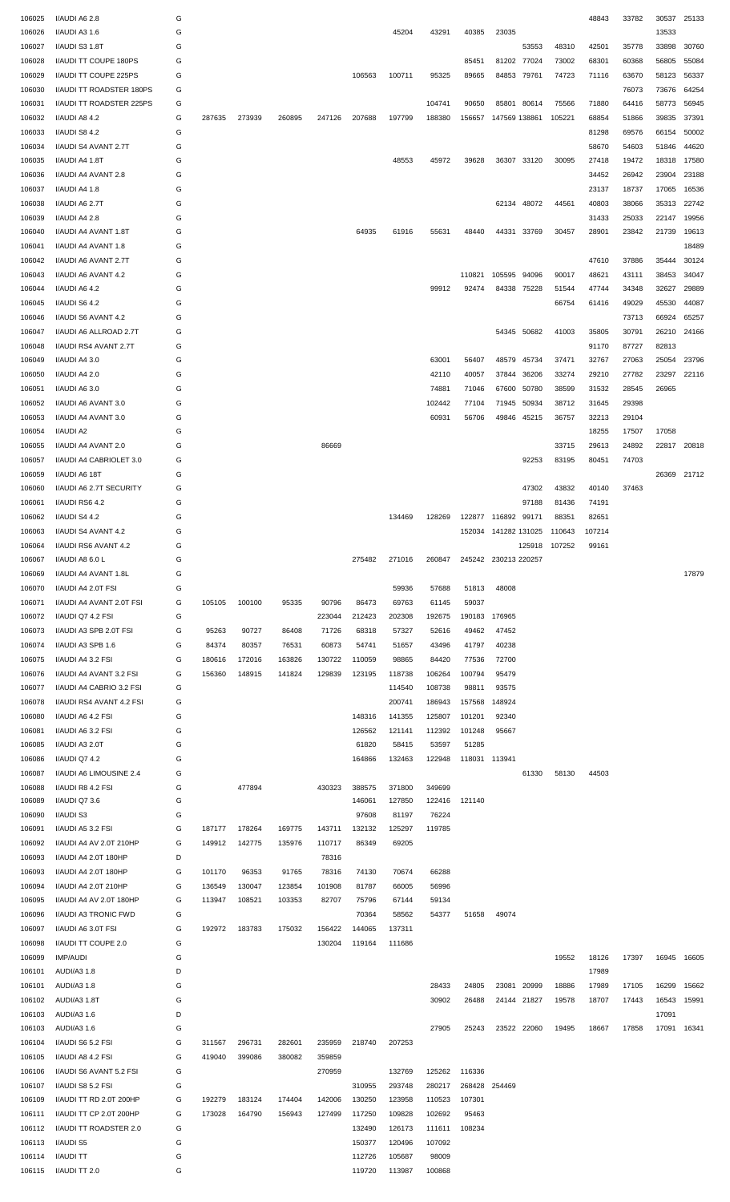| 106025           | I/AUDI A6 2.8            | G |        |        |        |        |        |        |        |               |                      |               |        | 48843  | 33782 | 30537 | 25133 |
|------------------|--------------------------|---|--------|--------|--------|--------|--------|--------|--------|---------------|----------------------|---------------|--------|--------|-------|-------|-------|
| 106026           | I/AUDI A3 1.6            | G |        |        |        |        |        | 45204  | 43291  | 40385         | 23035                |               |        |        |       | 13533 |       |
| 106027           | I/AUDI S3 1.8T           | G |        |        |        |        |        |        |        |               |                      | 53553         | 48310  | 42501  | 35778 | 33898 | 30760 |
| 106028           | I/AUDI TT COUPE 180PS    | G |        |        |        |        |        |        |        | 85451         | 81202                | 77024         | 73002  | 68301  | 60368 | 56805 | 55084 |
| 106029           | I/AUDI TT COUPE 225PS    | G |        |        |        |        | 106563 | 100711 | 95325  | 89665         | 84853                | 79761         | 74723  | 71116  | 63670 | 58123 | 56337 |
| 106030           | I/AUDI TT ROADSTER 180PS | G |        |        |        |        |        |        |        |               |                      |               |        |        | 76073 | 73676 | 64254 |
| 106031           | I/AUDI TT ROADSTER 225PS | G |        |        |        |        |        |        | 104741 | 90650         | 85801                | 80614         | 75566  | 71880  | 64416 | 58773 | 56945 |
| 106032           | I/AUDI A8 4.2            | G | 287635 | 273939 | 260895 | 247126 | 207688 | 197799 | 188380 | 156657        | 147569 138861        |               | 105221 | 68854  | 51866 | 39835 | 37391 |
| 106033           | I/AUDI S8 4.2            | G |        |        |        |        |        |        |        |               |                      |               |        | 81298  | 69576 | 66154 | 50002 |
| 106034           | I/AUDI S4 AVANT 2.7T     | G |        |        |        |        |        |        |        |               |                      |               |        | 58670  | 54603 | 51846 | 44620 |
| 106035           | I/AUDI A4 1.8T           | G |        |        |        |        |        | 48553  | 45972  | 39628         | 36307                | 33120         | 30095  | 27418  | 19472 | 18318 | 17580 |
| 106036           | I/AUDI A4 AVANT 2.8      | G |        |        |        |        |        |        |        |               |                      |               |        | 34452  | 26942 | 23904 | 23188 |
| 106037           | I/AUDI A4 1.8            | G |        |        |        |        |        |        |        |               |                      |               |        | 23137  | 18737 | 17065 | 16536 |
| 106038           | I/AUDI A6 2.7T           | G |        |        |        |        |        |        |        |               | 62134 48072          |               | 44561  | 40803  | 38066 | 35313 | 22742 |
| 106039           | I/AUDI A4 2.8            | G |        |        |        |        |        |        |        |               |                      |               |        | 31433  | 25033 | 22147 | 19956 |
| 106040           | I/AUDI A4 AVANT 1.8T     | G |        |        |        |        | 64935  | 61916  | 55631  | 48440         | 44331                | 33769         | 30457  | 28901  | 23842 | 21739 | 19613 |
| 106041           | I/AUDI A4 AVANT 1.8      | G |        |        |        |        |        |        |        |               |                      |               |        |        |       |       | 18489 |
| 106042           | I/AUDI A6 AVANT 2.7T     | G |        |        |        |        |        |        |        |               |                      |               |        | 47610  | 37886 | 35444 | 30124 |
| 106043           | I/AUDI A6 AVANT 4.2      | G |        |        |        |        |        |        |        | 110821        | 105595               | 94096         | 90017  | 48621  | 43111 | 38453 | 34047 |
| 106044           | I/AUDI A6 4.2            | G |        |        |        |        |        |        | 99912  | 92474         | 84338 75228          |               | 51544  | 47744  | 34348 | 32627 | 29889 |
|                  |                          | G |        |        |        |        |        |        |        |               |                      |               |        |        |       |       |       |
| 106045           | I/AUDI S6 4.2            |   |        |        |        |        |        |        |        |               |                      |               | 66754  | 61416  | 49029 | 45530 | 44087 |
| 106046           | I/AUDI S6 AVANT 4.2      | G |        |        |        |        |        |        |        |               |                      |               |        |        | 73713 | 66924 | 65257 |
| 106047           | I/AUDI A6 ALLROAD 2.7T   | G |        |        |        |        |        |        |        |               | 54345 50682          |               | 41003  | 35805  | 30791 | 26210 | 24166 |
| 106048           | I/AUDI RS4 AVANT 2.7T    | G |        |        |        |        |        |        |        |               |                      |               |        | 91170  | 87727 | 82813 |       |
| 106049           | I/AUDI A4 3.0            | G |        |        |        |        |        |        | 63001  | 56407         | 48579                | 45734         | 37471  | 32767  | 27063 | 25054 | 23796 |
| 106050           | I/AUDI A4 2.0            | G |        |        |        |        |        |        | 42110  | 40057         | 37844                | 36206         | 33274  | 29210  | 27782 | 23297 | 22116 |
| 106051           | I/AUDI A6 3.0            | G |        |        |        |        |        |        | 74881  | 71046         | 67600                | 50780         | 38599  | 31532  | 28545 | 26965 |       |
| 106052           | I/AUDI A6 AVANT 3.0      | G |        |        |        |        |        |        | 102442 | 77104         | 71945                | 50934         | 38712  | 31645  | 29398 |       |       |
| 106053           | I/AUDI A4 AVANT 3.0      | G |        |        |        |        |        |        | 60931  | 56706         | 49846                | 45215         | 36757  | 32213  | 29104 |       |       |
| 106054           | I/AUDI A2                | G |        |        |        |        |        |        |        |               |                      |               |        | 18255  | 17507 | 17058 |       |
| 106055           | I/AUDI A4 AVANT 2.0      | G |        |        |        | 86669  |        |        |        |               |                      |               | 33715  | 29613  | 24892 | 22817 | 20818 |
| 106057           | I/AUDI A4 CABRIOLET 3.0  | G |        |        |        |        |        |        |        |               |                      | 92253         | 83195  | 80451  | 74703 |       |       |
| 106059           | I/AUDI A6 18T            | G |        |        |        |        |        |        |        |               |                      |               |        |        |       | 26369 | 21712 |
| 106060           | I/AUDI A6 2.7T SECURITY  | G |        |        |        |        |        |        |        |               |                      | 47302         | 43832  | 40140  | 37463 |       |       |
| 106061           | I/AUDI RS6 4.2           | G |        |        |        |        |        |        |        |               |                      | 97188         | 81436  | 74191  |       |       |       |
| 106062           | I/AUDI S4 4.2            | G |        |        |        |        |        | 134469 | 128269 | 122877        | 116892               | 99171         | 88351  | 82651  |       |       |       |
| 106063           | I/AUDI S4 AVANT 4.2      | G |        |        |        |        |        |        |        | 152034        | 141282 131025        |               | 110643 | 107214 |       |       |       |
| 106064           | I/AUDI RS6 AVANT 4.2     | G |        |        |        |        |        |        |        |               |                      | 125918 107252 |        | 99161  |       |       |       |
| 106067           | I/AUDI A8 6.0 L          | G |        |        |        |        | 275482 | 271016 | 260847 |               | 245242 230213 220257 |               |        |        |       |       |       |
| 106069           | I/AUDI A4 AVANT 1.8L     | G |        |        |        |        |        |        |        |               |                      |               |        |        |       |       | 17879 |
| 106070           | I/AUDI A4 2.0T FSI       | G |        |        |        |        |        | 59936  | 57688  | 51813         | 48008                |               |        |        |       |       |       |
| 106071           | I/AUDI A4 AVANT 2.0T FSI | G | 105105 | 100100 | 95335  | 90796  | 86473  | 69763  | 61145  | 59037         |                      |               |        |        |       |       |       |
| 106072           | I/AUDI Q7 4.2 FSI        | G |        |        |        | 223044 | 212423 | 202308 | 192675 | 190183        | 176965               |               |        |        |       |       |       |
| 106073           | I/AUDI A3 SPB 2.0T FSI   | G | 95263  | 90727  | 86408  | 71726  | 68318  | 57327  | 52616  | 49462         | 47452                |               |        |        |       |       |       |
| 106074           | I/AUDI A3 SPB 1.6        | G | 84374  | 80357  | 76531  | 60873  | 54741  | 51657  | 43496  | 41797         | 40238                |               |        |        |       |       |       |
| 106075           | I/AUDI A4 3.2 FSI        | G | 180616 | 172016 | 163826 | 130722 | 110059 | 98865  | 84420  | 77536         | 72700                |               |        |        |       |       |       |
| 106076           | I/AUDI A4 AVANT 3.2 FSI  | G | 156360 | 148915 | 141824 | 129839 | 123195 | 118738 | 106264 | 100794        | 95479                |               |        |        |       |       |       |
| 106077           | I/AUDI A4 CABRIO 3.2 FSI | G |        |        |        |        |        | 114540 | 108738 | 98811         | 93575                |               |        |        |       |       |       |
| 106078           | I/AUDI RS4 AVANT 4.2 FSI | G |        |        |        |        |        | 200741 | 186943 | 157568        | 148924               |               |        |        |       |       |       |
| 106080           | I/AUDI A6 4.2 FSI        | G |        |        |        |        | 148316 | 141355 | 125807 | 101201        | 92340                |               |        |        |       |       |       |
| 106081           | I/AUDI A6 3.2 FSI        | G |        |        |        |        | 126562 | 121141 | 112392 | 101248        | 95667                |               |        |        |       |       |       |
| 106085           | I/AUDI A3 2.0T           | G |        |        |        |        | 61820  | 58415  | 53597  | 51285         |                      |               |        |        |       |       |       |
| 106086           | <b>I/AUDI Q7 4.2</b>     | G |        |        |        |        | 164866 |        |        |               |                      |               |        |        |       |       |       |
| 106087           | I/AUDI A6 LIMOUSINE 2.4  | G |        |        |        |        |        |        |        |               |                      |               |        |        |       |       |       |
|                  | I/AUDI R8 4.2 FSI        |   |        |        |        |        |        | 132463 | 122948 | 118031        | 113941               |               |        |        |       |       |       |
| 106088<br>106089 |                          |   |        |        |        |        |        |        |        |               |                      | 61330         | 58130  | 44503  |       |       |       |
| 106090           |                          | G |        | 477894 |        | 430323 | 388575 | 371800 | 349699 |               |                      |               |        |        |       |       |       |
| 106091           | <b>I/AUDI Q7 3.6</b>     | G |        |        |        |        | 146061 | 127850 | 122416 | 121140        |                      |               |        |        |       |       |       |
|                  | I/AUDI S3                | G |        |        |        |        | 97608  | 81197  | 76224  |               |                      |               |        |        |       |       |       |
|                  | I/AUDI A5 3.2 FSI        | G | 187177 | 178264 | 169775 | 143711 | 132132 | 125297 | 119785 |               |                      |               |        |        |       |       |       |
| 106092           | I/AUDI A4 AV 2.0T 210HP  | G | 149912 | 142775 | 135976 | 110717 | 86349  | 69205  |        |               |                      |               |        |        |       |       |       |
| 106093           | I/AUDI A4 2.0T 180HP     | D |        |        |        | 78316  |        |        |        |               |                      |               |        |        |       |       |       |
| 106093           | I/AUDI A4 2.0T 180HP     | G | 101170 | 96353  | 91765  | 78316  | 74130  | 70674  | 66288  |               |                      |               |        |        |       |       |       |
| 106094           | I/AUDI A4 2.0T 210HP     | G | 136549 | 130047 | 123854 | 101908 | 81787  | 66005  | 56996  |               |                      |               |        |        |       |       |       |
| 106095           | I/AUDI A4 AV 2.0T 180HP  | G | 113947 | 108521 | 103353 | 82707  | 75796  | 67144  | 59134  |               |                      |               |        |        |       |       |       |
| 106096           | I/AUDI A3 TRONIC FWD     | G |        |        |        |        | 70364  | 58562  | 54377  | 51658         | 49074                |               |        |        |       |       |       |
| 106097           | I/AUDI A6 3.0T FSI       | G | 192972 | 183783 | 175032 | 156422 | 144065 | 137311 |        |               |                      |               |        |        |       |       |       |
| 106098           | I/AUDI TT COUPE 2.0      | G |        |        |        | 130204 | 119164 | 111686 |        |               |                      |               |        |        |       |       |       |
| 106099           | IMP/AUDI                 | G |        |        |        |        |        |        |        |               |                      |               | 19552  | 18126  | 17397 | 16945 | 16605 |
| 106101           | AUDI/A3 1.8              | D |        |        |        |        |        |        |        |               |                      |               |        | 17989  |       |       |       |
| 106101           | AUDI/A3 1.8              | G |        |        |        |        |        |        | 28433  | 24805         | 23081                | 20999         | 18886  | 17989  | 17105 | 16299 | 15662 |
| 106102           | AUDI/A3 1.8T             | G |        |        |        |        |        |        | 30902  | 26488         | 24144 21827          |               | 19578  | 18707  | 17443 | 16543 | 15991 |
| 106103           | AUDI/A3 1.6              | D |        |        |        |        |        |        |        |               |                      |               |        |        |       | 17091 |       |
| 106103           | AUDI/A3 1.6              | G |        |        |        |        |        |        | 27905  | 25243         | 23522 22060          |               | 19495  | 18667  | 17858 | 17091 | 16341 |
| 106104           | I/AUDI S6 5.2 FSI        | G | 311567 | 296731 | 282601 | 235959 | 218740 | 207253 |        |               |                      |               |        |        |       |       |       |
| 106105           | I/AUDI A8 4.2 FSI        | G | 419040 | 399086 | 380082 | 359859 |        |        |        |               |                      |               |        |        |       |       |       |
| 106106           | I/AUDI S6 AVANT 5.2 FSI  | G |        |        |        | 270959 |        | 132769 | 125262 | 116336        |                      |               |        |        |       |       |       |
| 106107           | I/AUDI S8 5.2 FSI        | G |        |        |        |        | 310955 | 293748 | 280217 | 268428 254469 |                      |               |        |        |       |       |       |
| 106109           | I/AUDI TT RD 2.0T 200HP  | G | 192279 | 183124 | 174404 | 142006 | 130250 | 123958 | 110523 | 107301        |                      |               |        |        |       |       |       |
| 106111           | I/AUDI TT CP 2.0T 200HP  | G | 173028 | 164790 | 156943 | 127499 | 117250 | 109828 | 102692 | 95463         |                      |               |        |        |       |       |       |
| 106112           | I/AUDI TT ROADSTER 2.0   | G |        |        |        |        | 132490 | 126173 | 111611 | 108234        |                      |               |        |        |       |       |       |
| 106113           | I/AUDI S5                | G |        |        |        |        | 150377 | 120496 | 107092 |               |                      |               |        |        |       |       |       |
| 106114           | <b>I/AUDITT</b>          | G |        |        |        |        | 112726 | 105687 | 98009  |               |                      |               |        |        |       |       |       |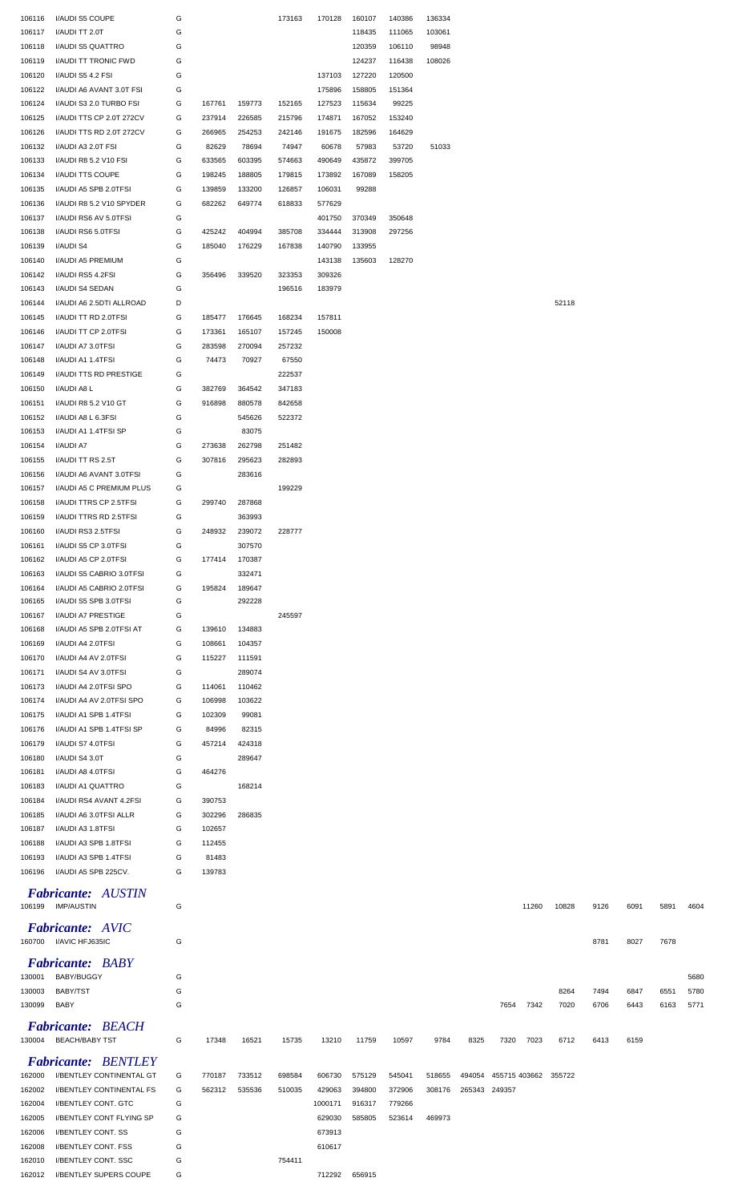| 106116           | I/AUDI S5 COUPE                                   | G      |        |               | 173163 | 170128           | 160107 | 140386 | 136334 |                      |      |                      |       |      |      |      |      |
|------------------|---------------------------------------------------|--------|--------|---------------|--------|------------------|--------|--------|--------|----------------------|------|----------------------|-------|------|------|------|------|
| 106117           | I/AUDI TT 2.0T                                    | G      |        |               |        |                  | 118435 | 111065 | 103061 |                      |      |                      |       |      |      |      |      |
| 106118           | I/AUDI S5 QUATTRO                                 | G      |        |               |        |                  | 120359 | 106110 | 98948  |                      |      |                      |       |      |      |      |      |
| 106119           | I/AUDI TT TRONIC FWD                              | G      |        |               |        |                  | 124237 | 116438 | 108026 |                      |      |                      |       |      |      |      |      |
| 106120           | I/AUDI S5 4.2 FSI                                 | G      |        |               |        | 137103           | 127220 | 120500 |        |                      |      |                      |       |      |      |      |      |
| 106122           | I/AUDI A6 AVANT 3.0T FSI                          | G      |        |               |        | 175896           | 158805 | 151364 |        |                      |      |                      |       |      |      |      |      |
| 106124           | I/AUDI S3 2.0 TURBO FSI                           | G      | 167761 | 159773        | 152165 | 127523           | 115634 | 99225  |        |                      |      |                      |       |      |      |      |      |
| 106125           | I/AUDI TTS CP 2.0T 272CV                          | G      | 237914 | 226585        | 215796 | 174871           | 167052 | 153240 |        |                      |      |                      |       |      |      |      |      |
| 106126           | I/AUDI TTS RD 2.0T 272CV                          | G      | 266965 | 254253        | 242146 | 191675           | 182596 | 164629 |        |                      |      |                      |       |      |      |      |      |
| 106132           | I/AUDI A3 2.0T FSI                                | G      | 82629  | 78694         | 74947  | 60678            | 57983  | 53720  | 51033  |                      |      |                      |       |      |      |      |      |
| 106133           | I/AUDI R8 5.2 V10 FSI                             | G      | 633565 | 603395        | 574663 | 490649           | 435872 | 399705 |        |                      |      |                      |       |      |      |      |      |
| 106134           | I/AUDI TTS COUPE                                  | G      | 198245 | 188805        | 179815 | 173892           | 167089 | 158205 |        |                      |      |                      |       |      |      |      |      |
| 106135           | I/AUDI A5 SPB 2.0TFSI                             | G      | 139859 | 133200        | 126857 | 106031           | 99288  |        |        |                      |      |                      |       |      |      |      |      |
| 106136           | I/AUDI R8 5.2 V10 SPYDER                          | G      | 682262 | 649774        | 618833 | 577629           |        |        |        |                      |      |                      |       |      |      |      |      |
| 106137           | I/AUDI RS6 AV 5.0TFSI                             | G      |        |               |        | 401750           | 370349 | 350648 |        |                      |      |                      |       |      |      |      |      |
| 106138           | I/AUDI RS6 5.0TFSI                                | G      | 425242 | 404994        | 385708 | 334444           | 313908 | 297256 |        |                      |      |                      |       |      |      |      |      |
| 106139           | I/AUDI S4                                         | G      | 185040 | 176229        | 167838 | 140790           | 133955 |        |        |                      |      |                      |       |      |      |      |      |
| 106140           | I/AUDI A5 PREMIUM                                 | G      |        |               |        | 143138           | 135603 | 128270 |        |                      |      |                      |       |      |      |      |      |
| 106142           | I/AUDI RS5 4.2FSI                                 | G      | 356496 | 339520        | 323353 | 309326           |        |        |        |                      |      |                      |       |      |      |      |      |
| 106143           | I/AUDI S4 SEDAN                                   | G      |        |               | 196516 | 183979           |        |        |        |                      |      |                      |       |      |      |      |      |
| 106144           | I/AUDI A6 2.5DTI ALLROAD                          | D      |        |               |        |                  |        |        |        |                      |      |                      | 52118 |      |      |      |      |
| 106145           | I/AUDI TT RD 2.0TFSI                              | G      | 185477 | 176645        | 168234 | 157811           |        |        |        |                      |      |                      |       |      |      |      |      |
| 106146           | I/AUDI TT CP 2.0TFSI                              | G      | 173361 | 165107        | 157245 | 150008           |        |        |        |                      |      |                      |       |      |      |      |      |
| 106147           | I/AUDI A7 3.0TFSI                                 | G      | 283598 | 270094        | 257232 |                  |        |        |        |                      |      |                      |       |      |      |      |      |
| 106148           | I/AUDI A1 1.4TFSI                                 | G      | 74473  | 70927         | 67550  |                  |        |        |        |                      |      |                      |       |      |      |      |      |
| 106149           | I/AUDI TTS RD PRESTIGE                            | G      |        |               | 222537 |                  |        |        |        |                      |      |                      |       |      |      |      |      |
| 106150           | I/AUDI A8 L                                       | G      | 382769 | 364542        | 347183 |                  |        |        |        |                      |      |                      |       |      |      |      |      |
| 106151           | I/AUDI R8 5.2 V10 GT                              | G      | 916898 | 880578        | 842658 |                  |        |        |        |                      |      |                      |       |      |      |      |      |
| 106152           | I/AUDI A8 L 6.3FSI                                | G      |        | 545626        | 522372 |                  |        |        |        |                      |      |                      |       |      |      |      |      |
| 106153           | I/AUDI A1 1.4TFSI SP                              | G      |        | 83075         |        |                  |        |        |        |                      |      |                      |       |      |      |      |      |
| 106154           | I/AUDI A7                                         | G      | 273638 | 262798        | 251482 |                  |        |        |        |                      |      |                      |       |      |      |      |      |
| 106155           | I/AUDI TT RS 2.5T                                 | G      | 307816 | 295623        | 282893 |                  |        |        |        |                      |      |                      |       |      |      |      |      |
| 106156           | I/AUDI A6 AVANT 3.0TFSI                           | G      |        | 283616        |        |                  |        |        |        |                      |      |                      |       |      |      |      |      |
| 106157           | I/AUDI A5 C PREMIUM PLUS                          | G      |        |               | 199229 |                  |        |        |        |                      |      |                      |       |      |      |      |      |
| 106158           | I/AUDI TTRS CP 2.5TFSI                            | G      | 299740 | 287868        |        |                  |        |        |        |                      |      |                      |       |      |      |      |      |
| 106159           | I/AUDI TTRS RD 2.5TFSI                            | G      |        | 363993        |        |                  |        |        |        |                      |      |                      |       |      |      |      |      |
| 106160           | I/AUDI RS3 2.5TFSI                                | G      | 248932 | 239072        | 228777 |                  |        |        |        |                      |      |                      |       |      |      |      |      |
| 106161           | I/AUDI S5 CP 3.0TFSI                              | G      |        | 307570        |        |                  |        |        |        |                      |      |                      |       |      |      |      |      |
| 106162           | I/AUDI A5 CP 2.0TFSI                              | G      | 177414 | 170387        |        |                  |        |        |        |                      |      |                      |       |      |      |      |      |
| 106163           | I/AUDI S5 CABRIO 3.0TFSI                          | G      |        | 332471        |        |                  |        |        |        |                      |      |                      |       |      |      |      |      |
| 106164           | I/AUDI A5 CABRIO 2.0TFSI                          | G      | 195824 | 189647        |        |                  |        |        |        |                      |      |                      |       |      |      |      |      |
| 106165           | I/AUDI S5 SPB 3.0TFSI                             | G      |        | 292228        |        |                  |        |        |        |                      |      |                      |       |      |      |      |      |
| 106167           | I/AUDI A7 PRESTIGE                                | G      |        |               | 245597 |                  |        |        |        |                      |      |                      |       |      |      |      |      |
| 106168           | I/AUDI A5 SPB 2.0TFSI AT                          | G      | 139610 | 134883        |        |                  |        |        |        |                      |      |                      |       |      |      |      |      |
| 106169           | I/AUDI A4 2.0TFSI                                 | G      | 108661 | 104357        |        |                  |        |        |        |                      |      |                      |       |      |      |      |      |
| 106170           | I/AUDI A4 AV 2.0TFSI                              | G      | 115227 | 111591        |        |                  |        |        |        |                      |      |                      |       |      |      |      |      |
| 106171           | I/AUDI S4 AV 3.0TFSI                              | G      |        | 289074        |        |                  |        |        |        |                      |      |                      |       |      |      |      |      |
| 106173           | I/AUDI A4 2.0TFSI SPO                             | G      | 114061 | 110462        |        |                  |        |        |        |                      |      |                      |       |      |      |      |      |
| 106174           | I/AUDI A4 AV 2.0TFSI SPO                          | G      | 106998 | 103622        |        |                  |        |        |        |                      |      |                      |       |      |      |      |      |
| 106175           | I/AUDI A1 SPB 1.4TFSI                             | G      | 102309 | 99081         |        |                  |        |        |        |                      |      |                      |       |      |      |      |      |
| 106176           | I/AUDI A1 SPB 1.4TFSI SP                          | G      | 84996  | 82315         |        |                  |        |        |        |                      |      |                      |       |      |      |      |      |
| 106179           | I/AUDI S7 4.0TFSI                                 | G      | 457214 | 424318        |        |                  |        |        |        |                      |      |                      |       |      |      |      |      |
| 106180           | I/AUDI S4 3.0T                                    | G<br>G |        | 289647        |        |                  |        |        |        |                      |      |                      |       |      |      |      |      |
| 106181           | I/AUDI A8 4.0TFSI                                 |        |        |               |        |                  |        |        |        |                      |      |                      |       |      |      |      |      |
| 106183           |                                                   |        | 464276 |               |        |                  |        |        |        |                      |      |                      |       |      |      |      |      |
| 106184           | I/AUDI A1 QUATTRO                                 | G      |        | 168214        |        |                  |        |        |        |                      |      |                      |       |      |      |      |      |
| 106185           | I/AUDI RS4 AVANT 4.2FSI                           | G      | 390753 |               |        |                  |        |        |        |                      |      |                      |       |      |      |      |      |
|                  | I/AUDI A6 3.0TFSI ALLR                            | G      | 302296 | 286835        |        |                  |        |        |        |                      |      |                      |       |      |      |      |      |
| 106187           | I/AUDI A3 1.8TFSI                                 | G      | 102657 |               |        |                  |        |        |        |                      |      |                      |       |      |      |      |      |
| 106188           | I/AUDI A3 SPB 1.8TFSI                             | G      | 112455 |               |        |                  |        |        |        |                      |      |                      |       |      |      |      |      |
| 106193           | I/AUDI A3 SPB 1.4TFSI                             | G      | 81483  |               |        |                  |        |        |        |                      |      |                      |       |      |      |      |      |
| 106196           | I/AUDI A5 SPB 225CV.                              | G      | 139783 |               |        |                  |        |        |        |                      |      |                      |       |      |      |      |      |
|                  | <b>Fabricante: AUSTIN</b>                         |        |        |               |        |                  |        |        |        |                      |      |                      |       |      |      |      |      |
|                  | 106199 IMP/AUSTIN                                 | G      |        |               |        |                  |        |        |        |                      |      | 11260                | 10828 | 9126 | 6091 | 5891 | 4604 |
|                  |                                                   |        |        |               |        |                  |        |        |        |                      |      |                      |       |      |      |      |      |
|                  | <b>Fabricante: AVIC</b><br>160700 I/AVIC HFJ635IC | G      |        |               |        |                  |        |        |        |                      |      |                      |       | 8781 | 8027 | 7678 |      |
|                  |                                                   |        |        |               |        |                  |        |        |        |                      |      |                      |       |      |      |      |      |
|                  | <b>Fabricante: BABY</b>                           |        |        |               |        |                  |        |        |        |                      |      |                      |       |      |      |      |      |
| 130001           | <b>BABY/BUGGY</b>                                 | G      |        |               |        |                  |        |        |        |                      |      |                      |       |      |      |      | 5680 |
| 130003           | BABY/TST                                          | G      |        |               |        |                  |        |        |        |                      |      |                      | 8264  | 7494 | 6847 | 6551 | 5780 |
| 130099           | BABY                                              | G      |        |               |        |                  |        |        |        |                      | 7654 | 7342                 | 7020  | 6706 | 6443 | 6163 | 5771 |
|                  | <b>Fabricante: BEACH</b>                          |        |        |               |        |                  |        |        |        |                      |      |                      |       |      |      |      |      |
| 130004           | <b>BEACH/BABY TST</b>                             | G      | 17348  | 16521         | 15735  | 13210            | 11759  | 10597  | 9784   | 8325                 | 7320 | 7023                 | 6712  | 6413 | 6159 |      |      |
|                  |                                                   |        |        |               |        |                  |        |        |        |                      |      |                      |       |      |      |      |      |
|                  | <b>BENTLEY</b><br><i>Fabricante:</i>              |        |        |               |        |                  |        |        |        |                      |      |                      |       |      |      |      |      |
|                  | 162000 I/BENTLEY CONTINENTAL GT                   | G      | 770187 | 733512        | 698584 | 606730           | 575129 | 545041 | 518655 | 494054               |      | 455715 403662 355722 |       |      |      |      |      |
| 162002           | I/BENTLEY CONTINENTAL FS                          | G      |        | 562312 535536 | 510035 | 429063           | 394800 | 372906 |        | 308176 265343 249357 |      |                      |       |      |      |      |      |
| 162004           | I/BENTLEY CONT. GTC                               | G      |        |               |        | 1000171          | 916317 | 779266 |        |                      |      |                      |       |      |      |      |      |
| 162005           | I/BENTLEY CONT FLYING SP                          | G      |        |               |        | 629030           | 585805 | 523614 | 469973 |                      |      |                      |       |      |      |      |      |
| 162006<br>162008 | I/BENTLEY CONT. SS<br>I/BENTLEY CONT. FSS         | G<br>G |        |               |        | 673913<br>610617 |        |        |        |                      |      |                      |       |      |      |      |      |

I/BENTLEY SUPERS COUPE G 712292 656915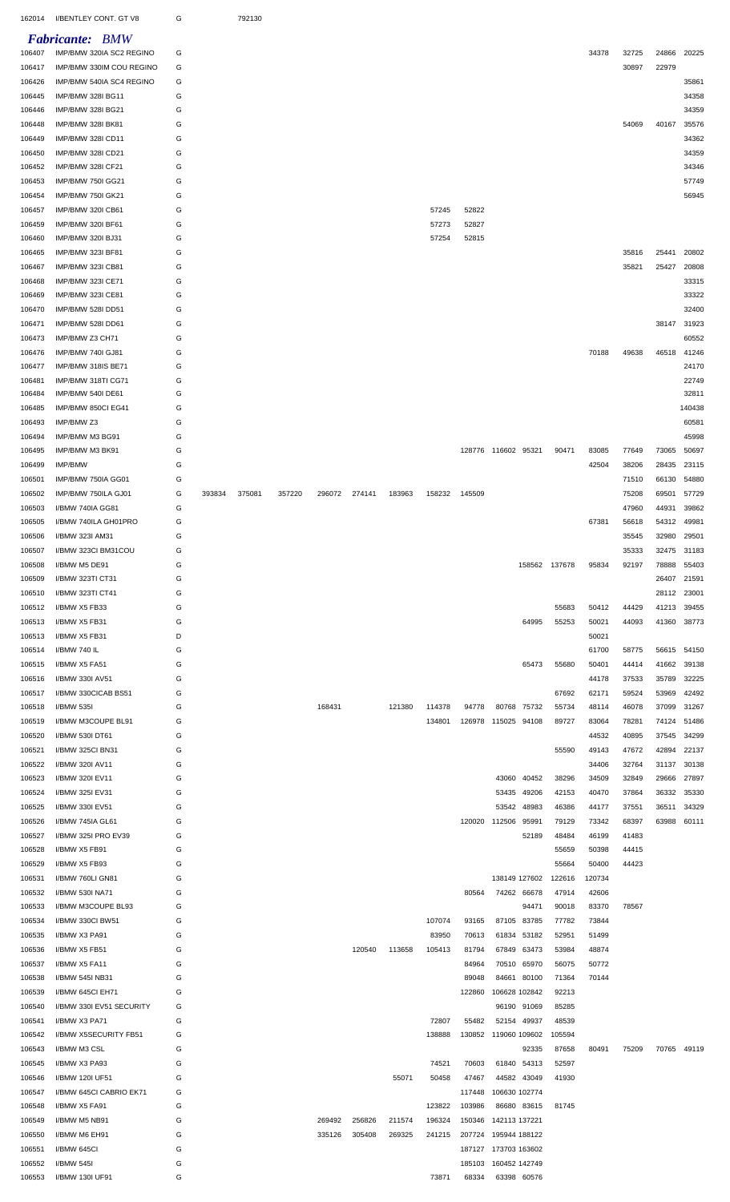| 162014 | I/BENTLEY CONT. GT V8    | G |        | 792130 |        |        |        |        |        |               |                      |               |        |        |       |       |        |
|--------|--------------------------|---|--------|--------|--------|--------|--------|--------|--------|---------------|----------------------|---------------|--------|--------|-------|-------|--------|
|        | <b>Fabricante: BMW</b>   |   |        |        |        |        |        |        |        |               |                      |               |        |        |       |       |        |
| 106407 | IMP/BMW 320IA SC2 REGINO | G |        |        |        |        |        |        |        |               |                      |               |        | 34378  | 32725 | 24866 | 20225  |
| 106417 | IMP/BMW 330IM COU REGINO | G |        |        |        |        |        |        |        |               |                      |               |        |        | 30897 | 22979 |        |
| 106426 | IMP/BMW 540IA SC4 REGINO | G |        |        |        |        |        |        |        |               |                      |               |        |        |       |       | 35861  |
| 106445 | <b>IMP/BMW 328I BG11</b> | G |        |        |        |        |        |        |        |               |                      |               |        |        |       |       | 34358  |
| 106446 | IMP/BMW 328I BG21        | G |        |        |        |        |        |        |        |               |                      |               |        |        |       |       | 34359  |
| 106448 | <b>IMP/BMW 328I BK81</b> | G |        |        |        |        |        |        |        |               |                      |               |        |        | 54069 | 40167 | 35576  |
| 106449 | <b>IMP/BMW 328I CD11</b> | G |        |        |        |        |        |        |        |               |                      |               |        |        |       |       | 34362  |
| 106450 | IMP/BMW 328I CD21        | G |        |        |        |        |        |        |        |               |                      |               |        |        |       |       | 34359  |
| 106452 | <b>IMP/BMW 328I CF21</b> | G |        |        |        |        |        |        |        |               |                      |               |        |        |       |       | 34346  |
| 106453 | <b>IMP/BMW 750I GG21</b> | G |        |        |        |        |        |        |        |               |                      |               |        |        |       |       | 57749  |
| 106454 | <b>IMP/BMW 750I GK21</b> | G |        |        |        |        |        |        |        |               |                      |               |        |        |       |       | 56945  |
| 106457 | IMP/BMW 320I CB61        | G |        |        |        |        |        |        | 57245  | 52822         |                      |               |        |        |       |       |        |
| 106459 | IMP/BMW 320I BF61        | G |        |        |        |        |        |        | 57273  | 52827         |                      |               |        |        |       |       |        |
| 106460 | IMP/BMW 320I BJ31        | G |        |        |        |        |        |        | 57254  | 52815         |                      |               |        |        |       |       |        |
| 106465 | IMP/BMW 323I BF81        | G |        |        |        |        |        |        |        |               |                      |               |        |        | 35816 | 25441 | 20802  |
| 106467 | IMP/BMW 323I CB81        | G |        |        |        |        |        |        |        |               |                      |               |        |        | 35821 | 25427 | 20808  |
| 106468 | IMP/BMW 323I CE71        | G |        |        |        |        |        |        |        |               |                      |               |        |        |       |       | 33315  |
| 106469 | IMP/BMW 323I CE81        | G |        |        |        |        |        |        |        |               |                      |               |        |        |       |       | 33322  |
| 106470 | IMP/BMW 528I DD51        | G |        |        |        |        |        |        |        |               |                      |               |        |        |       |       | 32400  |
| 106471 | IMP/BMW 528I DD61        | G |        |        |        |        |        |        |        |               |                      |               |        |        |       | 38147 | 31923  |
| 106473 | IMP/BMW Z3 CH71          | G |        |        |        |        |        |        |        |               |                      |               |        |        |       |       | 60552  |
| 106476 | IMP/BMW 740I GJ81        | G |        |        |        |        |        |        |        |               |                      |               |        | 70188  | 49638 | 46518 | 41246  |
| 106477 | IMP/BMW 318IS BE71       | G |        |        |        |        |        |        |        |               |                      |               |        |        |       |       | 24170  |
| 106481 | IMP/BMW 318TI CG71       | G |        |        |        |        |        |        |        |               |                      |               |        |        |       |       | 22749  |
| 106484 | IMP/BMW 540I DE61        | G |        |        |        |        |        |        |        |               |                      |               |        |        |       |       | 32811  |
| 106485 | IMP/BMW 850CI EG41       | G |        |        |        |        |        |        |        |               |                      |               |        |        |       |       | 140438 |
| 106493 | IMP/BMW Z3               | G |        |        |        |        |        |        |        |               |                      |               |        |        |       |       | 60581  |
| 106494 | IMP/BMW M3 BG91          | G |        |        |        |        |        |        |        |               |                      |               |        |        |       |       | 45998  |
| 106495 | IMP/BMW M3 BK91          | G |        |        |        |        |        |        |        |               | 128776 116602 95321  |               | 90471  | 83085  | 77649 | 73065 | 50697  |
| 106499 | IMP/BMW                  | G |        |        |        |        |        |        |        |               |                      |               |        | 42504  | 38206 | 28435 | 23115  |
| 106501 | IMP/BMW 750IA GG01       | G |        |        |        |        |        |        |        |               |                      |               |        |        | 71510 | 66130 | 54880  |
| 106502 | IMP/BMW 750ILA GJ01      | G | 393834 | 375081 | 357220 | 296072 | 274141 | 183963 | 158232 | 145509        |                      |               |        |        | 75208 | 69501 | 57729  |
| 106503 | I/BMW 740IA GG81         | G |        |        |        |        |        |        |        |               |                      |               |        |        | 47960 | 44931 | 39862  |
| 106505 | I/BMW 740ILA GH01PRO     | G |        |        |        |        |        |        |        |               |                      |               |        | 67381  | 56618 | 54312 | 49981  |
| 106506 | I/BMW 323I AM31          | G |        |        |        |        |        |        |        |               |                      |               |        |        | 35545 | 32980 | 29501  |
| 106507 | I/BMW 323CI BM31COU      | G |        |        |        |        |        |        |        |               |                      |               |        |        | 35333 | 32475 | 31183  |
| 106508 | I/BMW M5 DE91            | G |        |        |        |        |        |        |        |               |                      | 158562 137678 |        | 95834  | 92197 | 78888 | 55403  |
| 106509 | I/BMW 323TI CT31         | G |        |        |        |        |        |        |        |               |                      |               |        |        |       | 26407 | 21591  |
| 106510 | I/BMW 323TI CT41         | G |        |        |        |        |        |        |        |               |                      |               |        |        |       | 28112 | 23001  |
| 106512 | I/BMW X5 FB33            | G |        |        |        |        |        |        |        |               |                      |               | 55683  | 50412  | 44429 | 41213 | 39455  |
|        |                          | G |        |        |        |        |        |        |        |               |                      |               |        |        |       |       |        |
| 106513 | I/BMW X5 FB31            |   |        |        |        |        |        |        |        |               |                      | 64995         | 55253  | 50021  | 44093 | 41360 | 38773  |
| 106513 | I/BMW X5 FB31            | D |        |        |        |        |        |        |        |               |                      |               |        | 50021  |       |       |        |
| 106514 | I/BMW 740 IL             | G |        |        |        |        |        |        |        |               |                      |               |        | 61700  | 58775 | 56615 | 54150  |
| 106515 | I/BMW X5 FA51            | G |        |        |        |        |        |        |        |               |                      | 65473         | 55680  | 50401  | 44414 | 41662 | 39138  |
| 106516 | I/BMW 330I AV51          | G |        |        |        |        |        |        |        |               |                      |               |        | 44178  | 37533 | 35789 | 32225  |
| 106517 | I/BMW 330CICAB BS51      | G |        |        |        |        |        |        |        |               |                      |               | 67692  | 62171  | 59524 | 53969 | 42492  |
| 106518 | I/BMW 535I               | G |        |        |        | 168431 |        | 121380 | 114378 | 94778         | 80768                | 75732         | 55734  | 48114  | 46078 | 37099 | 31267  |
| 106519 | I/BMW M3COUPE BL91       | G |        |        |        |        |        |        | 134801 | 126978        | 115025               | 94108         | 89727  | 83064  | 78281 | 74124 | 51486  |
| 106520 | I/BMW 530I DT61          | G |        |        |        |        |        |        |        |               |                      |               |        | 44532  | 40895 | 37545 | 34299  |
| 106521 | I/BMW 325CI BN31         | G |        |        |        |        |        |        |        |               |                      |               | 55590  | 49143  | 47672 | 42894 | 22137  |
| 106522 | I/BMW 320I AV11          | G |        |        |        |        |        |        |        |               |                      |               |        | 34406  | 32764 | 31137 | 30138  |
| 106523 | I/BMW 320I EV11          | G |        |        |        |        |        |        |        |               | 43060                | 40452         | 38296  | 34509  | 32849 | 29666 | 27897  |
| 106524 | I/BMW 325I EV31          | G |        |        |        |        |        |        |        |               | 53435                | 49206         | 42153  | 40470  | 37864 | 36332 | 35330  |
| 106525 | I/BMW 330I EV51          | G |        |        |        |        |        |        |        |               | 53542                | 48983         | 46386  | 44177  | 37551 | 36511 | 34329  |
| 106526 | I/BMW 745IA GL61         | G |        |        |        |        |        |        |        | 120020 112506 |                      | 95991         | 79129  | 73342  | 68397 | 63988 | 60111  |
| 106527 | I/BMW 325I PRO EV39      | G |        |        |        |        |        |        |        |               |                      | 52189         | 48484  | 46199  | 41483 |       |        |
| 106528 | I/BMW X5 FB91            | G |        |        |        |        |        |        |        |               |                      |               | 55659  | 50398  | 44415 |       |        |
| 106529 | I/BMW X5 FB93            | G |        |        |        |        |        |        |        |               |                      |               | 55664  | 50400  | 44423 |       |        |
| 106531 | I/BMW 760LI GN81         | G |        |        |        |        |        |        |        |               | 138149 127602        |               | 122616 | 120734 |       |       |        |
| 106532 | I/BMW 530I NA71          | G |        |        |        |        |        |        |        | 80564         | 74262 66678          |               | 47914  | 42606  |       |       |        |
| 106533 | I/BMW M3COUPE BL93       | G |        |        |        |        |        |        |        |               |                      | 94471         | 90018  | 83370  | 78567 |       |        |
| 106534 | I/BMW 330CI BW51         | G |        |        |        |        |        |        | 107074 | 93165         | 87105                | 83785         | 77782  | 73844  |       |       |        |
| 106535 | I/BMW X3 PA91            | G |        |        |        |        |        |        | 83950  | 70613         | 61834                | 53182         | 52951  | 51499  |       |       |        |
| 106536 | I/BMW X5 FB51            | G |        |        |        |        | 120540 | 113658 | 105413 | 81794         | 67849                | 63473         | 53984  | 48874  |       |       |        |
| 106537 | I/BMW X5 FA11            | G |        |        |        |        |        |        |        | 84964         | 70510                | 65970         | 56075  | 50772  |       |       |        |
| 106538 | I/BMW 545I NB31          | G |        |        |        |        |        |        |        | 89048         | 84661                | 80100         | 71364  | 70144  |       |       |        |
| 106539 | I/BMW 645CI EH71         | G |        |        |        |        |        |        |        | 122860        | 106628 102842        |               | 92213  |        |       |       |        |
| 106540 | I/BMW 330I EV51 SECURITY | G |        |        |        |        |        |        |        |               | 96190                | 91069         | 85285  |        |       |       |        |
| 106541 | I/BMW X3 PA71            | G |        |        |        |        |        |        | 72807  | 55482         | 52154                | 49937         | 48539  |        |       |       |        |
| 106542 | I/BMW X5SECURITY FB51    | G |        |        |        |        |        |        | 138888 | 130852        | 119060 109602        |               | 105594 |        |       |       |        |
| 106543 | I/BMW M3 CSL             | G |        |        |        |        |        |        |        |               |                      | 92335         | 87658  | 80491  | 75209 | 70765 | 49119  |
| 106545 | I/BMW X3 PA93            | G |        |        |        |        |        |        | 74521  | 70603         | 61840                | 54313         | 52597  |        |       |       |        |
| 106546 | I/BMW 120I UF51          | G |        |        |        |        |        | 55071  | 50458  | 47467         | 44582                | 43049         | 41930  |        |       |       |        |
| 106547 | I/BMW 645CI CABRIO EK71  | G |        |        |        |        |        |        |        |               | 117448 106630 102774 |               |        |        |       |       |        |
| 106548 | I/BMW X5 FA91            | G |        |        |        |        |        |        | 123822 | 103986        | 86680 83615          |               | 81745  |        |       |       |        |
| 106549 | I/BMW M5 NB91            | G |        |        |        | 269492 | 256826 | 211574 | 196324 |               | 150346 142113 137221 |               |        |        |       |       |        |
| 106550 | I/BMW M6 EH91            | G |        |        |        | 335126 | 305408 | 269325 | 241215 |               | 207724 195944 188122 |               |        |        |       |       |        |
| 106551 | I/BMW 645CI              | G |        |        |        |        |        |        |        |               | 187127 173703 163602 |               |        |        |       |       |        |
| 106552 | I/BMW 545I               | G |        |        |        |        |        |        |        |               | 185103 160452 142749 |               |        |        |       |       |        |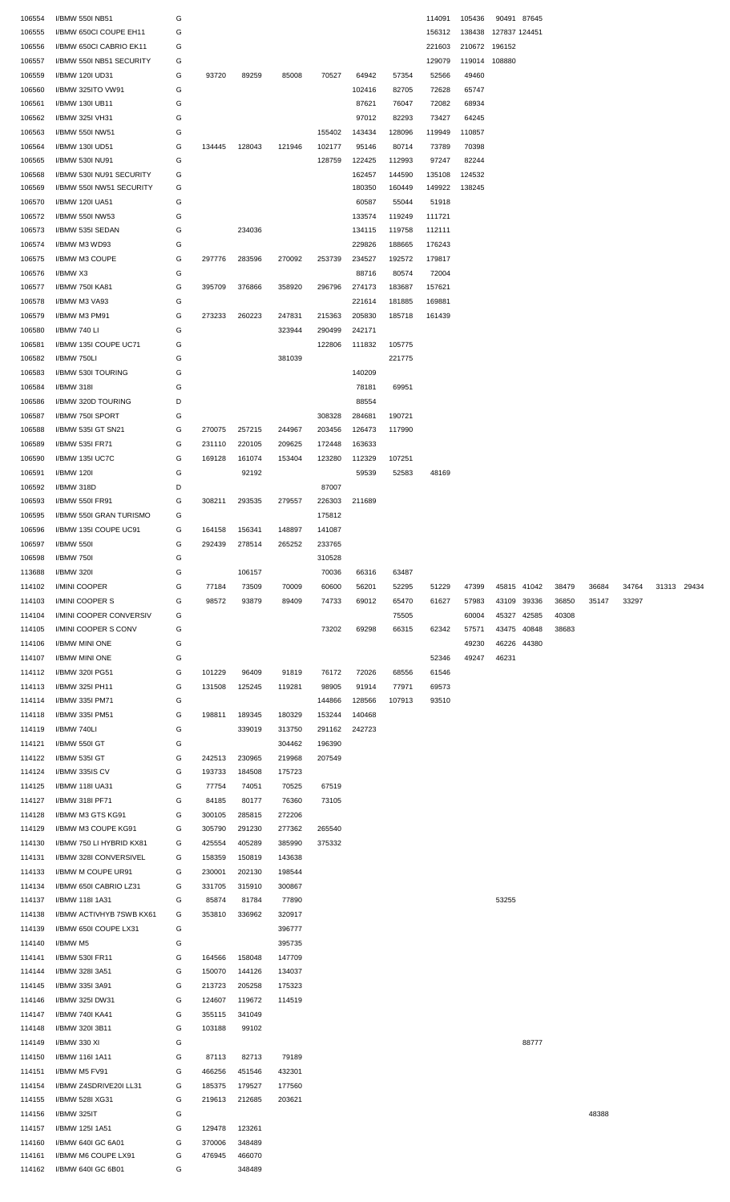| 106554           | I/BMW 550I NB51                           | G      |        |                  |        |        |        |        | 114091 | 105436        |               | 90491 87645 |       |       |       |             |  |
|------------------|-------------------------------------------|--------|--------|------------------|--------|--------|--------|--------|--------|---------------|---------------|-------------|-------|-------|-------|-------------|--|
| 106555           | I/BMW 650CI COUPE EH11                    | G      |        |                  |        |        |        |        | 156312 | 138438        | 127837 124451 |             |       |       |       |             |  |
| 106556           | I/BMW 650CI CABRIO EK11                   | G      |        |                  |        |        |        |        | 221603 | 210672 196152 |               |             |       |       |       |             |  |
|                  |                                           |        |        |                  |        |        |        |        |        |               |               |             |       |       |       |             |  |
| 106557           | I/BMW 550I NB51 SECURITY                  | G      |        |                  |        |        |        |        | 129079 | 119014 108880 |               |             |       |       |       |             |  |
| 106559           | I/BMW 120I UD31                           | G      | 93720  | 89259            | 85008  | 70527  | 64942  | 57354  | 52566  | 49460         |               |             |       |       |       |             |  |
| 106560           | I/BMW 325ITO VW91                         | G      |        |                  |        |        | 102416 | 82705  | 72628  | 65747         |               |             |       |       |       |             |  |
| 106561           | I/BMW 130I UB11                           | G      |        |                  |        |        | 87621  | 76047  | 72082  | 68934         |               |             |       |       |       |             |  |
| 106562           | I/BMW 325I VH31                           | G      |        |                  |        |        | 97012  | 82293  | 73427  | 64245         |               |             |       |       |       |             |  |
|                  |                                           |        |        |                  |        |        |        |        |        |               |               |             |       |       |       |             |  |
| 106563           | I/BMW 550I NW51                           | G      |        |                  |        | 155402 | 143434 | 128096 | 119949 | 110857        |               |             |       |       |       |             |  |
| 106564           | I/BMW 130I UD51                           | G      | 134445 | 128043           | 121946 | 102177 | 95146  | 80714  | 73789  | 70398         |               |             |       |       |       |             |  |
| 106565           | I/BMW 530I NU91                           | G      |        |                  |        | 128759 | 122425 | 112993 | 97247  | 82244         |               |             |       |       |       |             |  |
| 106568           | I/BMW 530I NU91 SECURITY                  | G      |        |                  |        |        | 162457 | 144590 | 135108 | 124532        |               |             |       |       |       |             |  |
|                  |                                           |        |        |                  |        |        |        |        |        |               |               |             |       |       |       |             |  |
| 106569           | I/BMW 550I NW51 SECURITY                  | G      |        |                  |        |        | 180350 | 160449 | 149922 | 138245        |               |             |       |       |       |             |  |
| 106570           | I/BMW 120I UA51                           | G      |        |                  |        |        | 60587  | 55044  | 51918  |               |               |             |       |       |       |             |  |
| 106572           | I/BMW 550I NW53                           | G      |        |                  |        |        | 133574 | 119249 | 111721 |               |               |             |       |       |       |             |  |
| 106573           | I/BMW 535I SEDAN                          | G      |        | 234036           |        |        | 134115 | 119758 | 112111 |               |               |             |       |       |       |             |  |
|                  |                                           |        |        |                  |        |        |        |        |        |               |               |             |       |       |       |             |  |
| 106574           | I/BMW M3 WD93                             | G      |        |                  |        |        | 229826 | 188665 | 176243 |               |               |             |       |       |       |             |  |
| 106575           | I/BMW M3 COUPE                            | G      | 297776 | 283596           | 270092 | 253739 | 234527 | 192572 | 179817 |               |               |             |       |       |       |             |  |
| 106576           | I/BMW X3                                  | G      |        |                  |        |        | 88716  | 80574  | 72004  |               |               |             |       |       |       |             |  |
| 106577           | I/BMW 750I KA81                           | G      | 395709 | 376866           | 358920 | 296796 | 274173 | 183687 | 157621 |               |               |             |       |       |       |             |  |
|                  |                                           |        |        |                  |        |        |        |        |        |               |               |             |       |       |       |             |  |
| 106578           | I/BMW M3 VA93                             | G      |        |                  |        |        | 221614 | 181885 | 169881 |               |               |             |       |       |       |             |  |
| 106579           | I/BMW M3 PM91                             | G      | 273233 | 260223           | 247831 | 215363 | 205830 | 185718 | 161439 |               |               |             |       |       |       |             |  |
| 106580           | I/BMW 740 LI                              | G      |        |                  | 323944 | 290499 | 242171 |        |        |               |               |             |       |       |       |             |  |
| 106581           | I/BMW 135I COUPE UC71                     | G      |        |                  |        | 122806 | 111832 | 105775 |        |               |               |             |       |       |       |             |  |
|                  |                                           |        |        |                  |        |        |        |        |        |               |               |             |       |       |       |             |  |
| 106582           | I/BMW 750LI                               | G      |        |                  | 381039 |        |        | 221775 |        |               |               |             |       |       |       |             |  |
| 106583           | I/BMW 530I TOURING                        | G      |        |                  |        |        | 140209 |        |        |               |               |             |       |       |       |             |  |
| 106584           | I/BMW 318I                                | G      |        |                  |        |        | 78181  | 69951  |        |               |               |             |       |       |       |             |  |
| 106586           | I/BMW 320D TOURING                        | D      |        |                  |        |        | 88554  |        |        |               |               |             |       |       |       |             |  |
|                  |                                           |        |        |                  |        |        |        |        |        |               |               |             |       |       |       |             |  |
| 106587           | I/BMW 750I SPORT                          | G      |        |                  |        | 308328 | 284681 | 190721 |        |               |               |             |       |       |       |             |  |
| 106588           | I/BMW 535I GT SN21                        | G      | 270075 | 257215           | 244967 | 203456 | 126473 | 117990 |        |               |               |             |       |       |       |             |  |
| 106589           | I/BMW 535I FR71                           | G      | 231110 | 220105           | 209625 | 172448 | 163633 |        |        |               |               |             |       |       |       |             |  |
| 106590           | I/BMW 135I UC7C                           | G      | 169128 | 161074           | 153404 | 123280 | 112329 | 107251 |        |               |               |             |       |       |       |             |  |
|                  |                                           |        |        |                  |        |        |        |        |        |               |               |             |       |       |       |             |  |
| 106591           | I/BMW 120I                                | G      |        | 92192            |        |        | 59539  | 52583  | 48169  |               |               |             |       |       |       |             |  |
| 106592           | I/BMW 318D                                | D      |        |                  |        | 87007  |        |        |        |               |               |             |       |       |       |             |  |
| 106593           | I/BMW 550I FR91                           | G      | 308211 | 293535           | 279557 | 226303 | 211689 |        |        |               |               |             |       |       |       |             |  |
| 106595           | I/BMW 550I GRAN TURISMO                   | G      |        |                  |        | 175812 |        |        |        |               |               |             |       |       |       |             |  |
|                  |                                           |        |        |                  |        |        |        |        |        |               |               |             |       |       |       |             |  |
| 106596           | I/BMW 135I COUPE UC91                     | G      | 164158 | 156341           | 148897 | 141087 |        |        |        |               |               |             |       |       |       |             |  |
| 106597           | I/BMW 550I                                | G      | 292439 | 278514           | 265252 | 233765 |        |        |        |               |               |             |       |       |       |             |  |
| 106598           | I/BMW 750I                                | G      |        |                  |        | 310528 |        |        |        |               |               |             |       |       |       |             |  |
| 113688           | I/BMW 320I                                | G      |        | 106157           |        | 70036  | 66316  | 63487  |        |               |               |             |       |       |       |             |  |
|                  |                                           | G      | 77184  |                  |        |        |        |        |        |               |               |             |       | 36684 | 34764 | 31313 29434 |  |
| 114102           | I/MINI COOPER                             |        |        | 73509            | 70009  | 60600  | 56201  | 52295  | 51229  | 47399         |               | 45815 41042 | 38479 |       |       |             |  |
|                  |                                           |        |        |                  |        |        |        |        |        |               |               |             |       |       |       |             |  |
| 114103           | I/MINI COOPER S                           | G      | 98572  | 93879            | 89409  | 74733  | 69012  | 65470  | 61627  | 57983         |               | 43109 39336 | 36850 | 35147 | 33297 |             |  |
| 114104           | I/MINI COOPER CONVERSIV                   | G      |        |                  |        |        |        | 75505  |        | 60004         |               | 45327 42585 | 40308 |       |       |             |  |
|                  |                                           |        |        |                  |        |        |        |        |        |               |               |             |       |       |       |             |  |
| 114105           | I/MINI COOPER S CONV                      | G      |        |                  |        | 73202  | 69298  | 66315  | 62342  | 57571         |               | 43475 40848 | 38683 |       |       |             |  |
| 114106           | I/BMW MINI ONE                            | G      |        |                  |        |        |        |        |        | 49230         |               | 46226 44380 |       |       |       |             |  |
| 114107           | I/BMW MINI ONE                            | G      |        |                  |        |        |        |        | 52346  | 49247         | 46231         |             |       |       |       |             |  |
| 114112           | I/BMW 320I PG51                           | G      | 101229 | 96409            | 91819  | 76172  | 72026  | 68556  | 61546  |               |               |             |       |       |       |             |  |
|                  |                                           |        |        |                  |        |        |        |        |        |               |               |             |       |       |       |             |  |
| 114113           | I/BMW 325I PH11                           | G      | 131508 | 125245           | 119281 | 98905  | 91914  | 77971  | 69573  |               |               |             |       |       |       |             |  |
| 114114           | I/BMW 335I PM71                           | G      |        |                  |        | 144866 | 128566 | 107913 | 93510  |               |               |             |       |       |       |             |  |
| 114118           | I/BMW 335I PM51                           | G      | 198811 | 189345           | 180329 | 153244 | 140468 |        |        |               |               |             |       |       |       |             |  |
| 114119           | I/BMW 740LI                               | G      |        | 339019           | 313750 | 291162 | 242723 |        |        |               |               |             |       |       |       |             |  |
|                  |                                           |        |        |                  |        |        |        |        |        |               |               |             |       |       |       |             |  |
| 114121           | I/BMW 550I GT                             | G      |        |                  | 304462 | 196390 |        |        |        |               |               |             |       |       |       |             |  |
| 114122           | I/BMW 535I GT                             | G      | 242513 | 230965           | 219968 | 207549 |        |        |        |               |               |             |       |       |       |             |  |
| 114124           | I/BMW 335IS CV                            | G      | 193733 | 184508           | 175723 |        |        |        |        |               |               |             |       |       |       |             |  |
| 114125           | I/BMW 118I UA31                           | G      | 77754  | 74051            | 70525  | 67519  |        |        |        |               |               |             |       |       |       |             |  |
| 114127           | I/BMW 318I PF71                           | G      | 84185  | 80177            | 76360  | 73105  |        |        |        |               |               |             |       |       |       |             |  |
|                  |                                           |        |        |                  |        |        |        |        |        |               |               |             |       |       |       |             |  |
| 114128           | I/BMW M3 GTS KG91                         | G      | 300105 | 285815           | 272206 |        |        |        |        |               |               |             |       |       |       |             |  |
| 114129           | I/BMW M3 COUPE KG91                       | G      | 305790 | 291230           | 277362 | 265540 |        |        |        |               |               |             |       |       |       |             |  |
| 114130           | I/BMW 750 LI HYBRID KX81                  | G      | 425554 | 405289           | 385990 | 375332 |        |        |        |               |               |             |       |       |       |             |  |
|                  |                                           |        |        |                  |        |        |        |        |        |               |               |             |       |       |       |             |  |
| 114131           | I/BMW 328I CONVERSIVEL                    | G      | 158359 | 150819           | 143638 |        |        |        |        |               |               |             |       |       |       |             |  |
| 114133           | I/BMW M COUPE UR91                        | G      | 230001 | 202130           | 198544 |        |        |        |        |               |               |             |       |       |       |             |  |
| 114134           | I/BMW 650I CABRIO LZ31                    | G      | 331705 | 315910           | 300867 |        |        |        |        |               |               |             |       |       |       |             |  |
| 114137           | I/BMW 118I 1A31                           | G      | 85874  | 81784            | 77890  |        |        |        |        |               | 53255         |             |       |       |       |             |  |
| 114138           | I/BMW ACTIVHYB 7SWB KX61                  | G      | 353810 | 336962           | 320917 |        |        |        |        |               |               |             |       |       |       |             |  |
|                  |                                           |        |        |                  |        |        |        |        |        |               |               |             |       |       |       |             |  |
| 114139           | I/BMW 650I COUPE LX31                     | G      |        |                  | 396777 |        |        |        |        |               |               |             |       |       |       |             |  |
| 114140           | I/BMW M5                                  | G      |        |                  | 395735 |        |        |        |        |               |               |             |       |       |       |             |  |
| 114141           | I/BMW 530I FR11                           | G      | 164566 | 158048           | 147709 |        |        |        |        |               |               |             |       |       |       |             |  |
| 114144           | I/BMW 328I 3A51                           | G      | 150070 | 144126           | 134037 |        |        |        |        |               |               |             |       |       |       |             |  |
|                  |                                           |        |        |                  |        |        |        |        |        |               |               |             |       |       |       |             |  |
| 114145           | I/BMW 335I 3A91                           | G      | 213723 | 205258           | 175323 |        |        |        |        |               |               |             |       |       |       |             |  |
| 114146           | I/BMW 325I DW31                           | G      | 124607 | 119672           | 114519 |        |        |        |        |               |               |             |       |       |       |             |  |
| 114147           | I/BMW 740I KA41                           | G      | 355115 | 341049           |        |        |        |        |        |               |               |             |       |       |       |             |  |
|                  |                                           |        |        |                  |        |        |        |        |        |               |               |             |       |       |       |             |  |
| 114148           | I/BMW 320I 3B11                           | G      | 103188 | 99102            |        |        |        |        |        |               |               |             |       |       |       |             |  |
| 114149           | I/BMW 330 XI                              | G      |        |                  |        |        |        |        |        |               |               | 88777       |       |       |       |             |  |
| 114150           | I/BMW 116I 1A11                           | G      | 87113  | 82713            | 79189  |        |        |        |        |               |               |             |       |       |       |             |  |
| 114151           | I/BMW M5 FV91                             | G      | 466256 | 451546           | 432301 |        |        |        |        |               |               |             |       |       |       |             |  |
|                  |                                           |        |        |                  |        |        |        |        |        |               |               |             |       |       |       |             |  |
| 114154           | I/BMW Z4SDRIVE20I LL31                    | G      | 185375 | 179527           | 177560 |        |        |        |        |               |               |             |       |       |       |             |  |
| 114155           | I/BMW 528I XG31                           | G      |        | 219613 212685    | 203621 |        |        |        |        |               |               |             |       |       |       |             |  |
| 114156           | I/BMW 325IT                               | G      |        |                  |        |        |        |        |        |               |               |             |       | 48388 |       |             |  |
| 114157           | I/BMW 125I 1A51                           | G      | 129478 | 123261           |        |        |        |        |        |               |               |             |       |       |       |             |  |
| 114160           | I/BMW 640I GC 6A01                        | G      | 370006 | 348489           |        |        |        |        |        |               |               |             |       |       |       |             |  |
|                  |                                           |        |        |                  |        |        |        |        |        |               |               |             |       |       |       |             |  |
| 114161<br>114162 | I/BMW M6 COUPE LX91<br>I/BMW 640I GC 6B01 | G<br>G | 476945 | 466070<br>348489 |        |        |        |        |        |               |               |             |       |       |       |             |  |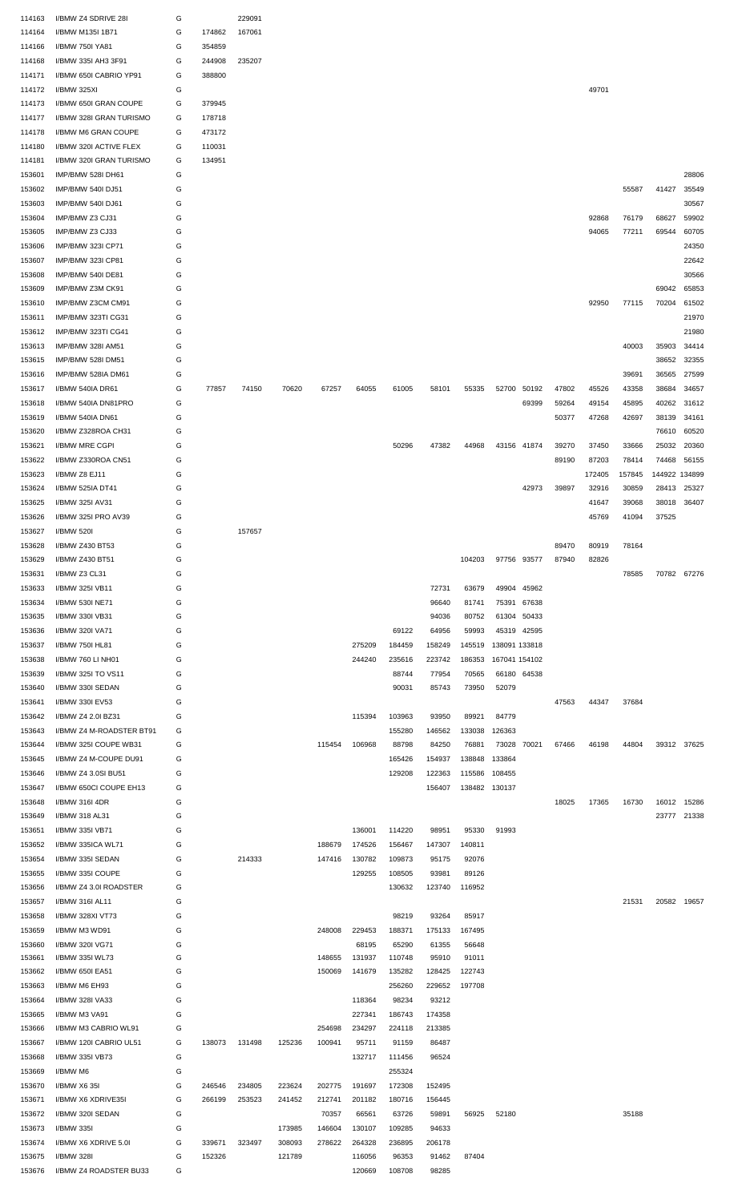| 114163 | I/BMW Z4 SDRIVE 28I      | G |        | 229091 |        |        |        |        |        |               |               |             |       |        |        |               |             |
|--------|--------------------------|---|--------|--------|--------|--------|--------|--------|--------|---------------|---------------|-------------|-------|--------|--------|---------------|-------------|
| 114164 | I/BMW M135I 1B71         | G | 174862 | 167061 |        |        |        |        |        |               |               |             |       |        |        |               |             |
| 114166 | I/BMW 750I YA81          | G | 354859 |        |        |        |        |        |        |               |               |             |       |        |        |               |             |
| 114168 | I/BMW 335I AH3 3F91      | G | 244908 | 235207 |        |        |        |        |        |               |               |             |       |        |        |               |             |
|        |                          |   |        |        |        |        |        |        |        |               |               |             |       |        |        |               |             |
| 114171 | I/BMW 650I CABRIO YP91   | G | 388800 |        |        |        |        |        |        |               |               |             |       |        |        |               |             |
| 114172 | I/BMW 325XI              | G |        |        |        |        |        |        |        |               |               |             |       | 49701  |        |               |             |
| 114173 | I/BMW 650I GRAN COUPE    | G | 379945 |        |        |        |        |        |        |               |               |             |       |        |        |               |             |
| 114177 | I/BMW 328I GRAN TURISMO  | G | 178718 |        |        |        |        |        |        |               |               |             |       |        |        |               |             |
| 114178 | I/BMW M6 GRAN COUPE      | G | 473172 |        |        |        |        |        |        |               |               |             |       |        |        |               |             |
|        |                          |   |        |        |        |        |        |        |        |               |               |             |       |        |        |               |             |
| 114180 | I/BMW 320I ACTIVE FLEX   | G | 110031 |        |        |        |        |        |        |               |               |             |       |        |        |               |             |
| 114181 | I/BMW 320I GRAN TURISMO  | G | 134951 |        |        |        |        |        |        |               |               |             |       |        |        |               |             |
| 153601 | IMP/BMW 528I DH61        | G |        |        |        |        |        |        |        |               |               |             |       |        |        |               | 28806       |
| 153602 | IMP/BMW 540I DJ51        | G |        |        |        |        |        |        |        |               |               |             |       |        | 55587  | 41427         | 35549       |
| 153603 | IMP/BMW 540I DJ61        | G |        |        |        |        |        |        |        |               |               |             |       |        |        |               | 30567       |
|        |                          |   |        |        |        |        |        |        |        |               |               |             |       |        |        |               |             |
| 153604 | IMP/BMW Z3 CJ31          | G |        |        |        |        |        |        |        |               |               |             |       | 92868  | 76179  | 68627         | 59902       |
| 153605 | IMP/BMW Z3 CJ33          | G |        |        |        |        |        |        |        |               |               |             |       | 94065  | 77211  | 69544         | 60705       |
| 153606 | IMP/BMW 323I CP71        | G |        |        |        |        |        |        |        |               |               |             |       |        |        |               | 24350       |
| 153607 | IMP/BMW 323I CP81        | G |        |        |        |        |        |        |        |               |               |             |       |        |        |               | 22642       |
| 153608 | <b>IMP/BMW 540I DE81</b> | G |        |        |        |        |        |        |        |               |               |             |       |        |        |               | 30566       |
|        |                          |   |        |        |        |        |        |        |        |               |               |             |       |        |        |               |             |
| 153609 | IMP/BMW Z3M CK91         | G |        |        |        |        |        |        |        |               |               |             |       |        |        | 69042         | 65853       |
| 153610 | IMP/BMW Z3CM CM91        | G |        |        |        |        |        |        |        |               |               |             |       | 92950  | 77115  | 70204         | 61502       |
| 153611 | IMP/BMW 323TI CG31       | G |        |        |        |        |        |        |        |               |               |             |       |        |        |               | 21970       |
| 153612 | IMP/BMW 323TI CG41       | G |        |        |        |        |        |        |        |               |               |             |       |        |        |               | 21980       |
|        |                          | G |        |        |        |        |        |        |        |               |               |             |       |        | 40003  | 35903         | 34414       |
| 153613 | <b>IMP/BMW 328I AM51</b> |   |        |        |        |        |        |        |        |               |               |             |       |        |        |               |             |
| 153615 | <b>IMP/BMW 528I DM51</b> | G |        |        |        |        |        |        |        |               |               |             |       |        |        | 38652         | 32355       |
| 153616 | IMP/BMW 528IA DM61       | G |        |        |        |        |        |        |        |               |               |             |       |        | 39691  | 36565         | 27599       |
| 153617 | I/BMW 540IA DR61         | G | 77857  | 74150  | 70620  | 67257  | 64055  | 61005  | 58101  | 55335         | 52700         | 50192       | 47802 | 45526  | 43358  | 38684         | 34657       |
| 153618 | I/BMW 540IA DN81PRO      | G |        |        |        |        |        |        |        |               |               | 69399       | 59264 | 49154  | 45895  | 40262         | 31612       |
|        |                          |   |        |        |        |        |        |        |        |               |               |             |       |        |        |               |             |
| 153619 | I/BMW 540IA DN61         | G |        |        |        |        |        |        |        |               |               |             | 50377 | 47268  | 42697  | 38139         | 34161       |
| 153620 | I/BMW Z328ROA CH31       | G |        |        |        |        |        |        |        |               |               |             |       |        |        | 76610         | 60520       |
| 153621 | I/BMW MRE CGPI           | G |        |        |        |        |        | 50296  | 47382  | 44968         |               | 43156 41874 | 39270 | 37450  | 33666  | 25032         | 20360       |
| 153622 | I/BMW Z330ROA CN51       | G |        |        |        |        |        |        |        |               |               |             | 89190 | 87203  | 78414  | 74468         | 56155       |
| 153623 | I/BMW Z8 EJ11            | G |        |        |        |        |        |        |        |               |               |             |       | 172405 | 157845 | 144922 134899 |             |
|        |                          |   |        |        |        |        |        |        |        |               |               |             |       |        |        |               |             |
| 153624 | I/BMW 525IA DT41         | G |        |        |        |        |        |        |        |               |               | 42973       | 39897 | 32916  | 30859  | 28413         | 25327       |
| 153625 | I/BMW 325I AV31          | G |        |        |        |        |        |        |        |               |               |             |       | 41647  | 39068  | 38018         | 36407       |
| 153626 | I/BMW 325I PRO AV39      | G |        |        |        |        |        |        |        |               |               |             |       | 45769  | 41094  | 37525         |             |
| 153627 | I/BMW 520I               | G |        | 157657 |        |        |        |        |        |               |               |             |       |        |        |               |             |
| 153628 | I/BMW Z430 BT53          | G |        |        |        |        |        |        |        |               |               |             | 89470 | 80919  | 78164  |               |             |
|        |                          |   |        |        |        |        |        |        |        |               |               |             |       |        |        |               |             |
| 153629 | I/BMW Z430 BT51          | G |        |        |        |        |        |        |        | 104203        | 97756         | 93577       | 87940 | 82826  |        |               |             |
| 153631 | I/BMW Z3 CL31            | G |        |        |        |        |        |        |        |               |               |             |       |        | 78585  |               | 70782 67276 |
| 153633 | I/BMW 325I VB11          | G |        |        |        |        |        |        | 72731  | 63679         | 49904         | 45962       |       |        |        |               |             |
| 153634 | I/BMW 530I NE71          | G |        |        |        |        |        |        | 96640  | 81741         | 75391         | 67638       |       |        |        |               |             |
| 153635 | I/BMW 330I VB31          | G |        |        |        |        |        |        | 94036  | 80752         | 61304         | 50433       |       |        |        |               |             |
|        |                          |   |        |        |        |        |        |        |        |               |               |             |       |        |        |               |             |
| 153636 | I/BMW 320I VA71          | G |        |        |        |        |        | 69122  | 64956  | 59993         |               | 45319 42595 |       |        |        |               |             |
| 153637 | I/BMW 750I HL81          | G |        |        |        |        | 275209 | 184459 | 158249 | 145519        | 138091 133818 |             |       |        |        |               |             |
| 153638 | I/BMW 760 LI NH01        | G |        |        |        |        | 244240 | 235616 | 223742 | 186353        | 167041 154102 |             |       |        |        |               |             |
| 153639 | I/BMW 325I TO VS11       | G |        |        |        |        |        | 88744  | 77954  | 70565         |               | 66180 64538 |       |        |        |               |             |
|        |                          |   |        |        |        |        |        |        |        |               |               |             |       |        |        |               |             |
| 153640 | I/BMW 330I SEDAN         | G |        |        |        |        |        | 90031  | 85743  | 73950         | 52079         |             |       |        |        |               |             |
| 153641 | I/BMW 330I EV53          | G |        |        |        |        |        |        |        |               |               |             | 47563 | 44347  | 37684  |               |             |
| 153642 | I/BMW Z4 2.0I BZ31       | G |        |        |        |        | 115394 | 103963 | 93950  | 89921         | 84779         |             |       |        |        |               |             |
| 153643 | I/BMW Z4 M-ROADSTER BT91 | G |        |        |        |        |        | 155280 | 146562 | 133038        | 126363        |             |       |        |        |               |             |
| 153644 | I/BMW 325I COUPE WB31    | G |        |        |        | 115454 | 106968 | 88798  | 84250  | 76881         | 73028         | 70021       | 67466 | 46198  | 44804  |               | 39312 37625 |
|        |                          |   |        |        |        |        |        |        |        |               |               |             |       |        |        |               |             |
| 153645 | I/BMW Z4 M-COUPE DU91    | G |        |        |        |        |        | 165426 | 154937 | 138848        | 133864        |             |       |        |        |               |             |
| 153646 | I/BMW Z4 3.0SI BU51      | G |        |        |        |        |        | 129208 | 122363 | 115586        | 108455        |             |       |        |        |               |             |
| 153647 | I/BMW 650CI COUPE EH13   | G |        |        |        |        |        |        | 156407 | 138482 130137 |               |             |       |        |        |               |             |
| 153648 | I/BMW 316I 4DR           | G |        |        |        |        |        |        |        |               |               |             | 18025 | 17365  | 16730  | 16012         | 15286       |
|        | I/BMW 318 AL31           | G |        |        |        |        |        |        |        |               |               |             |       |        |        |               | 23777 21338 |
| 153649 |                          |   |        |        |        |        |        |        |        |               |               |             |       |        |        |               |             |
| 153651 | I/BMW 335I VB71          | G |        |        |        |        | 136001 | 114220 | 98951  | 95330         | 91993         |             |       |        |        |               |             |
| 153652 | I/BMW 335ICA WL71        | G |        |        |        | 188679 | 174526 | 156467 | 147307 | 140811        |               |             |       |        |        |               |             |
| 153654 | I/BMW 335I SEDAN         | G |        | 214333 |        | 147416 | 130782 | 109873 | 95175  | 92076         |               |             |       |        |        |               |             |
| 153655 | I/BMW 335I COUPE         | G |        |        |        |        | 129255 | 108505 | 93981  | 89126         |               |             |       |        |        |               |             |
| 153656 | I/BMW Z4 3.0I ROADSTER   | G |        |        |        |        |        | 130632 | 123740 | 116952        |               |             |       |        |        |               |             |
|        |                          |   |        |        |        |        |        |        |        |               |               |             |       |        |        |               |             |
| 153657 | I/BMW 316I AL11          | G |        |        |        |        |        |        |        |               |               |             |       |        | 21531  |               | 20582 19657 |
| 153658 | I/BMW 328XI VT73         | G |        |        |        |        |        | 98219  | 93264  | 85917         |               |             |       |        |        |               |             |
| 153659 | I/BMW M3 WD91            | G |        |        |        | 248008 | 229453 | 188371 | 175133 | 167495        |               |             |       |        |        |               |             |
| 153660 | I/BMW 320I VG71          | G |        |        |        |        | 68195  | 65290  | 61355  | 56648         |               |             |       |        |        |               |             |
| 153661 | I/BMW 335I WL73          | G |        |        |        | 148655 | 131937 | 110748 | 95910  | 91011         |               |             |       |        |        |               |             |
|        |                          |   |        |        |        |        |        |        |        |               |               |             |       |        |        |               |             |
| 153662 | I/BMW 650I EA51          | G |        |        |        | 150069 | 141679 | 135282 | 128425 | 122743        |               |             |       |        |        |               |             |
| 153663 | I/BMW M6 EH93            | G |        |        |        |        |        | 256260 | 229652 | 197708        |               |             |       |        |        |               |             |
| 153664 | I/BMW 328I VA33          | G |        |        |        |        | 118364 | 98234  | 93212  |               |               |             |       |        |        |               |             |
| 153665 | I/BMW M3 VA91            | G |        |        |        |        | 227341 | 186743 | 174358 |               |               |             |       |        |        |               |             |
|        |                          | G |        |        |        | 254698 |        |        |        |               |               |             |       |        |        |               |             |
| 153666 | I/BMW M3 CABRIO WL91     |   |        |        |        |        | 234297 | 224118 | 213385 |               |               |             |       |        |        |               |             |
| 153667 | I/BMW 120I CABRIO UL51   | G | 138073 | 131498 | 125236 | 100941 | 95711  | 91159  | 86487  |               |               |             |       |        |        |               |             |
| 153668 | I/BMW 335I VB73          | G |        |        |        |        | 132717 | 111456 | 96524  |               |               |             |       |        |        |               |             |
| 153669 | I/BMW M6                 | G |        |        |        |        |        | 255324 |        |               |               |             |       |        |        |               |             |
| 153670 | I/BMW X6 35I             | G | 246546 | 234805 | 223624 | 202775 | 191697 | 172308 | 152495 |               |               |             |       |        |        |               |             |
|        |                          |   |        |        |        |        |        |        |        |               |               |             |       |        |        |               |             |
| 153671 | I/BMW X6 XDRIVE35I       | G | 266199 | 253523 | 241452 | 212741 | 201182 | 180716 | 156445 |               |               |             |       |        |        |               |             |
| 153672 | I/BMW 320I SEDAN         | G |        |        |        | 70357  | 66561  | 63726  | 59891  | 56925         | 52180         |             |       |        | 35188  |               |             |
| 153673 | I/BMW 335I               | G |        |        | 173985 | 146604 | 130107 | 109285 | 94633  |               |               |             |       |        |        |               |             |
| 153674 | I/BMW X6 XDRIVE 5.0I     | G | 339671 | 323497 | 308093 | 278622 | 264328 | 236895 | 206178 |               |               |             |       |        |        |               |             |
|        | I/BMW 328I               | G | 152326 |        | 121789 |        | 116056 | 96353  | 91462  | 87404         |               |             |       |        |        |               |             |
| 153675 |                          |   |        |        |        |        |        |        |        |               |               |             |       |        |        |               |             |
| 153676 | I/BMW Z4 ROADSTER BU33   | G |        |        |        |        | 120669 | 108708 | 98285  |               |               |             |       |        |        |               |             |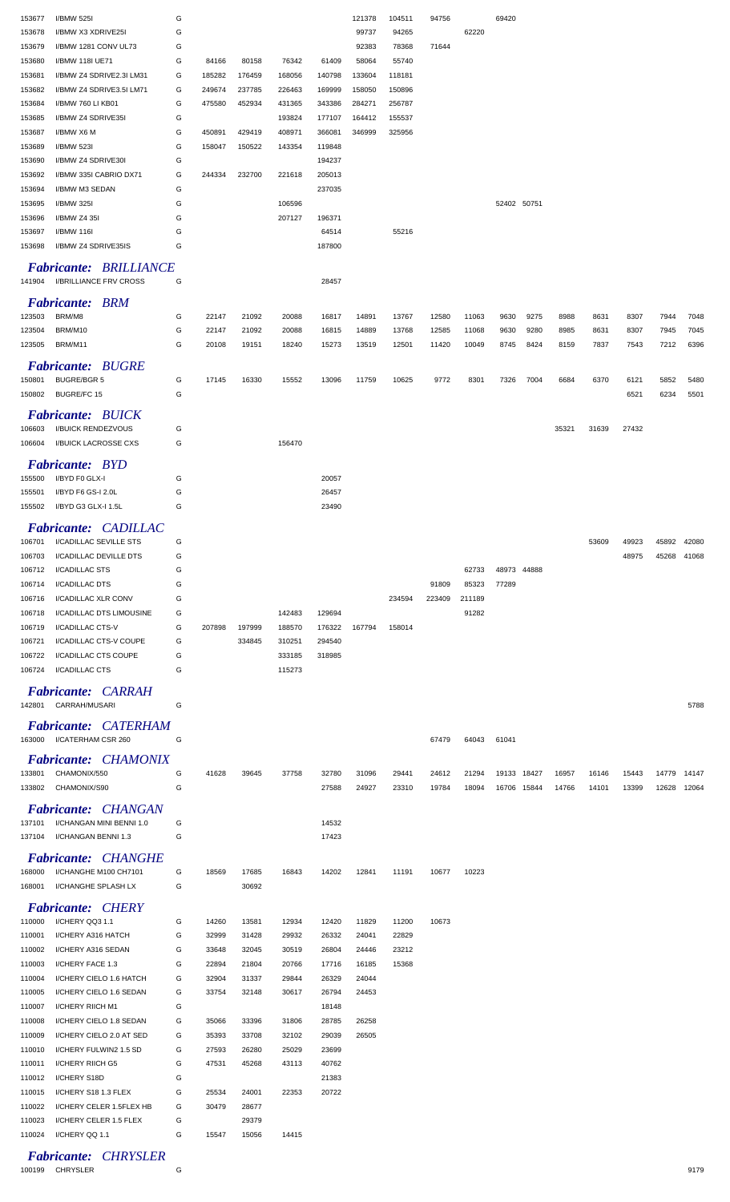| 153677 | I/BMW 5251                                                     | G |        |        |        |        | 121378 | 104511 | 94756  |        | 69420       |      |       |       |                         |       |       |
|--------|----------------------------------------------------------------|---|--------|--------|--------|--------|--------|--------|--------|--------|-------------|------|-------|-------|-------------------------|-------|-------|
| 153678 | I/BMW X3 XDRIVE25I                                             | G |        |        |        |        | 99737  | 94265  |        | 62220  |             |      |       |       |                         |       |       |
| 153679 | I/BMW 1281 CONV UL73                                           | G |        |        |        |        | 92383  | 78368  | 71644  |        |             |      |       |       |                         |       |       |
| 153680 | I/BMW 118I UE71                                                | G | 84166  | 80158  | 76342  | 61409  | 58064  | 55740  |        |        |             |      |       |       |                         |       |       |
| 153681 | I/BMW Z4 SDRIVE2.3I LM31                                       | G | 185282 | 176459 | 168056 | 140798 | 133604 | 118181 |        |        |             |      |       |       |                         |       |       |
| 153682 | I/BMW Z4 SDRIVE3.5I LM71                                       | G | 249674 | 237785 | 226463 | 169999 | 158050 | 150896 |        |        |             |      |       |       |                         |       |       |
| 153684 | I/BMW 760 LI KB01                                              | G | 475580 | 452934 | 431365 | 343386 | 284271 | 256787 |        |        |             |      |       |       |                         |       |       |
| 153685 | I/BMW Z4 SDRIVE35I                                             | G |        |        | 193824 | 177107 | 164412 | 155537 |        |        |             |      |       |       |                         |       |       |
| 153687 | I/BMW X6 M                                                     | G | 450891 | 429419 | 408971 | 366081 | 346999 | 325956 |        |        |             |      |       |       |                         |       |       |
| 153689 | I/BMW 523I                                                     | G | 158047 | 150522 | 143354 | 119848 |        |        |        |        |             |      |       |       |                         |       |       |
| 153690 | I/BMW Z4 SDRIVE30I                                             | G |        |        |        | 194237 |        |        |        |        |             |      |       |       |                         |       |       |
| 153692 | I/BMW 335I CABRIO DX71                                         | G | 244334 | 232700 | 221618 | 205013 |        |        |        |        |             |      |       |       |                         |       |       |
| 153694 | I/BMW M3 SEDAN                                                 | G |        |        |        | 237035 |        |        |        |        |             |      |       |       |                         |       |       |
| 153695 | I/BMW 325I                                                     | G |        |        | 106596 |        |        |        |        |        | 52402 50751 |      |       |       |                         |       |       |
| 153696 | I/BMW Z4 35I                                                   | G |        |        | 207127 | 196371 |        |        |        |        |             |      |       |       |                         |       |       |
| 153697 | I/BMW 116I                                                     | G |        |        |        | 64514  |        | 55216  |        |        |             |      |       |       |                         |       |       |
| 153698 | I/BMW Z4 SDRIVE35IS                                            | G |        |        |        | 187800 |        |        |        |        |             |      |       |       |                         |       |       |
|        | <b>Fabricante: BRILLIANCE</b><br>141904 I/BRILLIANCE FRV CROSS | G |        |        |        | 28457  |        |        |        |        |             |      |       |       |                         |       |       |
|        | <b>Fabricante: BRM</b>                                         |   |        |        |        |        |        |        |        |        |             |      |       |       |                         |       |       |
| 123503 | BRM/M8                                                         | G | 22147  | 21092  | 20088  | 16817  | 14891  | 13767  | 12580  | 11063  | 9630        | 9275 | 8988  | 8631  | 8307                    | 7944  | 7048  |
| 123504 | BRM/M10                                                        | G | 22147  | 21092  | 20088  | 16815  | 14889  | 13768  | 12585  | 11068  | 9630        | 9280 | 8985  | 8631  | 8307                    | 7945  | 7045  |
| 123505 | BRM/M11                                                        | G | 20108  | 19151  | 18240  | 15273  | 13519  | 12501  | 11420  | 10049  | 8745        | 8424 | 8159  | 7837  | 7543                    | 7212  | 6396  |
|        | <b>Fabricante: BUGRE</b>                                       |   |        |        |        |        |        |        |        |        |             |      |       |       |                         |       |       |
| 150801 | <b>BUGRE/BGR 5</b>                                             | G | 17145  | 16330  | 15552  | 13096  | 11759  | 10625  | 9772   | 8301   | 7326        | 7004 | 6684  | 6370  | 6121                    | 5852  | 5480  |
| 150802 | BUGRE/FC 15                                                    | G |        |        |        |        |        |        |        |        |             |      |       |       | 6521                    | 6234  | 5501  |
|        |                                                                |   |        |        |        |        |        |        |        |        |             |      |       |       |                         |       |       |
|        | <b>Fabricante: BUICK</b>                                       |   |        |        |        |        |        |        |        |        |             |      |       |       |                         |       |       |
| 106603 | I/BUICK RENDEZVOUS                                             | G |        |        |        |        |        |        |        |        |             |      | 35321 | 31639 | 27432                   |       |       |
| 106604 | I/BUICK LACROSSE CXS                                           | G |        |        | 156470 |        |        |        |        |        |             |      |       |       |                         |       |       |
|        | <b>Fabricante: BYD</b>                                         |   |        |        |        |        |        |        |        |        |             |      |       |       |                         |       |       |
| 155500 | I/BYD F0 GLX-I                                                 | G |        |        |        | 20057  |        |        |        |        |             |      |       |       |                         |       |       |
| 155501 | I/BYD F6 GS-I 2.0L                                             | G |        |        |        | 26457  |        |        |        |        |             |      |       |       |                         |       |       |
| 155502 | I/BYD G3 GLX-I 1.5L                                            | G |        |        |        | 23490  |        |        |        |        |             |      |       |       |                         |       |       |
|        | <b>Fabricante: CADILLAC</b>                                    |   |        |        |        |        |        |        |        |        |             |      |       |       |                         |       |       |
|        | 106701 I/CADILLAC SEVILLE STS                                  | G |        |        |        |        |        |        |        |        |             |      |       |       | 53609 49923 45892 42080 |       |       |
| 106703 | I/CADILLAC DEVILLE DTS                                         | G |        |        |        |        |        |        |        |        |             |      |       |       | 48975                   | 45268 | 41068 |
| 106712 | I/CADILLAC STS                                                 | G |        |        |        |        |        |        |        | 62733  | 48973 44888 |      |       |       |                         |       |       |
|        |                                                                |   |        |        |        |        |        |        |        |        |             |      |       |       |                         |       |       |
| 106714 | I/CADILLAC DTS                                                 | G |        |        |        |        |        |        | 91809  | 85323  | 77289       |      |       |       |                         |       |       |
| 106716 | I/CADILLAC XLR CONV                                            | G |        |        |        |        |        | 234594 | 223409 | 211189 |             |      |       |       |                         |       |       |
| 106718 | I/CADILLAC DTS LIMOUSINE                                       | G |        |        | 142483 | 129694 |        |        |        | 91282  |             |      |       |       |                         |       |       |
| 106719 | I/CADILLAC CTS-V                                               | G | 207898 | 197999 | 188570 | 176322 | 167794 | 158014 |        |        |             |      |       |       |                         |       |       |
| 106721 | I/CADILLAC CTS-V COUPE                                         | G |        | 334845 | 310251 | 294540 |        |        |        |        |             |      |       |       |                         |       |       |
| 106722 | I/CADILLAC CTS COUPE                                           | G |        |        | 333185 | 318985 |        |        |        |        |             |      |       |       |                         |       |       |
| 106724 | I/CADILLAC CTS                                                 | G |        |        | 115273 |        |        |        |        |        |             |      |       |       |                         |       |       |
|        |                                                                |   |        |        |        |        |        |        |        |        |             |      |       |       |                         |       |       |
|        | <b>Fabricante: CARRAH</b>                                      |   |        |        |        |        |        |        |        |        |             |      |       |       |                         |       |       |
|        | 142801 CARRAH/MUSARI                                           | G |        |        |        |        |        |        |        |        |             |      |       |       |                         |       | 5788  |
|        | <b>Fabricante: CATERHAM</b>                                    |   |        |        |        |        |        |        |        |        |             |      |       |       |                         |       |       |
|        | 163000 I/CATERHAM CSR 260                                      | G |        |        |        |        |        |        | 67479  | 64043  | 61041       |      |       |       |                         |       |       |
|        |                                                                |   |        |        |        |        |        |        |        |        |             |      |       |       |                         |       |       |
| 133801 | Fabricante: CHAMONIX<br>CHAMONIX/550                           | G | 41628  | 39645  | 37758  | 32780  | 31096  | 29441  | 24612  | 21294  | 19133 18427 |      | 16957 | 16146 | 15443                   | 14779 | 14147 |
| 133802 | CHAMONIX/S90                                                   | G |        |        |        | 27588  | 24927  | 23310  | 19784  | 18094  | 16706 15844 |      | 14766 | 14101 | 13399                   | 12628 | 12064 |
|        |                                                                |   |        |        |        |        |        |        |        |        |             |      |       |       |                         |       |       |
|        | Fabricante: CHANGAN                                            |   |        |        |        |        |        |        |        |        |             |      |       |       |                         |       |       |
| 137101 | I/CHANGAN MINI BENNI 1.0                                       | G |        |        |        | 14532  |        |        |        |        |             |      |       |       |                         |       |       |
| 137104 | I/CHANGAN BENNI 1.3                                            | G |        |        |        | 17423  |        |        |        |        |             |      |       |       |                         |       |       |
|        | <b>Fabricante: CHANGHE</b>                                     |   |        |        |        |        |        |        |        |        |             |      |       |       |                         |       |       |
| 168000 | I/CHANGHE M100 CH7101                                          | G | 18569  | 17685  | 16843  | 14202  | 12841  | 11191  | 10677  | 10223  |             |      |       |       |                         |       |       |
| 168001 | I/CHANGHE SPLASH LX                                            | G |        | 30692  |        |        |        |        |        |        |             |      |       |       |                         |       |       |
|        |                                                                |   |        |        |        |        |        |        |        |        |             |      |       |       |                         |       |       |
| 110000 | <b>Fabricante: CHERY</b><br>I/CHERY QQ3 1.1                    | G | 14260  | 13581  | 12934  | 12420  | 11829  | 11200  | 10673  |        |             |      |       |       |                         |       |       |
| 110001 | I/CHERY A316 HATCH                                             | G | 32999  | 31428  | 29932  | 26332  | 24041  | 22829  |        |        |             |      |       |       |                         |       |       |
| 110002 | I/CHERY A316 SEDAN                                             | G | 33648  | 32045  | 30519  | 26804  | 24446  | 23212  |        |        |             |      |       |       |                         |       |       |
| 110003 | I/CHERY FACE 1.3                                               | G | 22894  | 21804  | 20766  | 17716  | 16185  | 15368  |        |        |             |      |       |       |                         |       |       |
| 110004 | I/CHERY CIELO 1.6 HATCH                                        | G | 32904  | 31337  | 29844  | 26329  | 24044  |        |        |        |             |      |       |       |                         |       |       |
| 110005 | I/CHERY CIELO 1.6 SEDAN                                        | G | 33754  | 32148  | 30617  | 26794  | 24453  |        |        |        |             |      |       |       |                         |       |       |
| 110007 | I/CHERY RIICH M1                                               | G |        |        |        | 18148  |        |        |        |        |             |      |       |       |                         |       |       |
| 110008 | I/CHERY CIELO 1.8 SEDAN                                        | G | 35066  | 33396  | 31806  | 28785  | 26258  |        |        |        |             |      |       |       |                         |       |       |
| 110009 | I/CHERY CIELO 2.0 AT SED                                       | G | 35393  | 33708  | 32102  | 29039  | 26505  |        |        |        |             |      |       |       |                         |       |       |
| 110010 | I/CHERY FULWIN2 1.5 SD                                         | G | 27593  | 26280  | 25029  | 23699  |        |        |        |        |             |      |       |       |                         |       |       |
| 110011 | I/CHERY RIICH G5                                               | G | 47531  | 45268  | 43113  | 40762  |        |        |        |        |             |      |       |       |                         |       |       |
|        | 110012 I/CHERY S18D                                            | G |        |        |        | 21383  |        |        |        |        |             |      |       |       |                         |       |       |
|        | 110015 I/CHERY S18 1.3 FLEX                                    | G | 25534  | 24001  | 22353  | 20722  |        |        |        |        |             |      |       |       |                         |       |       |
|        | 110022 I/CHERY CELER 1.5FLEX HB                                | G | 30479  | 28677  |        |        |        |        |        |        |             |      |       |       |                         |       |       |
|        | 110023 I/CHERY CELER 1.5 FLEX                                  | G |        | 29379  |        |        |        |        |        |        |             |      |       |       |                         |       |       |
|        | 110024 I/CHERY QQ 1.1                                          | G | 15547  | 15056  | 14415  |        |        |        |        |        |             |      |       |       |                         |       |       |

*Fabricante: CHRYSLER* CHRYSLER G 9179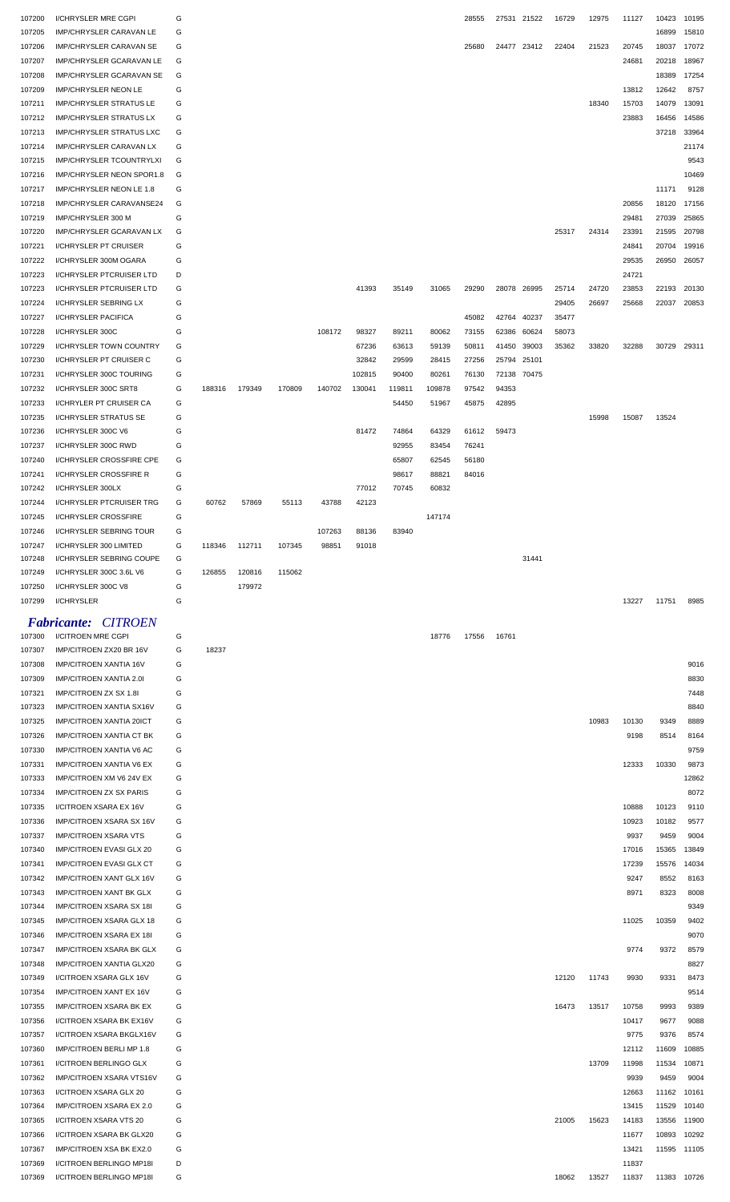| 107200 | I/CHRYSLER MRE CGPI             | G |        |        |        |        |        |        |        | 28555 |             | 27531 21522 | 16729 | 12975 | 11127 | 10423       | 10195 |
|--------|---------------------------------|---|--------|--------|--------|--------|--------|--------|--------|-------|-------------|-------------|-------|-------|-------|-------------|-------|
| 107205 | IMP/CHRYSLER CARAVAN LE         | G |        |        |        |        |        |        |        |       |             |             |       |       |       | 16899       | 15810 |
| 107206 | <b>IMP/CHRYSLER CARAVAN SE</b>  | G |        |        |        |        |        |        |        | 25680 |             | 24477 23412 | 22404 | 21523 | 20745 | 18037       | 17072 |
| 107207 | IMP/CHRYSLER GCARAVAN LE        | G |        |        |        |        |        |        |        |       |             |             |       |       | 24681 | 20218       | 18967 |
| 107208 | IMP/CHRYSLER GCARAVAN SE        | G |        |        |        |        |        |        |        |       |             |             |       |       |       | 18389       | 17254 |
| 107209 | <b>IMP/CHRYSLER NEON LE</b>     | G |        |        |        |        |        |        |        |       |             |             |       |       | 13812 | 12642       | 8757  |
|        |                                 |   |        |        |        |        |        |        |        |       |             |             |       |       |       |             |       |
| 107211 | <b>IMP/CHRYSLER STRATUS LE</b>  | G |        |        |        |        |        |        |        |       |             |             |       | 18340 | 15703 | 14079       | 13091 |
| 107212 | <b>IMP/CHRYSLER STRATUS LX</b>  | G |        |        |        |        |        |        |        |       |             |             |       |       | 23883 | 16456       | 14586 |
| 107213 | <b>IMP/CHRYSLER STRATUS LXC</b> | G |        |        |        |        |        |        |        |       |             |             |       |       |       | 37218       | 33964 |
| 107214 | IMP/CHRYSLER CARAVAN LX         | G |        |        |        |        |        |        |        |       |             |             |       |       |       |             | 21174 |
| 107215 | <b>IMP/CHRYSLER TCOUNTRYLXI</b> | G |        |        |        |        |        |        |        |       |             |             |       |       |       |             | 9543  |
| 107216 | IMP/CHRYSLER NEON SPOR1.8       | G |        |        |        |        |        |        |        |       |             |             |       |       |       |             | 10469 |
| 107217 | IMP/CHRYSLER NEON LE 1.8        | G |        |        |        |        |        |        |        |       |             |             |       |       |       | 11171       | 9128  |
| 107218 | IMP/CHRYSLER CARAVANSE24        | G |        |        |        |        |        |        |        |       |             |             |       |       | 20856 | 18120       | 17156 |
| 107219 | IMP/CHRYSLER 300 M              | G |        |        |        |        |        |        |        |       |             |             |       |       | 29481 | 27039       | 25865 |
|        |                                 |   |        |        |        |        |        |        |        |       |             |             |       |       |       |             |       |
| 107220 | IMP/CHRYSLER GCARAVAN LX        | G |        |        |        |        |        |        |        |       |             |             | 25317 | 24314 | 23391 | 21595       | 20798 |
| 107221 | I/CHRYSLER PT CRUISER           | G |        |        |        |        |        |        |        |       |             |             |       |       | 24841 | 20704       | 19916 |
| 107222 | I/CHRYSLER 300M OGARA           | G |        |        |        |        |        |        |        |       |             |             |       |       | 29535 | 26950       | 26057 |
| 107223 | I/CHRYSLER PTCRUISER LTD        | D |        |        |        |        |        |        |        |       |             |             |       |       | 24721 |             |       |
| 107223 | I/CHRYSLER PTCRUISER LTD        | G |        |        |        |        | 41393  | 35149  | 31065  | 29290 | 28078 26995 |             | 25714 | 24720 | 23853 | 22193       | 20130 |
| 107224 | <b>I/CHRYSLER SEBRING LX</b>    | G |        |        |        |        |        |        |        |       |             |             | 29405 | 26697 | 25668 | 22037       | 20853 |
| 107227 | <b>I/CHRYSLER PACIFICA</b>      | G |        |        |        |        |        |        |        | 45082 | 42764 40237 |             | 35477 |       |       |             |       |
| 107228 | I/CHRYSLER 300C                 | G |        |        |        | 108172 | 98327  | 89211  | 80062  | 73155 | 62386 60624 |             | 58073 |       |       |             |       |
|        |                                 |   |        |        |        |        |        |        |        |       |             |             |       |       |       |             |       |
| 107229 | I/CHRYSLER TOWN COUNTRY         | G |        |        |        |        | 67236  | 63613  | 59139  | 50811 | 41450 39003 |             | 35362 | 33820 | 32288 | 30729       | 29311 |
| 107230 | I/CHRYSLER PT CRUISER C         | G |        |        |        |        | 32842  | 29599  | 28415  | 27256 | 25794 25101 |             |       |       |       |             |       |
| 107231 | I/CHRYSLER 300C TOURING         | G |        |        |        |        | 102815 | 90400  | 80261  | 76130 | 72138 70475 |             |       |       |       |             |       |
| 107232 | I/CHRYSLER 300C SRT8            | G | 188316 | 179349 | 170809 | 140702 | 130041 | 119811 | 109878 | 97542 | 94353       |             |       |       |       |             |       |
| 107233 | I/CHRYLER PT CRUISER CA         | G |        |        |        |        |        | 54450  | 51967  | 45875 | 42895       |             |       |       |       |             |       |
| 107235 | I/CHRYSLER STRATUS SE           | G |        |        |        |        |        |        |        |       |             |             |       | 15998 | 15087 | 13524       |       |
| 107236 | I/CHRYSLER 300C V6              | G |        |        |        |        | 81472  | 74864  | 64329  | 61612 | 59473       |             |       |       |       |             |       |
| 107237 | I/CHRYSLER 300C RWD             | G |        |        |        |        |        | 92955  | 83454  | 76241 |             |             |       |       |       |             |       |
|        |                                 |   |        |        |        |        |        |        |        |       |             |             |       |       |       |             |       |
| 107240 | I/CHRYSLER CROSSFIRE CPE        | G |        |        |        |        |        | 65807  | 62545  | 56180 |             |             |       |       |       |             |       |
| 107241 | I/CHRYSLER CROSSFIRE R          | G |        |        |        |        |        | 98617  | 88821  | 84016 |             |             |       |       |       |             |       |
| 107242 | I/CHRYSLER 300LX                | G |        |        |        |        | 77012  | 70745  | 60832  |       |             |             |       |       |       |             |       |
| 107244 | I/CHRYSLER PTCRUISER TRG        | G | 60762  | 57869  | 55113  | 43788  | 42123  |        |        |       |             |             |       |       |       |             |       |
| 107245 | I/CHRYSLER CROSSFIRE            | G |        |        |        |        |        |        | 147174 |       |             |             |       |       |       |             |       |
| 107246 | I/CHRYSLER SEBRING TOUR         | G |        |        |        | 107263 | 88136  | 83940  |        |       |             |             |       |       |       |             |       |
| 107247 | I/CHRYSLER 300 LIMITED          | G | 118346 | 112711 | 107345 | 98851  | 91018  |        |        |       |             |             |       |       |       |             |       |
| 107248 | I/CHRYSLER SEBRING COUPE        | G |        |        |        |        |        |        |        |       |             | 31441       |       |       |       |             |       |
| 107249 | I/CHRYSLER 300C 3.6L V6         | G | 126855 | 120816 | 115062 |        |        |        |        |       |             |             |       |       |       |             |       |
|        |                                 |   |        |        |        |        |        |        |        |       |             |             |       |       |       |             |       |
| 107250 | I/CHRYSLER 300C V8              | G |        | 179972 |        |        |        |        |        |       |             |             |       |       |       |             |       |
|        |                                 |   |        |        |        |        |        |        |        |       |             |             |       |       |       |             |       |
| 107299 | I/CHRYSLER                      | G |        |        |        |        |        |        |        |       |             |             |       |       | 13227 | 11751       | 8985  |
|        |                                 |   |        |        |        |        |        |        |        |       |             |             |       |       |       |             |       |
|        | <b>Fabricante: CITROEN</b>      |   |        |        |        |        |        |        |        |       |             |             |       |       |       |             |       |
| 107300 | I/CITROEN MRE CGPI              | G |        |        |        |        |        |        | 18776  | 17556 | 16761       |             |       |       |       |             |       |
| 107307 | IMP/CITROEN ZX20 BR 16V         | G | 18237  |        |        |        |        |        |        |       |             |             |       |       |       |             |       |
| 107308 | <b>IMP/CITROEN XANTIA 16V</b>   | G |        |        |        |        |        |        |        |       |             |             |       |       |       |             | 9016  |
| 107309 | <b>IMP/CITROEN XANTIA 2.0I</b>  | G |        |        |        |        |        |        |        |       |             |             |       |       |       |             | 8830  |
| 107321 | <b>IMP/CITROEN ZX SX 1.8I</b>   | G |        |        |        |        |        |        |        |       |             |             |       |       |       |             | 7448  |
| 107323 | <b>IMP/CITROEN XANTIA SX16V</b> | G |        |        |        |        |        |        |        |       |             |             |       |       |       |             | 8840  |
| 107325 | <b>IMP/CITROEN XANTIA 20ICT</b> | G |        |        |        |        |        |        |        |       |             |             |       | 10983 | 10130 | 9349        | 8889  |
| 107326 | <b>IMP/CITROEN XANTIA CT BK</b> | G |        |        |        |        |        |        |        |       |             |             |       |       | 9198  | 8514        | 8164  |
|        |                                 |   |        |        |        |        |        |        |        |       |             |             |       |       |       |             |       |
| 107330 | <b>IMP/CITROEN XANTIA V6 AC</b> | G |        |        |        |        |        |        |        |       |             |             |       |       |       |             | 9759  |
| 107331 | <b>IMP/CITROEN XANTIA V6 EX</b> | G |        |        |        |        |        |        |        |       |             |             |       |       | 12333 | 10330       | 9873  |
| 107333 | IMP/CITROEN XM V6 24V EX        | G |        |        |        |        |        |        |        |       |             |             |       |       |       |             | 12862 |
| 107334 | <b>IMP/CITROEN ZX SX PARIS</b>  | G |        |        |        |        |        |        |        |       |             |             |       |       |       |             | 8072  |
| 107335 | I/CITROEN XSARA EX 16V          | G |        |        |        |        |        |        |        |       |             |             |       |       | 10888 | 10123       | 9110  |
| 107336 | <b>IMP/CITROEN XSARA SX 16V</b> | G |        |        |        |        |        |        |        |       |             |             |       |       | 10923 | 10182       | 9577  |
| 107337 | <b>IMP/CITROEN XSARA VTS</b>    | G |        |        |        |        |        |        |        |       |             |             |       |       | 9937  | 9459        | 9004  |
| 107340 | <b>IMP/CITROEN EVASI GLX 20</b> | G |        |        |        |        |        |        |        |       |             |             |       |       | 17016 | 15365       | 13849 |
| 107341 | <b>IMP/CITROEN EVASI GLX CT</b> | G |        |        |        |        |        |        |        |       |             |             |       |       | 17239 | 15576       | 14034 |
|        |                                 |   |        |        |        |        |        |        |        |       |             |             |       |       |       |             |       |
| 107342 | <b>IMP/CITROEN XANT GLX 16V</b> | G |        |        |        |        |        |        |        |       |             |             |       |       | 9247  | 8552        | 8163  |
| 107343 | <b>IMP/CITROEN XANT BK GLX</b>  | G |        |        |        |        |        |        |        |       |             |             |       |       | 8971  | 8323        | 8008  |
| 107344 | <b>IMP/CITROEN XSARA SX 18I</b> | G |        |        |        |        |        |        |        |       |             |             |       |       |       |             | 9349  |
| 107345 | <b>IMP/CITROEN XSARA GLX 18</b> | G |        |        |        |        |        |        |        |       |             |             |       |       | 11025 | 10359       | 9402  |
| 107346 | <b>IMP/CITROEN XSARA EX 18I</b> | G |        |        |        |        |        |        |        |       |             |             |       |       |       |             | 9070  |
| 107347 | <b>IMP/CITROEN XSARA BK GLX</b> | G |        |        |        |        |        |        |        |       |             |             |       |       | 9774  | 9372        | 8579  |
| 107348 | <b>IMP/CITROEN XANTIA GLX20</b> | G |        |        |        |        |        |        |        |       |             |             |       |       |       |             | 8827  |
| 107349 | I/CITROEN XSARA GLX 16V         | G |        |        |        |        |        |        |        |       |             |             | 12120 | 11743 | 9930  | 9331        | 8473  |
|        |                                 |   |        |        |        |        |        |        |        |       |             |             |       |       |       |             |       |
| 107354 | <b>IMP/CITROEN XANT EX 16V</b>  | G |        |        |        |        |        |        |        |       |             |             |       |       |       |             | 9514  |
| 107355 | <b>IMP/CITROEN XSARA BK EX</b>  | G |        |        |        |        |        |        |        |       |             |             | 16473 | 13517 | 10758 | 9993        | 9389  |
| 107356 | I/CITROEN XSARA BK EX16V        | G |        |        |        |        |        |        |        |       |             |             |       |       | 10417 | 9677        | 9088  |
| 107357 | I/CITROEN XSARA BKGLX16V        | G |        |        |        |        |        |        |        |       |             |             |       |       | 9775  | 9376        | 8574  |
| 107360 | IMP/CITROEN BERLI MP 1.8        | G |        |        |        |        |        |        |        |       |             |             |       |       | 12112 | 11609       | 10885 |
| 107361 | I/CITROEN BERLINGO GLX          | G |        |        |        |        |        |        |        |       |             |             |       | 13709 | 11998 | 11534       | 10871 |
| 107362 | <b>IMP/CITROEN XSARA VTS16V</b> | G |        |        |        |        |        |        |        |       |             |             |       |       | 9939  | 9459        | 9004  |
|        |                                 |   |        |        |        |        |        |        |        |       |             |             |       |       |       |             |       |
| 107363 | I/CITROEN XSARA GLX 20          | G |        |        |        |        |        |        |        |       |             |             |       |       | 12663 | 11162 10161 |       |
| 107364 | <b>IMP/CITROEN XSARA EX 2.0</b> | G |        |        |        |        |        |        |        |       |             |             |       |       | 13415 | 11529       | 10140 |
| 107365 | I/CITROEN XSARA VTS 20          | G |        |        |        |        |        |        |        |       |             |             | 21005 | 15623 | 14183 | 13556       | 11900 |
| 107366 | I/CITROEN XSARA BK GLX20        | G |        |        |        |        |        |        |        |       |             |             |       |       | 11677 | 10893       | 10292 |
| 107367 | IMP/CITROEN XSA BK EX2.0        | G |        |        |        |        |        |        |        |       |             |             |       |       | 13421 | 11595 11105 |       |
| 107369 | I/CITROEN BERLINGO MP18I        | D |        |        |        |        |        |        |        |       |             |             |       |       | 11837 |             |       |
| 107369 | I/CITROEN BERLINGO MP18I        | G |        |        |        |        |        |        |        |       |             |             | 18062 | 13527 | 11837 | 11383 10726 |       |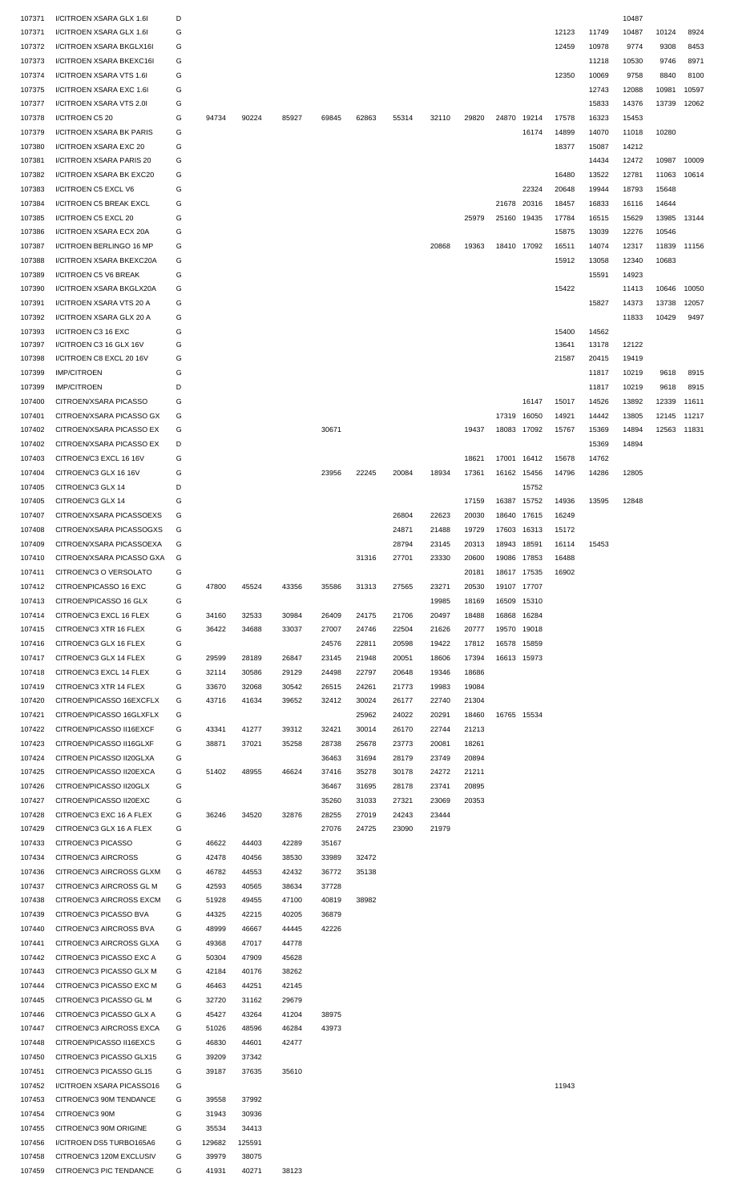| 107371 | I/CITROEN XSARA GLX 1.61     | D |        |        |       |       |       |       |       |       |             |             |       |       | 10487 |       |       |
|--------|------------------------------|---|--------|--------|-------|-------|-------|-------|-------|-------|-------------|-------------|-------|-------|-------|-------|-------|
| 107371 | I/CITROEN XSARA GLX 1.6I     | G |        |        |       |       |       |       |       |       |             |             | 12123 | 11749 | 10487 | 10124 | 8924  |
| 107372 | I/CITROEN XSARA BKGLX16I     | G |        |        |       |       |       |       |       |       |             |             | 12459 | 10978 | 9774  | 9308  | 8453  |
| 107373 | I/CITROEN XSARA BKEXC16I     | G |        |        |       |       |       |       |       |       |             |             |       | 11218 | 10530 | 9746  | 8971  |
|        | I/CITROEN XSARA VTS 1.6I     | G |        |        |       |       |       |       |       |       |             |             |       |       |       |       |       |
| 107374 |                              |   |        |        |       |       |       |       |       |       |             |             | 12350 | 10069 | 9758  | 8840  | 8100  |
| 107375 | I/CITROEN XSARA EXC 1.6I     | G |        |        |       |       |       |       |       |       |             |             |       | 12743 | 12088 | 10981 | 10597 |
| 107377 | I/CITROEN XSARA VTS 2.0I     | G |        |        |       |       |       |       |       |       |             |             |       | 15833 | 14376 | 13739 | 12062 |
| 107378 | I/CITROEN C5 20              | G | 94734  | 90224  | 85927 | 69845 | 62863 | 55314 | 32110 | 29820 | 24870       | 19214       | 17578 | 16323 | 15453 |       |       |
| 107379 | I/CITROEN XSARA BK PARIS     | G |        |        |       |       |       |       |       |       |             | 16174       | 14899 | 14070 | 11018 | 10280 |       |
| 107380 | I/CITROEN XSARA EXC 20       | G |        |        |       |       |       |       |       |       |             |             | 18377 | 15087 | 14212 |       |       |
| 107381 | I/CITROEN XSARA PARIS 20     | G |        |        |       |       |       |       |       |       |             |             |       | 14434 | 12472 | 10987 | 10009 |
| 107382 | I/CITROEN XSARA BK EXC20     | G |        |        |       |       |       |       |       |       |             |             | 16480 | 13522 | 12781 | 11063 | 10614 |
| 107383 | I/CITROEN C5 EXCL V6         | G |        |        |       |       |       |       |       |       |             | 22324       | 20648 | 19944 | 18793 | 15648 |       |
| 107384 | I/CITROEN C5 BREAK EXCL      | G |        |        |       |       |       |       |       |       |             | 21678 20316 | 18457 | 16833 | 16116 | 14644 |       |
|        |                              |   |        |        |       |       |       |       |       |       |             |             |       |       |       |       |       |
| 107385 | I/CITROEN C5 EXCL 20         | G |        |        |       |       |       |       |       | 25979 | 25160       | 19435       | 17784 | 16515 | 15629 | 13985 | 13144 |
| 107386 | I/CITROEN XSARA ECX 20A      | G |        |        |       |       |       |       |       |       |             |             | 15875 | 13039 | 12276 | 10546 |       |
| 107387 | I/CITROEN BERLINGO 16 MP     | G |        |        |       |       |       |       | 20868 | 19363 |             | 18410 17092 | 16511 | 14074 | 12317 | 11839 | 11156 |
| 107388 | I/CITROEN XSARA BKEXC20A     | G |        |        |       |       |       |       |       |       |             |             | 15912 | 13058 | 12340 | 10683 |       |
| 107389 | <b>I/CITROEN C5 V6 BREAK</b> | G |        |        |       |       |       |       |       |       |             |             |       | 15591 | 14923 |       |       |
| 107390 | I/CITROEN XSARA BKGLX20A     | G |        |        |       |       |       |       |       |       |             |             | 15422 |       | 11413 | 10646 | 10050 |
| 107391 | I/CITROEN XSARA VTS 20 A     | G |        |        |       |       |       |       |       |       |             |             |       | 15827 | 14373 | 13738 | 12057 |
| 107392 | I/CITROEN XSARA GLX 20 A     | G |        |        |       |       |       |       |       |       |             |             |       |       | 11833 | 10429 | 9497  |
| 107393 | I/CITROEN C3 16 EXC          | G |        |        |       |       |       |       |       |       |             |             | 15400 | 14562 |       |       |       |
| 107397 | I/CITROEN C3 16 GLX 16V      | G |        |        |       |       |       |       |       |       |             |             | 13641 | 13178 | 12122 |       |       |
| 107398 | I/CITROEN C8 EXCL 20 16V     | G |        |        |       |       |       |       |       |       |             |             | 21587 | 20415 | 19419 |       |       |
|        |                              |   |        |        |       |       |       |       |       |       |             |             |       |       |       |       |       |
| 107399 | <b>IMP/CITROEN</b>           | G |        |        |       |       |       |       |       |       |             |             |       | 11817 | 10219 | 9618  | 8915  |
| 107399 | <b>IMP/CITROEN</b>           | D |        |        |       |       |       |       |       |       |             |             |       | 11817 | 10219 | 9618  | 8915  |
| 107400 | CITROEN/XSARA PICASSO        | G |        |        |       |       |       |       |       |       |             | 16147       | 15017 | 14526 | 13892 | 12339 | 11611 |
| 107401 | CITROEN/XSARA PICASSO GX     | G |        |        |       |       |       |       |       |       |             | 17319 16050 | 14921 | 14442 | 13805 | 12145 | 11217 |
| 107402 | CITROEN/XSARA PICASSO EX     | G |        |        |       | 30671 |       |       |       | 19437 |             | 18083 17092 | 15767 | 15369 | 14894 | 12563 | 11831 |
| 107402 | CITROEN/XSARA PICASSO EX     | D |        |        |       |       |       |       |       |       |             |             |       | 15369 | 14894 |       |       |
| 107403 | CITROEN/C3 EXCL 16 16V       | G |        |        |       |       |       |       |       | 18621 | 17001       | 16412       | 15678 | 14762 |       |       |       |
| 107404 | CITROEN/C3 GLX 16 16V        | G |        |        |       | 23956 | 22245 | 20084 | 18934 | 17361 | 16162 15456 |             | 14796 | 14286 | 12805 |       |       |
| 107405 | CITROEN/C3 GLX 14            | D |        |        |       |       |       |       |       |       |             | 15752       |       |       |       |       |       |
|        | CITROEN/C3 GLX 14            | G |        |        |       |       |       |       |       |       |             |             | 14936 |       |       |       |       |
| 107405 |                              |   |        |        |       |       |       |       |       | 17159 | 16387       | 15752       |       | 13595 | 12848 |       |       |
| 107407 | CITROEN/XSARA PICASSOEXS     | G |        |        |       |       |       | 26804 | 22623 | 20030 |             | 18640 17615 | 16249 |       |       |       |       |
| 107408 | CITROEN/XSARA PICASSOGXS     | G |        |        |       |       |       | 24871 | 21488 | 19729 |             | 17603 16313 | 15172 |       |       |       |       |
| 107409 | CITROEN/XSARA PICASSOEXA     | G |        |        |       |       |       | 28794 | 23145 | 20313 | 18943       | 18591       | 16114 | 15453 |       |       |       |
| 107410 | CITROEN/XSARA PICASSO GXA    | G |        |        |       |       | 31316 | 27701 | 23330 | 20600 |             | 19086 17853 | 16488 |       |       |       |       |
| 107411 | CITROEN/C3 O VERSOLATO       | G |        |        |       |       |       |       |       | 20181 |             | 18617 17535 | 16902 |       |       |       |       |
| 107412 | CITROENPICASSO 16 EXC        | G | 47800  | 45524  | 43356 | 35586 | 31313 | 27565 | 23271 | 20530 |             | 19107 17707 |       |       |       |       |       |
| 107413 | CITROEN/PICASSO 16 GLX       | G |        |        |       |       |       |       | 19985 | 18169 |             | 16509 15310 |       |       |       |       |       |
| 107414 | CITROEN/C3 EXCL 16 FLEX      | G | 34160  | 32533  | 30984 | 26409 | 24175 | 21706 | 20497 | 18488 |             | 16868 16284 |       |       |       |       |       |
| 107415 | CITROEN/C3 XTR 16 FLEX       | G | 36422  | 34688  | 33037 | 27007 | 24746 | 22504 | 21626 | 20777 |             | 19570 19018 |       |       |       |       |       |
| 107416 | CITROEN/C3 GLX 16 FLEX       | G |        |        |       | 24576 | 22811 | 20598 | 19422 | 17812 |             | 16578 15859 |       |       |       |       |       |
|        |                              |   |        |        |       |       |       |       |       |       |             |             |       |       |       |       |       |
| 107417 | CITROEN/C3 GLX 14 FLEX       | G | 29599  | 28189  | 26847 | 23145 | 21948 | 20051 | 18606 | 17394 |             | 16613 15973 |       |       |       |       |       |
| 107418 | CITROEN/C3 EXCL 14 FLEX      | G | 32114  | 30586  | 29129 | 24498 | 22797 | 20648 | 19346 | 18686 |             |             |       |       |       |       |       |
| 107419 | CITROEN/C3 XTR 14 FLEX       | G | 33670  | 32068  | 30542 | 26515 | 24261 | 21773 | 19983 | 19084 |             |             |       |       |       |       |       |
| 107420 | CITROEN/PICASSO 16EXCFLX     | G | 43716  | 41634  | 39652 | 32412 | 30024 | 26177 | 22740 | 21304 |             |             |       |       |       |       |       |
| 107421 | CITROEN/PICASSO 16GLXFLX     | G |        |        |       |       | 25962 | 24022 | 20291 | 18460 | 16765 15534 |             |       |       |       |       |       |
| 107422 | CITROEN/PICASSO II16EXCF     | G | 43341  | 41277  | 39312 | 32421 | 30014 | 26170 | 22744 | 21213 |             |             |       |       |       |       |       |
| 107423 | CITROEN/PICASSO II16GLXF     | G | 38871  | 37021  | 35258 | 28738 | 25678 | 23773 | 20081 | 18261 |             |             |       |       |       |       |       |
| 107424 | CITROEN PICASSO II20GLXA     | G |        |        |       | 36463 | 31694 | 28179 | 23749 | 20894 |             |             |       |       |       |       |       |
| 107425 | CITROEN/PICASSO II20EXCA     | G | 51402  | 48955  | 46624 | 37416 | 35278 | 30178 | 24272 | 21211 |             |             |       |       |       |       |       |
| 107426 | CITROEN/PICASSO II20GLX      | G |        |        |       | 36467 | 31695 | 28178 | 23741 | 20895 |             |             |       |       |       |       |       |
| 107427 | CITROEN/PICASSO II20EXC      | G |        |        |       | 35260 | 31033 | 27321 | 23069 | 20353 |             |             |       |       |       |       |       |
|        |                              |   |        |        |       |       |       |       |       |       |             |             |       |       |       |       |       |
| 107428 | CITROEN/C3 EXC 16 A FLEX     | G | 36246  | 34520  | 32876 | 28255 | 27019 | 24243 | 23444 |       |             |             |       |       |       |       |       |
| 107429 | CITROEN/C3 GLX 16 A FLEX     | G |        |        |       | 27076 | 24725 | 23090 | 21979 |       |             |             |       |       |       |       |       |
| 107433 | CITROEN/C3 PICASSO           | G | 46622  | 44403  | 42289 | 35167 |       |       |       |       |             |             |       |       |       |       |       |
| 107434 | CITROEN/C3 AIRCROSS          | G | 42478  | 40456  | 38530 | 33989 | 32472 |       |       |       |             |             |       |       |       |       |       |
| 107436 | CITROEN/C3 AIRCROSS GLXM     | G | 46782  | 44553  | 42432 | 36772 | 35138 |       |       |       |             |             |       |       |       |       |       |
| 107437 | CITROEN/C3 AIRCROSS GL M     | G | 42593  | 40565  | 38634 | 37728 |       |       |       |       |             |             |       |       |       |       |       |
| 107438 | CITROEN/C3 AIRCROSS EXCM     | G | 51928  | 49455  | 47100 | 40819 | 38982 |       |       |       |             |             |       |       |       |       |       |
| 107439 | CITROEN/C3 PICASSO BVA       | G | 44325  | 42215  | 40205 | 36879 |       |       |       |       |             |             |       |       |       |       |       |
| 107440 | CITROEN/C3 AIRCROSS BVA      | G | 48999  | 46667  | 44445 | 42226 |       |       |       |       |             |             |       |       |       |       |       |
| 107441 | CITROEN/C3 AIRCROSS GLXA     | G | 49368  | 47017  | 44778 |       |       |       |       |       |             |             |       |       |       |       |       |
| 107442 | CITROEN/C3 PICASSO EXC A     | G | 50304  | 47909  | 45628 |       |       |       |       |       |             |             |       |       |       |       |       |
|        | CITROEN/C3 PICASSO GLX M     | G |        |        | 38262 |       |       |       |       |       |             |             |       |       |       |       |       |
| 107443 |                              |   | 42184  | 40176  |       |       |       |       |       |       |             |             |       |       |       |       |       |
| 107444 | CITROEN/C3 PICASSO EXC M     | G | 46463  | 44251  | 42145 |       |       |       |       |       |             |             |       |       |       |       |       |
| 107445 | CITROEN/C3 PICASSO GL M      | G | 32720  | 31162  | 29679 |       |       |       |       |       |             |             |       |       |       |       |       |
| 107446 | CITROEN/C3 PICASSO GLX A     | G | 45427  | 43264  | 41204 | 38975 |       |       |       |       |             |             |       |       |       |       |       |
| 107447 | CITROEN/C3 AIRCROSS EXCA     | G | 51026  | 48596  | 46284 | 43973 |       |       |       |       |             |             |       |       |       |       |       |
| 107448 | CITROEN/PICASSO II16EXCS     | G | 46830  | 44601  | 42477 |       |       |       |       |       |             |             |       |       |       |       |       |
| 107450 | CITROEN/C3 PICASSO GLX15     | G | 39209  | 37342  |       |       |       |       |       |       |             |             |       |       |       |       |       |
| 107451 | CITROEN/C3 PICASSO GL15      | G | 39187  | 37635  | 35610 |       |       |       |       |       |             |             |       |       |       |       |       |
| 107452 | I/CITROEN XSARA PICASSO16    | G |        |        |       |       |       |       |       |       |             |             | 11943 |       |       |       |       |
| 107453 | CITROEN/C3 90M TENDANCE      | G | 39558  | 37992  |       |       |       |       |       |       |             |             |       |       |       |       |       |
| 107454 | CITROEN/C3 90M               | G |        | 30936  |       |       |       |       |       |       |             |             |       |       |       |       |       |
|        |                              |   | 31943  |        |       |       |       |       |       |       |             |             |       |       |       |       |       |
| 107455 | CITROEN/C3 90M ORIGINE       | G | 35534  | 34413  |       |       |       |       |       |       |             |             |       |       |       |       |       |
| 107456 | I/CITROEN DS5 TURBO165A6     | G | 129682 | 125591 |       |       |       |       |       |       |             |             |       |       |       |       |       |
| 107458 | CITROEN/C3 120M EXCLUSIV     | G | 39979  | 38075  |       |       |       |       |       |       |             |             |       |       |       |       |       |
| 107459 | CITROEN/C3 PIC TENDANCE      | G | 41931  | 40271  | 38123 |       |       |       |       |       |             |             |       |       |       |       |       |
|        |                              |   |        |        |       |       |       |       |       |       |             |             |       |       |       |       |       |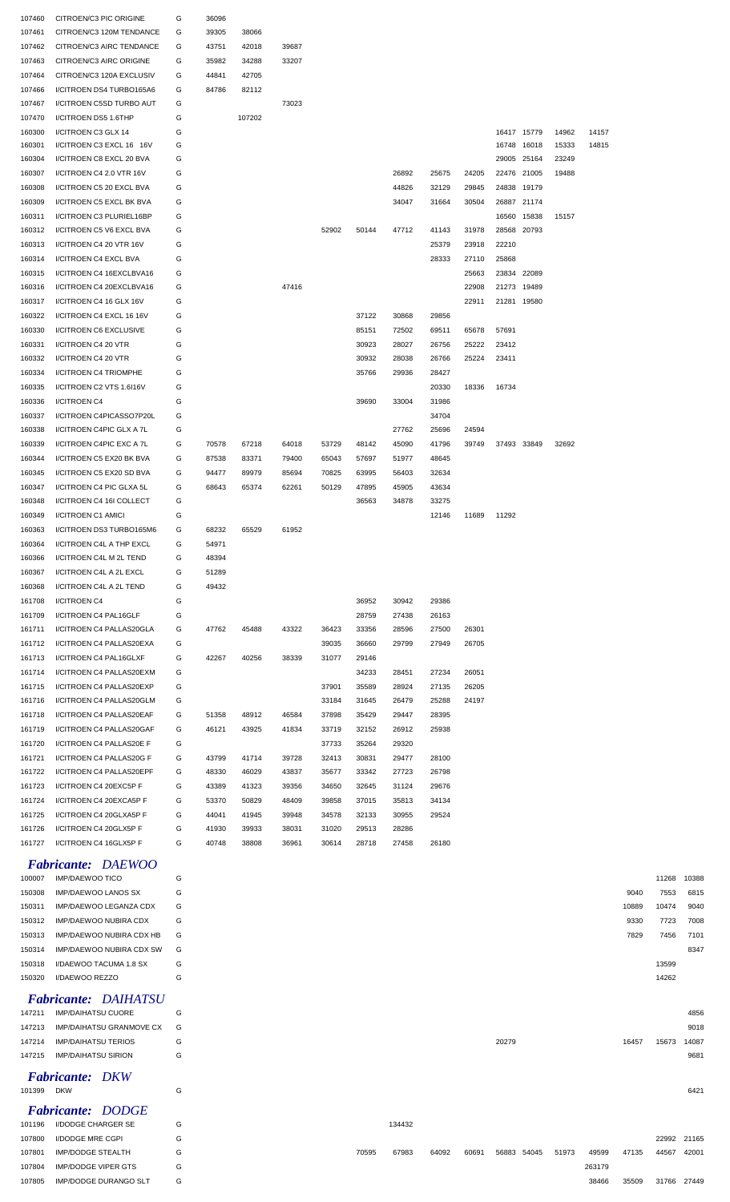| 107460     | CITROEN/C3 PIC ORIGINE          | G | 36096 |        |       |       |       |        |       |       |       |             |       |        |       |             |       |
|------------|---------------------------------|---|-------|--------|-------|-------|-------|--------|-------|-------|-------|-------------|-------|--------|-------|-------------|-------|
| 107461     | CITROEN/C3 120M TENDANCE        | G | 39305 | 38066  |       |       |       |        |       |       |       |             |       |        |       |             |       |
| 107462     | CITROEN/C3 AIRC TENDANCE        | G | 43751 | 42018  | 39687 |       |       |        |       |       |       |             |       |        |       |             |       |
|            |                                 |   |       |        |       |       |       |        |       |       |       |             |       |        |       |             |       |
| 107463     | CITROEN/C3 AIRC ORIGINE         | G | 35982 | 34288  | 33207 |       |       |        |       |       |       |             |       |        |       |             |       |
| 107464     | CITROEN/C3 120A EXCLUSIV        | G | 44841 | 42705  |       |       |       |        |       |       |       |             |       |        |       |             |       |
| 107466     | I/CITROEN DS4 TURBO165A6        | G | 84786 | 82112  |       |       |       |        |       |       |       |             |       |        |       |             |       |
| 107467     | I/CITROEN C5SD TURBO AUT        | G |       |        | 73023 |       |       |        |       |       |       |             |       |        |       |             |       |
| 107470     | I/CITROEN DS5 1.6THP            | G |       | 107202 |       |       |       |        |       |       |       |             |       |        |       |             |       |
|            |                                 |   |       |        |       |       |       |        |       |       |       |             |       |        |       |             |       |
| 160300     | I/CITROEN C3 GLX 14             | G |       |        |       |       |       |        |       |       |       | 16417 15779 | 14962 | 14157  |       |             |       |
| 160301     | I/CITROEN C3 EXCL 16 16V        | G |       |        |       |       |       |        |       |       |       | 16748 16018 | 15333 | 14815  |       |             |       |
| 160304     | I/CITROEN C8 EXCL 20 BVA        | G |       |        |       |       |       |        |       |       |       | 29005 25164 | 23249 |        |       |             |       |
| 160307     | I/CITROEN C4 2.0 VTR 16V        | G |       |        |       |       |       | 26892  | 25675 | 24205 |       | 22476 21005 | 19488 |        |       |             |       |
| 160308     | I/CITROEN C5 20 EXCL BVA        | G |       |        |       |       |       | 44826  | 32129 | 29845 |       | 24838 19179 |       |        |       |             |       |
|            |                                 |   |       |        |       |       |       |        |       |       |       |             |       |        |       |             |       |
| 160309     | I/CITROEN C5 EXCL BK BVA        | G |       |        |       |       |       | 34047  | 31664 | 30504 |       | 26887 21174 |       |        |       |             |       |
| 160311     | I/CITROEN C3 PLURIEL16BP        | G |       |        |       |       |       |        |       |       |       | 16560 15838 | 15157 |        |       |             |       |
| 160312     | I/CITROEN C5 V6 EXCL BVA        | G |       |        |       | 52902 | 50144 | 47712  | 41143 | 31978 |       | 28568 20793 |       |        |       |             |       |
| 160313     | I/CITROEN C4 20 VTR 16V         | G |       |        |       |       |       |        | 25379 | 23918 | 22210 |             |       |        |       |             |       |
|            |                                 |   |       |        |       |       |       |        |       |       |       |             |       |        |       |             |       |
| 160314     | I/CITROEN C4 EXCL BVA           | G |       |        |       |       |       |        | 28333 | 27110 | 25868 |             |       |        |       |             |       |
| 160315     | I/CITROEN C4 16EXCLBVA16        | G |       |        |       |       |       |        |       | 25663 |       | 23834 22089 |       |        |       |             |       |
| 160316     | I/CITROEN C4 20EXCLBVA16        | G |       |        | 47416 |       |       |        |       | 22908 |       | 21273 19489 |       |        |       |             |       |
| 160317     | I/CITROEN C4 16 GLX 16V         | G |       |        |       |       |       |        |       | 22911 |       | 21281 19580 |       |        |       |             |       |
|            | I/CITROEN C4 EXCL 16 16V        | G |       |        |       |       | 37122 | 30868  | 29856 |       |       |             |       |        |       |             |       |
| 160322     |                                 |   |       |        |       |       |       |        |       |       |       |             |       |        |       |             |       |
| 160330     | I/CITROEN C6 EXCLUSIVE          | G |       |        |       |       | 85151 | 72502  | 69511 | 65678 | 57691 |             |       |        |       |             |       |
| 160331     | I/CITROEN C4 20 VTR             | G |       |        |       |       | 30923 | 28027  | 26756 | 25222 | 23412 |             |       |        |       |             |       |
| 160332     | I/CITROEN C4 20 VTR             | G |       |        |       |       | 30932 | 28038  | 26766 | 25224 | 23411 |             |       |        |       |             |       |
| 160334     | I/CITROEN C4 TRIOMPHE           | G |       |        |       |       | 35766 | 29936  | 28427 |       |       |             |       |        |       |             |       |
|            |                                 |   |       |        |       |       |       |        |       |       |       |             |       |        |       |             |       |
| 160335     | I/CITROEN C2 VTS 1.6I16V        | G |       |        |       |       |       |        | 20330 | 18336 | 16734 |             |       |        |       |             |       |
| 160336     | I/CITROEN C4                    | G |       |        |       |       | 39690 | 33004  | 31986 |       |       |             |       |        |       |             |       |
| 160337     | I/CITROEN C4PICASSO7P20L        | G |       |        |       |       |       |        | 34704 |       |       |             |       |        |       |             |       |
| 160338     | I/CITROEN C4PIC GLX A 7L        | G |       |        |       |       |       | 27762  | 25696 | 24594 |       |             |       |        |       |             |       |
|            |                                 |   |       |        |       |       |       |        |       |       |       |             |       |        |       |             |       |
| 160339     | I/CITROEN C4PIC EXC A 7L        | G | 70578 | 67218  | 64018 | 53729 | 48142 | 45090  | 41796 | 39749 |       | 37493 33849 | 32692 |        |       |             |       |
| 160344     | I/CITROEN C5 EX20 BK BVA        | G | 87538 | 83371  | 79400 | 65043 | 57697 | 51977  | 48645 |       |       |             |       |        |       |             |       |
| 160345     | I/CITROEN C5 EX20 SD BVA        | G | 94477 | 89979  | 85694 | 70825 | 63995 | 56403  | 32634 |       |       |             |       |        |       |             |       |
| 160347     | I/CITROEN C4 PIC GLXA 5L        | G | 68643 | 65374  | 62261 | 50129 | 47895 | 45905  | 43634 |       |       |             |       |        |       |             |       |
|            |                                 |   |       |        |       |       |       |        |       |       |       |             |       |        |       |             |       |
| 160348     | I/CITROEN C4 16I COLLECT        | G |       |        |       |       | 36563 | 34878  | 33275 |       |       |             |       |        |       |             |       |
| 160349     | I/CITROEN C1 AMICI              | G |       |        |       |       |       |        | 12146 | 11689 | 11292 |             |       |        |       |             |       |
| 160363     | I/CITROEN DS3 TURBO165M6        | G | 68232 | 65529  | 61952 |       |       |        |       |       |       |             |       |        |       |             |       |
| 160364     | I/CITROEN C4L A THP EXCL        | G | 54971 |        |       |       |       |        |       |       |       |             |       |        |       |             |       |
| 160366     | I/CITROEN C4L M 2L TEND         | G | 48394 |        |       |       |       |        |       |       |       |             |       |        |       |             |       |
|            |                                 |   |       |        |       |       |       |        |       |       |       |             |       |        |       |             |       |
| 160367     | I/CITROEN C4L A 2L EXCL         | G | 51289 |        |       |       |       |        |       |       |       |             |       |        |       |             |       |
| 160368     | I/CITROEN C4L A 2L TEND         | G | 49432 |        |       |       |       |        |       |       |       |             |       |        |       |             |       |
| 161708     | I/CITROEN C4                    | G |       |        |       |       | 36952 | 30942  | 29386 |       |       |             |       |        |       |             |       |
| 161709     | I/CITROEN C4 PAL16GLF           | G |       |        |       |       | 28759 | 27438  | 26163 |       |       |             |       |        |       |             |       |
|            |                                 |   |       |        |       |       |       |        |       |       |       |             |       |        |       |             |       |
| 161711     | I/CITROEN C4 PALLAS20GLA        | G | 47762 | 45488  | 43322 | 36423 | 33356 | 28596  | 27500 | 26301 |       |             |       |        |       |             |       |
| 161712     | I/CITROEN C4 PALLAS20EXA        | G |       |        |       | 39035 | 36660 | 29799  | 27949 | 26705 |       |             |       |        |       |             |       |
| 161713     | I/CITROEN C4 PAL16GLXF          | G | 42267 | 40256  | 38339 | 31077 | 29146 |        |       |       |       |             |       |        |       |             |       |
| 161714     | I/CITROEN C4 PALLAS20EXM        | G |       |        |       |       | 34233 | 28451  | 27234 | 26051 |       |             |       |        |       |             |       |
|            |                                 |   |       |        |       |       |       |        |       |       |       |             |       |        |       |             |       |
| 161715     | I/CITROEN C4 PALLAS20EXP        | G |       |        |       | 37901 | 35589 | 28924  | 27135 | 26205 |       |             |       |        |       |             |       |
| 161716     | I/CITROEN C4 PALLAS20GLM        | G |       |        |       | 33184 | 31645 | 26479  | 25288 | 24197 |       |             |       |        |       |             |       |
| 161718     | I/CITROEN C4 PALLAS20EAF        | G | 51358 | 48912  | 46584 | 37898 | 35429 | 29447  | 28395 |       |       |             |       |        |       |             |       |
| 161719     | I/CITROEN C4 PALLAS20GAF        | G | 46121 | 43925  | 41834 | 33719 | 32152 | 26912  | 25938 |       |       |             |       |        |       |             |       |
|            |                                 |   |       |        |       |       |       |        |       |       |       |             |       |        |       |             |       |
| 161720     | I/CITROEN C4 PALLAS20E F        | G |       |        |       | 37733 | 35264 | 29320  |       |       |       |             |       |        |       |             |       |
| 161721     | I/CITROEN C4 PALLAS20G F        | G | 43799 | 41714  | 39728 | 32413 | 30831 | 29477  | 28100 |       |       |             |       |        |       |             |       |
| 161722     | I/CITROEN C4 PALLAS20EPF        | G | 48330 | 46029  | 43837 | 35677 | 33342 | 27723  | 26798 |       |       |             |       |        |       |             |       |
| 161723     | I/CITROEN C4 20EXC5P F          | G | 43389 | 41323  | 39356 | 34650 | 32645 | 31124  | 29676 |       |       |             |       |        |       |             |       |
|            |                                 |   |       |        |       |       |       |        |       |       |       |             |       |        |       |             |       |
| 161724     | I/CITROEN C4 20EXCA5P F         | G | 53370 | 50829  | 48409 | 39858 | 37015 | 35813  | 34134 |       |       |             |       |        |       |             |       |
| 161725     | I/CITROEN C4 20GLXA5P F         | G | 44041 | 41945  | 39948 | 34578 | 32133 | 30955  | 29524 |       |       |             |       |        |       |             |       |
| 161726     | I/CITROEN C4 20GLX5P F          | G | 41930 | 39933  | 38031 | 31020 | 29513 | 28286  |       |       |       |             |       |        |       |             |       |
| 161727     | I/CITROEN C4 16GLX5P F          | G | 40748 | 38808  | 36961 | 30614 | 28718 | 27458  | 26180 |       |       |             |       |        |       |             |       |
|            |                                 |   |       |        |       |       |       |        |       |       |       |             |       |        |       |             |       |
|            | <b>Fabricante: DAEWOO</b>       |   |       |        |       |       |       |        |       |       |       |             |       |        |       |             |       |
| 100007     | <b>IMP/DAEWOO TICO</b>          | G |       |        |       |       |       |        |       |       |       |             |       |        |       | 11268       | 10388 |
| 150308     | <b>IMP/DAEWOO LANOS SX</b>      | G |       |        |       |       |       |        |       |       |       |             |       |        | 9040  | 7553        | 6815  |
|            |                                 |   |       |        |       |       |       |        |       |       |       |             |       |        |       |             |       |
| 150311     | IMP/DAEWOO LEGANZA CDX          | G |       |        |       |       |       |        |       |       |       |             |       |        | 10889 | 10474       | 9040  |
| 150312     | IMP/DAEWOO NUBIRA CDX           | G |       |        |       |       |       |        |       |       |       |             |       |        | 9330  | 7723        | 7008  |
| 150313     | IMP/DAEWOO NUBIRA CDX HB        | G |       |        |       |       |       |        |       |       |       |             |       |        | 7829  | 7456        | 7101  |
| 150314     | <b>IMP/DAEWOO NUBIRA CDX SW</b> | G |       |        |       |       |       |        |       |       |       |             |       |        |       |             | 8347  |
|            |                                 |   |       |        |       |       |       |        |       |       |       |             |       |        |       |             |       |
| 150318     | I/DAEWOO TACUMA 1.8 SX          | G |       |        |       |       |       |        |       |       |       |             |       |        |       | 13599       |       |
| 150320     | I/DAEWOO REZZO                  | G |       |        |       |       |       |        |       |       |       |             |       |        |       | 14262       |       |
|            |                                 |   |       |        |       |       |       |        |       |       |       |             |       |        |       |             |       |
|            | <b>Fabricante: DAIHATSU</b>     |   |       |        |       |       |       |        |       |       |       |             |       |        |       |             |       |
| 147211     | <b>IMP/DAIHATSU CUORE</b>       | G |       |        |       |       |       |        |       |       |       |             |       |        |       |             | 4856  |
| 147213     | IMP/DAIHATSU GRANMOVE CX        | G |       |        |       |       |       |        |       |       |       |             |       |        |       |             | 9018  |
| 147214     | <b>IMP/DAIHATSU TERIOS</b>      | G |       |        |       |       |       |        |       |       | 20279 |             |       |        | 16457 | 15673       | 14087 |
| 147215     | <b>IMP/DAIHATSU SIRION</b>      | G |       |        |       |       |       |        |       |       |       |             |       |        |       |             | 9681  |
|            |                                 |   |       |        |       |       |       |        |       |       |       |             |       |        |       |             |       |
|            | <b>Fabricante: DKW</b>          |   |       |        |       |       |       |        |       |       |       |             |       |        |       |             |       |
|            |                                 |   |       |        |       |       |       |        |       |       |       |             |       |        |       |             |       |
| 101399 DKW |                                 | G |       |        |       |       |       |        |       |       |       |             |       |        |       |             | 6421  |
|            | <b>Fabricante: DODGE</b>        |   |       |        |       |       |       |        |       |       |       |             |       |        |       |             |       |
| 101196     | I/DODGE CHARGER SE              | G |       |        |       |       |       | 134432 |       |       |       |             |       |        |       |             |       |
|            |                                 |   |       |        |       |       |       |        |       |       |       |             |       |        |       |             |       |
| 107800     | I/DODGE MRE CGPI                | G |       |        |       |       |       |        |       |       |       |             |       |        |       | 22992       | 21165 |
| 107801     | <b>IMP/DODGE STEALTH</b>        | G |       |        |       |       | 70595 | 67983  | 64092 | 60691 |       | 56883 54045 | 51973 | 49599  | 47135 | 44567       | 42001 |
| 107804     | <b>IMP/DODGE VIPER GTS</b>      | G |       |        |       |       |       |        |       |       |       |             |       | 263179 |       |             |       |
| 107805     | IMP/DODGE DURANGO SLT           | G |       |        |       |       |       |        |       |       |       |             |       | 38466  | 35509 | 31766 27449 |       |
|            |                                 |   |       |        |       |       |       |        |       |       |       |             |       |        |       |             |       |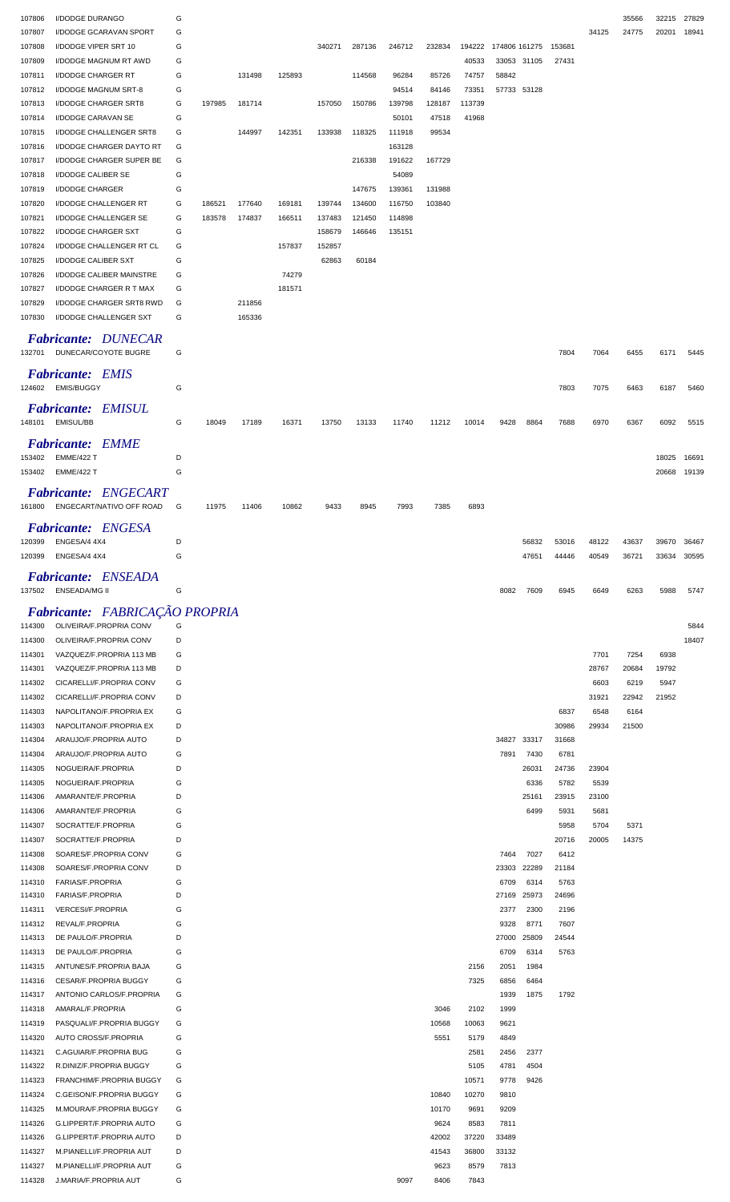| 107806           | I/DODGE DURANGO                                    | G      |        |        |        |        |        |        |              |              |               |             |        |       | 35566 | 32215       | 27829 |
|------------------|----------------------------------------------------|--------|--------|--------|--------|--------|--------|--------|--------------|--------------|---------------|-------------|--------|-------|-------|-------------|-------|
| 107807           | I/DODGE GCARAVAN SPORT                             | G      |        |        |        |        |        |        |              |              |               |             |        | 34125 | 24775 | 20201       | 18941 |
| 107808           | I/DODGE VIPER SRT 10                               | G      |        |        |        | 340271 | 287136 | 246712 | 232834       | 194222       | 174806 161275 |             | 153681 |       |       |             |       |
| 107809           | I/DODGE MAGNUM RT AWD                              | G      |        |        |        |        |        |        |              | 40533        |               | 33053 31105 | 27431  |       |       |             |       |
| 107811           | I/DODGE CHARGER RT                                 | G      |        | 131498 | 125893 |        | 114568 | 96284  | 85726        | 74757        | 58842         |             |        |       |       |             |       |
| 107812           | I/DODGE MAGNUM SRT-8                               | G      |        |        |        |        |        | 94514  | 84146        | 73351        | 57733 53128   |             |        |       |       |             |       |
| 107813           | I/DODGE CHARGER SRT8                               | G      | 197985 | 181714 |        | 157050 | 150786 | 139798 | 128187       | 113739       |               |             |        |       |       |             |       |
| 107814           | I/DODGE CARAVAN SE                                 | G      |        |        |        |        |        | 50101  | 47518        | 41968        |               |             |        |       |       |             |       |
| 107815           | I/DODGE CHALLENGER SRT8                            | G      |        | 144997 | 142351 | 133938 | 118325 | 111918 | 99534        |              |               |             |        |       |       |             |       |
| 107816           | I/DODGE CHARGER DAYTO RT                           | G      |        |        |        |        |        | 163128 |              |              |               |             |        |       |       |             |       |
| 107817           | <b>I/DODGE CHARGER SUPER BE</b>                    | G      |        |        |        |        | 216338 | 191622 | 167729       |              |               |             |        |       |       |             |       |
| 107818           | I/DODGE CALIBER SE                                 | G      |        |        |        |        |        | 54089  |              |              |               |             |        |       |       |             |       |
| 107819           | I/DODGE CHARGER                                    | G      |        |        |        |        | 147675 | 139361 | 131988       |              |               |             |        |       |       |             |       |
| 107820           | I/DODGE CHALLENGER RT                              | G      | 186521 | 177640 | 169181 | 139744 | 134600 | 116750 | 103840       |              |               |             |        |       |       |             |       |
| 107821           | I/DODGE CHALLENGER SE                              | G      | 183578 | 174837 | 166511 | 137483 | 121450 | 114898 |              |              |               |             |        |       |       |             |       |
| 107822           | I/DODGE CHARGER SXT                                | G      |        |        |        | 158679 | 146646 | 135151 |              |              |               |             |        |       |       |             |       |
| 107824           | I/DODGE CHALLENGER RT CL                           | G      |        |        | 157837 | 152857 |        |        |              |              |               |             |        |       |       |             |       |
| 107825           | <b>I/DODGE CALIBER SXT</b>                         | G      |        |        |        | 62863  | 60184  |        |              |              |               |             |        |       |       |             |       |
|                  |                                                    | G      |        |        | 74279  |        |        |        |              |              |               |             |        |       |       |             |       |
| 107826           | I/DODGE CALIBER MAINSTRE                           |        |        |        |        |        |        |        |              |              |               |             |        |       |       |             |       |
| 107827           | I/DODGE CHARGER R T MAX                            | G      |        |        | 181571 |        |        |        |              |              |               |             |        |       |       |             |       |
| 107829           | I/DODGE CHARGER SRT8 RWD                           | G      |        | 211856 |        |        |        |        |              |              |               |             |        |       |       |             |       |
| 107830           | I/DODGE CHALLENGER SXT                             | G      |        | 165336 |        |        |        |        |              |              |               |             |        |       |       |             |       |
| 132701           | <b>Fabricante: DUNECAR</b><br>DUNECAR/COYOTE BUGRE | G      |        |        |        |        |        |        |              |              |               |             | 7804   | 7064  | 6455  | 6171        | 5445  |
| 124602           | <b>Fabricante: EMIS</b><br><b>EMIS/BUGGY</b>       | G      |        |        |        |        |        |        |              |              |               |             | 7803   | 7075  | 6463  | 6187        | 5460  |
|                  |                                                    |        |        |        |        |        |        |        |              |              |               |             |        |       |       |             |       |
|                  | <b>Fabricante: EMISUL</b>                          |        |        |        |        |        |        |        |              |              |               |             |        |       |       |             |       |
| 148101           | EMISUL/BB                                          | G      | 18049  | 17189  | 16371  | 13750  | 13133  | 11740  | 11212        | 10014        | 9428          | 8864        | 7688   | 6970  | 6367  | 6092        | 5515  |
|                  | <b>Fabricante: EMME</b>                            |        |        |        |        |        |        |        |              |              |               |             |        |       |       |             |       |
| 153402           | <b>EMME/422 T</b>                                  | D      |        |        |        |        |        |        |              |              |               |             |        |       |       | 18025       | 16691 |
| 153402           | <b>EMME/422 T</b>                                  | G      |        |        |        |        |        |        |              |              |               |             |        |       |       | 20668 19139 |       |
|                  |                                                    |        |        |        |        |        |        |        |              |              |               |             |        |       |       |             |       |
|                  | <b>Fabricante: ENGECART</b>                        |        |        |        |        |        |        |        |              |              |               |             |        |       |       |             |       |
| 161800           | ENGECART/NATIVO OFF ROAD                           | G      | 11975  | 11406  | 10862  | 9433   | 8945   | 7993   | 7385         | 6893         |               |             |        |       |       |             |       |
|                  | <b>Fabricante: ENGESA</b>                          |        |        |        |        |        |        |        |              |              |               |             |        |       |       |             |       |
| 120399           | ENGESA/4 4X4                                       | D      |        |        |        |        |        |        |              |              |               | 56832       | 53016  | 48122 | 43637 | 39670       | 36467 |
| 120399           | ENGESA/4 4X4                                       | G      |        |        |        |        |        |        |              |              |               | 47651       | 44446  | 40549 | 36721 | 33634       | 30595 |
|                  |                                                    |        |        |        |        |        |        |        |              |              |               |             |        |       |       |             |       |
|                  | <b>Fabricante: ENSEADA</b>                         |        |        |        |        |        |        |        |              |              |               |             |        |       |       |             |       |
| 137502           | <b>ENSEADA/MG II</b>                               | G      |        |        |        |        |        |        |              |              | 8082          | 7609        | 6945   | 6649  | 6263  | 5988        | 5747  |
|                  | Fabricante: FABRICAÇÃO PROPRIA                     |        |        |        |        |        |        |        |              |              |               |             |        |       |       |             |       |
| 114300           | OLIVEIRA/F.PROPRIA CONV                            | G      |        |        |        |        |        |        |              |              |               |             |        |       |       |             | 5844  |
|                  |                                                    |        |        |        |        |        |        |        |              |              |               |             |        |       |       |             |       |
| 114300           | OLIVEIRA/F.PROPRIA CONV                            | D      |        |        |        |        |        |        |              |              |               |             |        |       |       |             | 18407 |
| 114301           | VAZQUEZ/F.PROPRIA 113 MB                           | G      |        |        |        |        |        |        |              |              |               |             |        | 7701  | 7254  | 6938        |       |
| 114301           | VAZQUEZ/F.PROPRIA 113 MB                           | D      |        |        |        |        |        |        |              |              |               |             |        | 28767 | 20684 | 19792       |       |
| 114302           | CICARELLI/F.PROPRIA CONV                           | G      |        |        |        |        |        |        |              |              |               |             |        | 6603  | 6219  | 5947        |       |
| 114302           | CICARELLI/F.PROPRIA CONV                           | D      |        |        |        |        |        |        |              |              |               |             |        | 31921 | 22942 | 21952       |       |
| 114303           | NAPOLITANO/F.PROPRIA EX                            | G      |        |        |        |        |        |        |              |              |               |             | 6837   | 6548  | 6164  |             |       |
| 114303           | NAPOLITANO/F.PROPRIA EX                            | D      |        |        |        |        |        |        |              |              |               |             | 30986  | 29934 | 21500 |             |       |
| 114304           | ARAUJO/F.PROPRIA AUTO                              | D      |        |        |        |        |        |        |              |              |               |             |        |       |       |             |       |
| 114304           | ARAUJO/F.PROPRIA AUTO                              |        |        |        |        |        |        |        |              |              | 34827         | 33317       | 31668  |       |       |             |       |
| 114305           |                                                    | G      |        |        |        |        |        |        |              |              | 7891          | 7430        | 6781   |       |       |             |       |
| 114305           | NOGUEIRA/F.PROPRIA                                 | D      |        |        |        |        |        |        |              |              |               | 26031       | 24736  | 23904 |       |             |       |
| 114306           | NOGUEIRA/F.PROPRIA                                 | G      |        |        |        |        |        |        |              |              |               | 6336        | 5782   | 5539  |       |             |       |
|                  | AMARANTE/F.PROPRIA                                 | D      |        |        |        |        |        |        |              |              |               | 25161       | 23915  | 23100 |       |             |       |
| 114306           | AMARANTE/F.PROPRIA                                 | G      |        |        |        |        |        |        |              |              |               | 6499        | 5931   | 5681  |       |             |       |
| 114307           | SOCRATTE/F.PROPRIA                                 | G      |        |        |        |        |        |        |              |              |               |             | 5958   | 5704  | 5371  |             |       |
| 114307           | SOCRATTE/F.PROPRIA                                 | D      |        |        |        |        |        |        |              |              |               |             | 20716  | 20005 | 14375 |             |       |
| 114308           | SOARES/F.PROPRIA CONV                              | G      |        |        |        |        |        |        |              |              | 7464          | 7027        | 6412   |       |       |             |       |
| 114308           | SOARES/F.PROPRIA CONV                              | D      |        |        |        |        |        |        |              |              | 23303         | 22289       | 21184  |       |       |             |       |
| 114310           | FARIAS/F.PROPRIA                                   | G      |        |        |        |        |        |        |              |              | 6709          | 6314        | 5763   |       |       |             |       |
| 114310           | FARIAS/F.PROPRIA                                   | D      |        |        |        |        |        |        |              |              | 27169         | 25973       | 24696  |       |       |             |       |
| 114311           | <b>VERCESI/F.PROPRIA</b>                           | G      |        |        |        |        |        |        |              |              | 2377          | 2300        | 2196   |       |       |             |       |
| 114312           | REVAL/F.PROPRIA                                    | G      |        |        |        |        |        |        |              |              | 9328          | 8771        | 7607   |       |       |             |       |
| 114313           | DE PAULO/F.PROPRIA                                 | D      |        |        |        |        |        |        |              |              | 27000         | 25809       | 24544  |       |       |             |       |
| 114313           | DE PAULO/F.PROPRIA                                 | G      |        |        |        |        |        |        |              |              | 6709          | 6314        | 5763   |       |       |             |       |
| 114315           | ANTUNES/F.PROPRIA BAJA                             | G      |        |        |        |        |        |        |              | 2156         | 2051          | 1984        |        |       |       |             |       |
| 114316           | CESAR/F.PROPRIA BUGGY                              | G      |        |        |        |        |        |        |              | 7325         | 6856          | 6464        |        |       |       |             |       |
| 114317           | ANTONIO CARLOS/F.PROPRIA                           | G      |        |        |        |        |        |        |              |              | 1939          | 1875        | 1792   |       |       |             |       |
| 114318           | AMARAL/F.PROPRIA                                   | G      |        |        |        |        |        |        | 3046         | 2102         | 1999          |             |        |       |       |             |       |
| 114319           | PASQUALI/F.PROPRIA BUGGY                           | G      |        |        |        |        |        |        | 10568        | 10063        | 9621          |             |        |       |       |             |       |
|                  |                                                    |        |        |        |        |        |        |        |              |              |               |             |        |       |       |             |       |
| 114320           | AUTO CROSS/F.PROPRIA                               | G      |        |        |        |        |        |        | 5551         | 5179         | 4849          |             |        |       |       |             |       |
| 114321           | C.AGUIAR/F.PROPRIA BUG                             | G      |        |        |        |        |        |        |              | 2581         | 2456          | 2377        |        |       |       |             |       |
| 114322           | R.DINIZ/F.PROPRIA BUGGY                            | G      |        |        |        |        |        |        |              | 5105         | 4781          | 4504        |        |       |       |             |       |
| 114323           | FRANCHIM/F.PROPRIA BUGGY                           | G      |        |        |        |        |        |        |              | 10571        | 9778          | 9426        |        |       |       |             |       |
| 114324           | C.GEISON/F.PROPRIA BUGGY                           | G      |        |        |        |        |        |        | 10840        | 10270        | 9810          |             |        |       |       |             |       |
| 114325           | M.MOURA/F.PROPRIA BUGGY                            | G      |        |        |        |        |        |        | 10170        | 9691         | 9209          |             |        |       |       |             |       |
| 114326           | G.LIPPERT/F.PROPRIA AUTO                           | G      |        |        |        |        |        |        | 9624         | 8583         | 7811          |             |        |       |       |             |       |
| 114326           | G.LIPPERT/F.PROPRIA AUTO                           | D      |        |        |        |        |        |        | 42002        | 37220        | 33489         |             |        |       |       |             |       |
| 114327           | M.PIANELLI/F.PROPRIA AUT                           | D      |        |        |        |        |        |        | 41543        | 36800        | 33132         |             |        |       |       |             |       |
| 114327<br>114328 | M.PIANELLI/F.PROPRIA AUT<br>J.MARIA/F.PROPRIA AUT  | G<br>G |        |        |        |        |        | 9097   | 9623<br>8406 | 8579<br>7843 | 7813          |             |        |       |       |             |       |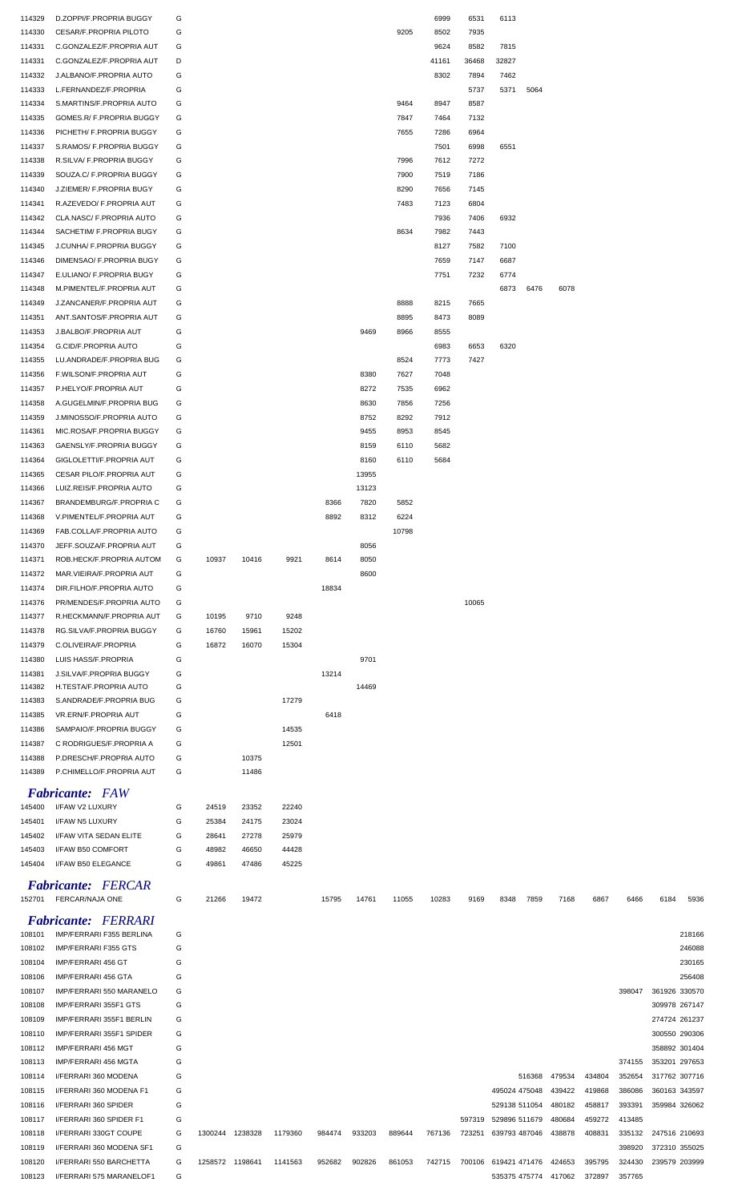| 114330 | CESAR/F.PROPRIA PILOTO     | G |                 |       |         |        |        | 9205   | 8502  | 7935  |                                    |        |        |        |        |               |               |
|--------|----------------------------|---|-----------------|-------|---------|--------|--------|--------|-------|-------|------------------------------------|--------|--------|--------|--------|---------------|---------------|
| 114331 | C.GONZALEZ/F.PROPRIA AUT   | G |                 |       |         |        |        |        | 9624  | 8582  | 7815                               |        |        |        |        |               |               |
| 114331 | C.GONZALEZ/F.PROPRIA AUT   | D |                 |       |         |        |        |        | 41161 | 36468 | 32827                              |        |        |        |        |               |               |
| 114332 | J.ALBANO/F.PROPRIA AUTO    | G |                 |       |         |        |        |        | 8302  | 7894  | 7462                               |        |        |        |        |               |               |
|        | L.FERNANDEZ/F.PROPRIA      | G |                 |       |         |        |        |        |       |       |                                    |        |        |        |        |               |               |
| 114333 |                            |   |                 |       |         |        |        |        |       | 5737  | 5371                               | 5064   |        |        |        |               |               |
| 114334 | S.MARTINS/F.PROPRIA AUTO   | G |                 |       |         |        |        | 9464   | 8947  | 8587  |                                    |        |        |        |        |               |               |
| 114335 | GOMES.R/ F.PROPRIA BUGGY   | G |                 |       |         |        |        | 7847   | 7464  | 7132  |                                    |        |        |        |        |               |               |
| 114336 | PICHETH/ F.PROPRIA BUGGY   | G |                 |       |         |        |        | 7655   | 7286  | 6964  |                                    |        |        |        |        |               |               |
| 114337 | S.RAMOS/ F.PROPRIA BUGGY   | G |                 |       |         |        |        |        | 7501  | 6998  | 6551                               |        |        |        |        |               |               |
| 114338 | R.SILVA/ F.PROPRIA BUGGY   | G |                 |       |         |        |        | 7996   | 7612  | 7272  |                                    |        |        |        |        |               |               |
| 114339 | SOUZA.C/ F.PROPRIA BUGGY   | G |                 |       |         |        |        | 7900   | 7519  | 7186  |                                    |        |        |        |        |               |               |
| 114340 | J.ZIEMER/ F.PROPRIA BUGY   | G |                 |       |         |        |        | 8290   | 7656  | 7145  |                                    |        |        |        |        |               |               |
| 114341 | R.AZEVEDO/ F.PROPRIA AUT   | G |                 |       |         |        |        | 7483   | 7123  | 6804  |                                    |        |        |        |        |               |               |
| 114342 | CLA.NASC/ F.PROPRIA AUTO   | G |                 |       |         |        |        |        | 7936  | 7406  | 6932                               |        |        |        |        |               |               |
|        |                            |   |                 |       |         |        |        |        |       |       |                                    |        |        |        |        |               |               |
| 114344 | SACHETIM/ F.PROPRIA BUGY   | G |                 |       |         |        |        | 8634   | 7982  | 7443  |                                    |        |        |        |        |               |               |
| 114345 | J.CUNHA/ F.PROPRIA BUGGY   | G |                 |       |         |        |        |        | 8127  | 7582  | 7100                               |        |        |        |        |               |               |
| 114346 | DIMENSAO/ F.PROPRIA BUGY   | G |                 |       |         |        |        |        | 7659  | 7147  | 6687                               |        |        |        |        |               |               |
| 114347 | E.ULIANO/ F.PROPRIA BUGY   | G |                 |       |         |        |        |        | 7751  | 7232  | 6774                               |        |        |        |        |               |               |
| 114348 | M.PIMENTEL/F.PROPRIA AUT   | G |                 |       |         |        |        |        |       |       | 6873                               | 6476   | 6078   |        |        |               |               |
| 114349 | J.ZANCANER/F.PROPRIA AUT   | G |                 |       |         |        |        | 8888   | 8215  | 7665  |                                    |        |        |        |        |               |               |
| 114351 | ANT.SANTOS/F.PROPRIA AUT   | G |                 |       |         |        |        | 8895   | 8473  | 8089  |                                    |        |        |        |        |               |               |
| 114353 | J.BALBO/F.PROPRIA AUT      | G |                 |       |         |        | 9469   | 8966   | 8555  |       |                                    |        |        |        |        |               |               |
| 114354 | G.CID/F.PROPRIA AUTO       | G |                 |       |         |        |        |        | 6983  | 6653  | 6320                               |        |        |        |        |               |               |
| 114355 | LU.ANDRADE/F.PROPRIA BUG   | G |                 |       |         |        |        | 8524   | 7773  | 7427  |                                    |        |        |        |        |               |               |
|        |                            |   |                 |       |         |        |        |        |       |       |                                    |        |        |        |        |               |               |
| 114356 | F.WILSON/F.PROPRIA AUT     | G |                 |       |         |        | 8380   | 7627   | 7048  |       |                                    |        |        |        |        |               |               |
| 114357 | P.HELYO/F.PROPRIA AUT      | G |                 |       |         |        | 8272   | 7535   | 6962  |       |                                    |        |        |        |        |               |               |
| 114358 | A.GUGELMIN/F.PROPRIA BUG   | G |                 |       |         |        | 8630   | 7856   | 7256  |       |                                    |        |        |        |        |               |               |
| 114359 | J.MINOSSO/F.PROPRIA AUTO   | G |                 |       |         |        | 8752   | 8292   | 7912  |       |                                    |        |        |        |        |               |               |
| 114361 | MIC.ROSA/F.PROPRIA BUGGY   | G |                 |       |         |        | 9455   | 8953   | 8545  |       |                                    |        |        |        |        |               |               |
| 114363 | GAENSLY/F.PROPRIA BUGGY    | G |                 |       |         |        | 8159   | 6110   | 5682  |       |                                    |        |        |        |        |               |               |
| 114364 | GIGLOLETTI/F.PROPRIA AUT   | G |                 |       |         |        | 8160   | 6110   | 5684  |       |                                    |        |        |        |        |               |               |
| 114365 | CESAR PILO/F.PROPRIA AUT   | G |                 |       |         |        | 13955  |        |       |       |                                    |        |        |        |        |               |               |
| 114366 | LUIZ.REIS/F.PROPRIA AUTO   | G |                 |       |         |        | 13123  |        |       |       |                                    |        |        |        |        |               |               |
| 114367 | BRANDEMBURG/F.PROPRIA C    | G |                 |       |         | 8366   | 7820   | 5852   |       |       |                                    |        |        |        |        |               |               |
|        |                            |   |                 |       |         |        |        |        |       |       |                                    |        |        |        |        |               |               |
| 114368 | V.PIMENTEL/F.PROPRIA AUT   | G |                 |       |         | 8892   | 8312   | 6224   |       |       |                                    |        |        |        |        |               |               |
| 114369 | FAB.COLLA/F.PROPRIA AUTO   | G |                 |       |         |        |        | 10798  |       |       |                                    |        |        |        |        |               |               |
| 114370 | JEFF.SOUZA/F.PROPRIA AUT   | G |                 |       |         |        | 8056   |        |       |       |                                    |        |        |        |        |               |               |
| 114371 | ROB.HECK/F.PROPRIA AUTOM   | G | 10937           | 10416 | 9921    | 8614   | 8050   |        |       |       |                                    |        |        |        |        |               |               |
| 114372 | MAR.VIEIRA/F.PROPRIA AUT   | G |                 |       |         |        | 8600   |        |       |       |                                    |        |        |        |        |               |               |
| 114374 | DIR.FILHO/F.PROPRIA AUTO   | G |                 |       |         | 18834  |        |        |       |       |                                    |        |        |        |        |               |               |
| 114376 | PR/MENDES/F.PROPRIA AUTO   | G |                 |       |         |        |        |        |       | 10065 |                                    |        |        |        |        |               |               |
| 114377 | R.HECKMANN/F.PROPRIA AUT   | G | 10195           | 9710  | 9248    |        |        |        |       |       |                                    |        |        |        |        |               |               |
| 114378 | RG.SILVA/F.PROPRIA BUGGY   | G | 16760           | 15961 | 15202   |        |        |        |       |       |                                    |        |        |        |        |               |               |
|        |                            |   |                 |       |         |        |        |        |       |       |                                    |        |        |        |        |               |               |
| 114379 | C.OLIVEIRA/F.PROPRIA       | G | 16872           | 16070 | 15304   |        |        |        |       |       |                                    |        |        |        |        |               |               |
| 114380 | LUIS HASS/F.PROPRIA        | G |                 |       |         |        | 9701   |        |       |       |                                    |        |        |        |        |               |               |
| 114381 | J.SILVA/F.PROPRIA BUGGY    | G |                 |       |         | 13214  |        |        |       |       |                                    |        |        |        |        |               |               |
| 114382 | H.TESTA/F.PROPRIA AUTO     | G |                 |       |         |        | 14469  |        |       |       |                                    |        |        |        |        |               |               |
| 114383 | S.ANDRADE/F.PROPRIA BUG    | G |                 |       | 17279   |        |        |        |       |       |                                    |        |        |        |        |               |               |
| 114385 | VR.ERN/F.PROPRIA AUT       | G |                 |       |         | 6418   |        |        |       |       |                                    |        |        |        |        |               |               |
| 114386 | SAMPAIO/F.PROPRIA BUGGY    | G |                 |       | 14535   |        |        |        |       |       |                                    |        |        |        |        |               |               |
| 114387 | C RODRIGUES/F.PROPRIA A    | G |                 |       | 12501   |        |        |        |       |       |                                    |        |        |        |        |               |               |
| 114388 | P.DRESCH/F.PROPRIA AUTO    | G |                 | 10375 |         |        |        |        |       |       |                                    |        |        |        |        |               |               |
| 114389 | P.CHIMELLO/F.PROPRIA AUT   | G |                 | 11486 |         |        |        |        |       |       |                                    |        |        |        |        |               |               |
|        |                            |   |                 |       |         |        |        |        |       |       |                                    |        |        |        |        |               |               |
|        | <b>Fabricante:</b> FAW     |   |                 |       |         |        |        |        |       |       |                                    |        |        |        |        |               |               |
| 145400 | I/FAW V2 LUXURY            | G | 24519           | 23352 | 22240   |        |        |        |       |       |                                    |        |        |        |        |               |               |
| 145401 | I/FAW N5 LUXURY            | G | 25384           | 24175 | 23024   |        |        |        |       |       |                                    |        |        |        |        |               |               |
| 145402 | I/FAW VITA SEDAN ELITE     | G | 28641           | 27278 | 25979   |        |        |        |       |       |                                    |        |        |        |        |               |               |
| 145403 | I/FAW B50 COMFORT          | G | 48982           | 46650 | 44428   |        |        |        |       |       |                                    |        |        |        |        |               |               |
| 145404 | I/FAW B50 ELEGANCE         | G | 49861           | 47486 | 45225   |        |        |        |       |       |                                    |        |        |        |        |               |               |
|        |                            |   |                 |       |         |        |        |        |       |       |                                    |        |        |        |        |               |               |
|        | <b>Fabricante: FERCAR</b>  |   |                 |       |         |        |        |        |       |       |                                    |        |        |        |        |               |               |
| 152701 | FERCAR/NAJA ONE            | G | 21266           | 19472 |         | 15795  | 14761  | 11055  | 10283 | 9169  | 8348                               | 7859   | 7168   | 6867   | 6466   | 6184          | 5936          |
|        |                            |   |                 |       |         |        |        |        |       |       |                                    |        |        |        |        |               |               |
|        | <b>Fabricante: FERRARI</b> |   |                 |       |         |        |        |        |       |       |                                    |        |        |        |        |               |               |
| 108101 | IMP/FERRARI F355 BERLINA   | G |                 |       |         |        |        |        |       |       |                                    |        |        |        |        |               | 218166        |
| 108102 | IMP/FERRARI F355 GTS       | G |                 |       |         |        |        |        |       |       |                                    |        |        |        |        |               | 246088        |
| 108104 | IMP/FERRARI 456 GT         | G |                 |       |         |        |        |        |       |       |                                    |        |        |        |        |               | 230165        |
| 108106 | IMP/FERRARI 456 GTA        | G |                 |       |         |        |        |        |       |       |                                    |        |        |        |        |               | 256408        |
| 108107 | IMP/FERRARI 550 MARANELO   | G |                 |       |         |        |        |        |       |       |                                    |        |        |        | 398047 |               | 361926 330570 |
| 108108 | IMP/FERRARI 355F1 GTS      | G |                 |       |         |        |        |        |       |       |                                    |        |        |        |        |               | 309978 267147 |
|        |                            |   |                 |       |         |        |        |        |       |       |                                    |        |        |        |        |               |               |
| 108109 | IMP/FERRARI 355F1 BERLIN   | G |                 |       |         |        |        |        |       |       |                                    |        |        |        |        |               | 274724 261237 |
| 108110 | IMP/FERRARI 355F1 SPIDER   | G |                 |       |         |        |        |        |       |       |                                    |        |        |        |        |               | 300550 290306 |
| 108112 | IMP/FERRARI 456 MGT        | G |                 |       |         |        |        |        |       |       |                                    |        |        |        |        |               | 358892 301404 |
| 108113 | IMP/FERRARI 456 MGTA       | G |                 |       |         |        |        |        |       |       |                                    |        |        |        | 374155 |               | 353201 297653 |
| 108114 | I/FERRARI 360 MODENA       | G |                 |       |         |        |        |        |       |       |                                    | 516368 | 479534 | 434804 | 352654 |               | 317762 307716 |
| 108115 | I/FERRARI 360 MODENA F1    | G |                 |       |         |        |        |        |       |       | 495024 475048                      |        | 439422 | 419868 | 386086 |               | 360163 343597 |
| 108116 | I/FERRARI 360 SPIDER       | G |                 |       |         |        |        |        |       |       | 529138 511054 480182               |        |        | 458817 | 393391 |               | 359984 326062 |
| 108117 | I/FERRARI 360 SPIDER F1    | G |                 |       |         |        |        |        |       |       | 597319 529896 511679               |        | 480684 | 459272 | 413485 |               |               |
| 108118 | I/FERRARI 330GT COUPE      | G | 1300244 1238328 |       | 1179360 | 984474 | 933203 | 889644 |       |       | 767136 723251 639793 487046 438878 |        |        | 408831 | 335132 | 247516 210693 |               |
|        |                            |   |                 |       |         |        |        |        |       |       |                                    |        |        |        |        |               |               |
| 108119 | I/FERRARI 360 MODENA SF1   | G |                 |       |         |        |        |        |       |       |                                    |        |        |        | 398920 |               | 372310 355025 |
| 108120 | I/FERRARI 550 BARCHETTA    | G | 1258572 1198641 |       | 1141563 | 952682 | 902826 | 861053 |       |       | 742715 700106 619421 471476 424653 |        |        | 395795 | 324430 |               | 239579 203999 |
| 108123 | I/FERRARI 575 MARANELOF1   | G |                 |       |         |        |        |        |       |       | 535375 475774 417062               |        |        | 372897 | 357765 |               |               |
|        |                            |   |                 |       |         |        |        |        |       |       |                                    |        |        |        |        |               |               |

er 114329 D.ZOPPI/F.PROPRIA BUGGY G 6999 6531 6113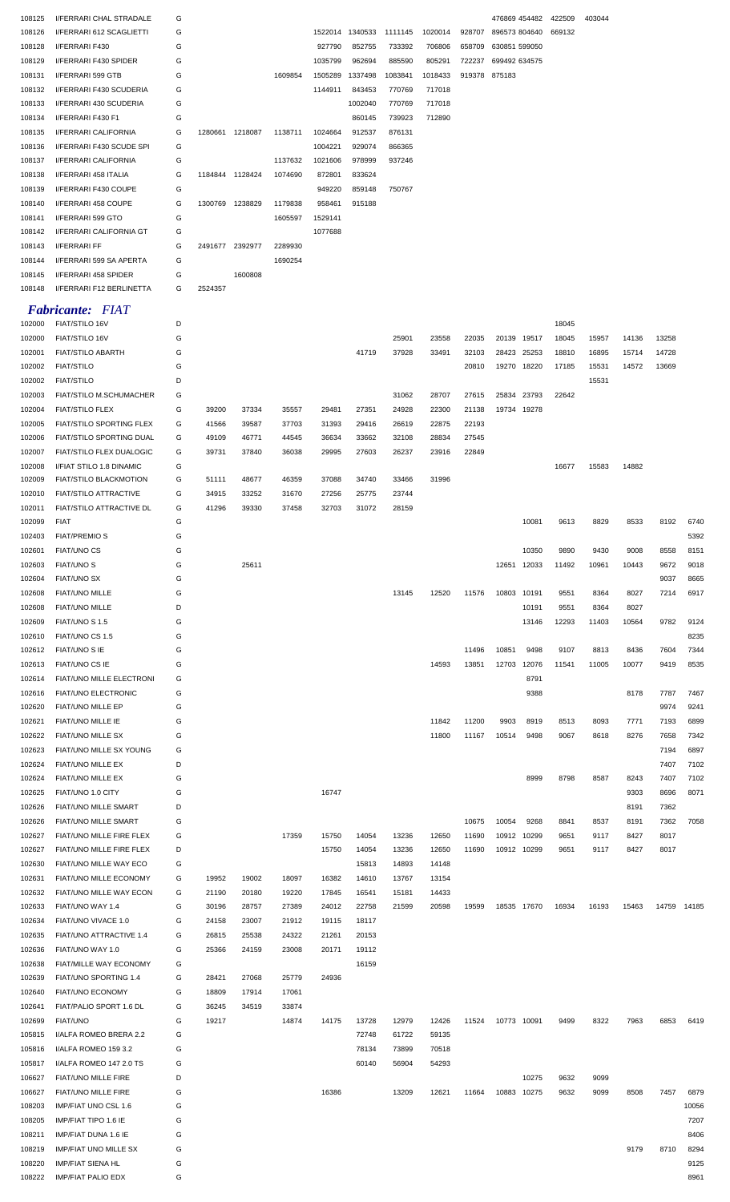| 108125 | I/FERRARI CHAL STRADALE         | G |         |                 |         |         |                 |         |         |        | 476869 454482 |             | 422509 | 403044 |       |       |       |
|--------|---------------------------------|---|---------|-----------------|---------|---------|-----------------|---------|---------|--------|---------------|-------------|--------|--------|-------|-------|-------|
| 108126 | I/FERRARI 612 SCAGLIETTI        | G |         |                 |         |         | 1522014 1340533 | 1111145 | 1020014 | 928707 | 896573 804640 |             | 669132 |        |       |       |       |
| 108128 | I/FERRARI F430                  | G |         |                 |         | 927790  | 852755          | 733392  | 706806  | 658709 | 630851 599050 |             |        |        |       |       |       |
|        |                                 |   |         |                 |         |         |                 |         |         |        |               |             |        |        |       |       |       |
| 108129 | I/FERRARI F430 SPIDER           | G |         |                 |         | 1035799 | 962694          | 885590  | 805291  | 722237 | 699492 634575 |             |        |        |       |       |       |
| 108131 | I/FERRARI 599 GTB               | G |         |                 | 1609854 | 1505289 | 1337498         | 1083841 | 1018433 |        | 919378 875183 |             |        |        |       |       |       |
| 108132 | I/FERRARI F430 SCUDERIA         | G |         |                 |         | 1144911 | 843453          | 770769  | 717018  |        |               |             |        |        |       |       |       |
| 108133 | I/FERRARI 430 SCUDERIA          | G |         |                 |         |         | 1002040         | 770769  | 717018  |        |               |             |        |        |       |       |       |
|        |                                 |   |         |                 |         |         |                 |         |         |        |               |             |        |        |       |       |       |
| 108134 | I/FERRARI F430 F1               | G |         |                 |         |         | 860145          | 739923  | 712890  |        |               |             |        |        |       |       |       |
| 108135 | I/FERRARI CALIFORNIA            | G |         | 1280661 1218087 | 1138711 | 1024664 | 912537          | 876131  |         |        |               |             |        |        |       |       |       |
| 108136 | I/FERRARI F430 SCUDE SPI        | G |         |                 |         | 1004221 | 929074          | 866365  |         |        |               |             |        |        |       |       |       |
| 108137 | I/FERRARI CALIFORNIA            | G |         |                 | 1137632 | 1021606 | 978999          | 937246  |         |        |               |             |        |        |       |       |       |
| 108138 | I/FERRARI 458 ITALIA            | G |         | 1184844 1128424 | 1074690 | 872801  | 833624          |         |         |        |               |             |        |        |       |       |       |
|        |                                 |   |         |                 |         |         |                 |         |         |        |               |             |        |        |       |       |       |
| 108139 | I/FERRARI F430 COUPE            | G |         |                 |         | 949220  | 859148          | 750767  |         |        |               |             |        |        |       |       |       |
| 108140 | I/FERRARI 458 COUPE             | G |         | 1300769 1238829 | 1179838 | 958461  | 915188          |         |         |        |               |             |        |        |       |       |       |
| 108141 | I/FERRARI 599 GTO               | G |         |                 | 1605597 | 1529141 |                 |         |         |        |               |             |        |        |       |       |       |
| 108142 | I/FERRARI CALIFORNIA GT         | G |         |                 |         | 1077688 |                 |         |         |        |               |             |        |        |       |       |       |
|        |                                 |   |         |                 |         |         |                 |         |         |        |               |             |        |        |       |       |       |
| 108143 | I/FERRARI FF                    | G | 2491677 | 2392977         | 2289930 |         |                 |         |         |        |               |             |        |        |       |       |       |
| 108144 | I/FERRARI 599 SA APERTA         | G |         |                 | 1690254 |         |                 |         |         |        |               |             |        |        |       |       |       |
| 108145 | I/FERRARI 458 SPIDER            | G |         | 1600808         |         |         |                 |         |         |        |               |             |        |        |       |       |       |
| 108148 | I/FERRARI F12 BERLINETTA        | G | 2524357 |                 |         |         |                 |         |         |        |               |             |        |        |       |       |       |
|        |                                 |   |         |                 |         |         |                 |         |         |        |               |             |        |        |       |       |       |
|        | <b>Fabricante: FIAT</b>         |   |         |                 |         |         |                 |         |         |        |               |             |        |        |       |       |       |
| 102000 | FIAT/STILO 16V                  | D |         |                 |         |         |                 |         |         |        |               |             | 18045  |        |       |       |       |
| 102000 | <b>FIAT/STILO 16V</b>           | G |         |                 |         |         |                 | 25901   | 23558   | 22035  | 20139 19517   |             | 18045  | 15957  | 14136 | 13258 |       |
|        |                                 |   |         |                 |         |         |                 |         |         |        |               |             |        |        |       |       |       |
| 102001 | <b>FIAT/STILO ABARTH</b>        | G |         |                 |         |         | 41719           | 37928   | 33491   | 32103  | 28423 25253   |             | 18810  | 16895  | 15714 | 14728 |       |
| 102002 | <b>FIAT/STILO</b>               | G |         |                 |         |         |                 |         |         | 20810  |               | 19270 18220 | 17185  | 15531  | 14572 | 13669 |       |
| 102002 | <b>FIAT/STILO</b>               | D |         |                 |         |         |                 |         |         |        |               |             |        | 15531  |       |       |       |
|        |                                 |   |         |                 |         |         |                 |         |         |        |               |             |        |        |       |       |       |
| 102003 | FIAT/STILO M.SCHUMACHER         | G |         |                 |         |         |                 | 31062   | 28707   | 27615  |               | 25834 23793 | 22642  |        |       |       |       |
| 102004 | <b>FIAT/STILO FLEX</b>          | G | 39200   | 37334           | 35557   | 29481   | 27351           | 24928   | 22300   | 21138  | 19734 19278   |             |        |        |       |       |       |
| 102005 | FIAT/STILO SPORTING FLEX        | G | 41566   | 39587           | 37703   | 31393   | 29416           | 26619   | 22875   | 22193  |               |             |        |        |       |       |       |
| 102006 | FIAT/STILO SPORTING DUAL        | G | 49109   | 46771           | 44545   | 36634   | 33662           | 32108   | 28834   | 27545  |               |             |        |        |       |       |       |
| 102007 | <b>FIAT/STILO FLEX DUALOGIC</b> | G | 39731   | 37840           | 36038   | 29995   | 27603           | 26237   | 23916   | 22849  |               |             |        |        |       |       |       |
|        |                                 |   |         |                 |         |         |                 |         |         |        |               |             |        |        |       |       |       |
| 102008 | I/FIAT STILO 1.8 DINAMIC        | G |         |                 |         |         |                 |         |         |        |               |             | 16677  | 15583  | 14882 |       |       |
| 102009 | <b>FIAT/STILO BLACKMOTION</b>   | G | 51111   | 48677           | 46359   | 37088   | 34740           | 33466   | 31996   |        |               |             |        |        |       |       |       |
| 102010 | <b>FIAT/STILO ATTRACTIVE</b>    | G | 34915   | 33252           | 31670   | 27256   | 25775           | 23744   |         |        |               |             |        |        |       |       |       |
| 102011 | FIAT/STILO ATTRACTIVE DL        | G | 41296   | 39330           | 37458   | 32703   | 31072           | 28159   |         |        |               |             |        |        |       |       |       |
|        |                                 | G |         |                 |         |         |                 |         |         |        |               |             |        | 8829   |       |       |       |
| 102099 | FIAT                            |   |         |                 |         |         |                 |         |         |        |               | 10081       | 9613   |        | 8533  | 8192  | 6740  |
| 102403 | <b>FIAT/PREMIO S</b>            | G |         |                 |         |         |                 |         |         |        |               |             |        |        |       |       | 5392  |
| 102601 | <b>FIAT/UNO CS</b>              | G |         |                 |         |         |                 |         |         |        |               | 10350       | 9890   | 9430   | 9008  | 8558  | 8151  |
| 102603 | <b>FIAT/UNO S</b>               | G |         | 25611           |         |         |                 |         |         |        | 12651         | 12033       | 11492  | 10961  | 10443 | 9672  | 9018  |
| 102604 | <b>FIAT/UNO SX</b>              | G |         |                 |         |         |                 |         |         |        |               |             |        |        |       | 9037  | 8665  |
|        |                                 |   |         |                 |         |         |                 |         |         |        |               |             |        |        |       |       |       |
| 102608 | <b>FIAT/UNO MILLE</b>           | G |         |                 |         |         |                 | 13145   | 12520   | 11576  | 10803         | 10191       | 9551   | 8364   | 8027  | 7214  | 6917  |
| 102608 | <b>FIAT/UNO MILLE</b>           | D |         |                 |         |         |                 |         |         |        |               | 10191       | 9551   | 8364   | 8027  |       |       |
| 102609 | FIAT/UNO S 1.5                  | G |         |                 |         |         |                 |         |         |        |               | 13146       | 12293  | 11403  | 10564 | 9782  | 9124  |
| 102610 | FIAT/UNO CS 1.5                 | G |         |                 |         |         |                 |         |         |        |               |             |        |        |       |       | 8235  |
|        |                                 |   |         |                 |         |         |                 |         |         |        |               |             |        |        |       |       |       |
| 102612 | <b>FIAT/UNO S IE</b>            | G |         |                 |         |         |                 |         |         | 11496  | 10851         | 9498        | 9107   | 8813   | 8436  | 7604  | 7344  |
| 102613 | <b>FIAT/UNO CS IE</b>           | G |         |                 |         |         |                 |         | 14593   | 13851  | 12703         | 12076       | 11541  | 11005  | 10077 | 9419  | 8535  |
| 102614 | FIAT/UNO MILLE ELECTRONI        | G |         |                 |         |         |                 |         |         |        |               | 8791        |        |        |       |       |       |
| 102616 | <b>FIAT/UNO ELECTRONIC</b>      | G |         |                 |         |         |                 |         |         |        |               | 9388        |        |        | 8178  | 7787  | 7467  |
|        |                                 |   |         |                 |         |         |                 |         |         |        |               |             |        |        |       |       |       |
| 102620 | FIAT/UNO MILLE EP               | G |         |                 |         |         |                 |         |         |        |               |             |        |        |       | 9974  | 9241  |
| 102621 | FIAT/UNO MILLE IE               | G |         |                 |         |         |                 |         | 11842   | 11200  | 9903          | 8919        | 8513   | 8093   | 7771  | 7193  | 6899  |
| 102622 | FIAT/UNO MILLE SX               | G |         |                 |         |         |                 |         | 11800   | 11167  | 10514         | 9498        | 9067   | 8618   | 8276  | 7658  | 7342  |
| 102623 | FIAT/UNO MILLE SX YOUNG         | G |         |                 |         |         |                 |         |         |        |               |             |        |        |       | 7194  | 6897  |
|        |                                 | D |         |                 |         |         |                 |         |         |        |               |             |        |        |       |       |       |
| 102624 | FIAT/UNO MILLE EX               |   |         |                 |         |         |                 |         |         |        |               |             |        |        |       | 7407  | 7102  |
| 102624 | FIAT/UNO MILLE EX               | G |         |                 |         |         |                 |         |         |        |               | 8999        | 8798   | 8587   | 8243  | 7407  | 7102  |
| 102625 | FIAT/UNO 1.0 CITY               | G |         |                 |         | 16747   |                 |         |         |        |               |             |        |        | 9303  | 8696  | 8071  |
| 102626 | FIAT/UNO MILLE SMART            | D |         |                 |         |         |                 |         |         |        |               |             |        |        | 8191  | 7362  |       |
|        |                                 |   |         |                 |         |         |                 |         |         |        |               |             |        |        |       |       |       |
| 102626 | FIAT/UNO MILLE SMART            | G |         |                 |         |         |                 |         |         | 10675  | 10054         | 9268        | 8841   | 8537   | 8191  | 7362  | 7058  |
| 102627 | FIAT/UNO MILLE FIRE FLEX        | G |         |                 | 17359   | 15750   | 14054           | 13236   | 12650   | 11690  | 10912         | 10299       | 9651   | 9117   | 8427  | 8017  |       |
| 102627 | FIAT/UNO MILLE FIRE FLEX        | D |         |                 |         | 15750   | 14054           | 13236   | 12650   | 11690  | 10912 10299   |             | 9651   | 9117   | 8427  | 8017  |       |
| 102630 | FIAT/UNO MILLE WAY ECO          | G |         |                 |         |         | 15813           | 14893   | 14148   |        |               |             |        |        |       |       |       |
| 102631 | FIAT/UNO MILLE ECONOMY          | G | 19952   | 19002           | 18097   | 16382   | 14610           | 13767   | 13154   |        |               |             |        |        |       |       |       |
|        |                                 |   |         |                 |         |         |                 |         |         |        |               |             |        |        |       |       |       |
| 102632 | FIAT/UNO MILLE WAY ECON         | G | 21190   | 20180           | 19220   | 17845   | 16541           | 15181   | 14433   |        |               |             |        |        |       |       |       |
| 102633 | FIAT/UNO WAY 1.4                | G | 30196   | 28757           | 27389   | 24012   | 22758           | 21599   | 20598   | 19599  |               | 18535 17670 | 16934  | 16193  | 15463 | 14759 | 14185 |
| 102634 | FIAT/UNO VIVACE 1.0             | G | 24158   | 23007           | 21912   | 19115   | 18117           |         |         |        |               |             |        |        |       |       |       |
| 102635 | FIAT/UNO ATTRACTIVE 1.4         | G | 26815   | 25538           | 24322   | 21261   | 20153           |         |         |        |               |             |        |        |       |       |       |
|        |                                 |   |         |                 |         |         |                 |         |         |        |               |             |        |        |       |       |       |
| 102636 | FIAT/UNO WAY 1.0                | G | 25366   | 24159           | 23008   | 20171   | 19112           |         |         |        |               |             |        |        |       |       |       |
| 102638 | <b>FIAT/MILLE WAY ECONOMY</b>   | G |         |                 |         |         | 16159           |         |         |        |               |             |        |        |       |       |       |
| 102639 | FIAT/UNO SPORTING 1.4           | G | 28421   | 27068           | 25779   | 24936   |                 |         |         |        |               |             |        |        |       |       |       |
| 102640 | <b>FIAT/UNO ECONOMY</b>         | G | 18809   | 17914           | 17061   |         |                 |         |         |        |               |             |        |        |       |       |       |
|        |                                 |   |         |                 |         |         |                 |         |         |        |               |             |        |        |       |       |       |
| 102641 | FIAT/PALIO SPORT 1.6 DL         | G | 36245   | 34519           | 33874   |         |                 |         |         |        |               |             |        |        |       |       |       |
| 102699 | <b>FIAT/UNO</b>                 | G | 19217   |                 | 14874   | 14175   | 13728           | 12979   | 12426   | 11524  | 10773 10091   |             | 9499   | 8322   | 7963  | 6853  | 6419  |
| 105815 | I/ALFA ROMEO BRERA 2.2          | G |         |                 |         |         | 72748           | 61722   | 59135   |        |               |             |        |        |       |       |       |
| 105816 | I/ALFA ROMEO 159 3.2            | G |         |                 |         |         | 78134           | 73899   | 70518   |        |               |             |        |        |       |       |       |
|        |                                 |   |         |                 |         |         |                 |         |         |        |               |             |        |        |       |       |       |
| 105817 | I/ALFA ROMEO 147 2.0 TS         | G |         |                 |         |         | 60140           | 56904   | 54293   |        |               |             |        |        |       |       |       |
| 106627 | FIAT/UNO MILLE FIRE             | D |         |                 |         |         |                 |         |         |        |               | 10275       | 9632   | 9099   |       |       |       |
| 106627 | FIAT/UNO MILLE FIRE             | G |         |                 |         | 16386   |                 | 13209   | 12621   | 11664  |               | 10883 10275 | 9632   | 9099   | 8508  | 7457  | 6879  |
| 108203 | IMP/FIAT UNO CSL 1.6            | G |         |                 |         |         |                 |         |         |        |               |             |        |        |       |       | 10056 |
|        |                                 |   |         |                 |         |         |                 |         |         |        |               |             |        |        |       |       |       |
| 108205 | IMP/FIAT TIPO 1.6 IE            | G |         |                 |         |         |                 |         |         |        |               |             |        |        |       |       | 7207  |
| 108211 | IMP/FIAT DUNA 1.6 IE            | G |         |                 |         |         |                 |         |         |        |               |             |        |        |       |       | 8406  |
| 108219 | <b>IMP/FIAT UNO MILLE SX</b>    | G |         |                 |         |         |                 |         |         |        |               |             |        |        | 9179  | 8710  | 8294  |
| 108220 | <b>IMP/FIAT SIENA HL</b>        | G |         |                 |         |         |                 |         |         |        |               |             |        |        |       |       | 9125  |
| 108222 | <b>IMP/FIAT PALIO EDX</b>       | G |         |                 |         |         |                 |         |         |        |               |             |        |        |       |       | 8961  |
|        |                                 |   |         |                 |         |         |                 |         |         |        |               |             |        |        |       |       |       |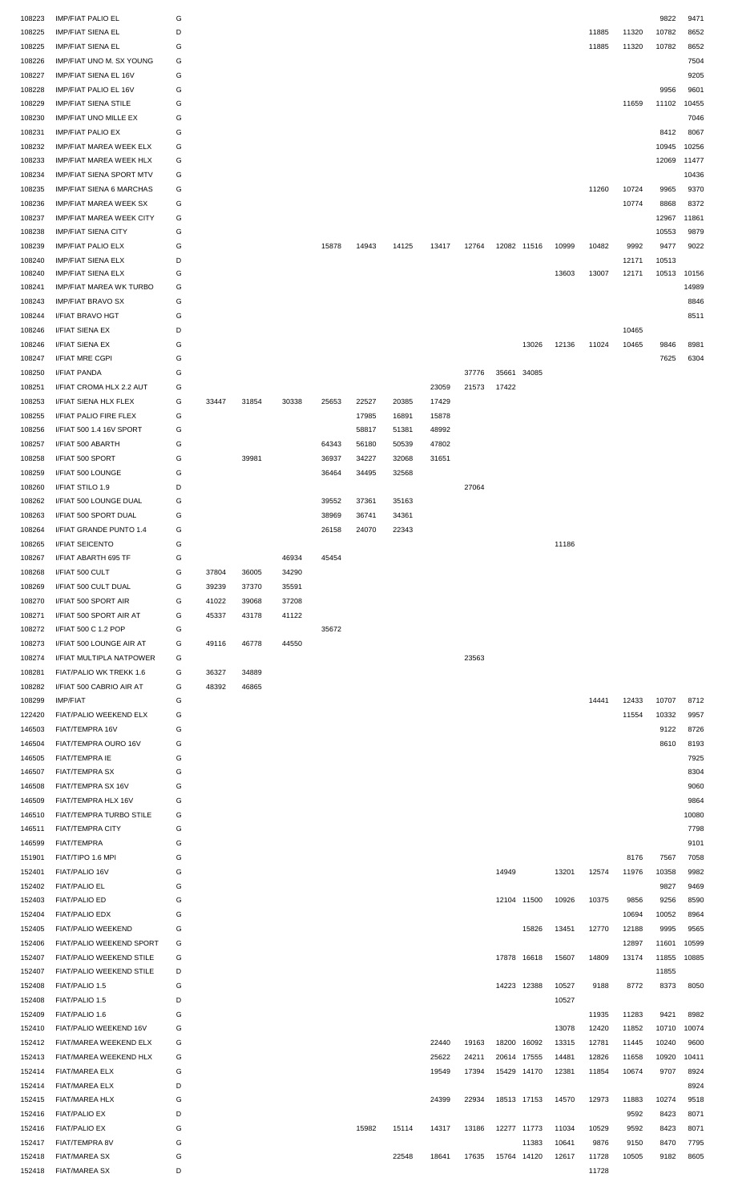| 108223           | <b>IMP/FIAT PALIO EL</b>                     | G      |       |       |       |       |       |       |       |       |       |             |       |                |       | 9822  | 9471  |
|------------------|----------------------------------------------|--------|-------|-------|-------|-------|-------|-------|-------|-------|-------|-------------|-------|----------------|-------|-------|-------|
| 108225           | <b>IMP/FIAT SIENA EL</b>                     | D      |       |       |       |       |       |       |       |       |       |             |       | 11885          | 11320 | 10782 | 8652  |
| 108225           | <b>IMP/FIAT SIENA EL</b>                     | G      |       |       |       |       |       |       |       |       |       |             |       | 11885          | 11320 | 10782 | 8652  |
| 108226           | IMP/FIAT UNO M. SX YOUNG                     | G      |       |       |       |       |       |       |       |       |       |             |       |                |       |       | 7504  |
| 108227           | IMP/FIAT SIENA EL 16V                        | G      |       |       |       |       |       |       |       |       |       |             |       |                |       |       | 9205  |
| 108228           | IMP/FIAT PALIO EL 16V                        | G      |       |       |       |       |       |       |       |       |       |             |       |                |       | 9956  | 9601  |
| 108229           | <b>IMP/FIAT SIENA STILE</b>                  | G      |       |       |       |       |       |       |       |       |       |             |       |                | 11659 | 11102 | 10455 |
| 108230           | <b>IMP/FIAT UNO MILLE EX</b>                 | G      |       |       |       |       |       |       |       |       |       |             |       |                |       |       | 7046  |
| 108231           | <b>IMP/FIAT PALIO EX</b>                     | G      |       |       |       |       |       |       |       |       |       |             |       |                |       | 8412  | 8067  |
|                  |                                              |        |       |       |       |       |       |       |       |       |       |             |       |                |       |       |       |
| 108232           | IMP/FIAT MAREA WEEK ELX                      | G      |       |       |       |       |       |       |       |       |       |             |       |                |       | 10945 | 10256 |
| 108233           | <b>IMP/FIAT MAREA WEEK HLX</b>               | G      |       |       |       |       |       |       |       |       |       |             |       |                |       | 12069 | 11477 |
| 108234           | <b>IMP/FIAT SIENA SPORT MTV</b>              | G      |       |       |       |       |       |       |       |       |       |             |       |                |       |       | 10436 |
| 108235           | <b>IMP/FIAT SIENA 6 MARCHAS</b>              | G      |       |       |       |       |       |       |       |       |       |             |       | 11260          | 10724 | 9965  | 9370  |
| 108236           | <b>IMP/FIAT MAREA WEEK SX</b>                | G      |       |       |       |       |       |       |       |       |       |             |       |                | 10774 | 8868  | 8372  |
| 108237           | <b>IMP/FIAT MAREA WEEK CITY</b>              | G      |       |       |       |       |       |       |       |       |       |             |       |                |       | 12967 | 11861 |
| 108238           | <b>IMP/FIAT SIENA CITY</b>                   | G      |       |       |       |       |       |       |       |       |       |             |       |                |       | 10553 | 9879  |
| 108239           | <b>IMP/FIAT PALIO ELX</b>                    | G      |       |       |       | 15878 | 14943 | 14125 | 13417 | 12764 |       | 12082 11516 | 10999 | 10482          | 9992  | 9477  | 9022  |
|                  |                                              |        |       |       |       |       |       |       |       |       |       |             |       |                |       |       |       |
| 108240           | <b>IMP/FIAT SIENA ELX</b>                    | D      |       |       |       |       |       |       |       |       |       |             |       |                | 12171 | 10513 |       |
| 108240           | <b>IMP/FIAT SIENA ELX</b>                    | G      |       |       |       |       |       |       |       |       |       |             | 13603 | 13007          | 12171 | 10513 | 10156 |
| 108241           | <b>IMP/FIAT MAREA WK TURBO</b>               | G      |       |       |       |       |       |       |       |       |       |             |       |                |       |       | 14989 |
| 108243           | <b>IMP/FIAT BRAVO SX</b>                     | G      |       |       |       |       |       |       |       |       |       |             |       |                |       |       | 8846  |
| 108244           | I/FIAT BRAVO HGT                             | G      |       |       |       |       |       |       |       |       |       |             |       |                |       |       | 8511  |
| 108246           | I/FIAT SIENA EX                              | D      |       |       |       |       |       |       |       |       |       |             |       |                | 10465 |       |       |
| 108246           | I/FIAT SIENA EX                              | G      |       |       |       |       |       |       |       |       |       | 13026       | 12136 | 11024          | 10465 | 9846  | 8981  |
| 108247           | I/FIAT MRE CGPI                              | G      |       |       |       |       |       |       |       |       |       |             |       |                |       | 7625  | 6304  |
| 108250           | I/FIAT PANDA                                 | G      |       |       |       |       |       |       |       | 37776 | 35661 | 34085       |       |                |       |       |       |
|                  |                                              |        |       |       |       |       |       |       |       |       |       |             |       |                |       |       |       |
| 108251           | I/FIAT CROMA HLX 2.2 AUT                     | G      |       |       |       |       |       |       | 23059 | 21573 | 17422 |             |       |                |       |       |       |
| 108253           | I/FIAT SIENA HLX FLEX                        | G      | 33447 | 31854 | 30338 | 25653 | 22527 | 20385 | 17429 |       |       |             |       |                |       |       |       |
| 108255           | I/FIAT PALIO FIRE FLEX                       | G      |       |       |       |       | 17985 | 16891 | 15878 |       |       |             |       |                |       |       |       |
| 108256           | I/FIAT 500 1.4 16V SPORT                     | G      |       |       |       |       | 58817 | 51381 | 48992 |       |       |             |       |                |       |       |       |
| 108257           | I/FIAT 500 ABARTH                            | G      |       |       |       | 64343 | 56180 | 50539 | 47802 |       |       |             |       |                |       |       |       |
| 108258           | I/FIAT 500 SPORT                             | G      |       | 39981 |       | 36937 | 34227 | 32068 | 31651 |       |       |             |       |                |       |       |       |
| 108259           | I/FIAT 500 LOUNGE                            | G      |       |       |       | 36464 | 34495 | 32568 |       |       |       |             |       |                |       |       |       |
|                  |                                              | D      |       |       |       |       |       |       |       | 27064 |       |             |       |                |       |       |       |
| 108260           | I/FIAT STILO 1.9                             |        |       |       |       |       |       |       |       |       |       |             |       |                |       |       |       |
| 108262           | I/FIAT 500 LOUNGE DUAL                       | G      |       |       |       | 39552 | 37361 | 35163 |       |       |       |             |       |                |       |       |       |
| 108263           | I/FIAT 500 SPORT DUAL                        | G      |       |       |       | 38969 | 36741 | 34361 |       |       |       |             |       |                |       |       |       |
| 108264           | I/FIAT GRANDE PUNTO 1.4                      | G      |       |       |       | 26158 | 24070 | 22343 |       |       |       |             |       |                |       |       |       |
| 108265           | I/FIAT SEICENTO                              | G      |       |       |       |       |       |       |       |       |       |             | 11186 |                |       |       |       |
| 108267           | I/FIAT ABARTH 695 TF                         | G      |       |       | 46934 | 45454 |       |       |       |       |       |             |       |                |       |       |       |
| 108268           | I/FIAT 500 CULT                              | G      | 37804 | 36005 | 34290 |       |       |       |       |       |       |             |       |                |       |       |       |
| 108269           | I/FIAT 500 CULT DUAL                         | G      | 39239 | 37370 | 35591 |       |       |       |       |       |       |             |       |                |       |       |       |
|                  |                                              |        |       |       |       |       |       |       |       |       |       |             |       |                |       |       |       |
| 108270           | I/FIAT 500 SPORT AIR                         | G      | 41022 | 39068 | 37208 |       |       |       |       |       |       |             |       |                |       |       |       |
| 108271           | I/FIAT 500 SPORT AIR AT                      | G      | 45337 | 43178 | 41122 |       |       |       |       |       |       |             |       |                |       |       |       |
| 108272           | I/FIAT 500 C 1.2 POP                         | G      |       |       |       | 35672 |       |       |       |       |       |             |       |                |       |       |       |
| 108273           | I/FIAT 500 LOUNGE AIR AT                     | G      | 49116 | 46778 | 44550 |       |       |       |       |       |       |             |       |                |       |       |       |
| 108274           | I/FIAT MULTIPLA NATPOWER                     | G      |       |       |       |       |       |       |       | 23563 |       |             |       |                |       |       |       |
| 108281           | FIAT/PALIO WK TREKK 1.6                      | G      | 36327 | 34889 |       |       |       |       |       |       |       |             |       |                |       |       |       |
| 108282           | I/FIAT 500 CABRIO AIR AT                     | G      | 48392 | 46865 |       |       |       |       |       |       |       |             |       |                |       |       |       |
| 108299           | <b>IMP/FIAT</b>                              | G      |       |       |       |       |       |       |       |       |       |             |       | 14441          | 12433 | 10707 | 8712  |
|                  |                                              |        |       |       |       |       |       |       |       |       |       |             |       |                |       |       |       |
| 122420           | FIAT/PALIO WEEKEND ELX                       | G      |       |       |       |       |       |       |       |       |       |             |       |                | 11554 | 10332 | 9957  |
| 146503           | FIAT/TEMPRA 16V                              | G      |       |       |       |       |       |       |       |       |       |             |       |                |       | 9122  | 8726  |
| 146504           | FIAT/TEMPRA OURO 16V                         | G      |       |       |       |       |       |       |       |       |       |             |       |                |       | 8610  | 8193  |
| 146505           | <b>FIAT/TEMPRA IE</b>                        | G      |       |       |       |       |       |       |       |       |       |             |       |                |       |       | 7925  |
| 146507           | <b>FIAT/TEMPRA SX</b>                        | G      |       |       |       |       |       |       |       |       |       |             |       |                |       |       | 8304  |
| 146508           | FIAT/TEMPRA SX 16V                           | G      |       |       |       |       |       |       |       |       |       |             |       |                |       |       | 9060  |
| 146509           | FIAT/TEMPRA HLX 16V                          | G      |       |       |       |       |       |       |       |       |       |             |       |                |       |       | 9864  |
| 146510           | FIAT/TEMPRA TURBO STILE                      | G      |       |       |       |       |       |       |       |       |       |             |       |                |       |       | 10080 |
|                  |                                              |        |       |       |       |       |       |       |       |       |       |             |       |                |       |       |       |
| 146511           | <b>FIAT/TEMPRA CITY</b>                      | G      |       |       |       |       |       |       |       |       |       |             |       |                |       |       | 7798  |
| 146599           | <b>FIAT/TEMPRA</b>                           | G      |       |       |       |       |       |       |       |       |       |             |       |                |       |       | 9101  |
| 151901           | FIAT/TIPO 1.6 MPI                            | G      |       |       |       |       |       |       |       |       |       |             |       |                | 8176  | 7567  | 7058  |
| 152401           | FIAT/PALIO 16V                               | G      |       |       |       |       |       |       |       |       | 14949 |             | 13201 | 12574          | 11976 | 10358 | 9982  |
| 152402           | <b>FIAT/PALIO EL</b>                         | G      |       |       |       |       |       |       |       |       |       |             |       |                |       | 9827  | 9469  |
| 152403           | <b>FIAT/PALIO ED</b>                         | G      |       |       |       |       |       |       |       |       | 12104 | 11500       | 10926 | 10375          | 9856  | 9256  | 8590  |
| 152404           | <b>FIAT/PALIO EDX</b>                        | G      |       |       |       |       |       |       |       |       |       |             |       |                | 10694 | 10052 | 8964  |
| 152405           | <b>FIAT/PALIO WEEKEND</b>                    | G      |       |       |       |       |       |       |       |       |       | 15826       | 13451 | 12770          | 12188 | 9995  | 9565  |
|                  |                                              |        |       |       |       |       |       |       |       |       |       |             |       |                |       |       |       |
| 152406           | FIAT/PALIO WEEKEND SPORT                     | G      |       |       |       |       |       |       |       |       |       |             |       |                | 12897 | 11601 | 10599 |
| 152407           | FIAT/PALIO WEEKEND STILE                     | G      |       |       |       |       |       |       |       |       | 17878 | 16618       | 15607 | 14809          | 13174 | 11855 | 10885 |
| 152407           | FIAT/PALIO WEEKEND STILE                     | D      |       |       |       |       |       |       |       |       |       |             |       |                |       | 11855 |       |
| 152408           | FIAT/PALIO 1.5                               | G      |       |       |       |       |       |       |       |       |       | 14223 12388 | 10527 | 9188           | 8772  | 8373  | 8050  |
| 152408           | FIAT/PALIO 1.5                               | D      |       |       |       |       |       |       |       |       |       |             | 10527 |                |       |       |       |
| 152409           | FIAT/PALIO 1.6                               | G      |       |       |       |       |       |       |       |       |       |             |       | 11935          | 11283 | 9421  | 8982  |
| 152410           | FIAT/PALIO WEEKEND 16V                       | G      |       |       |       |       |       |       |       |       |       |             | 13078 | 12420          | 11852 | 10710 | 10074 |
|                  | FIAT/MAREA WEEKEND ELX                       | G      |       |       |       |       |       |       | 22440 | 19163 | 18200 | 16092       | 13315 | 12781          |       | 10240 | 9600  |
| 152412           |                                              |        |       |       |       |       |       |       |       |       |       |             |       |                | 11445 |       |       |
| 152413           | FIAT/MAREA WEEKEND HLX                       | G      |       |       |       |       |       |       | 25622 | 24211 | 20614 | 17555       | 14481 | 12826          | 11658 | 10920 | 10411 |
| 152414           | <b>FIAT/MAREA ELX</b>                        | G      |       |       |       |       |       |       | 19549 | 17394 | 15429 | 14170       | 12381 | 11854          | 10674 | 9707  | 8924  |
| 152414           | <b>FIAT/MAREA ELX</b>                        | D      |       |       |       |       |       |       |       |       |       |             |       |                |       |       | 8924  |
| 152415           |                                              |        |       |       |       |       |       |       | 24399 | 22934 |       | 18513 17153 | 14570 | 12973          | 11883 | 10274 | 9518  |
|                  | FIAT/MAREA HLX                               | G      |       |       |       |       |       |       |       |       |       |             |       |                |       |       |       |
| 152416           | <b>FIAT/PALIO EX</b>                         | D      |       |       |       |       |       |       |       |       |       |             |       |                | 9592  | 8423  | 8071  |
| 152416           | <b>FIAT/PALIO EX</b>                         | G      |       |       |       |       | 15982 | 15114 | 14317 | 13186 |       | 12277 11773 | 11034 | 10529          | 9592  | 8423  | 8071  |
|                  |                                              |        |       |       |       |       |       |       |       |       |       |             |       |                |       |       |       |
| 152417           | FIAT/TEMPRA 8V                               | G      |       |       |       |       |       |       |       |       |       | 11383       | 10641 | 9876           | 9150  | 8470  | 7795  |
| 152418<br>152418 | <b>FIAT/MAREA SX</b><br><b>FIAT/MAREA SX</b> | G<br>D |       |       |       |       |       | 22548 | 18641 | 17635 |       | 15764 14120 | 12617 | 11728<br>11728 | 10505 | 9182  | 8605  |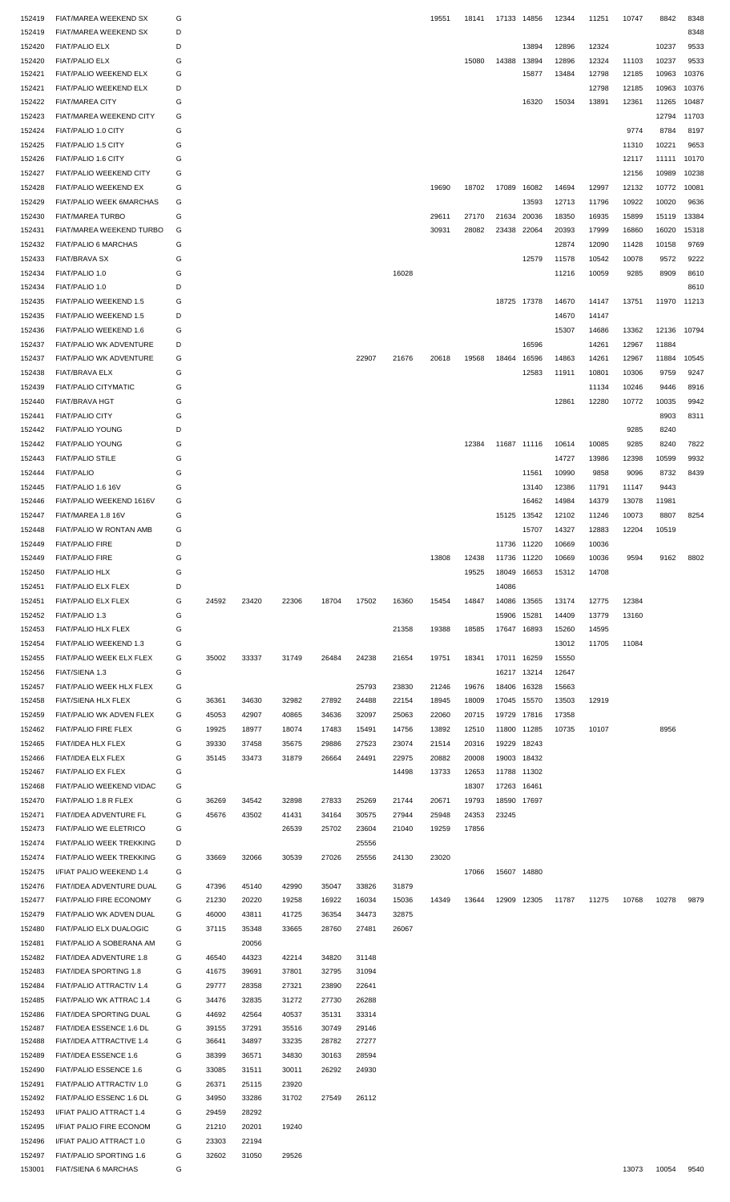| 152419 | FIAT/MAREA WEEKEND SX          | G |       |       |       |       |       |       | 19551 | 18141 | 17133 14856 |             | 12344 | 11251 | 10747 | 8842  | 8348  |
|--------|--------------------------------|---|-------|-------|-------|-------|-------|-------|-------|-------|-------------|-------------|-------|-------|-------|-------|-------|
| 152419 | FIAT/MAREA WEEKEND SX          | D |       |       |       |       |       |       |       |       |             |             |       |       |       |       | 8348  |
|        |                                | D |       |       |       |       |       |       |       |       |             |             |       |       |       |       |       |
| 152420 | <b>FIAT/PALIO ELX</b>          |   |       |       |       |       |       |       |       |       |             | 13894       | 12896 | 12324 |       | 10237 | 9533  |
| 152420 | <b>FIAT/PALIO ELX</b>          | G |       |       |       |       |       |       |       | 15080 | 14388       | 13894       | 12896 | 12324 | 11103 | 10237 | 9533  |
| 152421 | FIAT/PALIO WEEKEND ELX         | G |       |       |       |       |       |       |       |       |             | 15877       | 13484 | 12798 | 12185 | 10963 | 10376 |
| 152421 | FIAT/PALIO WEEKEND ELX         | D |       |       |       |       |       |       |       |       |             |             |       | 12798 | 12185 | 10963 | 10376 |
| 152422 | <b>FIAT/MAREA CITY</b>         | G |       |       |       |       |       |       |       |       |             | 16320       | 15034 | 13891 | 12361 | 11265 | 10487 |
| 152423 | FIAT/MAREA WEEKEND CITY        | G |       |       |       |       |       |       |       |       |             |             |       |       |       | 12794 | 11703 |
| 152424 | FIAT/PALIO 1.0 CITY            | G |       |       |       |       |       |       |       |       |             |             |       |       | 9774  | 8784  | 8197  |
| 152425 | FIAT/PALIO 1.5 CITY            | G |       |       |       |       |       |       |       |       |             |             |       |       | 11310 | 10221 | 9653  |
| 152426 | FIAT/PALIO 1.6 CITY            | G |       |       |       |       |       |       |       |       |             |             |       |       | 12117 | 11111 | 10170 |
| 152427 | <b>FIAT/PALIO WEEKEND CITY</b> | G |       |       |       |       |       |       |       |       |             |             |       |       | 12156 | 10989 | 10238 |
| 152428 | <b>FIAT/PALIO WEEKEND EX</b>   | G |       |       |       |       |       |       | 19690 | 18702 | 17089       | 16082       | 14694 | 12997 | 12132 | 10772 | 10081 |
|        |                                |   |       |       |       |       |       |       |       |       |             |             |       |       |       |       |       |
| 152429 | FIAT/PALIO WEEK 6MARCHAS       | G |       |       |       |       |       |       |       |       |             | 13593       | 12713 | 11796 | 10922 | 10020 | 9636  |
| 152430 | <b>FIAT/MAREA TURBO</b>        | G |       |       |       |       |       |       | 29611 | 27170 | 21634       | 20036       | 18350 | 16935 | 15899 | 15119 | 13384 |
| 152431 | FIAT/MAREA WEEKEND TURBO       | G |       |       |       |       |       |       | 30931 | 28082 | 23438       | 22064       | 20393 | 17999 | 16860 | 16020 | 15318 |
| 152432 | FIAT/PALIO 6 MARCHAS           | G |       |       |       |       |       |       |       |       |             |             | 12874 | 12090 | 11428 | 10158 | 9769  |
| 152433 | <b>FIAT/BRAVA SX</b>           | G |       |       |       |       |       |       |       |       |             | 12579       | 11578 | 10542 | 10078 | 9572  | 9222  |
| 152434 | FIAT/PALIO 1.0                 | G |       |       |       |       |       | 16028 |       |       |             |             | 11216 | 10059 | 9285  | 8909  | 8610  |
| 152434 | FIAT/PALIO 1.0                 | D |       |       |       |       |       |       |       |       |             |             |       |       |       |       | 8610  |
| 152435 | FIAT/PALIO WEEKEND 1.5         | G |       |       |       |       |       |       |       |       |             | 18725 17378 | 14670 | 14147 | 13751 | 11970 | 11213 |
| 152435 | FIAT/PALIO WEEKEND 1.5         | D |       |       |       |       |       |       |       |       |             |             | 14670 | 14147 |       |       |       |
| 152436 | <b>FIAT/PALIO WEEKEND 1.6</b>  | G |       |       |       |       |       |       |       |       |             |             | 15307 | 14686 | 13362 | 12136 | 10794 |
|        | FIAT/PALIO WK ADVENTURE        | D |       |       |       |       |       |       |       |       |             | 16596       |       | 14261 | 12967 | 11884 |       |
| 152437 |                                |   |       |       |       |       |       |       |       |       |             |             |       |       |       |       |       |
| 152437 | FIAT/PALIO WK ADVENTURE        | G |       |       |       |       | 22907 | 21676 | 20618 | 19568 | 18464       | 16596       | 14863 | 14261 | 12967 | 11884 | 10545 |
| 152438 | FIAT/BRAVA ELX                 | G |       |       |       |       |       |       |       |       |             | 12583       | 11911 | 10801 | 10306 | 9759  | 9247  |
| 152439 | <b>FIAT/PALIO CITYMATIC</b>    | G |       |       |       |       |       |       |       |       |             |             |       | 11134 | 10246 | 9446  | 8916  |
| 152440 | <b>FIAT/BRAVA HGT</b>          | G |       |       |       |       |       |       |       |       |             |             | 12861 | 12280 | 10772 | 10035 | 9942  |
| 152441 | <b>FIAT/PALIO CITY</b>         | G |       |       |       |       |       |       |       |       |             |             |       |       |       | 8903  | 8311  |
| 152442 | <b>FIAT/PALIO YOUNG</b>        | D |       |       |       |       |       |       |       |       |             |             |       |       | 9285  | 8240  |       |
| 152442 | <b>FIAT/PALIO YOUNG</b>        | G |       |       |       |       |       |       |       | 12384 | 11687 11116 |             | 10614 | 10085 | 9285  | 8240  | 7822  |
| 152443 | <b>FIAT/PALIO STILE</b>        | G |       |       |       |       |       |       |       |       |             |             | 14727 | 13986 | 12398 | 10599 | 9932  |
|        |                                |   |       |       |       |       |       |       |       |       |             |             |       |       |       |       |       |
| 152444 | <b>FIAT/PALIO</b>              | G |       |       |       |       |       |       |       |       |             | 11561       | 10990 | 9858  | 9096  | 8732  | 8439  |
| 152445 | FIAT/PALIO 1.6 16V             | G |       |       |       |       |       |       |       |       |             | 13140       | 12386 | 11791 | 11147 | 9443  |       |
| 152446 | FIAT/PALIO WEEKEND 1616V       | G |       |       |       |       |       |       |       |       |             | 16462       | 14984 | 14379 | 13078 | 11981 |       |
| 152447 | FIAT/MAREA 1.8 16V             | G |       |       |       |       |       |       |       |       | 15125       | 13542       | 12102 | 11246 | 10073 | 8807  | 8254  |
| 152448 | FIAT/PALIO W RONTAN AMB        | G |       |       |       |       |       |       |       |       |             | 15707       | 14327 | 12883 | 12204 | 10519 |       |
| 152449 | <b>FIAT/PALIO FIRE</b>         | D |       |       |       |       |       |       |       |       |             | 11736 11220 | 10669 | 10036 |       |       |       |
| 152449 | <b>FIAT/PALIO FIRE</b>         | G |       |       |       |       |       |       | 13808 | 12438 | 11736 11220 |             | 10669 | 10036 | 9594  | 9162  | 8802  |
| 152450 | FIAT/PALIO HLX                 | G |       |       |       |       |       |       |       | 19525 |             | 18049 16653 | 15312 | 14708 |       |       |       |
| 152451 | FIAT/PALIO ELX FLEX            | D |       |       |       |       |       |       |       |       | 14086       |             |       |       |       |       |       |
| 152451 | FIAT/PALIO ELX FLEX            | G | 24592 | 23420 | 22306 | 18704 | 17502 | 16360 | 15454 | 14847 | 14086 13565 |             | 13174 | 12775 | 12384 |       |       |
|        |                                |   |       |       |       |       |       |       |       |       |             |             |       |       |       |       |       |
| 152452 | FIAT/PALIO 1.3                 | G |       |       |       |       |       |       |       |       | 15906 15281 |             | 14409 | 13779 | 13160 |       |       |
| 152453 | FIAT/PALIO HLX FLEX            | G |       |       |       |       |       | 21358 | 19388 | 18585 | 17647 16893 |             | 15260 | 14595 |       |       |       |
| 152454 | FIAT/PALIO WEEKEND 1.3         | G |       |       |       |       |       |       |       |       |             |             | 13012 | 11705 | 11084 |       |       |
| 152455 | FIAT/PALIO WEEK ELX FLEX       | G | 35002 | 33337 | 31749 | 26484 | 24238 | 21654 | 19751 | 18341 | 17011 16259 |             | 15550 |       |       |       |       |
| 152456 | FIAT/SIENA 1.3                 | G |       |       |       |       |       |       |       |       |             | 16217 13214 | 12647 |       |       |       |       |
| 152457 | FIAT/PALIO WEEK HLX FLEX       | G |       |       |       |       | 25793 | 23830 | 21246 | 19676 |             | 18406 16328 | 15663 |       |       |       |       |
| 152458 | FIAT/SIENA HLX FLEX            | G | 36361 | 34630 | 32982 | 27892 | 24488 | 22154 | 18945 | 18009 | 17045 15570 |             | 13503 | 12919 |       |       |       |
| 152459 | FIAT/PALIO WK ADVEN FLEX       | G | 45053 | 42907 | 40865 | 34636 | 32097 | 25063 | 22060 | 20715 | 19729 17816 |             | 17358 |       |       |       |       |
| 152462 | FIAT/PALIO FIRE FLEX           | G | 19925 | 18977 | 18074 | 17483 | 15491 | 14756 | 13892 | 12510 | 11800 11285 |             | 10735 | 10107 |       | 8956  |       |
| 152465 | FIAT/IDEA HLX FLEX             | G | 39330 | 37458 | 35675 | 29886 | 27523 | 23074 | 21514 | 20316 |             | 19229 18243 |       |       |       |       |       |
|        |                                |   |       |       |       |       |       |       |       |       |             |             |       |       |       |       |       |
| 152466 | FIAT/IDEA ELX FLEX             | G | 35145 | 33473 | 31879 | 26664 | 24491 | 22975 | 20882 | 20008 |             | 19003 18432 |       |       |       |       |       |
| 152467 | FIAT/PALIO EX FLEX             | G |       |       |       |       |       | 14498 | 13733 | 12653 | 11788 11302 |             |       |       |       |       |       |
| 152468 | FIAT/PALIO WEEKEND VIDAC       | G |       |       |       |       |       |       |       | 18307 | 17263 16461 |             |       |       |       |       |       |
| 152470 | FIAT/PALIO 1.8 R FLEX          | G | 36269 | 34542 | 32898 | 27833 | 25269 | 21744 | 20671 | 19793 | 18590 17697 |             |       |       |       |       |       |
| 152471 | FIAT/IDEA ADVENTURE FL         | G | 45676 | 43502 | 41431 | 34164 | 30575 | 27944 | 25948 | 24353 | 23245       |             |       |       |       |       |       |
| 152473 | <b>FIAT/PALIO WE ELETRICO</b>  | G |       |       | 26539 | 25702 | 23604 | 21040 | 19259 | 17856 |             |             |       |       |       |       |       |
| 152474 | FIAT/PALIO WEEK TREKKING       | D |       |       |       |       | 25556 |       |       |       |             |             |       |       |       |       |       |
| 152474 | FIAT/PALIO WEEK TREKKING       | G | 33669 | 32066 | 30539 | 27026 | 25556 | 24130 | 23020 |       |             |             |       |       |       |       |       |
| 152475 | I/FIAT PALIO WEEKEND 1.4       | G |       |       |       |       |       |       |       | 17066 | 15607 14880 |             |       |       |       |       |       |
| 152476 | FIAT/IDEA ADVENTURE DUAL       | G | 47396 | 45140 | 42990 | 35047 | 33826 | 31879 |       |       |             |             |       |       |       |       |       |
|        |                                |   |       |       |       |       |       |       |       |       |             |             |       |       |       |       |       |
| 152477 | <b>FIAT/PALIO FIRE ECONOMY</b> | G | 21230 | 20220 | 19258 | 16922 | 16034 | 15036 | 14349 | 13644 |             | 12909 12305 | 11787 | 11275 | 10768 | 10278 | 9879  |
| 152479 | FIAT/PALIO WK ADVEN DUAL       | G | 46000 | 43811 | 41725 | 36354 | 34473 | 32875 |       |       |             |             |       |       |       |       |       |
| 152480 | FIAT/PALIO ELX DUALOGIC        | G | 37115 | 35348 | 33665 | 28760 | 27481 | 26067 |       |       |             |             |       |       |       |       |       |
| 152481 | FIAT/PALIO A SOBERANA AM       | G |       | 20056 |       |       |       |       |       |       |             |             |       |       |       |       |       |
| 152482 | FIAT/IDEA ADVENTURE 1.8        | G | 46540 | 44323 | 42214 | 34820 | 31148 |       |       |       |             |             |       |       |       |       |       |
| 152483 | FIAT/IDEA SPORTING 1.8         | G | 41675 | 39691 | 37801 | 32795 | 31094 |       |       |       |             |             |       |       |       |       |       |
| 152484 | FIAT/PALIO ATTRACTIV 1.4       | G | 29777 | 28358 | 27321 | 23890 | 22641 |       |       |       |             |             |       |       |       |       |       |
| 152485 | FIAT/PALIO WK ATTRAC 1.4       | G | 34476 | 32835 | 31272 | 27730 | 26288 |       |       |       |             |             |       |       |       |       |       |
| 152486 | FIAT/IDEA SPORTING DUAL        | G | 44692 | 42564 | 40537 | 35131 | 33314 |       |       |       |             |             |       |       |       |       |       |
|        |                                |   |       |       |       |       |       |       |       |       |             |             |       |       |       |       |       |
| 152487 | FIAT/IDEA ESSENCE 1.6 DL       | G | 39155 | 37291 | 35516 | 30749 | 29146 |       |       |       |             |             |       |       |       |       |       |
| 152488 | FIAT/IDEA ATTRACTIVE 1.4       | G | 36641 | 34897 | 33235 | 28782 | 27277 |       |       |       |             |             |       |       |       |       |       |
| 152489 | FIAT/IDEA ESSENCE 1.6          | G | 38399 | 36571 | 34830 | 30163 | 28594 |       |       |       |             |             |       |       |       |       |       |
| 152490 | <b>FIAT/PALIO ESSENCE 1.6</b>  | G | 33085 | 31511 | 30011 | 26292 | 24930 |       |       |       |             |             |       |       |       |       |       |
| 152491 | FIAT/PALIO ATTRACTIV 1.0       | G | 26371 | 25115 | 23920 |       |       |       |       |       |             |             |       |       |       |       |       |
| 152492 | FIAT/PALIO ESSENC 1.6 DL       | G | 34950 | 33286 | 31702 | 27549 | 26112 |       |       |       |             |             |       |       |       |       |       |
| 152493 | I/FIAT PALIO ATTRACT 1.4       | G | 29459 | 28292 |       |       |       |       |       |       |             |             |       |       |       |       |       |
| 152495 | I/FIAT PALIO FIRE ECONOM       | G | 21210 | 20201 | 19240 |       |       |       |       |       |             |             |       |       |       |       |       |
| 152496 | I/FIAT PALIO ATTRACT 1.0       | G | 23303 | 22194 |       |       |       |       |       |       |             |             |       |       |       |       |       |
| 152497 | FIAT/PALIO SPORTING 1.6        | G | 32602 | 31050 | 29526 |       |       |       |       |       |             |             |       |       |       |       |       |
| 153001 | FIAT/SIENA 6 MARCHAS           | G |       |       |       |       |       |       |       |       |             |             |       |       | 13073 | 10054 | 9540  |
|        |                                |   |       |       |       |       |       |       |       |       |             |             |       |       |       |       |       |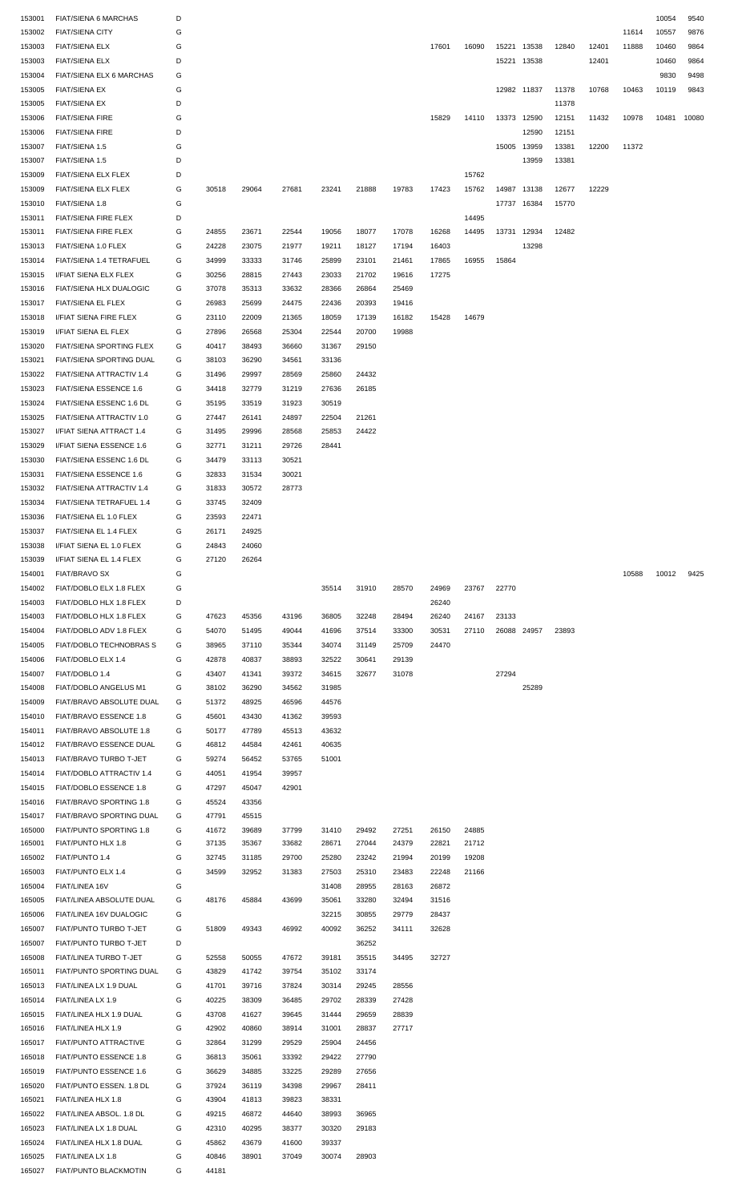| 153001           | <b>FIAT/SIENA 6 MARCHAS</b>                | D      |                |       |       |       |       |       |       |       |             |       |       |       |       | 10054 | 9540  |
|------------------|--------------------------------------------|--------|----------------|-------|-------|-------|-------|-------|-------|-------|-------------|-------|-------|-------|-------|-------|-------|
| 153002           | <b>FIAT/SIENA CITY</b>                     | G      |                |       |       |       |       |       |       |       |             |       |       |       | 11614 | 10557 | 9876  |
| 153003           | <b>FIAT/SIENA ELX</b>                      | G      |                |       |       |       |       |       | 17601 | 16090 | 15221       | 13538 | 12840 | 12401 | 11888 | 10460 | 9864  |
| 153003           | <b>FIAT/SIENA ELX</b>                      | D      |                |       |       |       |       |       |       |       | 15221       | 13538 |       | 12401 |       | 10460 | 9864  |
| 153004           | FIAT/SIENA ELX 6 MARCHAS                   | G      |                |       |       |       |       |       |       |       |             |       |       |       |       | 9830  | 9498  |
| 153005           | <b>FIAT/SIENA EX</b>                       | G      |                |       |       |       |       |       |       |       | 12982 11837 |       | 11378 | 10768 | 10463 | 10119 | 9843  |
|                  |                                            |        |                |       |       |       |       |       |       |       |             |       |       |       |       |       |       |
| 153005           | <b>FIAT/SIENA EX</b>                       | D      |                |       |       |       |       |       |       |       |             |       | 11378 |       |       |       |       |
| 153006           | <b>FIAT/SIENA FIRE</b>                     | G      |                |       |       |       |       |       | 15829 | 14110 | 13373 12590 |       | 12151 | 11432 | 10978 | 10481 | 10080 |
| 153006           | <b>FIAT/SIENA FIRE</b>                     | D      |                |       |       |       |       |       |       |       |             | 12590 | 12151 |       |       |       |       |
| 153007           | FIAT/SIENA 1.5                             | G      |                |       |       |       |       |       |       |       | 15005       | 13959 | 13381 | 12200 | 11372 |       |       |
| 153007           | FIAT/SIENA 1.5                             | D      |                |       |       |       |       |       |       |       |             | 13959 | 13381 |       |       |       |       |
| 153009           | FIAT/SIENA ELX FLEX                        | D      |                |       |       |       |       |       |       | 15762 |             |       |       |       |       |       |       |
| 153009           | FIAT/SIENA ELX FLEX                        | G      | 30518          | 29064 | 27681 | 23241 | 21888 | 19783 | 17423 | 15762 | 14987 13138 |       | 12677 | 12229 |       |       |       |
| 153010           | FIAT/SIENA 1.8                             | G      |                |       |       |       |       |       |       |       | 17737 16384 |       | 15770 |       |       |       |       |
| 153011           | FIAT/SIENA FIRE FLEX                       | D      |                |       |       |       |       |       |       | 14495 |             |       |       |       |       |       |       |
|                  |                                            |        |                |       |       |       |       |       |       |       |             |       |       |       |       |       |       |
| 153011           | FIAT/SIENA FIRE FLEX                       | G      | 24855          | 23671 | 22544 | 19056 | 18077 | 17078 | 16268 | 14495 | 13731       | 12934 | 12482 |       |       |       |       |
| 153013           | FIAT/SIENA 1.0 FLEX                        | G      | 24228          | 23075 | 21977 | 19211 | 18127 | 17194 | 16403 |       |             | 13298 |       |       |       |       |       |
| 153014           | FIAT/SIENA 1.4 TETRAFUEL                   | G      | 34999          | 33333 | 31746 | 25899 | 23101 | 21461 | 17865 | 16955 | 15864       |       |       |       |       |       |       |
| 153015           | I/FIAT SIENA ELX FLEX                      | G      | 30256          | 28815 | 27443 | 23033 | 21702 | 19616 | 17275 |       |             |       |       |       |       |       |       |
| 153016           | FIAT/SIENA HLX DUALOGIC                    | G      | 37078          | 35313 | 33632 | 28366 | 26864 | 25469 |       |       |             |       |       |       |       |       |       |
| 153017           | <b>FIAT/SIENA EL FLEX</b>                  | G      | 26983          | 25699 | 24475 | 22436 | 20393 | 19416 |       |       |             |       |       |       |       |       |       |
| 153018           | <b>I/FIAT SIENA FIRE FLEX</b>              | G      | 23110          | 22009 | 21365 | 18059 | 17139 | 16182 | 15428 | 14679 |             |       |       |       |       |       |       |
| 153019           | I/FIAT SIENA EL FLEX                       | G      | 27896          | 26568 | 25304 | 22544 | 20700 | 19988 |       |       |             |       |       |       |       |       |       |
| 153020           | FIAT/SIENA SPORTING FLEX                   | G      | 40417          | 38493 | 36660 | 31367 | 29150 |       |       |       |             |       |       |       |       |       |       |
|                  |                                            |        |                |       |       |       |       |       |       |       |             |       |       |       |       |       |       |
| 153021           | FIAT/SIENA SPORTING DUAL                   | G      | 38103          | 36290 | 34561 | 33136 |       |       |       |       |             |       |       |       |       |       |       |
| 153022           | FIAT/SIENA ATTRACTIV 1.4                   | G      | 31496          | 29997 | 28569 | 25860 | 24432 |       |       |       |             |       |       |       |       |       |       |
| 153023           | <b>FIAT/SIENA ESSENCE 1.6</b>              | G      | 34418          | 32779 | 31219 | 27636 | 26185 |       |       |       |             |       |       |       |       |       |       |
| 153024           | FIAT/SIENA ESSENC 1.6 DL                   | G      | 35195          | 33519 | 31923 | 30519 |       |       |       |       |             |       |       |       |       |       |       |
| 153025           | FIAT/SIENA ATTRACTIV 1.0                   | G      | 27447          | 26141 | 24897 | 22504 | 21261 |       |       |       |             |       |       |       |       |       |       |
| 153027           | I/FIAT SIENA ATTRACT 1.4                   | G      | 31495          | 29996 | 28568 | 25853 | 24422 |       |       |       |             |       |       |       |       |       |       |
| 153029           | I/FIAT SIENA ESSENCE 1.6                   | G      | 32771          | 31211 | 29726 | 28441 |       |       |       |       |             |       |       |       |       |       |       |
| 153030           | FIAT/SIENA ESSENC 1.6 DL                   | G      | 34479          | 33113 | 30521 |       |       |       |       |       |             |       |       |       |       |       |       |
| 153031           | FIAT/SIENA ESSENCE 1.6                     | G      | 32833          | 31534 | 30021 |       |       |       |       |       |             |       |       |       |       |       |       |
|                  |                                            |        |                |       |       |       |       |       |       |       |             |       |       |       |       |       |       |
| 153032           | FIAT/SIENA ATTRACTIV 1.4                   | G      | 31833          | 30572 | 28773 |       |       |       |       |       |             |       |       |       |       |       |       |
| 153034           | FIAT/SIENA TETRAFUEL 1.4                   | G      | 33745          | 32409 |       |       |       |       |       |       |             |       |       |       |       |       |       |
| 153036           | FIAT/SIENA EL 1.0 FLEX                     | G      | 23593          | 22471 |       |       |       |       |       |       |             |       |       |       |       |       |       |
| 153037           | FIAT/SIENA EL 1.4 FLEX                     | G      | 26171          | 24925 |       |       |       |       |       |       |             |       |       |       |       |       |       |
| 153038           | I/FIAT SIENA EL 1.0 FLEX                   | G      | 24843          | 24060 |       |       |       |       |       |       |             |       |       |       |       |       |       |
| 153039           | I/FIAT SIENA EL 1.4 FLEX                   | G      | 27120          | 26264 |       |       |       |       |       |       |             |       |       |       |       |       |       |
| 154001           | <b>FIAT/BRAVO SX</b>                       | G      |                |       |       |       |       |       |       |       |             |       |       |       | 10588 | 10012 | 9425  |
| 154002           | FIAT/DOBLO ELX 1.8 FLEX                    | G      |                |       |       | 35514 | 31910 | 28570 | 24969 | 23767 | 22770       |       |       |       |       |       |       |
| 154003           | FIAT/DOBLO HLX 1.8 FLEX                    | D      |                |       |       |       |       |       | 26240 |       |             |       |       |       |       |       |       |
| 154003           | FIAT/DOBLO HLX 1.8 FLEX                    | G      | 47623          | 45356 | 43196 | 36805 | 32248 | 28494 | 26240 | 24167 | 23133       |       |       |       |       |       |       |
|                  |                                            |        |                |       |       |       |       |       |       |       |             |       |       |       |       |       |       |
| 154004           | FIAT/DOBLO ADV 1.8 FLEX                    | G      | 54070          | 51495 | 49044 | 41696 | 37514 | 33300 | 30531 | 27110 | 26088 24957 |       | 23893 |       |       |       |       |
| 154005           | FIAT/DOBLO TECHNOBRAS S                    | G      | 38965          | 37110 | 35344 | 34074 | 31149 | 25709 | 24470 |       |             |       |       |       |       |       |       |
| 154006           | FIAT/DOBLO ELX 1.4                         | G      | 42878          | 40837 | 38893 | 32522 | 30641 | 29139 |       |       |             |       |       |       |       |       |       |
| 154007           | FIAT/DOBLO 1.4                             | G      | 43407          | 41341 | 39372 | 34615 | 32677 | 31078 |       |       | 27294       |       |       |       |       |       |       |
| 154008           | FIAT/DOBLO ANGELUS M1                      | G      | 38102          | 36290 | 34562 | 31985 |       |       |       |       |             | 25289 |       |       |       |       |       |
| 154009           | FIAT/BRAVO ABSOLUTE DUAL                   | G      | 51372          | 48925 | 46596 | 44576 |       |       |       |       |             |       |       |       |       |       |       |
| 154010           | FIAT/BRAVO ESSENCE 1.8                     | G      | 45601          | 43430 | 41362 | 39593 |       |       |       |       |             |       |       |       |       |       |       |
| 154011           | FIAT/BRAVO ABSOLUTE 1.8                    | G      | 50177          | 47789 | 45513 | 43632 |       |       |       |       |             |       |       |       |       |       |       |
| 154012           | FIAT/BRAVO ESSENCE DUAL                    | G      | 46812          | 44584 | 42461 | 40635 |       |       |       |       |             |       |       |       |       |       |       |
|                  | FIAT/BRAVO TURBO T-JET                     |        |                |       |       | 51001 |       |       |       |       |             |       |       |       |       |       |       |
| 154013           |                                            | G      | 59274          | 56452 | 53765 |       |       |       |       |       |             |       |       |       |       |       |       |
| 154014           | FIAT/DOBLO ATTRACTIV 1.4                   | G      | 44051          | 41954 | 39957 |       |       |       |       |       |             |       |       |       |       |       |       |
| 154015           | FIAT/DOBLO ESSENCE 1.8                     | G      | 47297          | 45047 | 42901 |       |       |       |       |       |             |       |       |       |       |       |       |
| 154016           | FIAT/BRAVO SPORTING 1.8                    | G      | 45524          | 43356 |       |       |       |       |       |       |             |       |       |       |       |       |       |
| 154017           | FIAT/BRAVO SPORTING DUAL                   | G      | 47791          | 45515 |       |       |       |       |       |       |             |       |       |       |       |       |       |
| 165000           | FIAT/PUNTO SPORTING 1.8                    | G      | 41672          | 39689 | 37799 | 31410 | 29492 | 27251 | 26150 | 24885 |             |       |       |       |       |       |       |
| 165001           | FIAT/PUNTO HLX 1.8                         | G      | 37135          | 35367 | 33682 | 28671 | 27044 | 24379 | 22821 | 21712 |             |       |       |       |       |       |       |
| 165002           | FIAT/PUNTO 1.4                             | G      | 32745          | 31185 | 29700 | 25280 | 23242 | 21994 | 20199 | 19208 |             |       |       |       |       |       |       |
| 165003           | FIAT/PUNTO ELX 1.4                         | G      | 34599          | 32952 | 31383 | 27503 | 25310 | 23483 | 22248 | 21166 |             |       |       |       |       |       |       |
| 165004           | FIAT/LINEA 16V                             | G      |                |       |       | 31408 | 28955 | 28163 | 26872 |       |             |       |       |       |       |       |       |
| 165005           | FIAT/LINEA ABSOLUTE DUAL                   | G      | 48176          | 45884 | 43699 | 35061 | 33280 | 32494 | 31516 |       |             |       |       |       |       |       |       |
|                  | FIAT/LINEA 16V DUALOGIC                    | G      |                |       |       | 32215 | 30855 | 29779 | 28437 |       |             |       |       |       |       |       |       |
| 165006           |                                            |        |                |       |       |       |       |       |       |       |             |       |       |       |       |       |       |
| 165007           | FIAT/PUNTO TURBO T-JET                     | G      | 51809          | 49343 | 46992 | 40092 | 36252 | 34111 | 32628 |       |             |       |       |       |       |       |       |
| 165007           | FIAT/PUNTO TURBO T-JET                     | D      |                |       |       |       | 36252 |       |       |       |             |       |       |       |       |       |       |
| 165008           | FIAT/LINEA TURBO T-JET                     | G      | 52558          | 50055 | 47672 | 39181 | 35515 | 34495 | 32727 |       |             |       |       |       |       |       |       |
| 165011           | FIAT/PUNTO SPORTING DUAL                   | G      | 43829          | 41742 | 39754 | 35102 | 33174 |       |       |       |             |       |       |       |       |       |       |
| 165013           | FIAT/LINEA LX 1.9 DUAL                     | G      | 41701          | 39716 | 37824 | 30314 | 29245 | 28556 |       |       |             |       |       |       |       |       |       |
| 165014           | FIAT/LINEA LX 1.9                          | G      | 40225          | 38309 | 36485 | 29702 | 28339 | 27428 |       |       |             |       |       |       |       |       |       |
| 165015           | FIAT/LINEA HLX 1.9 DUAL                    | G      | 43708          | 41627 | 39645 | 31444 | 29659 | 28839 |       |       |             |       |       |       |       |       |       |
| 165016           | FIAT/LINEA HLX 1.9                         | G      | 42902          | 40860 | 38914 | 31001 | 28837 | 27717 |       |       |             |       |       |       |       |       |       |
|                  |                                            |        |                |       |       |       |       |       |       |       |             |       |       |       |       |       |       |
| 165017           | FIAT/PUNTO ATTRACTIVE                      | G      | 32864          | 31299 | 29529 | 25904 | 24456 |       |       |       |             |       |       |       |       |       |       |
| 165018           | FIAT/PUNTO ESSENCE 1.8                     | G      | 36813          | 35061 | 33392 | 29422 | 27790 |       |       |       |             |       |       |       |       |       |       |
| 165019           | FIAT/PUNTO ESSENCE 1.6                     | G      | 36629          | 34885 | 33225 | 29289 | 27656 |       |       |       |             |       |       |       |       |       |       |
| 165020           | FIAT/PUNTO ESSEN. 1.8 DL                   | G      | 37924          | 36119 | 34398 | 29967 | 28411 |       |       |       |             |       |       |       |       |       |       |
| 165021           | FIAT/LINEA HLX 1.8                         | G      | 43904          | 41813 | 39823 | 38331 |       |       |       |       |             |       |       |       |       |       |       |
| 165022           | FIAT/LINEA ABSOL. 1.8 DL                   | G      | 49215          | 46872 | 44640 | 38993 | 36965 |       |       |       |             |       |       |       |       |       |       |
| 165023           | FIAT/LINEA LX 1.8 DUAL                     | G      | 42310          | 40295 | 38377 | 30320 | 29183 |       |       |       |             |       |       |       |       |       |       |
|                  |                                            |        |                |       |       |       |       |       |       |       |             |       |       |       |       |       |       |
| 165024           | FIAT/LINEA HLX 1.8 DUAL                    | G      | 45862          | 43679 | 41600 | 39337 |       |       |       |       |             |       |       |       |       |       |       |
|                  |                                            |        |                |       |       |       |       |       |       |       |             |       |       |       |       |       |       |
| 165025<br>165027 | FIAT/LINEA LX 1.8<br>FIAT/PUNTO BLACKMOTIN | G<br>G | 40846<br>44181 | 38901 | 37049 | 30074 | 28903 |       |       |       |             |       |       |       |       |       |       |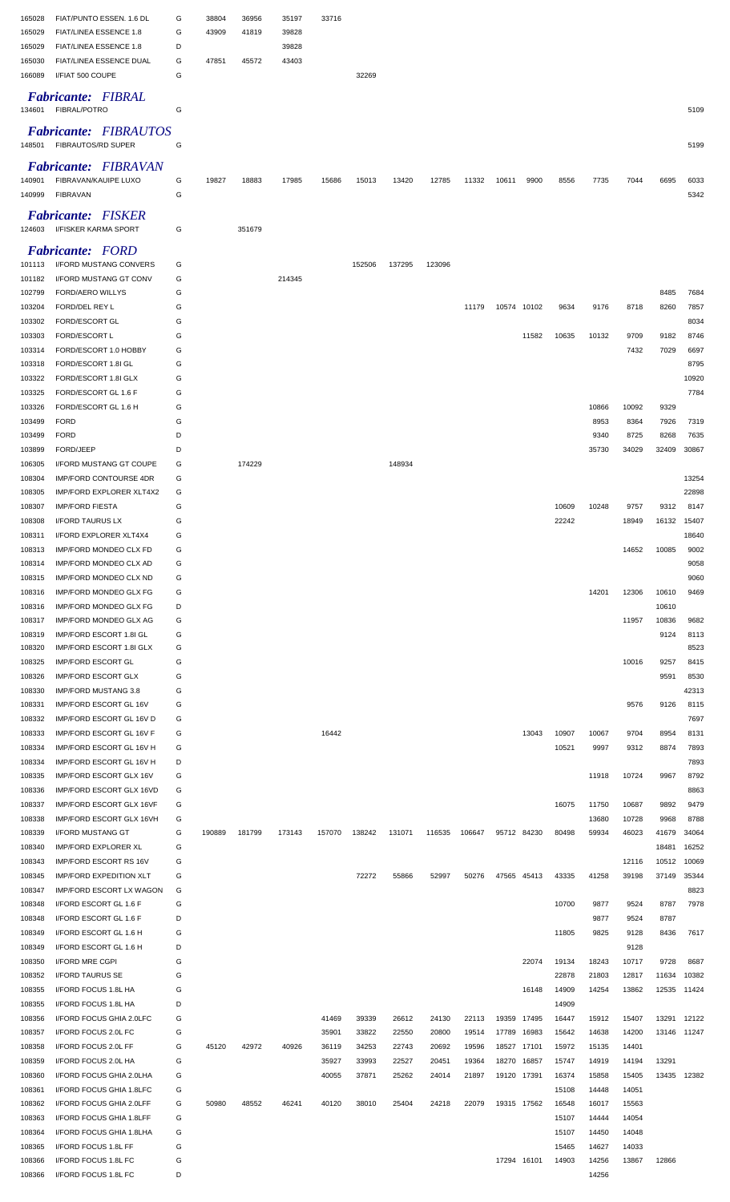| 165028 | FIAT/PUNTO ESSEN. 1.6 DL        | G | 38804  | 36956  | 35197  | 33716  |        |        |        |        |             |             |       |       |       |       |       |
|--------|---------------------------------|---|--------|--------|--------|--------|--------|--------|--------|--------|-------------|-------------|-------|-------|-------|-------|-------|
| 165029 | FIAT/LINEA ESSENCE 1.8          | G | 43909  | 41819  | 39828  |        |        |        |        |        |             |             |       |       |       |       |       |
| 165029 | <b>FIAT/LINEA ESSENCE 1.8</b>   | D |        |        | 39828  |        |        |        |        |        |             |             |       |       |       |       |       |
| 165030 | FIAT/LINEA ESSENCE DUAL         | G | 47851  | 45572  | 43403  |        |        |        |        |        |             |             |       |       |       |       |       |
| 166089 | I/FIAT 500 COUPE                | G |        |        |        |        | 32269  |        |        |        |             |             |       |       |       |       |       |
|        |                                 |   |        |        |        |        |        |        |        |        |             |             |       |       |       |       |       |
|        | <b>Fabricante: FIBRAL</b>       |   |        |        |        |        |        |        |        |        |             |             |       |       |       |       |       |
| 134601 | FIBRAL/POTRO                    | G |        |        |        |        |        |        |        |        |             |             |       |       |       |       | 5109  |
|        | <b>Fabricante: FIBRAUTOS</b>    |   |        |        |        |        |        |        |        |        |             |             |       |       |       |       |       |
| 148501 | FIBRAUTOS/RD SUPER              | G |        |        |        |        |        |        |        |        |             |             |       |       |       |       | 5199  |
|        |                                 |   |        |        |        |        |        |        |        |        |             |             |       |       |       |       |       |
|        | <b>Fabricante: FIBRAVAN</b>     |   |        |        |        |        |        |        |        |        |             |             |       |       |       |       |       |
| 140901 | FIBRAVAN/KAUIPE LUXO            | G | 19827  | 18883  | 17985  | 15686  | 15013  | 13420  | 12785  | 11332  | 10611       | 9900        | 8556  | 7735  | 7044  | 6695  | 6033  |
| 140999 | <b>FIBRAVAN</b>                 | G |        |        |        |        |        |        |        |        |             |             |       |       |       |       | 5342  |
|        | <b>Fabricante: FISKER</b>       |   |        |        |        |        |        |        |        |        |             |             |       |       |       |       |       |
| 124603 | I/FISKER KARMA SPORT            | G |        | 351679 |        |        |        |        |        |        |             |             |       |       |       |       |       |
|        |                                 |   |        |        |        |        |        |        |        |        |             |             |       |       |       |       |       |
|        | <b>Fabricante:</b> FORD         |   |        |        |        |        |        |        |        |        |             |             |       |       |       |       |       |
| 101113 | I/FORD MUSTANG CONVERS          | G |        |        |        |        | 152506 | 137295 | 123096 |        |             |             |       |       |       |       |       |
| 101182 | I/FORD MUSTANG GT CONV          | G |        |        | 214345 |        |        |        |        |        |             |             |       |       |       |       |       |
| 102799 | FORD/AERO WILLYS                | G |        |        |        |        |        |        |        |        |             |             |       |       |       | 8485  | 7684  |
| 103204 | FORD/DEL REY L                  | G |        |        |        |        |        |        |        | 11179  | 10574 10102 |             | 9634  | 9176  | 8718  | 8260  | 7857  |
| 103302 | FORD/ESCORT GL                  | G |        |        |        |        |        |        |        |        |             |             |       |       |       |       | 8034  |
| 103303 | FORD/ESCORT L                   | G |        |        |        |        |        |        |        |        |             | 11582       | 10635 | 10132 | 9709  | 9182  | 8746  |
| 103314 | FORD/ESCORT 1.0 HOBBY           | G |        |        |        |        |        |        |        |        |             |             |       |       | 7432  | 7029  | 6697  |
|        |                                 |   |        |        |        |        |        |        |        |        |             |             |       |       |       |       |       |
| 103318 | FORD/ESCORT 1.8I GL             | G |        |        |        |        |        |        |        |        |             |             |       |       |       |       | 8795  |
| 103322 | FORD/ESCORT 1.8I GLX            | G |        |        |        |        |        |        |        |        |             |             |       |       |       |       | 10920 |
| 103325 | FORD/ESCORT GL 1.6 F            | G |        |        |        |        |        |        |        |        |             |             |       |       |       |       | 7784  |
| 103326 | FORD/ESCORT GL 1.6 H            | G |        |        |        |        |        |        |        |        |             |             |       | 10866 | 10092 | 9329  |       |
| 103499 | <b>FORD</b>                     | G |        |        |        |        |        |        |        |        |             |             |       | 8953  | 8364  | 7926  | 7319  |
| 103499 | <b>FORD</b>                     | D |        |        |        |        |        |        |        |        |             |             |       | 9340  | 8725  | 8268  | 7635  |
| 103899 | FORD/JEEP                       | D |        |        |        |        |        |        |        |        |             |             |       | 35730 | 34029 | 32409 | 30867 |
| 106305 | I/FORD MUSTANG GT COUPE         | G |        | 174229 |        |        |        | 148934 |        |        |             |             |       |       |       |       |       |
| 108304 | IMP/FORD CONTOURSE 4DR          | G |        |        |        |        |        |        |        |        |             |             |       |       |       |       | 13254 |
| 108305 | IMP/FORD EXPLORER XLT4X2        | G |        |        |        |        |        |        |        |        |             |             |       |       |       |       | 22898 |
| 108307 | <b>IMP/FORD FIESTA</b>          | G |        |        |        |        |        |        |        |        |             |             | 10609 | 10248 | 9757  | 9312  | 8147  |
| 108308 | I/FORD TAURUS LX                | G |        |        |        |        |        |        |        |        |             |             | 22242 |       | 18949 | 16132 | 15407 |
| 108311 | I/FORD EXPLORER XLT4X4          | G |        |        |        |        |        |        |        |        |             |             |       |       |       |       | 18640 |
| 108313 | IMP/FORD MONDEO CLX FD          | G |        |        |        |        |        |        |        |        |             |             |       |       | 14652 | 10085 | 9002  |
|        |                                 |   |        |        |        |        |        |        |        |        |             |             |       |       |       |       |       |
| 108314 | <b>IMP/FORD MONDEO CLX AD</b>   | G |        |        |        |        |        |        |        |        |             |             |       |       |       |       | 9058  |
| 108315 | <b>IMP/FORD MONDEO CLX ND</b>   | G |        |        |        |        |        |        |        |        |             |             |       |       |       |       | 9060  |
| 108316 | IMP/FORD MONDEO GLX FG          | G |        |        |        |        |        |        |        |        |             |             |       | 14201 | 12306 | 10610 | 9469  |
| 108316 | IMP/FORD MONDEO GLX FG          | D |        |        |        |        |        |        |        |        |             |             |       |       |       | 10610 |       |
| 108317 | IMP/FORD MONDEO GLX AG          | G |        |        |        |        |        |        |        |        |             |             |       |       | 11957 | 10836 | 9682  |
| 108319 | IMP/FORD ESCORT 1.8I GL         | G |        |        |        |        |        |        |        |        |             |             |       |       |       | 9124  | 8113  |
| 108320 | IMP/FORD ESCORT 1.8I GLX        | G |        |        |        |        |        |        |        |        |             |             |       |       |       |       | 8523  |
| 108325 | <b>IMP/FORD ESCORT GL</b>       | G |        |        |        |        |        |        |        |        |             |             |       |       | 10016 | 9257  | 8415  |
| 108326 | <b>IMP/FORD ESCORT GLX</b>      | G |        |        |        |        |        |        |        |        |             |             |       |       |       | 9591  | 8530  |
| 108330 | <b>IMP/FORD MUSTANG 3.8</b>     | G |        |        |        |        |        |        |        |        |             |             |       |       |       |       | 42313 |
| 108331 | IMP/FORD ESCORT GL 16V          | G |        |        |        |        |        |        |        |        |             |             |       |       | 9576  | 9126  | 8115  |
| 108332 | IMP/FORD ESCORT GL 16V D        | G |        |        |        |        |        |        |        |        |             |             |       |       |       |       | 7697  |
| 108333 | IMP/FORD ESCORT GL 16V F        | G |        |        |        | 16442  |        |        |        |        |             | 13043       | 10907 | 10067 | 9704  | 8954  | 8131  |
| 108334 | IMP/FORD ESCORT GL 16V H        | G |        |        |        |        |        |        |        |        |             |             | 10521 | 9997  | 9312  | 8874  | 7893  |
| 108334 | IMP/FORD ESCORT GL 16V H        | D |        |        |        |        |        |        |        |        |             |             |       |       |       |       | 7893  |
| 108335 | IMP/FORD ESCORT GLX 16V         | G |        |        |        |        |        |        |        |        |             |             |       | 11918 | 10724 | 9967  | 8792  |
| 108336 | IMP/FORD ESCORT GLX 16VD        | G |        |        |        |        |        |        |        |        |             |             |       |       |       |       | 8863  |
|        |                                 |   |        |        |        |        |        |        |        |        |             |             |       |       |       |       |       |
| 108337 | IMP/FORD ESCORT GLX 16VF        | G |        |        |        |        |        |        |        |        |             |             | 16075 | 11750 | 10687 | 9892  | 9479  |
| 108338 | IMP/FORD ESCORT GLX 16VH        | G |        |        |        |        |        |        |        |        |             |             |       | 13680 | 10728 | 9968  | 8788  |
| 108339 | I/FORD MUSTANG GT               | G | 190889 | 181799 | 173143 | 157070 | 138242 | 131071 | 116535 | 106647 | 95712 84230 |             | 80498 | 59934 | 46023 | 41679 | 34064 |
| 108340 | IMP/FORD EXPLORER XL            | G |        |        |        |        |        |        |        |        |             |             |       |       |       | 18481 | 16252 |
| 108343 | IMP/FORD ESCORT RS 16V          | G |        |        |        |        |        |        |        |        |             |             |       |       | 12116 | 10512 | 10069 |
| 108345 | <b>IMP/FORD EXPEDITION XLT</b>  | G |        |        |        |        | 72272  | 55866  | 52997  | 50276  | 47565 45413 |             | 43335 | 41258 | 39198 | 37149 | 35344 |
| 108347 | <b>IMP/FORD ESCORT LX WAGON</b> | G |        |        |        |        |        |        |        |        |             |             |       |       |       |       | 8823  |
| 108348 | I/FORD ESCORT GL 1.6 F          | G |        |        |        |        |        |        |        |        |             |             | 10700 | 9877  | 9524  | 8787  | 7978  |
| 108348 | I/FORD ESCORT GL 1.6 F          | D |        |        |        |        |        |        |        |        |             |             |       | 9877  | 9524  | 8787  |       |
| 108349 | I/FORD ESCORT GL 1.6 H          | G |        |        |        |        |        |        |        |        |             |             | 11805 | 9825  | 9128  | 8436  | 7617  |
| 108349 | I/FORD ESCORT GL 1.6 H          | D |        |        |        |        |        |        |        |        |             |             |       |       | 9128  |       |       |
| 108350 | I/FORD MRE CGPI                 | G |        |        |        |        |        |        |        |        |             | 22074       | 19134 | 18243 | 10717 | 9728  | 8687  |
| 108352 | <b>I/FORD TAURUS SE</b>         | G |        |        |        |        |        |        |        |        |             |             | 22878 | 21803 | 12817 | 11634 | 10382 |
| 108355 | <b>I/FORD FOCUS 1.8L HA</b>     | G |        |        |        |        |        |        |        |        |             | 16148       | 14909 | 14254 | 13862 | 12535 | 11424 |
| 108355 | I/FORD FOCUS 1.8L HA            | D |        |        |        |        |        |        |        |        |             |             | 14909 |       |       |       |       |
|        |                                 |   |        |        |        |        |        |        |        |        |             |             |       |       |       |       |       |
| 108356 | I/FORD FOCUS GHIA 2.0LFC        | G |        |        |        | 41469  | 39339  | 26612  | 24130  | 22113  | 19359       | 17495       | 16447 | 15912 | 15407 | 13291 | 12122 |
| 108357 | I/FORD FOCUS 2.0L FC            | G |        |        |        | 35901  | 33822  | 22550  | 20800  | 19514  | 17789       | 16983       | 15642 | 14638 | 14200 | 13146 | 11247 |
| 108358 | I/FORD FOCUS 2.0L FF            | G | 45120  | 42972  | 40926  | 36119  | 34253  | 22743  | 20692  | 19596  |             | 18527 17101 | 15972 | 15135 | 14401 |       |       |
| 108359 | I/FORD FOCUS 2.0L HA            | G |        |        |        | 35927  | 33993  | 22527  | 20451  | 19364  | 18270       | 16857       | 15747 | 14919 | 14194 | 13291 |       |
| 108360 | I/FORD FOCUS GHIA 2.0LHA        | G |        |        |        | 40055  | 37871  | 25262  | 24014  | 21897  | 19120 17391 |             | 16374 | 15858 | 15405 | 13435 | 12382 |
| 108361 | I/FORD FOCUS GHIA 1.8LFC        | G |        |        |        |        |        |        |        |        |             |             | 15108 | 14448 | 14051 |       |       |
| 108362 | <b>I/FORD FOCUS GHIA 2.0LFF</b> | G | 50980  | 48552  | 46241  | 40120  | 38010  | 25404  | 24218  | 22079  | 19315 17562 |             | 16548 | 16017 | 15563 |       |       |
| 108363 | I/FORD FOCUS GHIA 1.8LFF        | G |        |        |        |        |        |        |        |        |             |             | 15107 | 14444 | 14054 |       |       |
| 108364 | I/FORD FOCUS GHIA 1.8LHA        | G |        |        |        |        |        |        |        |        |             |             | 15107 | 14450 | 14048 |       |       |
| 108365 | I/FORD FOCUS 1.8L FF            | G |        |        |        |        |        |        |        |        |             |             | 15465 | 14627 | 14033 |       |       |
| 108366 | I/FORD FOCUS 1.8L FC            | G |        |        |        |        |        |        |        |        |             | 17294 16101 | 14903 | 14256 | 13867 | 12866 |       |
| 108366 | I/FORD FOCUS 1.8L FC            | D |        |        |        |        |        |        |        |        |             |             |       | 14256 |       |       |       |
|        |                                 |   |        |        |        |        |        |        |        |        |             |             |       |       |       |       |       |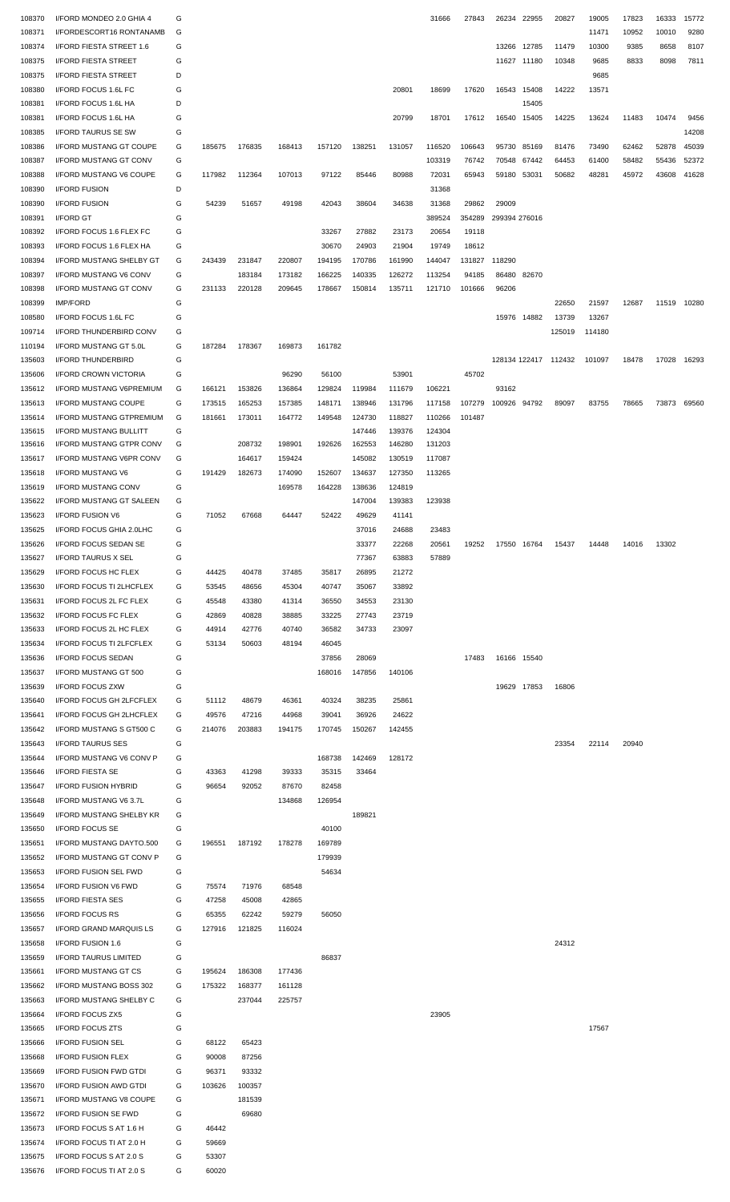| 108370 | I/FORD MONDEO 2.0 GHIA 4        | G |        |        |        |        |        |        | 31666  | 27843  |               | 26234 22955  | 20827                         | 19005  | 17823 | 16333       | 15772 |
|--------|---------------------------------|---|--------|--------|--------|--------|--------|--------|--------|--------|---------------|--------------|-------------------------------|--------|-------|-------------|-------|
| 108371 | I/FORDESCORT16 RONTANAMB        | G |        |        |        |        |        |        |        |        |               |              |                               | 11471  | 10952 | 10010       | 9280  |
| 108374 | I/FORD FIESTA STREET 1.6        | G |        |        |        |        |        |        |        |        |               | 13266 12785  | 11479                         | 10300  | 9385  | 8658        | 8107  |
| 108375 | I/FORD FIESTA STREET            | G |        |        |        |        |        |        |        |        |               | 11627 11180  | 10348                         | 9685   | 8833  | 8098        | 7811  |
| 108375 | <b>I/FORD FIESTA STREET</b>     | D |        |        |        |        |        |        |        |        |               |              |                               | 9685   |       |             |       |
| 108380 | I/FORD FOCUS 1.6L FC            | G |        |        |        |        |        | 20801  | 18699  | 17620  |               | 16543 15408  | 14222                         | 13571  |       |             |       |
| 108381 | I/FORD FOCUS 1.6L HA            | D |        |        |        |        |        |        |        |        |               | 15405        |                               |        |       |             |       |
| 108381 | I/FORD FOCUS 1.6L HA            | G |        |        |        |        |        | 20799  | 18701  | 17612  |               | 16540 15405  | 14225                         | 13624  | 11483 | 10474       | 9456  |
| 108385 | I/FORD TAURUS SE SW             | G |        |        |        |        |        |        |        |        |               |              |                               |        |       |             | 14208 |
| 108386 | I/FORD MUSTANG GT COUPE         | G | 185675 | 176835 | 168413 | 157120 | 138251 | 131057 | 116520 | 106643 |               | 95730 85169  | 81476                         | 73490  | 62462 | 52878       | 45039 |
| 108387 | I/FORD MUSTANG GT CONV          | G |        |        |        |        |        |        | 103319 | 76742  |               | 70548 67442  | 64453                         | 61400  | 58482 | 55436       | 52372 |
| 108388 | I/FORD MUSTANG V6 COUPE         | G | 117982 | 112364 | 107013 | 97122  | 85446  | 80988  | 72031  | 65943  |               | 59180 53031  | 50682                         | 48281  | 45972 | 43608       | 41628 |
| 108390 | <b>I/FORD FUSION</b>            | D |        |        |        |        |        |        | 31368  |        |               |              |                               |        |       |             |       |
| 108390 | <b>I/FORD FUSION</b>            | G | 54239  | 51657  | 49198  | 42043  | 38604  | 34638  | 31368  | 29862  | 29009         |              |                               |        |       |             |       |
|        |                                 | G |        |        |        |        |        |        |        |        |               |              |                               |        |       |             |       |
| 108391 | I/FORD GT                       |   |        |        |        |        |        |        | 389524 | 354289 | 299394 276016 |              |                               |        |       |             |       |
| 108392 | I/FORD FOCUS 1.6 FLEX FC        | G |        |        |        | 33267  | 27882  | 23173  | 20654  | 19118  |               |              |                               |        |       |             |       |
| 108393 | I/FORD FOCUS 1.6 FLEX HA        | G |        |        |        | 30670  | 24903  | 21904  | 19749  | 18612  |               |              |                               |        |       |             |       |
| 108394 | I/FORD MUSTANG SHELBY GT        | G | 243439 | 231847 | 220807 | 194195 | 170786 | 161990 | 144047 | 131827 | 118290        |              |                               |        |       |             |       |
| 108397 | I/FORD MUSTANG V6 CONV          | G |        | 183184 | 173182 | 166225 | 140335 | 126272 | 113254 | 94185  |               | 86480 82670  |                               |        |       |             |       |
| 108398 | I/FORD MUSTANG GT CONV          | G | 231133 | 220128 | 209645 | 178667 | 150814 | 135711 | 121710 | 101666 | 96206         |              |                               |        |       |             |       |
| 108399 | <b>IMP/FORD</b>                 | G |        |        |        |        |        |        |        |        |               |              | 22650                         | 21597  | 12687 | 11519 10280 |       |
| 108580 | I/FORD FOCUS 1.6L FC            | G |        |        |        |        |        |        |        |        |               | 15976 14882  | 13739                         | 13267  |       |             |       |
| 109714 | I/FORD THUNDERBIRD CONV         | G |        |        |        |        |        |        |        |        |               |              | 125019                        | 114180 |       |             |       |
| 110194 | I/FORD MUSTANG GT 5.0L          | G | 187284 | 178367 | 169873 | 161782 |        |        |        |        |               |              |                               |        |       |             |       |
| 135603 | I/FORD THUNDERBIRD              | G |        |        |        |        |        |        |        |        |               |              | 128134 122417 112432          | 101097 | 18478 | 17028       | 16293 |
| 135606 | <b>I/FORD CROWN VICTORIA</b>    | G |        |        | 96290  | 56100  |        | 53901  |        | 45702  |               |              |                               |        |       |             |       |
|        |                                 | G |        | 153826 |        | 129824 | 119984 |        | 106221 |        | 93162         |              |                               |        |       |             |       |
| 135612 | I/FORD MUSTANG V6PREMIUM        |   | 166121 |        | 136864 |        |        | 111679 |        |        |               |              |                               |        |       |             |       |
| 135613 | <b>I/FORD MUSTANG COUPE</b>     | G | 173515 | 165253 | 157385 | 148171 | 138946 | 131796 | 117158 | 107279 |               | 100926 94792 | 89097                         | 83755  | 78665 | 73873       | 69560 |
| 135614 | I/FORD MUSTANG GTPREMIUM        | G | 181661 | 173011 | 164772 | 149548 | 124730 | 118827 | 110266 | 101487 |               |              |                               |        |       |             |       |
| 135615 | <b>I/FORD MUSTANG BULLITT</b>   | G |        |        |        |        | 147446 | 139376 | 124304 |        |               |              |                               |        |       |             |       |
| 135616 | <b>I/FORD MUSTANG GTPR CONV</b> | G |        | 208732 | 198901 | 192626 | 162553 | 146280 | 131203 |        |               |              |                               |        |       |             |       |
| 135617 | I/FORD MUSTANG V6PR CONV        | G |        | 164617 | 159424 |        | 145082 | 130519 | 117087 |        |               |              |                               |        |       |             |       |
| 135618 | <b>I/FORD MUSTANG V6</b>        | G | 191429 | 182673 | 174090 | 152607 | 134637 | 127350 | 113265 |        |               |              |                               |        |       |             |       |
| 135619 | I/FORD MUSTANG CONV             | G |        |        | 169578 | 164228 | 138636 | 124819 |        |        |               |              |                               |        |       |             |       |
| 135622 | I/FORD MUSTANG GT SALEEN        | G |        |        |        |        | 147004 | 139383 | 123938 |        |               |              |                               |        |       |             |       |
| 135623 | I/FORD FUSION V6                | G | 71052  | 67668  | 64447  | 52422  | 49629  | 41141  |        |        |               |              |                               |        |       |             |       |
| 135625 | I/FORD FOCUS GHIA 2.0LHC        | G |        |        |        |        | 37016  | 24688  | 23483  |        |               |              |                               |        |       |             |       |
| 135626 | I/FORD FOCUS SEDAN SE           | G |        |        |        |        | 33377  | 22268  | 20561  |        |               |              | 19252 17550 16764 15437 14448 |        | 14016 | 13302       |       |
| 135627 | <b>I/FORD TAURUS X SEL</b>      | G |        |        |        |        | 77367  | 63883  | 57889  |        |               |              |                               |        |       |             |       |
| 135629 | I/FORD FOCUS HC FLEX            | G | 44425  | 40478  | 37485  | 35817  | 26895  | 21272  |        |        |               |              |                               |        |       |             |       |
| 135630 |                                 | G | 53545  | 48656  | 45304  | 40747  | 35067  | 33892  |        |        |               |              |                               |        |       |             |       |
|        | I/FORD FOCUS TI 2LHCFLEX        |   |        |        |        |        |        |        |        |        |               |              |                               |        |       |             |       |
| 135631 | I/FORD FOCUS 2L FC FLEX         | G | 45548  | 43380  | 41314  | 36550  | 34553  | 23130  |        |        |               |              |                               |        |       |             |       |
| 135632 | I/FORD FOCUS FC FLEX            | G | 42869  | 40828  | 38885  | 33225  | 27743  | 23719  |        |        |               |              |                               |        |       |             |       |
| 135633 | I/FORD FOCUS 2L HC FLEX         | G | 44914  | 42776  | 40740  | 36582  | 34733  | 23097  |        |        |               |              |                               |        |       |             |       |
| 135634 | I/FORD FOCUS TI 2LFCFLEX        | G | 53134  | 50603  | 48194  | 46045  |        |        |        |        |               |              |                               |        |       |             |       |
| 135636 | I/FORD FOCUS SEDAN              | G |        |        |        | 37856  | 28069  |        |        | 17483  |               | 16166 15540  |                               |        |       |             |       |
| 135637 | I/FORD MUSTANG GT 500           | G |        |        |        | 168016 | 147856 | 140106 |        |        |               |              |                               |        |       |             |       |
| 135639 | I/FORD FOCUS ZXW                | G |        |        |        |        |        |        |        |        |               | 19629 17853  | 16806                         |        |       |             |       |
| 135640 | I/FORD FOCUS GH 2LFCFLEX        | G | 51112  | 48679  | 46361  | 40324  | 38235  | 25861  |        |        |               |              |                               |        |       |             |       |
| 135641 | I/FORD FOCUS GH 2LHCFLEX        | G | 49576  | 47216  | 44968  | 39041  | 36926  | 24622  |        |        |               |              |                               |        |       |             |       |
| 135642 | I/FORD MUSTANG S GT500 C        | G | 214076 | 203883 | 194175 | 170745 | 150267 | 142455 |        |        |               |              |                               |        |       |             |       |
| 135643 | I/FORD TAURUS SES               | G |        |        |        |        |        |        |        |        |               |              | 23354                         | 22114  | 20940 |             |       |
| 135644 | I/FORD MUSTANG V6 CONV P        | G |        |        |        | 168738 | 142469 | 128172 |        |        |               |              |                               |        |       |             |       |
| 135646 | I/FORD FIESTA SE                | G | 43363  | 41298  | 39333  | 35315  | 33464  |        |        |        |               |              |                               |        |       |             |       |
|        |                                 |   |        |        |        |        |        |        |        |        |               |              |                               |        |       |             |       |
| 135647 | I/FORD FUSION HYBRID            | G | 96654  | 92052  | 87670  | 82458  |        |        |        |        |               |              |                               |        |       |             |       |
| 135648 | I/FORD MUSTANG V6 3.7L          | G |        |        | 134868 | 126954 |        |        |        |        |               |              |                               |        |       |             |       |
| 135649 | I/FORD MUSTANG SHELBY KR        | G |        |        |        |        | 189821 |        |        |        |               |              |                               |        |       |             |       |
| 135650 | I/FORD FOCUS SE                 | G |        |        |        | 40100  |        |        |        |        |               |              |                               |        |       |             |       |
| 135651 | I/FORD MUSTANG DAYTO.500        | G | 196551 | 187192 | 178278 | 169789 |        |        |        |        |               |              |                               |        |       |             |       |
| 135652 | I/FORD MUSTANG GT CONV P        | G |        |        |        | 179939 |        |        |        |        |               |              |                               |        |       |             |       |
| 135653 | I/FORD FUSION SEL FWD           | G |        |        |        | 54634  |        |        |        |        |               |              |                               |        |       |             |       |
| 135654 | I/FORD FUSION V6 FWD            | G | 75574  | 71976  | 68548  |        |        |        |        |        |               |              |                               |        |       |             |       |
| 135655 | <b>I/FORD FIESTA SES</b>        | G | 47258  | 45008  | 42865  |        |        |        |        |        |               |              |                               |        |       |             |       |
| 135656 | <b>I/FORD FOCUS RS</b>          | G | 65355  | 62242  | 59279  | 56050  |        |        |        |        |               |              |                               |        |       |             |       |
| 135657 | I/FORD GRAND MARQUIS LS         | G | 127916 | 121825 | 116024 |        |        |        |        |        |               |              |                               |        |       |             |       |
| 135658 | I/FORD FUSION 1.6               | G |        |        |        |        |        |        |        |        |               |              | 24312                         |        |       |             |       |
| 135659 | I/FORD TAURUS LIMITED           | G |        |        |        | 86837  |        |        |        |        |               |              |                               |        |       |             |       |
| 135661 | <b>I/FORD MUSTANG GT CS</b>     | G | 195624 | 186308 | 177436 |        |        |        |        |        |               |              |                               |        |       |             |       |
|        |                                 |   |        |        |        |        |        |        |        |        |               |              |                               |        |       |             |       |
| 135662 | <b>I/FORD MUSTANG BOSS 302</b>  | G | 175322 | 168377 | 161128 |        |        |        |        |        |               |              |                               |        |       |             |       |
| 135663 | I/FORD MUSTANG SHELBY C         | G |        | 237044 | 225757 |        |        |        |        |        |               |              |                               |        |       |             |       |
| 135664 | I/FORD FOCUS ZX5                | G |        |        |        |        |        |        | 23905  |        |               |              |                               |        |       |             |       |
| 135665 | I/FORD FOCUS ZTS                | G |        |        |        |        |        |        |        |        |               |              |                               | 17567  |       |             |       |
| 135666 | I/FORD FUSION SEL               | G | 68122  | 65423  |        |        |        |        |        |        |               |              |                               |        |       |             |       |
| 135668 | I/FORD FUSION FLEX              | G | 90008  | 87256  |        |        |        |        |        |        |               |              |                               |        |       |             |       |
| 135669 | I/FORD FUSION FWD GTDI          | G | 96371  | 93332  |        |        |        |        |        |        |               |              |                               |        |       |             |       |
| 135670 | I/FORD FUSION AWD GTDI          | G | 103626 | 100357 |        |        |        |        |        |        |               |              |                               |        |       |             |       |
| 135671 | I/FORD MUSTANG V8 COUPE         | G |        | 181539 |        |        |        |        |        |        |               |              |                               |        |       |             |       |
| 135672 | I/FORD FUSION SE FWD            | G |        | 69680  |        |        |        |        |        |        |               |              |                               |        |       |             |       |
| 135673 | I/FORD FOCUS S AT 1.6 H         | G | 46442  |        |        |        |        |        |        |        |               |              |                               |        |       |             |       |
| 135674 | I/FORD FOCUS TI AT 2.0 H        | G | 59669  |        |        |        |        |        |        |        |               |              |                               |        |       |             |       |
| 135675 | I/FORD FOCUS S AT 2.0 S         | G | 53307  |        |        |        |        |        |        |        |               |              |                               |        |       |             |       |
| 135676 | I/FORD FOCUS TI AT 2.0 S        | G | 60020  |        |        |        |        |        |        |        |               |              |                               |        |       |             |       |
|        |                                 |   |        |        |        |        |        |        |        |        |               |              |                               |        |       |             |       |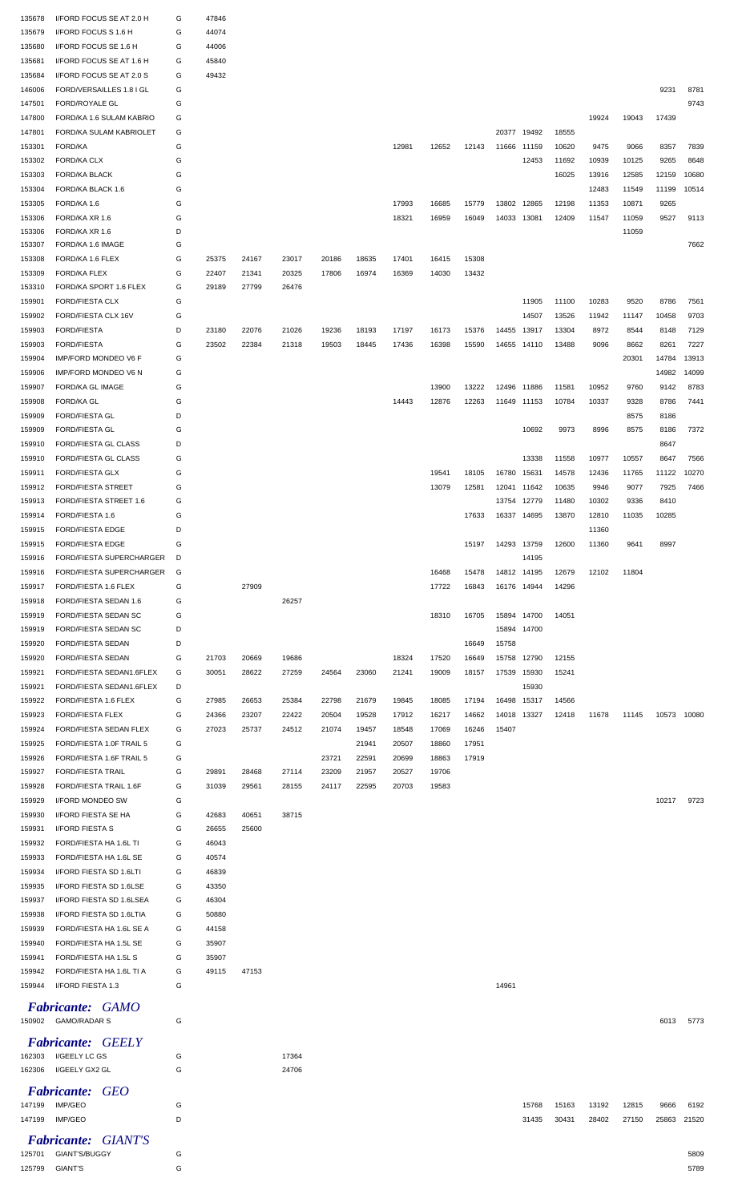| 135678           | I/FORD FOCUS SE AT 2.0 H                             | G      | 47846          |       |       |       |                |                |                |                |                |                      |                |               |               |               |               |
|------------------|------------------------------------------------------|--------|----------------|-------|-------|-------|----------------|----------------|----------------|----------------|----------------|----------------------|----------------|---------------|---------------|---------------|---------------|
| 135679           | I/FORD FOCUS S 1.6 H                                 | G      | 44074          |       |       |       |                |                |                |                |                |                      |                |               |               |               |               |
| 135680           | I/FORD FOCUS SE 1.6 H                                | G      | 44006          |       |       |       |                |                |                |                |                |                      |                |               |               |               |               |
| 135681<br>135684 | I/FORD FOCUS SE AT 1.6 H<br>I/FORD FOCUS SE AT 2.0 S | G<br>G | 45840<br>49432 |       |       |       |                |                |                |                |                |                      |                |               |               |               |               |
| 146006           | FORD/VERSAILLES 1.8 I GL                             | G      |                |       |       |       |                |                |                |                |                |                      |                |               |               | 9231          | 8781          |
| 147501           | FORD/ROYALE GL                                       | G      |                |       |       |       |                |                |                |                |                |                      |                |               |               |               | 9743          |
| 147800           | FORD/KA 1.6 SULAM KABRIO                             | G      |                |       |       |       |                |                |                |                |                |                      |                | 19924         | 19043         | 17439         |               |
| 147801           | FORD/KA SULAM KABRIOLET                              | G      |                |       |       |       |                |                |                |                |                | 20377 19492          | 18555          |               |               |               |               |
| 153301<br>153302 | <b>FORD/KA</b><br>FORD/KA CLX                        | G<br>G |                |       |       |       |                | 12981          | 12652          | 12143          | 11666 11159    | 12453                | 10620<br>11692 | 9475<br>10939 | 9066<br>10125 | 8357<br>9265  | 7839<br>8648  |
| 153303           | FORD/KA BLACK                                        | G      |                |       |       |       |                |                |                |                |                |                      | 16025          | 13916         | 12585         | 12159         | 10680         |
| 153304           | FORD/KA BLACK 1.6                                    | G      |                |       |       |       |                |                |                |                |                |                      |                | 12483         | 11549         | 11199         | 10514         |
| 153305           | FORD/KA 1.6                                          | G      |                |       |       |       |                | 17993          | 16685          | 15779          | 13802          | 12865                | 12198          | 11353         | 10871         | 9265          |               |
| 153306           | FORD/KA XR 1.6                                       | G      |                |       |       |       |                | 18321          | 16959          | 16049          | 14033 13081    |                      | 12409          | 11547         | 11059         | 9527          | 9113          |
| 153306           | FORD/KA XR 1.6                                       | D      |                |       |       |       |                |                |                |                |                |                      |                |               | 11059         |               |               |
| 153307<br>153308 | FORD/KA 1.6 IMAGE<br>FORD/KA 1.6 FLEX                | G<br>G | 25375          | 24167 | 23017 | 20186 | 18635          | 17401          | 16415          | 15308          |                |                      |                |               |               |               | 7662          |
| 153309           | FORD/KA FLEX                                         | G      | 22407          | 21341 | 20325 | 17806 | 16974          | 16369          | 14030          | 13432          |                |                      |                |               |               |               |               |
| 153310           | FORD/KA SPORT 1.6 FLEX                               | G      | 29189          | 27799 | 26476 |       |                |                |                |                |                |                      |                |               |               |               |               |
| 159901           | <b>FORD/FIESTA CLX</b>                               | G      |                |       |       |       |                |                |                |                |                | 11905                | 11100          | 10283         | 9520          | 8786          | 7561          |
| 159902           | FORD/FIESTA CLX 16V                                  | G      |                |       |       |       |                |                |                |                |                | 14507                | 13526          | 11942         | 11147         | 10458         | 9703          |
| 159903           | <b>FORD/FIESTA</b>                                   | D      | 23180          | 22076 | 21026 | 19236 | 18193          | 17197          | 16173          | 15376          | 14455          | 13917                | 13304          | 8972          | 8544          | 8148          | 7129          |
| 159903<br>159904 | <b>FORD/FIESTA</b><br>IMP/FORD MONDEO V6 F           | G<br>G | 23502          | 22384 | 21318 | 19503 | 18445          | 17436          | 16398          | 15590          |                | 14655 14110          | 13488          | 9096          | 8662<br>20301 | 8261<br>14784 | 7227<br>13913 |
| 159906           | IMP/FORD MONDEO V6 N                                 | G      |                |       |       |       |                |                |                |                |                |                      |                |               |               | 14982         | 14099         |
| 159907           | FORD/KA GL IMAGE                                     | G      |                |       |       |       |                |                | 13900          | 13222          |                | 12496 11886          | 11581          | 10952         | 9760          | 9142          | 8783          |
| 159908           | <b>FORD/KA GL</b>                                    | G      |                |       |       |       |                | 14443          | 12876          | 12263          | 11649 11153    |                      | 10784          | 10337         | 9328          | 8786          | 7441          |
| 159909           | <b>FORD/FIESTA GL</b>                                | D      |                |       |       |       |                |                |                |                |                |                      |                |               | 8575          | 8186          |               |
| 159909           | <b>FORD/FIESTA GL</b>                                | G      |                |       |       |       |                |                |                |                |                | 10692                | 9973           | 8996          | 8575          | 8186          | 7372          |
| 159910<br>159910 | FORD/FIESTA GL CLASS<br>FORD/FIESTA GL CLASS         | D<br>G |                |       |       |       |                |                |                |                |                | 13338                | 11558          | 10977         | 10557         | 8647<br>8647  | 7566          |
| 159911           | <b>FORD/FIESTA GLX</b>                               | G      |                |       |       |       |                |                | 19541          | 18105          | 16780          | 15631                | 14578          | 12436         | 11765         | 11122         | 10270         |
| 159912           | <b>FORD/FIESTA STREET</b>                            | G      |                |       |       |       |                |                | 13079          | 12581          | 12041          | 11642                | 10635          | 9946          | 9077          | 7925          | 7466          |
| 159913           | FORD/FIESTA STREET 1.6                               | G      |                |       |       |       |                |                |                |                | 13754          | 12779                | 11480          | 10302         | 9336          | 8410          |               |
| 159914           | FORD/FIESTA 1.6                                      | G      |                |       |       |       |                |                |                | 17633          |                | 16337 14695          | 13870          | 12810         | 11035         | 10285         |               |
| 159915           | <b>FORD/FIESTA EDGE</b><br><b>FORD/FIESTA EDGE</b>   | D<br>G |                |       |       |       |                |                |                |                |                |                      |                | 11360         |               |               |               |
| 159915<br>159916 | FORD/FIESTA SUPERCHARGER                             | D      |                |       |       |       |                |                |                | 15197          |                | 14293 13759<br>14195 | 12600          | 11360         | 9641          | 8997          |               |
| 159916           | FORD/FIESTA SUPERCHARGER                             | G      |                |       |       |       |                |                | 16468          | 15478          |                | 14812 14195          | 12679          | 12102         | 11804         |               |               |
| 159917           | FORD/FIESTA 1.6 FLEX                                 | G      |                | 27909 |       |       |                |                | 17722          | 16843          | 16176          | 14944                | 14296          |               |               |               |               |
| 159918           | FORD/FIESTA SEDAN 1.6                                | G      |                |       | 26257 |       |                |                |                |                |                |                      |                |               |               |               |               |
| 159919           | FORD/FIESTA SEDAN SC                                 | G      |                |       |       |       |                |                | 18310          | 16705          |                | 15894 14700          | 14051          |               |               |               |               |
| 159919           | FORD/FIESTA SEDAN SC                                 | D<br>D |                |       |       |       |                |                |                |                | 15894          | 14700                |                |               |               |               |               |
| 159920<br>159920 | FORD/FIESTA SEDAN<br><b>FORD/FIESTA SEDAN</b>        | G      | 21703          | 20669 | 19686 |       |                | 18324          | 17520          | 16649<br>16649 | 15758<br>15758 | 12790                | 12155          |               |               |               |               |
| 159921           | FORD/FIESTA SEDAN1.6FLEX                             | G      | 30051          | 28622 | 27259 | 24564 | 23060          | 21241          | 19009          | 18157          | 17539          | 15930                | 15241          |               |               |               |               |
| 159921           | FORD/FIESTA SEDAN1.6FLEX                             | D      |                |       |       |       |                |                |                |                |                | 15930                |                |               |               |               |               |
| 159922           | FORD/FIESTA 1.6 FLEX                                 | G      | 27985          | 26653 | 25384 | 22798 | 21679          | 19845          | 18085          | 17194          | 16498          | 15317                | 14566          |               |               |               |               |
| 159923           | <b>FORD/FIESTA FLEX</b>                              | G      | 24366          | 23207 | 22422 | 20504 | 19528          | 17912          | 16217          | 14662          | 14018          | 13327                | 12418          | 11678         | 11145         | 10573         | 10080         |
| 159924<br>159925 | FORD/FIESTA SEDAN FLEX<br>FORD/FIESTA 1.0F TRAIL 5   | G<br>G | 27023          | 25737 | 24512 | 21074 | 19457<br>21941 | 18548<br>20507 | 17069<br>18860 | 16246<br>17951 | 15407          |                      |                |               |               |               |               |
| 159926           | FORD/FIESTA 1.6F TRAIL 5                             | G      |                |       |       | 23721 | 22591          | 20699          | 18863          | 17919          |                |                      |                |               |               |               |               |
| 159927           | <b>FORD/FIESTA TRAIL</b>                             | G      | 29891          | 28468 | 27114 | 23209 | 21957          | 20527          | 19706          |                |                |                      |                |               |               |               |               |
| 159928           | FORD/FIESTA TRAIL 1.6F                               | G      | 31039          | 29561 | 28155 | 24117 | 22595          | 20703          | 19583          |                |                |                      |                |               |               |               |               |
| 159929           | I/FORD MONDEO SW                                     | G      |                |       |       |       |                |                |                |                |                |                      |                |               |               | 10217         | 9723          |
| 159930           | I/FORD FIESTA SE HA                                  | G      | 42683          | 40651 | 38715 |       |                |                |                |                |                |                      |                |               |               |               |               |
| 159931<br>159932 | <b>I/FORD FIESTA S</b><br>FORD/FIESTA HA 1.6L TI     | G<br>G | 26655<br>46043 | 25600 |       |       |                |                |                |                |                |                      |                |               |               |               |               |
| 159933           | FORD/FIESTA HA 1.6L SE                               | G      | 40574          |       |       |       |                |                |                |                |                |                      |                |               |               |               |               |
| 159934           | I/FORD FIESTA SD 1.6LTI                              | G      | 46839          |       |       |       |                |                |                |                |                |                      |                |               |               |               |               |
| 159935           | I/FORD FIESTA SD 1.6LSE                              | G      | 43350          |       |       |       |                |                |                |                |                |                      |                |               |               |               |               |
| 159937           | I/FORD FIESTA SD 1.6LSEA                             | G      | 46304          |       |       |       |                |                |                |                |                |                      |                |               |               |               |               |
| 159938           | I/FORD FIESTA SD 1.6LTIA<br>FORD/FIESTA HA 1.6L SE A | G<br>G | 50880<br>44158 |       |       |       |                |                |                |                |                |                      |                |               |               |               |               |
| 159939<br>159940 | FORD/FIESTA HA 1.5L SE                               | G      | 35907          |       |       |       |                |                |                |                |                |                      |                |               |               |               |               |
| 159941           | FORD/FIESTA HA 1.5L S                                | G      | 35907          |       |       |       |                |                |                |                |                |                      |                |               |               |               |               |
| 159942           | FORD/FIESTA HA 1.6L TI A                             | G      | 49115          | 47153 |       |       |                |                |                |                |                |                      |                |               |               |               |               |
| 159944           | I/FORD FIESTA 1.3                                    | G      |                |       |       |       |                |                |                |                | 14961          |                      |                |               |               |               |               |
|                  | <b>Fabricante: GAMO</b>                              |        |                |       |       |       |                |                |                |                |                |                      |                |               |               |               |               |
|                  | 150902 GAMO/RADAR S                                  | G      |                |       |       |       |                |                |                |                |                |                      |                |               |               | 6013          | 5773          |
|                  | <b>Fabricante: GEELY</b>                             |        |                |       |       |       |                |                |                |                |                |                      |                |               |               |               |               |
| 162303           | I/GEELY LC GS                                        | G      |                |       | 17364 |       |                |                |                |                |                |                      |                |               |               |               |               |
| 162306           | I/GEELY GX2 GL                                       | G      |                |       | 24706 |       |                |                |                |                |                |                      |                |               |               |               |               |
|                  | <b>Fabricante: GEO</b>                               |        |                |       |       |       |                |                |                |                |                |                      |                |               |               |               |               |
| 147199           | IMP/GEO                                              | G      |                |       |       |       |                |                |                |                |                | 15768                | 15163          | 13192         | 12815         | 9666          | 6192          |
|                  | 147199 IMP/GEO                                       | D      |                |       |       |       |                |                |                |                |                | 31435                | 30431          | 28402         | 27150         | 25863 21520   |               |
|                  |                                                      |        |                |       |       |       |                |                |                |                |                |                      |                |               |               |               |               |
|                  | <b>Fabricante: GIANT'S</b>                           |        |                |       |       |       |                |                |                |                |                |                      |                |               |               |               |               |
| 125701           | GIANT'S/BUGGY                                        | G      |                |       |       |       |                |                |                |                |                |                      |                |               |               |               | 5809          |
| 125799           | GIANT'S                                              | G      |                |       |       |       |                |                |                |                |                |                      |                |               |               |               | 5789          |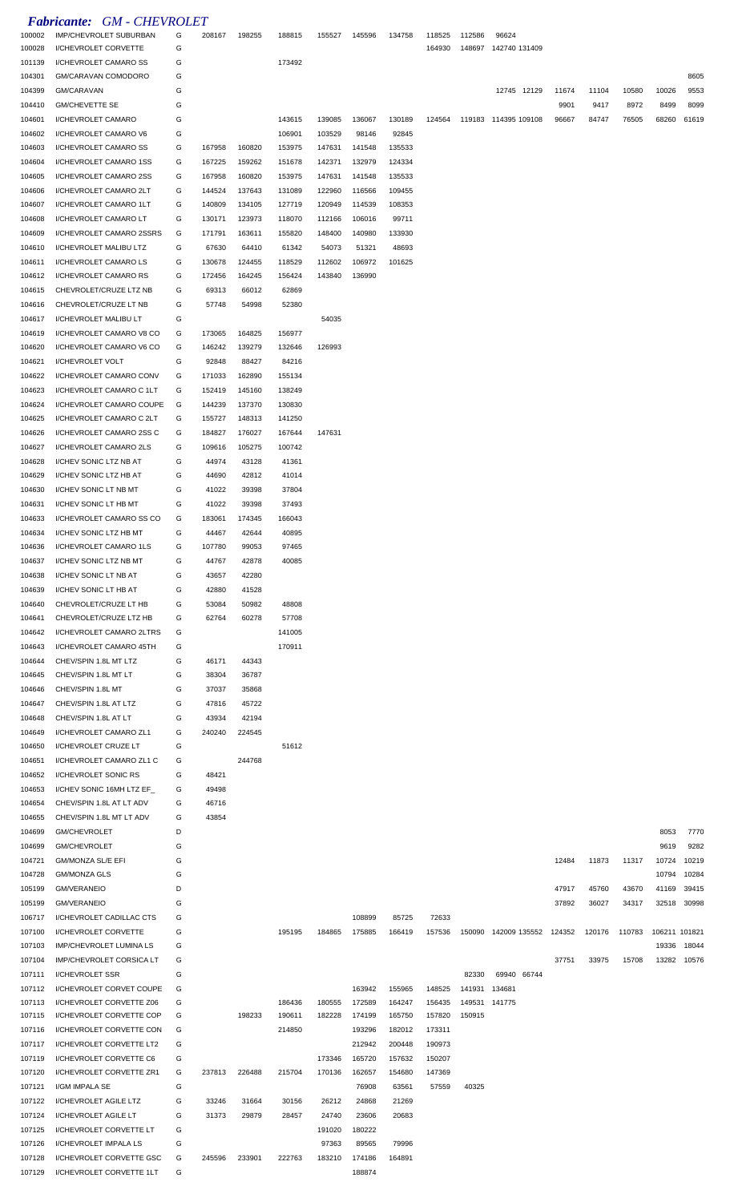## *Fabricante: GM - CHEVROLET*

| 100002 | IMP/CHEVROLET SUBURBAN          | G | 208167 | 198255 | 188815 | 155527 | 145596 | 134758 | 118525 | 112586 | 96624                |        |        |        |               |       |
|--------|---------------------------------|---|--------|--------|--------|--------|--------|--------|--------|--------|----------------------|--------|--------|--------|---------------|-------|
| 100028 | I/CHEVROLET CORVETTE            | G |        |        |        |        |        |        | 164930 |        | 148697 142740 131409 |        |        |        |               |       |
| 101139 | I/CHEVROLET CAMARO SS           | G |        |        | 173492 |        |        |        |        |        |                      |        |        |        |               |       |
| 104301 | GM/CARAVAN COMODORO             | G |        |        |        |        |        |        |        |        |                      |        |        |        |               | 8605  |
| 104399 | GM/CARAVAN                      | G |        |        |        |        |        |        |        |        | 12745 12129          | 11674  | 11104  | 10580  | 10026         | 9553  |
| 104410 | <b>GM/CHEVETTE SE</b>           | G |        |        |        |        |        |        |        |        |                      | 9901   | 9417   | 8972   | 8499          | 8099  |
|        | I/CHEVROLET CAMARO              | G |        |        |        |        |        | 130189 |        |        |                      |        |        |        |               |       |
| 104601 |                                 |   |        |        | 143615 | 139085 | 136067 |        | 124564 |        | 119183 114395 109108 | 96667  | 84747  | 76505  | 68260         | 61619 |
| 104602 | I/CHEVROLET CAMARO V6           | G |        |        | 106901 | 103529 | 98146  | 92845  |        |        |                      |        |        |        |               |       |
| 104603 | I/CHEVROLET CAMARO SS           | G | 167958 | 160820 | 153975 | 147631 | 141548 | 135533 |        |        |                      |        |        |        |               |       |
| 104604 | I/CHEVROLET CAMARO 1SS          | G | 167225 | 159262 | 151678 | 142371 | 132979 | 124334 |        |        |                      |        |        |        |               |       |
| 104605 | I/CHEVROLET CAMARO 2SS          | G | 167958 | 160820 | 153975 | 147631 | 141548 | 135533 |        |        |                      |        |        |        |               |       |
| 104606 | I/CHEVROLET CAMARO 2LT          | G | 144524 | 137643 | 131089 | 122960 | 116566 | 109455 |        |        |                      |        |        |        |               |       |
| 104607 | I/CHEVROLET CAMARO 1LT          | G | 140809 | 134105 | 127719 | 120949 | 114539 | 108353 |        |        |                      |        |        |        |               |       |
|        |                                 |   |        | 123973 |        |        |        |        |        |        |                      |        |        |        |               |       |
| 104608 | I/CHEVROLET CAMARO LT           | G | 130171 |        | 118070 | 112166 | 106016 | 99711  |        |        |                      |        |        |        |               |       |
| 104609 | I/CHEVROLET CAMARO 2SSRS        | G | 171791 | 163611 | 155820 | 148400 | 140980 | 133930 |        |        |                      |        |        |        |               |       |
| 104610 | I/CHEVROLET MALIBU LTZ          | G | 67630  | 64410  | 61342  | 54073  | 51321  | 48693  |        |        |                      |        |        |        |               |       |
| 104611 | I/CHEVROLET CAMARO LS           | G | 130678 | 124455 | 118529 | 112602 | 106972 | 101625 |        |        |                      |        |        |        |               |       |
| 104612 | I/CHEVROLET CAMARO RS           | G | 172456 | 164245 | 156424 | 143840 | 136990 |        |        |        |                      |        |        |        |               |       |
| 104615 | CHEVROLET/CRUZE LTZ NB          | G | 69313  | 66012  | 62869  |        |        |        |        |        |                      |        |        |        |               |       |
| 104616 | CHEVROLET/CRUZE LT NB           | G | 57748  | 54998  | 52380  |        |        |        |        |        |                      |        |        |        |               |       |
| 104617 | I/CHEVROLET MALIBU LT           | G |        |        |        | 54035  |        |        |        |        |                      |        |        |        |               |       |
|        |                                 |   |        |        |        |        |        |        |        |        |                      |        |        |        |               |       |
| 104619 | I/CHEVROLET CAMARO V8 CO        | G | 173065 | 164825 | 156977 |        |        |        |        |        |                      |        |        |        |               |       |
| 104620 | I/CHEVROLET CAMARO V6 CO        | G | 146242 | 139279 | 132646 | 126993 |        |        |        |        |                      |        |        |        |               |       |
| 104621 | I/CHEVROLET VOLT                | G | 92848  | 88427  | 84216  |        |        |        |        |        |                      |        |        |        |               |       |
| 104622 | I/CHEVROLET CAMARO CONV         | G | 171033 | 162890 | 155134 |        |        |        |        |        |                      |        |        |        |               |       |
| 104623 | I/CHEVROLET CAMARO C 1LT        | G | 152419 | 145160 | 138249 |        |        |        |        |        |                      |        |        |        |               |       |
| 104624 | I/CHEVROLET CAMARO COUPE        | G | 144239 | 137370 | 130830 |        |        |        |        |        |                      |        |        |        |               |       |
|        | I/CHEVROLET CAMARO C 2LT        | G | 155727 | 148313 | 141250 |        |        |        |        |        |                      |        |        |        |               |       |
| 104625 |                                 |   |        |        |        |        |        |        |        |        |                      |        |        |        |               |       |
| 104626 | I/CHEVROLET CAMARO 2SS C        | G | 184827 | 176027 | 167644 | 147631 |        |        |        |        |                      |        |        |        |               |       |
| 104627 | I/CHEVROLET CAMARO 2LS          | G | 109616 | 105275 | 100742 |        |        |        |        |        |                      |        |        |        |               |       |
| 104628 | I/CHEV SONIC LTZ NB AT          | G | 44974  | 43128  | 41361  |        |        |        |        |        |                      |        |        |        |               |       |
| 104629 | I/CHEV SONIC LTZ HB AT          | G | 44690  | 42812  | 41014  |        |        |        |        |        |                      |        |        |        |               |       |
| 104630 | I/CHEV SONIC LT NB MT           | G | 41022  | 39398  | 37804  |        |        |        |        |        |                      |        |        |        |               |       |
| 104631 | I/CHEV SONIC LT HB MT           | G | 41022  | 39398  | 37493  |        |        |        |        |        |                      |        |        |        |               |       |
|        |                                 |   |        |        |        |        |        |        |        |        |                      |        |        |        |               |       |
| 104633 | I/CHEVROLET CAMARO SS CO        | G | 183061 | 174345 | 166043 |        |        |        |        |        |                      |        |        |        |               |       |
| 104634 | I/CHEV SONIC LTZ HB MT          | G | 44467  | 42644  | 40895  |        |        |        |        |        |                      |        |        |        |               |       |
| 104636 | I/CHEVROLET CAMARO 1LS          | G | 107780 | 99053  | 97465  |        |        |        |        |        |                      |        |        |        |               |       |
| 104637 | I/CHEV SONIC LTZ NB MT          | G | 44767  | 42878  | 40085  |        |        |        |        |        |                      |        |        |        |               |       |
| 104638 | I/CHEV SONIC LT NB AT           | G | 43657  | 42280  |        |        |        |        |        |        |                      |        |        |        |               |       |
| 104639 | I/CHEV SONIC LT HB AT           | G | 42880  | 41528  |        |        |        |        |        |        |                      |        |        |        |               |       |
| 104640 | CHEVROLET/CRUZE LT HB           | G | 53084  | 50982  | 48808  |        |        |        |        |        |                      |        |        |        |               |       |
|        |                                 |   |        |        |        |        |        |        |        |        |                      |        |        |        |               |       |
| 104641 | CHEVROLET/CRUZE LTZ HB          | G | 62764  | 60278  | 57708  |        |        |        |        |        |                      |        |        |        |               |       |
| 104642 | I/CHEVROLET CAMARO 2LTRS        | G |        |        | 141005 |        |        |        |        |        |                      |        |        |        |               |       |
| 104643 | I/CHEVROLET CAMARO 45TH         | G |        |        | 170911 |        |        |        |        |        |                      |        |        |        |               |       |
| 104644 | CHEV/SPIN 1.8L MT LTZ           | G | 46171  | 44343  |        |        |        |        |        |        |                      |        |        |        |               |       |
| 104645 | CHEV/SPIN 1.8L MT LT            | G | 38304  | 36787  |        |        |        |        |        |        |                      |        |        |        |               |       |
| 104646 | CHEV/SPIN 1.8L MT               | G | 37037  | 35868  |        |        |        |        |        |        |                      |        |        |        |               |       |
| 104647 | CHEV/SPIN 1.8L AT LTZ           | G | 47816  | 45722  |        |        |        |        |        |        |                      |        |        |        |               |       |
|        |                                 |   |        |        |        |        |        |        |        |        |                      |        |        |        |               |       |
| 104648 | CHEV/SPIN 1.8L AT LT            | G | 43934  | 42194  |        |        |        |        |        |        |                      |        |        |        |               |       |
| 104649 | I/CHEVROLET CAMARO ZL1          | G | 240240 | 224545 |        |        |        |        |        |        |                      |        |        |        |               |       |
| 104650 | I/CHEVROLET CRUZE LT            | G |        |        | 51612  |        |        |        |        |        |                      |        |        |        |               |       |
| 104651 | I/CHEVROLET CAMARO ZL1 C        | G |        | 244768 |        |        |        |        |        |        |                      |        |        |        |               |       |
| 104652 | I/CHEVROLET SONIC RS            | G | 48421  |        |        |        |        |        |        |        |                      |        |        |        |               |       |
| 104653 | I/CHEV SONIC 16MH LTZ EF        | G | 49498  |        |        |        |        |        |        |        |                      |        |        |        |               |       |
| 104654 | CHEV/SPIN 1.8L AT LT ADV        | G | 46716  |        |        |        |        |        |        |        |                      |        |        |        |               |       |
|        |                                 |   |        |        |        |        |        |        |        |        |                      |        |        |        |               |       |
| 104655 | CHEV/SPIN 1.8L MT LT ADV        | G | 43854  |        |        |        |        |        |        |        |                      |        |        |        |               |       |
| 104699 | GM/CHEVROLET                    | D |        |        |        |        |        |        |        |        |                      |        |        |        | 8053          | 7770  |
| 104699 | GM/CHEVROLET                    | G |        |        |        |        |        |        |        |        |                      |        |        |        | 9619          | 9282  |
| 104721 | <b>GM/MONZA SL/E EFI</b>        | G |        |        |        |        |        |        |        |        |                      | 12484  | 11873  | 11317  | 10724         | 10219 |
| 104728 | <b>GM/MONZA GLS</b>             | G |        |        |        |        |        |        |        |        |                      |        |        |        | 10794         | 10284 |
| 105199 | <b>GM/VERANEIO</b>              | D |        |        |        |        |        |        |        |        |                      | 47917  | 45760  | 43670  | 41169         | 39415 |
| 105199 | <b>GM/VERANEIO</b>              | G |        |        |        |        |        |        |        |        |                      | 37892  | 36027  | 34317  | 32518         | 30998 |
| 106717 | I/CHEVROLET CADILLAC CTS        | G |        |        |        |        | 108899 | 85725  | 72633  |        |                      |        |        |        |               |       |
|        |                                 |   |        |        |        |        |        |        |        |        |                      |        |        |        |               |       |
| 107100 | I/CHEVROLET CORVETTE            | G |        |        | 195195 | 184865 | 175885 | 166419 | 157536 |        | 150090 142009 135552 | 124352 | 120176 | 110783 | 106211 101821 |       |
| 107103 | <b>IMP/CHEVROLET LUMINA LS</b>  | G |        |        |        |        |        |        |        |        |                      |        |        |        | 19336         | 18044 |
| 107104 | <b>IMP/CHEVROLET CORSICA LT</b> | G |        |        |        |        |        |        |        |        |                      | 37751  | 33975  | 15708  | 13282         | 10576 |
| 107111 | I/CHEVROLET SSR                 | G |        |        |        |        |        |        |        | 82330  | 69940 66744          |        |        |        |               |       |
| 107112 | I/CHEVROLET CORVET COUPE        | G |        |        |        |        | 163942 | 155965 | 148525 | 141931 | 134681               |        |        |        |               |       |
| 107113 | I/CHEVROLET CORVETTE Z06        | G |        |        | 186436 | 180555 | 172589 | 164247 | 156435 | 149531 | 141775               |        |        |        |               |       |
| 107115 | I/CHEVROLET CORVETTE COP        | G |        | 198233 | 190611 | 182228 | 174199 | 165750 | 157820 | 150915 |                      |        |        |        |               |       |
|        |                                 |   |        |        |        |        |        |        |        |        |                      |        |        |        |               |       |
| 107116 | I/CHEVROLET CORVETTE CON        | G |        |        | 214850 |        | 193296 | 182012 | 173311 |        |                      |        |        |        |               |       |
| 107117 | I/CHEVROLET CORVETTE LT2        | G |        |        |        |        | 212942 | 200448 | 190973 |        |                      |        |        |        |               |       |
| 107119 | I/CHEVROLET CORVETTE C6         | G |        |        |        | 173346 | 165720 | 157632 | 150207 |        |                      |        |        |        |               |       |
| 107120 | I/CHEVROLET CORVETTE ZR1        | G | 237813 | 226488 | 215704 | 170136 | 162657 | 154680 | 147369 |        |                      |        |        |        |               |       |
| 107121 | I/GM IMPALA SE                  | G |        |        |        |        | 76908  | 63561  | 57559  | 40325  |                      |        |        |        |               |       |
| 107122 | I/CHEVROLET AGILE LTZ           | G | 33246  | 31664  | 30156  | 26212  | 24868  | 21269  |        |        |                      |        |        |        |               |       |
|        |                                 |   |        |        |        |        |        |        |        |        |                      |        |        |        |               |       |
| 107124 | I/CHEVROLET AGILE LT            | G | 31373  | 29879  | 28457  | 24740  | 23606  | 20683  |        |        |                      |        |        |        |               |       |
| 107125 | I/CHEVROLET CORVETTE LT         | G |        |        |        | 191020 | 180222 |        |        |        |                      |        |        |        |               |       |
| 107126 | I/CHEVROLET IMPALA LS           | G |        |        |        | 97363  | 89565  | 79996  |        |        |                      |        |        |        |               |       |
| 107128 | I/CHEVROLET CORVETTE GSC        | G | 245596 | 233901 | 222763 | 183210 | 174186 | 164891 |        |        |                      |        |        |        |               |       |
| 107129 | I/CHEVROLET CORVETTE 1LT        | G |        |        |        |        | 188874 |        |        |        |                      |        |        |        |               |       |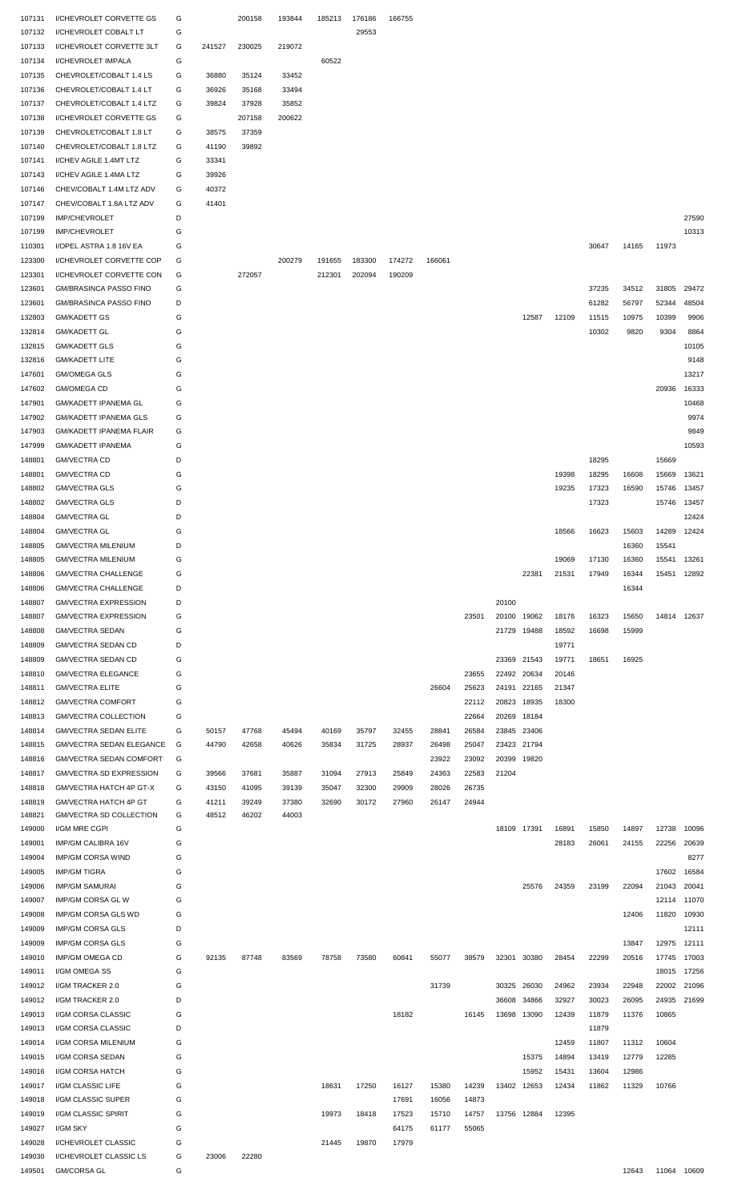| 107131           | I/CHEVROLET CORVETTE GS                      | G      |        | 200158 | 193844 | 185213 | 176186 | 166755 |        |       |             |             |       |       |       |             |       |
|------------------|----------------------------------------------|--------|--------|--------|--------|--------|--------|--------|--------|-------|-------------|-------------|-------|-------|-------|-------------|-------|
| 107132           | I/CHEVROLET COBALT LT                        | G      |        |        |        |        | 29553  |        |        |       |             |             |       |       |       |             |       |
| 107133           | I/CHEVROLET CORVETTE 3LT                     | G      | 241527 | 230025 | 219072 |        |        |        |        |       |             |             |       |       |       |             |       |
| 107134           | I/CHEVROLET IMPALA                           | G      |        |        |        | 60522  |        |        |        |       |             |             |       |       |       |             |       |
| 107135           | CHEVROLET/COBALT 1.4 LS                      | G      | 36880  | 35124  | 33452  |        |        |        |        |       |             |             |       |       |       |             |       |
|                  |                                              |        |        |        |        |        |        |        |        |       |             |             |       |       |       |             |       |
| 107136           | CHEVROLET/COBALT 1.4 LT                      | G      | 36926  | 35168  | 33494  |        |        |        |        |       |             |             |       |       |       |             |       |
| 107137           | CHEVROLET/COBALT 1.4 LTZ                     | G      | 39824  | 37928  | 35852  |        |        |        |        |       |             |             |       |       |       |             |       |
| 107138           | I/CHEVROLET CORVETTE GS                      | G      |        | 207158 | 200622 |        |        |        |        |       |             |             |       |       |       |             |       |
| 107139           | CHEVROLET/COBALT 1.8 LT                      | G      | 38575  | 37359  |        |        |        |        |        |       |             |             |       |       |       |             |       |
|                  |                                              |        |        |        |        |        |        |        |        |       |             |             |       |       |       |             |       |
| 107140           | CHEVROLET/COBALT 1.8 LTZ                     | G      | 41190  | 39892  |        |        |        |        |        |       |             |             |       |       |       |             |       |
| 107141           | I/CHEV AGILE 1.4MT LTZ                       | G      | 33341  |        |        |        |        |        |        |       |             |             |       |       |       |             |       |
| 107143           | I/CHEV AGILE 1.4MA LTZ                       | G      | 39926  |        |        |        |        |        |        |       |             |             |       |       |       |             |       |
| 107146           | CHEV/COBALT 1.4M LTZ ADV                     | G      | 40372  |        |        |        |        |        |        |       |             |             |       |       |       |             |       |
| 107147           | CHEV/COBALT 1.8A LTZ ADV                     | G      | 41401  |        |        |        |        |        |        |       |             |             |       |       |       |             |       |
|                  |                                              |        |        |        |        |        |        |        |        |       |             |             |       |       |       |             |       |
| 107199           | <b>IMP/CHEVROLET</b>                         | D      |        |        |        |        |        |        |        |       |             |             |       |       |       |             | 27590 |
| 107199           | <b>IMP/CHEVROLET</b>                         | G      |        |        |        |        |        |        |        |       |             |             |       |       |       |             | 10313 |
| 110301           | I/OPEL ASTRA 1.8 16V EA                      | G      |        |        |        |        |        |        |        |       |             |             |       | 30647 | 14165 | 11973       |       |
| 123300           | I/CHEVROLET CORVETTE COP                     | G      |        |        | 200279 | 191655 | 183300 | 174272 | 166061 |       |             |             |       |       |       |             |       |
|                  |                                              |        |        |        |        |        |        |        |        |       |             |             |       |       |       |             |       |
| 123301           | I/CHEVROLET CORVETTE CON                     | G      |        | 272057 |        | 212301 | 202094 | 190209 |        |       |             |             |       |       |       |             |       |
| 123601           | <b>GM/BRASINCA PASSO FINO</b>                | G      |        |        |        |        |        |        |        |       |             |             |       | 37235 | 34512 | 31805       | 29472 |
| 123601           | <b>GM/BRASINCA PASSO FINO</b>                | D      |        |        |        |        |        |        |        |       |             |             |       | 61282 | 56797 | 52344       | 48504 |
| 132803           | <b>GM/KADETT GS</b>                          | G      |        |        |        |        |        |        |        |       |             | 12587       | 12109 | 11515 | 10975 | 10399       | 9906  |
|                  |                                              |        |        |        |        |        |        |        |        |       |             |             |       |       |       |             |       |
| 132814           | <b>GM/KADETT GL</b>                          | G      |        |        |        |        |        |        |        |       |             |             |       | 10302 | 9820  | 9304        | 8864  |
| 132815           | <b>GM/KADETT GLS</b>                         | G      |        |        |        |        |        |        |        |       |             |             |       |       |       |             | 10105 |
| 132816           | <b>GM/KADETT LITE</b>                        | G      |        |        |        |        |        |        |        |       |             |             |       |       |       |             | 9148  |
| 147601           | <b>GM/OMEGA GLS</b>                          | G      |        |        |        |        |        |        |        |       |             |             |       |       |       |             | 13217 |
|                  |                                              | G      |        |        |        |        |        |        |        |       |             |             |       |       |       |             | 16333 |
| 147602           | GM/OMEGA CD                                  |        |        |        |        |        |        |        |        |       |             |             |       |       |       | 20936       |       |
| 147901           | <b>GM/KADETT IPANEMA GL</b>                  | G      |        |        |        |        |        |        |        |       |             |             |       |       |       |             | 10468 |
| 147902           | <b>GM/KADETT IPANEMA GLS</b>                 | G      |        |        |        |        |        |        |        |       |             |             |       |       |       |             | 9974  |
| 147903           | <b>GM/KADETT IPANEMA FLAIR</b>               | G      |        |        |        |        |        |        |        |       |             |             |       |       |       |             | 9849  |
|                  |                                              | G      |        |        |        |        |        |        |        |       |             |             |       |       |       |             |       |
| 147999           | <b>GM/KADETT IPANEMA</b>                     |        |        |        |        |        |        |        |        |       |             |             |       |       |       |             | 10593 |
| 148801           | GM/VECTRA CD                                 | D      |        |        |        |        |        |        |        |       |             |             |       | 18295 |       | 15669       |       |
| 148801           | <b>GM/VECTRA CD</b>                          | G      |        |        |        |        |        |        |        |       |             |             | 19398 | 18295 | 16608 | 15669       | 13621 |
| 148802           | <b>GM/VECTRA GLS</b>                         | G      |        |        |        |        |        |        |        |       |             |             | 19235 | 17323 | 16590 | 15746       | 13457 |
| 148802           | <b>GM/VECTRA GLS</b>                         | D      |        |        |        |        |        |        |        |       |             |             |       | 17323 |       | 15746       | 13457 |
|                  |                                              |        |        |        |        |        |        |        |        |       |             |             |       |       |       |             |       |
| 148804           | <b>GM/VECTRA GL</b>                          | D      |        |        |        |        |        |        |        |       |             |             |       |       |       |             | 12424 |
| 148804           | <b>GM/VECTRA GL</b>                          | G      |        |        |        |        |        |        |        |       |             |             | 18566 | 16623 | 15603 | 14289       | 12424 |
| 148805           | <b>GM/VECTRA MILENIUM</b>                    | D      |        |        |        |        |        |        |        |       |             |             |       |       | 16360 | 15541       |       |
| 148805           | <b>GM/VECTRA MILENIUM</b>                    | G      |        |        |        |        |        |        |        |       |             |             | 19069 | 17130 | 16360 | 15541       | 13261 |
|                  |                                              |        |        |        |        |        |        |        |        |       |             |             |       |       |       |             |       |
| 148806           | <b>GM/VECTRA CHALLENGE</b>                   | G      |        |        |        |        |        |        |        |       |             | 22381       | 21531 | 17949 | 16344 | 15451       | 12892 |
| 148806           | <b>GM/VECTRA CHALLENGE</b>                   | D      |        |        |        |        |        |        |        |       |             |             |       |       | 16344 |             |       |
| 148807           | <b>GM/VECTRA EXPRESSION</b>                  | D      |        |        |        |        |        |        |        |       | 20100       |             |       |       |       |             |       |
| 148807           | <b>GM/VECTRA EXPRESSION</b>                  | G      |        |        |        |        |        |        |        | 23501 | 20100       | 19062       | 18176 | 16323 | 15650 | 14814       | 12637 |
|                  |                                              |        |        |        |        |        |        |        |        |       |             |             |       |       |       |             |       |
| 148808           | <b>GM/VECTRA SEDAN</b>                       | G      |        |        |        |        |        |        |        |       |             | 21729 19488 | 18592 | 16698 | 15999 |             |       |
| 148809           | <b>GM/VECTRA SEDAN CD</b>                    | D      |        |        |        |        |        |        |        |       |             |             | 19771 |       |       |             |       |
| 148809           | <b>GM/VECTRA SEDAN CD</b>                    | G      |        |        |        |        |        |        |        |       | 23369       | 21543       | 19771 | 18651 | 16925 |             |       |
| 148810           | <b>GM/VECTRA ELEGANCE</b>                    | G      |        |        |        |        |        |        |        | 23655 | 22492 20634 |             | 20146 |       |       |             |       |
|                  |                                              |        |        |        |        |        |        |        |        |       |             |             |       |       |       |             |       |
| 148811           | <b>GM/VECTRA ELITE</b>                       | G      |        |        |        |        |        |        | 26604  | 25623 | 24191       | 22165       | 21347 |       |       |             |       |
| 148812           | <b>GM/VECTRA COMFORT</b>                     | G      |        |        |        |        |        |        |        | 22112 | 20823       | 18935       | 18300 |       |       |             |       |
| 148813           | <b>GM/VECTRA COLLECTION</b>                  | G      |        |        |        |        |        |        |        | 22664 | 20269       | 18184       |       |       |       |             |       |
| 148814           | <b>GM/VECTRA SEDAN ELITE</b>                 | G      | 50157  | 47768  | 45494  | 40169  | 35797  | 32455  | 28841  | 26584 |             | 23845 23406 |       |       |       |             |       |
|                  |                                              |        |        |        |        |        |        |        |        |       |             |             |       |       |       |             |       |
| 148815           | <b>GM/VECTRA SEDAN ELEGANCE</b>              | G      | 44790  | 42658  | 40626  | 35834  | 31725  | 28937  | 26498  | 25047 | 23423 21794 |             |       |       |       |             |       |
| 148816           | <b>GM/VECTRA SEDAN COMFORT</b>               | G      |        |        |        |        |        |        | 23922  | 23092 | 20399       | 19820       |       |       |       |             |       |
| 148817           | GM/VECTRA SD EXPRESSION                      | G      | 39566  | 37681  | 35887  | 31094  | 27913  | 25849  | 24363  | 22583 | 21204       |             |       |       |       |             |       |
| 148818           | GM/VECTRA HATCH 4P GT-X                      | G      | 43150  | 41095  | 39139  | 35047  | 32300  | 29909  | 28026  | 26735 |             |             |       |       |       |             |       |
|                  |                                              |        |        |        |        |        |        |        |        |       |             |             |       |       |       |             |       |
| 148819           | GM/VECTRA HATCH 4P GT                        | G      | 41211  | 39249  | 37380  | 32690  | 30172  | 27960  | 26147  | 24944 |             |             |       |       |       |             |       |
| 148821           | <b>GM/VECTRA SD COLLECTION</b>               | G      | 48512  | 46202  | 44003  |        |        |        |        |       |             |             |       |       |       |             |       |
| 149000           | I/GM MRE CGPI                                | G      |        |        |        |        |        |        |        |       | 18109 17391 |             | 16891 | 15850 | 14897 | 12738       | 10096 |
| 149001           | <b>IMP/GM CALIBRA 16V</b>                    | G      |        |        |        |        |        |        |        |       |             |             | 28183 | 26061 | 24155 | 22256       | 20639 |
| 149004           | <b>IMP/GM CORSA WIND</b>                     | G      |        |        |        |        |        |        |        |       |             |             |       |       |       |             | 8277  |
|                  |                                              |        |        |        |        |        |        |        |        |       |             |             |       |       |       |             |       |
| 149005           | <b>IMP/GM TIGRA</b>                          | G      |        |        |        |        |        |        |        |       |             |             |       |       |       | 17602       | 16584 |
| 149006           | <b>IMP/GM SAMURAI</b>                        | G      |        |        |        |        |        |        |        |       |             | 25576       | 24359 | 23199 | 22094 | 21043       | 20041 |
| 149007           | IMP/GM CORSA GL W                            | G      |        |        |        |        |        |        |        |       |             |             |       |       |       | 12114       | 11070 |
| 149008           | IMP/GM CORSA GLS WD                          | G      |        |        |        |        |        |        |        |       |             |             |       |       | 12406 | 11820       | 10930 |
|                  |                                              |        |        |        |        |        |        |        |        |       |             |             |       |       |       |             |       |
| 149009           | IMP/GM CORSA GLS                             | D      |        |        |        |        |        |        |        |       |             |             |       |       |       |             | 12111 |
| 149009           | IMP/GM CORSA GLS                             | G      |        |        |        |        |        |        |        |       |             |             |       |       | 13847 | 12975       | 12111 |
| 149010           | IMP/GM OMEGA CD                              | G      | 92135  | 87748  | 83569  | 78758  | 73580  | 60841  | 55077  | 38579 | 32301       | 30380       | 28454 | 22299 | 20516 | 17745       | 17003 |
|                  |                                              | G      |        |        |        |        |        |        |        |       |             |             |       |       |       |             |       |
| 149011           | I/GM OMEGA SS                                |        |        |        |        |        |        |        |        |       |             |             |       |       |       | 18015       | 17256 |
| 149012           | I/GM TRACKER 2.0                             | G      |        |        |        |        |        |        | 31739  |       | 30325       | 26030       | 24962 | 23934 | 22948 | 22002       | 21096 |
| 149012           | I/GM TRACKER 2.0                             | D      |        |        |        |        |        |        |        |       | 36608       | 34866       | 32927 | 30023 | 26095 | 24935       | 21699 |
| 149013           | I/GM CORSA CLASSIC                           | G      |        |        |        |        |        | 18182  |        | 16145 | 13698       | 13090       | 12439 | 11879 | 11376 | 10865       |       |
|                  | I/GM CORSA CLASSIC                           | D      |        |        |        |        |        |        |        |       |             |             |       |       |       |             |       |
| 149013           |                                              |        |        |        |        |        |        |        |        |       |             |             |       | 11879 |       |             |       |
| 149014           | I/GM CORSA MILENIUM                          | G      |        |        |        |        |        |        |        |       |             |             | 12459 | 11807 | 11312 | 10604       |       |
| 149015           | I/GM CORSA SEDAN                             | G      |        |        |        |        |        |        |        |       |             | 15375       | 14894 | 13419 | 12779 | 12285       |       |
| 149016           | I/GM CORSA HATCH                             | G      |        |        |        |        |        |        |        |       |             | 15952       | 15431 | 13604 | 12986 |             |       |
| 149017           | I/GM CLASSIC LIFE                            | G      |        |        |        | 18631  | 17250  | 16127  | 15380  | 14239 |             | 13402 12653 | 12434 | 11862 | 11329 | 10766       |       |
|                  |                                              |        |        |        |        |        |        |        |        |       |             |             |       |       |       |             |       |
| 149018           | I/GM CLASSIC SUPER                           | G      |        |        |        |        |        | 17691  | 16056  | 14873 |             |             |       |       |       |             |       |
| 149019           | I/GM CLASSIC SPIRIT                          | G      |        |        |        | 19973  | 18418  | 17523  | 15710  | 14757 |             | 13756 12884 | 12395 |       |       |             |       |
| 149027           | I/GM SKY                                     | G      |        |        |        |        |        | 64175  | 61177  | 55065 |             |             |       |       |       |             |       |
| 149028           |                                              |        |        |        |        |        |        |        |        |       |             |             |       |       |       |             |       |
|                  |                                              |        |        |        |        |        |        |        |        |       |             |             |       |       |       |             |       |
|                  | I/CHEVROLET CLASSIC                          | G      |        |        |        | 21445  | 19870  | 17979  |        |       |             |             |       |       |       |             |       |
| 149030<br>149501 | I/CHEVROLET CLASSIC LS<br><b>GM/CORSA GL</b> | G<br>G | 23006  | 22280  |        |        |        |        |        |       |             |             |       |       | 12643 | 11064 10609 |       |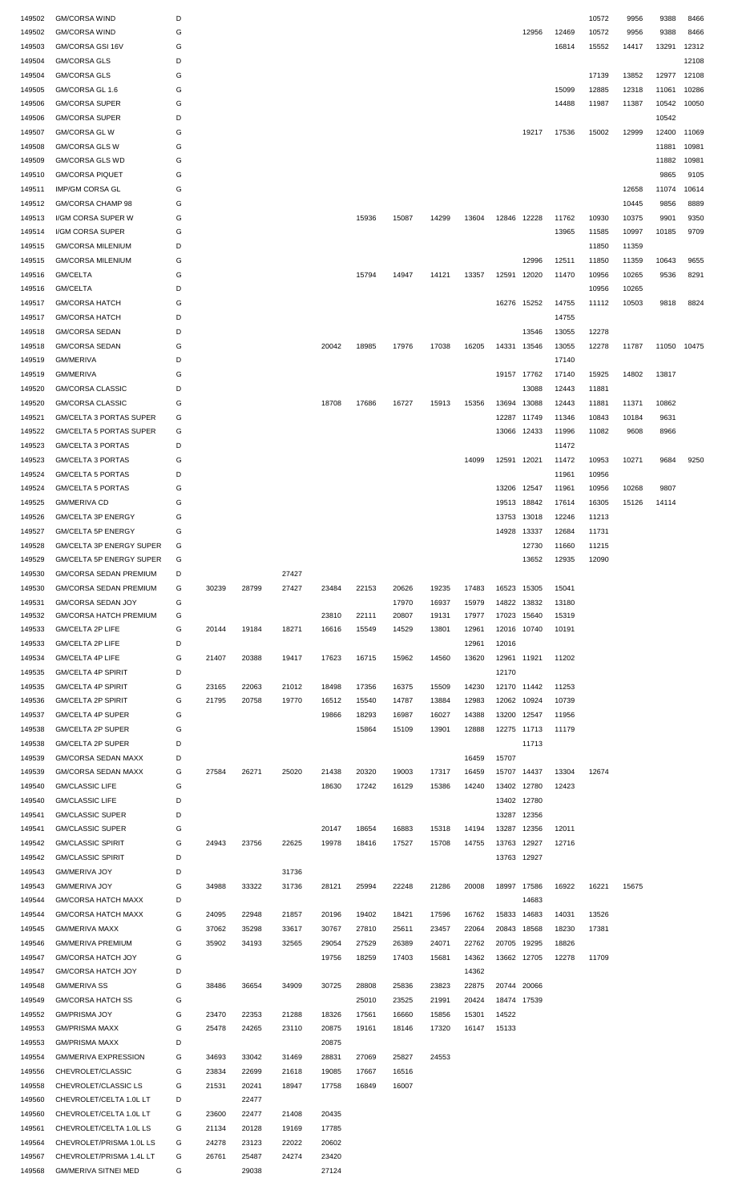| 149502 | <b>GM/CORSA WIND</b>            | D |       |       |       |       |       |       |       |       |             |       |       | 10572 | 9956  | 9388  | 8466  |
|--------|---------------------------------|---|-------|-------|-------|-------|-------|-------|-------|-------|-------------|-------|-------|-------|-------|-------|-------|
| 149502 | <b>GM/CORSA WIND</b>            | G |       |       |       |       |       |       |       |       |             | 12956 | 12469 | 10572 | 9956  | 9388  | 8466  |
|        |                                 |   |       |       |       |       |       |       |       |       |             |       |       |       |       |       |       |
| 149503 | GM/CORSA GSI 16V                | G |       |       |       |       |       |       |       |       |             |       | 16814 | 15552 | 14417 | 13291 | 12312 |
| 149504 | <b>GM/CORSA GLS</b>             | D |       |       |       |       |       |       |       |       |             |       |       |       |       |       | 12108 |
| 149504 | <b>GM/CORSA GLS</b>             | G |       |       |       |       |       |       |       |       |             |       |       | 17139 | 13852 | 12977 | 12108 |
| 149505 | GM/CORSA GL 1.6                 | G |       |       |       |       |       |       |       |       |             |       | 15099 | 12885 | 12318 | 11061 | 10286 |
|        | <b>GM/CORSA SUPER</b>           | G |       |       |       |       |       |       |       |       |             |       | 14488 | 11987 | 11387 | 10542 | 10050 |
| 149506 |                                 |   |       |       |       |       |       |       |       |       |             |       |       |       |       |       |       |
| 149506 | <b>GM/CORSA SUPER</b>           | D |       |       |       |       |       |       |       |       |             |       |       |       |       | 10542 |       |
| 149507 | <b>GM/CORSA GLW</b>             | G |       |       |       |       |       |       |       |       |             | 19217 | 17536 | 15002 | 12999 | 12400 | 11069 |
| 149508 | <b>GM/CORSA GLS W</b>           | G |       |       |       |       |       |       |       |       |             |       |       |       |       | 11881 | 10981 |
| 149509 | GM/CORSA GLS WD                 | G |       |       |       |       |       |       |       |       |             |       |       |       |       | 11882 | 10981 |
|        |                                 |   |       |       |       |       |       |       |       |       |             |       |       |       |       |       |       |
| 149510 | <b>GM/CORSA PIQUET</b>          | G |       |       |       |       |       |       |       |       |             |       |       |       |       | 9865  | 9105  |
| 149511 | <b>IMP/GM CORSA GL</b>          | G |       |       |       |       |       |       |       |       |             |       |       |       | 12658 | 11074 | 10614 |
| 149512 | GM/CORSA CHAMP 98               | G |       |       |       |       |       |       |       |       |             |       |       |       | 10445 | 9856  | 8889  |
| 149513 | I/GM CORSA SUPER W              | G |       |       |       |       | 15936 | 15087 | 14299 | 13604 | 12846 12228 |       | 11762 | 10930 | 10375 | 9901  | 9350  |
|        | I/GM CORSA SUPER                |   |       |       |       |       |       |       |       |       |             |       |       |       |       |       |       |
| 149514 |                                 | G |       |       |       |       |       |       |       |       |             |       | 13965 | 11585 | 10997 | 10185 | 9709  |
| 149515 | <b>GM/CORSA MILENIUM</b>        | D |       |       |       |       |       |       |       |       |             |       |       | 11850 | 11359 |       |       |
| 149515 | <b>GM/CORSA MILENIUM</b>        | G |       |       |       |       |       |       |       |       |             | 12996 | 12511 | 11850 | 11359 | 10643 | 9655  |
| 149516 | GM/CELTA                        | G |       |       |       |       | 15794 | 14947 | 14121 | 13357 | 12591       | 12020 | 11470 | 10956 | 10265 | 9536  | 8291  |
| 149516 | GM/CELTA                        | D |       |       |       |       |       |       |       |       |             |       |       | 10956 | 10265 |       |       |
|        |                                 |   |       |       |       |       |       |       |       |       |             |       |       |       |       |       |       |
| 149517 | <b>GM/CORSA HATCH</b>           | G |       |       |       |       |       |       |       |       | 16276 15252 |       | 14755 | 11112 | 10503 | 9818  | 8824  |
| 149517 | <b>GM/CORSA HATCH</b>           | D |       |       |       |       |       |       |       |       |             |       | 14755 |       |       |       |       |
| 149518 | <b>GM/CORSA SEDAN</b>           | D |       |       |       |       |       |       |       |       |             | 13546 | 13055 | 12278 |       |       |       |
| 149518 | <b>GM/CORSA SEDAN</b>           | G |       |       |       | 20042 | 18985 | 17976 | 17038 | 16205 | 14331 13546 |       | 13055 | 12278 | 11787 | 11050 | 10475 |
|        |                                 |   |       |       |       |       |       |       |       |       |             |       |       |       |       |       |       |
| 149519 | GM/MERIVA                       | D |       |       |       |       |       |       |       |       |             |       | 17140 |       |       |       |       |
| 149519 | <b>GM/MERIVA</b>                | G |       |       |       |       |       |       |       |       | 19157 17762 |       | 17140 | 15925 | 14802 | 13817 |       |
| 149520 | <b>GM/CORSA CLASSIC</b>         | D |       |       |       |       |       |       |       |       |             | 13088 | 12443 | 11881 |       |       |       |
| 149520 | <b>GM/CORSA CLASSIC</b>         | G |       |       |       | 18708 | 17686 | 16727 | 15913 | 15356 | 13694 13088 |       | 12443 | 11881 | 11371 | 10862 |       |
| 149521 | <b>GM/CELTA 3 PORTAS SUPER</b>  | G |       |       |       |       |       |       |       |       | 12287 11749 |       | 11346 | 10843 | 10184 | 9631  |       |
| 149522 | <b>GM/CELTA 5 PORTAS SUPER</b>  | G |       |       |       |       |       |       |       |       | 13066 12433 |       | 11996 | 11082 | 9608  | 8966  |       |
|        |                                 |   |       |       |       |       |       |       |       |       |             |       |       |       |       |       |       |
| 149523 | <b>GM/CELTA 3 PORTAS</b>        | D |       |       |       |       |       |       |       |       |             |       | 11472 |       |       |       |       |
| 149523 | <b>GM/CELTA 3 PORTAS</b>        | G |       |       |       |       |       |       |       | 14099 | 12591 12021 |       | 11472 | 10953 | 10271 | 9684  | 9250  |
| 149524 | <b>GM/CELTA 5 PORTAS</b>        | D |       |       |       |       |       |       |       |       |             |       | 11961 | 10956 |       |       |       |
| 149524 | <b>GM/CELTA 5 PORTAS</b>        | G |       |       |       |       |       |       |       |       | 13206       | 12547 | 11961 | 10956 | 10268 | 9807  |       |
|        |                                 |   |       |       |       |       |       |       |       |       |             |       |       |       |       |       |       |
| 149525 | <b>GM/MERIVA CD</b>             | G |       |       |       |       |       |       |       |       | 19513 18842 |       | 17614 | 16305 | 15126 | 14114 |       |
| 149526 | <b>GM/CELTA 3P ENERGY</b>       | G |       |       |       |       |       |       |       |       | 13753 13018 |       | 12246 | 11213 |       |       |       |
| 149527 | <b>GM/CELTA 5P ENERGY</b>       | G |       |       |       |       |       |       |       |       | 14928 13337 |       | 12684 | 11731 |       |       |       |
| 149528 | <b>GM/CELTA 3P ENERGY SUPER</b> | G |       |       |       |       |       |       |       |       |             | 12730 | 11660 | 11215 |       |       |       |
|        | <b>GM/CELTA 5P ENERGY SUPER</b> | G |       |       |       |       |       |       |       |       |             |       |       |       |       |       |       |
| 149529 |                                 |   |       |       |       |       |       |       |       |       |             | 13652 | 12935 | 12090 |       |       |       |
| 149530 | <b>GM/CORSA SEDAN PREMIUM</b>   | D |       |       | 27427 |       |       |       |       |       |             |       |       |       |       |       |       |
| 149530 | <b>GM/CORSA SEDAN PREMIUM</b>   | G | 30239 | 28799 | 27427 | 23484 | 22153 | 20626 | 19235 | 17483 | 16523       | 15305 | 15041 |       |       |       |       |
| 149531 | <b>GM/CORSA SEDAN JOY</b>       | G |       |       |       |       |       | 17970 | 16937 | 15979 | 14822 13832 |       | 13180 |       |       |       |       |
| 149532 | <b>GM/CORSA HATCH PREMIUM</b>   | G |       |       |       | 23810 | 22111 | 20807 | 19131 | 17977 | 17023 15640 |       | 15319 |       |       |       |       |
| 149533 | <b>GM/CELTA 2P LIFE</b>         | G | 20144 | 19184 | 18271 | 16616 | 15549 | 14529 | 13801 | 12961 | 12016 10740 |       | 10191 |       |       |       |       |
|        |                                 |   |       |       |       |       |       |       |       |       |             |       |       |       |       |       |       |
| 149533 | <b>GM/CELTA 2P LIFE</b>         | D |       |       |       |       |       |       |       | 12961 | 12016       |       |       |       |       |       |       |
| 149534 | <b>GM/CELTA 4P LIFE</b>         | G | 21407 | 20388 | 19417 | 17623 | 16715 | 15962 | 14560 | 13620 | 12961 11921 |       | 11202 |       |       |       |       |
| 149535 | <b>GM/CELTA 4P SPIRIT</b>       | D |       |       |       |       |       |       |       |       | 12170       |       |       |       |       |       |       |
| 149535 | <b>GM/CELTA 4P SPIRIT</b>       | G | 23165 | 22063 | 21012 | 18498 | 17356 | 16375 | 15509 | 14230 | 12170 11442 |       | 11253 |       |       |       |       |
|        |                                 |   |       |       |       |       |       |       |       |       |             |       |       |       |       |       |       |
| 149536 | <b>GM/CELTA 2P SPIRIT</b>       | G | 21795 | 20758 | 19770 | 16512 | 15540 | 14787 | 13884 | 12983 | 12062 10924 |       | 10739 |       |       |       |       |
| 149537 | <b>GM/CELTA 4P SUPER</b>        | G |       |       |       | 19866 | 18293 | 16987 | 16027 | 14388 | 13200       | 12547 | 11956 |       |       |       |       |
| 149538 | GM/CELTA 2P SUPER               | G |       |       |       |       | 15864 | 15109 | 13901 | 12888 | 12275 11713 |       | 11179 |       |       |       |       |
| 149538 | <b>GM/CELTA 2P SUPER</b>        | D |       |       |       |       |       |       |       |       |             | 11713 |       |       |       |       |       |
|        |                                 | D |       |       |       |       |       |       |       | 16459 | 15707       |       |       |       |       |       |       |
| 149539 | GM/CORSA SEDAN MAXX             |   |       |       |       |       |       |       |       |       |             |       |       |       |       |       |       |
| 149539 | GM/CORSA SEDAN MAXX             | G | 27584 | 26271 | 25020 | 21438 | 20320 | 19003 | 17317 | 16459 | 15707 14437 |       | 13304 | 12674 |       |       |       |
| 149540 | <b>GM/CLASSIC LIFE</b>          | G |       |       |       | 18630 | 17242 | 16129 | 15386 | 14240 | 13402 12780 |       | 12423 |       |       |       |       |
| 149540 | <b>GM/CLASSIC LIFE</b>          | D |       |       |       |       |       |       |       |       | 13402 12780 |       |       |       |       |       |       |
| 149541 | <b>GM/CLASSIC SUPER</b>         | D |       |       |       |       |       |       |       |       | 13287 12356 |       |       |       |       |       |       |
|        |                                 |   |       |       |       |       |       |       |       |       |             |       |       |       |       |       |       |
| 149541 | <b>GM/CLASSIC SUPER</b>         | G |       |       |       | 20147 | 18654 | 16883 | 15318 | 14194 | 13287 12356 |       | 12011 |       |       |       |       |
| 149542 | <b>GM/CLASSIC SPIRIT</b>        | G | 24943 | 23756 | 22625 | 19978 | 18416 | 17527 | 15708 | 14755 | 13763 12927 |       | 12716 |       |       |       |       |
| 149542 | <b>GM/CLASSIC SPIRIT</b>        | D |       |       |       |       |       |       |       |       | 13763 12927 |       |       |       |       |       |       |
| 149543 | <b>GM/MERIVA JOY</b>            | D |       |       | 31736 |       |       |       |       |       |             |       |       |       |       |       |       |
| 149543 | <b>GM/MERIVA JOY</b>            | G | 34988 | 33322 | 31736 | 28121 | 25994 | 22248 | 21286 | 20008 | 18997 17586 |       | 16922 | 16221 | 15675 |       |       |
|        |                                 |   |       |       |       |       |       |       |       |       |             |       |       |       |       |       |       |
| 149544 | <b>GM/CORSA HATCH MAXX</b>      | D |       |       |       |       |       |       |       |       |             | 14683 |       |       |       |       |       |
| 149544 | <b>GM/CORSA HATCH MAXX</b>      | G | 24095 | 22948 | 21857 | 20196 | 19402 | 18421 | 17596 | 16762 | 15833       | 14683 | 14031 | 13526 |       |       |       |
| 149545 | <b>GM/MERIVA MAXX</b>           | G | 37062 | 35298 | 33617 | 30767 | 27810 | 25611 | 23457 | 22064 | 20843 18568 |       | 18230 | 17381 |       |       |       |
| 149546 | <b>GM/MERIVA PREMIUM</b>        | G | 35902 | 34193 | 32565 | 29054 | 27529 | 26389 | 24071 | 22762 | 20705 19295 |       | 18826 |       |       |       |       |
| 149547 | GM/CORSA HATCH JOY              | G |       |       |       | 19756 | 18259 | 17403 | 15681 | 14362 | 13662 12705 |       | 12278 | 11709 |       |       |       |
|        |                                 |   |       |       |       |       |       |       |       |       |             |       |       |       |       |       |       |
| 149547 | <b>GM/CORSA HATCH JOY</b>       | D |       |       |       |       |       |       |       | 14362 |             |       |       |       |       |       |       |
| 149548 | <b>GM/MERIVA SS</b>             | G | 38486 | 36654 | 34909 | 30725 | 28808 | 25836 | 23823 | 22875 | 20744 20066 |       |       |       |       |       |       |
| 149549 | <b>GM/CORSA HATCH SS</b>        | G |       |       |       |       | 25010 | 23525 | 21991 | 20424 | 18474 17539 |       |       |       |       |       |       |
| 149552 | <b>GM/PRISMA JOY</b>            | G | 23470 | 22353 | 21288 | 18326 | 17561 | 16660 | 15856 | 15301 | 14522       |       |       |       |       |       |       |
|        |                                 |   |       |       |       |       |       |       |       |       |             |       |       |       |       |       |       |
| 149553 | <b>GM/PRISMA MAXX</b>           | G | 25478 | 24265 | 23110 | 20875 | 19161 | 18146 | 17320 | 16147 | 15133       |       |       |       |       |       |       |
| 149553 | <b>GM/PRISMA MAXX</b>           | D |       |       |       | 20875 |       |       |       |       |             |       |       |       |       |       |       |
| 149554 | <b>GM/MERIVA EXPRESSION</b>     | G | 34693 | 33042 | 31469 | 28831 | 27069 | 25827 | 24553 |       |             |       |       |       |       |       |       |
| 149556 | CHEVROLET/CLASSIC               | G | 23834 | 22699 | 21618 | 19085 | 17667 | 16516 |       |       |             |       |       |       |       |       |       |
|        |                                 |   |       |       |       |       |       |       |       |       |             |       |       |       |       |       |       |
| 149558 | CHEVROLET/CLASSIC LS            | G | 21531 | 20241 | 18947 | 17758 | 16849 | 16007 |       |       |             |       |       |       |       |       |       |
| 149560 | CHEVROLET/CELTA 1.0L LT         | D |       | 22477 |       |       |       |       |       |       |             |       |       |       |       |       |       |
| 149560 | CHEVROLET/CELTA 1.0L LT         | G | 23600 | 22477 | 21408 | 20435 |       |       |       |       |             |       |       |       |       |       |       |
| 149561 | CHEVROLET/CELTA 1.0L LS         | G | 21134 | 20128 | 19169 | 17785 |       |       |       |       |             |       |       |       |       |       |       |
| 149564 | CHEVROLET/PRISMA 1.0L LS        | G | 24278 | 23123 | 22022 | 20602 |       |       |       |       |             |       |       |       |       |       |       |
|        |                                 |   |       |       |       |       |       |       |       |       |             |       |       |       |       |       |       |
| 149567 | CHEVROLET/PRISMA 1.4L LT        | G | 26761 | 25487 | 24274 | 23420 |       |       |       |       |             |       |       |       |       |       |       |
| 149568 | <b>GM/MERIVA SITNEI MED</b>     | G |       | 29038 |       | 27124 |       |       |       |       |             |       |       |       |       |       |       |
|        |                                 |   |       |       |       |       |       |       |       |       |             |       |       |       |       |       |       |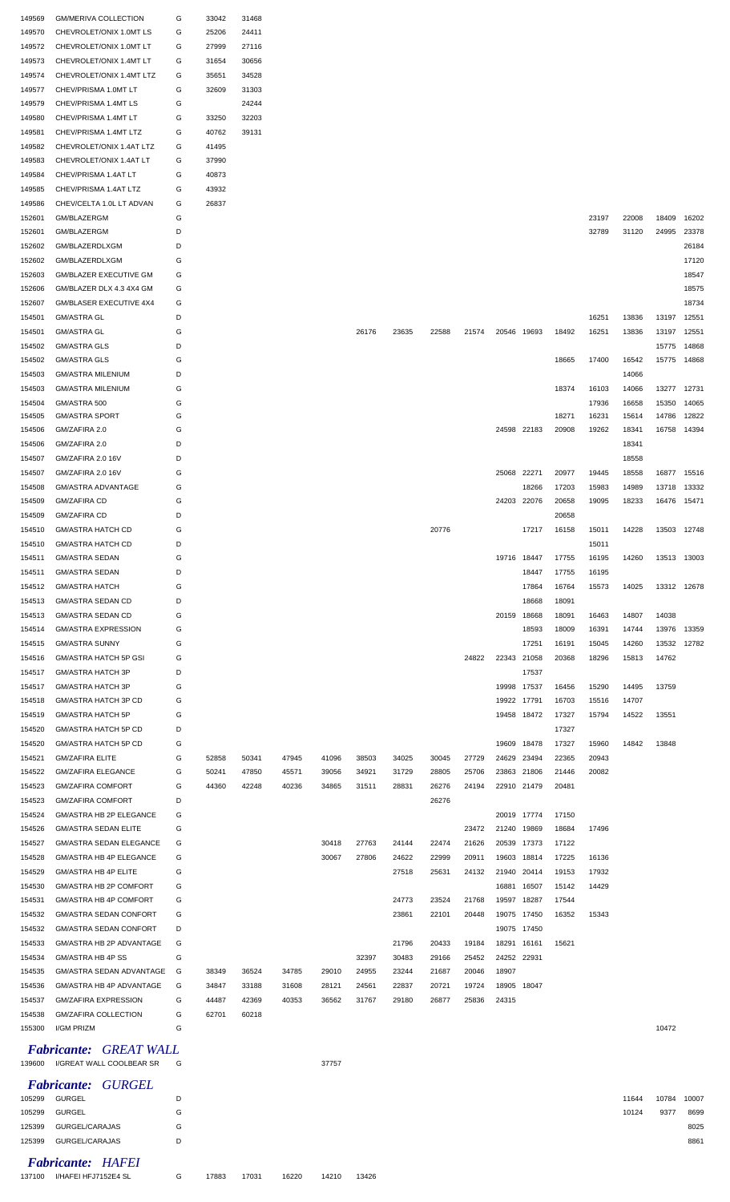| 149569 |                                |   |       |       |       |       |       |       |       |       |             |             |       |       |       |       |       |
|--------|--------------------------------|---|-------|-------|-------|-------|-------|-------|-------|-------|-------------|-------------|-------|-------|-------|-------|-------|
|        | <b>GM/MERIVA COLLECTION</b>    | G | 33042 | 31468 |       |       |       |       |       |       |             |             |       |       |       |       |       |
| 149570 | CHEVROLET/ONIX 1.0MT LS        | G | 25206 | 24411 |       |       |       |       |       |       |             |             |       |       |       |       |       |
| 149572 | CHEVROLET/ONIX 1.0MT LT        | G | 27999 | 27116 |       |       |       |       |       |       |             |             |       |       |       |       |       |
| 149573 | CHEVROLET/ONIX 1.4MT LT        | G | 31654 | 30656 |       |       |       |       |       |       |             |             |       |       |       |       |       |
| 149574 | CHEVROLET/ONIX 1.4MT LTZ       | G | 35651 | 34528 |       |       |       |       |       |       |             |             |       |       |       |       |       |
| 149577 | CHEV/PRISMA 1.0MT LT           | G | 32609 | 31303 |       |       |       |       |       |       |             |             |       |       |       |       |       |
|        |                                |   |       |       |       |       |       |       |       |       |             |             |       |       |       |       |       |
| 149579 | CHEV/PRISMA 1.4MT LS           | G |       | 24244 |       |       |       |       |       |       |             |             |       |       |       |       |       |
| 149580 | CHEV/PRISMA 1.4MT LT           | G | 33250 | 32203 |       |       |       |       |       |       |             |             |       |       |       |       |       |
| 149581 | CHEV/PRISMA 1.4MT LTZ          | G | 40762 | 39131 |       |       |       |       |       |       |             |             |       |       |       |       |       |
| 149582 | CHEVROLET/ONIX 1.4AT LTZ       | G | 41495 |       |       |       |       |       |       |       |             |             |       |       |       |       |       |
| 149583 | CHEVROLET/ONIX 1.4AT LT        | G | 37990 |       |       |       |       |       |       |       |             |             |       |       |       |       |       |
| 149584 | CHEV/PRISMA 1.4AT LT           | G | 40873 |       |       |       |       |       |       |       |             |             |       |       |       |       |       |
| 149585 | CHEV/PRISMA 1.4AT LTZ          | G | 43932 |       |       |       |       |       |       |       |             |             |       |       |       |       |       |
|        |                                |   |       |       |       |       |       |       |       |       |             |             |       |       |       |       |       |
| 149586 | CHEV/CELTA 1.0L LT ADVAN       | G | 26837 |       |       |       |       |       |       |       |             |             |       |       |       |       |       |
| 152601 | GM/BLAZERGM                    | G |       |       |       |       |       |       |       |       |             |             |       | 23197 | 22008 | 18409 | 16202 |
| 152601 | GM/BLAZERGM                    | D |       |       |       |       |       |       |       |       |             |             |       | 32789 | 31120 | 24995 | 23378 |
| 152602 | GM/BLAZERDLXGM                 | D |       |       |       |       |       |       |       |       |             |             |       |       |       |       | 26184 |
| 152602 | GM/BLAZERDLXGM                 | G |       |       |       |       |       |       |       |       |             |             |       |       |       |       | 17120 |
| 152603 | <b>GM/BLAZER EXECUTIVE GM</b>  | G |       |       |       |       |       |       |       |       |             |             |       |       |       |       | 18547 |
| 152606 | GM/BLAZER DLX 4.3 4X4 GM       | G |       |       |       |       |       |       |       |       |             |             |       |       |       |       | 18575 |
| 152607 | <b>GM/BLASER EXECUTIVE 4X4</b> | G |       |       |       |       |       |       |       |       |             |             |       |       |       |       | 18734 |
|        |                                |   |       |       |       |       |       |       |       |       |             |             |       |       |       |       |       |
| 154501 | <b>GM/ASTRA GL</b>             | D |       |       |       |       |       |       |       |       |             |             |       | 16251 | 13836 | 13197 | 12551 |
| 154501 | <b>GM/ASTRA GL</b>             | G |       |       |       |       | 26176 | 23635 | 22588 | 21574 | 20546 19693 |             | 18492 | 16251 | 13836 | 13197 | 12551 |
| 154502 | <b>GM/ASTRA GLS</b>            | D |       |       |       |       |       |       |       |       |             |             |       |       |       | 15775 | 14868 |
| 154502 | <b>GM/ASTRA GLS</b>            | G |       |       |       |       |       |       |       |       |             |             | 18665 | 17400 | 16542 | 15775 | 14868 |
| 154503 | <b>GM/ASTRA MILENIUM</b>       | D |       |       |       |       |       |       |       |       |             |             |       |       | 14066 |       |       |
| 154503 | <b>GM/ASTRA MILENIUM</b>       | G |       |       |       |       |       |       |       |       |             |             | 18374 | 16103 | 14066 | 13277 | 12731 |
| 154504 | GM/ASTRA 500                   | G |       |       |       |       |       |       |       |       |             |             |       | 17936 | 16658 | 15350 | 14065 |
| 154505 | <b>GM/ASTRA SPORT</b>          | G |       |       |       |       |       |       |       |       |             |             | 18271 | 16231 | 15614 | 14786 | 12822 |
|        |                                |   |       |       |       |       |       |       |       |       |             |             |       |       |       |       |       |
| 154506 | GM/ZAFIRA 2.0                  | G |       |       |       |       |       |       |       |       | 24598 22183 |             | 20908 | 19262 | 18341 | 16758 | 14394 |
| 154506 | GM/ZAFIRA 2.0                  | D |       |       |       |       |       |       |       |       |             |             |       |       | 18341 |       |       |
| 154507 | GM/ZAFIRA 2.0 16V              | D |       |       |       |       |       |       |       |       |             |             |       |       | 18558 |       |       |
| 154507 | GM/ZAFIRA 2.0 16V              | G |       |       |       |       |       |       |       |       | 25068 22271 |             | 20977 | 19445 | 18558 | 16877 | 15516 |
| 154508 | <b>GM/ASTRA ADVANTAGE</b>      | G |       |       |       |       |       |       |       |       |             | 18266       | 17203 | 15983 | 14989 | 13718 | 13332 |
| 154509 | GM/ZAFIRA CD                   | G |       |       |       |       |       |       |       |       | 24203 22076 |             | 20658 | 19095 | 18233 | 16476 | 15471 |
| 154509 | <b>GM/ZAFIRA CD</b>            | D |       |       |       |       |       |       |       |       |             |             | 20658 |       |       |       |       |
| 154510 | <b>GM/ASTRA HATCH CD</b>       | G |       |       |       |       |       |       | 20776 |       |             | 17217       | 16158 | 15011 | 14228 | 13503 | 12748 |
|        |                                |   |       |       |       |       |       |       |       |       |             |             |       |       |       |       |       |
| 154510 | GM/ASTRA HATCH CD              | D |       |       |       |       |       |       |       |       |             |             |       | 15011 |       |       |       |
| 154511 | <b>GM/ASTRA SEDAN</b>          | G |       |       |       |       |       |       |       |       |             | 19716 18447 | 17755 | 16195 | 14260 | 13513 | 13003 |
| 154511 | <b>GM/ASTRA SEDAN</b>          | D |       |       |       |       |       |       |       |       |             | 18447       | 17755 | 16195 |       |       |       |
| 154512 | <b>GM/ASTRA HATCH</b>          | G |       |       |       |       |       |       |       |       |             | 17864       | 16764 | 15573 | 14025 | 13312 | 12678 |
| 154513 | <b>GM/ASTRA SEDAN CD</b>       | D |       |       |       |       |       |       |       |       |             | 18668       | 18091 |       |       |       |       |
| 154513 | GM/ASTRA SEDAN CD              | G |       |       |       |       |       |       |       |       | 20159       | 18668       | 18091 | 16463 | 14807 | 14038 |       |
| 154514 | <b>GM/ASTRA EXPRESSION</b>     | G |       |       |       |       |       |       |       |       |             | 18593       | 18009 | 16391 | 14744 | 13976 | 13359 |
|        |                                |   |       |       |       |       |       |       |       |       |             |             |       |       |       |       |       |
|        |                                |   |       |       |       |       |       |       |       |       |             |             |       |       |       | 13532 | 12782 |
| 154515 | <b>GM/ASTRA SUNNY</b>          | G |       |       |       |       |       |       |       |       |             | 17251       | 16191 | 15045 | 14260 |       |       |
| 154516 | <b>GM/ASTRA HATCH 5P GSI</b>   | G |       |       |       |       |       |       |       | 24822 | 22343 21058 |             | 20368 | 18296 | 15813 | 14762 |       |
| 154517 | <b>GM/ASTRA HATCH 3P</b>       | D |       |       |       |       |       |       |       |       |             | 17537       |       |       |       |       |       |
| 154517 | GM/ASTRA HATCH 3P              | G |       |       |       |       |       |       |       |       |             | 19998 17537 | 16456 | 15290 | 14495 | 13759 |       |
| 154518 | GM/ASTRA HATCH 3P CD           | G |       |       |       |       |       |       |       |       | 19922 17791 |             | 16703 | 15516 | 14707 |       |       |
|        |                                |   |       |       |       |       |       |       |       |       |             |             |       |       |       |       |       |
| 154519 | <b>GM/ASTRA HATCH 5P</b>       | G |       |       |       |       |       |       |       |       |             | 19458 18472 | 17327 | 15794 | 14522 | 13551 |       |
| 154520 | GM/ASTRA HATCH 5P CD           | D |       |       |       |       |       |       |       |       |             |             | 17327 |       |       |       |       |
| 154520 | GM/ASTRA HATCH 5P CD           | G |       |       |       |       |       |       |       |       | 19609       | 18478       | 17327 | 15960 | 14842 | 13848 |       |
| 154521 | <b>GM/ZAFIRA ELITE</b>         | G | 52858 | 50341 | 47945 | 41096 | 38503 | 34025 | 30045 | 27729 | 24629       | 23494       | 22365 | 20943 |       |       |       |
| 154522 | <b>GM/ZAFIRA ELEGANCE</b>      | G | 50241 | 47850 | 45571 | 39056 | 34921 | 31729 | 28805 | 25706 |             | 23863 21806 | 21446 | 20082 |       |       |       |
| 154523 | <b>GM/ZAFIRA COMFORT</b>       | G | 44360 | 42248 | 40236 | 34865 | 31511 | 28831 | 26276 | 24194 | 22910 21479 |             | 20481 |       |       |       |       |
| 154523 | <b>GM/ZAFIRA COMFORT</b>       | D |       |       |       |       |       |       | 26276 |       |             |             |       |       |       |       |       |
|        |                                |   |       |       |       |       |       |       |       |       |             |             |       |       |       |       |       |
| 154524 | GM/ASTRA HB 2P ELEGANCE        | G |       |       |       |       |       |       |       |       | 20019 17774 |             | 17150 |       |       |       |       |
| 154526 | <b>GM/ASTRA SEDAN ELITE</b>    | G |       |       |       |       |       |       |       | 23472 | 21240 19869 |             | 18684 | 17496 |       |       |       |
| 154527 | <b>GM/ASTRA SEDAN ELEGANCE</b> | G |       |       |       | 30418 | 27763 | 24144 | 22474 | 21626 |             | 20539 17373 | 17122 |       |       |       |       |
| 154528 | GM/ASTRA HB 4P ELEGANCE        | G |       |       |       | 30067 | 27806 | 24622 | 22999 | 20911 |             | 19603 18814 | 17225 | 16136 |       |       |       |
| 154529 | GM/ASTRA HB 4P ELITE           | G |       |       |       |       |       | 27518 | 25631 | 24132 | 21940       | 20414       | 19153 | 17932 |       |       |       |
| 154530 | GM/ASTRA HB 2P COMFORT         | G |       |       |       |       |       |       |       |       |             | 16881 16507 | 15142 | 14429 |       |       |       |
| 154531 | GM/ASTRA HB 4P COMFORT         | G |       |       |       |       |       | 24773 | 23524 | 21768 | 19597       | 18287       | 17544 |       |       |       |       |
| 154532 | <b>GM/ASTRA SEDAN CONFORT</b>  | G |       |       |       |       |       | 23861 | 22101 | 20448 |             | 19075 17450 | 16352 | 15343 |       |       |       |
|        |                                |   |       |       |       |       |       |       |       |       |             |             |       |       |       |       |       |
| 154532 | <b>GM/ASTRA SEDAN CONFORT</b>  | D |       |       |       |       |       |       |       |       |             | 19075 17450 |       |       |       |       |       |
| 154533 | GM/ASTRA HB 2P ADVANTAGE       | G |       |       |       |       |       | 21796 | 20433 | 19184 | 18291       | 16161       | 15621 |       |       |       |       |
| 154534 | GM/ASTRA HB 4P SS              | G |       |       |       |       | 32397 | 30483 | 29166 | 25452 | 24252 22931 |             |       |       |       |       |       |
| 154535 | GM/ASTRA SEDAN ADVANTAGE       | G | 38349 | 36524 | 34785 | 29010 | 24955 | 23244 | 21687 | 20046 | 18907       |             |       |       |       |       |       |
| 154536 | GM/ASTRA HB 4P ADVANTAGE       | G | 34847 | 33188 | 31608 | 28121 | 24561 | 22837 | 20721 | 19724 | 18905       | 18047       |       |       |       |       |       |
| 154537 | <b>GM/ZAFIRA EXPRESSION</b>    | G | 44487 | 42369 | 40353 | 36562 | 31767 | 29180 | 26877 | 25836 | 24315       |             |       |       |       |       |       |
| 154538 | <b>GM/ZAFIRA COLLECTION</b>    | G | 62701 | 60218 |       |       |       |       |       |       |             |             |       |       |       |       |       |
| 155300 | I/GM PRIZM                     | G |       |       |       |       |       |       |       |       |             |             |       |       |       | 10472 |       |
|        |                                |   |       |       |       |       |       |       |       |       |             |             |       |       |       |       |       |
|        | <b>Fabricante: GREAT WALL</b>  |   |       |       |       |       |       |       |       |       |             |             |       |       |       |       |       |
| 139600 | I/GREAT WALL COOLBEAR SR       | G |       |       |       | 37757 |       |       |       |       |             |             |       |       |       |       |       |
|        |                                |   |       |       |       |       |       |       |       |       |             |             |       |       |       |       |       |
|        | <b>Fabricante: GURGEL</b>      |   |       |       |       |       |       |       |       |       |             |             |       |       |       |       |       |
| 105299 | <b>GURGEL</b>                  | D |       |       |       |       |       |       |       |       |             |             |       |       | 11644 | 10784 | 10007 |
| 105299 | <b>GURGEL</b>                  | G |       |       |       |       |       |       |       |       |             |             |       |       | 10124 | 9377  | 8699  |
| 125399 | <b>GURGEL/CARAJAS</b>          | G |       |       |       |       |       |       |       |       |             |             |       |       |       |       | 8025  |

*Fabricante: HAFEI*

I/HAFEI HFJ7152E4 SL G 17883 17031 16220 14210 13426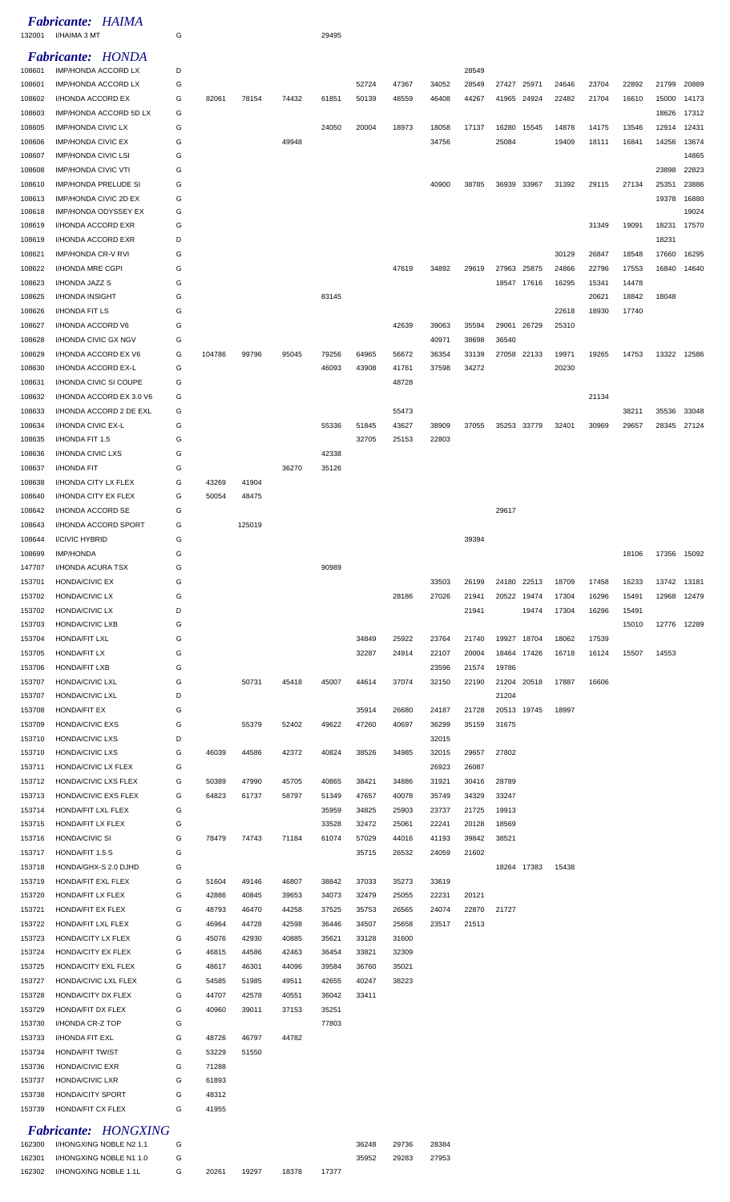## *Fabricante: HAIMA*

I/HAIMA 3 MT G 29495

|                  | <b>Fabricante: HONDA</b>                           |        |                |                |                |                |                |                |                |                |             |             |                |       |       |                |                |
|------------------|----------------------------------------------------|--------|----------------|----------------|----------------|----------------|----------------|----------------|----------------|----------------|-------------|-------------|----------------|-------|-------|----------------|----------------|
| 108601           | IMP/HONDA ACCORD LX                                | D      |                |                |                |                |                |                |                | 28549          |             |             |                |       |       |                |                |
| 108601           | <b>IMP/HONDA ACCORD LX</b>                         | G      |                |                |                |                | 52724          | 47367          | 34052          | 28549          | 27427 25971 |             | 24646          | 23704 | 22892 | 21799          | 20889          |
| 108602<br>108603 | I/HONDA ACCORD EX<br>IMP/HONDA ACCORD 5D LX        | G<br>G | 82061          | 78154          | 74432          | 61851          | 50139          | 48559          | 46408          | 44267          |             | 41965 24924 | 22482          | 21704 | 16610 | 15000<br>18626 | 14173<br>17312 |
| 108605           | <b>IMP/HONDA CIVIC LX</b>                          | G      |                |                |                | 24050          | 20004          | 18973          | 18058          | 17137          | 16280       | 15545       | 14878          | 14175 | 13546 | 12914          | 12431          |
| 108606           | <b>IMP/HONDA CIVIC EX</b>                          | G      |                |                | 49948          |                |                |                | 34756          |                | 25084       |             | 19409          | 18111 | 16841 | 14256          | 13674          |
| 108607           | <b>IMP/HONDA CIVIC LSI</b>                         | G      |                |                |                |                |                |                |                |                |             |             |                |       |       |                | 14865          |
| 108608           | <b>IMP/HONDA CIVIC VTI</b>                         | G      |                |                |                |                |                |                |                |                |             |             |                |       |       | 23898          | 22823          |
| 108610           | IMP/HONDA PRELUDE SI                               | G      |                |                |                |                |                |                | 40900          | 38785          | 36939       | 33967       | 31392          | 29115 | 27134 | 25351          | 23886          |
| 108613           | IMP/HONDA CIVIC 2D EX                              | G      |                |                |                |                |                |                |                |                |             |             |                |       |       | 19378          | 16880          |
| 108618           | <b>IMP/HONDA ODYSSEY EX</b>                        | G      |                |                |                |                |                |                |                |                |             |             |                |       |       |                | 19024          |
| 108619           | I/HONDA ACCORD EXR                                 | G      |                |                |                |                |                |                |                |                |             |             |                | 31349 | 19091 | 18231          | 17570          |
| 108619           | I/HONDA ACCORD EXR                                 | D      |                |                |                |                |                |                |                |                |             |             |                |       |       | 18231          |                |
| 108621           | <b>IMP/HONDA CR-V RVI</b>                          | G      |                |                |                |                |                |                |                |                |             |             | 30129          | 26847 | 18548 | 17660          | 16295          |
| 108622           | I/HONDA MRE CGPI                                   | G      |                |                |                |                |                | 47619          | 34892          | 29619          | 27963       | 25875       | 24866          | 22796 | 17553 | 16840          | 14640          |
| 108623           | I/HONDA JAZZ S                                     | G      |                |                |                |                |                |                |                |                |             | 18547 17616 | 16295          | 15341 | 14478 |                |                |
| 108625           | I/HONDA INSIGHT                                    | G      |                |                |                | 83145          |                |                |                |                |             |             |                | 20621 | 18842 | 18048          |                |
| 108626           | I/HONDA FIT LS                                     | G      |                |                |                |                |                |                |                |                |             |             | 22618          | 18930 | 17740 |                |                |
| 108627           | I/HONDA ACCORD V6                                  | G      |                |                |                |                |                | 42639          | 39063          | 35594          | 29061       | 26729       | 25310          |       |       |                |                |
| 108628           | I/HONDA CIVIC GX NGV                               | G      |                |                |                |                |                |                | 40971          | 38698          | 36540       |             |                |       |       |                |                |
| 108629           | I/HONDA ACCORD EX V6                               | G<br>G | 104786         | 99796          | 95045          | 79256<br>46093 | 64965          | 56672          | 36354<br>37598 | 33139<br>34272 |             | 27058 22133 | 19971<br>20230 | 19265 | 14753 | 13322          | 12586          |
| 108630<br>108631 | I/HONDA ACCORD EX-L<br>I/HONDA CIVIC SI COUPE      | G      |                |                |                |                | 43908          | 41761<br>48728 |                |                |             |             |                |       |       |                |                |
| 108632           | I/HONDA ACCORD EX 3.0 V6                           | G      |                |                |                |                |                |                |                |                |             |             |                | 21134 |       |                |                |
| 108633           | I/HONDA ACCORD 2 DE EXL                            | G      |                |                |                |                |                | 55473          |                |                |             |             |                |       | 38211 | 35536          | 33048          |
| 108634           | I/HONDA CIVIC EX-L                                 | G      |                |                |                | 55336          | 51845          | 43627          | 38909          | 37055          |             | 35253 33779 | 32401          | 30969 | 29657 | 28345          | 27124          |
| 108635           | I/HONDA FIT 1.5                                    | G      |                |                |                |                | 32705          | 25153          | 22803          |                |             |             |                |       |       |                |                |
| 108636           | I/HONDA CIVIC LXS                                  | G      |                |                |                | 42338          |                |                |                |                |             |             |                |       |       |                |                |
| 108637           | I/HONDA FIT                                        | G      |                |                | 36270          | 35126          |                |                |                |                |             |             |                |       |       |                |                |
| 108638           | I/HONDA CITY LX FLEX                               | G      | 43269          | 41904          |                |                |                |                |                |                |             |             |                |       |       |                |                |
| 108640           | I/HONDA CITY EX FLEX                               | G      | 50054          | 48475          |                |                |                |                |                |                |             |             |                |       |       |                |                |
| 108642           | I/HONDA ACCORD SE                                  | G      |                |                |                |                |                |                |                |                | 29617       |             |                |       |       |                |                |
| 108643           | I/HONDA ACCORD SPORT                               | G      |                | 125019         |                |                |                |                |                |                |             |             |                |       |       |                |                |
| 108644           | I/CIVIC HYBRID                                     | G      |                |                |                |                |                |                |                | 39394          |             |             |                |       |       |                |                |
| 108699           | <b>IMP/HONDA</b>                                   | G      |                |                |                |                |                |                |                |                |             |             |                |       | 18106 | 17356          | 15092          |
| 147707           | <b>I/HONDA ACURA TSX</b>                           | G      |                |                |                | 90989          |                |                |                |                |             |             |                |       |       |                |                |
| 153701           | <b>HONDA/CIVIC EX</b>                              | G      |                |                |                |                |                |                | 33503          | 26199          | 24180       | 22513       | 18709          | 17458 | 16233 | 13742          | 13181          |
| 153702           | <b>HONDA/CIVIC LX</b>                              | G      |                |                |                |                |                | 28186          | 27026          | 21941          |             | 20522 19474 | 17304          | 16296 | 15491 |                | 12968 12479    |
| 153702           | <b>HONDA/CIVIC LX</b>                              | D      |                |                |                |                |                |                |                | 21941          |             | 19474       | 17304          | 16296 | 15491 |                |                |
| 153703           | <b>HONDA/CIVIC LXB</b>                             | G      |                |                |                |                |                |                |                |                |             |             |                |       | 15010 | 12776 12289    |                |
| 153704           | <b>HONDA/FIT LXL</b>                               | G      |                |                |                |                | 34849          | 25922          | 23764          | 21740          |             | 19927 18704 | 18062          | 17539 |       |                |                |
| 153705           | <b>HONDA/FIT LX</b>                                | G      |                |                |                |                | 32287          | 24914          | 22107          | 20004          |             | 18464 17426 | 16718          | 16124 | 15507 | 14553          |                |
| 153706           | HONDA/FIT LXB                                      | G      |                |                |                |                |                |                | 23596          | 21574          | 19786       |             |                |       |       |                |                |
| 153707           | HONDA/CIVIC LXL<br>HONDA/CIVIC LXL                 | G<br>D |                | 50731          | 45418          | 45007          | 44614          | 37074          | 32150          | 22190          | 21204       | 21204 20518 | 17887          | 16606 |       |                |                |
| 153707<br>153708 | <b>HONDA/FIT EX</b>                                | G      |                |                |                |                | 35914          | 26680          | 24187          | 21728          |             | 20513 19745 | 18997          |       |       |                |                |
| 153709           | HONDA/CIVIC EXS                                    | G      |                | 55379          | 52402          | 49622          | 47260          | 40697          | 36299          | 35159          | 31675       |             |                |       |       |                |                |
| 153710           | <b>HONDA/CIVIC LXS</b>                             | D      |                |                |                |                |                |                | 32015          |                |             |             |                |       |       |                |                |
| 153710           | <b>HONDA/CIVIC LXS</b>                             | G      | 46039          | 44586          | 42372          | 40824          | 38526          | 34985          | 32015          | 29657          | 27802       |             |                |       |       |                |                |
| 153711           | HONDA/CIVIC LX FLEX                                | G      |                |                |                |                |                |                | 26923          | 26087          |             |             |                |       |       |                |                |
| 153712           | HONDA/CIVIC LXS FLEX                               | G      | 50389          | 47990          | 45705          | 40865          | 38421          | 34886          | 31921          | 30416          | 28789       |             |                |       |       |                |                |
| 153713           | HONDA/CIVIC EXS FLEX                               | G      | 64823          | 61737          | 58797          | 51349          | 47657          | 40078          | 35749          | 34329          | 33247       |             |                |       |       |                |                |
| 153714           | HONDA/FIT LXL FLEX                                 | G      |                |                |                | 35959          | 34825          | 25903          | 23737          | 21725          | 19913       |             |                |       |       |                |                |
| 153715           | HONDA/FIT LX FLEX                                  | G      |                |                |                | 33528          | 32472          | 25061          | 22241          | 20128          | 18569       |             |                |       |       |                |                |
| 153716           | HONDA/CIVIC SI                                     | G      | 78479          | 74743          | 71184          | 61074          | 57029          | 44016          | 41193          | 39842          | 38521       |             |                |       |       |                |                |
| 153717           | HONDA/FIT 1.5 S                                    | G      |                |                |                |                | 35715          | 26532          | 24059          | 21602          |             |             |                |       |       |                |                |
| 153718           | HONDA/GHX-S 2.0 DJHD                               | G      |                |                |                |                |                |                |                |                |             | 18264 17383 | 15438          |       |       |                |                |
| 153719           | HONDA/FIT EXL FLEX                                 | G      | 51604          | 49146          | 46807          | 38842          | 37033          | 35273          | 33619          |                |             |             |                |       |       |                |                |
| 153720           | HONDA/FIT LX FLEX                                  | G      | 42886          | 40845          | 39653          | 34073          | 32479          | 25055          | 22231          | 20121          |             |             |                |       |       |                |                |
| 153721           | HONDA/FIT EX FLEX                                  | G      | 48793          | 46470          | 44258          | 37525          | 35753          | 26565          | 24074          | 22870          | 21727       |             |                |       |       |                |                |
| 153722           | HONDA/FIT LXL FLEX                                 | G      | 46964          | 44728          | 42598          | 36446          | 34507          | 25658          | 23517          | 21513          |             |             |                |       |       |                |                |
| 153723           | HONDA/CITY LX FLEX                                 | G      | 45076          | 42930          | 40885          | 35621          | 33128          | 31600          |                |                |             |             |                |       |       |                |                |
| 153724           | HONDA/CITY EX FLEX                                 | G      | 46815          | 44586          | 42463          | 36454          | 33821          | 32309          |                |                |             |             |                |       |       |                |                |
| 153725           | HONDA/CITY EXL FLEX                                | G      | 48617          | 46301          | 44096          | 39584          | 36760          | 35021          |                |                |             |             |                |       |       |                |                |
| 153727           | HONDA/CIVIC LXL FLEX                               | G      | 54585          | 51985          | 49511          | 42655          | 40247          | 38223          |                |                |             |             |                |       |       |                |                |
| 153728<br>153729 | HONDA/CITY DX FLEX<br>HONDA/FIT DX FLEX            | G<br>G | 44707<br>40960 | 42578<br>39011 | 40551<br>37153 | 36042<br>35251 | 33411          |                |                |                |             |             |                |       |       |                |                |
| 153730           | I/HONDA CR-Z TOP                                   | G      |                |                |                | 77803          |                |                |                |                |             |             |                |       |       |                |                |
| 153733           | I/HONDA FIT EXL                                    | G      | 48726          | 46797          | 44782          |                |                |                |                |                |             |             |                |       |       |                |                |
| 153734           | <b>HONDA/FIT TWIST</b>                             | G      | 53229          | 51550          |                |                |                |                |                |                |             |             |                |       |       |                |                |
| 153736           | <b>HONDA/CIVIC EXR</b>                             | G      | 71288          |                |                |                |                |                |                |                |             |             |                |       |       |                |                |
| 153737           | <b>HONDA/CIVIC LXR</b>                             | G      | 61893          |                |                |                |                |                |                |                |             |             |                |       |       |                |                |
| 153738           | <b>HONDA/CITY SPORT</b>                            | G      | 48312          |                |                |                |                |                |                |                |             |             |                |       |       |                |                |
| 153739           | HONDA/FIT CX FLEX                                  | G      | 41955          |                |                |                |                |                |                |                |             |             |                |       |       |                |                |
|                  |                                                    |        |                |                |                |                |                |                |                |                |             |             |                |       |       |                |                |
|                  | Fabricante: HONGXING                               |        |                |                |                |                |                |                |                |                |             |             |                |       |       |                |                |
| 162300<br>162301 | I/HONGXING NOBLE N2 1.1<br>I/HONGXING NOBLE N1 1.0 | G<br>G |                |                |                |                | 36248<br>35952 | 29736<br>29283 | 28384<br>27953 |                |             |             |                |       |       |                |                |
| 162302           | I/HONGXING NOBLE 1.1L                              | G      | 20261          | 19297          | 18378          | 17377          |                |                |                |                |             |             |                |       |       |                |                |
|                  |                                                    |        |                |                |                |                |                |                |                |                |             |             |                |       |       |                |                |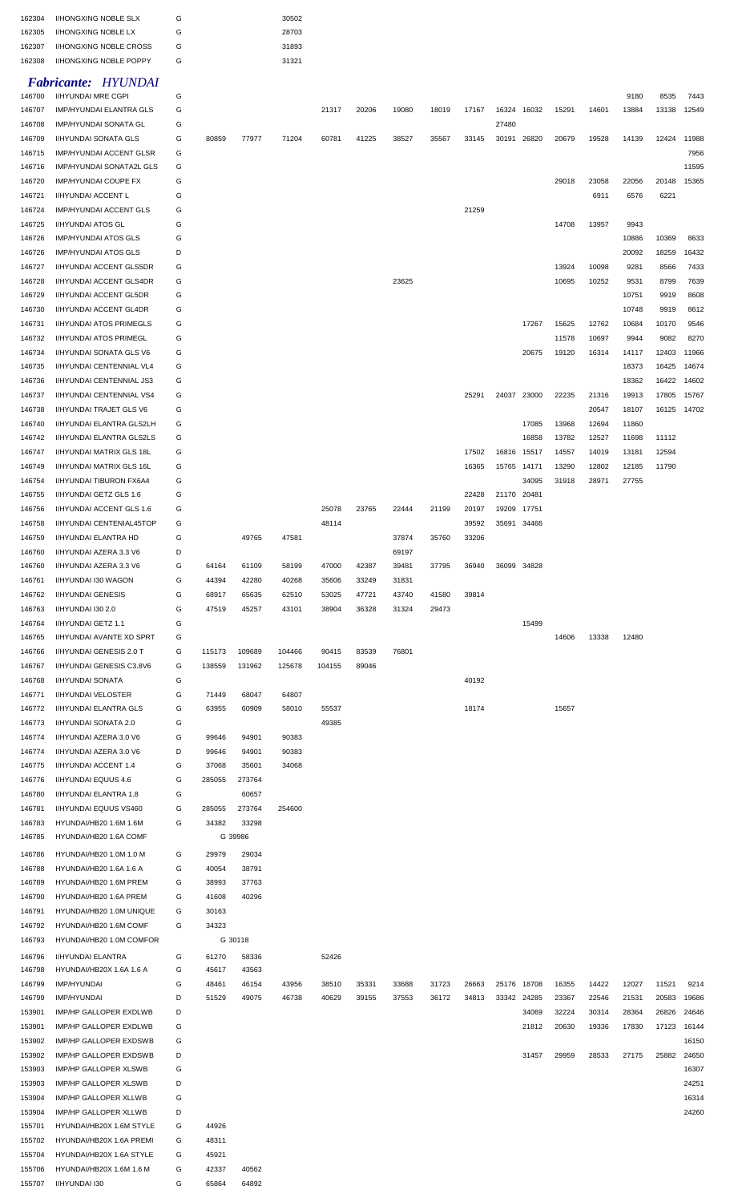| 162304 I/HONGXING NOBLE SLX   | G | 30502 |
|-------------------------------|---|-------|
| 162305 I/HONGXING NOBLE LX    | G | 28703 |
| 162307 I/HONGXING NOBLE CROSS | G | 31893 |
| 162308 I/HONGXING NOBLE POPPY |   | 31321 |

| <i>Fabricante:</i> | <b>HYUNDAI</b> |
|--------------------|----------------|
|--------------------|----------------|

|        | <b>FUDILGHIE: FIUNDAI</b>       |   |        |         |        |        |       |       |       |       |       |             |       |       |       |       |       |
|--------|---------------------------------|---|--------|---------|--------|--------|-------|-------|-------|-------|-------|-------------|-------|-------|-------|-------|-------|
| 146700 | I/HYUNDAI MRE CGPI              | G |        |         |        |        |       |       |       |       |       |             |       |       | 9180  | 8535  | 7443  |
| 146707 | <b>IMP/HYUNDAI ELANTRA GLS</b>  | G |        |         |        | 21317  | 20206 | 19080 | 18019 | 17167 |       | 16324 16032 | 15291 | 14601 | 13884 | 13138 | 12549 |
| 146708 | IMP/HYUNDAI SONATA GL           | G |        |         |        |        |       |       |       |       | 27480 |             |       |       |       |       |       |
| 146709 | I/HYUNDAI SONATA GLS            | G | 80859  | 77977   | 71204  | 60781  | 41225 | 38527 | 35567 | 33145 |       | 30191 26820 | 20679 | 19528 | 14139 | 12424 | 11988 |
| 146715 | <b>IMP/HYUNDAI ACCENT GLSR</b>  | G |        |         |        |        |       |       |       |       |       |             |       |       |       |       | 7956  |
|        |                                 | G |        |         |        |        |       |       |       |       |       |             |       |       |       |       |       |
| 146716 | IMP/HYUNDAI SONATA2L GLS        |   |        |         |        |        |       |       |       |       |       |             |       |       |       |       | 11595 |
| 146720 | <b>IMP/HYUNDAI COUPE FX</b>     | G |        |         |        |        |       |       |       |       |       |             | 29018 | 23058 | 22056 | 20148 | 15365 |
| 146721 | I/HYUNDAI ACCENT L              | G |        |         |        |        |       |       |       |       |       |             |       | 6911  | 6576  | 6221  |       |
| 146724 | <b>IMP/HYUNDAI ACCENT GLS</b>   | G |        |         |        |        |       |       |       | 21259 |       |             |       |       |       |       |       |
| 146725 | I/HYUNDAI ATOS GL               | G |        |         |        |        |       |       |       |       |       |             | 14708 | 13957 | 9943  |       |       |
| 146726 | <b>IMP/HYUNDAI ATOS GLS</b>     | G |        |         |        |        |       |       |       |       |       |             |       |       | 10886 | 10369 | 8633  |
|        |                                 |   |        |         |        |        |       |       |       |       |       |             |       |       |       |       |       |
| 146726 | <b>IMP/HYUNDAI ATOS GLS</b>     | D |        |         |        |        |       |       |       |       |       |             |       |       | 20092 | 18259 | 16432 |
| 146727 | I/HYUNDAI ACCENT GLS5DR         | G |        |         |        |        |       |       |       |       |       |             | 13924 | 10098 | 9281  | 8566  | 7433  |
| 146728 | I/HYUNDAI ACCENT GLS4DR         | G |        |         |        |        |       | 23625 |       |       |       |             | 10695 | 10252 | 9531  | 8799  | 7639  |
| 146729 | I/HYUNDAI ACCENT GL5DR          | G |        |         |        |        |       |       |       |       |       |             |       |       | 10751 | 9919  | 8608  |
| 146730 | I/HYUNDAI ACCENT GL4DR          | G |        |         |        |        |       |       |       |       |       |             |       |       | 10748 | 9919  | 8612  |
|        |                                 |   |        |         |        |        |       |       |       |       |       |             |       |       |       |       |       |
| 146731 | I/HYUNDAI ATOS PRIMEGLS         | G |        |         |        |        |       |       |       |       |       | 17267       | 15625 | 12762 | 10684 | 10170 | 9546  |
| 146732 | I/HYUNDAI ATOS PRIMEGL          | G |        |         |        |        |       |       |       |       |       |             | 11578 | 10697 | 9944  | 9082  | 8270  |
| 146734 | I/HYUNDAI SONATA GLS V6         | G |        |         |        |        |       |       |       |       |       | 20675       | 19120 | 16314 | 14117 | 12403 | 11966 |
| 146735 | I/HYUNDAI CENTENNIAL VL4        | G |        |         |        |        |       |       |       |       |       |             |       |       | 18373 | 16425 | 14674 |
| 146736 | I/HYUNDAI CENTENNIAL JS3        | G |        |         |        |        |       |       |       |       |       |             |       |       | 18362 | 16422 | 14602 |
|        |                                 |   |        |         |        |        |       |       |       |       |       |             |       |       |       |       |       |
| 146737 | I/HYUNDAI CENTENNIAL VS4        | G |        |         |        |        |       |       |       | 25291 | 24037 | 23000       | 22235 | 21316 | 19913 | 17805 | 15767 |
| 146738 | I/HYUNDAI TRAJET GLS V6         | G |        |         |        |        |       |       |       |       |       |             |       | 20547 | 18107 | 16125 | 14702 |
| 146740 | I/HYUNDAI ELANTRA GLS2LH        | G |        |         |        |        |       |       |       |       |       | 17085       | 13968 | 12694 | 11860 |       |       |
| 146742 | I/HYUNDAI ELANTRA GLS2LS        | G |        |         |        |        |       |       |       |       |       | 16858       | 13782 | 12527 | 11698 | 11112 |       |
| 146747 | I/HYUNDAI MATRIX GLS 18L        | G |        |         |        |        |       |       |       | 17502 | 16816 | 15517       | 14557 | 14019 | 13181 | 12594 |       |
|        |                                 |   |        |         |        |        |       |       |       |       |       |             |       |       |       |       |       |
| 146749 | I/HYUNDAI MATRIX GLS 16L        | G |        |         |        |        |       |       |       | 16365 |       | 15765 14171 | 13290 | 12802 | 12185 | 11790 |       |
| 146754 | I/HYUNDAI TIBURON FX6A4         | G |        |         |        |        |       |       |       |       |       | 34095       | 31918 | 28971 | 27755 |       |       |
| 146755 | I/HYUNDAI GETZ GLS 1.6          | G |        |         |        |        |       |       |       | 22428 | 21170 | 20481       |       |       |       |       |       |
| 146756 | I/HYUNDAI ACCENT GLS 1.6        | G |        |         |        | 25078  | 23765 | 22444 | 21199 | 20197 | 19209 | 17751       |       |       |       |       |       |
| 146758 | I/HYUNDAI CENTENIAL45TOP        | G |        |         |        | 48114  |       |       |       | 39592 | 35691 | 34466       |       |       |       |       |       |
|        |                                 |   |        |         |        |        |       |       |       |       |       |             |       |       |       |       |       |
| 146759 | I/HYUNDAI ELANTRA HD            | G |        | 49765   | 47581  |        |       | 37874 | 35760 | 33206 |       |             |       |       |       |       |       |
| 146760 | I/HYUNDAI AZERA 3.3 V6          | D |        |         |        |        |       | 69197 |       |       |       |             |       |       |       |       |       |
| 146760 | I/HYUNDAI AZERA 3.3 V6          | G | 64164  | 61109   | 58199  | 47000  | 42387 | 39481 | 37795 | 36940 | 36099 | 34828       |       |       |       |       |       |
| 146761 | I/HYUNDAI I30 WAGON             | G | 44394  | 42280   | 40268  | 35606  | 33249 | 31831 |       |       |       |             |       |       |       |       |       |
| 146762 | <b>I/HYUNDAI GENESIS</b>        | G | 68917  | 65635   | 62510  | 53025  | 47721 | 43740 | 41580 | 39814 |       |             |       |       |       |       |       |
|        |                                 |   |        |         |        |        |       |       |       |       |       |             |       |       |       |       |       |
| 146763 | I/HYUNDAI I30 2.0               | G | 47519  | 45257   | 43101  | 38904  | 36328 | 31324 | 29473 |       |       |             |       |       |       |       |       |
| 146764 | I/HYUNDAI GETZ 1.1              | G |        |         |        |        |       |       |       |       |       | 15499       |       |       |       |       |       |
| 146765 | I/HYUNDAI AVANTE XD SPRT        | G |        |         |        |        |       |       |       |       |       |             | 14606 | 13338 | 12480 |       |       |
| 146766 | <b>I/HYUNDAI GENESIS 2.0 T</b>  | G | 115173 | 109689  | 104466 | 90415  | 83539 | 76801 |       |       |       |             |       |       |       |       |       |
| 146767 | I/HYUNDAI GENESIS C3.8V6        | G | 138559 | 131962  | 125678 | 104155 | 89046 |       |       |       |       |             |       |       |       |       |       |
|        |                                 | G |        |         |        |        |       |       |       | 40192 |       |             |       |       |       |       |       |
| 146768 | I/HYUNDAI SONATA                |   |        |         |        |        |       |       |       |       |       |             |       |       |       |       |       |
| 146771 | I/HYUNDAI VELOSTER              | G | 71449  | 68047   | 64807  |        |       |       |       |       |       |             |       |       |       |       |       |
| 146772 | I/HYUNDAI ELANTRA GLS           | G | 63955  | 60909   | 58010  | 55537  |       |       |       | 18174 |       |             | 15657 |       |       |       |       |
| 146773 | I/HYUNDAI SONATA 2.0            | G |        |         |        | 49385  |       |       |       |       |       |             |       |       |       |       |       |
| 146774 | I/HYUNDAI AZERA 3.0 V6          | G | 99646  | 94901   | 90383  |        |       |       |       |       |       |             |       |       |       |       |       |
|        | I/HYUNDAI AZERA 3.0 V6          | D |        |         |        |        |       |       |       |       |       |             |       |       |       |       |       |
| 146774 |                                 |   | 99646  | 94901   | 90383  |        |       |       |       |       |       |             |       |       |       |       |       |
| 146775 | I/HYUNDAI ACCENT 1.4            | G | 37068  | 35601   | 34068  |        |       |       |       |       |       |             |       |       |       |       |       |
| 146776 | I/HYUNDAI EQUUS 4.6             | G | 285055 | 273764  |        |        |       |       |       |       |       |             |       |       |       |       |       |
| 146780 | I/HYUNDAI ELANTRA 1.8           | G |        | 60657   |        |        |       |       |       |       |       |             |       |       |       |       |       |
| 146781 | I/HYUNDAI EQUUS VS460           | G | 285055 | 273764  | 254600 |        |       |       |       |       |       |             |       |       |       |       |       |
|        |                                 | G | 34382  | 33298   |        |        |       |       |       |       |       |             |       |       |       |       |       |
| 146783 | HYUNDAI/HB20 1.6M 1.6M          |   |        |         |        |        |       |       |       |       |       |             |       |       |       |       |       |
| 146785 | HYUNDAI/HB20 1.6A COMF          |   |        | G 39986 |        |        |       |       |       |       |       |             |       |       |       |       |       |
| 146786 | HYUNDAI/HB20 1.0M 1.0 M         | G | 29979  | 29034   |        |        |       |       |       |       |       |             |       |       |       |       |       |
| 146788 | HYUNDAI/HB20 1.6A 1.6 A         | G | 40054  | 38791   |        |        |       |       |       |       |       |             |       |       |       |       |       |
|        |                                 |   |        |         |        |        |       |       |       |       |       |             |       |       |       |       |       |
| 146789 | HYUNDAI/HB20 1.6M PREM          | G | 38993  | 37763   |        |        |       |       |       |       |       |             |       |       |       |       |       |
| 146790 | HYUNDAI/HB20 1.6A PREM          | G | 41608  | 40296   |        |        |       |       |       |       |       |             |       |       |       |       |       |
| 146791 | HYUNDAI/HB20 1.0M UNIQUE        | G | 30163  |         |        |        |       |       |       |       |       |             |       |       |       |       |       |
| 146792 | HYUNDAI/HB20 1.6M COMF          | G | 34323  |         |        |        |       |       |       |       |       |             |       |       |       |       |       |
| 146793 | HYUNDAI/HB20 1.0M COMFOR        |   |        | G 30118 |        |        |       |       |       |       |       |             |       |       |       |       |       |
|        |                                 |   |        |         |        |        |       |       |       |       |       |             |       |       |       |       |       |
| 146796 | I/HYUNDAI ELANTRA               | G | 61270  | 58336   |        | 52426  |       |       |       |       |       |             |       |       |       |       |       |
| 146798 | HYUNDAI/HB20X 1.6A 1.6 A        | G | 45617  | 43563   |        |        |       |       |       |       |       |             |       |       |       |       |       |
| 146799 | IMP/HYUNDAI                     | G | 48461  | 46154   | 43956  | 38510  | 35331 | 33688 | 31723 | 26663 |       | 25176 18708 | 16355 | 14422 | 12027 | 11521 | 9214  |
| 146799 | <b>IMP/HYUNDAI</b>              | D | 51529  | 49075   | 46738  | 40629  | 39155 | 37553 | 36172 | 34813 |       | 33342 24285 | 23367 | 22546 | 21531 | 20583 | 19686 |
|        |                                 |   |        |         |        |        |       |       |       |       |       |             |       |       |       |       |       |
| 153901 | IMP/HP GALLOPER EXDLWB          | D |        |         |        |        |       |       |       |       |       | 34069       | 32224 | 30314 | 28364 | 26826 | 24646 |
| 153901 | IMP/HP GALLOPER EXDLWB          | G |        |         |        |        |       |       |       |       |       | 21812       | 20630 | 19336 | 17830 | 17123 | 16144 |
| 153902 | IMP/HP GALLOPER EXDSWB          | G |        |         |        |        |       |       |       |       |       |             |       |       |       |       | 16150 |
| 153902 | IMP/HP GALLOPER EXDSWB          | D |        |         |        |        |       |       |       |       |       | 31457       | 29959 | 28533 | 27175 | 25882 | 24650 |
| 153903 | IMP/HP GALLOPER XLSWB           | G |        |         |        |        |       |       |       |       |       |             |       |       |       |       | 16307 |
|        |                                 |   |        |         |        |        |       |       |       |       |       |             |       |       |       |       |       |
| 153903 | IMP/HP GALLOPER XLSWB           | D |        |         |        |        |       |       |       |       |       |             |       |       |       |       | 24251 |
| 153904 | IMP/HP GALLOPER XLLWB           | G |        |         |        |        |       |       |       |       |       |             |       |       |       |       | 16314 |
| 153904 | IMP/HP GALLOPER XLLWB           | D |        |         |        |        |       |       |       |       |       |             |       |       |       |       | 24260 |
| 155701 | HYUNDAI/HB20X 1.6M STYLE        | G | 44926  |         |        |        |       |       |       |       |       |             |       |       |       |       |       |
|        |                                 |   |        |         |        |        |       |       |       |       |       |             |       |       |       |       |       |
| 155702 | HYUNDAI/HB20X 1.6A PREMI        | G | 48311  |         |        |        |       |       |       |       |       |             |       |       |       |       |       |
|        | 155704 HYUNDAI/HB20X 1.6A STYLE | G | 45921  |         |        |        |       |       |       |       |       |             |       |       |       |       |       |
| 155706 | HYUNDAI/HB20X 1.6M 1.6 M        | G | 42337  | 40562   |        |        |       |       |       |       |       |             |       |       |       |       |       |
|        |                                 | G | 65864  | 64892   |        |        |       |       |       |       |       |             |       |       |       |       |       |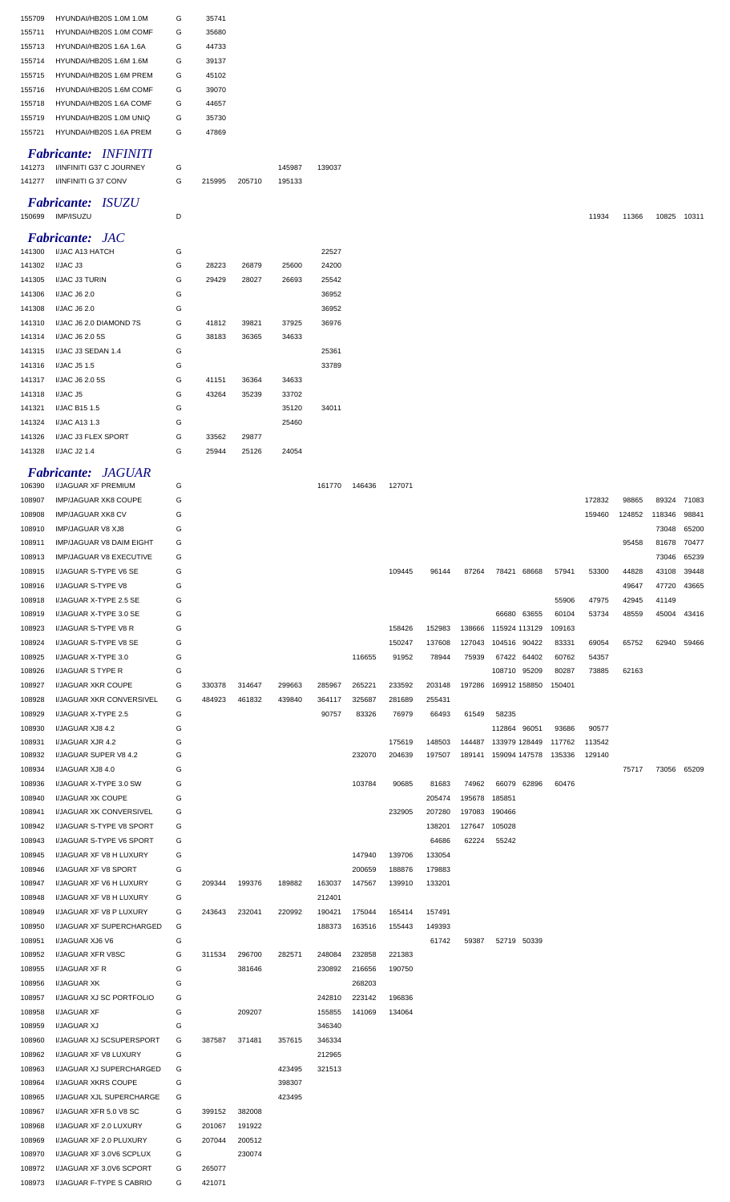| 155709           | HYUNDAI/HB20S 1.0M 1.0M                              | G      | 35741            |        |        |        |        |        |        |        |               |             |        |        |        |        |       |
|------------------|------------------------------------------------------|--------|------------------|--------|--------|--------|--------|--------|--------|--------|---------------|-------------|--------|--------|--------|--------|-------|
| 155711           | HYUNDAI/HB20S 1.0M COMF                              | G      | 35680            |        |        |        |        |        |        |        |               |             |        |        |        |        |       |
| 155713           | HYUNDAI/HB20S 1.6A 1.6A                              | G      | 44733            |        |        |        |        |        |        |        |               |             |        |        |        |        |       |
| 155714           | HYUNDAI/HB20S 1.6M 1.6M                              | G      | 39137            |        |        |        |        |        |        |        |               |             |        |        |        |        |       |
| 155715           | HYUNDAI/HB20S 1.6M PREM                              | G      | 45102            |        |        |        |        |        |        |        |               |             |        |        |        |        |       |
| 155716           | HYUNDAI/HB20S 1.6M COMF                              | G      | 39070            |        |        |        |        |        |        |        |               |             |        |        |        |        |       |
| 155718           | HYUNDAI/HB20S 1.6A COMF                              | G      | 44657            |        |        |        |        |        |        |        |               |             |        |        |        |        |       |
| 155719           | HYUNDAI/HB20S 1.0M UNIQ                              | G      | 35730            |        |        |        |        |        |        |        |               |             |        |        |        |        |       |
|                  |                                                      |        |                  |        |        |        |        |        |        |        |               |             |        |        |        |        |       |
| 155721           | HYUNDAI/HB20S 1.6A PREM                              | G      | 47869            |        |        |        |        |        |        |        |               |             |        |        |        |        |       |
|                  | <b>Fabricante: INFINITI</b>                          |        |                  |        |        |        |        |        |        |        |               |             |        |        |        |        |       |
| 141273           | I/INFINITI G37 C JOURNEY                             | G      |                  |        | 145987 | 139037 |        |        |        |        |               |             |        |        |        |        |       |
| 141277           | I/INFINITI G 37 CONV                                 | G      | 215995           | 205710 | 195133 |        |        |        |        |        |               |             |        |        |        |        |       |
|                  |                                                      |        |                  |        |        |        |        |        |        |        |               |             |        |        |        |        |       |
|                  | <b>Fabricante: ISUZU</b>                             |        |                  |        |        |        |        |        |        |        |               |             |        |        |        |        |       |
| 150699           | <b>IMP/ISUZU</b>                                     | D      |                  |        |        |        |        |        |        |        |               |             |        | 11934  | 11366  | 10825  | 10311 |
|                  |                                                      |        |                  |        |        |        |        |        |        |        |               |             |        |        |        |        |       |
|                  | <b>Fabricante: JAC</b>                               |        |                  |        |        |        |        |        |        |        |               |             |        |        |        |        |       |
| 141300           | I/JAC A13 HATCH                                      | G      |                  |        |        | 22527  |        |        |        |        |               |             |        |        |        |        |       |
| 141302           | I/JAC J3                                             | G      | 28223            | 26879  | 25600  | 24200  |        |        |        |        |               |             |        |        |        |        |       |
| 141305           | I/JAC J3 TURIN                                       | G      | 29429            | 28027  | 26693  | 25542  |        |        |        |        |               |             |        |        |        |        |       |
| 141306           | I/JAC J6 2.0                                         | G      |                  |        |        | 36952  |        |        |        |        |               |             |        |        |        |        |       |
| 141308           | I/JAC J6 2.0                                         | G      |                  |        |        | 36952  |        |        |        |        |               |             |        |        |        |        |       |
| 141310           | I/JAC J6 2.0 DIAMOND 7S                              | G      | 41812            | 39821  | 37925  | 36976  |        |        |        |        |               |             |        |        |        |        |       |
| 141314           | I/JAC J6 2.0 5S                                      | G      | 38183            | 36365  | 34633  |        |        |        |        |        |               |             |        |        |        |        |       |
|                  | I/JAC J3 SEDAN 1.4                                   | G      |                  |        |        | 25361  |        |        |        |        |               |             |        |        |        |        |       |
| 141315           |                                                      |        |                  |        |        |        |        |        |        |        |               |             |        |        |        |        |       |
| 141316           | I/JAC J5 1.5                                         | G      |                  |        |        | 33789  |        |        |        |        |               |             |        |        |        |        |       |
| 141317           | I/JAC J6 2.0 5S                                      | G      | 41151            | 36364  | 34633  |        |        |        |        |        |               |             |        |        |        |        |       |
| 141318           | I/JAC J5                                             | G      | 43264            | 35239  | 33702  |        |        |        |        |        |               |             |        |        |        |        |       |
| 141321           | I/JAC B15 1.5                                        | G      |                  |        | 35120  | 34011  |        |        |        |        |               |             |        |        |        |        |       |
| 141324           | I/JAC A13 1.3                                        | G      |                  |        | 25460  |        |        |        |        |        |               |             |        |        |        |        |       |
| 141326           | I/JAC J3 FLEX SPORT                                  | G      | 33562            | 29877  |        |        |        |        |        |        |               |             |        |        |        |        |       |
| 141328           | I/JAC J2 1.4                                         | G      | 25944            | 25126  | 24054  |        |        |        |        |        |               |             |        |        |        |        |       |
|                  |                                                      |        |                  |        |        |        |        |        |        |        |               |             |        |        |        |        |       |
|                  | <b>Fabricante: JAGUAR</b>                            |        |                  |        |        |        |        |        |        |        |               |             |        |        |        |        |       |
| 106390           | I/JAGUAR XF PREMIUM                                  | G      |                  |        |        | 161770 | 146436 | 127071 |        |        |               |             |        |        |        |        |       |
| 108907           | IMP/JAGUAR XK8 COUPE                                 | G      |                  |        |        |        |        |        |        |        |               |             |        | 172832 | 98865  | 89324  | 71083 |
| 108908           | IMP/JAGUAR XK8 CV                                    | G      |                  |        |        |        |        |        |        |        |               |             |        | 159460 | 124852 | 118346 | 98841 |
|                  |                                                      |        |                  |        |        |        |        |        |        |        |               |             |        |        |        |        |       |
| 108910           | IMP/JAGUAR V8 XJ8                                    | G      |                  |        |        |        |        |        |        |        |               |             |        |        |        | 73048  | 65200 |
| 108911           | IMP/JAGUAR V8 DAIM EIGHT                             | G      |                  |        |        |        |        |        |        |        |               |             |        |        | 95458  | 81678  | 70477 |
| 108913           | IMP/JAGUAR V8 EXECUTIVE                              | G      |                  |        |        |        |        |        |        |        |               |             |        |        |        | 73046  | 65239 |
| 108915           | I/JAGUAR S-TYPE V6 SE                                | G      |                  |        |        |        |        | 109445 | 96144  | 87264  | 78421         | 68668       | 57941  | 53300  | 44828  | 43108  | 39448 |
| 108916           | I/JAGUAR S-TYPE V8                                   | G      |                  |        |        |        |        |        |        |        |               |             |        |        | 49647  | 47720  | 43665 |
| 108918           | I/JAGUAR X-TYPE 2.5 SE                               | G      |                  |        |        |        |        |        |        |        |               |             | 55906  | 47975  | 42945  | 41149  |       |
|                  |                                                      |        |                  |        |        |        |        |        |        |        |               |             |        |        |        |        |       |
|                  |                                                      |        |                  |        |        |        |        |        |        |        |               |             |        |        |        |        |       |
| 108919           | I/JAGUAR X-TYPE 3.0 SE                               | G      |                  |        |        |        |        |        |        |        | 66680         | 63655       | 60104  | 53734  | 48559  | 45004  | 43416 |
| 108923           | I/JAGUAR S-TYPE V8 R                                 | G      |                  |        |        |        |        | 158426 | 152983 | 138666 | 115924 113129 |             | 109163 |        |        |        |       |
| 108924           | I/JAGUAR S-TYPE V8 SE                                | G      |                  |        |        |        |        | 150247 | 137608 | 127043 | 104516 90422  |             | 83331  | 69054  | 65752  | 62940  | 59466 |
| 108925           | I/JAGUAR X-TYPE 3.0                                  | G      |                  |        |        |        | 116655 | 91952  | 78944  | 75939  |               | 67422 64402 | 60762  | 54357  |        |        |       |
| 108926           | <b>I/JAGUAR S TYPE R</b>                             | G      |                  |        |        |        |        |        |        |        | 108710 95209  |             | 80287  | 73885  | 62163  |        |       |
| 108927           | <b>I/JAGUAR XKR COUPE</b>                            | G      | 330378           | 314647 | 299663 | 285967 | 265221 | 233592 | 203148 | 197286 | 169912 158850 |             | 150401 |        |        |        |       |
|                  |                                                      |        |                  |        |        |        |        |        |        |        |               |             |        |        |        |        |       |
| 108928           | I/JAGUAR XKR CONVERSIVEL                             | G      | 484923           | 461832 | 439840 | 364117 | 325687 | 281689 | 255431 |        |               |             |        |        |        |        |       |
| 108929           | I/JAGUAR X-TYPE 2.5                                  | G      |                  |        |        | 90757  | 83326  | 76979  | 66493  | 61549  | 58235         |             |        |        |        |        |       |
| 108930           | I/JAGUAR XJ8 4.2                                     | G      |                  |        |        |        |        |        |        |        | 112864        | 96051       | 93686  | 90577  |        |        |       |
| 108931           | I/JAGUAR XJR 4.2                                     | G      |                  |        |        |        |        | 175619 | 148503 | 144487 | 133979 128449 |             | 117762 | 113542 |        |        |       |
| 108932           | I/JAGUAR SUPER V8 4.2                                | G      |                  |        |        |        | 232070 | 204639 | 197507 | 189141 | 159094 147578 |             | 135336 | 129140 |        |        |       |
| 108934           | I/JAGUAR XJ8 4.0                                     | G      |                  |        |        |        |        |        |        |        |               |             |        |        | 75717  | 73056  | 65209 |
| 108936           | I/JAGUAR X-TYPE 3.0 SW                               | G      |                  |        |        |        | 103784 | 90685  | 81683  | 74962  | 66079         | 62896       | 60476  |        |        |        |       |
| 108940           | I/JAGUAR XK COUPE                                    | G      |                  |        |        |        |        |        | 205474 | 195678 | 185851        |             |        |        |        |        |       |
| 108941           | I/JAGUAR XK CONVERSIVEL                              | G      |                  |        |        |        |        | 232905 | 207280 | 197083 | 190466        |             |        |        |        |        |       |
|                  | I/JAGUAR S-TYPE V8 SPORT                             | G      |                  |        |        |        |        |        |        |        |               |             |        |        |        |        |       |
| 108942           | I/JAGUAR S-TYPE V6 SPORT                             | G      |                  |        |        |        |        |        | 138201 | 127647 | 105028        |             |        |        |        |        |       |
| 108943           |                                                      |        |                  |        |        |        |        |        | 64686  | 62224  | 55242         |             |        |        |        |        |       |
| 108945           | I/JAGUAR XF V8 H LUXURY                              | G      |                  |        |        |        | 147940 | 139706 | 133054 |        |               |             |        |        |        |        |       |
| 108946           | I/JAGUAR XF V8 SPORT                                 | G      |                  |        |        |        | 200659 | 188876 | 179883 |        |               |             |        |        |        |        |       |
| 108947           | I/JAGUAR XF V6 H LUXURY                              | G      | 209344           | 199376 | 189882 | 163037 | 147567 | 139910 | 133201 |        |               |             |        |        |        |        |       |
| 108948           | I/JAGUAR XF V8 H LUXURY                              | G      |                  |        |        | 212401 |        |        |        |        |               |             |        |        |        |        |       |
| 108949           | I/JAGUAR XF V8 P LUXURY                              | G      | 243643           | 232041 | 220992 | 190421 | 175044 | 165414 | 157491 |        |               |             |        |        |        |        |       |
| 108950           | I/JAGUAR XF SUPERCHARGED                             | G      |                  |        |        | 188373 | 163516 | 155443 | 149393 |        |               |             |        |        |        |        |       |
| 108951           | I/JAGUAR XJ6 V6                                      | G      |                  |        |        |        |        |        | 61742  | 59387  |               | 52719 50339 |        |        |        |        |       |
|                  |                                                      |        |                  |        |        |        |        |        |        |        |               |             |        |        |        |        |       |
| 108952           | I/JAGUAR XFR V8SC                                    | G      | 311534           | 296700 | 282571 | 248084 | 232858 | 221383 |        |        |               |             |        |        |        |        |       |
| 108955           | I/JAGUAR XF R                                        | G      |                  | 381646 |        | 230892 | 216656 | 190750 |        |        |               |             |        |        |        |        |       |
| 108956           | I/JAGUAR XK                                          | G      |                  |        |        |        | 268203 |        |        |        |               |             |        |        |        |        |       |
| 108957           | I/JAGUAR XJ SC PORTFOLIO                             | G      |                  |        |        | 242810 | 223142 | 196836 |        |        |               |             |        |        |        |        |       |
| 108958           | I/JAGUAR XF                                          | G      |                  | 209207 |        | 155855 | 141069 | 134064 |        |        |               |             |        |        |        |        |       |
| 108959           | I/JAGUAR XJ                                          | G      |                  |        |        | 346340 |        |        |        |        |               |             |        |        |        |        |       |
| 108960           | I/JAGUAR XJ SCSUPERSPORT                             | G      | 387587           | 371481 | 357615 | 346334 |        |        |        |        |               |             |        |        |        |        |       |
|                  |                                                      |        |                  |        |        |        |        |        |        |        |               |             |        |        |        |        |       |
| 108962           | I/JAGUAR XF V8 LUXURY                                | G      |                  |        |        | 212965 |        |        |        |        |               |             |        |        |        |        |       |
| 108963           | I/JAGUAR XJ SUPERCHARGED                             | G      |                  |        | 423495 | 321513 |        |        |        |        |               |             |        |        |        |        |       |
| 108964           | I/JAGUAR XKRS COUPE                                  | G      |                  |        | 398307 |        |        |        |        |        |               |             |        |        |        |        |       |
| 108965           | I/JAGUAR XJL SUPERCHARGE                             | G      |                  |        | 423495 |        |        |        |        |        |               |             |        |        |        |        |       |
| 108967           | I/JAGUAR XFR 5.0 V8 SC                               | G      | 399152           | 382008 |        |        |        |        |        |        |               |             |        |        |        |        |       |
| 108968           | I/JAGUAR XF 2.0 LUXURY                               | G      | 201067           | 191922 |        |        |        |        |        |        |               |             |        |        |        |        |       |
| 108969           | I/JAGUAR XF 2.0 PLUXURY                              | G      | 207044           | 200512 |        |        |        |        |        |        |               |             |        |        |        |        |       |
|                  |                                                      |        |                  |        |        |        |        |        |        |        |               |             |        |        |        |        |       |
| 108970           | I/JAGUAR XF 3.0V6 SCPLUX                             | G      |                  | 230074 |        |        |        |        |        |        |               |             |        |        |        |        |       |
| 108972<br>108973 | I/JAGUAR XF 3.0V6 SCPORT<br>I/JAGUAR F-TYPE S CABRIO | G<br>G | 265077<br>421071 |        |        |        |        |        |        |        |               |             |        |        |        |        |       |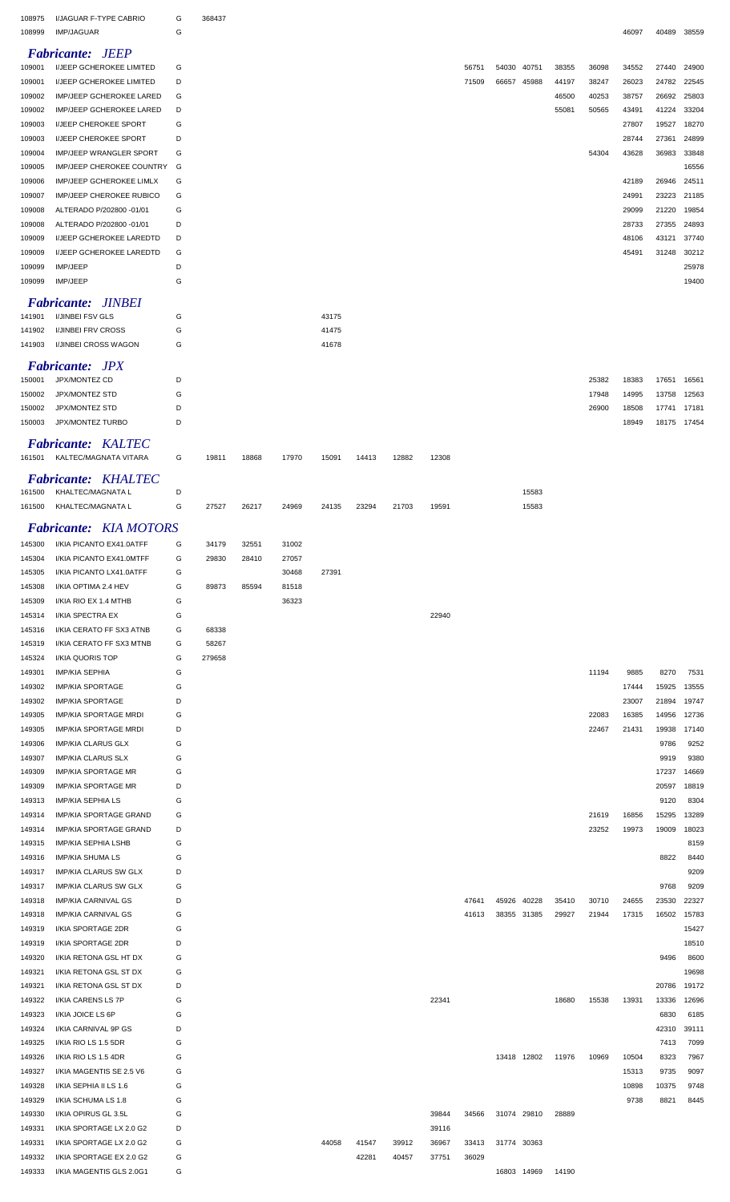| 108975           | I/JAGUAR F-TYPE CABRIO                           | G      | 368437 |       |       |       |       |       |                |       |             |             |       |       |       |       |       |
|------------------|--------------------------------------------------|--------|--------|-------|-------|-------|-------|-------|----------------|-------|-------------|-------------|-------|-------|-------|-------|-------|
| 108999           | <b>IMP/JAGUAR</b>                                | G      |        |       |       |       |       |       |                |       |             |             |       |       | 46097 | 40489 | 38559 |
|                  | <b>Fabricante: JEEP</b>                          |        |        |       |       |       |       |       |                |       |             |             |       |       |       |       |       |
| 109001           | I/JEEP GCHEROKEE LIMITED                         | G      |        |       |       |       |       |       |                | 56751 | 54030 40751 |             | 38355 | 36098 | 34552 | 27440 | 24900 |
| 109001           | I/JEEP GCHEROKEE LIMITED                         | D      |        |       |       |       |       |       |                | 71509 | 66657 45988 |             | 44197 | 38247 | 26023 | 24782 | 22545 |
| 109002           | IMP/JEEP GCHEROKEE LARED                         | G      |        |       |       |       |       |       |                |       |             |             | 46500 | 40253 | 38757 | 26692 | 25803 |
| 109002           | IMP/JEEP GCHEROKEE LARED                         | D      |        |       |       |       |       |       |                |       |             |             | 55081 | 50565 | 43491 | 41224 | 33204 |
| 109003           | I/JEEP CHEROKEE SPORT                            | G      |        |       |       |       |       |       |                |       |             |             |       |       | 27807 | 19527 | 18270 |
| 109003           | I/JEEP CHEROKEE SPORT                            | D      |        |       |       |       |       |       |                |       |             |             |       |       | 28744 | 27361 | 24899 |
| 109004           | IMP/JEEP WRANGLER SPORT                          | G      |        |       |       |       |       |       |                |       |             |             |       | 54304 | 43628 | 36983 | 33848 |
| 109005           | IMP/JEEP CHEROKEE COUNTRY                        | G      |        |       |       |       |       |       |                |       |             |             |       |       |       |       | 16556 |
| 109006           | IMP/JEEP GCHEROKEE LIMLX                         | G      |        |       |       |       |       |       |                |       |             |             |       |       | 42189 | 26946 | 24511 |
| 109007           | IMP/JEEP CHEROKEE RUBICO                         | G      |        |       |       |       |       |       |                |       |             |             |       |       | 24991 | 23223 | 21185 |
| 109008           | ALTERADO P/202800 -01/01                         | G      |        |       |       |       |       |       |                |       |             |             |       |       | 29099 | 21220 | 19854 |
| 109008           | ALTERADO P/202800 -01/01                         | D      |        |       |       |       |       |       |                |       |             |             |       |       | 28733 | 27355 | 24893 |
| 109009           | I/JEEP GCHEROKEE LAREDTD                         | D      |        |       |       |       |       |       |                |       |             |             |       |       | 48106 | 43121 | 37740 |
| 109009           | I/JEEP GCHEROKEE LAREDTD                         | G      |        |       |       |       |       |       |                |       |             |             |       |       | 45491 | 31248 | 30212 |
| 109099           | IMP/JEEP                                         | D      |        |       |       |       |       |       |                |       |             |             |       |       |       |       | 25978 |
| 109099           | IMP/JEEP                                         | G      |        |       |       |       |       |       |                |       |             |             |       |       |       |       | 19400 |
|                  | <b>Fabricante: JINBEI</b>                        |        |        |       |       |       |       |       |                |       |             |             |       |       |       |       |       |
| 141901           | I/JINBEI FSV GLS                                 | G      |        |       |       | 43175 |       |       |                |       |             |             |       |       |       |       |       |
| 141902           | I/JINBEI FRV CROSS                               | G      |        |       |       | 41475 |       |       |                |       |             |             |       |       |       |       |       |
| 141903           | I/JINBEI CROSS WAGON                             | G      |        |       |       | 41678 |       |       |                |       |             |             |       |       |       |       |       |
|                  |                                                  |        |        |       |       |       |       |       |                |       |             |             |       |       |       |       |       |
|                  | <b>Fabricante: JPX</b>                           |        |        |       |       |       |       |       |                |       |             |             |       |       |       |       |       |
| 150001           | JPX/MONTEZ CD                                    | D      |        |       |       |       |       |       |                |       |             |             |       | 25382 | 18383 | 17651 | 16561 |
| 150002           | JPX/MONTEZ STD                                   | G      |        |       |       |       |       |       |                |       |             |             |       | 17948 | 14995 | 13758 | 12563 |
| 150002           | JPX/MONTEZ STD                                   | D      |        |       |       |       |       |       |                |       |             |             |       | 26900 | 18508 | 17741 | 17181 |
| 150003           | JPX/MONTEZ TURBO                                 | D      |        |       |       |       |       |       |                |       |             |             |       |       | 18949 | 18175 | 17454 |
|                  | <b>Fabricante: KALTEC</b>                        |        |        |       |       |       |       |       |                |       |             |             |       |       |       |       |       |
|                  | 161501 KALTEC/MAGNATA VITARA                     | G      | 19811  | 18868 | 17970 | 15091 | 14413 | 12882 | 12308          |       |             |             |       |       |       |       |       |
|                  | <b>Fabricante: KHALTEC</b>                       |        |        |       |       |       |       |       |                |       |             |             |       |       |       |       |       |
| 161500           | KHALTEC/MAGNATA L                                | D      |        |       |       |       |       |       |                |       |             | 15583       |       |       |       |       |       |
| 161500           | KHALTEC/MAGNATA L                                | G      | 27527  | 26217 | 24969 | 24135 | 23294 | 21703 | 19591          |       |             | 15583       |       |       |       |       |       |
|                  |                                                  |        |        |       |       |       |       |       |                |       |             |             |       |       |       |       |       |
|                  | <b>Fabricante:</b> KIA MOTORS                    |        |        |       |       |       |       |       |                |       |             |             |       |       |       |       |       |
|                  | 145300 I/KIA PICANTO EX41.0ATFF G                |        | 34179  | 32551 | 31002 |       |       |       |                |       |             |             |       |       |       |       |       |
| 145304           | I/KIA PICANTO EX41.0MTFF                         | G      | 29830  | 28410 | 27057 |       |       |       |                |       |             |             |       |       |       |       |       |
| 145305           | I/KIA PICANTO LX41.0ATFF                         | G      |        |       | 30468 | 27391 |       |       |                |       |             |             |       |       |       |       |       |
| 145308           | I/KIA OPTIMA 2.4 HEV                             | G      | 89873  | 85594 | 81518 |       |       |       |                |       |             |             |       |       |       |       |       |
| 145309           | I/KIA RIO EX 1.4 MTHB                            | G      |        |       | 36323 |       |       |       |                |       |             |             |       |       |       |       |       |
| 145314           | I/KIA SPECTRA EX                                 | G      |        |       |       |       |       |       | 22940          |       |             |             |       |       |       |       |       |
| 145316           | I/KIA CERATO FF SX3 ATNB                         | G      | 68338  |       |       |       |       |       |                |       |             |             |       |       |       |       |       |
| 145319           | I/KIA CERATO FF SX3 MTNB                         | G      | 58267  |       |       |       |       |       |                |       |             |             |       |       |       |       |       |
| 145324           | I/KIA QUORIS TOP                                 | G      | 279658 |       |       |       |       |       |                |       |             |             |       |       |       |       |       |
| 149301           | <b>IMP/KIA SEPHIA</b>                            | G      |        |       |       |       |       |       |                |       |             |             |       | 11194 | 9885  | 8270  | 7531  |
| 149302           | <b>IMP/KIA SPORTAGE</b>                          | G      |        |       |       |       |       |       |                |       |             |             |       |       | 17444 | 15925 | 13555 |
| 149302           | <b>IMP/KIA SPORTAGE</b>                          | D      |        |       |       |       |       |       |                |       |             |             |       |       | 23007 | 21894 | 19747 |
| 149305           | IMP/KIA SPORTAGE MRDI                            | G      |        |       |       |       |       |       |                |       |             |             |       | 22083 | 16385 | 14956 | 12736 |
| 149305           | IMP/KIA SPORTAGE MRDI                            | D      |        |       |       |       |       |       |                |       |             |             |       | 22467 | 21431 | 19938 | 17140 |
| 149306           | <b>IMP/KIA CLARUS GLX</b>                        | G      |        |       |       |       |       |       |                |       |             |             |       |       |       | 9786  | 9252  |
| 149307           | <b>IMP/KIA CLARUS SLX</b>                        | G      |        |       |       |       |       |       |                |       |             |             |       |       |       | 9919  | 9380  |
| 149309           | <b>IMP/KIA SPORTAGE MR</b>                       | G      |        |       |       |       |       |       |                |       |             |             |       |       |       | 17237 | 14669 |
| 149309           | <b>IMP/KIA SPORTAGE MR</b>                       | D      |        |       |       |       |       |       |                |       |             |             |       |       |       | 20597 | 18819 |
| 149313           | <b>IMP/KIA SEPHIA LS</b>                         | G      |        |       |       |       |       |       |                |       |             |             |       |       |       | 9120  | 8304  |
| 149314           | <b>IMP/KIA SPORTAGE GRAND</b>                    | G      |        |       |       |       |       |       |                |       |             |             |       | 21619 | 16856 | 15295 | 13289 |
| 149314           | IMP/KIA SPORTAGE GRAND                           | D      |        |       |       |       |       |       |                |       |             |             |       | 23252 | 19973 | 19009 | 18023 |
| 149315           | IMP/KIA SEPHIA LSHB                              | G      |        |       |       |       |       |       |                |       |             |             |       |       |       |       | 8159  |
| 149316           | <b>IMP/KIA SHUMA LS</b>                          | G      |        |       |       |       |       |       |                |       |             |             |       |       |       | 8822  | 8440  |
| 149317           | <b>IMP/KIA CLARUS SW GLX</b>                     | D      |        |       |       |       |       |       |                |       |             |             |       |       |       |       | 9209  |
| 149317           | <b>IMP/KIA CLARUS SW GLX</b>                     | G      |        |       |       |       |       |       |                |       |             |             |       |       |       | 9768  | 9209  |
| 149318           | <b>IMP/KIA CARNIVAL GS</b>                       | D      |        |       |       |       |       |       |                | 47641 | 45926 40228 |             | 35410 | 30710 | 24655 | 23530 | 22327 |
| 149318           | IMP/KIA CARNIVAL GS                              | G      |        |       |       |       |       |       |                | 41613 | 38355 31385 |             | 29927 | 21944 | 17315 | 16502 | 15783 |
| 149319           | I/KIA SPORTAGE 2DR                               | G      |        |       |       |       |       |       |                |       |             |             |       |       |       |       | 15427 |
| 149319           | I/KIA SPORTAGE 2DR                               | D      |        |       |       |       |       |       |                |       |             |             |       |       |       |       | 18510 |
| 149320           | I/KIA RETONA GSL HT DX                           | G      |        |       |       |       |       |       |                |       |             |             |       |       |       | 9496  | 8600  |
| 149321           | I/KIA RETONA GSL ST DX                           | G      |        |       |       |       |       |       |                |       |             |             |       |       |       |       | 19698 |
| 149321           | I/KIA RETONA GSL ST DX                           | D      |        |       |       |       |       |       |                |       |             |             |       |       |       | 20786 | 19172 |
| 149322           | I/KIA CARENS LS 7P                               | G      |        |       |       |       |       |       | 22341          |       |             |             | 18680 | 15538 | 13931 | 13336 | 12696 |
| 149323           | I/KIA JOICE LS 6P                                | G      |        |       |       |       |       |       |                |       |             |             |       |       |       | 6830  | 6185  |
| 149324           | I/KIA CARNIVAL 9P GS                             | D      |        |       |       |       |       |       |                |       |             |             |       |       |       | 42310 | 39111 |
| 149325           | I/KIA RIO LS 1.5 5DR                             | G      |        |       |       |       |       |       |                |       |             |             |       |       |       | 7413  | 7099  |
| 149326           | I/KIA RIO LS 1.5 4DR                             | G      |        |       |       |       |       |       |                |       |             | 13418 12802 | 11976 | 10969 | 10504 | 8323  | 7967  |
| 149327           | I/KIA MAGENTIS SE 2.5 V6                         | G      |        |       |       |       |       |       |                |       |             |             |       |       | 15313 | 9735  | 9097  |
| 149328           | I/KIA SEPHIA II LS 1.6                           | G      |        |       |       |       |       |       |                |       |             |             |       |       | 10898 | 10375 | 9748  |
| 149329           | I/KIA SCHUMA LS 1.8                              | G      |        |       |       |       |       |       |                |       |             |             |       |       | 9738  | 8821  | 8445  |
| 149330<br>149331 | I/KIA OPIRUS GL 3.5L<br>I/KIA SPORTAGE LX 2.0 G2 | G<br>D |        |       |       |       |       |       | 39844<br>39116 | 34566 | 31074 29810 |             | 28889 |       |       |       |       |
| 149331           | I/KIA SPORTAGE LX 2.0 G2                         | G      |        |       |       | 44058 | 41547 | 39912 | 36967          | 33413 | 31774 30363 |             |       |       |       |       |       |
| 149332           | I/KIA SPORTAGE EX 2.0 G2                         | G      |        |       |       |       | 42281 | 40457 | 37751          | 36029 |             |             |       |       |       |       |       |
| 149333           | I/KIA MAGENTIS GLS 2.0G1                         | G      |        |       |       |       |       |       |                |       |             | 16803 14969 | 14190 |       |       |       |       |
|                  |                                                  |        |        |       |       |       |       |       |                |       |             |             |       |       |       |       |       |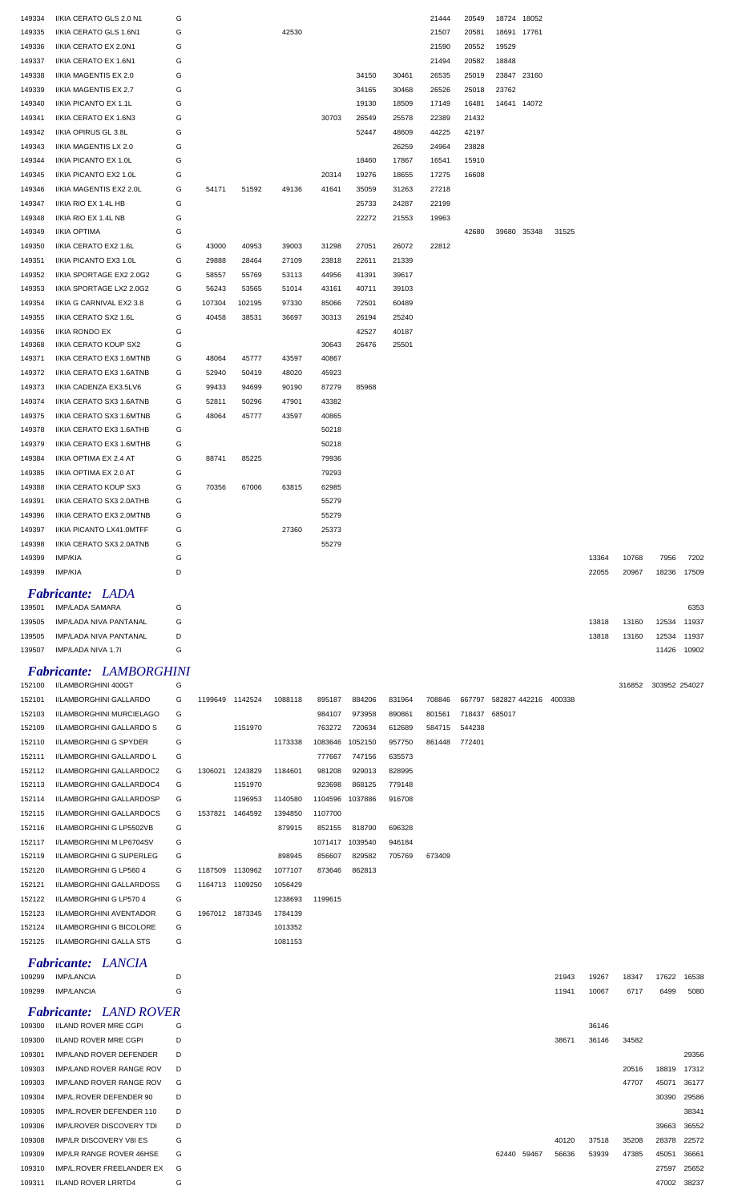| 149334 | I/KIA CERATO GLS 2.0 N1        | G |                 |                 |         |         |                 |        | 21444  | 20549  | 18724 18052          |        |       |        |               |       |
|--------|--------------------------------|---|-----------------|-----------------|---------|---------|-----------------|--------|--------|--------|----------------------|--------|-------|--------|---------------|-------|
| 149335 | I/KIA CERATO GLS 1.6N1         | G |                 |                 | 42530   |         |                 |        | 21507  | 20581  | 18691 17761          |        |       |        |               |       |
| 149336 | I/KIA CERATO EX 2.0N1          | G |                 |                 |         |         |                 |        | 21590  | 20552  | 19529                |        |       |        |               |       |
| 149337 | I/KIA CERATO EX 1.6N1          | G |                 |                 |         |         |                 |        | 21494  | 20582  | 18848                |        |       |        |               |       |
| 149338 | I/KIA MAGENTIS EX 2.0          | G |                 |                 |         |         | 34150           | 30461  | 26535  | 25019  | 23847 23160          |        |       |        |               |       |
| 149339 | I/KIA MAGENTIS EX 2.7          | G |                 |                 |         |         | 34165           | 30468  | 26526  | 25018  | 23762                |        |       |        |               |       |
| 149340 | I/KIA PICANTO EX 1.1L          | G |                 |                 |         |         | 19130           | 18509  | 17149  | 16481  | 14641 14072          |        |       |        |               |       |
|        |                                |   |                 |                 |         |         |                 |        |        |        |                      |        |       |        |               |       |
| 149341 | I/KIA CERATO EX 1.6N3          | G |                 |                 |         | 30703   | 26549           | 25578  | 22389  | 21432  |                      |        |       |        |               |       |
| 149342 | I/KIA OPIRUS GL 3.8L           | G |                 |                 |         |         | 52447           | 48609  | 44225  | 42197  |                      |        |       |        |               |       |
| 149343 | I/KIA MAGENTIS LX 2.0          | G |                 |                 |         |         |                 | 26259  | 24964  | 23828  |                      |        |       |        |               |       |
| 149344 | I/KIA PICANTO EX 1.0L          | G |                 |                 |         |         | 18460           | 17867  | 16541  | 15910  |                      |        |       |        |               |       |
| 149345 | I/KIA PICANTO EX2 1.0L         | G |                 |                 |         | 20314   | 19276           | 18655  | 17275  | 16608  |                      |        |       |        |               |       |
| 149346 | I/KIA MAGENTIS EX2 2.0L        | G | 54171           | 51592           | 49136   | 41641   | 35059           | 31263  | 27218  |        |                      |        |       |        |               |       |
|        |                                |   |                 |                 |         |         |                 |        |        |        |                      |        |       |        |               |       |
| 149347 | I/KIA RIO EX 1.4L HB           | G |                 |                 |         |         | 25733           | 24287  | 22199  |        |                      |        |       |        |               |       |
| 149348 | I/KIA RIO EX 1.4L NB           | G |                 |                 |         |         | 22272           | 21553  | 19963  |        |                      |        |       |        |               |       |
| 149349 | I/KIA OPTIMA                   | G |                 |                 |         |         |                 |        |        | 42680  | 39680 35348          | 31525  |       |        |               |       |
| 149350 | I/KIA CERATO EX2 1.6L          | G | 43000           | 40953           | 39003   | 31298   | 27051           | 26072  | 22812  |        |                      |        |       |        |               |       |
| 149351 | I/KIA PICANTO EX3 1.0L         | G | 29888           | 28464           | 27109   | 23818   | 22611           | 21339  |        |        |                      |        |       |        |               |       |
| 149352 | I/KIA SPORTAGE EX2 2.0G2       | G | 58557           | 55769           | 53113   | 44956   | 41391           | 39617  |        |        |                      |        |       |        |               |       |
|        | I/KIA SPORTAGE LX2 2.0G2       | G | 56243           | 53565           |         | 43161   | 40711           | 39103  |        |        |                      |        |       |        |               |       |
| 149353 |                                |   |                 |                 | 51014   |         |                 |        |        |        |                      |        |       |        |               |       |
| 149354 | I/KIA G CARNIVAL EX2 3.8       | G | 107304          | 102195          | 97330   | 85066   | 72501           | 60489  |        |        |                      |        |       |        |               |       |
| 149355 | I/KIA CERATO SX2 1.6L          | G | 40458           | 38531           | 36697   | 30313   | 26194           | 25240  |        |        |                      |        |       |        |               |       |
| 149356 | I/KIA RONDO EX                 | G |                 |                 |         |         | 42527           | 40187  |        |        |                      |        |       |        |               |       |
| 149368 | I/KIA CERATO KOUP SX2          | G |                 |                 |         | 30643   | 26476           | 25501  |        |        |                      |        |       |        |               |       |
| 149371 | I/KIA CERATO EX3 1.6MTNB       | G | 48064           | 45777           | 43597   | 40867   |                 |        |        |        |                      |        |       |        |               |       |
| 149372 | I/KIA CERATO EX3 1.6ATNB       | G | 52940           | 50419           | 48020   | 45923   |                 |        |        |        |                      |        |       |        |               |       |
|        |                                |   |                 |                 |         |         |                 |        |        |        |                      |        |       |        |               |       |
| 149373 | I/KIA CADENZA EX3.5LV6         | G | 99433           | 94699           | 90190   | 87279   | 85968           |        |        |        |                      |        |       |        |               |       |
| 149374 | I/KIA CERATO SX3 1.6ATNB       | G | 52811           | 50296           | 47901   | 43382   |                 |        |        |        |                      |        |       |        |               |       |
| 149375 | I/KIA CERATO SX3 1.6MTNB       | G | 48064           | 45777           | 43597   | 40865   |                 |        |        |        |                      |        |       |        |               |       |
| 149378 | I/KIA CERATO EX3 1.6ATHB       | G |                 |                 |         | 50218   |                 |        |        |        |                      |        |       |        |               |       |
| 149379 | I/KIA CERATO EX3 1.6MTHB       | G |                 |                 |         | 50218   |                 |        |        |        |                      |        |       |        |               |       |
| 149384 | I/KIA OPTIMA EX 2.4 AT         | G | 88741           | 85225           |         | 79936   |                 |        |        |        |                      |        |       |        |               |       |
| 149385 | I/KIA OPTIMA EX 2.0 AT         | G |                 |                 |         | 79293   |                 |        |        |        |                      |        |       |        |               |       |
|        |                                |   |                 |                 |         |         |                 |        |        |        |                      |        |       |        |               |       |
| 149388 | I/KIA CERATO KOUP SX3          | G | 70356           | 67006           | 63815   | 62985   |                 |        |        |        |                      |        |       |        |               |       |
| 149391 | I/KIA CERATO SX3 2.0ATHB       | G |                 |                 |         | 55279   |                 |        |        |        |                      |        |       |        |               |       |
| 149396 | I/KIA CERATO EX3 2.0MTNB       | G |                 |                 |         | 55279   |                 |        |        |        |                      |        |       |        |               |       |
| 149397 | I/KIA PICANTO LX41.0MTFF       | G |                 |                 | 27360   | 25373   |                 |        |        |        |                      |        |       |        |               |       |
| 149398 | I/KIA CERATO SX3 2.0ATNB       | G |                 |                 |         | 55279   |                 |        |        |        |                      |        |       |        |               |       |
| 149399 | IMP/KIA                        | G |                 |                 |         |         |                 |        |        |        |                      |        | 13364 | 10768  | 7956          | 7202  |
|        |                                |   |                 |                 |         |         |                 |        |        |        |                      |        |       |        |               |       |
| 149399 | IMP/KIA                        | D |                 |                 |         |         |                 |        |        |        |                      |        | 22055 | 20967  | 18236         | 17509 |
|        | <b>Fabricante: LADA</b>        |   |                 |                 |         |         |                 |        |        |        |                      |        |       |        |               |       |
| 139501 | <b>IMP/LADA SAMARA</b>         | G |                 |                 |         |         |                 |        |        |        |                      |        |       |        |               | 6353  |
| 139505 | IMP/LADA NIVA PANTANAL         | G |                 |                 |         |         |                 |        |        |        |                      |        | 13818 | 13160  | 12534         | 11937 |
|        |                                |   |                 |                 |         |         |                 |        |        |        |                      |        |       |        |               |       |
| 139505 | IMP/LADA NIVA PANTANAL         | D |                 |                 |         |         |                 |        |        |        |                      |        | 13818 | 13160  | 12534         | 11937 |
| 139507 | IMP/LADA NIVA 1.71             | G |                 |                 |         |         |                 |        |        |        |                      |        |       |        | 11426         | 10902 |
|        |                                |   |                 |                 |         |         |                 |        |        |        |                      |        |       |        |               |       |
|        | <b>Fabricante: LAMBORGHINI</b> |   |                 |                 |         |         |                 |        |        |        |                      |        |       |        |               |       |
| 152100 | I/LAMBORGHINI 400GT            | G |                 |                 |         |         |                 |        |        |        |                      |        |       | 316852 | 303952 254027 |       |
| 152101 | I/LAMBORGHINI GALLARDO         | G |                 | 1199649 1142524 | 1088118 | 895187  | 884206          | 831964 | 708846 |        | 667797 582827 442216 | 400338 |       |        |               |       |
| 152103 | I/LAMBORGHINI MURCIELAGO       | G |                 |                 |         | 984107  | 973958          | 890861 | 801561 | 718437 | 685017               |        |       |        |               |       |
| 152109 | I/LAMBORGHINI GALLARDO S       | G |                 | 1151970         |         | 763272  | 720634          | 612689 | 584715 | 544238 |                      |        |       |        |               |       |
| 152110 | I/LAMBORGHINI G SPYDER         | G |                 |                 | 1173338 | 1083646 | 1052150         | 957750 | 861448 | 772401 |                      |        |       |        |               |       |
| 152111 | I/LAMBORGHINI GALLARDO L       | G |                 |                 |         | 777667  | 747156          | 635573 |        |        |                      |        |       |        |               |       |
|        |                                |   |                 |                 |         |         |                 |        |        |        |                      |        |       |        |               |       |
| 152112 | I/LAMBORGHINI GALLARDOC2       | G |                 | 1306021 1243829 | 1184601 | 981208  | 929013          | 828995 |        |        |                      |        |       |        |               |       |
| 152113 | I/LAMBORGHINI GALLARDOC4       | G |                 | 1151970         |         | 923698  | 868125          | 779148 |        |        |                      |        |       |        |               |       |
| 152114 | I/LAMBORGHINI GALLARDOSP       | G |                 | 1196953         | 1140580 | 1104596 | 1037886         | 916708 |        |        |                      |        |       |        |               |       |
| 152115 | I/LAMBORGHINI GALLARDOCS       | G | 1537821         | 1464592         | 1394850 | 1107700 |                 |        |        |        |                      |        |       |        |               |       |
| 152116 | I/LAMBORGHINI G LP5502VB       | G |                 |                 | 879915  | 852155  | 818790          | 696328 |        |        |                      |        |       |        |               |       |
| 152117 | I/LAMBORGHINI M LP6704SV       | G |                 |                 |         |         | 1071417 1039540 | 946184 |        |        |                      |        |       |        |               |       |
|        |                                |   |                 |                 |         |         |                 |        |        |        |                      |        |       |        |               |       |
| 152119 | I/LAMBORGHINI G SUPERLEG       | G |                 |                 | 898945  | 856607  | 829582          | 705769 | 673409 |        |                      |        |       |        |               |       |
| 152120 | I/LAMBORGHINI G LP560 4        | G |                 | 1187509 1130962 | 1077107 | 873646  | 862813          |        |        |        |                      |        |       |        |               |       |
| 152121 | I/LAMBORGHINI GALLARDOSS       | G | 1164713 1109250 |                 | 1056429 |         |                 |        |        |        |                      |        |       |        |               |       |
| 152122 | I/LAMBORGHINI G LP570 4        | G |                 |                 | 1238693 | 1199615 |                 |        |        |        |                      |        |       |        |               |       |
| 152123 | I/LAMBORGHINI AVENTADOR        | G |                 | 1967012 1873345 | 1784139 |         |                 |        |        |        |                      |        |       |        |               |       |
| 152124 | I/LAMBORGHINI G BICOLORE       | G |                 |                 | 1013352 |         |                 |        |        |        |                      |        |       |        |               |       |
| 152125 | I/LAMBORGHINI GALLA STS        | G |                 |                 | 1081153 |         |                 |        |        |        |                      |        |       |        |               |       |
|        |                                |   |                 |                 |         |         |                 |        |        |        |                      |        |       |        |               |       |
|        | Fabricante: LANCIA             |   |                 |                 |         |         |                 |        |        |        |                      |        |       |        |               |       |
| 109299 | <b>IMP/LANCIA</b>              | D |                 |                 |         |         |                 |        |        |        |                      | 21943  | 19267 | 18347  | 17622         | 16538 |
| 109299 | <b>IMP/LANCIA</b>              | G |                 |                 |         |         |                 |        |        |        |                      | 11941  | 10067 | 6717   | 6499          | 5080  |
|        |                                |   |                 |                 |         |         |                 |        |        |        |                      |        |       |        |               |       |
|        | $\overline{I}$                 |   |                 |                 |         |         |                 |        |        |        |                      |        |       |        |               |       |

*Fabricante: LAND ROVER*

| 109300 | <b>I/LAND ROVER MRE CGPI</b>    | G |             |       | 36146 |       |       |
|--------|---------------------------------|---|-------------|-------|-------|-------|-------|
| 109300 | <b>I/LAND ROVER MRE CGPI</b>    | D |             | 38671 | 36146 | 34582 |       |
| 109301 | <b>IMP/LAND ROVER DEFENDER</b>  | D |             |       |       |       |       |
| 109303 | <b>IMP/LAND ROVER RANGE ROV</b> | D |             |       |       | 20516 | 18819 |
| 109303 | <b>IMP/LAND ROVER RANGE ROV</b> | G |             |       |       | 47707 | 45071 |
| 109304 | IMP/L.ROVER DEFENDER 90         | D |             |       |       |       | 30390 |
| 109305 | IMP/L.ROVER DEFENDER 110        | D |             |       |       |       |       |
| 109306 | <b>IMP/LROVER DISCOVERY TDI</b> | D |             |       |       |       | 39663 |
| 109308 | <b>IMP/LR DISCOVERY V8I ES</b>  | G |             | 40120 | 37518 | 35208 | 28378 |
| 109309 | IMP/LR RANGE ROVER 46HSE        | G | 62440 59467 | 56636 | 53939 | 47385 | 45051 |
| 109310 | IMP/L.ROVER FREELANDER EX       | G |             |       |       |       | 27597 |
| 109311 | <b>I/LAND ROVER LRRTD4</b>      | G |             |       |       |       | 47002 |
|        |                                 |   |             |       |       |       |       |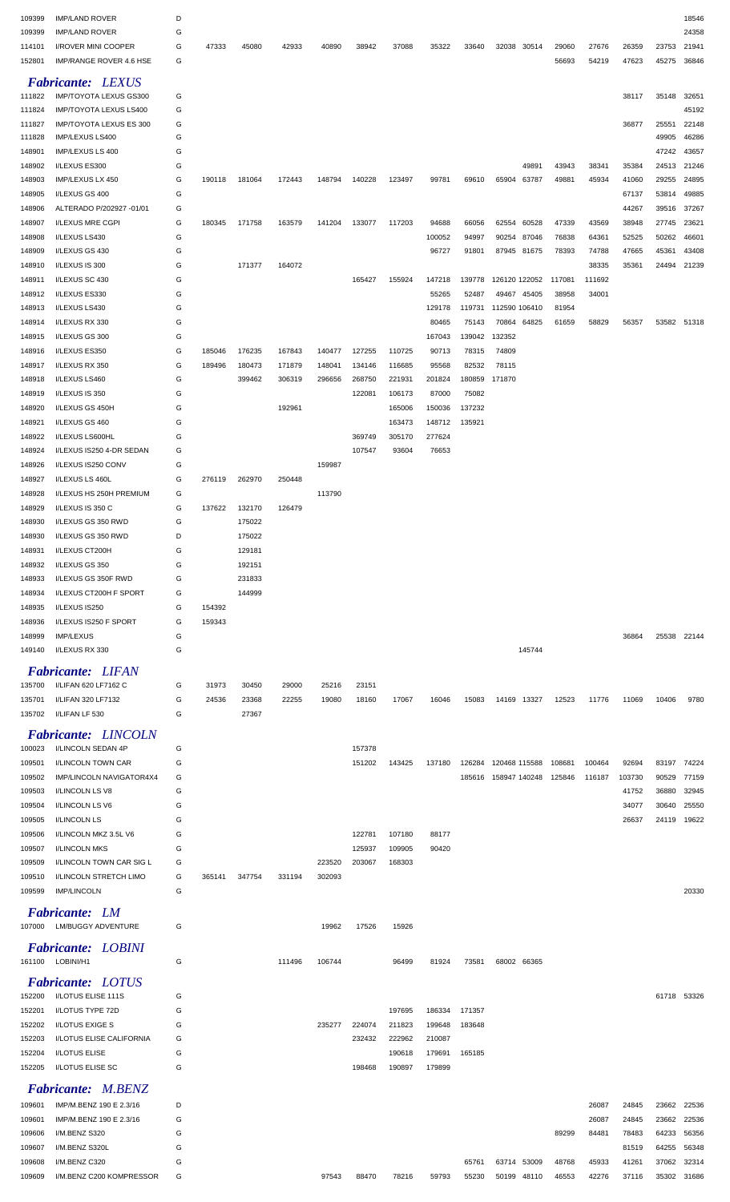| 109399           | <b>IMP/LAND ROVER</b>                                | D      |                  |                  |                  |                  |                  |                  |                  |                |                |                            |                |                |                |                            | 18546          |
|------------------|------------------------------------------------------|--------|------------------|------------------|------------------|------------------|------------------|------------------|------------------|----------------|----------------|----------------------------|----------------|----------------|----------------|----------------------------|----------------|
| 109399           | <b>IMP/LAND ROVER</b>                                | G      |                  |                  |                  |                  |                  |                  |                  |                |                |                            |                |                |                |                            | 24358          |
| 114101<br>152801 | I/ROVER MINI COOPER<br>IMP/RANGE ROVER 4.6 HSE       | G<br>G | 47333            | 45080            | 42933            | 40890            | 38942            | 37088            | 35322            | 33640          |                | 32038 30514                | 29060<br>56693 | 27676<br>54219 | 26359<br>47623 | 23753<br>45275             | 21941<br>36846 |
|                  |                                                      |        |                  |                  |                  |                  |                  |                  |                  |                |                |                            |                |                |                |                            |                |
| 111822           | <b>Fabricante: LEXUS</b><br>IMP/TOYOTA LEXUS GS300   | G      |                  |                  |                  |                  |                  |                  |                  |                |                |                            |                |                | 38117          | 35148                      | 32651          |
| 111824           | <b>IMP/TOYOTA LEXUS LS400</b>                        | G      |                  |                  |                  |                  |                  |                  |                  |                |                |                            |                |                |                |                            | 45192          |
| 111827           | <b>IMP/TOYOTA LEXUS ES 300</b>                       | G      |                  |                  |                  |                  |                  |                  |                  |                |                |                            |                |                | 36877          | 25551                      | 22148          |
| 111828           | IMP/LEXUS LS400                                      | G      |                  |                  |                  |                  |                  |                  |                  |                |                |                            |                |                |                | 49905                      | 46286          |
| 148901<br>148902 | IMP/LEXUS LS 400<br>I/LEXUS ES300                    | G<br>G |                  |                  |                  |                  |                  |                  |                  |                |                | 49891                      | 43943          | 38341          | 35384          | 47242<br>24513             | 43657<br>21246 |
| 148903           | IMP/LEXUS LX 450                                     | G      | 190118           | 181064           | 172443           | 148794           | 140228           | 123497           | 99781            | 69610          | 65904          | 63787                      | 49881          | 45934          | 41060          | 29255                      | 24895          |
| 148905           | I/LEXUS GS 400                                       | G      |                  |                  |                  |                  |                  |                  |                  |                |                |                            |                |                | 67137          | 53814                      | 49885          |
| 148906           | ALTERADO P/202927 -01/01                             | G      |                  |                  |                  |                  |                  |                  |                  |                |                |                            |                |                | 44267          | 39516                      | 37267          |
| 148907           | I/LEXUS MRE CGPI                                     | G      | 180345           | 171758           | 163579           | 141204           | 133077           | 117203           | 94688            | 66056          | 62554          | 60528                      | 47339          | 43569          | 38948          | 27745                      | 23621          |
| 148908           | I/LEXUS LS430                                        | G      |                  |                  |                  |                  |                  |                  | 100052           | 94997          | 90254          | 87046                      | 76838          | 64361          | 52525          | 50262                      | 46601          |
| 148909<br>148910 | I/LEXUS GS 430<br>I/LEXUS IS 300                     | G<br>G |                  | 171377           | 164072           |                  |                  |                  | 96727            | 91801          |                | 87945 81675                | 78393          | 74788<br>38335 | 47665<br>35361 | 45361<br>24494             | 43408<br>21239 |
| 148911           | I/LEXUS SC 430                                       | G      |                  |                  |                  |                  | 165427           | 155924           | 147218           | 139778         | 126120 122052  |                            | 117081         | 111692         |                |                            |                |
| 148912           | I/LEXUS ES330                                        | G      |                  |                  |                  |                  |                  |                  | 55265            | 52487          |                | 49467 45405                | 38958          | 34001          |                |                            |                |
| 148913           | I/LEXUS LS430                                        | G      |                  |                  |                  |                  |                  |                  | 129178           | 119731         | 112590 106410  |                            | 81954          |                |                |                            |                |
| 148914           | I/LEXUS RX 330                                       | G      |                  |                  |                  |                  |                  |                  | 80465            | 75143          | 70864          | 64825                      | 61659          | 58829          | 56357          | 53582 51318                |                |
| 148915           | I/LEXUS GS 300                                       | G      |                  |                  |                  |                  |                  |                  | 167043           | 139042         | 132352         |                            |                |                |                |                            |                |
| 148916<br>148917 | I/LEXUS ES350<br>I/LEXUS RX 350                      | G<br>G | 185046<br>189496 | 176235<br>180473 | 167843<br>171879 | 140477<br>148041 | 127255<br>134146 | 110725<br>116685 | 90713<br>95568   | 78315<br>82532 | 74809<br>78115 |                            |                |                |                |                            |                |
| 148918           | I/LEXUS LS460                                        | G      |                  | 399462           | 306319           | 296656           | 268750           | 221931           | 201824           | 180859         | 171870         |                            |                |                |                |                            |                |
| 148919           | I/LEXUS IS 350                                       | G      |                  |                  |                  |                  | 122081           | 106173           | 87000            | 75082          |                |                            |                |                |                |                            |                |
| 148920           | I/LEXUS GS 450H                                      | G      |                  |                  | 192961           |                  |                  | 165006           | 150036           | 137232         |                |                            |                |                |                |                            |                |
| 148921           | I/LEXUS GS 460                                       | G      |                  |                  |                  |                  |                  | 163473           | 148712           | 135921         |                |                            |                |                |                |                            |                |
| 148922           | I/LEXUS LS600HL                                      | G      |                  |                  |                  |                  | 369749           | 305170           | 277624           |                |                |                            |                |                |                |                            |                |
| 148924<br>148926 | I/LEXUS IS250 4-DR SEDAN<br>I/LEXUS IS250 CONV       | G<br>G |                  |                  |                  | 159987           | 107547           | 93604            | 76653            |                |                |                            |                |                |                |                            |                |
| 148927           | I/LEXUS LS 460L                                      | G      | 276119           | 262970           | 250448           |                  |                  |                  |                  |                |                |                            |                |                |                |                            |                |
| 148928           | I/LEXUS HS 250H PREMIUM                              | G      |                  |                  |                  | 113790           |                  |                  |                  |                |                |                            |                |                |                |                            |                |
| 148929           | I/LEXUS IS 350 C                                     | G      | 137622           | 132170           | 126479           |                  |                  |                  |                  |                |                |                            |                |                |                |                            |                |
| 148930           | I/LEXUS GS 350 RWD                                   | G      |                  | 175022           |                  |                  |                  |                  |                  |                |                |                            |                |                |                |                            |                |
| 148930           | I/LEXUS GS 350 RWD                                   | D      |                  | 175022           |                  |                  |                  |                  |                  |                |                |                            |                |                |                |                            |                |
| 148931<br>148932 | I/LEXUS CT200H<br>I/LEXUS GS 350                     | G<br>G |                  | 129181<br>192151 |                  |                  |                  |                  |                  |                |                |                            |                |                |                |                            |                |
| 148933           | I/LEXUS GS 350F RWD                                  | G      |                  | 231833           |                  |                  |                  |                  |                  |                |                |                            |                |                |                |                            |                |
| 148934           | I/LEXUS CT200H F SPORT                               | G      |                  | 144999           |                  |                  |                  |                  |                  |                |                |                            |                |                |                |                            |                |
| 148935           | I/LEXUS IS250                                        | G      | 154392           |                  |                  |                  |                  |                  |                  |                |                |                            |                |                |                |                            |                |
| 148936           | I/LEXUS IS250 F SPORT                                | G      | 159343           |                  |                  |                  |                  |                  |                  |                |                |                            |                |                |                |                            |                |
| 148999           | <b>IMP/LEXUS</b><br>I/LEXUS RX 330                   | G<br>G |                  |                  |                  |                  |                  |                  |                  |                |                | 145744                     |                |                | 36864          | 25538                      | 22144          |
| 149140           |                                                      |        |                  |                  |                  |                  |                  |                  |                  |                |                |                            |                |                |                |                            |                |
|                  | <b>Fabricante: LIFAN</b>                             |        |                  |                  |                  |                  |                  |                  |                  |                |                |                            |                |                |                |                            |                |
| 135700<br>135701 | I/LIFAN 620 LF7162 C<br>I/LIFAN 320 LF7132           | G<br>G | 31973<br>24536   | 30450<br>23368   | 29000<br>22255   | 25216<br>19080   | 23151<br>18160   | 17067            | 16046            | 15083          | 14169 13327    |                            | 12523          | 11776          | 11069          | 10406                      | 9780           |
| 135702           | I/LIFAN LF 530                                       | G      |                  | 27367            |                  |                  |                  |                  |                  |                |                |                            |                |                |                |                            |                |
|                  |                                                      |        |                  |                  |                  |                  |                  |                  |                  |                |                |                            |                |                |                |                            |                |
| 100023           | <b>Fabricante: LINCOLN</b><br>I/LINCOLN SEDAN 4P     | G      |                  |                  |                  |                  | 157378           |                  |                  |                |                |                            |                |                |                |                            |                |
| 109501           | I/LINCOLN TOWN CAR                                   | G      |                  |                  |                  |                  | 151202           | 143425           | 137180           | 126284         | 120468 115588  |                            | 108681         | 100464         | 92694          | 83197                      | 74224          |
| 109502           | IMP/LINCOLN NAVIGATOR4X4                             | G      |                  |                  |                  |                  |                  |                  |                  | 185616         | 158947 140248  |                            | 125846         | 116187         | 103730         | 90529                      | 77159          |
| 109503           | I/LINCOLN LS V8                                      | G      |                  |                  |                  |                  |                  |                  |                  |                |                |                            |                |                | 41752          | 36880                      | 32945          |
| 109504           | I/LINCOLN LS V6                                      | G      |                  |                  |                  |                  |                  |                  |                  |                |                |                            |                |                | 34077          | 30640                      | 25550          |
| 109505<br>109506 | <b>I/LINCOLN LS</b><br>I/LINCOLN MKZ 3.5L V6         | G<br>G |                  |                  |                  |                  | 122781           | 107180           | 88177            |                |                |                            |                |                | 26637          | 24119                      | 19622          |
| 109507           | <b>I/LINCOLN MKS</b>                                 | G      |                  |                  |                  |                  | 125937           | 109905           | 90420            |                |                |                            |                |                |                |                            |                |
| 109509           | I/LINCOLN TOWN CAR SIG L                             | G      |                  |                  |                  | 223520           | 203067           | 168303           |                  |                |                |                            |                |                |                |                            |                |
| 109510           | I/LINCOLN STRETCH LIMO                               | G      | 365141           | 347754           | 331194           | 302093           |                  |                  |                  |                |                |                            |                |                |                |                            |                |
| 109599           | <b>IMP/LINCOLN</b>                                   | G      |                  |                  |                  |                  |                  |                  |                  |                |                |                            |                |                |                |                            | 20330          |
|                  | <b>Fabricante: LM</b>                                |        |                  |                  |                  |                  |                  |                  |                  |                |                |                            |                |                |                |                            |                |
|                  | 107000 LM/BUGGY ADVENTURE                            | G      |                  |                  |                  | 19962            | 17526            | 15926            |                  |                |                |                            |                |                |                |                            |                |
|                  |                                                      |        |                  |                  |                  |                  |                  |                  |                  |                |                |                            |                |                |                |                            |                |
|                  | <b>Fabricante: LOBINI</b>                            |        |                  |                  |                  |                  |                  |                  |                  |                |                |                            |                |                |                |                            |                |
|                  | 161100 LOBINI/H1                                     | G      |                  |                  | 111496           | 106744           |                  | 96499            | 81924            | 73581          |                | 68002 66365                |                |                |                |                            |                |
|                  | <b>Fabricante: LOTUS</b>                             |        |                  |                  |                  |                  |                  |                  |                  |                |                |                            |                |                |                |                            |                |
| 152200           | I/LOTUS ELISE 111S                                   | G      |                  |                  |                  |                  |                  |                  |                  |                |                |                            |                |                |                | 61718 53326                |                |
| 152201           | I/LOTUS TYPE 72D                                     | G      |                  |                  |                  |                  |                  | 197695           | 186334           | 171357         |                |                            |                |                |                |                            |                |
| 152202           | I/LOTUS EXIGE S                                      | G      |                  |                  |                  | 235277           | 224074           | 211823           | 199648           | 183648         |                |                            |                |                |                |                            |                |
| 152203<br>152204 | I/LOTUS ELISE CALIFORNIA<br><b>I/LOTUS ELISE</b>     | G<br>G |                  |                  |                  |                  | 232432           | 222962<br>190618 | 210087<br>179691 | 165185         |                |                            |                |                |                |                            |                |
| 152205           | I/LOTUS ELISE SC                                     | G      |                  |                  |                  |                  | 198468           | 190897           | 179899           |                |                |                            |                |                |                |                            |                |
|                  |                                                      |        |                  |                  |                  |                  |                  |                  |                  |                |                |                            |                |                |                |                            |                |
| 109601           | <b>Fabricante: M.BENZ</b><br>IMP/M.BENZ 190 E 2.3/16 | D      |                  |                  |                  |                  |                  |                  |                  |                |                |                            |                | 26087          | 24845          | 23662 22536                |                |
| 109601           | IMP/M.BENZ 190 E 2.3/16                              | G      |                  |                  |                  |                  |                  |                  |                  |                |                |                            |                | 26087          | 24845          | 23662 22536                |                |
| 109606           | I/M.BENZ S320                                        | G      |                  |                  |                  |                  |                  |                  |                  |                |                |                            | 89299          | 84481          | 78483          | 64233 56356                |                |
| 109607           | I/M.BENZ S320L                                       | G      |                  |                  |                  |                  |                  |                  |                  |                |                |                            |                |                | 81519          | 64255 56348                |                |
| 109608<br>109609 | I/M.BENZ C320<br>I/M.BENZ C200 KOMPRESSOR            | G<br>G |                  |                  |                  | 97543            | 88470            | 78216            | 59793            | 65761<br>55230 |                | 63714 53009<br>50199 48110 | 48768<br>46553 | 45933<br>42276 | 41261<br>37116 | 37062 32314<br>35302 31686 |                |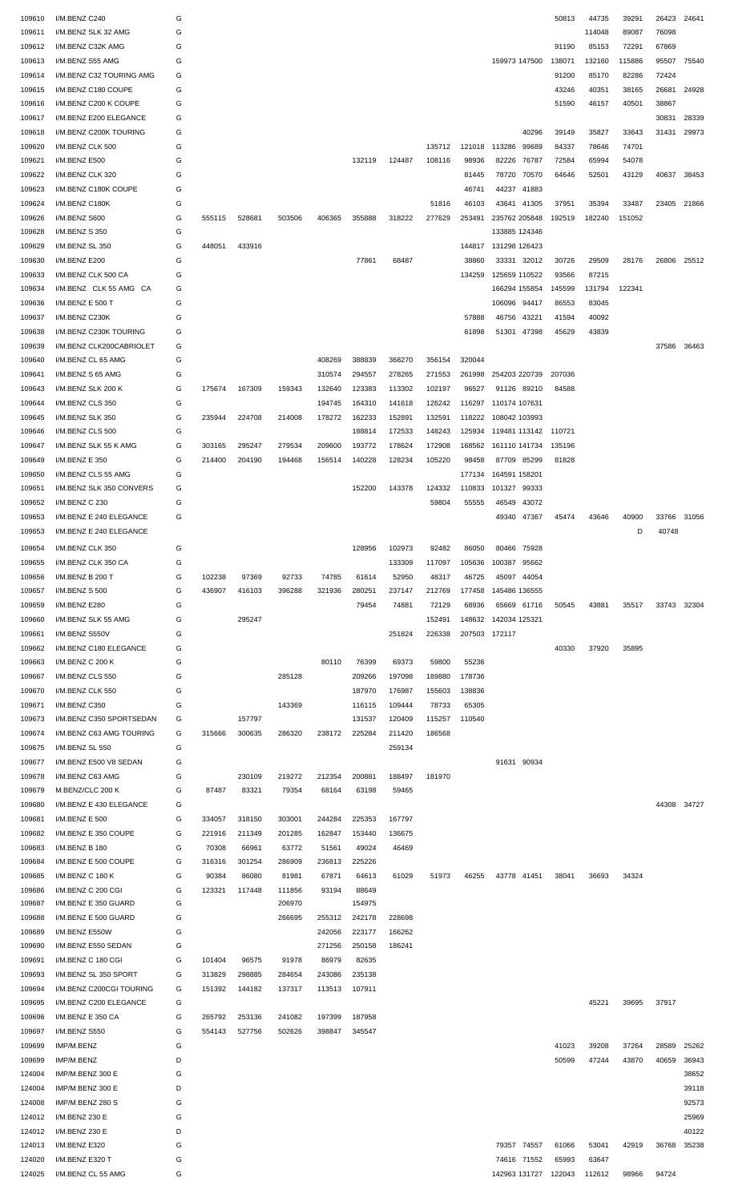| 109610 | I/M.BENZ C240            | G |        |        |        |        |        |        |        |               |                      | 50813  | 44735  | 39291  | 26423       | 24641 |
|--------|--------------------------|---|--------|--------|--------|--------|--------|--------|--------|---------------|----------------------|--------|--------|--------|-------------|-------|
| 109611 | I/M.BENZ SLK 32 AMG      | G |        |        |        |        |        |        |        |               |                      |        | 114048 | 89087  | 76098       |       |
| 109612 | I/M.BENZ C32K AMG        | G |        |        |        |        |        |        |        |               |                      | 91190  | 85153  | 72291  | 67869       |       |
| 109613 | I/M.BENZ S55 AMG         | G |        |        |        |        |        |        |        |               | 159973 147500        | 138071 | 132160 | 115886 | 95507       | 75540 |
| 109614 | I/M.BENZ C32 TOURING AMG | G |        |        |        |        |        |        |        |               |                      | 91200  | 85170  | 82286  | 72424       |       |
|        |                          |   |        |        |        |        |        |        |        |               |                      |        |        |        |             |       |
| 109615 | I/M.BENZ C180 COUPE      | G |        |        |        |        |        |        |        |               |                      | 43246  | 40351  | 38165  | 26681       | 24928 |
| 109616 | I/M.BENZ C200 K COUPE    | G |        |        |        |        |        |        |        |               |                      | 51590  | 46157  | 40501  | 38867       |       |
| 109617 | I/M.BENZ E200 ELEGANCE   | G |        |        |        |        |        |        |        |               |                      |        |        |        | 30831       | 28339 |
| 109618 | I/M.BENZ C200K TOURING   | G |        |        |        |        |        |        |        |               | 40296                | 39149  | 35827  | 33643  | 31431       | 29973 |
| 109620 | I/M.BENZ CLK 500         | G |        |        |        |        |        |        | 135712 | 121018        | 113286<br>99689      | 84337  | 78646  | 74701  |             |       |
| 109621 | I/M.BENZ E500            | G |        |        |        |        | 132119 | 124487 | 108116 | 98936         | 82226<br>76787       | 72584  | 65994  | 54078  |             |       |
|        |                          |   |        |        |        |        |        |        |        |               |                      |        |        |        |             |       |
| 109622 | I/M.BENZ CLK 320         | G |        |        |        |        |        |        |        | 81445         | 70570<br>78720       | 64646  | 52501  | 43129  | 40637       | 38453 |
| 109623 | I/M.BENZ C180K COUPE     | G |        |        |        |        |        |        |        | 46741         | 44237<br>41883       |        |        |        |             |       |
| 109624 | I/M.BENZ C180K           | G |        |        |        |        |        |        | 51816  | 46103         | 43641<br>41305       | 37951  | 35394  | 33487  | 23405       | 21866 |
| 109626 | I/M.BENZ S600            | G | 555115 | 528681 | 503506 | 406365 | 355888 | 318222 | 277629 | 253491        | 235762 205848        | 192519 | 182240 | 151052 |             |       |
| 109628 | I/M.BENZ S 350           | G |        |        |        |        |        |        |        |               | 133885 124346        |        |        |        |             |       |
| 109629 | I/M.BENZ SL 350          | G | 448051 | 433916 |        |        |        |        |        | 144817        | 131298 126423        |        |        |        |             |       |
|        | I/M.BENZ E200            | G |        |        |        |        |        |        |        |               |                      |        |        |        |             |       |
| 109630 |                          |   |        |        |        |        | 77861  | 68487  |        | 38860         | 33331<br>32012       | 30726  | 29509  | 28176  | 26806       | 25512 |
| 109633 | I/M.BENZ CLK 500 CA      | G |        |        |        |        |        |        |        | 134259        | 125659 110522        | 93566  | 87215  |        |             |       |
| 109634 | I/M.BENZ CLK 55 AMG CA   | G |        |        |        |        |        |        |        |               | 166294 155854        | 145599 | 131794 | 122341 |             |       |
| 109636 | I/M.BENZ E 500 T         | G |        |        |        |        |        |        |        |               | 106096 94417         | 86553  | 83045  |        |             |       |
| 109637 | I/M.BENZ C230K           | G |        |        |        |        |        |        |        | 57888         | 46756<br>43221       | 41594  | 40092  |        |             |       |
| 109638 | I/M.BENZ C230K TOURING   | G |        |        |        |        |        |        |        | 61898         | 47398<br>51301       | 45629  | 43839  |        |             |       |
| 109639 | I/M.BENZ CLK200CABRIOLET | G |        |        |        |        |        |        |        |               |                      |        |        |        | 37586       | 36463 |
|        |                          |   |        |        |        |        |        |        |        |               |                      |        |        |        |             |       |
| 109640 | I/M.BENZ CL 65 AMG       | G |        |        |        | 408269 | 388839 | 368270 | 356154 | 320044        |                      |        |        |        |             |       |
| 109641 | I/M.BENZ S 65 AMG        | G |        |        |        | 310574 | 294557 | 278265 | 271553 | 261998        | 254203 220739        | 207036 |        |        |             |       |
| 109643 | I/M.BENZ SLK 200 K       | G | 175674 | 167309 | 159343 | 132640 | 123383 | 113302 | 102197 | 96527         | 91126 89210          | 84588  |        |        |             |       |
| 109644 | I/M.BENZ CLS 350         | G |        |        |        | 194745 | 164310 | 141618 | 126242 | 116297        | 110174 107631        |        |        |        |             |       |
| 109645 | I/M.BENZ SLK 350         | G | 235944 | 224708 | 214008 | 178272 | 162233 | 152891 | 132591 | 118222        | 108042 103993        |        |        |        |             |       |
| 109646 | I/M.BENZ CLS 500         | G |        |        |        |        | 188814 | 172533 | 148243 | 125934        | 119481 113142        | 110721 |        |        |             |       |
|        |                          |   |        |        |        |        |        |        |        |               |                      |        |        |        |             |       |
| 109647 | I/M.BENZ SLK 55 K AMG    | G | 303165 | 295247 | 279534 | 209600 | 193772 | 178624 | 172908 | 168562        | 161110 141734        | 135196 |        |        |             |       |
| 109649 | I/M.BENZ E 350           | G | 214400 | 204190 | 194468 | 156514 | 140228 | 128234 | 105220 | 98458         | 87709 85299          | 81828  |        |        |             |       |
| 109650 | I/M.BENZ CLS 55 AMG      | G |        |        |        |        |        |        |        | 177134        | 164591 158201        |        |        |        |             |       |
| 109651 | I/M.BENZ SLK 350 CONVERS | G |        |        |        |        | 152200 | 143378 | 124332 | 110833        | 101327 99333         |        |        |        |             |       |
| 109652 | I/M.BENZ C 230           | G |        |        |        |        |        |        | 59804  | 55555         | 46549<br>43072       |        |        |        |             |       |
| 109653 | I/M.BENZ E 240 ELEGANCE  | G |        |        |        |        |        |        |        |               | 49340 47367          | 45474  | 43646  | 40900  | 33766       | 31056 |
|        |                          |   |        |        |        |        |        |        |        |               |                      |        |        |        |             |       |
| 109653 | I/M.BENZ E 240 ELEGANCE  |   |        |        |        |        |        |        |        |               |                      |        |        | D      | 40748       |       |
| 109654 | I/M.BENZ CLK 350         | G |        |        |        |        | 128956 | 102973 | 92482  | 86050         | 80466 75928          |        |        |        |             |       |
| 109655 | I/M.BENZ CLK 350 CA      | G |        |        |        |        |        | 133309 | 117097 | 105636        | 100387 95662         |        |        |        |             |       |
| 109656 | I/M.BENZ B 200 T         | G |        |        |        |        |        |        |        |               |                      |        |        |        |             |       |
|        |                          |   | 102238 | 97369  | 92733  | 74785  | 61614  | 52950  | 48317  | 46725         | 45097<br>44054       |        |        |        |             |       |
|        |                          |   |        |        |        |        |        |        |        |               |                      |        |        |        |             |       |
| 109657 | I/M.BENZ S 500           | G | 436907 | 416103 | 396288 | 321936 | 280251 | 237147 | 212769 | 177458        | 145486 136555        |        |        |        |             |       |
| 109659 | I/M.BENZ E280            | G |        |        |        |        | 79454  | 74881  | 72129  | 68936         | 65669 61716          | 50545  | 43881  | 35517  | 33743 32304 |       |
| 109660 | I/M.BENZ SLK 55 AMG      | G |        | 295247 |        |        |        |        | 152491 | 148632        | 142034 125321        |        |        |        |             |       |
| 109661 | I/M.BENZ S550V           | G |        |        |        |        |        | 251824 | 226338 | 207503 172117 |                      |        |        |        |             |       |
| 109662 | I/M.BENZ C180 ELEGANCE   | G |        |        |        |        |        |        |        |               |                      | 40330  | 37920  | 35895  |             |       |
| 109663 | I/M.BENZ C 200 K         | G |        |        |        | 80110  | 76399  | 69373  | 59800  | 55236         |                      |        |        |        |             |       |
|        |                          |   |        |        |        |        |        |        |        |               |                      |        |        |        |             |       |
| 109667 | I/M.BENZ CLS 550         | G |        |        | 285128 |        | 209266 | 197098 | 189880 | 178736        |                      |        |        |        |             |       |
| 109670 | I/M.BENZ CLK 550         | G |        |        |        |        | 187970 | 176987 | 155603 | 138836        |                      |        |        |        |             |       |
| 109671 | I/M.BENZ C350            | G |        |        | 143369 |        | 116115 | 109444 | 78733  | 65305         |                      |        |        |        |             |       |
| 109673 | I/M.BENZ C350 SPORTSEDAN | G |        | 157797 |        |        | 131537 | 120409 | 115257 | 110540        |                      |        |        |        |             |       |
| 109674 | I/M.BENZ C63 AMG TOURING | G | 315666 | 300635 | 286320 | 238172 | 225284 | 211420 | 186568 |               |                      |        |        |        |             |       |
| 109675 | I/M.BENZ SL 550          | G |        |        |        |        |        | 259134 |        |               |                      |        |        |        |             |       |
|        | I/M.BENZ E500 V8 SEDAN   | G |        |        |        |        |        |        |        |               | 91631 90934          |        |        |        |             |       |
| 109677 |                          |   |        |        |        |        |        |        |        |               |                      |        |        |        |             |       |
| 109678 | I/M.BENZ C63 AMG         | G |        | 230109 | 219272 | 212354 | 200881 | 188497 | 181970 |               |                      |        |        |        |             |       |
| 109679 | M.BENZ/CLC 200 K         | G | 87487  | 83321  | 79354  | 68164  | 63198  | 59465  |        |               |                      |        |        |        |             |       |
| 109680 | I/M.BENZ E 430 ELEGANCE  | G |        |        |        |        |        |        |        |               |                      |        |        |        | 44308 34727 |       |
| 109681 | I/M.BENZ E 500           | G | 334057 | 318150 | 303001 | 244284 | 225353 | 167797 |        |               |                      |        |        |        |             |       |
| 109682 | I/M.BENZ E 350 COUPE     | G | 221916 | 211349 | 201285 | 162847 | 153440 | 136675 |        |               |                      |        |        |        |             |       |
| 109683 | I/M.BENZ B 180           | G | 70308  | 66961  | 63772  | 51561  | 49024  | 46469  |        |               |                      |        |        |        |             |       |
| 109684 | I/M.BENZ E 500 COUPE     | G | 316316 | 301254 | 286909 | 236813 | 225226 |        |        |               |                      |        |        |        |             |       |
| 109685 | I/M.BENZ C 180 K         | G | 90384  | 86080  | 81981  | 67871  | 64613  | 61029  | 51973  | 46255         | 43778 41451          | 38041  | 36693  | 34324  |             |       |
|        |                          |   |        |        |        |        |        |        |        |               |                      |        |        |        |             |       |
| 109686 | I/M.BENZ C 200 CGI       | G | 123321 | 117448 | 111856 | 93194  | 88649  |        |        |               |                      |        |        |        |             |       |
| 109687 | I/M.BENZ E 350 GUARD     | G |        |        | 206970 |        | 154975 |        |        |               |                      |        |        |        |             |       |
| 109688 | I/M.BENZ E 500 GUARD     | G |        |        | 266695 | 255312 | 242178 | 228698 |        |               |                      |        |        |        |             |       |
| 109689 | I/M.BENZ E550W           | G |        |        |        | 242056 | 223177 | 166262 |        |               |                      |        |        |        |             |       |
| 109690 | I/M.BENZ E550 SEDAN      | G |        |        |        | 271256 | 250158 | 186241 |        |               |                      |        |        |        |             |       |
| 109691 | I/M.BENZ C 180 CGI       | G | 101404 | 96575  | 91978  | 86979  | 82635  |        |        |               |                      |        |        |        |             |       |
| 109693 | I/M.BENZ SL 350 SPORT    | G | 313829 | 298885 | 284654 | 243086 | 235138 |        |        |               |                      |        |        |        |             |       |
|        | I/M.BENZ C200CGI TOURING | G |        | 144182 |        | 113513 | 107911 |        |        |               |                      |        |        |        |             |       |
| 109694 |                          |   | 151392 |        | 137317 |        |        |        |        |               |                      |        |        |        |             |       |
| 109695 | I/M.BENZ C200 ELEGANCE   | G |        |        |        |        |        |        |        |               |                      |        | 45221  | 39695  | 37917       |       |
| 109696 | I/M.BENZ E 350 CA        | G | 265792 | 253136 | 241082 | 197399 | 187958 |        |        |               |                      |        |        |        |             |       |
| 109697 | I/M.BENZ S550            | G | 554143 | 527756 | 502626 | 398847 | 345547 |        |        |               |                      |        |        |        |             |       |
| 109699 | IMP/M.BENZ               | G |        |        |        |        |        |        |        |               |                      | 41023  | 39208  | 37264  | 28589       | 25262 |
| 109699 | IMP/M.BENZ               | D |        |        |        |        |        |        |        |               |                      | 50599  | 47244  | 43870  | 40659       | 36943 |
| 124004 | IMP/M.BENZ 300 E         | G |        |        |        |        |        |        |        |               |                      |        |        |        |             | 38652 |
|        |                          |   |        |        |        |        |        |        |        |               |                      |        |        |        |             |       |
| 124004 | IMP/M.BENZ 300 E         | D |        |        |        |        |        |        |        |               |                      |        |        |        |             | 39118 |
| 124008 | IMP/M.BENZ 280 S         | G |        |        |        |        |        |        |        |               |                      |        |        |        |             | 92573 |
| 124012 | I/M.BENZ 230 E           | G |        |        |        |        |        |        |        |               |                      |        |        |        |             | 25969 |
| 124012 | I/M.BENZ 230 E           | D |        |        |        |        |        |        |        |               |                      |        |        |        |             | 40122 |
| 124013 | I/M.BENZ E320            | G |        |        |        |        |        |        |        |               | 79357 74557          | 61066  | 53041  | 42919  | 36768 35238 |       |
| 124020 | I/M.BENZ E320 T          | G |        |        |        |        |        |        |        |               | 74616 71552          | 65993  | 63647  |        |             |       |
| 124025 | I/M.BENZ CL 55 AMG       | G |        |        |        |        |        |        |        |               | 142963 131727 122043 |        | 112612 | 98966  | 94724       |       |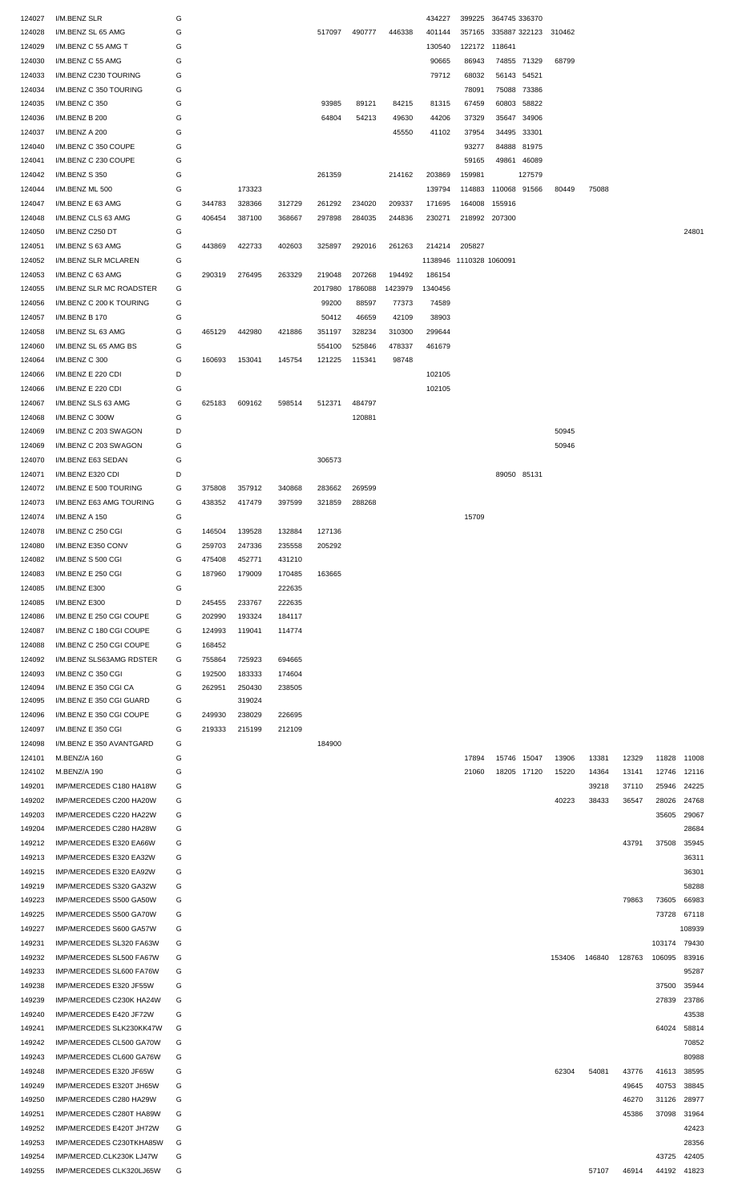| 124027 | I/M.BENZ SLR             | G |        |        |        |         |         |         | 434227  | 399225                  | 364745 336370 |        |                      |        |        |        |             |
|--------|--------------------------|---|--------|--------|--------|---------|---------|---------|---------|-------------------------|---------------|--------|----------------------|--------|--------|--------|-------------|
| 124028 | I/M.BENZ SL 65 AMG       | G |        |        |        | 517097  | 490777  | 446338  | 401144  | 357165                  |               |        | 335887 322123 310462 |        |        |        |             |
|        |                          |   |        |        |        |         |         |         |         |                         |               |        |                      |        |        |        |             |
| 124029 | I/M.BENZ C 55 AMG T      | G |        |        |        |         |         |         | 130540  |                         | 122172 118641 |        |                      |        |        |        |             |
| 124030 | I/M.BENZ C 55 AMG        | G |        |        |        |         |         |         | 90665   | 86943                   | 74855 71329   |        | 68799                |        |        |        |             |
| 124033 | I/M.BENZ C230 TOURING    | G |        |        |        |         |         |         | 79712   | 68032                   | 56143 54521   |        |                      |        |        |        |             |
|        |                          |   |        |        |        |         |         |         |         |                         |               |        |                      |        |        |        |             |
| 124034 | I/M.BENZ C 350 TOURING   | G |        |        |        |         |         |         |         | 78091                   | 75088 73386   |        |                      |        |        |        |             |
| 124035 | I/M.BENZ C 350           | G |        |        |        | 93985   | 89121   | 84215   | 81315   | 67459                   | 60803 58822   |        |                      |        |        |        |             |
| 124036 | I/M.BENZ B 200           | G |        |        |        | 64804   | 54213   | 49630   | 44206   | 37329                   | 35647 34906   |        |                      |        |        |        |             |
| 124037 | I/M.BENZ A 200           | G |        |        |        |         |         | 45550   | 41102   | 37954                   | 34495 33301   |        |                      |        |        |        |             |
|        |                          |   |        |        |        |         |         |         |         |                         |               |        |                      |        |        |        |             |
| 124040 | I/M.BENZ C 350 COUPE     | G |        |        |        |         |         |         |         | 93277                   | 84888 81975   |        |                      |        |        |        |             |
| 124041 | I/M.BENZ C 230 COUPE     | G |        |        |        |         |         |         |         | 59165                   | 49861 46089   |        |                      |        |        |        |             |
| 124042 | I/M.BENZ S 350           | G |        |        |        | 261359  |         | 214162  | 203869  | 159981                  |               | 127579 |                      |        |        |        |             |
|        |                          |   |        |        |        |         |         |         |         |                         |               |        |                      |        |        |        |             |
| 124044 | I/M.BENZ ML 500          | G |        | 173323 |        |         |         |         | 139794  | 114883                  | 110068 91566  |        | 80449                | 75088  |        |        |             |
| 124047 | I/M.BENZ E 63 AMG        | G | 344783 | 328366 | 312729 | 261292  | 234020  | 209337  | 171695  | 164008                  | 155916        |        |                      |        |        |        |             |
| 124048 | I/M.BENZ CLS 63 AMG      | G | 406454 | 387100 | 368667 | 297898  | 284035  | 244836  | 230271  | 218992                  | 207300        |        |                      |        |        |        |             |
|        |                          |   |        |        |        |         |         |         |         |                         |               |        |                      |        |        |        |             |
| 124050 | I/M.BENZ C250 DT         | G |        |        |        |         |         |         |         |                         |               |        |                      |        |        |        | 24801       |
| 124051 | I/M.BENZ S 63 AMG        | G | 443869 | 422733 | 402603 | 325897  | 292016  | 261263  | 214214  | 205827                  |               |        |                      |        |        |        |             |
| 124052 | I/M.BENZ SLR MCLAREN     | G |        |        |        |         |         |         |         | 1138946 1110328 1060091 |               |        |                      |        |        |        |             |
| 124053 | I/M.BENZ C 63 AMG        | G | 290319 | 276495 | 263329 | 219048  | 207268  | 194492  | 186154  |                         |               |        |                      |        |        |        |             |
|        |                          |   |        |        |        |         |         |         |         |                         |               |        |                      |        |        |        |             |
| 124055 | I/M.BENZ SLR MC ROADSTER | G |        |        |        | 2017980 | 1786088 | 1423979 | 1340456 |                         |               |        |                      |        |        |        |             |
| 124056 | I/M.BENZ C 200 K TOURING | G |        |        |        | 99200   | 88597   | 77373   | 74589   |                         |               |        |                      |        |        |        |             |
| 124057 | I/M.BENZ B 170           | G |        |        |        | 50412   | 46659   | 42109   | 38903   |                         |               |        |                      |        |        |        |             |
|        |                          |   |        |        |        |         |         |         |         |                         |               |        |                      |        |        |        |             |
| 124058 | I/M.BENZ SL 63 AMG       | G | 465129 | 442980 | 421886 | 351197  | 328234  | 310300  | 299644  |                         |               |        |                      |        |        |        |             |
| 124060 | I/M.BENZ SL 65 AMG BS    | G |        |        |        | 554100  | 525846  | 478337  | 461679  |                         |               |        |                      |        |        |        |             |
| 124064 | I/M.BENZ C 300           | G | 160693 | 153041 | 145754 | 121225  | 115341  | 98748   |         |                         |               |        |                      |        |        |        |             |
|        |                          |   |        |        |        |         |         |         |         |                         |               |        |                      |        |        |        |             |
| 124066 | I/M.BENZ E 220 CDI       | D |        |        |        |         |         |         | 102105  |                         |               |        |                      |        |        |        |             |
| 124066 | I/M.BENZ E 220 CDI       | G |        |        |        |         |         |         | 102105  |                         |               |        |                      |        |        |        |             |
| 124067 | I/M.BENZ SLS 63 AMG      | G | 625183 | 609162 | 598514 | 512371  | 484797  |         |         |                         |               |        |                      |        |        |        |             |
|        |                          |   |        |        |        |         |         |         |         |                         |               |        |                      |        |        |        |             |
| 124068 | I/M.BENZ C 300W          | G |        |        |        |         | 120881  |         |         |                         |               |        |                      |        |        |        |             |
| 124069 | I/M.BENZ C 203 SWAGON    | D |        |        |        |         |         |         |         |                         |               |        | 50945                |        |        |        |             |
| 124069 | I/M.BENZ C 203 SWAGON    | G |        |        |        |         |         |         |         |                         |               |        | 50946                |        |        |        |             |
|        |                          |   |        |        |        |         |         |         |         |                         |               |        |                      |        |        |        |             |
| 124070 | I/M.BENZ E63 SEDAN       | G |        |        |        | 306573  |         |         |         |                         |               |        |                      |        |        |        |             |
| 124071 | I/M.BENZ E320 CDI        | D |        |        |        |         |         |         |         |                         | 89050 85131   |        |                      |        |        |        |             |
| 124072 | I/M.BENZ E 500 TOURING   | G | 375808 | 357912 | 340868 | 283662  | 269599  |         |         |                         |               |        |                      |        |        |        |             |
| 124073 | I/M.BENZ E63 AMG TOURING | G | 438352 | 417479 | 397599 | 321859  | 288268  |         |         |                         |               |        |                      |        |        |        |             |
|        |                          |   |        |        |        |         |         |         |         |                         |               |        |                      |        |        |        |             |
| 124074 | I/M.BENZ A 150           | G |        |        |        |         |         |         |         | 15709                   |               |        |                      |        |        |        |             |
| 124078 | I/M.BENZ C 250 CGI       | G | 146504 | 139528 | 132884 | 127136  |         |         |         |                         |               |        |                      |        |        |        |             |
| 124080 | I/M.BENZ E350 CONV       | G | 259703 | 247336 | 235558 | 205292  |         |         |         |                         |               |        |                      |        |        |        |             |
|        |                          |   |        |        |        |         |         |         |         |                         |               |        |                      |        |        |        |             |
| 124082 | I/M.BENZ S 500 CGI       | G | 475408 | 452771 | 431210 |         |         |         |         |                         |               |        |                      |        |        |        |             |
| 124083 | I/M.BENZ E 250 CGI       | G | 187960 | 179009 | 170485 | 163665  |         |         |         |                         |               |        |                      |        |        |        |             |
| 124085 | I/M.BENZ E300            | G |        |        | 222635 |         |         |         |         |                         |               |        |                      |        |        |        |             |
|        |                          |   |        |        |        |         |         |         |         |                         |               |        |                      |        |        |        |             |
| 124085 | I/M.BENZ E300            | D | 245455 | 233767 | 222635 |         |         |         |         |                         |               |        |                      |        |        |        |             |
| 124086 | I/M.BENZ E 250 CGI COUPE | G | 202990 | 193324 | 184117 |         |         |         |         |                         |               |        |                      |        |        |        |             |
| 124087 | I/M.BENZ C 180 CGI COUPE | G | 124993 | 119041 | 114774 |         |         |         |         |                         |               |        |                      |        |        |        |             |
|        |                          |   |        |        |        |         |         |         |         |                         |               |        |                      |        |        |        |             |
| 124088 | I/M.BENZ C 250 CGI COUPE | G | 168452 |        |        |         |         |         |         |                         |               |        |                      |        |        |        |             |
| 124092 | I/M.BENZ SLS63AMG RDSTER | G | 755864 | 725923 | 694665 |         |         |         |         |                         |               |        |                      |        |        |        |             |
| 124093 | I/M.BENZ C 350 CGI       | G | 192500 | 183333 | 174604 |         |         |         |         |                         |               |        |                      |        |        |        |             |
|        |                          |   |        |        |        |         |         |         |         |                         |               |        |                      |        |        |        |             |
| 124094 | I/M.BENZ E 350 CGI CA    | G | 262951 | 250430 | 238505 |         |         |         |         |                         |               |        |                      |        |        |        |             |
| 124095 | I/M.BENZ E 350 CGI GUARD | G |        | 319024 |        |         |         |         |         |                         |               |        |                      |        |        |        |             |
| 124096 | I/M.BENZ E 350 CGI COUPE | G | 249930 | 238029 | 226695 |         |         |         |         |                         |               |        |                      |        |        |        |             |
| 124097 | I/M.BENZ E 350 CGI       | G | 219333 | 215199 | 212109 |         |         |         |         |                         |               |        |                      |        |        |        |             |
|        |                          |   |        |        |        |         |         |         |         |                         |               |        |                      |        |        |        |             |
| 124098 | I/M.BENZ E 350 AVANTGARD | G |        |        |        | 184900  |         |         |         |                         |               |        |                      |        |        |        |             |
| 124101 | M.BENZ/A 160             | G |        |        |        |         |         |         |         | 17894                   | 15746 15047   |        | 13906                | 13381  | 12329  | 11828  | 11008       |
| 124102 | M.BENZ/A 190             | G |        |        |        |         |         |         |         | 21060                   | 18205 17120   |        | 15220                | 14364  | 13141  | 12746  | 12116       |
|        |                          |   |        |        |        |         |         |         |         |                         |               |        |                      |        |        |        |             |
| 149201 | IMP/MERCEDES C180 HA18W  | G |        |        |        |         |         |         |         |                         |               |        |                      | 39218  | 37110  | 25946  | 24225       |
| 149202 | IMP/MERCEDES C200 HA20W  | G |        |        |        |         |         |         |         |                         |               |        | 40223                | 38433  | 36547  | 28026  | 24768       |
| 149203 | IMP/MERCEDES C220 HA22W  | G |        |        |        |         |         |         |         |                         |               |        |                      |        |        | 35605  | 29067       |
| 149204 | IMP/MERCEDES C280 HA28W  | G |        |        |        |         |         |         |         |                         |               |        |                      |        |        |        | 28684       |
|        |                          |   |        |        |        |         |         |         |         |                         |               |        |                      |        |        |        |             |
| 149212 | IMP/MERCEDES E320 EA66W  | G |        |        |        |         |         |         |         |                         |               |        |                      |        | 43791  | 37508  | 35945       |
| 149213 | IMP/MERCEDES E320 EA32W  | G |        |        |        |         |         |         |         |                         |               |        |                      |        |        |        | 36311       |
| 149215 | IMP/MERCEDES E320 EA92W  | G |        |        |        |         |         |         |         |                         |               |        |                      |        |        |        | 36301       |
|        |                          |   |        |        |        |         |         |         |         |                         |               |        |                      |        |        |        |             |
| 149219 | IMP/MERCEDES S320 GA32W  | G |        |        |        |         |         |         |         |                         |               |        |                      |        |        |        | 58288       |
| 149223 | IMP/MERCEDES S500 GA50W  | G |        |        |        |         |         |         |         |                         |               |        |                      |        | 79863  | 73605  | 66983       |
| 149225 | IMP/MERCEDES S500 GA70W  | G |        |        |        |         |         |         |         |                         |               |        |                      |        |        | 73728  | 67118       |
|        |                          |   |        |        |        |         |         |         |         |                         |               |        |                      |        |        |        |             |
| 149227 | IMP/MERCEDES S600 GA57W  | G |        |        |        |         |         |         |         |                         |               |        |                      |        |        |        | 108939      |
| 149231 | IMP/MERCEDES SL320 FA63W | G |        |        |        |         |         |         |         |                         |               |        |                      |        |        | 103174 | 79430       |
| 149232 | IMP/MERCEDES SL500 FA67W | G |        |        |        |         |         |         |         |                         |               |        | 153406               | 146840 | 128763 | 106095 | 83916       |
|        |                          |   |        |        |        |         |         |         |         |                         |               |        |                      |        |        |        |             |
| 149233 | IMP/MERCEDES SL600 FA76W | G |        |        |        |         |         |         |         |                         |               |        |                      |        |        |        | 95287       |
| 149238 | IMP/MERCEDES E320 JF55W  | G |        |        |        |         |         |         |         |                         |               |        |                      |        |        | 37500  | 35944       |
| 149239 | IMP/MERCEDES C230K HA24W | G |        |        |        |         |         |         |         |                         |               |        |                      |        |        | 27839  | 23786       |
|        | IMP/MERCEDES E420 JF72W  | G |        |        |        |         |         |         |         |                         |               |        |                      |        |        |        | 43538       |
| 149240 |                          |   |        |        |        |         |         |         |         |                         |               |        |                      |        |        |        |             |
| 149241 | IMP/MERCEDES SLK230KK47W | G |        |        |        |         |         |         |         |                         |               |        |                      |        |        | 64024  | 58814       |
| 149242 | IMP/MERCEDES CL500 GA70W | G |        |        |        |         |         |         |         |                         |               |        |                      |        |        |        | 70852       |
| 149243 | IMP/MERCEDES CL600 GA76W | G |        |        |        |         |         |         |         |                         |               |        |                      |        |        |        | 80988       |
|        |                          |   |        |        |        |         |         |         |         |                         |               |        |                      |        |        |        |             |
| 149248 | IMP/MERCEDES E320 JF65W  | G |        |        |        |         |         |         |         |                         |               |        | 62304                | 54081  | 43776  | 41613  | 38595       |
| 149249 | IMP/MERCEDES E320T JH65W | G |        |        |        |         |         |         |         |                         |               |        |                      |        | 49645  |        | 40753 38845 |
| 149250 | IMP/MERCEDES C280 HA29W  | G |        |        |        |         |         |         |         |                         |               |        |                      |        | 46270  |        | 31126 28977 |
|        |                          |   |        |        |        |         |         |         |         |                         |               |        |                      |        |        |        |             |
| 149251 | IMP/MERCEDES C280T HA89W | G |        |        |        |         |         |         |         |                         |               |        |                      |        | 45386  | 37098  | 31964       |
| 149252 | IMP/MERCEDES E420T JH72W | G |        |        |        |         |         |         |         |                         |               |        |                      |        |        |        | 42423       |
| 149253 | IMP/MERCEDES C230TKHA85W | G |        |        |        |         |         |         |         |                         |               |        |                      |        |        |        | 28356       |
|        |                          |   |        |        |        |         |         |         |         |                         |               |        |                      |        |        |        |             |
| 149254 | IMP/MERCED.CLK230K LJ47W | G |        |        |        |         |         |         |         |                         |               |        |                      |        |        | 43725  | 42405       |
|        |                          |   |        |        |        |         |         |         |         |                         |               |        |                      |        |        |        |             |
| 149255 | IMP/MERCEDES CLK320LJ65W | G |        |        |        |         |         |         |         |                         |               |        |                      | 57107  | 46914  |        | 44192 41823 |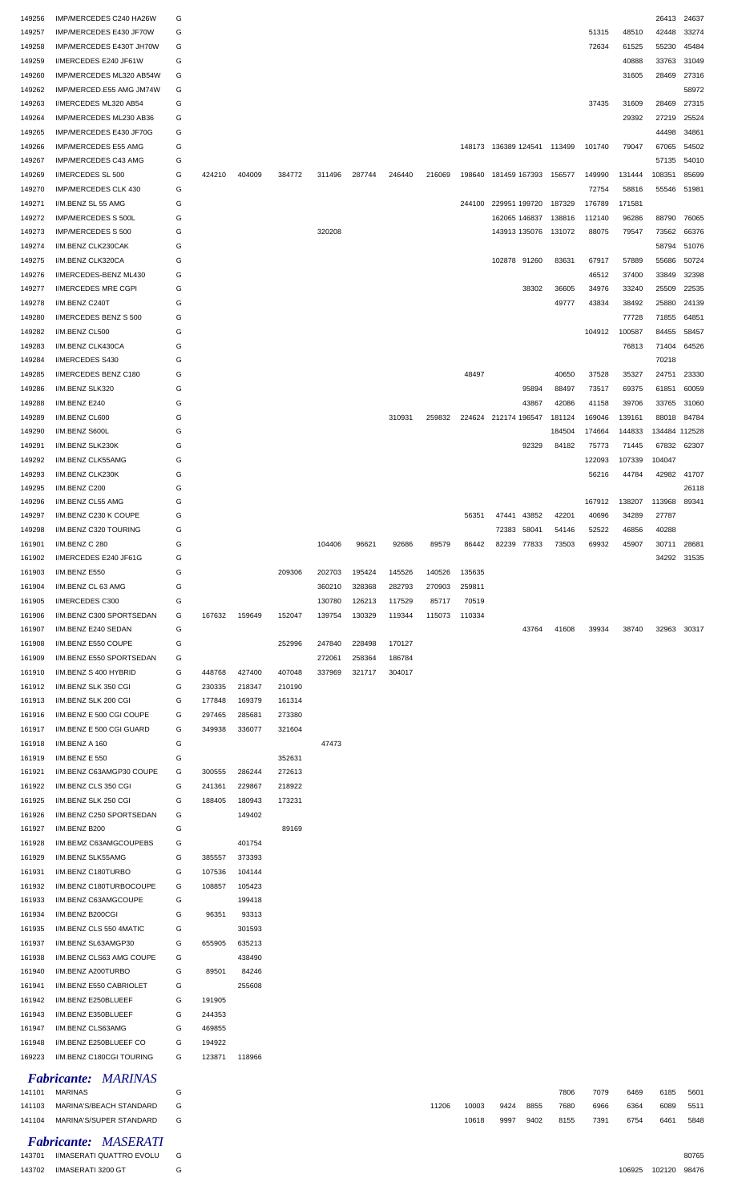| 149256 | IMP/MERCEDES C240 HA26W    | G |        |        |        |        |        |        |        |        |                             |       |        |        |        | 26413         | 24637 |
|--------|----------------------------|---|--------|--------|--------|--------|--------|--------|--------|--------|-----------------------------|-------|--------|--------|--------|---------------|-------|
| 149257 |                            | G |        |        |        |        |        |        |        |        |                             |       |        | 51315  |        | 42448         | 33274 |
|        | IMP/MERCEDES E430 JF70W    |   |        |        |        |        |        |        |        |        |                             |       |        |        | 48510  |               |       |
| 149258 | IMP/MERCEDES E430T JH70W   | G |        |        |        |        |        |        |        |        |                             |       |        | 72634  | 61525  | 55230         | 45484 |
| 149259 | I/MERCEDES E240 JF61W      | G |        |        |        |        |        |        |        |        |                             |       |        |        | 40888  | 33763         | 31049 |
| 149260 | IMP/MERCEDES ML320 AB54W   | G |        |        |        |        |        |        |        |        |                             |       |        |        | 31605  | 28469         | 27316 |
|        |                            |   |        |        |        |        |        |        |        |        |                             |       |        |        |        |               |       |
| 149262 | IMP/MERCED.E55 AMG JM74W   | G |        |        |        |        |        |        |        |        |                             |       |        |        |        |               | 58972 |
| 149263 | I/MERCEDES ML320 AB54      | G |        |        |        |        |        |        |        |        |                             |       |        | 37435  | 31609  | 28469         | 27315 |
| 149264 | IMP/MERCEDES ML230 AB36    | G |        |        |        |        |        |        |        |        |                             |       |        |        | 29392  | 27219         | 25524 |
| 149265 | IMP/MERCEDES E430 JF70G    | G |        |        |        |        |        |        |        |        |                             |       |        |        |        | 44498         | 34861 |
|        |                            |   |        |        |        |        |        |        |        |        |                             |       |        |        |        |               |       |
| 149266 | IMP/MERCEDES E55 AMG       | G |        |        |        |        |        |        |        |        | 148173 136389 124541 113499 |       |        | 101740 | 79047  | 67065         | 54502 |
| 149267 | IMP/MERCEDES C43 AMG       | G |        |        |        |        |        |        |        |        |                             |       |        |        |        | 57135         | 54010 |
| 149269 | I/MERCEDES SL 500          | G | 424210 | 404009 | 384772 | 311496 | 287744 | 246440 | 216069 | 198640 | 181459 167393               |       | 156577 | 149990 | 131444 | 108351        | 85699 |
|        |                            |   |        |        |        |        |        |        |        |        |                             |       |        |        |        |               |       |
| 149270 | IMP/MERCEDES CLK 430       | G |        |        |        |        |        |        |        |        |                             |       |        | 72754  | 58816  | 55546         | 51981 |
| 149271 | I/M.BENZ SL 55 AMG         | G |        |        |        |        |        |        |        | 244100 | 229951 199720               |       | 187329 | 176789 | 171581 |               |       |
| 149272 | IMP/MERCEDES S 500L        | G |        |        |        |        |        |        |        |        | 162065 146837               |       | 138816 | 112140 | 96286  | 88790         | 76065 |
|        |                            |   |        |        |        |        |        |        |        |        |                             |       |        |        |        |               |       |
| 149273 | IMP/MERCEDES S 500         | G |        |        |        | 320208 |        |        |        |        | 143913 135076               |       | 131072 | 88075  | 79547  | 73562         | 66376 |
| 149274 | I/M.BENZ CLK230CAK         | G |        |        |        |        |        |        |        |        |                             |       |        |        |        | 58794         | 51076 |
| 149275 | I/M.BENZ CLK320CA          | G |        |        |        |        |        |        |        |        | 102878 91260                |       | 83631  | 67917  | 57889  | 55686         | 50724 |
| 149276 | I/MERCEDES-BENZ ML430      | G |        |        |        |        |        |        |        |        |                             |       |        | 46512  | 37400  | 33849         | 32398 |
|        |                            |   |        |        |        |        |        |        |        |        |                             |       |        |        |        |               |       |
| 149277 | I/MERCEDES MRE CGPI        | G |        |        |        |        |        |        |        |        |                             | 38302 | 36605  | 34976  | 33240  | 25509         | 22535 |
| 149278 | I/M.BENZ C240T             | G |        |        |        |        |        |        |        |        |                             |       | 49777  | 43834  | 38492  | 25880         | 24139 |
| 149280 | I/MERCEDES BENZ S 500      | G |        |        |        |        |        |        |        |        |                             |       |        |        | 77728  | 71855         | 64851 |
|        |                            |   |        |        |        |        |        |        |        |        |                             |       |        |        |        |               |       |
| 149282 | I/M.BENZ CL500             | G |        |        |        |        |        |        |        |        |                             |       |        | 104912 | 100587 | 84455         | 58457 |
| 149283 | I/M.BENZ CLK430CA          | G |        |        |        |        |        |        |        |        |                             |       |        |        | 76813  | 71404         | 64526 |
| 149284 | I/MERCEDES S430            | G |        |        |        |        |        |        |        |        |                             |       |        |        |        | 70218         |       |
|        |                            |   |        |        |        |        |        |        |        |        |                             |       |        |        |        |               |       |
| 149285 | I/MERCEDES BENZ C180       | G |        |        |        |        |        |        |        | 48497  |                             |       | 40650  | 37528  | 35327  | 24751         | 23330 |
| 149286 | I/M.BENZ SLK320            | G |        |        |        |        |        |        |        |        |                             | 95894 | 88497  | 73517  | 69375  | 61851         | 60059 |
| 149288 | I/M.BENZ E240              | G |        |        |        |        |        |        |        |        |                             | 43867 | 42086  | 41158  | 39706  | 33765         | 31060 |
| 149289 |                            | G |        |        |        |        |        |        | 259832 |        | 224624 212174 196547        |       |        | 169046 | 139161 | 88018         | 84784 |
|        | I/M.BENZ CL600             |   |        |        |        |        |        | 310931 |        |        |                             |       | 181124 |        |        |               |       |
| 149290 | I/M.BENZ S600L             | G |        |        |        |        |        |        |        |        |                             |       | 184504 | 174664 | 144833 | 134484 112528 |       |
| 149291 | I/M.BENZ SLK230K           | G |        |        |        |        |        |        |        |        |                             | 92329 | 84182  | 75773  | 71445  | 67832         | 62307 |
| 149292 | I/M.BENZ CLK55AMG          | G |        |        |        |        |        |        |        |        |                             |       |        | 122093 | 107339 | 104047        |       |
|        |                            |   |        |        |        |        |        |        |        |        |                             |       |        |        |        |               |       |
| 149293 | I/M.BENZ CLK230K           | G |        |        |        |        |        |        |        |        |                             |       |        | 56216  | 44784  | 42982         | 41707 |
| 149295 | I/M.BENZ C200              | G |        |        |        |        |        |        |        |        |                             |       |        |        |        |               | 26118 |
| 149296 | I/M.BENZ CL55 AMG          | G |        |        |        |        |        |        |        |        |                             |       |        | 167912 | 138207 | 113968        | 89341 |
| 149297 | I/M.BENZ C230 K COUPE      | G |        |        |        |        |        |        |        | 56351  | 47441 43852                 |       |        | 40696  | 34289  | 27787         |       |
|        |                            |   |        |        |        |        |        |        |        |        |                             |       | 42201  |        |        |               |       |
| 149298 | I/M.BENZ C320 TOURING      | G |        |        |        |        |        |        |        |        | 72383 58041                 |       | 54146  | 52522  | 46856  | 40288         |       |
|        | I/M.BENZ C 280             | G |        |        |        | 104406 | 96621  | 92686  | 89579  | 86442  | 82239                       | 77833 | 73503  | 69932  | 45907  | 30711         | 28681 |
| 161901 |                            |   |        |        |        |        |        |        |        |        |                             |       |        |        |        |               |       |
|        |                            |   |        |        |        |        |        |        |        |        |                             |       |        |        |        |               |       |
| 161902 | I/MERCEDES E240 JF61G      | G |        |        |        |        |        |        |        |        |                             |       |        |        |        | 34292 31535   |       |
| 161903 | I/M.BENZ E550              | G |        |        | 209306 | 202703 | 195424 | 145526 | 140526 | 135635 |                             |       |        |        |        |               |       |
| 161904 | I/M.BENZ CL 63 AMG         | G |        |        |        | 360210 | 328368 | 282793 | 270903 | 259811 |                             |       |        |        |        |               |       |
|        |                            |   |        |        |        |        |        |        |        |        |                             |       |        |        |        |               |       |
| 161905 | I/MERCEDES C300            | G |        |        |        | 130780 | 126213 | 117529 | 85717  | 70519  |                             |       |        |        |        |               |       |
| 161906 | I/M.BENZ C300 SPORTSEDAN   | G | 167632 | 159649 | 152047 | 139754 | 130329 | 119344 | 115073 | 110334 |                             |       |        |        |        |               |       |
| 161907 | I/M.BENZ E240 SEDAN        | G |        |        |        |        |        |        |        |        |                             | 43764 | 41608  | 39934  | 38740  | 32963         | 30317 |
|        |                            |   |        |        |        |        |        |        |        |        |                             |       |        |        |        |               |       |
| 161908 | I/M.BENZ E550 COUPE        | G |        |        | 252996 | 247840 | 228498 | 170127 |        |        |                             |       |        |        |        |               |       |
| 161909 | I/M.BENZ E550 SPORTSEDAN   | G |        |        |        | 272061 | 258364 | 186784 |        |        |                             |       |        |        |        |               |       |
| 161910 | I/M.BENZ S 400 HYBRID      | G | 448768 | 427400 | 407048 | 337969 | 321717 | 304017 |        |        |                             |       |        |        |        |               |       |
| 161912 | I/M.BENZ SLK 350 CGI       | G | 230335 | 218347 | 210190 |        |        |        |        |        |                             |       |        |        |        |               |       |
|        |                            |   |        |        |        |        |        |        |        |        |                             |       |        |        |        |               |       |
| 161913 | I/M.BENZ SLK 200 CGI       | G | 177848 | 169379 | 161314 |        |        |        |        |        |                             |       |        |        |        |               |       |
| 161916 | I/M.BENZ E 500 CGI COUPE   | G | 297465 | 285681 | 273380 |        |        |        |        |        |                             |       |        |        |        |               |       |
| 161917 | I/M.BENZ E 500 CGI GUARD   | G | 349938 | 336077 | 321604 |        |        |        |        |        |                             |       |        |        |        |               |       |
|        |                            |   |        |        |        |        |        |        |        |        |                             |       |        |        |        |               |       |
| 161918 | I/M.BENZ A 160             | G |        |        |        | 47473  |        |        |        |        |                             |       |        |        |        |               |       |
| 161919 | I/M.BENZ E 550             | G |        |        | 352631 |        |        |        |        |        |                             |       |        |        |        |               |       |
| 161921 | I/M.BENZ C63AMGP30 COUPE   | G | 300555 | 286244 | 272613 |        |        |        |        |        |                             |       |        |        |        |               |       |
|        |                            |   |        |        |        |        |        |        |        |        |                             |       |        |        |        |               |       |
| 161922 | I/M.BENZ CLS 350 CGI       | G | 241361 | 229867 | 218922 |        |        |        |        |        |                             |       |        |        |        |               |       |
| 161925 | I/M.BENZ SLK 250 CGI       | G | 188405 | 180943 | 173231 |        |        |        |        |        |                             |       |        |        |        |               |       |
| 161926 | I/M.BENZ C250 SPORTSEDAN   | G |        | 149402 |        |        |        |        |        |        |                             |       |        |        |        |               |       |
| 161927 | I/M.BENZ B200              | G |        |        | 89169  |        |        |        |        |        |                             |       |        |        |        |               |       |
|        |                            |   |        |        |        |        |        |        |        |        |                             |       |        |        |        |               |       |
| 161928 | I/M.BEMZ C63AMGCOUPEBS     | G |        | 401754 |        |        |        |        |        |        |                             |       |        |        |        |               |       |
| 161929 | I/M.BENZ SLK55AMG          | G | 385557 | 373393 |        |        |        |        |        |        |                             |       |        |        |        |               |       |
| 161931 | I/M.BENZ C180TURBO         | G | 107536 | 104144 |        |        |        |        |        |        |                             |       |        |        |        |               |       |
|        |                            |   |        |        |        |        |        |        |        |        |                             |       |        |        |        |               |       |
| 161932 | I/M.BENZ C180TURBOCOUPE    | G | 108857 | 105423 |        |        |        |        |        |        |                             |       |        |        |        |               |       |
| 161933 | I/M.BENZ C63AMGCOUPE       | G |        | 199418 |        |        |        |        |        |        |                             |       |        |        |        |               |       |
| 161934 | I/M.BENZ B200CGI           | G | 96351  | 93313  |        |        |        |        |        |        |                             |       |        |        |        |               |       |
|        |                            |   |        |        |        |        |        |        |        |        |                             |       |        |        |        |               |       |
| 161935 | I/M.BENZ CLS 550 4MATIC    | G |        | 301593 |        |        |        |        |        |        |                             |       |        |        |        |               |       |
| 161937 | I/M.BENZ SL63AMGP30        | G | 655905 | 635213 |        |        |        |        |        |        |                             |       |        |        |        |               |       |
| 161938 | I/M.BENZ CLS63 AMG COUPE   | G |        | 438490 |        |        |        |        |        |        |                             |       |        |        |        |               |       |
|        |                            |   |        |        |        |        |        |        |        |        |                             |       |        |        |        |               |       |
| 161940 | I/M.BENZ A200TURBO         | G | 89501  | 84246  |        |        |        |        |        |        |                             |       |        |        |        |               |       |
| 161941 | I/M.BENZ E550 CABRIOLET    | G |        | 255608 |        |        |        |        |        |        |                             |       |        |        |        |               |       |
| 161942 | I/M.BENZ E250BLUEEF        | G | 191905 |        |        |        |        |        |        |        |                             |       |        |        |        |               |       |
|        |                            |   |        |        |        |        |        |        |        |        |                             |       |        |        |        |               |       |
| 161943 | I/M.BENZ E350BLUEEF        | G | 244353 |        |        |        |        |        |        |        |                             |       |        |        |        |               |       |
| 161947 | I/M.BENZ CLS63AMG          | G | 469855 |        |        |        |        |        |        |        |                             |       |        |        |        |               |       |
| 161948 | I/M.BENZ E250BLUEEF CO     | G | 194922 |        |        |        |        |        |        |        |                             |       |        |        |        |               |       |
|        |                            | G |        |        |        |        |        |        |        |        |                             |       |        |        |        |               |       |
| 169223 | I/M.BENZ C180CGI TOURING   |   | 123871 | 118966 |        |        |        |        |        |        |                             |       |        |        |        |               |       |
|        |                            |   |        |        |        |        |        |        |        |        |                             |       |        |        |        |               |       |
|        | <b>Fabricante: MARINAS</b> |   |        |        |        |        |        |        |        |        |                             |       |        |        |        |               |       |
| 141101 | <b>MARINAS</b>             | G |        |        |        |        |        |        |        |        |                             |       | 7806   | 7079   | 6469   | 6185          | 5601  |
| 141103 | MARINA'S/BEACH STANDARD    | G |        |        |        |        |        |        | 11206  | 10003  | 9424                        | 8855  | 7680   | 6966   | 6364   | 6089          | 5511  |

## *Fabricante: MASERATI*

| 143701 I/MASERATI QUATTRO EVOLU |  |                     | 80765 |
|---------------------------------|--|---------------------|-------|
| 143702 I/MASERATI 3200 GT       |  | 106925 102120 98476 |       |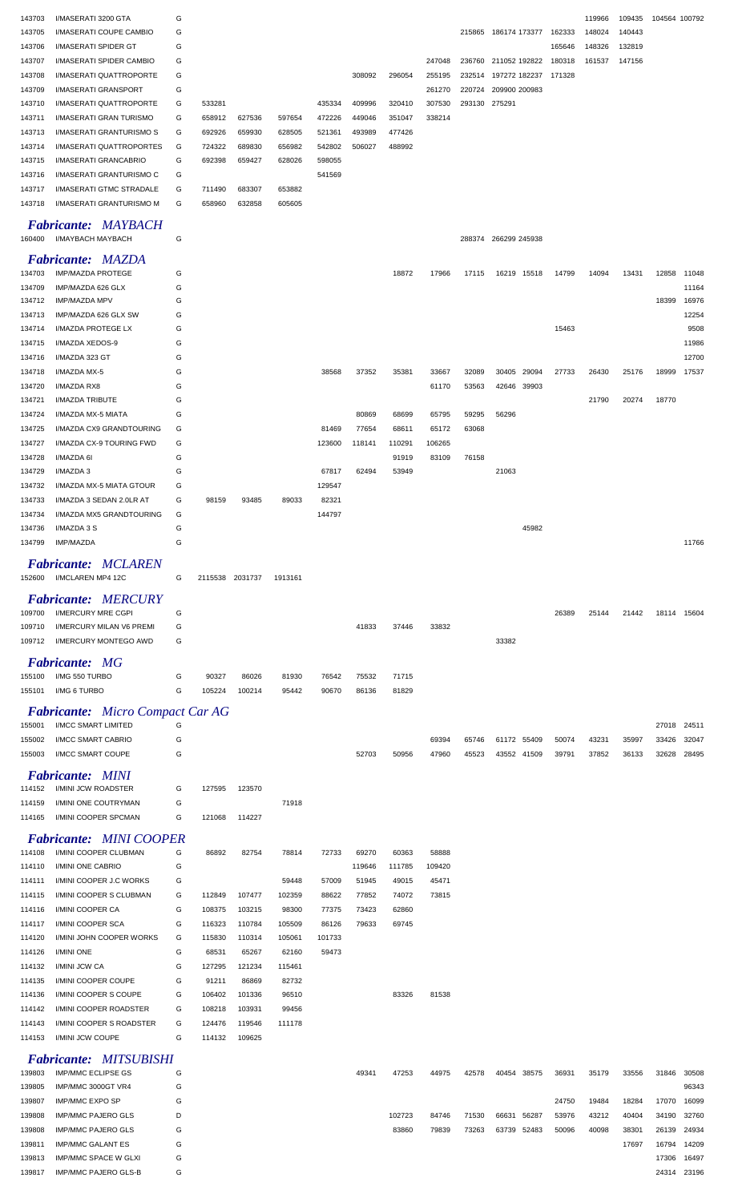|        | I/MASERATI 3200 GTA                     | G |                 |        |         |        |        |        |        |               |                      |             |        |        |        |               |       |
|--------|-----------------------------------------|---|-----------------|--------|---------|--------|--------|--------|--------|---------------|----------------------|-------------|--------|--------|--------|---------------|-------|
| 143703 |                                         |   |                 |        |         |        |        |        |        |               |                      |             |        | 119966 | 109435 | 104564 100792 |       |
| 143705 | I/MASERATI COUPE CAMBIO                 | G |                 |        |         |        |        |        |        |               | 215865 186174 173377 |             | 162333 | 148024 | 140443 |               |       |
| 143706 | I/MASERATI SPIDER GT                    | G |                 |        |         |        |        |        |        |               |                      |             | 165646 | 148326 | 132819 |               |       |
| 143707 | I/MASERATI SPIDER CAMBIO                | G |                 |        |         |        |        |        | 247048 |               | 236760 211052 192822 |             | 180318 | 161537 | 147156 |               |       |
| 143708 | I/MASERATI QUATTROPORTE                 | G |                 |        |         |        | 308092 | 296054 | 255195 |               | 232514 197272 182237 |             | 171328 |        |        |               |       |
|        |                                         |   |                 |        |         |        |        |        |        |               |                      |             |        |        |        |               |       |
| 143709 | I/MASERATI GRANSPORT                    | G |                 |        |         |        |        |        | 261270 | 220724        | 209900 200983        |             |        |        |        |               |       |
| 143710 | I/MASERATI QUATTROPORTE                 | G | 533281          |        |         | 435334 | 409996 | 320410 | 307530 | 293130 275291 |                      |             |        |        |        |               |       |
| 143711 | I/MASERATI GRAN TURISMO                 | G | 658912          | 627536 | 597654  | 472226 | 449046 | 351047 | 338214 |               |                      |             |        |        |        |               |       |
| 143713 | I/MASERATI GRANTURISMO S                | G | 692926          | 659930 | 628505  | 521361 | 493989 | 477426 |        |               |                      |             |        |        |        |               |       |
| 143714 | I/MASERATI QUATTROPORTES                | G | 724322          | 689830 | 656982  | 542802 | 506027 | 488992 |        |               |                      |             |        |        |        |               |       |
| 143715 | I/MASERATI GRANCABRIO                   | G | 692398          | 659427 | 628026  | 598055 |        |        |        |               |                      |             |        |        |        |               |       |
|        |                                         |   |                 |        |         |        |        |        |        |               |                      |             |        |        |        |               |       |
| 143716 | I/MASERATI GRANTURISMO C                | G |                 |        |         | 541569 |        |        |        |               |                      |             |        |        |        |               |       |
| 143717 | I/MASERATI GTMC STRADALE                | G | 711490          | 683307 | 653882  |        |        |        |        |               |                      |             |        |        |        |               |       |
| 143718 | I/MASERATI GRANTURISMO M                | G | 658960          | 632858 | 605605  |        |        |        |        |               |                      |             |        |        |        |               |       |
|        |                                         |   |                 |        |         |        |        |        |        |               |                      |             |        |        |        |               |       |
|        | <b>Fabricante: MAYBACH</b>              |   |                 |        |         |        |        |        |        |               |                      |             |        |        |        |               |       |
| 160400 | I/MAYBACH MAYBACH                       | G |                 |        |         |        |        |        |        |               | 288374 266299 245938 |             |        |        |        |               |       |
|        |                                         |   |                 |        |         |        |        |        |        |               |                      |             |        |        |        |               |       |
|        | <b>Fabricante: MAZDA</b>                |   |                 |        |         |        |        |        |        |               |                      |             |        |        |        |               |       |
| 134703 | IMP/MAZDA PROTEGE                       | G |                 |        |         |        |        | 18872  | 17966  | 17115         |                      | 16219 15518 | 14799  | 14094  | 13431  | 12858         | 11048 |
| 134709 | IMP/MAZDA 626 GLX                       | G |                 |        |         |        |        |        |        |               |                      |             |        |        |        |               | 11164 |
| 134712 | IMP/MAZDA MPV                           | G |                 |        |         |        |        |        |        |               |                      |             |        |        |        | 18399         | 16976 |
| 134713 | IMP/MAZDA 626 GLX SW                    | G |                 |        |         |        |        |        |        |               |                      |             |        |        |        |               | 12254 |
|        |                                         | G |                 |        |         |        |        |        |        |               |                      |             |        |        |        |               |       |
| 134714 | I/MAZDA PROTEGE LX                      |   |                 |        |         |        |        |        |        |               |                      |             | 15463  |        |        |               | 9508  |
| 134715 | I/MAZDA XEDOS-9                         | G |                 |        |         |        |        |        |        |               |                      |             |        |        |        |               | 11986 |
| 134716 | I/MAZDA 323 GT                          | G |                 |        |         |        |        |        |        |               |                      |             |        |        |        |               | 12700 |
| 134718 | I/MAZDA MX-5                            | G |                 |        |         | 38568  | 37352  | 35381  | 33667  | 32089         |                      | 30405 29094 | 27733  | 26430  | 25176  | 18999         | 17537 |
| 134720 | I/MAZDA RX8                             | G |                 |        |         |        |        |        | 61170  | 53563         |                      | 42646 39903 |        |        |        |               |       |
| 134721 | I/MAZDA TRIBUTE                         | G |                 |        |         |        |        |        |        |               |                      |             |        | 21790  | 20274  | 18770         |       |
|        |                                         |   |                 |        |         |        |        |        |        |               |                      |             |        |        |        |               |       |
| 134724 | I/MAZDA MX-5 MIATA                      | G |                 |        |         |        | 80869  | 68699  | 65795  | 59295         | 56296                |             |        |        |        |               |       |
| 134725 | I/MAZDA CX9 GRANDTOURING                | G |                 |        |         | 81469  | 77654  | 68611  | 65172  | 63068         |                      |             |        |        |        |               |       |
| 134727 | I/MAZDA CX-9 TOURING FWD                | G |                 |        |         | 123600 | 118141 | 110291 | 106265 |               |                      |             |        |        |        |               |       |
| 134728 | I/MAZDA 6I                              | G |                 |        |         |        |        | 91919  | 83109  | 76158         |                      |             |        |        |        |               |       |
| 134729 | I/MAZDA 3                               | G |                 |        |         | 67817  | 62494  | 53949  |        |               | 21063                |             |        |        |        |               |       |
|        |                                         |   |                 |        |         |        |        |        |        |               |                      |             |        |        |        |               |       |
| 134732 | I/MAZDA MX-5 MIATA GTOUR                | G |                 |        |         | 129547 |        |        |        |               |                      |             |        |        |        |               |       |
| 134733 | I/MAZDA 3 SEDAN 2.0LR AT                | G | 98159           | 93485  | 89033   | 82321  |        |        |        |               |                      |             |        |        |        |               |       |
| 134734 | I/MAZDA MX5 GRANDTOURING                | G |                 |        |         | 144797 |        |        |        |               |                      |             |        |        |        |               |       |
| 134736 | I/MAZDA 3 S                             | G |                 |        |         |        |        |        |        |               |                      | 45982       |        |        |        |               |       |
| 134799 | IMP/MAZDA                               | G |                 |        |         |        |        |        |        |               |                      |             |        |        |        |               | 11766 |
|        |                                         |   |                 |        |         |        |        |        |        |               |                      |             |        |        |        |               |       |
|        | <b>Fabricante: MCLAREN</b>              |   |                 |        |         |        |        |        |        |               |                      |             |        |        |        |               |       |
| 152600 | I/MCLAREN MP4 12C                       | G | 2115538 2031737 |        | 1913161 |        |        |        |        |               |                      |             |        |        |        |               |       |
|        |                                         |   |                 |        |         |        |        |        |        |               |                      |             |        |        |        |               |       |
|        |                                         |   |                 |        |         |        |        |        |        |               |                      |             |        |        |        |               |       |
|        |                                         |   |                 |        |         |        |        |        |        |               |                      |             |        |        |        |               |       |
|        | <b>Fabricante: MERCURY</b>              |   |                 |        |         |        |        |        |        |               |                      |             |        |        |        |               |       |
| 109700 | I/MERCURY MRE CGPI                      | G |                 |        |         |        |        |        |        |               |                      |             | 26389  | 25144  | 21442  | 18114 15604   |       |
| 109710 | I/MERCURY MILAN V6 PREMI                | G |                 |        |         |        | 41833  | 37446  | 33832  |               |                      |             |        |        |        |               |       |
| 109712 | I/MERCURY MONTEGO AWD                   | G |                 |        |         |        |        |        |        |               | 33382                |             |        |        |        |               |       |
|        |                                         |   |                 |        |         |        |        |        |        |               |                      |             |        |        |        |               |       |
|        | <b>Fabricante: MG</b>                   |   |                 |        |         |        |        |        |        |               |                      |             |        |        |        |               |       |
| 155100 | I/MG 550 TURBO                          | G | 90327           | 86026  | 81930   | 76542  | 75532  | 71715  |        |               |                      |             |        |        |        |               |       |
| 155101 | I/MG 6 TURBO                            | G | 105224          | 100214 | 95442   | 90670  | 86136  | 81829  |        |               |                      |             |        |        |        |               |       |
|        |                                         |   |                 |        |         |        |        |        |        |               |                      |             |        |        |        |               |       |
|        | <b>Fabricante:</b> Micro Compact Car AG |   |                 |        |         |        |        |        |        |               |                      |             |        |        |        |               |       |
| 155001 | I/MCC SMART LIMITED                     | G |                 |        |         |        |        |        |        |               |                      |             |        |        |        | 27018         | 24511 |
| 155002 | I/MCC SMART CABRIO                      | G |                 |        |         |        |        |        | 69394  | 65746         |                      | 61172 55409 | 50074  | 43231  | 35997  | 33426         | 32047 |
| 155003 | I/MCC SMART COUPE                       | G |                 |        |         |        | 52703  | 50956  | 47960  | 45523         |                      | 43552 41509 | 39791  | 37852  | 36133  | 32628         | 28495 |
|        |                                         |   |                 |        |         |        |        |        |        |               |                      |             |        |        |        |               |       |
|        | <b>Fabricante: MINI</b>                 |   |                 |        |         |        |        |        |        |               |                      |             |        |        |        |               |       |
| 114152 | I/MINI JCW ROADSTER                     | G | 127595          | 123570 |         |        |        |        |        |               |                      |             |        |        |        |               |       |
| 114159 | I/MINI ONE COUTRYMAN                    | G |                 |        | 71918   |        |        |        |        |               |                      |             |        |        |        |               |       |
| 114165 | I/MINI COOPER SPCMAN                    | G | 121068          | 114227 |         |        |        |        |        |               |                      |             |        |        |        |               |       |
|        |                                         |   |                 |        |         |        |        |        |        |               |                      |             |        |        |        |               |       |
|        | <b>Fabricante: MINI COOPER</b>          |   |                 |        |         |        |        |        |        |               |                      |             |        |        |        |               |       |
| 114108 | I/MINI COOPER CLUBMAN                   | G | 86892           | 82754  | 78814   | 72733  | 69270  | 60363  | 58888  |               |                      |             |        |        |        |               |       |
| 114110 | I/MINI ONE CABRIO                       | G |                 |        |         |        | 119646 | 111785 | 109420 |               |                      |             |        |        |        |               |       |
|        |                                         |   |                 |        |         |        |        |        |        |               |                      |             |        |        |        |               |       |
| 114111 | I/MINI COOPER J.C WORKS                 | G |                 |        | 59448   | 57009  | 51945  | 49015  | 45471  |               |                      |             |        |        |        |               |       |
| 114115 | I/MINI COOPER S CLUBMAN                 | G | 112849          | 107477 | 102359  | 88622  | 77852  | 74072  | 73815  |               |                      |             |        |        |        |               |       |
| 114116 | I/MINI COOPER CA                        | G | 108375          | 103215 | 98300   | 77375  | 73423  | 62860  |        |               |                      |             |        |        |        |               |       |
| 114117 | I/MINI COOPER SCA                       | G | 116323          | 110784 | 105509  | 86126  | 79633  | 69745  |        |               |                      |             |        |        |        |               |       |
|        |                                         |   |                 |        |         |        |        |        |        |               |                      |             |        |        |        |               |       |
| 114120 | I/MINI JOHN COOPER WORKS                | G | 115830          | 110314 | 105061  | 101733 |        |        |        |               |                      |             |        |        |        |               |       |
| 114126 | I/MINI ONE                              | G | 68531           | 65267  | 62160   | 59473  |        |        |        |               |                      |             |        |        |        |               |       |
| 114132 | I/MINI JCW CA                           | G | 127295          | 121234 | 115461  |        |        |        |        |               |                      |             |        |        |        |               |       |
| 114135 | I/MINI COOPER COUPE                     | G | 91211           | 86869  | 82732   |        |        |        |        |               |                      |             |        |        |        |               |       |
| 114136 | I/MINI COOPER S COUPE                   | G | 106402          | 101336 | 96510   |        |        | 83326  | 81538  |               |                      |             |        |        |        |               |       |
| 114142 | I/MINI COOPER ROADSTER                  | G | 108218          | 103931 | 99456   |        |        |        |        |               |                      |             |        |        |        |               |       |
|        |                                         |   |                 |        |         |        |        |        |        |               |                      |             |        |        |        |               |       |
| 114143 | I/MINI COOPER S ROADSTER                | G | 124476          | 119546 | 111178  |        |        |        |        |               |                      |             |        |        |        |               |       |
| 114153 | I/MINI JCW COUPE                        | G | 114132          | 109625 |         |        |        |        |        |               |                      |             |        |        |        |               |       |
|        |                                         |   |                 |        |         |        |        |        |        |               |                      |             |        |        |        |               |       |
|        | MITSUBISHI<br><i>Fabricante:</i>        |   |                 |        |         |        |        |        |        |               |                      |             |        |        |        |               |       |
| 139803 | <b>IMP/MMC ECLIPSE GS</b>               | G |                 |        |         |        | 49341  | 47253  | 44975  | 42578         |                      | 40454 38575 | 36931  | 35179  | 33556  | 31846         | 30508 |
| 139805 | IMP/MMC 3000GT VR4                      | G |                 |        |         |        |        |        |        |               |                      |             |        |        |        |               | 96343 |
| 139807 | <b>IMP/MMC EXPO SP</b>                  | G |                 |        |         |        |        |        |        |               |                      |             | 24750  | 19484  | 18284  | 17070         | 16099 |
| 139808 | <b>IMP/MMC PAJERO GLS</b>               | D |                 |        |         |        |        | 102723 | 84746  | 71530         |                      |             |        |        | 40404  | 34190         |       |
|        |                                         |   |                 |        |         |        |        |        |        |               |                      | 66631 56287 | 53976  | 43212  |        |               | 32760 |
| 139808 | <b>IMP/MMC PAJERO GLS</b>               | G |                 |        |         |        |        | 83860  | 79839  | 73263         |                      | 63739 52483 | 50096  | 40098  | 38301  | 26139         | 24934 |
| 139811 | <b>IMP/MMC GALANT ES</b>                | G |                 |        |         |        |        |        |        |               |                      |             |        |        | 17697  | 16794         | 14209 |
| 139813 | <b>IMP/MMC SPACE W GLXI</b>             | G |                 |        |         |        |        |        |        |               |                      |             |        |        |        | 17306         | 16497 |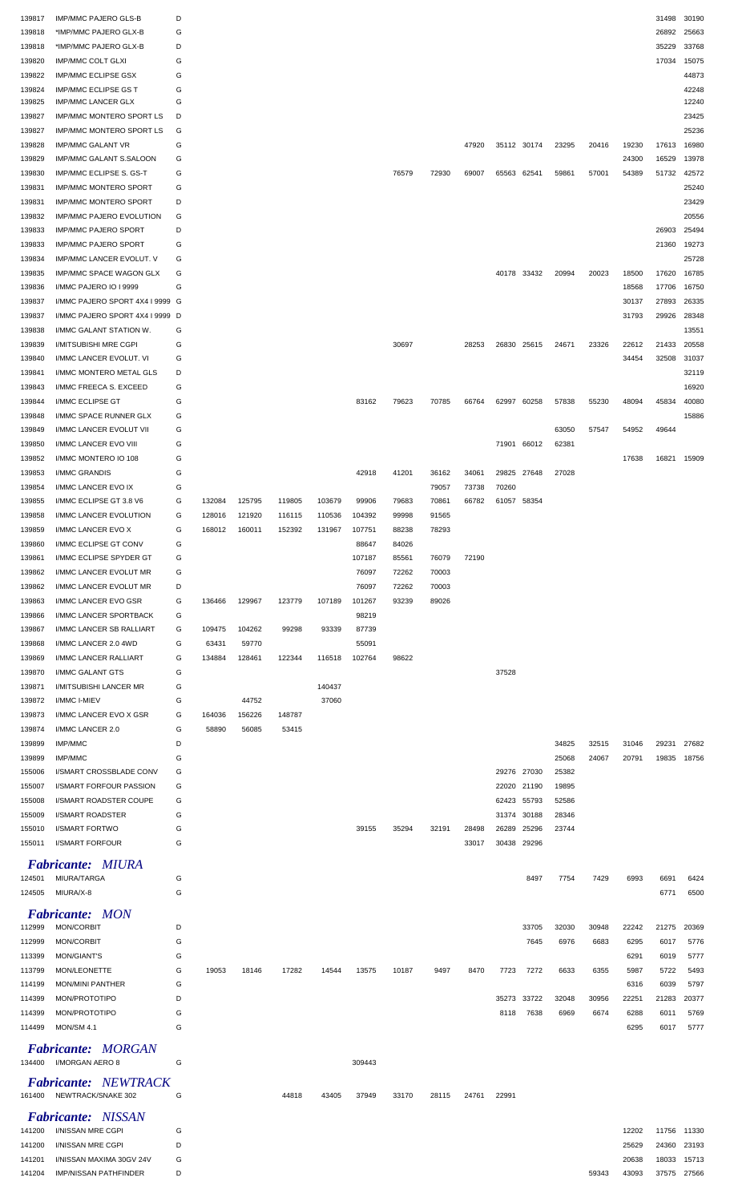| 139817 | <b>IMP/MMC PAJERO GLS-B</b>                         | D |        |        |        |        |        |       |       |       |             |             |       |       |       | 31498       | 30190 |
|--------|-----------------------------------------------------|---|--------|--------|--------|--------|--------|-------|-------|-------|-------------|-------------|-------|-------|-------|-------------|-------|
| 139818 | *IMP/MMC PAJERO GLX-B                               | G |        |        |        |        |        |       |       |       |             |             |       |       |       | 26892       | 25663 |
| 139818 | *IMP/MMC PAJERO GLX-B                               | D |        |        |        |        |        |       |       |       |             |             |       |       |       | 35229       | 33768 |
| 139820 | <b>IMP/MMC COLT GLXI</b>                            | G |        |        |        |        |        |       |       |       |             |             |       |       |       | 17034       | 15075 |
| 139822 | <b>IMP/MMC ECLIPSE GSX</b>                          | G |        |        |        |        |        |       |       |       |             |             |       |       |       |             | 44873 |
| 139824 | <b>IMP/MMC ECLIPSE GS T</b>                         | G |        |        |        |        |        |       |       |       |             |             |       |       |       |             | 42248 |
| 139825 | <b>IMP/MMC LANCER GLX</b>                           | G |        |        |        |        |        |       |       |       |             |             |       |       |       |             | 12240 |
| 139827 | IMP/MMC MONTERO SPORT LS                            | D |        |        |        |        |        |       |       |       |             |             |       |       |       |             | 23425 |
| 139827 | <b>IMP/MMC MONTERO SPORT LS</b>                     | G |        |        |        |        |        |       |       |       |             |             |       |       |       |             | 25236 |
| 139828 | <b>IMP/MMC GALANT VR</b>                            | G |        |        |        |        |        |       |       | 47920 | 35112 30174 |             | 23295 | 20416 | 19230 | 17613       | 16980 |
| 139829 | <b>IMP/MMC GALANT S.SALOON</b>                      | G |        |        |        |        |        |       |       |       |             |             |       |       | 24300 | 16529       | 13978 |
| 139830 | IMP/MMC ECLIPSE S. GS-T                             | G |        |        |        |        |        | 76579 | 72930 | 69007 | 65563 62541 |             | 59861 | 57001 | 54389 | 51732       | 42572 |
| 139831 | <b>IMP/MMC MONTERO SPORT</b>                        | G |        |        |        |        |        |       |       |       |             |             |       |       |       |             | 25240 |
| 139831 | <b>IMP/MMC MONTERO SPORT</b>                        | D |        |        |        |        |        |       |       |       |             |             |       |       |       |             | 23429 |
| 139832 | <b>IMP/MMC PAJERO EVOLUTION</b>                     | G |        |        |        |        |        |       |       |       |             |             |       |       |       |             | 20556 |
| 139833 | <b>IMP/MMC PAJERO SPORT</b>                         | D |        |        |        |        |        |       |       |       |             |             |       |       |       | 26903       | 25494 |
| 139833 | <b>IMP/MMC PAJERO SPORT</b>                         | G |        |        |        |        |        |       |       |       |             |             |       |       |       | 21360       | 19273 |
| 139834 | <b>IMP/MMC LANCER EVOLUT. V</b>                     | G |        |        |        |        |        |       |       |       |             |             |       |       |       |             | 25728 |
| 139835 | IMP/MMC SPACE WAGON GLX                             | G |        |        |        |        |        |       |       |       |             | 40178 33432 | 20994 | 20023 | 18500 | 17620       | 16785 |
| 139836 | I/MMC PAJERO IO I 9999                              | G |        |        |        |        |        |       |       |       |             |             |       |       | 18568 | 17706       | 16750 |
|        |                                                     |   |        |        |        |        |        |       |       |       |             |             |       |       |       |             |       |
| 139837 | I/MMC PAJERO SPORT 4X4 I 9999 G                     |   |        |        |        |        |        |       |       |       |             |             |       |       | 30137 | 27893       | 26335 |
| 139837 | I/MMC PAJERO SPORT 4X4 I 9999 D                     |   |        |        |        |        |        |       |       |       |             |             |       |       | 31793 | 29926       | 28348 |
| 139838 | I/MMC GALANT STATION W.                             | G |        |        |        |        |        |       |       |       |             |             |       |       |       |             | 13551 |
| 139839 | I/MITSUBISHI MRE CGPI                               | G |        |        |        |        |        | 30697 |       | 28253 | 26830       | 25615       | 24671 | 23326 | 22612 | 21433       | 20558 |
| 139840 | I/MMC LANCER EVOLUT. VI                             | G |        |        |        |        |        |       |       |       |             |             |       |       | 34454 | 32508       | 31037 |
| 139841 | I/MMC MONTERO METAL GLS                             | D |        |        |        |        |        |       |       |       |             |             |       |       |       |             | 32119 |
| 139843 | I/MMC FREECA S. EXCEED                              | G |        |        |        |        |        |       |       |       |             |             |       |       |       |             | 16920 |
| 139844 | I/MMC ECLIPSE GT                                    | G |        |        |        |        | 83162  | 79623 | 70785 | 66764 | 62997       | 60258       | 57838 | 55230 | 48094 | 45834       | 40080 |
| 139848 | I/MMC SPACE RUNNER GLX                              | G |        |        |        |        |        |       |       |       |             |             |       |       |       |             | 15886 |
| 139849 | I/MMC LANCER EVOLUT VII                             | G |        |        |        |        |        |       |       |       |             |             | 63050 | 57547 | 54952 | 49644       |       |
| 139850 | I/MMC LANCER EVO VIII                               | G |        |        |        |        |        |       |       |       | 71901 66012 |             | 62381 |       |       |             |       |
| 139852 | I/MMC MONTERO IO 108                                | G |        |        |        |        |        |       |       |       |             |             |       |       | 17638 | 16821       | 15909 |
| 139853 | I/MMC GRANDIS                                       | G |        |        |        |        | 42918  | 41201 | 36162 | 34061 | 29825       | 27648       | 27028 |       |       |             |       |
| 139854 | I/MMC LANCER EVO IX                                 | G |        |        |        |        |        |       | 79057 | 73738 | 70260       |             |       |       |       |             |       |
| 139855 | I/MMC ECLIPSE GT 3.8 V6                             | G | 132084 | 125795 | 119805 | 103679 | 99906  | 79683 | 70861 | 66782 | 61057 58354 |             |       |       |       |             |       |
| 139858 | I/MMC LANCER EVOLUTION                              | G | 128016 | 121920 | 116115 | 110536 | 104392 | 99998 | 91565 |       |             |             |       |       |       |             |       |
| 139859 | I/MMC LANCER EVO X                                  | G | 168012 | 160011 | 152392 | 131967 | 107751 | 88238 | 78293 |       |             |             |       |       |       |             |       |
| 139860 | I/MMC ECLIPSE GT CONV                               | G |        |        |        |        | 88647  | 84026 |       |       |             |             |       |       |       |             |       |
| 139861 | I/MMC ECLIPSE SPYDER GT                             | G |        |        |        |        | 107187 | 85561 | 76079 | 72190 |             |             |       |       |       |             |       |
| 139862 | I/MMC LANCER EVOLUT MR                              | G |        |        |        |        | 76097  | 72262 | 70003 |       |             |             |       |       |       |             |       |
| 139862 | I/MMC LANCER EVOLUT MR                              | D |        |        |        |        | 76097  | 72262 | 70003 |       |             |             |       |       |       |             |       |
| 139863 | I/MMC LANCER EVO GSR                                | G | 136466 | 129967 | 123779 | 107189 | 101267 | 93239 | 89026 |       |             |             |       |       |       |             |       |
|        |                                                     | G |        |        |        |        | 98219  |       |       |       |             |             |       |       |       |             |       |
| 139866 | I/MMC LANCER SPORTBACK                              |   |        |        |        |        |        |       |       |       |             |             |       |       |       |             |       |
| 139867 | I/MMC LANCER SB RALLIART                            | G | 109475 | 104262 | 99298  | 93339  | 87739  |       |       |       |             |             |       |       |       |             |       |
|        |                                                     |   |        |        |        |        |        |       |       |       |             |             |       |       |       |             |       |
| 139868 | I/MMC LANCER 2.0 4WD                                | G | 63431  | 59770  |        |        | 55091  |       |       |       |             |             |       |       |       |             |       |
| 139869 | I/MMC LANCER RALLIART                               | G | 134884 | 128461 | 122344 | 116518 | 102764 | 98622 |       |       |             |             |       |       |       |             |       |
| 139870 | I/MMC GALANT GTS                                    | G |        |        |        |        |        |       |       |       | 37528       |             |       |       |       |             |       |
| 139871 | I/MITSUBISHI LANCER MR                              | G |        |        |        | 140437 |        |       |       |       |             |             |       |       |       |             |       |
| 139872 | I/MMC I-MIEV                                        | G |        | 44752  |        | 37060  |        |       |       |       |             |             |       |       |       |             |       |
| 139873 | I/MMC LANCER EVO X GSR                              | G | 164036 | 156226 | 148787 |        |        |       |       |       |             |             |       |       |       |             |       |
| 139874 | I/MMC LANCER 2.0                                    | G | 58890  | 56085  | 53415  |        |        |       |       |       |             |             |       |       |       |             |       |
| 139899 | IMP/MMC                                             | D |        |        |        |        |        |       |       |       |             |             | 34825 | 32515 | 31046 | 29231       | 27682 |
| 139899 | IMP/MMC                                             | G |        |        |        |        |        |       |       |       |             |             | 25068 | 24067 | 20791 | 19835       | 18756 |
| 155006 | I/SMART CROSSBLADE CONV                             | G |        |        |        |        |        |       |       |       | 29276       | 27030       | 25382 |       |       |             |       |
| 155007 | I/SMART FORFOUR PASSION                             | G |        |        |        |        |        |       |       |       | 22020       | 21190       | 19895 |       |       |             |       |
| 155008 | I/SMART ROADSTER COUPE                              | G |        |        |        |        |        |       |       |       | 62423 55793 |             | 52586 |       |       |             |       |
| 155009 | I/SMART ROADSTER                                    | G |        |        |        |        |        |       |       |       | 31374       | 30188       | 28346 |       |       |             |       |
| 155010 | I/SMART FORTWO                                      | G |        |        |        |        | 39155  | 35294 | 32191 | 28498 | 26289       | 25296       | 23744 |       |       |             |       |
| 155011 | I/SMART FORFOUR                                     | G |        |        |        |        |        |       |       | 33017 | 30438       | 29296       |       |       |       |             |       |
|        |                                                     |   |        |        |        |        |        |       |       |       |             |             |       |       |       |             |       |
|        | <b>Fabricante: MIURA</b>                            |   |        |        |        |        |        |       |       |       |             |             |       |       |       |             |       |
| 124501 | <b>MIURA/TARGA</b>                                  | G |        |        |        |        |        |       |       |       |             | 8497        | 7754  | 7429  | 6993  | 6691        | 6424  |
| 124505 | MIURA/X-8                                           | G |        |        |        |        |        |       |       |       |             |             |       |       |       | 6771        | 6500  |
|        |                                                     |   |        |        |        |        |        |       |       |       |             |             |       |       |       |             |       |
|        | <b>Fabricante: MON</b>                              |   |        |        |        |        |        |       |       |       |             |             |       |       |       |             |       |
| 112999 | MON/CORBIT                                          | D |        |        |        |        |        |       |       |       |             | 33705       | 32030 | 30948 | 22242 | 21275       | 20369 |
| 112999 | MON/CORBIT                                          | G |        |        |        |        |        |       |       |       |             | 7645        | 6976  | 6683  | 6295  | 6017        | 5776  |
| 113399 | MON/GIANT'S                                         | G |        |        |        |        |        |       |       |       |             |             |       |       | 6291  | 6019        | 5777  |
| 113799 | MON/LEONETTE                                        | G | 19053  | 18146  | 17282  | 14544  | 13575  | 10187 | 9497  | 8470  | 7723        | 7272        | 6633  | 6355  | 5987  | 5722        | 5493  |
| 114199 | <b>MON/MINI PANTHER</b>                             | G |        |        |        |        |        |       |       |       |             |             |       |       | 6316  | 6039        | 5797  |
| 114399 | MON/PROTOTIPO                                       | D |        |        |        |        |        |       |       |       | 35273       | 33722       | 32048 | 30956 | 22251 | 21283       | 20377 |
| 114399 | MON/PROTOTIPO                                       | G |        |        |        |        |        |       |       |       | 8118        | 7638        | 6969  | 6674  | 6288  | 6011        | 5769  |
| 114499 | MON/SM 4.1                                          | G |        |        |        |        |        |       |       |       |             |             |       |       | 6295  | 6017        | 5777  |
|        | <b>Fabricante: MORGAN</b><br>134400 I/MORGAN AERO 8 | G |        |        |        |        | 309443 |       |       |       |             |             |       |       |       |             |       |
|        |                                                     |   |        |        |        |        |        |       |       |       |             |             |       |       |       |             |       |
|        | Fabricante: NEWTRACK                                |   |        |        |        |        |        |       |       |       |             |             |       |       |       |             |       |
|        | 161400 NEWTRACK/SNAKE 302                           | G |        |        | 44818  | 43405  | 37949  | 33170 | 28115 | 24761 | 22991       |             |       |       |       |             |       |
|        | Fabricante: NISSAN                                  |   |        |        |        |        |        |       |       |       |             |             |       |       |       |             |       |
| 141200 | I/NISSAN MRE CGPI                                   | G |        |        |        |        |        |       |       |       |             |             |       |       | 12202 | 11756 11330 |       |
| 141200 | I/NISSAN MRE CGPI                                   | D |        |        |        |        |        |       |       |       |             |             |       |       | 25629 | 24360 23193 |       |
| 141201 | I/NISSAN MAXIMA 30GV 24V                            | G |        |        |        |        |        |       |       |       |             |             |       |       | 20638 | 18033 15713 |       |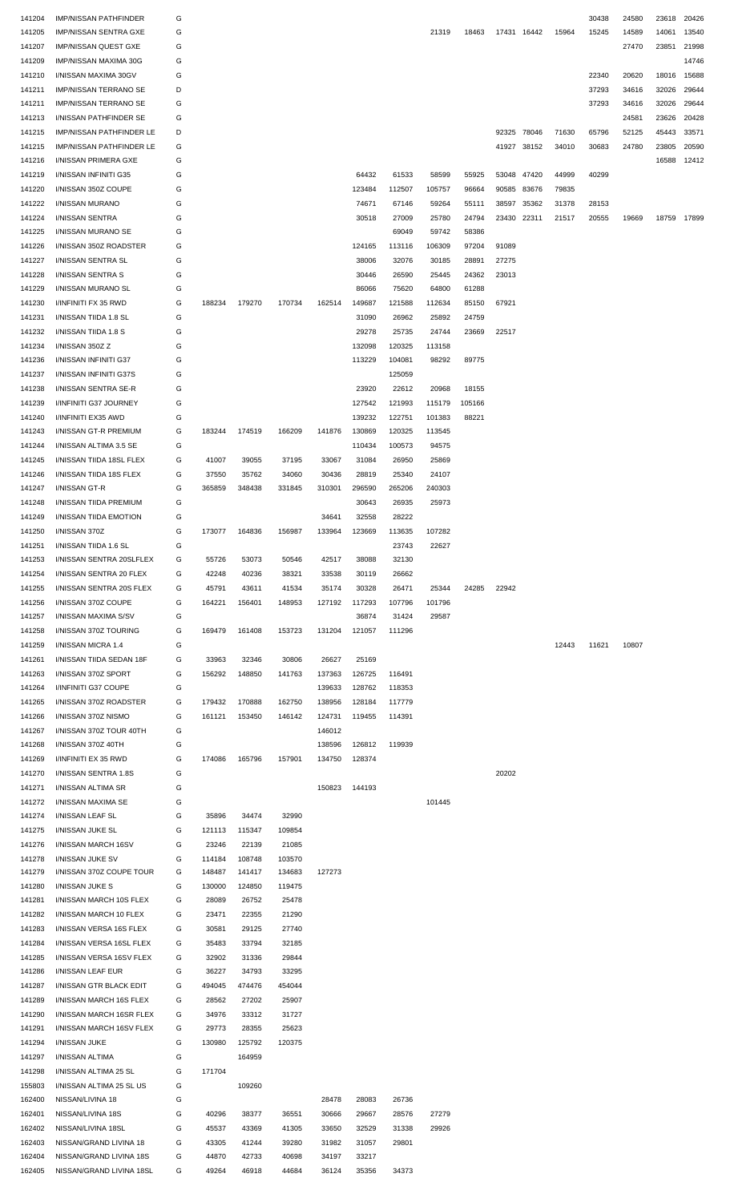| 141204 | <b>IMP/NISSAN PATHFINDER</b>    | G |        |        |        |        |        |        |        |        |             |             |       | 30438 | 24580 | 23618 | 20426 |
|--------|---------------------------------|---|--------|--------|--------|--------|--------|--------|--------|--------|-------------|-------------|-------|-------|-------|-------|-------|
|        |                                 |   |        |        |        |        |        |        |        |        |             |             |       |       |       |       |       |
| 141205 | IMP/NISSAN SENTRA GXE           | G |        |        |        |        |        |        | 21319  | 18463  | 17431 16442 |             | 15964 | 15245 | 14589 | 14061 | 13540 |
| 141207 | <b>IMP/NISSAN QUEST GXE</b>     | G |        |        |        |        |        |        |        |        |             |             |       |       | 27470 | 23851 | 21998 |
| 141209 | IMP/NISSAN MAXIMA 30G           | G |        |        |        |        |        |        |        |        |             |             |       |       |       |       | 14746 |
| 141210 | I/NISSAN MAXIMA 30GV            | G |        |        |        |        |        |        |        |        |             |             |       | 22340 | 20620 | 18016 | 15688 |
| 141211 | <b>IMP/NISSAN TERRANO SE</b>    | D |        |        |        |        |        |        |        |        |             |             |       | 37293 | 34616 | 32026 | 29644 |
| 141211 | <b>IMP/NISSAN TERRANO SE</b>    | G |        |        |        |        |        |        |        |        |             |             |       | 37293 | 34616 | 32026 | 29644 |
| 141213 | I/NISSAN PATHFINDER SE          | G |        |        |        |        |        |        |        |        |             |             |       |       | 24581 | 23626 | 20428 |
| 141215 | <b>IMP/NISSAN PATHFINDER LE</b> | D |        |        |        |        |        |        |        |        |             | 92325 78046 | 71630 | 65796 | 52125 | 45443 | 33571 |
| 141215 | IMP/NISSAN PATHFINDER LE        | G |        |        |        |        |        |        |        |        |             | 41927 38152 | 34010 | 30683 | 24780 | 23805 | 20590 |
| 141216 | I/NISSAN PRIMERA GXE            | G |        |        |        |        |        |        |        |        |             |             |       |       |       | 16588 | 12412 |
| 141219 | I/NISSAN INFINITI G35           | G |        |        |        |        | 64432  | 61533  | 58599  | 55925  |             | 53048 47420 | 44999 | 40299 |       |       |       |
| 141220 | I/NISSAN 350Z COUPE             | G |        |        |        |        | 123484 | 112507 | 105757 | 96664  |             | 90585 83676 | 79835 |       |       |       |       |
|        |                                 |   |        |        |        |        |        |        |        |        |             |             |       |       |       |       |       |
| 141222 | I/NISSAN MURANO                 | G |        |        |        |        | 74671  | 67146  | 59264  | 55111  | 38597       | 35362       | 31378 | 28153 |       |       |       |
| 141224 | I/NISSAN SENTRA                 | G |        |        |        |        | 30518  | 27009  | 25780  | 24794  | 23430 22311 |             | 21517 | 20555 | 19669 | 18759 | 17899 |
| 141225 | I/NISSAN MURANO SE              | G |        |        |        |        |        | 69049  | 59742  | 58386  |             |             |       |       |       |       |       |
| 141226 | I/NISSAN 350Z ROADSTER          | G |        |        |        |        | 124165 | 113116 | 106309 | 97204  | 91089       |             |       |       |       |       |       |
| 141227 | I/NISSAN SENTRA SL              | G |        |        |        |        | 38006  | 32076  | 30185  | 28891  | 27275       |             |       |       |       |       |       |
| 141228 | I/NISSAN SENTRA S               | G |        |        |        |        | 30446  | 26590  | 25445  | 24362  | 23013       |             |       |       |       |       |       |
| 141229 | <b>I/NISSAN MURANO SL</b>       | G |        |        |        |        | 86066  | 75620  | 64800  | 61288  |             |             |       |       |       |       |       |
| 141230 | <b>I/INFINITI FX 35 RWD</b>     | G | 188234 | 179270 | 170734 | 162514 | 149687 | 121588 | 112634 | 85150  | 67921       |             |       |       |       |       |       |
| 141231 | I/NISSAN TIIDA 1.8 SL           | G |        |        |        |        | 31090  | 26962  | 25892  | 24759  |             |             |       |       |       |       |       |
| 141232 | I/NISSAN TIIDA 1.8 S            | G |        |        |        |        | 29278  | 25735  | 24744  | 23669  | 22517       |             |       |       |       |       |       |
| 141234 | I/NISSAN 350Z Z                 | G |        |        |        |        | 132098 | 120325 | 113158 |        |             |             |       |       |       |       |       |
| 141236 | I/NISSAN INFINITI G37           | G |        |        |        |        | 113229 | 104081 | 98292  | 89775  |             |             |       |       |       |       |       |
|        |                                 | G |        |        |        |        |        |        |        |        |             |             |       |       |       |       |       |
| 141237 | I/NISSAN INFINITI G37S          |   |        |        |        |        |        | 125059 |        |        |             |             |       |       |       |       |       |
| 141238 | I/NISSAN SENTRA SE-R            | G |        |        |        |        | 23920  | 22612  | 20968  | 18155  |             |             |       |       |       |       |       |
| 141239 | I/INFINITI G37 JOURNEY          | G |        |        |        |        | 127542 | 121993 | 115179 | 105166 |             |             |       |       |       |       |       |
| 141240 | I/INFINITI EX35 AWD             | G |        |        |        |        | 139232 | 122751 | 101383 | 88221  |             |             |       |       |       |       |       |
| 141243 | I/NISSAN GT-R PREMIUM           | G | 183244 | 174519 | 166209 | 141876 | 130869 | 120325 | 113545 |        |             |             |       |       |       |       |       |
| 141244 | I/NISSAN ALTIMA 3.5 SE          | G |        |        |        |        | 110434 | 100573 | 94575  |        |             |             |       |       |       |       |       |
| 141245 | I/NISSAN TIIDA 18SL FLEX        | G | 41007  | 39055  | 37195  | 33067  | 31084  | 26950  | 25869  |        |             |             |       |       |       |       |       |
| 141246 | I/NISSAN TIIDA 18S FLEX         | G | 37550  | 35762  | 34060  | 30436  | 28819  | 25340  | 24107  |        |             |             |       |       |       |       |       |
| 141247 | I/NISSAN GT-R                   | G | 365859 | 348438 | 331845 | 310301 | 296590 | 265206 | 240303 |        |             |             |       |       |       |       |       |
| 141248 | I/NISSAN TIIDA PREMIUM          | G |        |        |        |        | 30643  | 26935  | 25973  |        |             |             |       |       |       |       |       |
|        |                                 |   |        |        |        |        |        | 28222  |        |        |             |             |       |       |       |       |       |
| 141249 | I/NISSAN TIIDA EMOTION          | G |        |        |        | 34641  | 32558  |        |        |        |             |             |       |       |       |       |       |
| 141250 | I/NISSAN 370Z                   | G | 173077 | 164836 | 156987 | 133964 | 123669 | 113635 | 107282 |        |             |             |       |       |       |       |       |
| 141251 | I/NISSAN TIIDA 1.6 SL           | G |        |        |        |        |        | 23743  | 22627  |        |             |             |       |       |       |       |       |
| 141253 | I/NISSAN SENTRA 20SLFLEX        | G | 55726  | 53073  | 50546  | 42517  | 38088  | 32130  |        |        |             |             |       |       |       |       |       |
| 141254 | I/NISSAN SENTRA 20 FLEX         | G | 42248  | 40236  | 38321  | 33538  | 30119  | 26662  |        |        |             |             |       |       |       |       |       |
| 141255 | I/NISSAN SENTRA 20S FLEX        | G | 45791  | 43611  | 41534  | 35174  | 30328  | 26471  | 25344  | 24285  | 22942       |             |       |       |       |       |       |
| 141256 | I/NISSAN 370Z COUPE             | G | 164221 | 156401 | 148953 | 127192 | 117293 | 107796 | 101796 |        |             |             |       |       |       |       |       |
| 141257 | I/NISSAN MAXIMA S/SV            | G |        |        |        |        | 36874  | 31424  | 29587  |        |             |             |       |       |       |       |       |
| 141258 | I/NISSAN 370Z TOURING           | G | 169479 | 161408 | 153723 | 131204 | 121057 | 111296 |        |        |             |             |       |       |       |       |       |
| 141259 | I/NISSAN MICRA 1.4              | G |        |        |        |        |        |        |        |        |             |             | 12443 | 11621 | 10807 |       |       |
| 141261 | I/NISSAN TIIDA SEDAN 18F        | G | 33963  | 32346  | 30806  | 26627  | 25169  |        |        |        |             |             |       |       |       |       |       |
|        | I/NISSAN 370Z SPORT             | G | 156292 | 148850 |        |        |        |        |        |        |             |             |       |       |       |       |       |
| 141263 |                                 |   |        |        | 141763 | 137363 | 126725 | 116491 |        |        |             |             |       |       |       |       |       |
| 141264 | I/INFINITI G37 COUPE            | G |        |        |        | 139633 | 128762 | 118353 |        |        |             |             |       |       |       |       |       |
| 141265 | I/NISSAN 370Z ROADSTER          | G | 179432 | 170888 | 162750 | 138956 | 128184 | 117779 |        |        |             |             |       |       |       |       |       |
| 141266 | I/NISSAN 370Z NISMO             | G | 161121 | 153450 | 146142 | 124731 | 119455 | 114391 |        |        |             |             |       |       |       |       |       |
| 141267 | I/NISSAN 370Z TOUR 40TH         | G |        |        |        | 146012 |        |        |        |        |             |             |       |       |       |       |       |
| 141268 | I/NISSAN 370Z 40TH              | G |        |        |        | 138596 | 126812 | 119939 |        |        |             |             |       |       |       |       |       |
| 141269 | I/INFINITI EX 35 RWD            | G | 174086 | 165796 | 157901 | 134750 | 128374 |        |        |        |             |             |       |       |       |       |       |
| 141270 | I/NISSAN SENTRA 1.8S            | G |        |        |        |        |        |        |        |        | 20202       |             |       |       |       |       |       |
| 141271 | I/NISSAN ALTIMA SR              | G |        |        |        | 150823 | 144193 |        |        |        |             |             |       |       |       |       |       |
| 141272 | I/NISSAN MAXIMA SE              | G |        |        |        |        |        |        | 101445 |        |             |             |       |       |       |       |       |
| 141274 | I/NISSAN LEAF SL                | G | 35896  | 34474  | 32990  |        |        |        |        |        |             |             |       |       |       |       |       |
| 141275 | I/NISSAN JUKE SL                | G | 121113 | 115347 | 109854 |        |        |        |        |        |             |             |       |       |       |       |       |
| 141276 | I/NISSAN MARCH 16SV             | G | 23246  | 22139  | 21085  |        |        |        |        |        |             |             |       |       |       |       |       |
| 141278 | I/NISSAN JUKE SV                | G | 114184 | 108748 | 103570 |        |        |        |        |        |             |             |       |       |       |       |       |
| 141279 | I/NISSAN 370Z COUPE TOUR        | G | 148487 | 141417 | 134683 | 127273 |        |        |        |        |             |             |       |       |       |       |       |
|        |                                 | G |        |        |        |        |        |        |        |        |             |             |       |       |       |       |       |
| 141280 | I/NISSAN JUKE S                 |   | 130000 | 124850 | 119475 |        |        |        |        |        |             |             |       |       |       |       |       |
| 141281 | I/NISSAN MARCH 10S FLEX         | G | 28089  | 26752  | 25478  |        |        |        |        |        |             |             |       |       |       |       |       |
| 141282 | I/NISSAN MARCH 10 FLEX          | G | 23471  | 22355  | 21290  |        |        |        |        |        |             |             |       |       |       |       |       |
| 141283 | I/NISSAN VERSA 16S FLEX         | G | 30581  | 29125  | 27740  |        |        |        |        |        |             |             |       |       |       |       |       |
| 141284 | I/NISSAN VERSA 16SL FLEX        | G | 35483  | 33794  | 32185  |        |        |        |        |        |             |             |       |       |       |       |       |
| 141285 | I/NISSAN VERSA 16SV FLEX        | G | 32902  | 31336  | 29844  |        |        |        |        |        |             |             |       |       |       |       |       |
| 141286 | I/NISSAN LEAF EUR               | G | 36227  | 34793  | 33295  |        |        |        |        |        |             |             |       |       |       |       |       |
| 141287 | I/NISSAN GTR BLACK EDIT         | G | 494045 | 474476 | 454044 |        |        |        |        |        |             |             |       |       |       |       |       |
| 141289 | I/NISSAN MARCH 16S FLEX         | G | 28562  | 27202  | 25907  |        |        |        |        |        |             |             |       |       |       |       |       |
| 141290 | I/NISSAN MARCH 16SR FLEX        | G | 34976  | 33312  | 31727  |        |        |        |        |        |             |             |       |       |       |       |       |
| 141291 | I/NISSAN MARCH 16SV FLEX        | G | 29773  | 28355  | 25623  |        |        |        |        |        |             |             |       |       |       |       |       |
| 141294 | I/NISSAN JUKE                   | G | 130980 | 125792 | 120375 |        |        |        |        |        |             |             |       |       |       |       |       |
|        |                                 | G |        |        |        |        |        |        |        |        |             |             |       |       |       |       |       |
| 141297 | I/NISSAN ALTIMA                 |   |        | 164959 |        |        |        |        |        |        |             |             |       |       |       |       |       |
| 141298 | I/NISSAN ALTIMA 25 SL           | G | 171704 |        |        |        |        |        |        |        |             |             |       |       |       |       |       |
| 155803 | I/NISSAN ALTIMA 25 SL US        | G |        | 109260 |        |        |        |        |        |        |             |             |       |       |       |       |       |
| 162400 | NISSAN/LIVINA 18                | G |        |        |        | 28478  | 28083  | 26736  |        |        |             |             |       |       |       |       |       |
| 162401 | NISSAN/LIVINA 18S               | G | 40296  | 38377  | 36551  | 30666  | 29667  | 28576  | 27279  |        |             |             |       |       |       |       |       |
| 162402 |                                 |   |        |        |        |        |        |        |        |        |             |             |       |       |       |       |       |
|        | NISSAN/LIVINA 18SL              | G | 45537  | 43369  | 41305  | 33650  | 32529  | 31338  | 29926  |        |             |             |       |       |       |       |       |
| 162403 | NISSAN/GRAND LIVINA 18          | G | 43305  | 41244  | 39280  | 31982  | 31057  | 29801  |        |        |             |             |       |       |       |       |       |
| 162404 | NISSAN/GRAND LIVINA 18S         | G | 44870  | 42733  | 40698  | 34197  | 33217  |        |        |        |             |             |       |       |       |       |       |
| 162405 | NISSAN/GRAND LIVINA 18SL        | G | 49264  | 46918  | 44684  | 36124  | 35356  | 34373  |        |        |             |             |       |       |       |       |       |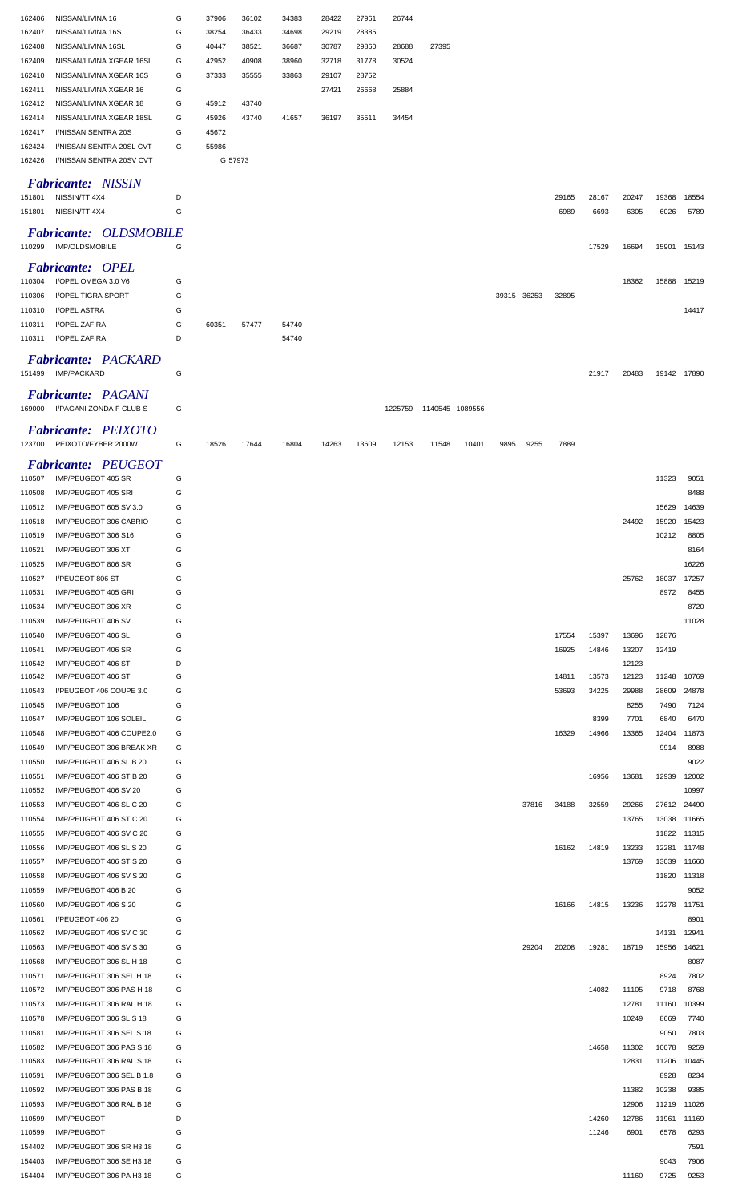| 162406           | NISSAN/LIVINA 16                                     | G      | 37906   | 36102 | 34383 | 28422 | 27961 | 26744   |                 |       |      |             |       |       |       |                |               |
|------------------|------------------------------------------------------|--------|---------|-------|-------|-------|-------|---------|-----------------|-------|------|-------------|-------|-------|-------|----------------|---------------|
| 162407           | NISSAN/LIVINA 16S                                    | G      | 38254   | 36433 | 34698 | 29219 | 28385 |         |                 |       |      |             |       |       |       |                |               |
| 162408           | NISSAN/LIVINA 16SL                                   | G      | 40447   | 38521 | 36687 | 30787 | 29860 | 28688   | 27395           |       |      |             |       |       |       |                |               |
| 162409           | NISSAN/LIVINA XGEAR 16SL                             | G      | 42952   | 40908 | 38960 | 32718 | 31778 | 30524   |                 |       |      |             |       |       |       |                |               |
| 162410           | NISSAN/LIVINA XGEAR 16S                              | G      | 37333   | 35555 | 33863 | 29107 | 28752 |         |                 |       |      |             |       |       |       |                |               |
| 162411           | NISSAN/LIVINA XGEAR 16                               | G      |         |       |       | 27421 | 26668 | 25884   |                 |       |      |             |       |       |       |                |               |
| 162412           | NISSAN/LIVINA XGEAR 18                               | G      | 45912   | 43740 |       |       |       |         |                 |       |      |             |       |       |       |                |               |
| 162414           | NISSAN/LIVINA XGEAR 18SL                             | G      | 45926   | 43740 | 41657 | 36197 | 35511 | 34454   |                 |       |      |             |       |       |       |                |               |
| 162417           | I/NISSAN SENTRA 20S                                  | G      | 45672   |       |       |       |       |         |                 |       |      |             |       |       |       |                |               |
| 162424           | I/NISSAN SENTRA 20SL CVT                             | G      | 55986   |       |       |       |       |         |                 |       |      |             |       |       |       |                |               |
| 162426           | I/NISSAN SENTRA 20SV CVT                             |        | G 57973 |       |       |       |       |         |                 |       |      |             |       |       |       |                |               |
|                  | Fabricante: NISSIN                                   |        |         |       |       |       |       |         |                 |       |      |             |       |       |       |                |               |
| 151801           | NISSIN/TT 4X4                                        | D      |         |       |       |       |       |         |                 |       |      |             | 29165 | 28167 | 20247 | 19368          | 18554         |
| 151801           | NISSIN/TT 4X4                                        | G      |         |       |       |       |       |         |                 |       |      |             | 6989  | 6693  | 6305  | 6026           | 5789          |
|                  |                                                      |        |         |       |       |       |       |         |                 |       |      |             |       |       |       |                |               |
|                  | <b>Fabricante: OLDSMOBILE</b>                        |        |         |       |       |       |       |         |                 |       |      |             |       |       |       |                |               |
| 110299           | <b>IMP/OLDSMOBILE</b>                                | G      |         |       |       |       |       |         |                 |       |      |             |       | 17529 | 16694 | 15901 15143    |               |
|                  | Fabricante: OPEL                                     |        |         |       |       |       |       |         |                 |       |      |             |       |       |       |                |               |
| 110304           | I/OPEL OMEGA 3.0 V6                                  | G      |         |       |       |       |       |         |                 |       |      |             |       |       | 18362 | 15888          | 15219         |
| 110306           | I/OPEL TIGRA SPORT                                   | G      |         |       |       |       |       |         |                 |       |      | 39315 36253 | 32895 |       |       |                |               |
| 110310           | I/OPEL ASTRA                                         | G      |         |       |       |       |       |         |                 |       |      |             |       |       |       |                | 14417         |
| 110311           | I/OPEL ZAFIRA                                        | G      | 60351   | 57477 | 54740 |       |       |         |                 |       |      |             |       |       |       |                |               |
| 110311           | I/OPEL ZAFIRA                                        | D      |         |       | 54740 |       |       |         |                 |       |      |             |       |       |       |                |               |
|                  | <b>Fabricante: PACKARD</b>                           |        |         |       |       |       |       |         |                 |       |      |             |       |       |       |                |               |
| 151499           | IMP/PACKARD                                          | G      |         |       |       |       |       |         |                 |       |      |             |       | 21917 | 20483 | 19142 17890    |               |
|                  |                                                      |        |         |       |       |       |       |         |                 |       |      |             |       |       |       |                |               |
|                  | <b>Fabricante: PAGANI</b>                            |        |         |       |       |       |       |         |                 |       |      |             |       |       |       |                |               |
|                  | 169000 I/PAGANI ZONDA F CLUB S                       | G      |         |       |       |       |       | 1225759 | 1140545 1089556 |       |      |             |       |       |       |                |               |
|                  | <b>Fabricante: PEIXOTO</b>                           |        |         |       |       |       |       |         |                 |       |      |             |       |       |       |                |               |
|                  | 123700 PEIXOTO/FYBER 2000W                           | G      | 18526   | 17644 | 16804 | 14263 | 13609 | 12153   | 11548           | 10401 | 9895 | 9255        | 7889  |       |       |                |               |
|                  |                                                      |        |         |       |       |       |       |         |                 |       |      |             |       |       |       |                |               |
|                  | <b>Fabricante: PEUGEOT</b>                           |        |         |       |       |       |       |         |                 |       |      |             |       |       |       |                |               |
| 110507           | IMP/PEUGEOT 405 SR                                   | G      |         |       |       |       |       |         |                 |       |      |             |       |       |       | 11323          | 9051          |
| 110508           | IMP/PEUGEOT 405 SRI                                  | G      |         |       |       |       |       |         |                 |       |      |             |       |       |       |                | 8488          |
| 110512           | IMP/PEUGEOT 605 SV 3.0                               | G      |         |       |       |       |       |         |                 |       |      |             |       |       |       | 15629          | 14639         |
| 110518<br>110519 | IMP/PEUGEOT 306 CABRIO<br>IMP/PEUGEOT 306 S16        | G<br>G |         |       |       |       |       |         |                 |       |      |             |       |       | 24492 | 15920<br>10212 | 15423<br>8805 |
| 110521           | IMP/PEUGEOT 306 XT                                   | G      |         |       |       |       |       |         |                 |       |      |             |       |       |       |                | 8164          |
| 110525           | IMP/PEUGEOT 806 SR                                   | G      |         |       |       |       |       |         |                 |       |      |             |       |       |       |                | 16226         |
| 110527           | I/PEUGEOT 806 ST                                     | G      |         |       |       |       |       |         |                 |       |      |             |       |       | 25762 | 18037          | 17257         |
| 110531           | IMP/PEUGEOT 405 GRI                                  | G      |         |       |       |       |       |         |                 |       |      |             |       |       |       | 8972           | 8455          |
| 110534           | IMP/PEUGEOT 306 XR                                   | G      |         |       |       |       |       |         |                 |       |      |             |       |       |       |                | 8720          |
| 110539           | IMP/PEUGEOT 406 SV                                   | G      |         |       |       |       |       |         |                 |       |      |             |       |       |       |                | 11028         |
| 110540           | IMP/PEUGEOT 406 SL                                   | G      |         |       |       |       |       |         |                 |       |      |             | 17554 | 15397 | 13696 | 12876          |               |
| 110541           | IMP/PEUGEOT 406 SR                                   | G      |         |       |       |       |       |         |                 |       |      |             | 16925 | 14846 | 13207 | 12419          |               |
| 110542           | IMP/PEUGEOT 406 ST                                   | D      |         |       |       |       |       |         |                 |       |      |             |       |       | 12123 |                |               |
| 110542           | IMP/PEUGEOT 406 ST                                   | G      |         |       |       |       |       |         |                 |       |      |             | 14811 | 13573 | 12123 | 11248          | 10769         |
| 110543           | I/PEUGEOT 406 COUPE 3.0                              | G      |         |       |       |       |       |         |                 |       |      |             | 53693 | 34225 | 29988 | 28609          | 24878         |
| 110545           | IMP/PEUGEOT 106                                      | G      |         |       |       |       |       |         |                 |       |      |             |       |       | 8255  | 7490           | 7124          |
| 110547           | IMP/PEUGEOT 106 SOLEIL                               | G      |         |       |       |       |       |         |                 |       |      |             |       | 8399  | 7701  | 6840           | 6470          |
| 110548           | IMP/PEUGEOT 406 COUPE2.0                             | G      |         |       |       |       |       |         |                 |       |      |             | 16329 | 14966 | 13365 | 12404          | 11873         |
| 110549           | IMP/PEUGEOT 306 BREAK XR                             | G      |         |       |       |       |       |         |                 |       |      |             |       |       |       | 9914           | 8988          |
| 110550           | IMP/PEUGEOT 406 SL B 20                              | G      |         |       |       |       |       |         |                 |       |      |             |       |       |       |                | 9022          |
| 110551           | IMP/PEUGEOT 406 ST B 20                              | G      |         |       |       |       |       |         |                 |       |      |             |       | 16956 | 13681 | 12939          | 12002         |
| 110552           | IMP/PEUGEOT 406 SV 20                                | G      |         |       |       |       |       |         |                 |       |      |             |       |       |       |                | 10997         |
| 110553           | IMP/PEUGEOT 406 SL C 20                              | G      |         |       |       |       |       |         |                 |       |      | 37816       | 34188 | 32559 | 29266 | 27612          | 24490         |
| 110554           | IMP/PEUGEOT 406 ST C 20                              | G      |         |       |       |       |       |         |                 |       |      |             |       |       | 13765 | 13038          | 11665         |
| 110555           | IMP/PEUGEOT 406 SV C 20                              | G      |         |       |       |       |       |         |                 |       |      |             |       |       |       | 11822          | 11315         |
| 110556           | IMP/PEUGEOT 406 SL S 20                              | G      |         |       |       |       |       |         |                 |       |      |             | 16162 | 14819 | 13233 | 12281          | 11748         |
| 110557           | IMP/PEUGEOT 406 ST S 20                              | G      |         |       |       |       |       |         |                 |       |      |             |       |       | 13769 | 13039          | 11660         |
| 110558           | IMP/PEUGEOT 406 SV S 20                              | G      |         |       |       |       |       |         |                 |       |      |             |       |       |       | 11820          | 11318         |
| 110559           | IMP/PEUGEOT 406 B 20                                 | G      |         |       |       |       |       |         |                 |       |      |             |       |       |       |                | 9052          |
| 110560           | IMP/PEUGEOT 406 S 20                                 | G      |         |       |       |       |       |         |                 |       |      |             | 16166 | 14815 | 13236 | 12278          | 11751         |
| 110561           | I/PEUGEOT 406 20                                     | G      |         |       |       |       |       |         |                 |       |      |             |       |       |       |                | 8901          |
| 110562           | IMP/PEUGEOT 406 SV C 30                              | G      |         |       |       |       |       |         |                 |       |      |             |       |       |       | 14131          | 12941         |
| 110563           | IMP/PEUGEOT 406 SV S 30                              | G      |         |       |       |       |       |         |                 |       |      | 29204       | 20208 | 19281 | 18719 | 15956          | 14621         |
| 110568           | IMP/PEUGEOT 306 SL H 18                              | G      |         |       |       |       |       |         |                 |       |      |             |       |       |       |                | 8087          |
| 110571           | IMP/PEUGEOT 306 SEL H 18                             | G      |         |       |       |       |       |         |                 |       |      |             |       |       |       | 8924           | 7802          |
| 110572           | IMP/PEUGEOT 306 PAS H 18                             | G      |         |       |       |       |       |         |                 |       |      |             |       | 14082 | 11105 | 9718           | 8768          |
| 110573           | IMP/PEUGEOT 306 RAL H 18                             | G      |         |       |       |       |       |         |                 |       |      |             |       |       | 12781 | 11160          | 10399         |
| 110578           | IMP/PEUGEOT 306 SL S 18                              | G      |         |       |       |       |       |         |                 |       |      |             |       |       | 10249 | 8669           | 7740          |
| 110581           | IMP/PEUGEOT 306 SEL S 18                             | G      |         |       |       |       |       |         |                 |       |      |             |       |       |       | 9050           | 7803          |
| 110582           | IMP/PEUGEOT 306 PAS S 18                             | G      |         |       |       |       |       |         |                 |       |      |             |       | 14658 | 11302 | 10078          | 9259          |
| 110583           | IMP/PEUGEOT 306 RAL S 18                             | G      |         |       |       |       |       |         |                 |       |      |             |       |       | 12831 | 11206          | 10445         |
| 110591           | IMP/PEUGEOT 306 SEL B 1.8                            | G      |         |       |       |       |       |         |                 |       |      |             |       |       |       | 8928           | 8234          |
| 110592           | IMP/PEUGEOT 306 PAS B 18                             | G      |         |       |       |       |       |         |                 |       |      |             |       |       | 11382 | 10238          | 9385          |
| 110593           | IMP/PEUGEOT 306 RAL B 18                             | G      |         |       |       |       |       |         |                 |       |      |             |       |       | 12906 | 11219          | 11026         |
| 110599           | <b>IMP/PEUGEOT</b>                                   | D      |         |       |       |       |       |         |                 |       |      |             |       | 14260 | 12786 | 11961          | 11169         |
| 110599           | IMP/PEUGEOT<br>IMP/PEUGEOT 306 SR H3 18              | G<br>G |         |       |       |       |       |         |                 |       |      |             |       | 11246 | 6901  | 6578           | 6293<br>7591  |
| 154402           |                                                      |        |         |       |       |       |       |         |                 |       |      |             |       |       |       |                |               |
|                  |                                                      |        |         |       |       |       |       |         |                 |       |      |             |       |       |       |                |               |
| 154403<br>154404 | IMP/PEUGEOT 306 SE H3 18<br>IMP/PEUGEOT 306 PA H3 18 | G<br>G |         |       |       |       |       |         |                 |       |      |             |       |       | 11160 | 9043<br>9725   | 7906<br>9253  |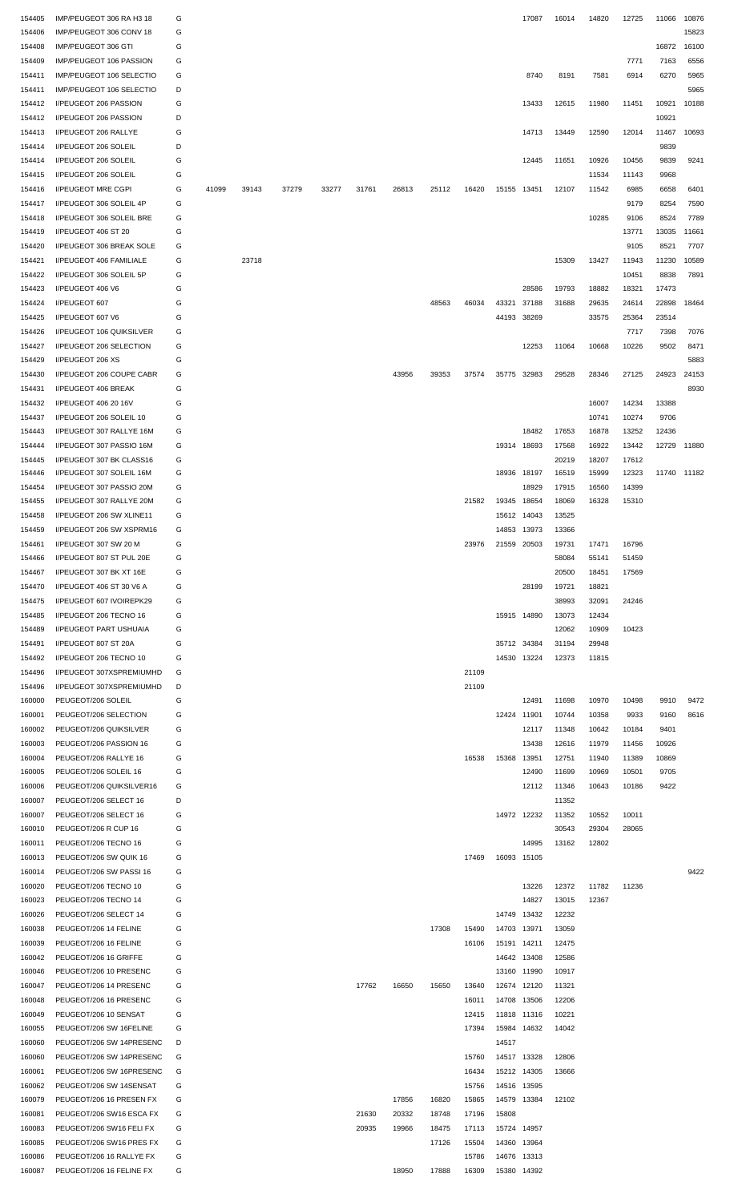| 154405 | IMP/PEUGEOT 306 RA H3 18 | G |       |       |       |       |       |       |       |       |             | 17087 | 16014 | 14820 | 12725 | 11066       | 10876 |
|--------|--------------------------|---|-------|-------|-------|-------|-------|-------|-------|-------|-------------|-------|-------|-------|-------|-------------|-------|
| 154406 | IMP/PEUGEOT 306 CONV 18  | G |       |       |       |       |       |       |       |       |             |       |       |       |       |             | 15823 |
|        |                          |   |       |       |       |       |       |       |       |       |             |       |       |       |       |             |       |
| 154408 | IMP/PEUGEOT 306 GTI      | G |       |       |       |       |       |       |       |       |             |       |       |       |       | 16872       | 16100 |
| 154409 | IMP/PEUGEOT 106 PASSION  | G |       |       |       |       |       |       |       |       |             |       |       |       | 7771  | 7163        | 6556  |
| 154411 | IMP/PEUGEOT 106 SELECTIO | G |       |       |       |       |       |       |       |       |             | 8740  | 8191  | 7581  | 6914  | 6270        | 5965  |
| 154411 | IMP/PEUGEOT 106 SELECTIO | D |       |       |       |       |       |       |       |       |             |       |       |       |       |             | 5965  |
| 154412 | I/PEUGEOT 206 PASSION    | G |       |       |       |       |       |       |       |       |             | 13433 | 12615 | 11980 | 11451 | 10921       | 10188 |
| 154412 | I/PEUGEOT 206 PASSION    | D |       |       |       |       |       |       |       |       |             |       |       |       |       | 10921       |       |
|        |                          |   |       |       |       |       |       |       |       |       |             |       |       |       |       |             |       |
| 154413 | I/PEUGEOT 206 RALLYE     | G |       |       |       |       |       |       |       |       |             | 14713 | 13449 | 12590 | 12014 | 11467       | 10693 |
| 154414 | I/PEUGEOT 206 SOLEIL     | D |       |       |       |       |       |       |       |       |             |       |       |       |       | 9839        |       |
| 154414 | I/PEUGEOT 206 SOLEIL     | G |       |       |       |       |       |       |       |       |             | 12445 | 11651 | 10926 | 10456 | 9839        | 9241  |
| 154415 | I/PEUGEOT 206 SOLEIL     | G |       |       |       |       |       |       |       |       |             |       |       | 11534 | 11143 | 9968        |       |
| 154416 | I/PEUGEOT MRE CGPI       | G | 41099 | 39143 | 37279 | 33277 | 31761 | 26813 | 25112 | 16420 | 15155       | 13451 | 12107 | 11542 | 6985  | 6658        | 6401  |
| 154417 | I/PEUGEOT 306 SOLEIL 4P  | G |       |       |       |       |       |       |       |       |             |       |       |       | 9179  | 8254        | 7590  |
| 154418 | I/PEUGEOT 306 SOLEIL BRE | G |       |       |       |       |       |       |       |       |             |       |       | 10285 | 9106  | 8524        | 7789  |
|        |                          |   |       |       |       |       |       |       |       |       |             |       |       |       |       |             |       |
| 154419 | I/PEUGEOT 406 ST 20      | G |       |       |       |       |       |       |       |       |             |       |       |       | 13771 | 13035       | 11661 |
| 154420 | I/PEUGEOT 306 BREAK SOLE | G |       |       |       |       |       |       |       |       |             |       |       |       | 9105  | 8521        | 7707  |
| 154421 | I/PEUGEOT 406 FAMILIALE  | G |       | 23718 |       |       |       |       |       |       |             |       | 15309 | 13427 | 11943 | 11230       | 10589 |
| 154422 | I/PEUGEOT 306 SOLEIL 5P  | G |       |       |       |       |       |       |       |       |             |       |       |       | 10451 | 8838        | 7891  |
| 154423 | I/PEUGEOT 406 V6         | G |       |       |       |       |       |       |       |       |             | 28586 | 19793 | 18882 | 18321 | 17473       |       |
| 154424 | I/PEUGEOT 607            | G |       |       |       |       |       |       | 48563 | 46034 | 43321       | 37188 | 31688 | 29635 | 24614 | 22898       | 18464 |
|        |                          |   |       |       |       |       |       |       |       |       |             |       |       |       |       |             |       |
| 154425 | I/PEUGEOT 607 V6         | G |       |       |       |       |       |       |       |       | 44193       | 38269 |       | 33575 | 25364 | 23514       |       |
| 154426 | I/PEUGEOT 106 QUIKSILVER | G |       |       |       |       |       |       |       |       |             |       |       |       | 7717  | 7398        | 7076  |
| 154427 | I/PEUGEOT 206 SELECTION  | G |       |       |       |       |       |       |       |       |             | 12253 | 11064 | 10668 | 10226 | 9502        | 8471  |
| 154429 | I/PEUGEOT 206 XS         | G |       |       |       |       |       |       |       |       |             |       |       |       |       |             | 5883  |
| 154430 | I/PEUGEOT 206 COUPE CABR | G |       |       |       |       |       | 43956 | 39353 | 37574 | 35775       | 32983 | 29528 | 28346 | 27125 | 24923       | 24153 |
| 154431 | I/PEUGEOT 406 BREAK      | G |       |       |       |       |       |       |       |       |             |       |       |       |       |             | 8930  |
| 154432 | I/PEUGEOT 406 20 16V     | G |       |       |       |       |       |       |       |       |             |       |       | 16007 | 14234 | 13388       |       |
| 154437 | I/PEUGEOT 206 SOLEIL 10  | G |       |       |       |       |       |       |       |       |             |       |       | 10741 | 10274 | 9706        |       |
|        |                          |   |       |       |       |       |       |       |       |       |             |       |       |       |       |             |       |
| 154443 | I/PEUGEOT 307 RALLYE 16M | G |       |       |       |       |       |       |       |       |             | 18482 | 17653 | 16878 | 13252 | 12436       |       |
| 154444 | I/PEUGEOT 307 PASSIO 16M | G |       |       |       |       |       |       |       |       | 19314 18693 |       | 17568 | 16922 | 13442 | 12729       | 11880 |
| 154445 | I/PEUGEOT 307 BK CLASS16 | G |       |       |       |       |       |       |       |       |             |       | 20219 | 18207 | 17612 |             |       |
| 154446 | I/PEUGEOT 307 SOLEIL 16M | G |       |       |       |       |       |       |       |       | 18936 18197 |       | 16519 | 15999 | 12323 | 11740 11182 |       |
| 154454 | I/PEUGEOT 307 PASSIO 20M | G |       |       |       |       |       |       |       |       |             | 18929 | 17915 | 16560 | 14399 |             |       |
| 154455 | I/PEUGEOT 307 RALLYE 20M | G |       |       |       |       |       |       |       | 21582 | 19345       | 18654 | 18069 | 16328 | 15310 |             |       |
| 154458 | I/PEUGEOT 206 SW XLINE11 | G |       |       |       |       |       |       |       |       | 15612 14043 |       | 13525 |       |       |             |       |
|        |                          |   |       |       |       |       |       |       |       |       |             |       |       |       |       |             |       |
| 154459 | I/PEUGEOT 206 SW XSPRM16 | G |       |       |       |       |       |       |       |       | 14853 13973 |       | 13366 |       |       |             |       |
| 154461 | I/PEUGEOT 307 SW 20 M    | G |       |       |       |       |       |       |       | 23976 | 21559 20503 |       | 19731 | 17471 | 16796 |             |       |
| 154466 | I/PEUGEOT 807 ST PUL 20E | G |       |       |       |       |       |       |       |       |             |       | 58084 | 55141 | 51459 |             |       |
| 154467 | I/PEUGEOT 307 BK XT 16E  | G |       |       |       |       |       |       |       |       |             |       | 20500 | 18451 | 17569 |             |       |
| 154470 | I/PEUGEOT 406 ST 30 V6 A | G |       |       |       |       |       |       |       |       |             | 28199 | 19721 | 18821 |       |             |       |
| 154475 | I/PEUGEOT 607 IVOIREPK29 | G |       |       |       |       |       |       |       |       |             |       | 38993 | 32091 | 24246 |             |       |
| 154485 | I/PEUGEOT 206 TECNO 16   | G |       |       |       |       |       |       |       |       | 15915 14890 |       | 13073 | 12434 |       |             |       |
|        |                          |   |       |       |       |       |       |       |       |       |             |       |       |       |       |             |       |
| 154489 | I/PEUGEOT PART USHUAIA   | G |       |       |       |       |       |       |       |       |             |       | 12062 | 10909 | 10423 |             |       |
| 154491 | I/PEUGEOT 807 ST 20A     | G |       |       |       |       |       |       |       |       | 35712 34384 |       | 31194 | 29948 |       |             |       |
| 154492 | I/PEUGEOT 206 TECNO 10   | G |       |       |       |       |       |       |       |       | 14530 13224 |       | 12373 | 11815 |       |             |       |
| 154496 | I/PEUGEOT 307XSPREMIUMHD | G |       |       |       |       |       |       |       | 21109 |             |       |       |       |       |             |       |
| 154496 | I/PEUGEOT 307XSPREMIUMHD | D |       |       |       |       |       |       |       | 21109 |             |       |       |       |       |             |       |
| 160000 | PEUGEOT/206 SOLEIL       | G |       |       |       |       |       |       |       |       |             | 12491 | 11698 | 10970 | 10498 | 9910        | 9472  |
| 160001 | PEUGEOT/206 SELECTION    | G |       |       |       |       |       |       |       |       | 12424 11901 |       | 10744 | 10358 | 9933  | 9160        | 8616  |
|        |                          |   |       |       |       |       |       |       |       |       |             |       |       |       |       |             |       |
| 160002 | PEUGEOT/206 QUIKSILVER   | G |       |       |       |       |       |       |       |       |             | 12117 | 11348 | 10642 | 10184 | 9401        |       |
| 160003 | PEUGEOT/206 PASSION 16   | G |       |       |       |       |       |       |       |       |             | 13438 | 12616 | 11979 | 11456 | 10926       |       |
| 160004 | PEUGEOT/206 RALLYE 16    | G |       |       |       |       |       |       |       | 16538 | 15368       | 13951 | 12751 | 11940 | 11389 | 10869       |       |
| 160005 | PEUGEOT/206 SOLEIL 16    | G |       |       |       |       |       |       |       |       |             | 12490 | 11699 | 10969 | 10501 | 9705        |       |
| 160006 | PEUGEOT/206 QUIKSILVER16 | G |       |       |       |       |       |       |       |       |             | 12112 | 11346 | 10643 | 10186 | 9422        |       |
| 160007 | PEUGEOT/206 SELECT 16    | D |       |       |       |       |       |       |       |       |             |       | 11352 |       |       |             |       |
| 160007 | PEUGEOT/206 SELECT 16    | G |       |       |       |       |       |       |       |       | 14972 12232 |       | 11352 | 10552 | 10011 |             |       |
| 160010 | PEUGEOT/206 R CUP 16     | G |       |       |       |       |       |       |       |       |             |       | 30543 | 29304 | 28065 |             |       |
|        |                          |   |       |       |       |       |       |       |       |       |             |       |       |       |       |             |       |
| 160011 | PEUGEOT/206 TECNO 16     | G |       |       |       |       |       |       |       |       |             | 14995 | 13162 | 12802 |       |             |       |
| 160013 | PEUGEOT/206 SW QUIK 16   | G |       |       |       |       |       |       |       | 17469 | 16093 15105 |       |       |       |       |             |       |
| 160014 | PEUGEOT/206 SW PASSI 16  | G |       |       |       |       |       |       |       |       |             |       |       |       |       |             | 9422  |
| 160020 | PEUGEOT/206 TECNO 10     | G |       |       |       |       |       |       |       |       |             | 13226 | 12372 | 11782 | 11236 |             |       |
| 160023 | PEUGEOT/206 TECNO 14     | G |       |       |       |       |       |       |       |       |             | 14827 | 13015 | 12367 |       |             |       |
| 160026 | PEUGEOT/206 SELECT 14    | G |       |       |       |       |       |       |       |       | 14749       | 13432 | 12232 |       |       |             |       |
| 160038 | PEUGEOT/206 14 FELINE    | G |       |       |       |       |       |       | 17308 | 15490 | 14703       | 13971 | 13059 |       |       |             |       |
|        |                          |   |       |       |       |       |       |       |       |       |             |       |       |       |       |             |       |
| 160039 | PEUGEOT/206 16 FELINE    | G |       |       |       |       |       |       |       | 16106 | 15191 14211 |       | 12475 |       |       |             |       |
| 160042 | PEUGEOT/206 16 GRIFFE    | G |       |       |       |       |       |       |       |       | 14642 13408 |       | 12586 |       |       |             |       |
| 160046 | PEUGEOT/206 10 PRESENC   | G |       |       |       |       |       |       |       |       | 13160 11990 |       | 10917 |       |       |             |       |
| 160047 | PEUGEOT/206 14 PRESENC   | G |       |       |       |       | 17762 | 16650 | 15650 | 13640 | 12674 12120 |       | 11321 |       |       |             |       |
| 160048 | PEUGEOT/206 16 PRESENC   | G |       |       |       |       |       |       |       | 16011 | 14708       | 13506 | 12206 |       |       |             |       |
| 160049 | PEUGEOT/206 10 SENSAT    | G |       |       |       |       |       |       |       | 12415 | 11818 11316 |       | 10221 |       |       |             |       |
| 160055 | PEUGEOT/206 SW 16FELINE  | G |       |       |       |       |       |       |       | 17394 | 15984       | 14632 | 14042 |       |       |             |       |
|        |                          |   |       |       |       |       |       |       |       |       |             |       |       |       |       |             |       |
| 160060 | PEUGEOT/206 SW 14PRESENC | D |       |       |       |       |       |       |       |       | 14517       |       |       |       |       |             |       |
| 160060 | PEUGEOT/206 SW 14PRESENC | G |       |       |       |       |       |       |       | 15760 | 14517 13328 |       | 12806 |       |       |             |       |
| 160061 | PEUGEOT/206 SW 16PRESENC | G |       |       |       |       |       |       |       | 16434 | 15212 14305 |       | 13666 |       |       |             |       |
| 160062 | PEUGEOT/206 SW 14SENSAT  | G |       |       |       |       |       |       |       | 15756 | 14516 13595 |       |       |       |       |             |       |
| 160079 | PEUGEOT/206 16 PRESEN FX | G |       |       |       |       |       | 17856 | 16820 | 15865 | 14579 13384 |       | 12102 |       |       |             |       |
| 160081 | PEUGEOT/206 SW16 ESCA FX | G |       |       |       |       | 21630 | 20332 | 18748 | 17196 | 15808       |       |       |       |       |             |       |
| 160083 | PEUGEOT/206 SW16 FELI FX | G |       |       |       |       | 20935 | 19966 | 18475 | 17113 | 15724 14957 |       |       |       |       |             |       |
|        |                          |   |       |       |       |       |       |       |       |       |             |       |       |       |       |             |       |
| 160085 | PEUGEOT/206 SW16 PRES FX | G |       |       |       |       |       |       | 17126 | 15504 | 14360 13964 |       |       |       |       |             |       |
| 160086 | PEUGEOT/206 16 RALLYE FX | G |       |       |       |       |       |       |       | 15786 | 14676 13313 |       |       |       |       |             |       |
| 160087 | PEUGEOT/206 16 FELINE FX | G |       |       |       |       |       | 18950 | 17888 | 16309 | 15380 14392 |       |       |       |       |             |       |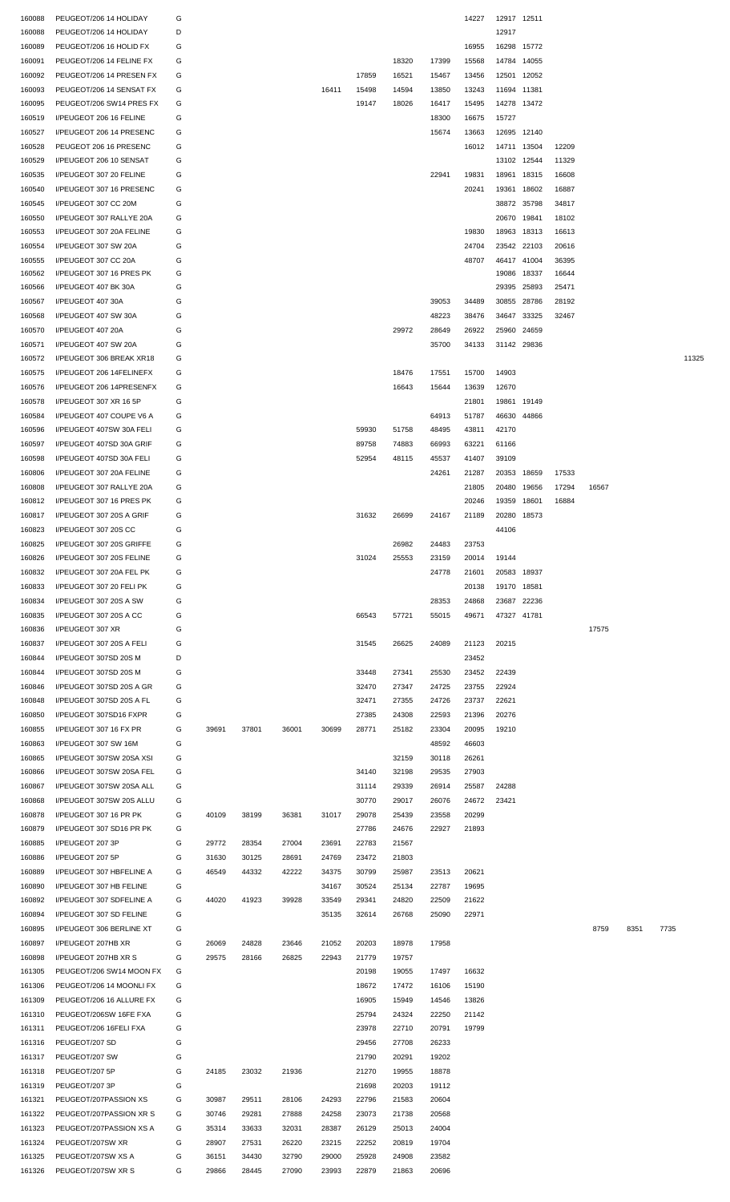| 160088 | PEUGEOT/206 14 HOLIDAY          | G |       |       |       |       |       |       |       | 14227 | 12917 12511 |       |       |       |      |      |       |
|--------|---------------------------------|---|-------|-------|-------|-------|-------|-------|-------|-------|-------------|-------|-------|-------|------|------|-------|
| 160088 | PEUGEOT/206 14 HOLIDAY          | D |       |       |       |       |       |       |       |       | 12917       |       |       |       |      |      |       |
| 160089 | PEUGEOT/206 16 HOLID FX         | G |       |       |       |       |       |       |       | 16955 | 16298 15772 |       |       |       |      |      |       |
|        |                                 |   |       |       |       |       |       |       |       |       |             |       |       |       |      |      |       |
| 160091 | PEUGEOT/206 14 FELINE FX        | G |       |       |       |       |       | 18320 | 17399 | 15568 | 14784 14055 |       |       |       |      |      |       |
| 160092 | PEUGEOT/206 14 PRESEN FX        | G |       |       |       |       | 17859 | 16521 | 15467 | 13456 | 12501 12052 |       |       |       |      |      |       |
| 160093 | PEUGEOT/206 14 SENSAT FX        | G |       |       |       | 16411 | 15498 | 14594 | 13850 | 13243 | 11694 11381 |       |       |       |      |      |       |
| 160095 | PEUGEOT/206 SW14 PRES FX        | G |       |       |       |       | 19147 | 18026 | 16417 | 15495 | 14278 13472 |       |       |       |      |      |       |
| 160519 | I/PEUGEOT 206 16 FELINE         | G |       |       |       |       |       |       | 18300 | 16675 | 15727       |       |       |       |      |      |       |
|        |                                 |   |       |       |       |       |       |       |       |       |             |       |       |       |      |      |       |
| 160527 | I/PEUGEOT 206 14 PRESENC        | G |       |       |       |       |       |       | 15674 | 13663 | 12695 12140 |       |       |       |      |      |       |
| 160528 | PEUGEOT 206 16 PRESENC          | G |       |       |       |       |       |       |       | 16012 | 14711 13504 |       | 12209 |       |      |      |       |
| 160529 | I/PEUGEOT 206 10 SENSAT         | G |       |       |       |       |       |       |       |       | 13102 12544 |       | 11329 |       |      |      |       |
| 160535 | I/PEUGEOT 307 20 FELINE         | G |       |       |       |       |       |       | 22941 | 19831 | 18961 18315 |       | 16608 |       |      |      |       |
|        |                                 |   |       |       |       |       |       |       |       |       |             |       |       |       |      |      |       |
| 160540 | I/PEUGEOT 307 16 PRESENC        | G |       |       |       |       |       |       |       | 20241 | 19361 18602 |       | 16887 |       |      |      |       |
| 160545 | I/PEUGEOT 307 CC 20M            | G |       |       |       |       |       |       |       |       | 38872 35798 |       | 34817 |       |      |      |       |
| 160550 | I/PEUGEOT 307 RALLYE 20A        | G |       |       |       |       |       |       |       |       | 20670 19841 |       | 18102 |       |      |      |       |
| 160553 | I/PEUGEOT 307 20A FELINE        | G |       |       |       |       |       |       |       | 19830 | 18963 18313 |       | 16613 |       |      |      |       |
|        |                                 |   |       |       |       |       |       |       |       |       |             |       |       |       |      |      |       |
| 160554 | I/PEUGEOT 307 SW 20A            | G |       |       |       |       |       |       |       | 24704 | 23542 22103 |       | 20616 |       |      |      |       |
| 160555 | I/PEUGEOT 307 CC 20A            | G |       |       |       |       |       |       |       | 48707 | 46417 41004 |       | 36395 |       |      |      |       |
| 160562 | I/PEUGEOT 307 16 PRES PK        | G |       |       |       |       |       |       |       |       | 19086 18337 |       | 16644 |       |      |      |       |
| 160566 | I/PEUGEOT 407 BK 30A            | G |       |       |       |       |       |       |       |       | 29395 25893 |       | 25471 |       |      |      |       |
| 160567 | I/PEUGEOT 407 30A               | G |       |       |       |       |       |       | 39053 | 34489 | 30855 28786 |       | 28192 |       |      |      |       |
|        |                                 |   |       |       |       |       |       |       |       |       |             |       |       |       |      |      |       |
| 160568 | I/PEUGEOT 407 SW 30A            | G |       |       |       |       |       |       | 48223 | 38476 | 34647       | 33325 | 32467 |       |      |      |       |
| 160570 | I/PEUGEOT 407 20A               | G |       |       |       |       |       | 29972 | 28649 | 26922 | 25960 24659 |       |       |       |      |      |       |
| 160571 | I/PEUGEOT 407 SW 20A            | G |       |       |       |       |       |       | 35700 | 34133 | 31142 29836 |       |       |       |      |      |       |
| 160572 | I/PEUGEOT 306 BREAK XR18        | G |       |       |       |       |       |       |       |       |             |       |       |       |      |      | 11325 |
|        |                                 |   |       |       |       |       |       |       |       |       |             |       |       |       |      |      |       |
| 160575 | I/PEUGEOT 206 14FELINEFX        | G |       |       |       |       |       | 18476 | 17551 | 15700 | 14903       |       |       |       |      |      |       |
| 160576 | I/PEUGEOT 206 14PRESENFX        | G |       |       |       |       |       | 16643 | 15644 | 13639 | 12670       |       |       |       |      |      |       |
| 160578 | I/PEUGEOT 307 XR 16 5P          | G |       |       |       |       |       |       |       | 21801 | 19861 19149 |       |       |       |      |      |       |
| 160584 | I/PEUGEOT 407 COUPE V6 A        | G |       |       |       |       |       |       | 64913 | 51787 | 46630 44866 |       |       |       |      |      |       |
| 160596 | I/PEUGEOT 407SW 30A FELI        | G |       |       |       |       | 59930 | 51758 | 48495 | 43811 | 42170       |       |       |       |      |      |       |
|        |                                 |   |       |       |       |       |       |       |       |       |             |       |       |       |      |      |       |
| 160597 | I/PEUGEOT 407SD 30A GRIF        | G |       |       |       |       | 89758 | 74883 | 66993 | 63221 | 61166       |       |       |       |      |      |       |
| 160598 | I/PEUGEOT 407SD 30A FELI        | G |       |       |       |       | 52954 | 48115 | 45537 | 41407 | 39109       |       |       |       |      |      |       |
| 160806 | I/PEUGEOT 307 20A FELINE        | G |       |       |       |       |       |       | 24261 | 21287 | 20353 18659 |       | 17533 |       |      |      |       |
| 160808 | I/PEUGEOT 307 RALLYE 20A        | G |       |       |       |       |       |       |       | 21805 | 20480 19656 |       | 17294 | 16567 |      |      |       |
|        |                                 |   |       |       |       |       |       |       |       |       |             |       |       |       |      |      |       |
| 160812 | I/PEUGEOT 307 16 PRES PK        | G |       |       |       |       |       |       |       | 20246 | 19359 18601 |       | 16884 |       |      |      |       |
| 160817 | I/PEUGEOT 307 20S A GRIF        | G |       |       |       |       | 31632 | 26699 | 24167 | 21189 | 20280 18573 |       |       |       |      |      |       |
| 160823 | I/PEUGEOT 307 20S CC            | G |       |       |       |       |       |       |       |       | 44106       |       |       |       |      |      |       |
| 160825 | I/PEUGEOT 307 20S GRIFFE        | G |       |       |       |       |       | 26982 | 24483 | 23753 |             |       |       |       |      |      |       |
|        |                                 |   |       |       |       |       |       |       |       |       |             |       |       |       |      |      |       |
| 160826 | I/PEUGEOT 307 20S FELINE        | G |       |       |       |       | 31024 | 25553 | 23159 | 20014 | 19144       |       |       |       |      |      |       |
| 160832 | I/PEUGEOT 307 20A FEL PK        | G |       |       |       |       |       |       | 24778 | 21601 | 20583 18937 |       |       |       |      |      |       |
| 160833 | I/PEUGEOT 307 20 FELI PK        | G |       |       |       |       |       |       |       | 20138 | 19170 18581 |       |       |       |      |      |       |
| 160834 | I/PEUGEOT 307 20S A SW          | G |       |       |       |       |       |       | 28353 | 24868 | 23687 22236 |       |       |       |      |      |       |
|        |                                 |   |       |       |       |       |       |       |       |       |             |       |       |       |      |      |       |
| 160835 | I/PEUGEOT 307 20S A CC          | G |       |       |       |       | 66543 | 57721 | 55015 | 49671 | 47327 41781 |       |       |       |      |      |       |
| 160836 | I/PEUGEOT 307 XR                | G |       |       |       |       |       |       |       |       |             |       |       | 17575 |      |      |       |
| 160837 | I/PEUGEOT 307 20S A FELI        | G |       |       |       |       | 31545 | 26625 | 24089 | 21123 | 20215       |       |       |       |      |      |       |
|        |                                 | D |       |       |       |       |       |       |       | 23452 |             |       |       |       |      |      |       |
| 160844 | I/PEUGEOT 307SD 20S M           |   |       |       |       |       |       |       |       |       |             |       |       |       |      |      |       |
| 160844 | I/PEUGEOT 307SD 20S M           | G |       |       |       |       | 33448 | 27341 | 25530 | 23452 | 22439       |       |       |       |      |      |       |
| 160846 | I/PEUGEOT 307SD 20S A GR        | G |       |       |       |       | 32470 | 27347 | 24725 | 23755 | 22924       |       |       |       |      |      |       |
| 160848 | I/PEUGEOT 307SD 20S A FL        | G |       |       |       |       | 32471 | 27355 | 24726 | 23737 | 22621       |       |       |       |      |      |       |
| 160850 | I/PEUGEOT 307SD16 FXPR          | G |       |       |       |       | 27385 | 24308 | 22593 | 21396 | 20276       |       |       |       |      |      |       |
|        |                                 |   |       |       |       |       |       |       |       |       |             |       |       |       |      |      |       |
| 160855 | I/PEUGEOT 307 16 FX PR          | G | 39691 | 37801 | 36001 | 30699 | 28771 | 25182 | 23304 | 20095 | 19210       |       |       |       |      |      |       |
| 160863 | I/PEUGEOT 307 SW 16M            | G |       |       |       |       |       |       | 48592 | 46603 |             |       |       |       |      |      |       |
| 160865 | I/PEUGEOT 307SW 20SA XSI        | G |       |       |       |       |       | 32159 | 30118 | 26261 |             |       |       |       |      |      |       |
| 160866 | I/PEUGEOT 307SW 20SA FEL        | G |       |       |       |       | 34140 | 32198 | 29535 | 27903 |             |       |       |       |      |      |       |
|        |                                 |   |       |       |       |       |       |       |       |       |             |       |       |       |      |      |       |
| 160867 | I/PEUGEOT 307SW 20SA ALL        | G |       |       |       |       | 31114 | 29339 | 26914 | 25587 | 24288       |       |       |       |      |      |       |
| 160868 | I/PEUGEOT 307SW 20S ALLU        | G |       |       |       |       | 30770 | 29017 | 26076 | 24672 | 23421       |       |       |       |      |      |       |
| 160878 | I/PEUGEOT 307 16 PR PK          | G | 40109 | 38199 | 36381 | 31017 | 29078 | 25439 | 23558 | 20299 |             |       |       |       |      |      |       |
| 160879 | I/PEUGEOT 307 SD16 PR PK        | G |       |       |       |       | 27786 | 24676 | 22927 | 21893 |             |       |       |       |      |      |       |
|        |                                 |   |       |       |       |       |       |       |       |       |             |       |       |       |      |      |       |
| 160885 | I/PEUGEOT 207 3P                | G | 29772 | 28354 | 27004 | 23691 | 22783 | 21567 |       |       |             |       |       |       |      |      |       |
| 160886 | I/PEUGEOT 207 5P                | G | 31630 | 30125 | 28691 | 24769 | 23472 | 21803 |       |       |             |       |       |       |      |      |       |
| 160889 | I/PEUGEOT 307 HBFELINE A        | G | 46549 | 44332 | 42222 | 34375 | 30799 | 25987 | 23513 | 20621 |             |       |       |       |      |      |       |
| 160890 | I/PEUGEOT 307 HB FELINE         | G |       |       |       | 34167 | 30524 | 25134 | 22787 | 19695 |             |       |       |       |      |      |       |
|        |                                 |   |       |       |       |       |       |       |       |       |             |       |       |       |      |      |       |
| 160892 | I/PEUGEOT 307 SDFELINE A        | G | 44020 | 41923 | 39928 | 33549 | 29341 | 24820 | 22509 | 21622 |             |       |       |       |      |      |       |
| 160894 | I/PEUGEOT 307 SD FELINE         | G |       |       |       | 35135 | 32614 | 26768 | 25090 | 22971 |             |       |       |       |      |      |       |
| 160895 | <b>I/PEUGEOT 306 BERLINE XT</b> | G |       |       |       |       |       |       |       |       |             |       |       | 8759  | 8351 | 7735 |       |
| 160897 | I/PEUGEOT 207HB XR              | G | 26069 | 24828 | 23646 | 21052 | 20203 | 18978 | 17958 |       |             |       |       |       |      |      |       |
|        |                                 |   |       |       |       |       |       |       |       |       |             |       |       |       |      |      |       |
| 160898 | I/PEUGEOT 207HB XR S            | G | 29575 | 28166 | 26825 | 22943 | 21779 | 19757 |       |       |             |       |       |       |      |      |       |
| 161305 | PEUGEOT/206 SW14 MOON FX        | G |       |       |       |       | 20198 | 19055 | 17497 | 16632 |             |       |       |       |      |      |       |
| 161306 | PEUGEOT/206 14 MOONLI FX        | G |       |       |       |       | 18672 | 17472 | 16106 | 15190 |             |       |       |       |      |      |       |
| 161309 | PEUGEOT/206 16 ALLURE FX        | G |       |       |       |       | 16905 | 15949 | 14546 | 13826 |             |       |       |       |      |      |       |
|        |                                 |   |       |       |       |       |       |       |       |       |             |       |       |       |      |      |       |
| 161310 | PEUGEOT/206SW 16FE FXA          | G |       |       |       |       | 25794 | 24324 | 22250 | 21142 |             |       |       |       |      |      |       |
| 161311 | PEUGEOT/206 16FELI FXA          | G |       |       |       |       | 23978 | 22710 | 20791 | 19799 |             |       |       |       |      |      |       |
| 161316 | PEUGEOT/207 SD                  | G |       |       |       |       | 29456 | 27708 | 26233 |       |             |       |       |       |      |      |       |
| 161317 | PEUGEOT/207 SW                  | G |       |       |       |       | 21790 | 20291 | 19202 |       |             |       |       |       |      |      |       |
|        |                                 |   |       |       |       |       |       |       |       |       |             |       |       |       |      |      |       |
| 161318 | PEUGEOT/207 5P                  | G | 24185 | 23032 | 21936 |       | 21270 | 19955 | 18878 |       |             |       |       |       |      |      |       |
| 161319 | PEUGEOT/207 3P                  | G |       |       |       |       | 21698 | 20203 | 19112 |       |             |       |       |       |      |      |       |
| 161321 | PEUGEOT/207PASSION XS           | G | 30987 | 29511 | 28106 | 24293 | 22796 | 21583 | 20604 |       |             |       |       |       |      |      |       |
| 161322 |                                 | G | 30746 | 29281 | 27888 | 24258 | 23073 | 21738 | 20568 |       |             |       |       |       |      |      |       |
|        |                                 |   |       |       |       |       |       |       |       |       |             |       |       |       |      |      |       |
|        | PEUGEOT/207PASSION XR S         |   |       |       |       |       |       |       |       |       |             |       |       |       |      |      |       |
| 161323 | PEUGEOT/207PASSION XS A         | G | 35314 | 33633 | 32031 | 28387 | 26129 | 25013 | 24004 |       |             |       |       |       |      |      |       |
| 161324 | PEUGEOT/207SW XR                | G | 28907 | 27531 | 26220 | 23215 | 22252 | 20819 | 19704 |       |             |       |       |       |      |      |       |
| 161325 | PEUGEOT/207SW XS A              | G | 36151 | 34430 | 32790 | 29000 | 25928 | 24908 | 23582 |       |             |       |       |       |      |      |       |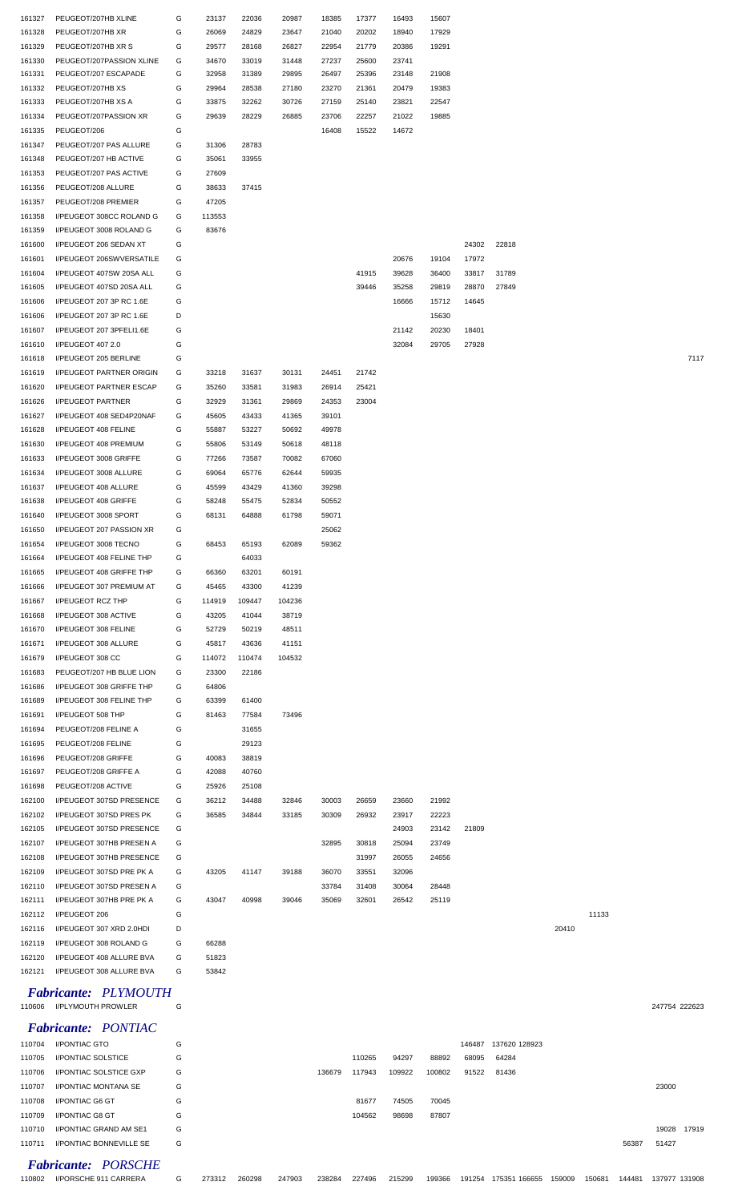| 161327 | PEUGEOT/207HB XLINE         | G | 23137  | 22036  | 20987  | 18385  | 17377  | 16493  | 15607  |        |               |       |       |               |
|--------|-----------------------------|---|--------|--------|--------|--------|--------|--------|--------|--------|---------------|-------|-------|---------------|
| 161328 | PEUGEOT/207HB XR            | G | 26069  | 24829  | 23647  | 21040  | 20202  | 18940  | 17929  |        |               |       |       |               |
| 161329 | PEUGEOT/207HB XR S          | G | 29577  | 28168  | 26827  | 22954  | 21779  | 20386  | 19291  |        |               |       |       |               |
| 161330 | PEUGEOT/207PASSION XLINE    | G | 34670  | 33019  | 31448  | 27237  | 25600  | 23741  |        |        |               |       |       |               |
| 161331 | PEUGEOT/207 ESCAPADE        | G | 32958  | 31389  | 29895  | 26497  | 25396  | 23148  | 21908  |        |               |       |       |               |
| 161332 | PEUGEOT/207HB XS            | G | 29964  | 28538  | 27180  | 23270  | 21361  | 20479  | 19383  |        |               |       |       |               |
| 161333 | PEUGEOT/207HB XS A          | G | 33875  | 32262  | 30726  | 27159  | 25140  | 23821  | 22547  |        |               |       |       |               |
| 161334 | PEUGEOT/207PASSION XR       | G | 29639  | 28229  | 26885  | 23706  | 22257  | 21022  | 19885  |        |               |       |       |               |
| 161335 | PEUGEOT/206                 | G |        |        |        | 16408  | 15522  | 14672  |        |        |               |       |       |               |
| 161347 | PEUGEOT/207 PAS ALLURE      | G | 31306  | 28783  |        |        |        |        |        |        |               |       |       |               |
| 161348 | PEUGEOT/207 HB ACTIVE       | G | 35061  | 33955  |        |        |        |        |        |        |               |       |       |               |
| 161353 | PEUGEOT/207 PAS ACTIVE      | G | 27609  |        |        |        |        |        |        |        |               |       |       |               |
| 161356 | PEUGEOT/208 ALLURE          | G | 38633  | 37415  |        |        |        |        |        |        |               |       |       |               |
| 161357 | PEUGEOT/208 PREMIER         | G | 47205  |        |        |        |        |        |        |        |               |       |       |               |
| 161358 | I/PEUGEOT 308CC ROLAND G    | G | 113553 |        |        |        |        |        |        |        |               |       |       |               |
| 161359 | I/PEUGEOT 3008 ROLAND G     | G | 83676  |        |        |        |        |        |        |        |               |       |       |               |
| 161600 | I/PEUGEOT 206 SEDAN XT      | G |        |        |        |        |        |        |        | 24302  | 22818         |       |       |               |
| 161601 | I/PEUGEOT 206SWVERSATILE    | G |        |        |        |        |        | 20676  | 19104  | 17972  |               |       |       |               |
| 161604 | I/PEUGEOT 407SW 20SA ALL    | G |        |        |        |        | 41915  | 39628  | 36400  | 33817  | 31789         |       |       |               |
|        | I/PEUGEOT 407SD 20SA ALL    | G |        |        |        |        | 39446  | 35258  | 29819  | 28870  | 27849         |       |       |               |
| 161605 |                             |   |        |        |        |        |        |        |        |        |               |       |       |               |
| 161606 | I/PEUGEOT 207 3P RC 1.6E    | G |        |        |        |        |        | 16666  | 15712  | 14645  |               |       |       |               |
| 161606 | I/PEUGEOT 207 3P RC 1.6E    | D |        |        |        |        |        |        | 15630  |        |               |       |       |               |
| 161607 | I/PEUGEOT 207 3PFELI1.6E    | G |        |        |        |        |        | 21142  | 20230  | 18401  |               |       |       |               |
| 161610 | I/PEUGEOT 407 2.0           | G |        |        |        |        |        | 32084  | 29705  | 27928  |               |       |       |               |
| 161618 | I/PEUGEOT 205 BERLINE       | G |        |        |        |        |        |        |        |        |               |       |       | 7117          |
| 161619 | I/PEUGEOT PARTNER ORIGIN    | G | 33218  | 31637  | 30131  | 24451  | 21742  |        |        |        |               |       |       |               |
| 161620 | I/PEUGEOT PARTNER ESCAP     | G | 35260  | 33581  | 31983  | 26914  | 25421  |        |        |        |               |       |       |               |
| 161626 | <b>I/PEUGEOT PARTNER</b>    | G | 32929  | 31361  | 29869  | 24353  | 23004  |        |        |        |               |       |       |               |
| 161627 | I/PEUGEOT 408 SED4P20NAF    | G | 45605  | 43433  | 41365  | 39101  |        |        |        |        |               |       |       |               |
| 161628 | I/PEUGEOT 408 FELINE        | G | 55887  | 53227  | 50692  | 49978  |        |        |        |        |               |       |       |               |
| 161630 | I/PEUGEOT 408 PREMIUM       | G | 55806  | 53149  | 50618  | 48118  |        |        |        |        |               |       |       |               |
| 161633 | I/PEUGEOT 3008 GRIFFE       | G | 77266  | 73587  | 70082  | 67060  |        |        |        |        |               |       |       |               |
| 161634 | I/PEUGEOT 3008 ALLURE       | G | 69064  | 65776  | 62644  | 59935  |        |        |        |        |               |       |       |               |
| 161637 | I/PEUGEOT 408 ALLURE        | G | 45599  | 43429  | 41360  | 39298  |        |        |        |        |               |       |       |               |
| 161638 | I/PEUGEOT 408 GRIFFE        | G | 58248  | 55475  | 52834  | 50552  |        |        |        |        |               |       |       |               |
| 161640 | I/PEUGEOT 3008 SPORT        | G | 68131  | 64888  | 61798  | 59071  |        |        |        |        |               |       |       |               |
| 161650 | I/PEUGEOT 207 PASSION XR    | G |        |        |        | 25062  |        |        |        |        |               |       |       |               |
| 161654 | I/PEUGEOT 3008 TECNO        | G | 68453  | 65193  | 62089  | 59362  |        |        |        |        |               |       |       |               |
| 161664 | I/PEUGEOT 408 FELINE THP    | G |        | 64033  |        |        |        |        |        |        |               |       |       |               |
| 161665 | I/PEUGEOT 408 GRIFFE THP    | G | 66360  | 63201  | 60191  |        |        |        |        |        |               |       |       |               |
| 161666 | I/PEUGEOT 307 PREMIUM AT    | G | 45465  | 43300  | 41239  |        |        |        |        |        |               |       |       |               |
| 161667 | I/PEUGEOT RCZ THP           | G | 114919 | 109447 | 104236 |        |        |        |        |        |               |       |       |               |
| 161668 | I/PEUGEOT 308 ACTIVE        | G | 43205  | 41044  | 38719  |        |        |        |        |        |               |       |       |               |
| 161670 | I/PEUGEOT 308 FELINE        | G | 52729  | 50219  | 48511  |        |        |        |        |        |               |       |       |               |
| 161671 | I/PEUGEOT 308 ALLURE        | G | 45817  | 43636  | 41151  |        |        |        |        |        |               |       |       |               |
| 161679 | I/PEUGEOT 308 CC            | G | 114072 | 110474 | 104532 |        |        |        |        |        |               |       |       |               |
| 161683 | PEUGEOT/207 HB BLUE LION    | G | 23300  | 22186  |        |        |        |        |        |        |               |       |       |               |
| 161686 | I/PEUGEOT 308 GRIFFE THP    | G | 64806  |        |        |        |        |        |        |        |               |       |       |               |
| 161689 | I/PEUGEOT 308 FELINE THP    | G | 63399  | 61400  |        |        |        |        |        |        |               |       |       |               |
|        | I/PEUGEOT 508 THP           | G | 81463  | 77584  | 73496  |        |        |        |        |        |               |       |       |               |
| 161691 | PEUGEOT/208 FELINE A        |   |        |        |        |        |        |        |        |        |               |       |       |               |
| 161694 |                             | G |        | 31655  |        |        |        |        |        |        |               |       |       |               |
| 161695 | PEUGEOT/208 FELINE          | G |        | 29123  |        |        |        |        |        |        |               |       |       |               |
| 161696 | PEUGEOT/208 GRIFFE          | G | 40083  | 38819  |        |        |        |        |        |        |               |       |       |               |
| 161697 | PEUGEOT/208 GRIFFE A        | G | 42088  | 40760  |        |        |        |        |        |        |               |       |       |               |
| 161698 | PEUGEOT/208 ACTIVE          | G | 25926  | 25108  |        |        |        |        |        |        |               |       |       |               |
| 162100 | I/PEUGEOT 307SD PRESENCE    | G | 36212  | 34488  | 32846  | 30003  | 26659  | 23660  | 21992  |        |               |       |       |               |
| 162102 | I/PEUGEOT 307SD PRES PK     | G | 36585  | 34844  | 33185  | 30309  | 26932  | 23917  | 22223  |        |               |       |       |               |
| 162105 | I/PEUGEOT 307SD PRESENCE    | G |        |        |        |        |        | 24903  | 23142  | 21809  |               |       |       |               |
| 162107 | I/PEUGEOT 307HB PRESEN A    | G |        |        |        | 32895  | 30818  | 25094  | 23749  |        |               |       |       |               |
| 162108 | I/PEUGEOT 307HB PRESENCE    | G |        |        |        |        | 31997  | 26055  | 24656  |        |               |       |       |               |
| 162109 | I/PEUGEOT 307SD PRE PK A    | G | 43205  | 41147  | 39188  | 36070  | 33551  | 32096  |        |        |               |       |       |               |
| 162110 | I/PEUGEOT 307SD PRESEN A    | G |        |        |        | 33784  | 31408  | 30064  | 28448  |        |               |       |       |               |
| 162111 | I/PEUGEOT 307HB PRE PK A    | G | 43047  | 40998  | 39046  | 35069  | 32601  | 26542  | 25119  |        |               |       |       |               |
| 162112 | I/PEUGEOT 206               | G |        |        |        |        |        |        |        |        |               |       | 11133 |               |
| 162116 | I/PEUGEOT 307 XRD 2.0HDI    | D |        |        |        |        |        |        |        |        |               | 20410 |       |               |
| 162119 | I/PEUGEOT 308 ROLAND G      | G | 66288  |        |        |        |        |        |        |        |               |       |       |               |
| 162120 | I/PEUGEOT 408 ALLURE BVA    | G | 51823  |        |        |        |        |        |        |        |               |       |       |               |
| 162121 | I/PEUGEOT 308 ALLURE BVA    | G | 53842  |        |        |        |        |        |        |        |               |       |       |               |
|        |                             |   |        |        |        |        |        |        |        |        |               |       |       |               |
|        | <b>Fabricante: PLYMOUTH</b> |   |        |        |        |        |        |        |        |        |               |       |       |               |
| 110606 | I/PLYMOUTH PROWLER          | G |        |        |        |        |        |        |        |        |               |       |       | 247754 222623 |
|        | Fabricante: PONTIAC         |   |        |        |        |        |        |        |        |        |               |       |       |               |
| 110704 | I/PONTIAC GTO               | G |        |        |        |        |        |        |        | 146487 | 137620 128923 |       |       |               |
| 110705 | I/PONTIAC SOLSTICE          | G |        |        |        |        | 110265 | 94297  | 88892  | 68095  | 64284         |       |       |               |
| 110706 | I/PONTIAC SOLSTICE GXP      | G |        |        |        | 136679 | 117943 | 109922 | 100802 | 91522  | 81436         |       |       |               |
| 110707 | I/PONTIAC MONTANA SE        | G |        |        |        |        |        |        |        |        |               |       |       | 23000         |
|        |                             |   |        |        |        |        |        |        |        |        |               |       |       |               |

|        | <b>Fabricante: PONTIAC</b>     |   |        |        |        |        |        |               |       |       |       |
|--------|--------------------------------|---|--------|--------|--------|--------|--------|---------------|-------|-------|-------|
| 110704 | <b>I/PONTIAC GTO</b>           | G |        |        |        |        | 146487 | 137620 128923 |       |       |       |
| 110705 | <b>I/PONTIAC SOLSTICE</b>      | G |        | 110265 | 94297  | 88892  | 68095  | 64284         |       |       |       |
| 110706 | <b>I/PONTIAC SOLSTICE GXP</b>  | G | 136679 | 117943 | 109922 | 100802 | 91522  | 81436         |       |       |       |
| 110707 | <b>I/PONTIAC MONTANA SE</b>    | G |        |        |        |        |        |               |       | 23000 |       |
| 110708 | <b>I/PONTIAC G6 GT</b>         | G |        | 81677  | 74505  | 70045  |        |               |       |       |       |
| 110709 | <b>I/PONTIAC G8 GT</b>         | G |        | 104562 | 98698  | 87807  |        |               |       |       |       |
| 110710 | <b>I/PONTIAC GRAND AM SE1</b>  | G |        |        |        |        |        |               |       | 19028 | 17919 |
| 110711 | <b>I/PONTIAC BONNEVILLE SE</b> | G |        |        |        |        |        |               | 56387 | 51427 |       |
|        | <b>Fabricante: PORSCHE</b>     |   |        |        |        |        |        |               |       |       |       |

I/PORSCHE 911 CARRERA G 273312 260298 247903 238284 227496 215299 199366 191254 175351 166655 159009 150681 144481 137977 131908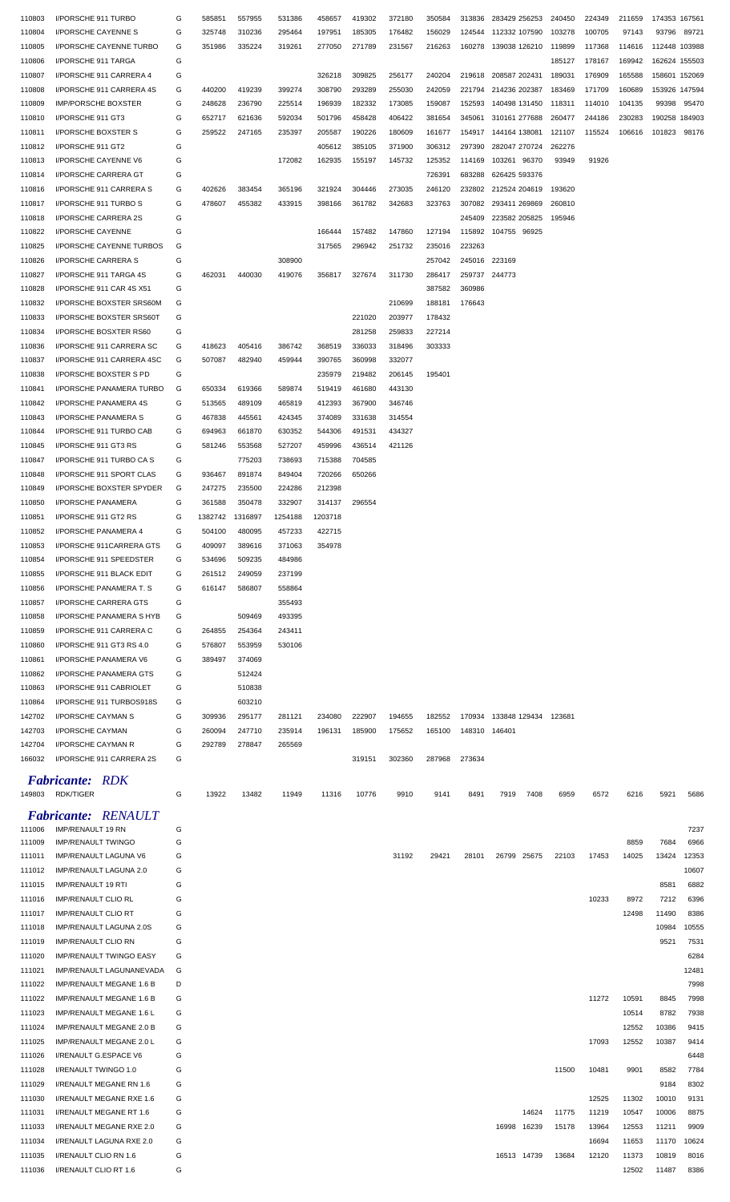| 110803           | I/PORSCHE 911 TURBO                                 | G      | 585851           | 557955           | 531386           | 458657           | 419302           | 372180           | 350584           | 313836        | 283429 256253                         | 240450           | 224349           | 211659           | 174353 167561           |              |
|------------------|-----------------------------------------------------|--------|------------------|------------------|------------------|------------------|------------------|------------------|------------------|---------------|---------------------------------------|------------------|------------------|------------------|-------------------------|--------------|
| 110804           | I/PORSCHE CAYENNE S                                 | G      | 325748           | 310236           | 295464           | 197951           | 185305           | 176482           | 156029           | 124544        | 112332 107590                         | 103278           | 100705           | 97143            | 93796                   | 89721        |
| 110805           | I/PORSCHE CAYENNE TURBO                             | G      | 351986           | 335224           | 319261           | 277050           | 271789           | 231567           | 216263           | 160278        | 139038 126210                         | 119899           | 117368           | 114616           | 112448 103988           |              |
| 110806           | I/PORSCHE 911 TARGA                                 | G      |                  |                  |                  |                  |                  |                  |                  |               |                                       | 185127           | 178167           | 169942           | 162624 155503           |              |
| 110807           | I/PORSCHE 911 CARRERA 4                             | G      |                  |                  |                  | 326218           | 309825           | 256177           | 240204           | 219618        | 208587 202431                         | 189031           | 176909           | 165588           | 158601 152069           |              |
| 110808           | I/PORSCHE 911 CARRERA 4S                            | G      | 440200           | 419239           | 399274           | 308790           | 293289           | 255030           | 242059           | 221794        | 214236 202387                         | 183469           | 171709           | 160689           | 153926 147594           |              |
| 110809           | <b>IMP/PORSCHE BOXSTER</b>                          | G      | 248628           | 236790           | 225514           | 196939           | 182332           | 173085           | 159087           | 152593        | 140498 131450                         | 118311           | 114010           | 104135           | 99398                   | 95470        |
| 110810<br>110811 | I/PORSCHE 911 GT3<br>I/PORSCHE BOXSTER S            | G<br>G | 652717<br>259522 | 621636<br>247165 | 592034<br>235397 | 501796<br>205587 | 458428<br>190226 | 406422<br>180609 | 381654<br>161677 | 345061        | 310161 277688<br>154917 144164 138081 | 260477<br>121107 | 244186<br>115524 | 230283<br>106616 | 190258 184903<br>101823 | 98176        |
| 110812           | I/PORSCHE 911 GT2                                   | G      |                  |                  |                  | 405612           | 385105           | 371900           | 306312           | 297390        | 282047 270724                         | 262276           |                  |                  |                         |              |
| 110813           | I/PORSCHE CAYENNE V6                                | G      |                  |                  | 172082           | 162935           | 155197           | 145732           | 125352           | 114169        | 103261 96370                          | 93949            | 91926            |                  |                         |              |
| 110814           | I/PORSCHE CARRERA GT                                | G      |                  |                  |                  |                  |                  |                  | 726391           | 683288        | 626425 593376                         |                  |                  |                  |                         |              |
| 110816           | I/PORSCHE 911 CARRERA S                             | G      | 402626           | 383454           | 365196           | 321924           | 304446           | 273035           | 246120           | 232802        | 212524 204619                         | 193620           |                  |                  |                         |              |
| 110817           | I/PORSCHE 911 TURBO S                               | G      | 478607           | 455382           | 433915           | 398166           | 361782           | 342683           | 323763           | 307082        | 293411 269869                         | 260810           |                  |                  |                         |              |
| 110818           | I/PORSCHE CARRERA 2S                                | G      |                  |                  |                  |                  |                  |                  |                  | 245409        | 223582 205825                         | 195946           |                  |                  |                         |              |
| 110822           | I/PORSCHE CAYENNE                                   | G      |                  |                  |                  | 166444           | 157482           | 147860           | 127194           | 115892        | 104755 96925                          |                  |                  |                  |                         |              |
| 110825           | I/PORSCHE CAYENNE TURBOS                            | G      |                  |                  |                  | 317565           | 296942           | 251732           | 235016           | 223263        |                                       |                  |                  |                  |                         |              |
| 110826           | I/PORSCHE CARRERA S                                 | G      |                  |                  | 308900           |                  |                  |                  | 257042           | 245016 223169 |                                       |                  |                  |                  |                         |              |
| 110827           | I/PORSCHE 911 TARGA 4S                              | G      | 462031           | 440030           | 419076           | 356817           | 327674           | 311730           | 286417           | 259737 244773 |                                       |                  |                  |                  |                         |              |
| 110828           | I/PORSCHE 911 CAR 4S X51                            | G      |                  |                  |                  |                  |                  |                  | 387582           | 360986        |                                       |                  |                  |                  |                         |              |
| 110832           | I/PORSCHE BOXSTER SRS60M                            | G      |                  |                  |                  |                  |                  | 210699           | 188181           | 176643        |                                       |                  |                  |                  |                         |              |
| 110833<br>110834 | I/PORSCHE BOXSTER SRS60T<br>I/PORSCHE BOSXTER RS60  | G<br>G |                  |                  |                  |                  | 221020<br>281258 | 203977<br>259833 | 178432<br>227214 |               |                                       |                  |                  |                  |                         |              |
| 110836           | I/PORSCHE 911 CARRERA SC                            | G      | 418623           | 405416           | 386742           | 368519           | 336033           | 318496           | 303333           |               |                                       |                  |                  |                  |                         |              |
| 110837           | I/PORSCHE 911 CARRERA 4SC                           | G      | 507087           | 482940           | 459944           | 390765           | 360998           | 332077           |                  |               |                                       |                  |                  |                  |                         |              |
| 110838           | <b>I/PORSCHE BOXSTER S PD</b>                       | G      |                  |                  |                  | 235979           | 219482           | 206145           | 195401           |               |                                       |                  |                  |                  |                         |              |
| 110841           | I/PORSCHE PANAMERA TURBO                            | G      | 650334           | 619366           | 589874           | 519419           | 461680           | 443130           |                  |               |                                       |                  |                  |                  |                         |              |
| 110842           | I/PORSCHE PANAMERA 4S                               | G      | 513565           | 489109           | 465819           | 412393           | 367900           | 346746           |                  |               |                                       |                  |                  |                  |                         |              |
| 110843           | I/PORSCHE PANAMERA S                                | G      | 467838           | 445561           | 424345           | 374089           | 331638           | 314554           |                  |               |                                       |                  |                  |                  |                         |              |
| 110844           | I/PORSCHE 911 TURBO CAB                             | G      | 694963           | 661870           | 630352           | 544306           | 491531           | 434327           |                  |               |                                       |                  |                  |                  |                         |              |
| 110845           | I/PORSCHE 911 GT3 RS                                | G      | 581246           | 553568           | 527207           | 459996           | 436514           | 421126           |                  |               |                                       |                  |                  |                  |                         |              |
| 110847           | I/PORSCHE 911 TURBO CA S                            | G      |                  | 775203           | 738693           | 715388           | 704585           |                  |                  |               |                                       |                  |                  |                  |                         |              |
| 110848           | I/PORSCHE 911 SPORT CLAS                            | G      | 936467           | 891874           | 849404           | 720266           | 650266           |                  |                  |               |                                       |                  |                  |                  |                         |              |
| 110849           | <b>I/PORSCHE BOXSTER SPYDER</b>                     | G      | 247275           | 235500           | 224286           | 212398           |                  |                  |                  |               |                                       |                  |                  |                  |                         |              |
| 110850           | I/PORSCHE PANAMERA                                  | G      | 361588           | 350478           | 332907           | 314137           | 296554           |                  |                  |               |                                       |                  |                  |                  |                         |              |
| 110851           | I/PORSCHE 911 GT2 RS                                | G      | 1382742          | 1316897          | 1254188          | 1203718          |                  |                  |                  |               |                                       |                  |                  |                  |                         |              |
| 110852           | I/PORSCHE PANAMERA 4                                | G      | 504100           | 480095           | 457233           | 422715           |                  |                  |                  |               |                                       |                  |                  |                  |                         |              |
| 110853           | I/PORSCHE 911CARRERA GTS                            | G      | 409097           | 389616           | 371063           | 354978           |                  |                  |                  |               |                                       |                  |                  |                  |                         |              |
| 110854           | I/PORSCHE 911 SPEEDSTER                             | G      | 534696           | 509235           | 484986           |                  |                  |                  |                  |               |                                       |                  |                  |                  |                         |              |
| 110855<br>110856 | I/PORSCHE 911 BLACK EDIT<br>I/PORSCHE PANAMERA T. S | G<br>G | 261512<br>616147 | 249059<br>586807 | 237199<br>558864 |                  |                  |                  |                  |               |                                       |                  |                  |                  |                         |              |
| 110857           | I/PORSCHE CARRERA GTS                               | G      |                  |                  | 355493           |                  |                  |                  |                  |               |                                       |                  |                  |                  |                         |              |
| 110858           | I/PORSCHE PANAMERA S HYB                            | G      |                  | 509469           | 493395           |                  |                  |                  |                  |               |                                       |                  |                  |                  |                         |              |
| 110859           | I/PORSCHE 911 CARRERA C                             | G      | 264855           | 254364           | 243411           |                  |                  |                  |                  |               |                                       |                  |                  |                  |                         |              |
| 110860           | I/PORSCHE 911 GT3 RS 4.0                            | G      | 576807           | 553959           | 530106           |                  |                  |                  |                  |               |                                       |                  |                  |                  |                         |              |
| 110861           | I/PORSCHE PANAMERA V6                               | G      | 389497           | 374069           |                  |                  |                  |                  |                  |               |                                       |                  |                  |                  |                         |              |
| 110862           | I/PORSCHE PANAMERA GTS                              | G      |                  | 512424           |                  |                  |                  |                  |                  |               |                                       |                  |                  |                  |                         |              |
| 110863           | I/PORSCHE 911 CABRIOLET                             | G      |                  | 510838           |                  |                  |                  |                  |                  |               |                                       |                  |                  |                  |                         |              |
| 110864           | I/PORSCHE 911 TURBOS918S                            | G      |                  | 603210           |                  |                  |                  |                  |                  |               |                                       |                  |                  |                  |                         |              |
| 142702           | I/PORSCHE CAYMAN S                                  | G      | 309936           | 295177           | 281121           | 234080           | 222907           | 194655           | 182552           | 170934        | 133848 129434 123681                  |                  |                  |                  |                         |              |
| 142703           | I/PORSCHE CAYMAN                                    | G      | 260094           | 247710           | 235914           | 196131           | 185900           | 175652           | 165100           | 148310        | 146401                                |                  |                  |                  |                         |              |
| 142704           | I/PORSCHE CAYMAN R                                  | G      | 292789           | 278847           | 265569           |                  |                  |                  |                  |               |                                       |                  |                  |                  |                         |              |
| 166032           | I/PORSCHE 911 CARRERA 2S                            | G      |                  |                  |                  |                  | 319151           | 302360           | 287968           | 273634        |                                       |                  |                  |                  |                         |              |
|                  | <b>Fabricante: RDK</b>                              |        |                  |                  |                  |                  |                  |                  |                  |               |                                       |                  |                  |                  |                         |              |
| 149803           | <b>RDK/TIGER</b>                                    | G      | 13922            | 13482            | 11949            | 11316            | 10776            | 9910             | 9141             | 8491          | 7408<br>7919                          | 6959             | 6572             | 6216             | 5921                    | 5686         |
|                  |                                                     |        |                  |                  |                  |                  |                  |                  |                  |               |                                       |                  |                  |                  |                         |              |
| 111006           | <b>Fabricante: RENAULT</b><br>IMP/RENAULT 19 RN     | G      |                  |                  |                  |                  |                  |                  |                  |               |                                       |                  |                  |                  |                         | 7237         |
| 111009           | <b>IMP/RENAULT TWINGO</b>                           | G      |                  |                  |                  |                  |                  |                  |                  |               |                                       |                  |                  | 8859             | 7684                    | 6966         |
| 111011           | IMP/RENAULT LAGUNA V6                               | G      |                  |                  |                  |                  |                  | 31192            | 29421            | 28101         | 26799 25675                           | 22103            | 17453            | 14025            | 13424                   | 12353        |
| 111012           | IMP/RENAULT LAGUNA 2.0                              | G      |                  |                  |                  |                  |                  |                  |                  |               |                                       |                  |                  |                  |                         | 10607        |
| 111015           | IMP/RENAULT 19 RTI                                  | G      |                  |                  |                  |                  |                  |                  |                  |               |                                       |                  |                  |                  | 8581                    | 6882         |
| 111016           | <b>IMP/RENAULT CLIO RL</b>                          | G      |                  |                  |                  |                  |                  |                  |                  |               |                                       |                  | 10233            | 8972             | 7212                    | 6396         |
| 111017           | <b>IMP/RENAULT CLIO RT</b>                          | G      |                  |                  |                  |                  |                  |                  |                  |               |                                       |                  |                  | 12498            | 11490                   | 8386         |
| 111018           | IMP/RENAULT LAGUNA 2.0S                             | G      |                  |                  |                  |                  |                  |                  |                  |               |                                       |                  |                  |                  | 10984                   | 10555        |
| 111019           | <b>IMP/RENAULT CLIO RN</b>                          | G      |                  |                  |                  |                  |                  |                  |                  |               |                                       |                  |                  |                  | 9521                    | 7531         |
| 111020           | <b>IMP/RENAULT TWINGO EASY</b>                      | G      |                  |                  |                  |                  |                  |                  |                  |               |                                       |                  |                  |                  |                         | 6284         |
| 111021           | IMP/RENAULT LAGUNANEVADA                            | G      |                  |                  |                  |                  |                  |                  |                  |               |                                       |                  |                  |                  |                         | 12481        |
| 111022           | IMP/RENAULT MEGANE 1.6 B                            | D      |                  |                  |                  |                  |                  |                  |                  |               |                                       |                  |                  |                  |                         | 7998         |
| 111022           | IMP/RENAULT MEGANE 1.6 B                            | G      |                  |                  |                  |                  |                  |                  |                  |               |                                       |                  | 11272            | 10591            | 8845                    | 7998         |
| 111023           | IMP/RENAULT MEGANE 1.6 L                            | G      |                  |                  |                  |                  |                  |                  |                  |               |                                       |                  |                  | 10514            | 8782                    | 7938         |
| 111024           | IMP/RENAULT MEGANE 2.0 B                            | G<br>G |                  |                  |                  |                  |                  |                  |                  |               |                                       |                  |                  | 12552            | 10386                   | 9415         |
| 111025<br>111026 | IMP/RENAULT MEGANE 2.0 L<br>I/RENAULT G.ESPACE V6   | G      |                  |                  |                  |                  |                  |                  |                  |               |                                       |                  | 17093            | 12552            | 10387                   | 9414<br>6448 |
| 111028           | I/RENAULT TWINGO 1.0                                | G      |                  |                  |                  |                  |                  |                  |                  |               |                                       | 11500            | 10481            | 9901             | 8582                    | 7784         |
| 111029           | I/RENAULT MEGANE RN 1.6                             | G      |                  |                  |                  |                  |                  |                  |                  |               |                                       |                  |                  |                  | 9184                    | 8302         |
| 111030           | I/RENAULT MEGANE RXE 1.6                            | G      |                  |                  |                  |                  |                  |                  |                  |               |                                       |                  | 12525            | 11302            | 10010                   | 9131         |
| 111031           | I/RENAULT MEGANE RT 1.6                             | G      |                  |                  |                  |                  |                  |                  |                  |               | 14624                                 | 11775            | 11219            | 10547            | 10006                   | 8875         |
| 111033           | I/RENAULT MEGANE RXE 2.0                            | G      |                  |                  |                  |                  |                  |                  |                  |               | 16998 16239                           | 15178            | 13964            | 12553            | 11211                   | 9909         |
| 111034           | I/RENAULT LAGUNA RXE 2.0                            | G      |                  |                  |                  |                  |                  |                  |                  |               |                                       |                  | 16694            | 11653            | 11170                   | 10624        |
| 111035           | I/RENAULT CLIO RN 1.6                               | G      |                  |                  |                  |                  |                  |                  |                  |               | 16513 14739                           | 13684            | 12120            | 11373            | 10819                   | 8016         |
| 111036           | I/RENAULT CLIO RT 1.6                               | G      |                  |                  |                  |                  |                  |                  |                  |               |                                       |                  |                  | 12502            | 11487                   | 8386         |
|                  |                                                     |        |                  |                  |                  |                  |                  |                  |                  |               |                                       |                  |                  |                  |                         |              |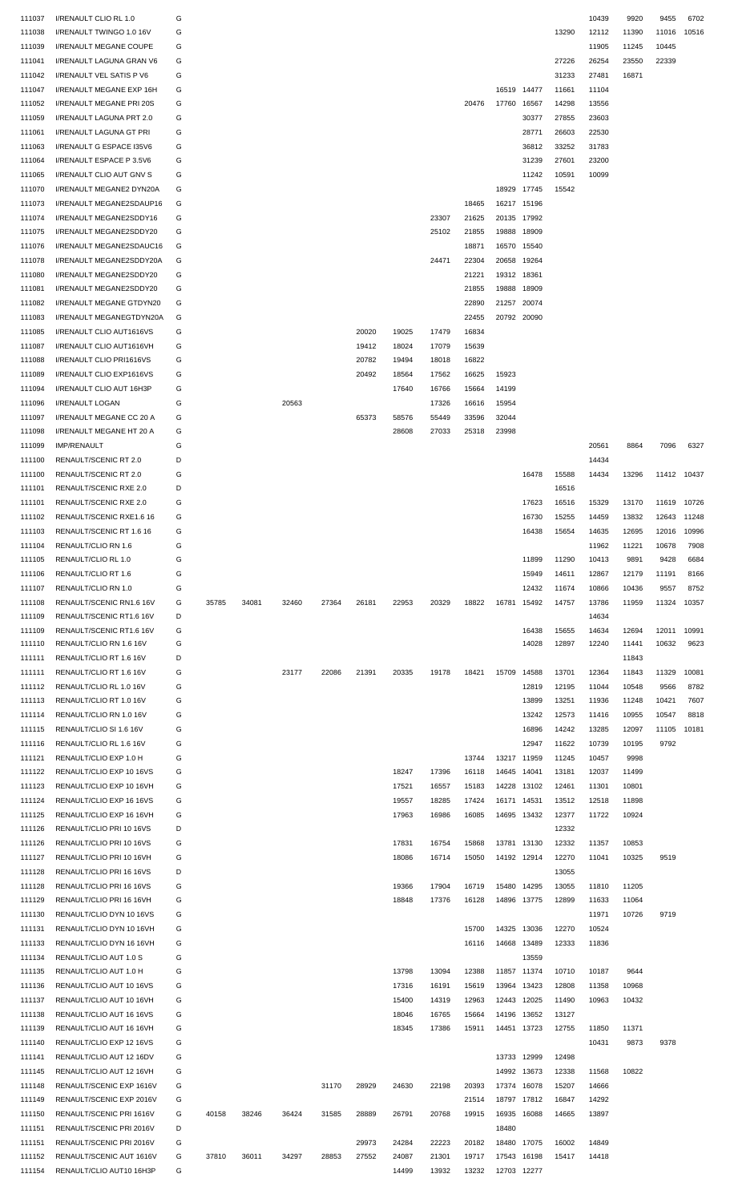| 111037 | I/RENAULT CLIO RL 1.0           | G |       |       |       |       |       |       |       |       |             |             |       | 10439 | 9920  | 9455        | 6702  |
|--------|---------------------------------|---|-------|-------|-------|-------|-------|-------|-------|-------|-------------|-------------|-------|-------|-------|-------------|-------|
| 111038 | I/RENAULT TWINGO 1.0 16V        | G |       |       |       |       |       |       |       |       |             |             | 13290 | 12112 | 11390 | 11016       | 10516 |
| 111039 | <b>I/RENAULT MEGANE COUPE</b>   | G |       |       |       |       |       |       |       |       |             |             |       | 11905 | 11245 | 10445       |       |
| 111041 | I/RENAULT LAGUNA GRAN V6        | G |       |       |       |       |       |       |       |       |             |             | 27226 | 26254 | 23550 | 22339       |       |
| 111042 | I/RENAULT VEL SATIS P V6        | G |       |       |       |       |       |       |       |       |             |             | 31233 | 27481 | 16871 |             |       |
| 111047 | I/RENAULT MEGANE EXP 16H        | G |       |       |       |       |       |       |       |       | 16519       | 14477       | 11661 | 11104 |       |             |       |
| 111052 | I/RENAULT MEGANE PRI 20S        | G |       |       |       |       |       |       |       | 20476 | 17760 16567 |             | 14298 | 13556 |       |             |       |
| 111059 | I/RENAULT LAGUNA PRT 2.0        | G |       |       |       |       |       |       |       |       |             | 30377       | 27855 | 23603 |       |             |       |
| 111061 | I/RENAULT LAGUNA GT PRI         | G |       |       |       |       |       |       |       |       |             | 28771       | 26603 | 22530 |       |             |       |
| 111063 | I/RENAULT G ESPACE I35V6        | G |       |       |       |       |       |       |       |       |             | 36812       | 33252 | 31783 |       |             |       |
| 111064 | I/RENAULT ESPACE P 3.5V6        | G |       |       |       |       |       |       |       |       |             | 31239       | 27601 | 23200 |       |             |       |
| 111065 | <b>I/RENAULT CLIO AUT GNV S</b> | G |       |       |       |       |       |       |       |       |             | 11242       | 10591 | 10099 |       |             |       |
| 111070 | I/RENAULT MEGANE2 DYN20A        | G |       |       |       |       |       |       |       |       | 18929       | 17745       | 15542 |       |       |             |       |
| 111073 | I/RENAULT MEGANE2SDAUP16        | G |       |       |       |       |       |       |       | 18465 |             | 16217 15196 |       |       |       |             |       |
| 111074 | I/RENAULT MEGANE2SDDY16         | G |       |       |       |       |       |       | 23307 | 21625 |             | 20135 17992 |       |       |       |             |       |
| 111075 | I/RENAULT MEGANE2SDDY20         | G |       |       |       |       |       |       | 25102 | 21855 | 19888       | 18909       |       |       |       |             |       |
| 111076 | I/RENAULT MEGANE2SDAUC16        | G |       |       |       |       |       |       |       | 18871 |             | 16570 15540 |       |       |       |             |       |
| 111078 | I/RENAULT MEGANE2SDDY20A        | G |       |       |       |       |       |       | 24471 | 22304 | 20658       | 19264       |       |       |       |             |       |
| 111080 | I/RENAULT MEGANE2SDDY20         | G |       |       |       |       |       |       |       | 21221 | 19312 18361 |             |       |       |       |             |       |
| 111081 | I/RENAULT MEGANE2SDDY20         | G |       |       |       |       |       |       |       | 21855 | 19888       | 18909       |       |       |       |             |       |
| 111082 | I/RENAULT MEGANE GTDYN20        | G |       |       |       |       |       |       |       | 22890 |             | 21257 20074 |       |       |       |             |       |
| 111083 | I/RENAULT MEGANEGTDYN20A        | G |       |       |       |       |       |       |       | 22455 |             | 20792 20090 |       |       |       |             |       |
| 111085 | I/RENAULT CLIO AUT1616VS        | G |       |       |       |       | 20020 | 19025 | 17479 | 16834 |             |             |       |       |       |             |       |
| 111087 | I/RENAULT CLIO AUT1616VH        | G |       |       |       |       | 19412 | 18024 | 17079 | 15639 |             |             |       |       |       |             |       |
| 111088 | I/RENAULT CLIO PRI1616VS        | G |       |       |       |       | 20782 | 19494 | 18018 | 16822 |             |             |       |       |       |             |       |
| 111089 | I/RENAULT CLIO EXP1616VS        | G |       |       |       |       | 20492 | 18564 | 17562 | 16625 | 15923       |             |       |       |       |             |       |
| 111094 | I/RENAULT CLIO AUT 16H3P        | G |       |       |       |       |       | 17640 | 16766 | 15664 | 14199       |             |       |       |       |             |       |
| 111096 | I/RENAULT LOGAN                 | G |       |       | 20563 |       |       |       | 17326 | 16616 | 15954       |             |       |       |       |             |       |
| 111097 | I/RENAULT MEGANE CC 20 A        | G |       |       |       |       | 65373 | 58576 | 55449 | 33596 | 32044       |             |       |       |       |             |       |
| 111098 | I/RENAULT MEGANE HT 20 A        | G |       |       |       |       |       | 28608 | 27033 | 25318 | 23998       |             |       |       |       |             |       |
| 111099 | <b>IMP/RENAULT</b>              | G |       |       |       |       |       |       |       |       |             |             |       | 20561 | 8864  | 7096        | 6327  |
| 111100 | RENAULT/SCENIC RT 2.0           | D |       |       |       |       |       |       |       |       |             |             |       | 14434 |       |             |       |
| 111100 | RENAULT/SCENIC RT 2.0           | G |       |       |       |       |       |       |       |       |             | 16478       | 15588 | 14434 | 13296 | 11412 10437 |       |
| 111101 | RENAULT/SCENIC RXE 2.0          | D |       |       |       |       |       |       |       |       |             |             | 16516 |       |       |             |       |
| 111101 | RENAULT/SCENIC RXE 2.0          | G |       |       |       |       |       |       |       |       |             | 17623       | 16516 | 15329 | 13170 | 11619       | 10726 |
| 111102 | RENAULT/SCENIC RXE1.6 16        | G |       |       |       |       |       |       |       |       |             | 16730       | 15255 | 14459 | 13832 | 12643       | 11248 |
| 111103 | RENAULT/SCENIC RT 1.6 16        | G |       |       |       |       |       |       |       |       |             | 16438       | 15654 | 14635 | 12695 | 12016 10996 |       |
| 111104 | RENAULT/CLIO RN 1.6             | G |       |       |       |       |       |       |       |       |             |             |       | 11962 | 11221 | 10678       | 7908  |
| 111105 | RENAULT/CLIO RL 1.0             | G |       |       |       |       |       |       |       |       |             | 11899       | 11290 | 10413 | 9891  | 9428        | 6684  |
| 111106 | RENAULT/CLIO RT 1.6             | G |       |       |       |       |       |       |       |       |             | 15949       | 14611 | 12867 | 12179 | 11191       | 8166  |
| 111107 | RENAULT/CLIO RN 1.0             | G |       |       |       |       |       |       |       |       |             | 12432       | 11674 | 10866 | 10436 | 9557        | 8752  |
| 111108 | RENAULT/SCENIC RN1.6 16V        | G | 35785 | 34081 | 32460 | 27364 | 26181 | 22953 | 20329 | 18822 | 16781       | 15492       | 14757 | 13786 | 11959 | 11324       | 10357 |
| 111109 | RENAULT/SCENIC RT1.6 16V        | D |       |       |       |       |       |       |       |       |             |             |       | 14634 |       |             |       |
| 111109 | RENAULT/SCENIC RT1.6 16V        | G |       |       |       |       |       |       |       |       |             | 16438       | 15655 | 14634 | 12694 | 12011       | 10991 |
| 111110 | RENAULT/CLIO RN 1.6 16V         | G |       |       |       |       |       |       |       |       |             | 14028       | 12897 | 12240 | 11441 | 10632       | 9623  |
| 111111 | RENAULT/CLIO RT 1.6 16V         | D |       |       |       |       |       |       |       |       |             |             |       |       | 11843 |             |       |
| 111111 | RENAULT/CLIO RT 1.6 16V         | G |       |       | 23177 | 22086 | 21391 | 20335 | 19178 | 18421 | 15709       | 14588       | 13701 | 12364 | 11843 | 11329       | 10081 |
| 111112 | RENAULT/CLIO RL 1.0 16V         | G |       |       |       |       |       |       |       |       |             | 12819       | 12195 | 11044 | 10548 | 9566        | 8782  |
| 111113 | RENAULT/CLIO RT 1.0 16V         | G |       |       |       |       |       |       |       |       |             | 13899       | 13251 | 11936 | 11248 | 10421       | 7607  |
| 111114 | RENAULT/CLIO RN 1.0 16V         | G |       |       |       |       |       |       |       |       |             | 13242       | 12573 | 11416 | 10955 | 10547       | 8818  |
| 111115 | RENAULT/CLIO SI 1.6 16V         | G |       |       |       |       |       |       |       |       |             | 16896       | 14242 | 13285 | 12097 | 11105       | 10181 |
| 111116 | RENAULT/CLIO RL 1.6 16V         | G |       |       |       |       |       |       |       |       |             | 12947       | 11622 | 10739 | 10195 | 9792        |       |
| 111121 | RENAULT/CLIO EXP 1.0 H          | G |       |       |       |       |       |       |       | 13744 | 13217       | 11959       | 11245 | 10457 | 9998  |             |       |
| 111122 | RENAULT/CLIO EXP 10 16VS        | G |       |       |       |       |       | 18247 | 17396 | 16118 | 14645       | 14041       | 13181 | 12037 | 11499 |             |       |
| 111123 | RENAULT/CLIO EXP 10 16VH        | G |       |       |       |       |       | 17521 | 16557 | 15183 |             | 14228 13102 | 12461 | 11301 | 10801 |             |       |
| 111124 | RENAULT/CLIO EXP 16 16VS        | G |       |       |       |       |       | 19557 | 18285 | 17424 | 16171       | 14531       | 13512 | 12518 | 11898 |             |       |
| 111125 | RENAULT/CLIO EXP 16 16VH        | G |       |       |       |       |       | 17963 | 16986 | 16085 | 14695 13432 |             | 12377 | 11722 | 10924 |             |       |
| 111126 | RENAULT/CLIO PRI 10 16VS        | D |       |       |       |       |       |       |       |       |             |             | 12332 |       |       |             |       |
| 111126 | RENAULT/CLIO PRI 10 16VS        | G |       |       |       |       |       | 17831 | 16754 | 15868 | 13781       | 13130       | 12332 | 11357 | 10853 |             |       |
| 111127 | RENAULT/CLIO PRI 10 16VH        | G |       |       |       |       |       | 18086 | 16714 | 15050 | 14192 12914 |             | 12270 | 11041 | 10325 | 9519        |       |
| 111128 | RENAULT/CLIO PRI 16 16VS        | D |       |       |       |       |       |       |       |       |             |             | 13055 |       |       |             |       |
| 111128 | RENAULT/CLIO PRI 16 16VS        | G |       |       |       |       |       | 19366 | 17904 | 16719 |             | 15480 14295 | 13055 | 11810 | 11205 |             |       |
| 111129 | RENAULT/CLIO PRI 16 16VH        | G |       |       |       |       |       | 18848 | 17376 | 16128 | 14896 13775 |             | 12899 | 11633 | 11064 |             |       |
| 111130 | RENAULT/CLIO DYN 10 16VS        | G |       |       |       |       |       |       |       |       |             |             |       | 11971 | 10726 | 9719        |       |
| 111131 | RENAULT/CLIO DYN 10 16VH        | G |       |       |       |       |       |       |       | 15700 | 14325 13036 |             | 12270 | 10524 |       |             |       |
| 111133 | RENAULT/CLIO DYN 16 16VH        | G |       |       |       |       |       |       |       | 16116 | 14668       | 13489       | 12333 | 11836 |       |             |       |
| 111134 | RENAULT/CLIO AUT 1.0 S          | G |       |       |       |       |       |       |       |       |             | 13559       |       |       |       |             |       |
| 111135 | RENAULT/CLIO AUT 1.0 H          | G |       |       |       |       |       | 13798 | 13094 | 12388 | 11857 11374 |             | 10710 | 10187 | 9644  |             |       |
| 111136 | RENAULT/CLIO AUT 10 16VS        | G |       |       |       |       |       | 17316 | 16191 | 15619 |             | 13964 13423 | 12808 | 11358 | 10968 |             |       |
| 111137 | RENAULT/CLIO AUT 10 16VH        | G |       |       |       |       |       | 15400 | 14319 | 12963 |             | 12443 12025 | 11490 | 10963 | 10432 |             |       |
| 111138 | RENAULT/CLIO AUT 16 16VS        | G |       |       |       |       |       | 18046 | 16765 | 15664 |             | 14196 13652 | 13127 |       |       |             |       |
|        |                                 | G |       |       |       |       |       | 18345 | 17386 | 15911 | 14451 13723 |             | 12755 | 11850 | 11371 |             |       |
| 111139 | RENAULT/CLIO AUT 16 16VH        |   |       |       |       |       |       |       |       |       |             |             |       | 10431 | 9873  | 9378        |       |
| 111140 | RENAULT/CLIO EXP 12 16VS        | G |       |       |       |       |       |       |       |       | 13733 12999 |             |       |       |       |             |       |
| 111141 | RENAULT/CLIO AUT 12 16DV        | G |       |       |       |       |       |       |       |       |             |             | 12498 |       |       |             |       |
| 111145 | RENAULT/CLIO AUT 12 16VH        | G |       |       |       |       |       |       |       |       |             | 14992 13673 | 12338 | 11568 | 10822 |             |       |
| 111148 | RENAULT/SCENIC EXP 1616V        | G |       |       |       | 31170 | 28929 | 24630 | 22198 | 20393 | 17374 16078 |             | 15207 | 14666 |       |             |       |
| 111149 | RENAULT/SCENIC EXP 2016V        | G |       |       |       |       |       |       |       | 21514 | 18797 17812 |             | 16847 | 14292 |       |             |       |
| 111150 | RENAULT/SCENIC PRI 1616V        | G | 40158 | 38246 | 36424 | 31585 | 28889 | 26791 | 20768 | 19915 | 16935 16088 |             | 14665 | 13897 |       |             |       |
| 111151 | RENAULT/SCENIC PRI 2016V        | D |       |       |       |       |       |       |       |       | 18480       |             |       |       |       |             |       |
| 111151 | RENAULT/SCENIC PRI 2016V        | G |       |       |       |       | 29973 | 24284 | 22223 | 20182 | 18480 17075 |             | 16002 | 14849 |       |             |       |
| 111152 | RENAULT/SCENIC AUT 1616V        | G | 37810 | 36011 | 34297 | 28853 | 27552 | 24087 | 21301 | 19717 | 17543 16198 |             | 15417 | 14418 |       |             |       |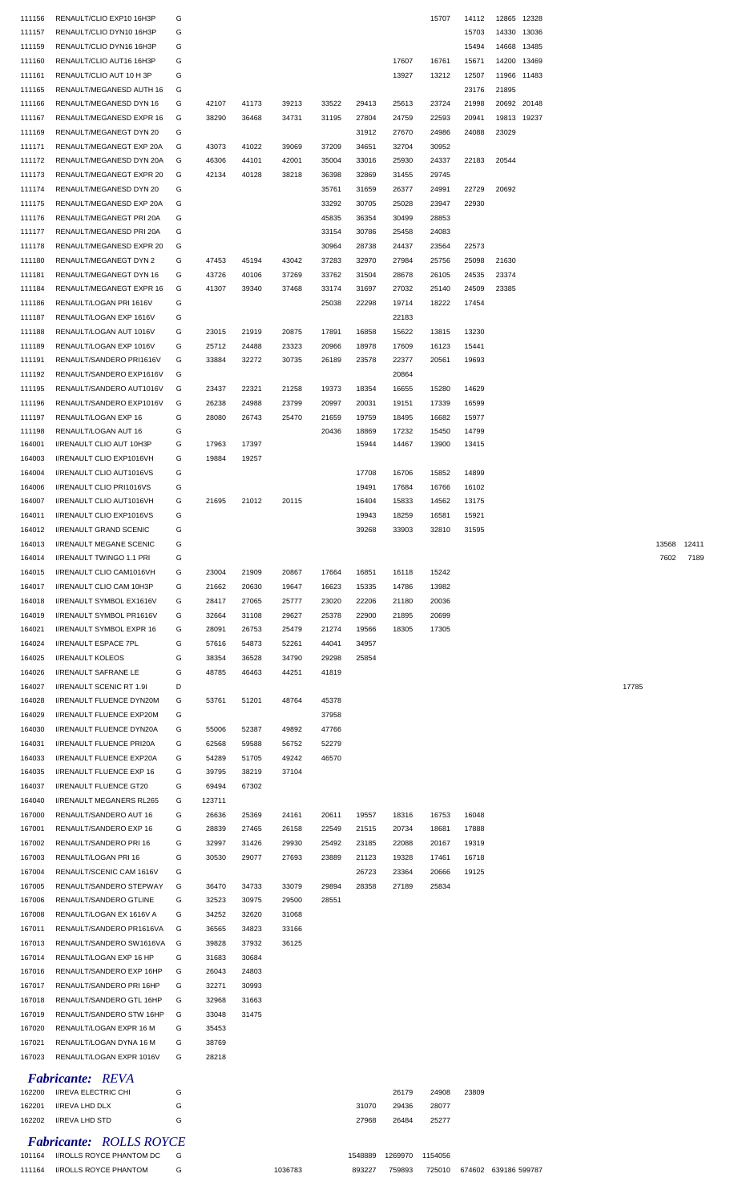| 111156 | RENAULT/CLIO EXP10 16H3P        | G |        |       |         |       |         |         | 15707   | 14112 | 12865 12328          |  |       |             |      |
|--------|---------------------------------|---|--------|-------|---------|-------|---------|---------|---------|-------|----------------------|--|-------|-------------|------|
| 111157 | RENAULT/CLIO DYN10 16H3P        | G |        |       |         |       |         |         |         | 15703 | 14330 13036          |  |       |             |      |
| 111159 | RENAULT/CLIO DYN16 16H3P        | G |        |       |         |       |         |         |         | 15494 | 14668 13485          |  |       |             |      |
| 111160 | RENAULT/CLIO AUT16 16H3P        | G |        |       |         |       |         | 17607   | 16761   | 15671 | 14200 13469          |  |       |             |      |
| 111161 | RENAULT/CLIO AUT 10 H 3P        | G |        |       |         |       |         | 13927   | 13212   | 12507 | 11966 11483          |  |       |             |      |
| 111165 | RENAULT/MEGANESD AUTH 16        | G |        |       |         |       |         |         |         | 23176 | 21895                |  |       |             |      |
|        |                                 |   |        |       |         |       |         |         |         |       |                      |  |       |             |      |
| 111166 | RENAULT/MEGANESD DYN 16         | G | 42107  | 41173 | 39213   | 33522 | 29413   | 25613   | 23724   | 21998 | 20692 20148          |  |       |             |      |
| 111167 | RENAULT/MEGANESD EXPR 16        | G | 38290  | 36468 | 34731   | 31195 | 27804   | 24759   | 22593   | 20941 | 19813 19237          |  |       |             |      |
| 111169 | RENAULT/MEGANEGT DYN 20         | G |        |       |         |       | 31912   | 27670   | 24986   | 24088 | 23029                |  |       |             |      |
| 111171 | RENAULT/MEGANEGT EXP 20A        | G | 43073  | 41022 | 39069   | 37209 | 34651   | 32704   | 30952   |       |                      |  |       |             |      |
| 111172 | RENAULT/MEGANESD DYN 20A        | G | 46306  | 44101 | 42001   | 35004 | 33016   | 25930   | 24337   | 22183 | 20544                |  |       |             |      |
| 111173 | RENAULT/MEGANEGT EXPR 20        | G | 42134  | 40128 | 38218   | 36398 | 32869   | 31455   | 29745   |       |                      |  |       |             |      |
| 111174 | RENAULT/MEGANESD DYN 20         | G |        |       |         | 35761 | 31659   | 26377   | 24991   | 22729 | 20692                |  |       |             |      |
| 111175 | RENAULT/MEGANESD EXP 20A        | G |        |       |         | 33292 | 30705   | 25028   | 23947   | 22930 |                      |  |       |             |      |
|        |                                 |   |        |       |         |       |         |         |         |       |                      |  |       |             |      |
| 111176 | RENAULT/MEGANEGT PRI 20A        | G |        |       |         | 45835 | 36354   | 30499   | 28853   |       |                      |  |       |             |      |
| 111177 | RENAULT/MEGANESD PRI 20A        | G |        |       |         | 33154 | 30786   | 25458   | 24083   |       |                      |  |       |             |      |
| 111178 | RENAULT/MEGANESD EXPR 20        | G |        |       |         | 30964 | 28738   | 24437   | 23564   | 22573 |                      |  |       |             |      |
| 111180 | RENAULT/MEGANEGT DYN 2          | G | 47453  | 45194 | 43042   | 37283 | 32970   | 27984   | 25756   | 25098 | 21630                |  |       |             |      |
| 111181 | RENAULT/MEGANEGT DYN 16         | G | 43726  | 40106 | 37269   | 33762 | 31504   | 28678   | 26105   | 24535 | 23374                |  |       |             |      |
| 111184 | RENAULT/MEGANEGT EXPR 16        | G | 41307  | 39340 | 37468   | 33174 | 31697   | 27032   | 25140   | 24509 | 23385                |  |       |             |      |
| 111186 | RENAULT/LOGAN PRI 1616V         | G |        |       |         | 25038 | 22298   | 19714   | 18222   | 17454 |                      |  |       |             |      |
|        |                                 |   |        |       |         |       |         |         |         |       |                      |  |       |             |      |
| 111187 | RENAULT/LOGAN EXP 1616V         | G |        |       |         |       |         | 22183   |         |       |                      |  |       |             |      |
| 111188 | RENAULT/LOGAN AUT 1016V         | G | 23015  | 21919 | 20875   | 17891 | 16858   | 15622   | 13815   | 13230 |                      |  |       |             |      |
| 111189 | RENAULT/LOGAN EXP 1016V         | G | 25712  | 24488 | 23323   | 20966 | 18978   | 17609   | 16123   | 15441 |                      |  |       |             |      |
| 111191 | RENAULT/SANDERO PRI1616V        | G | 33884  | 32272 | 30735   | 26189 | 23578   | 22377   | 20561   | 19693 |                      |  |       |             |      |
| 111192 | RENAULT/SANDERO EXP1616V        | G |        |       |         |       |         | 20864   |         |       |                      |  |       |             |      |
| 111195 | RENAULT/SANDERO AUT1016V        | G | 23437  | 22321 | 21258   | 19373 | 18354   | 16655   | 15280   | 14629 |                      |  |       |             |      |
| 111196 | RENAULT/SANDERO EXP1016V        | G | 26238  | 24988 | 23799   | 20997 | 20031   | 19151   | 17339   | 16599 |                      |  |       |             |      |
| 111197 | RENAULT/LOGAN EXP 16            | G | 28080  | 26743 | 25470   | 21659 | 19759   | 18495   | 16682   | 15977 |                      |  |       |             |      |
|        |                                 |   |        |       |         |       |         |         |         |       |                      |  |       |             |      |
| 111198 | RENAULT/LOGAN AUT 16            | G |        |       |         | 20436 | 18869   | 17232   | 15450   | 14799 |                      |  |       |             |      |
| 164001 | I/RENAULT CLIO AUT 10H3P        | G | 17963  | 17397 |         |       | 15944   | 14467   | 13900   | 13415 |                      |  |       |             |      |
| 164003 | I/RENAULT CLIO EXP1016VH        | G | 19884  | 19257 |         |       |         |         |         |       |                      |  |       |             |      |
| 164004 | I/RENAULT CLIO AUT1016VS        | G |        |       |         |       | 17708   | 16706   | 15852   | 14899 |                      |  |       |             |      |
| 164006 | I/RENAULT CLIO PRI1016VS        | G |        |       |         |       | 19491   | 17684   | 16766   | 16102 |                      |  |       |             |      |
| 164007 | I/RENAULT CLIO AUT1016VH        | G | 21695  | 21012 | 20115   |       | 16404   | 15833   | 14562   | 13175 |                      |  |       |             |      |
| 164011 | I/RENAULT CLIO EXP1016VS        | G |        |       |         |       | 19943   | 18259   | 16581   | 15921 |                      |  |       |             |      |
| 164012 | I/RENAULT GRAND SCENIC          | G |        |       |         |       | 39268   | 33903   | 32810   | 31595 |                      |  |       |             |      |
|        |                                 |   |        |       |         |       |         |         |         |       |                      |  |       |             |      |
| 164013 | I/RENAULT MEGANE SCENIC         | G |        |       |         |       |         |         |         |       |                      |  |       | 13568 12411 |      |
| 164014 | I/RENAULT TWINGO 1.1 PRI        | G |        |       |         |       |         |         |         |       |                      |  |       | 7602        | 7189 |
| 164015 | I/RENAULT CLIO CAM1016VH        | G | 23004  | 21909 | 20867   | 17664 | 16851   | 16118   | 15242   |       |                      |  |       |             |      |
| 164017 | I/RENAULT CLIO CAM 10H3P        | G | 21662  | 20630 | 19647   | 16623 | 15335   | 14786   | 13982   |       |                      |  |       |             |      |
| 164018 | I/RENAULT SYMBOL EX1616V        | G | 28417  | 27065 | 25777   | 23020 | 22206   | 21180   | 20036   |       |                      |  |       |             |      |
| 164019 | I/RENAULT SYMBOL PR1616V        | G | 32664  | 31108 | 29627   | 25378 | 22900   | 21895   | 20699   |       |                      |  |       |             |      |
| 164021 | I/RENAULT SYMBOL EXPR 16        | G | 28091  | 26753 | 25479   | 21274 | 19566   | 18305   | 17305   |       |                      |  |       |             |      |
| 164024 | I/RENAULT ESPACE 7PL            | G | 57616  | 54873 | 52261   | 44041 | 34957   |         |         |       |                      |  |       |             |      |
|        |                                 |   |        |       |         |       |         |         |         |       |                      |  |       |             |      |
| 164025 | <b>I/RENAULT KOLEOS</b>         | G | 38354  | 36528 | 34790   | 29298 | 25854   |         |         |       |                      |  |       |             |      |
| 164026 | I/RENAULT SAFRANE LE            | G | 48785  | 46463 | 44251   | 41819 |         |         |         |       |                      |  |       |             |      |
| 164027 | I/RENAULT SCENIC RT 1.91        | D |        |       |         |       |         |         |         |       |                      |  | 17785 |             |      |
| 164028 | I/RENAULT FLUENCE DYN20M        | G | 53761  | 51201 | 48764   | 45378 |         |         |         |       |                      |  |       |             |      |
| 164029 | I/RENAULT FLUENCE EXP20M        | G |        |       |         | 37958 |         |         |         |       |                      |  |       |             |      |
| 164030 | I/RENAULT FLUENCE DYN20A        | G | 55006  | 52387 | 49892   | 47766 |         |         |         |       |                      |  |       |             |      |
| 164031 | I/RENAULT FLUENCE PRI20A        | G | 62568  | 59588 | 56752   | 52279 |         |         |         |       |                      |  |       |             |      |
|        |                                 | G |        |       | 49242   | 46570 |         |         |         |       |                      |  |       |             |      |
| 164033 | I/RENAULT FLUENCE EXP20A        |   | 54289  | 51705 |         |       |         |         |         |       |                      |  |       |             |      |
| 164035 | I/RENAULT FLUENCE EXP 16        | G | 39795  | 38219 | 37104   |       |         |         |         |       |                      |  |       |             |      |
| 164037 | I/RENAULT FLUENCE GT20          | G | 69494  | 67302 |         |       |         |         |         |       |                      |  |       |             |      |
| 164040 | I/RENAULT MEGANERS RL265        | G | 123711 |       |         |       |         |         |         |       |                      |  |       |             |      |
| 167000 | RENAULT/SANDERO AUT 16          | G | 26636  | 25369 | 24161   | 20611 | 19557   | 18316   | 16753   | 16048 |                      |  |       |             |      |
| 167001 | RENAULT/SANDERO EXP 16          | G | 28839  | 27465 | 26158   | 22549 | 21515   | 20734   | 18681   | 17888 |                      |  |       |             |      |
| 167002 | RENAULT/SANDERO PRI 16          | G | 32997  | 31426 | 29930   | 25492 | 23185   | 22088   | 20167   | 19319 |                      |  |       |             |      |
| 167003 | RENAULT/LOGAN PRI 16            | G | 30530  | 29077 | 27693   | 23889 | 21123   | 19328   | 17461   | 16718 |                      |  |       |             |      |
|        |                                 |   |        |       |         |       |         |         |         |       |                      |  |       |             |      |
| 167004 | RENAULT/SCENIC CAM 1616V        | G |        |       |         |       | 26723   | 23364   | 20666   | 19125 |                      |  |       |             |      |
| 167005 | RENAULT/SANDERO STEPWAY         | G | 36470  | 34733 | 33079   | 29894 | 28358   | 27189   | 25834   |       |                      |  |       |             |      |
| 167006 | RENAULT/SANDERO GTLINE          | G | 32523  | 30975 | 29500   | 28551 |         |         |         |       |                      |  |       |             |      |
| 167008 | RENAULT/LOGAN EX 1616V A        | G | 34252  | 32620 | 31068   |       |         |         |         |       |                      |  |       |             |      |
| 167011 | RENAULT/SANDERO PR1616VA        | G | 36565  | 34823 | 33166   |       |         |         |         |       |                      |  |       |             |      |
| 167013 | RENAULT/SANDERO SW1616VA        | G | 39828  | 37932 | 36125   |       |         |         |         |       |                      |  |       |             |      |
| 167014 | RENAULT/LOGAN EXP 16 HP         | G | 31683  | 30684 |         |       |         |         |         |       |                      |  |       |             |      |
|        |                                 |   |        |       |         |       |         |         |         |       |                      |  |       |             |      |
| 167016 | RENAULT/SANDERO EXP 16HP        | G | 26043  | 24803 |         |       |         |         |         |       |                      |  |       |             |      |
| 167017 | RENAULT/SANDERO PRI 16HP        | G | 32271  | 30993 |         |       |         |         |         |       |                      |  |       |             |      |
| 167018 | RENAULT/SANDERO GTL 16HP        | G | 32968  | 31663 |         |       |         |         |         |       |                      |  |       |             |      |
| 167019 | RENAULT/SANDERO STW 16HP        | G | 33048  | 31475 |         |       |         |         |         |       |                      |  |       |             |      |
| 167020 | RENAULT/LOGAN EXPR 16 M         | G | 35453  |       |         |       |         |         |         |       |                      |  |       |             |      |
| 167021 | RENAULT/LOGAN DYNA 16 M         | G | 38769  |       |         |       |         |         |         |       |                      |  |       |             |      |
| 167023 | RENAULT/LOGAN EXPR 1016V        | G | 28218  |       |         |       |         |         |         |       |                      |  |       |             |      |
|        |                                 |   |        |       |         |       |         |         |         |       |                      |  |       |             |      |
|        | <b>Fabricante: REVA</b>         |   |        |       |         |       |         |         |         |       |                      |  |       |             |      |
| 162200 |                                 | G |        |       |         |       |         | 26179   | 24908   | 23809 |                      |  |       |             |      |
|        | <b>I/REVA ELECTRIC CHI</b>      |   |        |       |         |       |         | 29436   | 28077   |       |                      |  |       |             |      |
| 162201 | I/REVA LHD DLX                  | G |        |       |         |       | 31070   |         |         |       |                      |  |       |             |      |
| 162202 | I/REVA LHD STD                  | G |        |       |         |       | 27968   | 26484   | 25277   |       |                      |  |       |             |      |
|        |                                 |   |        |       |         |       |         |         |         |       |                      |  |       |             |      |
|        | <b>Fabricante: ROLLS ROYCE</b>  |   |        |       |         |       |         |         |         |       |                      |  |       |             |      |
| 101164 | <b>I/ROLLS ROYCE PHANTOM DC</b> | G |        |       |         |       | 1548889 | 1269970 | 1154056 |       |                      |  |       |             |      |
| 111164 | I/ROLLS ROYCE PHANTOM           | G |        |       | 1036783 |       | 893227  | 759893  | 725010  |       | 674602 639186 599787 |  |       |             |      |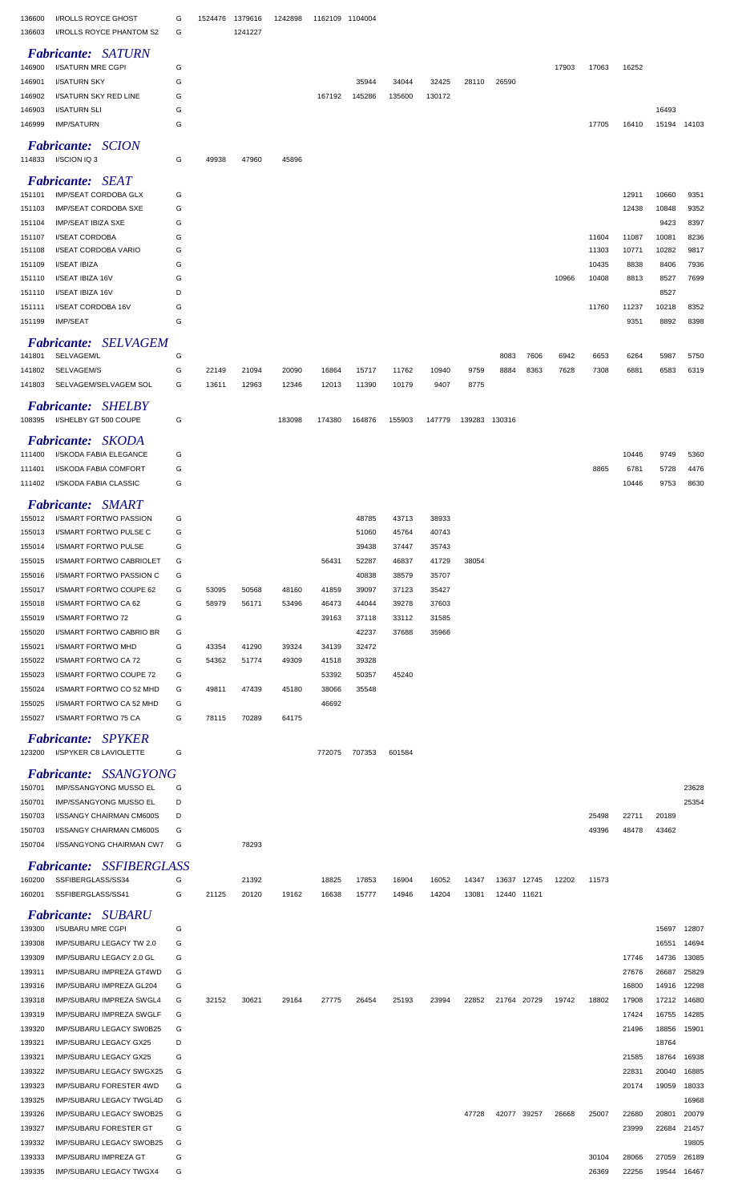| 136600           | I/ROLLS ROYCE GHOST                                       | G      | 1524476 | 1379616        | 1242898 | 1162109 1104004 |                |                |                |                |                            |              |              |                |                |                |                |
|------------------|-----------------------------------------------------------|--------|---------|----------------|---------|-----------------|----------------|----------------|----------------|----------------|----------------------------|--------------|--------------|----------------|----------------|----------------|----------------|
| 136603           | I/ROLLS ROYCE PHANTOM S2                                  | G      |         | 1241227        |         |                 |                |                |                |                |                            |              |              |                |                |                |                |
|                  | <b>Fabricante: SATURN</b>                                 |        |         |                |         |                 |                |                |                |                |                            |              |              |                |                |                |                |
| 146900<br>146901 | I/SATURN MRE CGPI<br>I/SATURN SKY                         | G<br>G |         |                |         |                 | 35944          | 34044          | 32425          | 28110          | 26590                      |              | 17903        | 17063          | 16252          |                |                |
| 146902           | I/SATURN SKY RED LINE                                     | G      |         |                |         | 167192          | 145286         | 135600         | 130172         |                |                            |              |              |                |                |                |                |
| 146903           | I/SATURN SLI                                              | G      |         |                |         |                 |                |                |                |                |                            |              |              |                |                | 16493          |                |
| 146999           | <b>IMP/SATURN</b>                                         | G      |         |                |         |                 |                |                |                |                |                            |              |              | 17705          | 16410          |                | 15194 14103    |
| 114833           | <b>Fabricante: SCION</b><br>I/SCION IQ 3                  | G      | 49938   | 47960          | 45896   |                 |                |                |                |                |                            |              |              |                |                |                |                |
|                  | <b>Fabricante: SEAT</b>                                   |        |         |                |         |                 |                |                |                |                |                            |              |              |                |                |                |                |
| 151101           | IMP/SEAT CORDOBA GLX                                      | G      |         |                |         |                 |                |                |                |                |                            |              |              |                | 12911          | 10660          | 9351           |
| 151103           | <b>IMP/SEAT CORDOBA SXE</b>                               | G      |         |                |         |                 |                |                |                |                |                            |              |              |                | 12438          | 10848          | 9352           |
| 151104           | <b>IMP/SEAT IBIZA SXE</b>                                 | G      |         |                |         |                 |                |                |                |                |                            |              |              |                |                | 9423           | 8397           |
| 151107<br>151108 | I/SEAT CORDOBA<br>I/SEAT CORDOBA VARIO                    | G<br>G |         |                |         |                 |                |                |                |                |                            |              |              | 11604<br>11303 | 11087<br>10771 | 10081<br>10282 | 8236<br>9817   |
| 151109           | I/SEAT IBIZA                                              | G      |         |                |         |                 |                |                |                |                |                            |              |              | 10435          | 8838           | 8406           | 7936           |
| 151110           | I/SEAT IBIZA 16V                                          | G      |         |                |         |                 |                |                |                |                |                            |              | 10966        | 10408          | 8813           | 8527           | 7699           |
| 151110           | I/SEAT IBIZA 16V                                          | D      |         |                |         |                 |                |                |                |                |                            |              |              |                |                | 8527           |                |
| 151111           | I/SEAT CORDOBA 16V                                        | G<br>G |         |                |         |                 |                |                |                |                |                            |              |              | 11760          | 11237          | 10218          | 8352           |
| 151199           | <b>IMP/SEAT</b>                                           |        |         |                |         |                 |                |                |                |                |                            |              |              |                | 9351           | 8892           | 8398           |
|                  | <i>SELVAGEM</i><br><b>Fabricante:</b>                     |        |         |                |         |                 |                |                |                |                |                            |              |              |                |                |                |                |
| 141801<br>141802 | SELVAGEM/L<br>SELVAGEM/S                                  | G<br>G | 22149   | 21094          | 20090   | 16864           | 15717          | 11762          | 10940          | 9759           | 8083<br>8884               | 7606<br>8363 | 6942<br>7628 | 6653<br>7308   | 6264<br>6881   | 5987<br>6583   | 5750<br>6319   |
| 141803           | SELVAGEM/SELVAGEM SOL                                     | G      | 13611   | 12963          | 12346   | 12013           | 11390          | 10179          | 9407           | 8775           |                            |              |              |                |                |                |                |
|                  |                                                           |        |         |                |         |                 |                |                |                |                |                            |              |              |                |                |                |                |
| 108395           | <b>Fabricante: SHELBY</b><br>I/SHELBY GT 500 COUPE        | G      |         |                | 183098  | 174380          | 164876         | 155903         | 147779         | 139283 130316  |                            |              |              |                |                |                |                |
|                  |                                                           |        |         |                |         |                 |                |                |                |                |                            |              |              |                |                |                |                |
| 111400           | <b>Fabricante: SKODA</b><br>I/SKODA FABIA ELEGANCE        | G      |         |                |         |                 |                |                |                |                |                            |              |              |                | 10446          | 9749           | 5360           |
| 111401           | I/SKODA FABIA COMFORT                                     | G      |         |                |         |                 |                |                |                |                |                            |              |              | 8865           | 6781           | 5728           | 4476           |
| 111402           | I/SKODA FABIA CLASSIC                                     | G      |         |                |         |                 |                |                |                |                |                            |              |              |                | 10446          | 9753           | 8630           |
|                  | <b>Fabricante: SMART</b>                                  |        |         |                |         |                 |                |                |                |                |                            |              |              |                |                |                |                |
| 155012           | I/SMART FORTWO PASSION                                    | G      |         |                |         |                 | 48785          | 43713          | 38933          |                |                            |              |              |                |                |                |                |
| 155013           | I/SMART FORTWO PULSE C                                    | G      |         |                |         |                 | 51060          | 45764          | 40743          |                |                            |              |              |                |                |                |                |
| 155014           | I/SMART FORTWO PULSE                                      | G      |         |                |         |                 | 39438          | 37447          | 35743          |                |                            |              |              |                |                |                |                |
| 155015<br>155016 | I/SMART FORTWO CABRIOLET<br>I/SMART FORTWO PASSION C      | G<br>G |         |                |         | 56431           | 52287<br>40838 | 46837<br>38579 | 41729<br>35707 | 38054          |                            |              |              |                |                |                |                |
| 155017           | I/SMART FORTWO COUPE 62                                   | G      | 53095   | 50568          | 48160   | 41859           | 39097          | 37123          | 35427          |                |                            |              |              |                |                |                |                |
| 155018           | I/SMART FORTWO CA 62                                      | G      | 58979   | 56171          | 53496   | 46473           | 44044          | 39278          | 37603          |                |                            |              |              |                |                |                |                |
| 155019           | I/SMART FORTWO 72                                         | G      |         |                |         | 39163           | 37118          | 33112          | 31585          |                |                            |              |              |                |                |                |                |
| 155020           | I/SMART FORTWO CABRIO BR                                  | G      |         |                |         |                 | 42237          | 37688          | 35966          |                |                            |              |              |                |                |                |                |
| 155021           | I/SMART FORTWO MHD                                        | G      | 43354   | 41290          | 39324   | 34139           | 32472          |                |                |                |                            |              |              |                |                |                |                |
| 155022<br>155023 | I/SMART FORTWO CA 72<br>I/SMART FORTWO COUPE 72           | G<br>G | 54362   | 51774          | 49309   | 41518<br>53392  | 39328<br>50357 | 45240          |                |                |                            |              |              |                |                |                |                |
| 155024           | I/SMART FORTWO CO 52 MHD                                  | G      | 49811   | 47439          | 45180   | 38066           | 35548          |                |                |                |                            |              |              |                |                |                |                |
| 155025           | I/SMART FORTWO CA 52 MHD                                  | G      |         |                |         | 46692           |                |                |                |                |                            |              |              |                |                |                |                |
| 155027           | I/SMART FORTWO 75 CA                                      | G      | 78115   | 70289          | 64175   |                 |                |                |                |                |                            |              |              |                |                |                |                |
| 123200           | <b>Fabricante: SPYKER</b><br>I/SPYKER C8 LAVIOLETTE       | G      |         |                |         | 772075          | 707353         | 601584         |                |                |                            |              |              |                |                |                |                |
|                  | <b>Fabricante: SSANGYONG</b>                              |        |         |                |         |                 |                |                |                |                |                            |              |              |                |                |                |                |
| 150701           | IMP/SSANGYONG MUSSO EL                                    | G      |         |                |         |                 |                |                |                |                |                            |              |              |                |                |                | 23628          |
| 150701           | IMP/SSANGYONG MUSSO EL                                    | D      |         |                |         |                 |                |                |                |                |                            |              |              |                |                |                | 25354          |
| 150703           | I/SSANGY CHAIRMAN CM600S                                  | D      |         |                |         |                 |                |                |                |                |                            |              |              | 25498          | 22711          | 20189          |                |
| 150703           | I/SSANGY CHAIRMAN CM600S                                  | G      |         |                |         |                 |                |                |                |                |                            |              |              | 49396          | 48478          | 43462          |                |
| 150704           | I/SSANGYONG CHAIRMAN CW7                                  | G      |         | 78293          |         |                 |                |                |                |                |                            |              |              |                |                |                |                |
|                  | <b>Fabricante: SSFIBERGLASS</b>                           |        |         |                |         |                 |                |                |                |                |                            |              |              |                |                |                |                |
| 160200<br>160201 | SSFIBERGLASS/SS34<br>SSFIBERGLASS/SS41                    | G<br>G | 21125   | 21392<br>20120 | 19162   | 18825<br>16638  | 17853<br>15777 | 16904<br>14946 | 16052<br>14204 | 14347<br>13081 | 13637 12745<br>12440 11621 |              | 12202        | 11573          |                |                |                |
|                  |                                                           |        |         |                |         |                 |                |                |                |                |                            |              |              |                |                |                |                |
|                  | <b>Fabricante:</b><br><i>SUBARU</i>                       |        |         |                |         |                 |                |                |                |                |                            |              |              |                |                |                |                |
| 139300<br>139308 | I/SUBARU MRE CGPI<br>IMP/SUBARU LEGACY TW 2.0             | G<br>G |         |                |         |                 |                |                |                |                |                            |              |              |                |                | 15697<br>16551 | 12807<br>14694 |
| 139309           | IMP/SUBARU LEGACY 2.0 GL                                  | G      |         |                |         |                 |                |                |                |                |                            |              |              |                | 17746          | 14736          | 13085          |
| 139311           | IMP/SUBARU IMPREZA GT4WD                                  | G      |         |                |         |                 |                |                |                |                |                            |              |              |                | 27676          | 26687          | 25829          |
| 139316           | IMP/SUBARU IMPREZA GL204                                  | G      |         |                |         |                 |                |                |                |                |                            |              |              |                | 16800          | 14916          | 12298          |
| 139318           | IMP/SUBARU IMPREZA SWGL4                                  | G      | 32152   | 30621          | 29164   | 27775           | 26454          | 25193          | 23994          | 22852          | 21764 20729                |              | 19742        | 18802          | 17908          | 17212          | 14680          |
| 139319<br>139320 | IMP/SUBARU IMPREZA SWGLF<br>IMP/SUBARU LEGACY SW0B25      | G<br>G |         |                |         |                 |                |                |                |                |                            |              |              |                | 17424<br>21496 | 16755<br>18856 | 14285<br>15901 |
| 139321           | IMP/SUBARU LEGACY GX25                                    | D      |         |                |         |                 |                |                |                |                |                            |              |              |                |                | 18764          |                |
| 139321           | IMP/SUBARU LEGACY GX25                                    | G      |         |                |         |                 |                |                |                |                |                            |              |              |                | 21585          | 18764          | 16938          |
| 139322           | IMP/SUBARU LEGACY SWGX25                                  | G      |         |                |         |                 |                |                |                |                |                            |              |              |                | 22831          | 20040          | 16885          |
| 139323           | IMP/SUBARU FORESTER 4WD                                   | G      |         |                |         |                 |                |                |                |                |                            |              |              |                | 20174          | 19059          | 18033          |
| 139325           | IMP/SUBARU LEGACY TWGL4D                                  | G      |         |                |         |                 |                |                |                |                |                            |              |              |                |                |                | 16968          |
| 139326<br>139327 | IMP/SUBARU LEGACY SWOB25<br><b>IMP/SUBARU FORESTER GT</b> | G<br>G |         |                |         |                 |                |                |                | 47728          | 42077 39257                |              | 26668        | 25007          | 22680<br>23999 | 20801<br>22684 | 20079<br>21457 |
| 139332           | IMP/SUBARU LEGACY SWOB25                                  | G      |         |                |         |                 |                |                |                |                |                            |              |              |                |                |                | 19805          |
| 139333           | IMP/SUBARU IMPREZA GT                                     | G      |         |                |         |                 |                |                |                |                |                            |              |              | 30104          | 28066          | 27059          | 26189          |
| 139335           | IMP/SUBARU LEGACY TWGX4                                   | G      |         |                |         |                 |                |                |                |                |                            |              |              | 26369          | 22256          |                | 19544 16467    |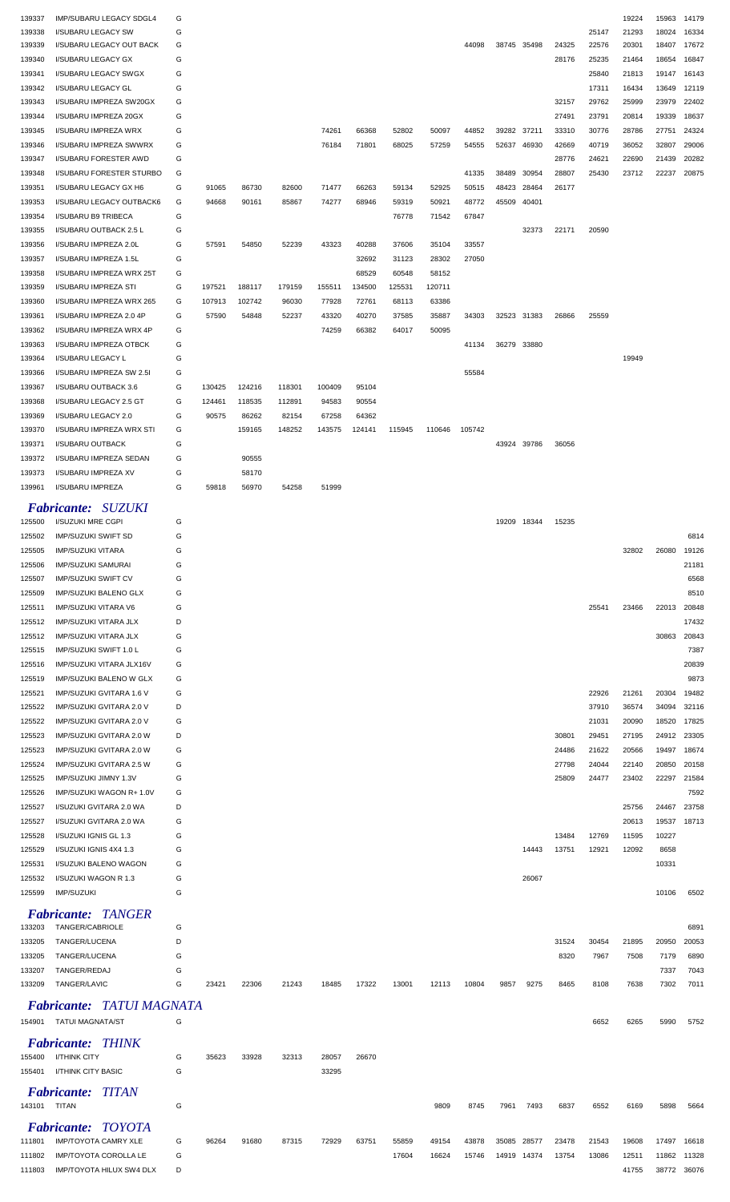| 139337       | IMP/SUBARU LEGACY SDGL4                           | G |        |        |        |        |        |        |        |        |             |             |       |       | 19224 | 15963       | 14179 |
|--------------|---------------------------------------------------|---|--------|--------|--------|--------|--------|--------|--------|--------|-------------|-------------|-------|-------|-------|-------------|-------|
| 139338       | I/SUBARU LEGACY SW                                | G |        |        |        |        |        |        |        |        |             |             |       | 25147 | 21293 | 18024       | 16334 |
| 139339       | I/SUBARU LEGACY OUT BACK                          | G |        |        |        |        |        |        |        | 44098  | 38745       | 35498       | 24325 | 22576 | 20301 | 18407       | 17672 |
|              |                                                   | G |        |        |        |        |        |        |        |        |             |             |       |       |       |             |       |
| 139340       | I/SUBARU LEGACY GX                                |   |        |        |        |        |        |        |        |        |             |             | 28176 | 25235 | 21464 | 18654       | 16847 |
| 139341       | I/SUBARU LEGACY SWGX                              | G |        |        |        |        |        |        |        |        |             |             |       | 25840 | 21813 | 19147       | 16143 |
| 139342       | I/SUBARU LEGACY GL                                | G |        |        |        |        |        |        |        |        |             |             |       | 17311 | 16434 | 13649       | 12119 |
| 139343       | I/SUBARU IMPREZA SW20GX                           | G |        |        |        |        |        |        |        |        |             |             | 32157 | 29762 | 25999 | 23979       | 22402 |
| 139344       | I/SUBARU IMPREZA 20GX                             | G |        |        |        |        |        |        |        |        |             |             | 27491 | 23791 | 20814 | 19339       | 18637 |
| 139345       | I/SUBARU IMPREZA WRX                              | G |        |        |        | 74261  | 66368  | 52802  | 50097  | 44852  | 39282       | 37211       | 33310 | 30776 | 28786 | 27751       | 24324 |
| 139346       | I/SUBARU IMPREZA SWWRX                            | G |        |        |        | 76184  | 71801  | 68025  | 57259  | 54555  | 52637 46930 |             | 42669 | 40719 | 36052 | 32807       | 29006 |
| 139347       | I/SUBARU FORESTER AWD                             | G |        |        |        |        |        |        |        |        |             |             | 28776 | 24621 | 22690 | 21439       | 20282 |
| 139348       | I/SUBARU FORESTER STURBO                          | G |        |        |        |        |        |        |        | 41335  | 38489       | 30954       | 28807 | 25430 | 23712 | 22237       | 20875 |
| 139351       | I/SUBARU LEGACY GX H6                             | G | 91065  | 86730  | 82600  | 71477  | 66263  | 59134  | 52925  | 50515  | 48423       | 28464       | 26177 |       |       |             |       |
|              |                                                   |   |        |        |        |        |        |        |        |        |             |             |       |       |       |             |       |
| 139353       | I/SUBARU LEGACY OUTBACK6                          | G | 94668  | 90161  | 85867  | 74277  | 68946  | 59319  | 50921  | 48772  | 45509       | 40401       |       |       |       |             |       |
| 139354       | I/SUBARU B9 TRIBECA                               | G |        |        |        |        |        | 76778  | 71542  | 67847  |             |             |       |       |       |             |       |
| 139355       | I/SUBARU OUTBACK 2.5 L                            | G |        |        |        |        |        |        |        |        |             | 32373       | 22171 | 20590 |       |             |       |
| 139356       | I/SUBARU IMPREZA 2.0L                             | G | 57591  | 54850  | 52239  | 43323  | 40288  | 37606  | 35104  | 33557  |             |             |       |       |       |             |       |
| 139357       | I/SUBARU IMPREZA 1.5L                             | G |        |        |        |        | 32692  | 31123  | 28302  | 27050  |             |             |       |       |       |             |       |
| 139358       | I/SUBARU IMPREZA WRX 25T                          | G |        |        |        |        | 68529  | 60548  | 58152  |        |             |             |       |       |       |             |       |
| 139359       | I/SUBARU IMPREZA STI                              | G | 197521 | 188117 | 179159 | 155511 | 134500 | 125531 | 120711 |        |             |             |       |       |       |             |       |
| 139360       | I/SUBARU IMPREZA WRX 265                          | G | 107913 | 102742 | 96030  | 77928  | 72761  | 68113  | 63386  |        |             |             |       |       |       |             |       |
| 139361       | I/SUBARU IMPREZA 2.0 4P                           | G | 57590  | 54848  | 52237  | 43320  | 40270  | 37585  | 35887  | 34303  |             | 32523 31383 | 26866 | 25559 |       |             |       |
|              |                                                   |   |        |        |        |        |        |        |        |        |             |             |       |       |       |             |       |
| 139362       | I/SUBARU IMPREZA WRX 4P                           | G |        |        |        | 74259  | 66382  | 64017  | 50095  |        |             |             |       |       |       |             |       |
| 139363       | I/SUBARU IMPREZA OTBCK                            | G |        |        |        |        |        |        |        | 41134  |             | 36279 33880 |       |       |       |             |       |
| 139364       | I/SUBARU LEGACY L                                 | G |        |        |        |        |        |        |        |        |             |             |       |       | 19949 |             |       |
| 139366       | I/SUBARU IMPREZA SW 2.5I                          | G |        |        |        |        |        |        |        | 55584  |             |             |       |       |       |             |       |
| 139367       | I/SUBARU OUTBACK 3.6                              | G | 130425 | 124216 | 118301 | 100409 | 95104  |        |        |        |             |             |       |       |       |             |       |
| 139368       | I/SUBARU LEGACY 2.5 GT                            | G | 124461 | 118535 | 112891 | 94583  | 90554  |        |        |        |             |             |       |       |       |             |       |
| 139369       | I/SUBARU LEGACY 2.0                               | G | 90575  | 86262  | 82154  | 67258  | 64362  |        |        |        |             |             |       |       |       |             |       |
| 139370       | I/SUBARU IMPREZA WRX STI                          | G |        | 159165 | 148252 | 143575 | 124141 | 115945 | 110646 | 105742 |             |             |       |       |       |             |       |
|              |                                                   |   |        |        |        |        |        |        |        |        |             |             |       |       |       |             |       |
| 139371       | I/SUBARU OUTBACK                                  | G |        |        |        |        |        |        |        |        |             | 43924 39786 | 36056 |       |       |             |       |
| 139372       | I/SUBARU IMPREZA SEDAN                            | G |        | 90555  |        |        |        |        |        |        |             |             |       |       |       |             |       |
| 139373       | I/SUBARU IMPREZA XV                               | G |        | 58170  |        |        |        |        |        |        |             |             |       |       |       |             |       |
| 139961       | I/SUBARU IMPREZA                                  | G | 59818  | 56970  | 54258  | 51999  |        |        |        |        |             |             |       |       |       |             |       |
|              |                                                   |   |        |        |        |        |        |        |        |        |             |             |       |       |       |             |       |
|              | <b>Fabricante: SUZUKI</b>                         |   |        |        |        |        |        |        |        |        |             |             |       |       |       |             |       |
| 125500       | I/SUZUKI MRE CGPI                                 | G |        |        |        |        |        |        |        |        |             | 19209 18344 | 15235 |       |       |             |       |
| 125502       | <b>IMP/SUZUKI SWIFT SD</b>                        | G |        |        |        |        |        |        |        |        |             |             |       |       |       |             | 6814  |
| 125505       | <b>IMP/SUZUKI VITARA</b>                          | G |        |        |        |        |        |        |        |        |             |             |       |       | 32802 | 26080       | 19126 |
| 125506       | IMP/SUZUKI SAMURAI                                | G |        |        |        |        |        |        |        |        |             |             |       |       |       |             | 21181 |
| 125507       | <b>IMP/SUZUKI SWIFT CV</b>                        | G |        |        |        |        |        |        |        |        |             |             |       |       |       |             | 6568  |
| 125509       | IMP/SUZUKI BALENO GLX                             | G |        |        |        |        |        |        |        |        |             |             |       |       |       |             | 8510  |
| 125511       | IMP/SUZUKI VITARA V6                              | G |        |        |        |        |        |        |        |        |             |             |       | 25541 | 23466 | 22013       | 20848 |
| 125512       | IMP/SUZUKI VITARA JLX                             | D |        |        |        |        |        |        |        |        |             |             |       |       |       |             | 17432 |
|              | IMP/SUZUKI VITARA JLX                             | G |        |        |        |        |        |        |        |        |             |             |       |       |       | 30863       | 20843 |
| 125512       |                                                   |   |        |        |        |        |        |        |        |        |             |             |       |       |       |             |       |
| 125515       | IMP/SUZUKI SWIFT 1.0 L                            | G |        |        |        |        |        |        |        |        |             |             |       |       |       |             | 7387  |
| 125516       | IMP/SUZUKI VITARA JLX16V                          | G |        |        |        |        |        |        |        |        |             |             |       |       |       |             | 20839 |
| 125519       | IMP/SUZUKI BALENO W GLX                           | G |        |        |        |        |        |        |        |        |             |             |       |       |       |             | 9873  |
| 125521       | IMP/SUZUKI GVITARA 1.6 V                          | G |        |        |        |        |        |        |        |        |             |             |       | 22926 | 21261 | 20304       | 19482 |
| 125522       | IMP/SUZUKI GVITARA 2.0 V                          | D |        |        |        |        |        |        |        |        |             |             |       | 37910 | 36574 | 34094       | 32116 |
| 125522       | IMP/SUZUKI GVITARA 2.0 V                          | G |        |        |        |        |        |        |        |        |             |             |       | 21031 | 20090 | 18520       | 17825 |
| 125523       | IMP/SUZUKI GVITARA 2.0 W                          | D |        |        |        |        |        |        |        |        |             |             | 30801 | 29451 | 27195 | 24912       | 23305 |
| 125523       | IMP/SUZUKI GVITARA 2.0 W                          | G |        |        |        |        |        |        |        |        |             |             | 24486 | 21622 | 20566 | 19497       | 18674 |
|              |                                                   |   |        |        |        |        |        |        |        |        |             |             |       |       |       |             |       |
| 125524       | IMP/SUZUKI GVITARA 2.5 W                          | G |        |        |        |        |        |        |        |        |             |             | 27798 | 24044 | 22140 | 20850       | 20158 |
| 125525       | IMP/SUZUKI JIMNY 1.3V                             | G |        |        |        |        |        |        |        |        |             |             | 25809 | 24477 | 23402 | 22297       | 21584 |
| 125526       | IMP/SUZUKI WAGON R+ 1.0V                          | G |        |        |        |        |        |        |        |        |             |             |       |       |       |             | 7592  |
| 125527       | I/SUZUKI GVITARA 2.0 WA                           | D |        |        |        |        |        |        |        |        |             |             |       |       | 25756 | 24467       | 23758 |
| 125527       | I/SUZUKI GVITARA 2.0 WA                           | G |        |        |        |        |        |        |        |        |             |             |       |       | 20613 | 19537       | 18713 |
| 125528       | I/SUZUKI IGNIS GL 1.3                             | G |        |        |        |        |        |        |        |        |             |             | 13484 | 12769 | 11595 | 10227       |       |
| 125529       | I/SUZUKI IGNIS 4X4 1.3                            | G |        |        |        |        |        |        |        |        |             | 14443       | 13751 | 12921 | 12092 | 8658        |       |
| 125531       | I/SUZUKI BALENO WAGON                             | G |        |        |        |        |        |        |        |        |             |             |       |       |       | 10331       |       |
| 125532       | I/SUZUKI WAGON R 1.3                              | G |        |        |        |        |        |        |        |        |             | 26067       |       |       |       |             |       |
| 125599       | <b>IMP/SUZUKI</b>                                 | G |        |        |        |        |        |        |        |        |             |             |       |       |       | 10106       | 6502  |
|              |                                                   |   |        |        |        |        |        |        |        |        |             |             |       |       |       |             |       |
|              |                                                   |   |        |        |        |        |        |        |        |        |             |             |       |       |       |             |       |
|              |                                                   |   |        |        |        |        |        |        |        |        |             |             |       |       |       |             |       |
| 133203       | <b>Fabricante: TANGER</b><br>TANGER/CABRIOLE      | G |        |        |        |        |        |        |        |        |             |             |       |       |       |             | 6891  |
| 133205       | TANGER/LUCENA                                     | D |        |        |        |        |        |        |        |        |             |             | 31524 | 30454 | 21895 | 20950       | 20053 |
|              |                                                   |   |        |        |        |        |        |        |        |        |             |             |       |       |       |             |       |
| 133205       | TANGER/LUCENA                                     | G |        |        |        |        |        |        |        |        |             |             | 8320  | 7967  | 7508  | 7179        | 6890  |
| 133207       | TANGER/REDAJ                                      | G |        |        |        |        |        |        |        |        |             |             |       |       |       | 7337        | 7043  |
| 133209       | TANGER/LAVIC                                      | G | 23421  | 22306  | 21243  | 18485  | 17322  | 13001  | 12113  | 10804  | 9857        | 9275        | 8465  | 8108  | 7638  | 7302        | 7011  |
|              |                                                   |   |        |        |        |        |        |        |        |        |             |             |       |       |       |             |       |
|              | <b>Fabricante: TATUI MAGNATA</b>                  |   |        |        |        |        |        |        |        |        |             |             |       |       |       |             |       |
| 154901       | TATUI MAGNATA/ST                                  | G |        |        |        |        |        |        |        |        |             |             |       | 6652  | 6265  | 5990        | 5752  |
|              | <b>THINK</b>                                      |   |        |        |        |        |        |        |        |        |             |             |       |       |       |             |       |
| 155400       | <b>Fabricante:</b><br><b>I/THINK CITY</b>         | G | 35623  | 33928  | 32313  | 28057  | 26670  |        |        |        |             |             |       |       |       |             |       |
|              |                                                   |   |        |        |        |        |        |        |        |        |             |             |       |       |       |             |       |
| 155401       | <b>I/THINK CITY BASIC</b>                         | G |        |        |        | 33295  |        |        |        |        |             |             |       |       |       |             |       |
|              | <b>Fabricante: TITAN</b>                          |   |        |        |        |        |        |        |        |        |             |             |       |       |       |             |       |
| 143101 TITAN |                                                   | G |        |        |        |        |        |        | 9809   | 8745   | 7961        | 7493        | 6837  | 6552  | 6169  | 5898        | 5664  |
|              |                                                   |   |        |        |        |        |        |        |        |        |             |             |       |       |       |             |       |
| 111801       | <b>Fabricante: TOYOTA</b><br>IMP/TOYOTA CAMRY XLE | G | 96264  | 91680  | 87315  | 72929  | 63751  | 55859  | 49154  | 43878  |             | 35085 28577 | 23478 | 21543 | 19608 | 17497 16618 |       |

 IMP/TOYOTA COROLLA LE G 17604 16624 15746 14919 14374 13754 13086 12511 11862 11328 IMP/TOYOTA HILUX SW4 DLX D 41755 38772 36076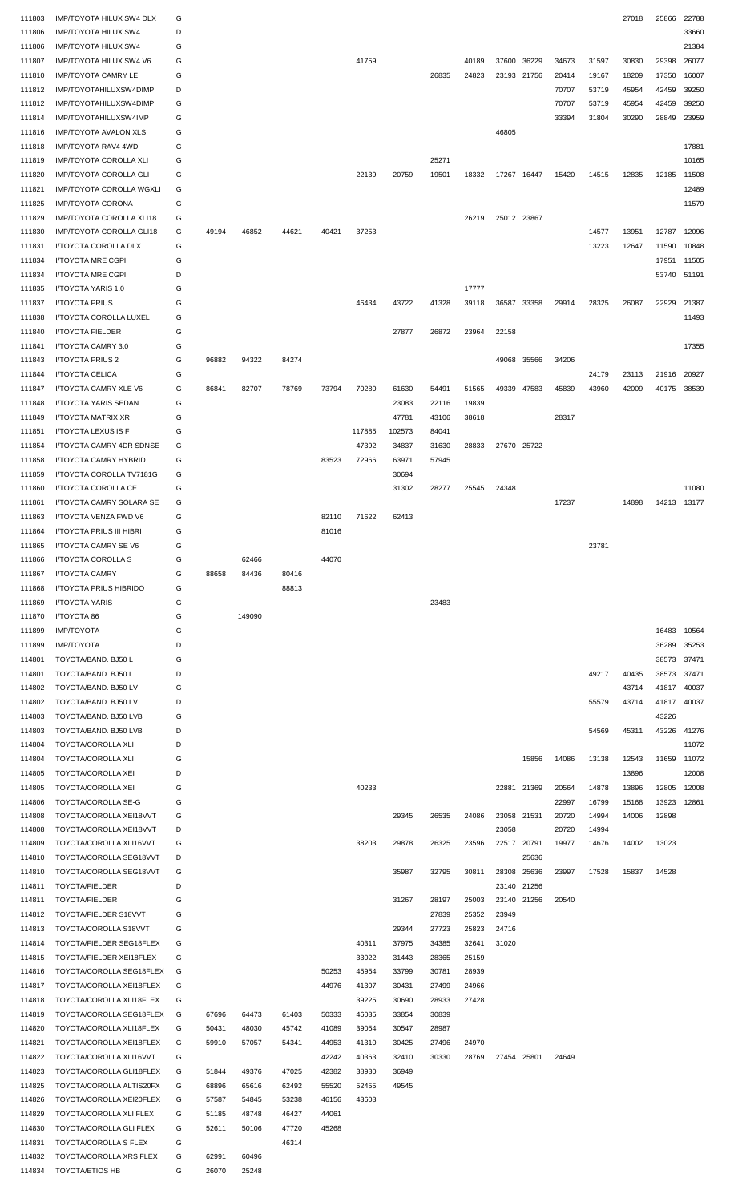| 111803           | <b>IMP/TOYOTA HILUX SW4 DLX</b>                              | G      |                |                |                |                |                |                |                |                |                            |             |                |                | 27018          | 25866          | 22788          |
|------------------|--------------------------------------------------------------|--------|----------------|----------------|----------------|----------------|----------------|----------------|----------------|----------------|----------------------------|-------------|----------------|----------------|----------------|----------------|----------------|
| 111806           | <b>IMP/TOYOTA HILUX SW4</b>                                  | D      |                |                |                |                |                |                |                |                |                            |             |                |                |                |                | 33660          |
| 111806           | <b>IMP/TOYOTA HILUX SW4</b>                                  | G      |                |                |                |                |                |                |                |                |                            |             |                |                |                |                | 21384          |
| 111807<br>111810 | <b>IMP/TOYOTA HILUX SW4 V6</b><br><b>IMP/TOYOTA CAMRY LE</b> | G<br>G |                |                |                |                | 41759          |                | 26835          | 40189<br>24823 | 37600 36229<br>23193 21756 |             | 34673<br>20414 | 31597<br>19167 | 30830<br>18209 | 29398<br>17350 | 26077<br>16007 |
| 111812           | IMP/TOYOTAHILUXSW4DIMP                                       | D      |                |                |                |                |                |                |                |                |                            |             | 70707          | 53719          | 45954          | 42459          | 39250          |
| 111812           | IMP/TOYOTAHILUXSW4DIMP                                       | G      |                |                |                |                |                |                |                |                |                            |             | 70707          | 53719          | 45954          | 42459          | 39250          |
| 111814           | IMP/TOYOTAHILUXSW4IMP                                        | G      |                |                |                |                |                |                |                |                |                            |             | 33394          | 31804          | 30290          | 28849          | 23959          |
| 111816           | <b>IMP/TOYOTA AVALON XLS</b>                                 | G      |                |                |                |                |                |                |                |                | 46805                      |             |                |                |                |                |                |
| 111818           | IMP/TOYOTA RAV4 4WD                                          | G      |                |                |                |                |                |                |                |                |                            |             |                |                |                |                | 17881          |
| 111819           | <b>IMP/TOYOTA COROLLA XLI</b>                                | G      |                |                |                |                |                |                | 25271          |                |                            |             |                |                |                |                | 10165          |
| 111820           | <b>IMP/TOYOTA COROLLA GLI</b>                                | G      |                |                |                |                | 22139          | 20759          | 19501          | 18332          | 17267 16447                |             | 15420          | 14515          | 12835          | 12185          | 11508          |
| 111821           | <b>IMP/TOYOTA COROLLA WGXLI</b>                              | G      |                |                |                |                |                |                |                |                |                            |             |                |                |                |                | 12489          |
| 111825<br>111829 | <b>IMP/TOYOTA CORONA</b><br>IMP/TOYOTA COROLLA XLI18         | G<br>G |                |                |                |                |                |                |                | 26219          | 25012 23867                |             |                |                |                |                | 11579          |
| 111830           | <b>IMP/TOYOTA COROLLA GLI18</b>                              | G      | 49194          | 46852          | 44621          | 40421          | 37253          |                |                |                |                            |             |                | 14577          | 13951          | 12787          | 12096          |
| 111831           | I/TOYOTA COROLLA DLX                                         | G      |                |                |                |                |                |                |                |                |                            |             |                | 13223          | 12647          | 11590          | 10848          |
| 111834           | I/TOYOTA MRE CGPI                                            | G      |                |                |                |                |                |                |                |                |                            |             |                |                |                | 17951          | 11505          |
| 111834           | <b>I/TOYOTA MRE CGPI</b>                                     | D      |                |                |                |                |                |                |                |                |                            |             |                |                |                | 53740          | 51191          |
| 111835           | I/TOYOTA YARIS 1.0                                           | G      |                |                |                |                |                |                |                | 17777          |                            |             |                |                |                |                |                |
| 111837           | <b>I/TOYOTA PRIUS</b>                                        | G      |                |                |                |                | 46434          | 43722          | 41328          | 39118          | 36587 33358                |             | 29914          | 28325          | 26087          | 22929          | 21387          |
| 111838           | I/TOYOTA COROLLA LUXEL                                       | G      |                |                |                |                |                |                |                |                |                            |             |                |                |                |                | 11493          |
| 111840           | <b>I/TOYOTA FIELDER</b>                                      | G      |                |                |                |                |                | 27877          | 26872          | 23964          | 22158                      |             |                |                |                |                |                |
| 111841           | <b>I/TOYOTA CAMRY 3.0</b>                                    | G      |                |                |                |                |                |                |                |                |                            |             |                |                |                |                | 17355          |
| 111843<br>111844 | <b>I/TOYOTA PRIUS 2</b><br>I/TOYOTA CELICA                   | G<br>G | 96882          | 94322          | 84274          |                |                |                |                |                |                            | 49068 35566 | 34206          | 24179          | 23113          | 21916          | 20927          |
| 111847           | I/TOYOTA CAMRY XLE V6                                        | G      | 86841          | 82707          | 78769          | 73794          | 70280          | 61630          | 54491          | 51565          |                            | 49339 47583 | 45839          | 43960          | 42009          | 40175          | 38539          |
| 111848           | I/TOYOTA YARIS SEDAN                                         | G      |                |                |                |                |                | 23083          | 22116          | 19839          |                            |             |                |                |                |                |                |
| 111849           | <b>I/TOYOTA MATRIX XR</b>                                    | G      |                |                |                |                |                | 47781          | 43106          | 38618          |                            |             | 28317          |                |                |                |                |
| 111851           | <b>I/TOYOTA LEXUS IS F</b>                                   | G      |                |                |                |                | 117885         | 102573         | 84041          |                |                            |             |                |                |                |                |                |
| 111854           | I/TOYOTA CAMRY 4DR SDNSE                                     | G      |                |                |                |                | 47392          | 34837          | 31630          | 28833          | 27670 25722                |             |                |                |                |                |                |
| 111858           | I/TOYOTA CAMRY HYBRID                                        | G      |                |                |                | 83523          | 72966          | 63971          | 57945          |                |                            |             |                |                |                |                |                |
| 111859           | I/TOYOTA COROLLA TV7181G                                     | G      |                |                |                |                |                | 30694          |                |                |                            |             |                |                |                |                |                |
| 111860           | I/TOYOTA COROLLA CE                                          | G      |                |                |                |                |                | 31302          | 28277          | 25545          | 24348                      |             |                |                |                |                | 11080          |
| 111861           | I/TOYOTA CAMRY SOLARA SE                                     | G      |                |                |                |                |                |                |                |                |                            |             | 17237          |                | 14898          | 14213          | 13177          |
| 111863           | I/TOYOTA VENZA FWD V6                                        | G      |                |                |                | 82110          | 71622          | 62413          |                |                |                            |             |                |                |                |                |                |
| 111864<br>111865 | <b>I/TOYOTA PRIUS III HIBRI</b><br>I/TOYOTA CAMRY SE V6      | G<br>G |                |                |                | 81016          |                |                |                |                |                            |             |                | 23781          |                |                |                |
| 111866           | I/TOYOTA COROLLA S                                           | G      |                | 62466          |                | 44070          |                |                |                |                |                            |             |                |                |                |                |                |
| 111867           | I/TOYOTA CAMRY                                               | G      | 88658          | 84436          | 80416          |                |                |                |                |                |                            |             |                |                |                |                |                |
| 111868           | I/TOYOTA PRIUS HIBRIDO                                       | G      |                |                | 88813          |                |                |                |                |                |                            |             |                |                |                |                |                |
| 111869           | <b>I/TOYOTA YARIS</b>                                        | G      |                |                |                |                |                |                | 23483          |                |                            |             |                |                |                |                |                |
| 111870           | I/TOYOTA 86                                                  | G      |                | 149090         |                |                |                |                |                |                |                            |             |                |                |                |                |                |
| 111899           | <b>IMP/TOYOTA</b>                                            | G      |                |                |                |                |                |                |                |                |                            |             |                |                |                | 16483          | 10564          |
| 111899           | <b>IMP/TOYOTA</b>                                            | D      |                |                |                |                |                |                |                |                |                            |             |                |                |                | 36289          | 35253          |
| 114801           | TOYOTA/BAND. BJ50 L                                          | G      |                |                |                |                |                |                |                |                |                            |             |                |                |                | 38573          | 37471          |
| 114801           | TOYOTA/BAND. BJ50 L                                          | D      |                |                |                |                |                |                |                |                |                            |             |                | 49217          | 40435          | 38573          | 37471          |
| 114802           |                                                              |        |                |                |                |                |                |                |                |                |                            |             |                |                | 43714          | 41817<br>41817 | 40037<br>40037 |
|                  | TOYOTA/BAND. BJ50 LV                                         | G      |                |                |                |                |                |                |                |                |                            |             |                |                |                |                |                |
| 114802           | TOYOTA/BAND. BJ50 LV                                         | D      |                |                |                |                |                |                |                |                |                            |             |                | 55579          | 43714          |                |                |
| 114803           | TOYOTA/BAND. BJ50 LVB                                        | G<br>D |                |                |                |                |                |                |                |                |                            |             |                |                |                | 43226<br>43226 | 41276          |
| 114803<br>114804 | TOYOTA/BAND. BJ50 LVB<br><b>TOYOTA/COROLLA XLI</b>           | D      |                |                |                |                |                |                |                |                |                            |             |                | 54569          | 45311          |                | 11072          |
| 114804           | <b>TOYOTA/COROLLA XLI</b>                                    | G      |                |                |                |                |                |                |                |                |                            | 15856       | 14086          | 13138          | 12543          | 11659          | 11072          |
| 114805           | TOYOTA/COROLLA XEI                                           | D      |                |                |                |                |                |                |                |                |                            |             |                |                | 13896          |                | 12008          |
| 114805           | TOYOTA/COROLLA XEI                                           | G      |                |                |                |                | 40233          |                |                |                | 22881                      | 21369       | 20564          | 14878          | 13896          | 12805          | 12008          |
| 114806           | TOYOTA/COROLLA SE-G                                          | G      |                |                |                |                |                |                |                |                |                            |             | 22997          | 16799          | 15168          | 13923          | 12861          |
| 114808           | TOYOTA/COROLLA XEI18VVT                                      | G      |                |                |                |                |                | 29345          | 26535          | 24086          | 23058 21531                |             | 20720          | 14994          | 14006          | 12898          |                |
| 114808           | TOYOTA/COROLLA XEI18VVT                                      | D      |                |                |                |                |                |                |                |                | 23058                      |             | 20720          | 14994          |                |                |                |
| 114809           | TOYOTA/COROLLA XLI16VVT                                      | G      |                |                |                |                | 38203          | 29878          | 26325          | 23596          | 22517 20791                |             | 19977          | 14676          | 14002          | 13023          |                |
| 114810<br>114810 | TOYOTA/COROLLA SEG18VVT<br>TOYOTA/COROLLA SEG18VVT           | D<br>G |                |                |                |                |                | 35987          | 32795          | 30811          | 28308 25636                | 25636       | 23997          | 17528          | 15837          | 14528          |                |
| 114811           | <b>TOYOTA/FIELDER</b>                                        | D      |                |                |                |                |                |                |                |                | 23140 21256                |             |                |                |                |                |                |
| 114811           | <b>TOYOTA/FIELDER</b>                                        | G      |                |                |                |                |                | 31267          | 28197          | 25003          | 23140 21256                |             | 20540          |                |                |                |                |
| 114812           | <b>TOYOTA/FIELDER S18VVT</b>                                 | G      |                |                |                |                |                |                | 27839          | 25352          | 23949                      |             |                |                |                |                |                |
| 114813           | TOYOTA/COROLLA S18VVT                                        | G      |                |                |                |                |                | 29344          | 27723          | 25823          | 24716                      |             |                |                |                |                |                |
| 114814           | TOYOTA/FIELDER SEG18FLEX                                     | G      |                |                |                |                | 40311          | 37975          | 34385          | 32641          | 31020                      |             |                |                |                |                |                |
| 114815           | TOYOTA/FIELDER XEI18FLEX                                     | G      |                |                |                |                | 33022          | 31443          | 28365          | 25159          |                            |             |                |                |                |                |                |
| 114816           | TOYOTA/COROLLA SEG18FLEX                                     | G      |                |                |                | 50253          | 45954          | 33799          | 30781          | 28939          |                            |             |                |                |                |                |                |
| 114817           | TOYOTA/COROLLA XEI18FLEX                                     | G      |                |                |                | 44976          | 41307          | 30431          | 27499          | 24966          |                            |             |                |                |                |                |                |
| 114818           | TOYOTA/COROLLA XLI18FLEX                                     | G      |                |                |                |                | 39225          | 30690          | 28933          | 27428          |                            |             |                |                |                |                |                |
| 114819           | TOYOTA/COROLLA SEG18FLEX                                     | G<br>G | 67696          | 64473          | 61403          | 50333          | 46035          | 33854          | 30839          |                |                            |             |                |                |                |                |                |
| 114820<br>114821 | TOYOTA/COROLLA XLI18FLEX<br>TOYOTA/COROLLA XEI18FLEX         | G      | 50431<br>59910 | 48030<br>57057 | 45742<br>54341 | 41089<br>44953 | 39054<br>41310 | 30547<br>30425 | 28987<br>27496 | 24970          |                            |             |                |                |                |                |                |
| 114822           | TOYOTA/COROLLA XLI16VVT                                      | G      |                |                |                | 42242          | 40363          | 32410          | 30330          | 28769          | 27454 25801                |             | 24649          |                |                |                |                |
| 114823           | TOYOTA/COROLLA GLI18FLEX                                     | G      | 51844          | 49376          | 47025          | 42382          | 38930          | 36949          |                |                |                            |             |                |                |                |                |                |
| 114825           | TOYOTA/COROLLA ALTIS20FX                                     | G      | 68896          | 65616          | 62492          | 55520          | 52455          | 49545          |                |                |                            |             |                |                |                |                |                |
| 114826           | TOYOTA/COROLLA XEI20FLEX                                     | G      | 57587          | 54845          | 53238          | 46156          | 43603          |                |                |                |                            |             |                |                |                |                |                |
| 114829           | TOYOTA/COROLLA XLI FLEX                                      | G      | 51185          | 48748          | 46427          | 44061          |                |                |                |                |                            |             |                |                |                |                |                |
| 114830           | TOYOTA/COROLLA GLI FLEX                                      | G      | 52611          | 50106          | 47720          | 45268          |                |                |                |                |                            |             |                |                |                |                |                |
| 114831           | TOYOTA/COROLLA S FLEX                                        | G      |                |                | 46314          |                |                |                |                |                |                            |             |                |                |                |                |                |
| 114832<br>114834 | TOYOTA/COROLLA XRS FLEX<br><b>TOYOTA/ETIOS HB</b>            | G<br>G | 62991<br>26070 | 60496<br>25248 |                |                |                |                |                |                |                            |             |                |                |                |                |                |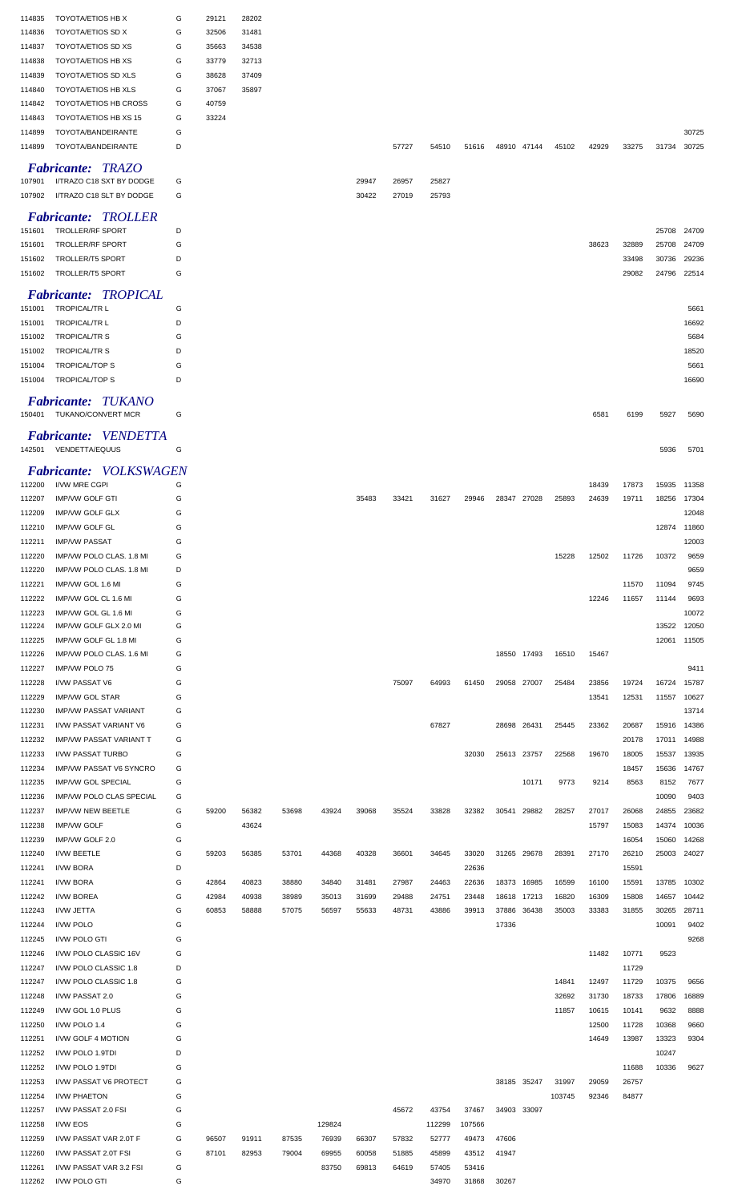| 114835           | <b>TOYOTA/ETIOS HB X</b>                       | G      | 29121 | 28202 |       |        |       |       |                |                |             |             |        |       |                |       |       |
|------------------|------------------------------------------------|--------|-------|-------|-------|--------|-------|-------|----------------|----------------|-------------|-------------|--------|-------|----------------|-------|-------|
| 114836           | <b>TOYOTA/ETIOS SD X</b>                       | G      | 32506 | 31481 |       |        |       |       |                |                |             |             |        |       |                |       |       |
| 114837           | TOYOTA/ETIOS SD XS                             | G      | 35663 | 34538 |       |        |       |       |                |                |             |             |        |       |                |       |       |
| 114838           | TOYOTA/ETIOS HB XS                             | G      | 33779 | 32713 |       |        |       |       |                |                |             |             |        |       |                |       |       |
| 114839           | <b>TOYOTA/ETIOS SD XLS</b>                     | G      | 38628 | 37409 |       |        |       |       |                |                |             |             |        |       |                |       |       |
| 114840           | <b>TOYOTA/ETIOS HB XLS</b>                     | G      | 37067 | 35897 |       |        |       |       |                |                |             |             |        |       |                |       |       |
| 114842           | <b>TOYOTA/ETIOS HB CROSS</b>                   | G      | 40759 |       |       |        |       |       |                |                |             |             |        |       |                |       |       |
| 114843           | TOYOTA/ETIOS HB XS 15                          | G      | 33224 |       |       |        |       |       |                |                |             |             |        |       |                |       |       |
| 114899           | TOYOTA/BANDEIRANTE                             | G      |       |       |       |        |       |       |                |                |             |             |        |       |                |       | 30725 |
| 114899           | TOYOTA/BANDEIRANTE                             | D      |       |       |       |        |       | 57727 | 54510          | 51616          |             | 48910 47144 | 45102  | 42929 | 33275          | 31734 | 30725 |
|                  |                                                |        |       |       |       |        |       |       |                |                |             |             |        |       |                |       |       |
|                  | <b>Fabricante: TRAZO</b>                       |        |       |       |       |        |       |       |                |                |             |             |        |       |                |       |       |
| 107901           | I/TRAZO C18 SXT BY DODGE                       | G      |       |       |       |        | 29947 | 26957 | 25827          |                |             |             |        |       |                |       |       |
| 107902           | I/TRAZO C18 SLT BY DODGE                       | G      |       |       |       |        | 30422 | 27019 | 25793          |                |             |             |        |       |                |       |       |
|                  | <b>Fabricante: TROLLER</b>                     |        |       |       |       |        |       |       |                |                |             |             |        |       |                |       |       |
| 151601           | TROLLER/RF SPORT                               | D      |       |       |       |        |       |       |                |                |             |             |        |       |                | 25708 | 24709 |
| 151601           | TROLLER/RF SPORT                               | G      |       |       |       |        |       |       |                |                |             |             |        | 38623 | 32889          | 25708 | 24709 |
| 151602           | <b>TROLLER/T5 SPORT</b>                        | D      |       |       |       |        |       |       |                |                |             |             |        |       | 33498          | 30736 | 29236 |
| 151602           | TROLLER/T5 SPORT                               | G      |       |       |       |        |       |       |                |                |             |             |        |       | 29082          | 24796 | 22514 |
|                  |                                                |        |       |       |       |        |       |       |                |                |             |             |        |       |                |       |       |
|                  | <b>Fabricante: TROPICAL</b>                    |        |       |       |       |        |       |       |                |                |             |             |        |       |                |       |       |
| 151001           | <b>TROPICAL/TR L</b>                           | G      |       |       |       |        |       |       |                |                |             |             |        |       |                |       | 5661  |
| 151001           | <b>TROPICAL/TR L</b>                           | D      |       |       |       |        |       |       |                |                |             |             |        |       |                |       | 16692 |
| 151002           | <b>TROPICAL/TR S</b>                           | G      |       |       |       |        |       |       |                |                |             |             |        |       |                |       | 5684  |
| 151002           | <b>TROPICAL/TR S</b>                           | D      |       |       |       |        |       |       |                |                |             |             |        |       |                |       | 18520 |
| 151004           | <b>TROPICAL/TOP S</b>                          | G      |       |       |       |        |       |       |                |                |             |             |        |       |                |       | 5661  |
| 151004           | <b>TROPICAL/TOP S</b>                          | D      |       |       |       |        |       |       |                |                |             |             |        |       |                |       | 16690 |
|                  | <b>Fabricante: TUKANO</b>                      |        |       |       |       |        |       |       |                |                |             |             |        |       |                |       |       |
|                  | 150401 TUKANO/CONVERT MCR                      | G      |       |       |       |        |       |       |                |                |             |             |        | 6581  | 6199           | 5927  | 5690  |
|                  |                                                |        |       |       |       |        |       |       |                |                |             |             |        |       |                |       |       |
|                  | <b>Fabricante: VENDETTA</b>                    |        |       |       |       |        |       |       |                |                |             |             |        |       |                |       |       |
| 142501           | VENDETTA/EQUUS                                 | G      |       |       |       |        |       |       |                |                |             |             |        |       |                | 5936  | 5701  |
|                  | Fabricante: VOLKSWAGEN                         |        |       |       |       |        |       |       |                |                |             |             |        |       |                |       |       |
| 112200           | I/VW MRE CGPI                                  | G      |       |       |       |        |       |       |                |                |             |             |        | 18439 |                | 15935 |       |
|                  |                                                |        |       |       |       |        |       |       |                |                |             |             |        |       | 17873          |       | 11358 |
| 112207           | IMP/VW GOLF GTI                                | G      |       |       |       |        | 35483 | 33421 | 31627          | 29946          | 28347 27028 |             | 25893  | 24639 | 19711          | 18256 | 17304 |
| 112209           | <b>IMP/VW GOLF GLX</b>                         | G      |       |       |       |        |       |       |                |                |             |             |        |       |                |       | 12048 |
| 112210           | IMP/VW GOLF GL                                 | G      |       |       |       |        |       |       |                |                |             |             |        |       |                | 12874 | 11860 |
| 112211           | <b>IMP/VW PASSAT</b>                           | G      |       |       |       |        |       |       |                |                |             |             |        |       |                |       | 12003 |
| 112220           | IMP/VW POLO CLAS. 1.8 MI                       | G      |       |       |       |        |       |       |                |                |             |             | 15228  | 12502 | 11726          | 10372 | 9659  |
| 112220           | IMP/VW POLO CLAS. 1.8 MI                       | D      |       |       |       |        |       |       |                |                |             |             |        |       |                |       | 9659  |
| 112221           | IMP/VW GOL 1.6 MI                              | G      |       |       |       |        |       |       |                |                |             |             |        |       | 11570          | 11094 | 9745  |
| 112222           | IMP/VW GOL CL 1.6 MI                           | G      |       |       |       |        |       |       |                |                |             |             |        | 12246 | 11657          | 11144 | 9693  |
| 112223           | IMP/VW GOL GL 1.6 MI                           | G      |       |       |       |        |       |       |                |                |             |             |        |       |                |       | 10072 |
| 112224           | IMP/VW GOLF GLX 2.0 MI                         | G      |       |       |       |        |       |       |                |                |             |             |        |       |                | 13522 | 12050 |
| 112225           | IMP/VW GOLF GL 1.8 MI                          | G      |       |       |       |        |       |       |                |                |             |             |        |       |                | 12061 | 11505 |
| 112226           | IMP/VW POLO CLAS. 1.6 MI                       | G      |       |       |       |        |       |       |                |                |             | 18550 17493 | 16510  | 15467 |                |       |       |
| 112227           | IMP/VW POLO 75                                 | G      |       |       |       |        |       |       |                |                |             |             |        |       |                |       | 9411  |
| 112228           | I/VW PASSAT V6                                 | G      |       |       |       |        |       | 75097 | 64993          | 61450          |             | 29058 27007 | 25484  | 23856 | 19724          | 16724 | 15787 |
| 112229           | <b>IMP/VW GOL STAR</b>                         | G      |       |       |       |        |       |       |                |                |             |             |        | 13541 | 12531          | 11557 | 10627 |
| 112230           | <b>IMP/VW PASSAT VARIANT</b>                   | G      |       |       |       |        |       |       |                |                |             |             |        |       |                |       | 13714 |
| 112231           | I/VW PASSAT VARIANT V6                         | G      |       |       |       |        |       |       | 67827          |                |             | 28698 26431 | 25445  | 23362 | 20687          | 15916 | 14386 |
| 112232           | <b>IMP/VW PASSAT VARIANT T</b>                 | G      |       |       |       |        |       |       |                |                |             |             |        |       | 20178          | 17011 | 14988 |
| 112233           | <b>I/VW PASSAT TURBO</b>                       | G      |       |       |       |        |       |       |                | 32030          |             | 25613 23757 | 22568  | 19670 | 18005          | 15537 | 13935 |
| 112234           | <b>IMP/VW PASSAT V6 SYNCRO</b>                 | G      |       |       |       |        |       |       |                |                |             |             |        |       | 18457          | 15636 | 14767 |
| 112235           | <b>IMP/VW GOL SPECIAL</b>                      | G      |       |       |       |        |       |       |                |                |             | 10171       | 9773   | 9214  | 8563           | 8152  | 7677  |
| 112236           | <b>IMP/VW POLO CLAS SPECIAL</b>                | G      |       |       |       |        |       |       |                |                |             |             |        |       |                | 10090 | 9403  |
| 112237           | <b>IMP/VW NEW BEETLE</b>                       | G      | 59200 | 56382 | 53698 | 43924  | 39068 | 35524 | 33828          | 32382          | 30541       | 29882       | 28257  | 27017 | 26068          | 24855 | 23682 |
| 112238           | <b>IMP/VW GOLF</b>                             | G      |       | 43624 |       |        |       |       |                |                |             |             |        | 15797 | 15083          | 14374 | 10036 |
| 112239           | IMP/VW GOLF 2.0                                | G      |       |       |       |        |       |       |                |                |             |             |        |       | 16054          | 15060 | 14268 |
| 112240           | I/VW BEETLE                                    |        |       |       |       |        |       |       |                |                |             |             |        |       |                | 25003 | 24027 |
| 112241           |                                                | G      | 59203 | 56385 | 53701 | 44368  | 40328 | 36601 | 34645          | 33020          |             | 31265 29678 | 28391  | 27170 | 26210          |       |       |
| 112241           | I/VW BORA                                      | D      |       |       |       |        |       |       |                | 22636          |             |             |        |       | 15591          |       |       |
|                  | I/VW BORA                                      | G      | 42864 | 40823 | 38880 | 34840  | 31481 | 27987 | 24463          | 22636          | 18373 16985 |             | 16599  | 16100 | 15591          | 13785 | 10302 |
| 112242           | I/VW BOREA                                     | G      | 42984 | 40938 | 38989 | 35013  | 31699 | 29488 | 24751          | 23448          |             | 18618 17213 | 16820  | 16309 | 15808          | 14657 | 10442 |
| 112243           | I/VW JETTA                                     | G      | 60853 | 58888 | 57075 | 56597  | 55633 | 48731 | 43886          | 39913          |             | 37886 36438 | 35003  | 33383 | 31855          | 30265 | 28711 |
| 112244           | I/VW POLO                                      | G      |       |       |       |        |       |       |                |                | 17336       |             |        |       |                | 10091 | 9402  |
|                  |                                                |        |       |       |       |        |       |       |                |                |             |             |        |       |                |       |       |
| 112245           | I/VW POLO GTI                                  | G      |       |       |       |        |       |       |                |                |             |             |        |       |                |       | 9268  |
| 112246<br>112247 | I/VW POLO CLASSIC 16V<br>I/VW POLO CLASSIC 1.8 | G<br>D |       |       |       |        |       |       |                |                |             |             |        | 11482 | 10771<br>11729 | 9523  |       |
|                  |                                                |        |       |       |       |        |       |       |                |                |             |             |        |       |                |       |       |
| 112247           | I/VW POLO CLASSIC 1.8                          | G      |       |       |       |        |       |       |                |                |             |             | 14841  | 12497 | 11729          | 10375 | 9656  |
| 112248           | I/VW PASSAT 2.0                                | G      |       |       |       |        |       |       |                |                |             |             | 32692  | 31730 | 18733          | 17806 | 16889 |
| 112249           | I/VW GOL 1.0 PLUS                              | G      |       |       |       |        |       |       |                |                |             |             | 11857  | 10615 | 10141          | 9632  | 8888  |
| 112250           | I/VW POLO 1.4                                  | G      |       |       |       |        |       |       |                |                |             |             |        | 12500 | 11728          | 10368 | 9660  |
| 112251           | I/VW GOLF 4 MOTION                             | G      |       |       |       |        |       |       |                |                |             |             |        | 14649 | 13987          | 13323 | 9304  |
| 112252           | I/VW POLO 1.9TDI                               | D      |       |       |       |        |       |       |                |                |             |             |        |       |                | 10247 |       |
| 112252           | I/VW POLO 1.9TDI                               | G      |       |       |       |        |       |       |                |                |             |             |        |       | 11688          | 10336 | 9627  |
| 112253           | I/VW PASSAT V6 PROTECT                         | G      |       |       |       |        |       |       |                |                |             | 38185 35247 | 31997  | 29059 | 26757          |       |       |
| 112254           | I/VW PHAETON                                   | G      |       |       |       |        |       |       |                |                |             |             | 103745 | 92346 | 84877          |       |       |
| 112257           | I/VW PASSAT 2.0 FSI                            | G      |       |       |       |        |       | 45672 | 43754          | 37467          | 34903 33097 |             |        |       |                |       |       |
| 112258           | I/VW EOS                                       | G      |       |       |       | 129824 |       |       | 112299         | 107566         |             |             |        |       |                |       |       |
| 112259           | I/VW PASSAT VAR 2.0T F                         | G      | 96507 | 91911 | 87535 | 76939  | 66307 | 57832 | 52777          | 49473          | 47606       |             |        |       |                |       |       |
| 112260           | <b>I/VW PASSAT 2.0T FSI</b>                    | G      | 87101 | 82953 | 79004 | 69955  | 60058 | 51885 | 45899          | 43512          | 41947       |             |        |       |                |       |       |
| 112261<br>112262 | I/VW PASSAT VAR 3.2 FSI<br>I/VW POLO GTI       | G<br>G |       |       |       | 83750  | 69813 | 64619 | 57405<br>34970 | 53416<br>31868 | 30267       |             |        |       |                |       |       |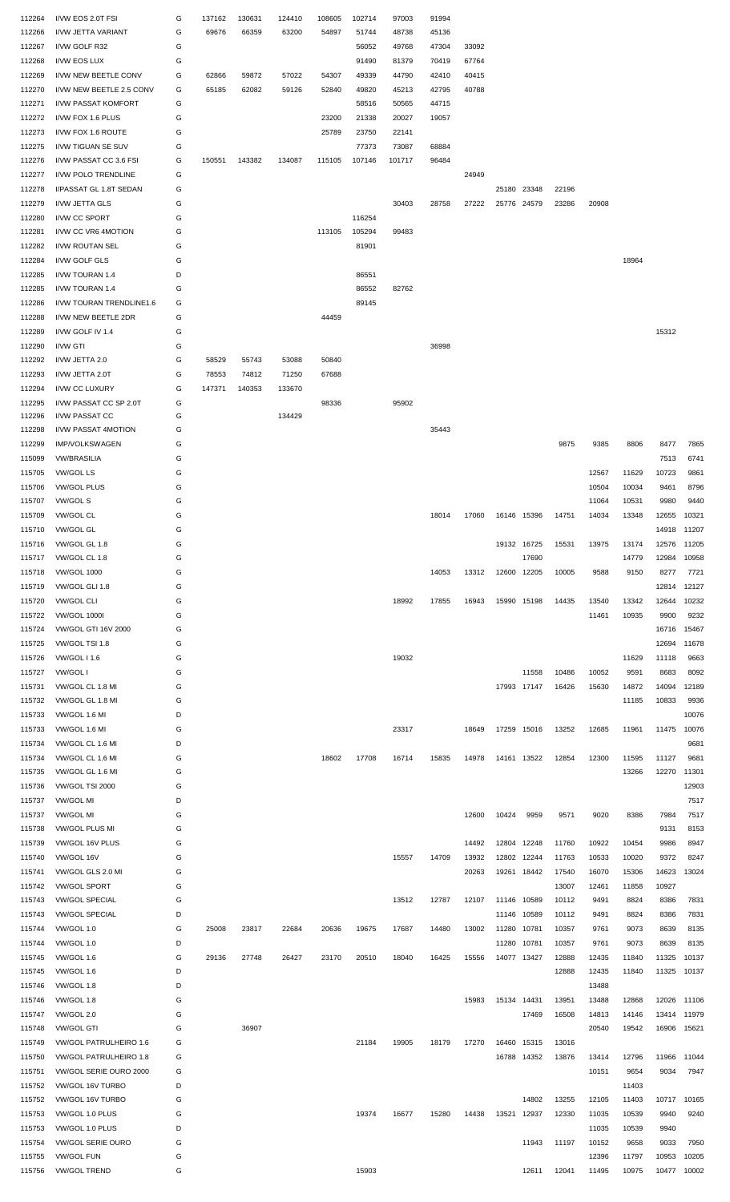| 112264 | I/VW EOS 2.0T FSI             | G | 137162 | 130631 | 124410 | 108605 | 102714 | 97003  | 91994 |       |             |             |       |       |       |             |       |
|--------|-------------------------------|---|--------|--------|--------|--------|--------|--------|-------|-------|-------------|-------------|-------|-------|-------|-------------|-------|
| 112266 | I/VW JETTA VARIANT            | G | 69676  | 66359  | 63200  | 54897  | 51744  | 48738  | 45136 |       |             |             |       |       |       |             |       |
| 112267 | I/VW GOLF R32                 | G |        |        |        |        | 56052  | 49768  | 47304 | 33092 |             |             |       |       |       |             |       |
| 112268 | I/VW EOS LUX                  | G |        |        |        |        | 91490  | 81379  | 70419 | 67764 |             |             |       |       |       |             |       |
| 112269 | I/VW NEW BEETLE CONV          | G | 62866  | 59872  | 57022  | 54307  | 49339  | 44790  | 42410 | 40415 |             |             |       |       |       |             |       |
|        |                               |   |        |        |        |        |        |        |       |       |             |             |       |       |       |             |       |
| 112270 | I/VW NEW BEETLE 2.5 CONV      | G | 65185  | 62082  | 59126  | 52840  | 49820  | 45213  | 42795 | 40788 |             |             |       |       |       |             |       |
| 112271 | I/VW PASSAT KOMFORT           | G |        |        |        |        | 58516  | 50565  | 44715 |       |             |             |       |       |       |             |       |
| 112272 | I/VW FOX 1.6 PLUS             | G |        |        |        | 23200  | 21338  | 20027  | 19057 |       |             |             |       |       |       |             |       |
| 112273 | I/VW FOX 1.6 ROUTE            | G |        |        |        | 25789  | 23750  | 22141  |       |       |             |             |       |       |       |             |       |
| 112275 | I/VW TIGUAN SE SUV            | G |        |        |        |        | 77373  | 73087  | 68884 |       |             |             |       |       |       |             |       |
|        |                               |   |        |        |        |        |        |        |       |       |             |             |       |       |       |             |       |
| 112276 | I/VW PASSAT CC 3.6 FSI        | G | 150551 | 143382 | 134087 | 115105 | 107146 | 101717 | 96484 |       |             |             |       |       |       |             |       |
| 112277 | I/VW POLO TRENDLINE           | G |        |        |        |        |        |        |       | 24949 |             |             |       |       |       |             |       |
| 112278 | I/PASSAT GL 1.8T SEDAN        | G |        |        |        |        |        |        |       |       | 25180 23348 |             | 22196 |       |       |             |       |
| 112279 | I/VW JETTA GLS                | G |        |        |        |        |        | 30403  | 28758 | 27222 | 25776 24579 |             | 23286 | 20908 |       |             |       |
| 112280 | I/VW CC SPORT                 | G |        |        |        |        | 116254 |        |       |       |             |             |       |       |       |             |       |
|        |                               |   |        |        |        |        |        |        |       |       |             |             |       |       |       |             |       |
| 112281 | I/VW CC VR6 4MOTION           | G |        |        |        | 113105 | 105294 | 99483  |       |       |             |             |       |       |       |             |       |
| 112282 | I/VW ROUTAN SEL               | G |        |        |        |        | 81901  |        |       |       |             |             |       |       |       |             |       |
| 112284 | I/VW GOLF GLS                 | G |        |        |        |        |        |        |       |       |             |             |       |       | 18964 |             |       |
| 112285 | I/VW TOURAN 1.4               | D |        |        |        |        | 86551  |        |       |       |             |             |       |       |       |             |       |
|        |                               |   |        |        |        |        |        |        |       |       |             |             |       |       |       |             |       |
| 112285 | I/VW TOURAN 1.4               | G |        |        |        |        | 86552  | 82762  |       |       |             |             |       |       |       |             |       |
| 112286 | I/VW TOURAN TRENDLINE1.6      | G |        |        |        |        | 89145  |        |       |       |             |             |       |       |       |             |       |
| 112288 | I/VW NEW BEETLE 2DR           | G |        |        |        | 44459  |        |        |       |       |             |             |       |       |       |             |       |
| 112289 | I/VW GOLF IV 1.4              | G |        |        |        |        |        |        |       |       |             |             |       |       |       | 15312       |       |
| 112290 | I/VW GTI                      | G |        |        |        |        |        |        | 36998 |       |             |             |       |       |       |             |       |
|        |                               |   |        |        |        |        |        |        |       |       |             |             |       |       |       |             |       |
| 112292 | I/VW JETTA 2.0                | G | 58529  | 55743  | 53088  | 50840  |        |        |       |       |             |             |       |       |       |             |       |
| 112293 | I/VW JETTA 2.0T               | G | 78553  | 74812  | 71250  | 67688  |        |        |       |       |             |             |       |       |       |             |       |
| 112294 | I/VW CC LUXURY                | G | 147371 | 140353 | 133670 |        |        |        |       |       |             |             |       |       |       |             |       |
| 112295 | I/VW PASSAT CC SP 2.0T        | G |        |        |        | 98336  |        | 95902  |       |       |             |             |       |       |       |             |       |
| 112296 | I/VW PASSAT CC                | G |        |        | 134429 |        |        |        |       |       |             |             |       |       |       |             |       |
|        |                               |   |        |        |        |        |        |        |       |       |             |             |       |       |       |             |       |
| 112298 | I/VW PASSAT 4MOTION           | G |        |        |        |        |        |        | 35443 |       |             |             |       |       |       |             |       |
| 112299 | IMP/VOLKSWAGEN                | G |        |        |        |        |        |        |       |       |             |             | 9875  | 9385  | 8806  | 8477        | 7865  |
| 115099 | <b>VW/BRASILIA</b>            | G |        |        |        |        |        |        |       |       |             |             |       |       |       | 7513        | 6741  |
| 115705 | <b>VW/GOL LS</b>              | G |        |        |        |        |        |        |       |       |             |             |       | 12567 | 11629 | 10723       | 9861  |
|        |                               |   |        |        |        |        |        |        |       |       |             |             |       |       |       |             |       |
| 115706 | <b>VW/GOL PLUS</b>            | G |        |        |        |        |        |        |       |       |             |             |       | 10504 | 10034 | 9461        | 8796  |
| 115707 | <b>VW/GOLS</b>                | G |        |        |        |        |        |        |       |       |             |             |       | 11064 | 10531 | 9980        | 9440  |
| 115709 | <b>VW/GOL CL</b>              | G |        |        |        |        |        |        | 18014 | 17060 | 16146 15396 |             | 14751 | 14034 | 13348 | 12655       | 10321 |
| 115710 | <b>VW/GOL GL</b>              | G |        |        |        |        |        |        |       |       |             |             |       |       |       | 14918 11207 |       |
|        | 115716 VW/GOL GL 1.8          | G |        |        |        |        |        |        |       |       |             | 19132 16725 | 15531 | 13975 | 13174 | 12576       | 11205 |
|        |                               |   |        |        |        |        |        |        |       |       |             |             |       |       |       |             |       |
| 115717 | VW/GOL CL 1.8                 | G |        |        |        |        |        |        |       |       |             | 17690       |       |       | 14779 | 12984       | 10958 |
| 115718 | <b>VW/GOL 1000</b>            | G |        |        |        |        |        |        | 14053 | 13312 | 12600 12205 |             | 10005 | 9588  | 9150  | 8277        | 7721  |
| 115719 | VW/GOL GLI 1.8                | G |        |        |        |        |        |        |       |       |             |             |       |       |       | 12814       | 12127 |
| 115720 | <b>VW/GOL CLI</b>             | G |        |        |        |        |        | 18992  | 17855 | 16943 | 15990 15198 |             | 14435 | 13540 | 13342 | 12644       | 10232 |
|        | <b>VW/GOL 1000I</b>           | G |        |        |        |        |        |        |       |       |             |             |       | 11461 | 10935 | 9900        | 9232  |
| 115722 |                               |   |        |        |        |        |        |        |       |       |             |             |       |       |       |             |       |
| 115724 | <b>VW/GOL GTI 16V 2000</b>    | G |        |        |        |        |        |        |       |       |             |             |       |       |       | 16716       | 15467 |
| 115725 | VW/GOL TSI 1.8                | G |        |        |        |        |        |        |       |       |             |             |       |       |       | 12694       | 11678 |
| 115726 | <b>VW/GOL I 1.6</b>           | G |        |        |        |        |        | 19032  |       |       |             |             |       |       | 11629 | 11118       | 9663  |
| 115727 | VW/GOL I                      | G |        |        |        |        |        |        |       |       |             | 11558       | 10486 | 10052 | 9591  | 8683        | 8092  |
|        |                               |   |        |        |        |        |        |        |       |       |             |             |       |       |       |             |       |
| 115731 | VW/GOL CL 1.8 MI              | G |        |        |        |        |        |        |       |       | 17993 17147 |             | 16426 | 15630 | 14872 | 14094       | 12189 |
| 115732 | VW/GOL GL 1.8 MI              | G |        |        |        |        |        |        |       |       |             |             |       |       | 11185 | 10833       | 9936  |
| 115733 | VW/GOL 1.6 MI                 | D |        |        |        |        |        |        |       |       |             |             |       |       |       |             | 10076 |
| 115733 | VW/GOL 1.6 MI                 | G |        |        |        |        |        | 23317  |       | 18649 | 17259       | 15016       | 13252 | 12685 | 11961 | 11475       | 10076 |
|        |                               |   |        |        |        |        |        |        |       |       |             |             |       |       |       |             |       |
| 115734 | VW/GOL CL 1.6 MI              | D |        |        |        |        |        |        |       |       |             |             |       |       |       |             | 9681  |
| 115734 | VW/GOL CL 1.6 MI              | G |        |        |        | 18602  | 17708  | 16714  | 15835 | 14978 | 14161       | 13522       | 12854 | 12300 | 11595 | 11127       | 9681  |
| 115735 | VW/GOL GL 1.6 MI              | G |        |        |        |        |        |        |       |       |             |             |       |       | 13266 | 12270       | 11301 |
| 115736 | VW/GOL TSI 2000               | G |        |        |        |        |        |        |       |       |             |             |       |       |       |             | 12903 |
| 115737 | <b>VW/GOL MI</b>              | D |        |        |        |        |        |        |       |       |             |             |       |       |       |             | 7517  |
|        |                               |   |        |        |        |        |        |        |       |       |             |             |       |       |       |             |       |
| 115737 | <b>VW/GOL MI</b>              | G |        |        |        |        |        |        |       | 12600 | 10424       | 9959        | 9571  | 9020  | 8386  | 7984        | 7517  |
| 115738 | <b>VW/GOL PLUS MI</b>         | G |        |        |        |        |        |        |       |       |             |             |       |       |       | 9131        | 8153  |
| 115739 | VW/GOL 16V PLUS               | G |        |        |        |        |        |        |       | 14492 | 12804       | 12248       | 11760 | 10922 | 10454 | 9986        | 8947  |
| 115740 | VW/GOL 16V                    | G |        |        |        |        |        | 15557  | 14709 | 13932 | 12802       | 12244       | 11763 | 10533 | 10020 | 9372        | 8247  |
| 115741 | VW/GOL GLS 2.0 MI             | G |        |        |        |        |        |        |       | 20263 | 19261       | 18442       | 17540 | 16070 | 15306 | 14623       | 13024 |
|        |                               |   |        |        |        |        |        |        |       |       |             |             |       |       |       |             |       |
| 115742 | <b>VW/GOL SPORT</b>           | G |        |        |        |        |        |        |       |       |             |             | 13007 | 12461 | 11858 | 10927       |       |
| 115743 | <b>VW/GOL SPECIAL</b>         | G |        |        |        |        |        | 13512  | 12787 | 12107 | 11146       | 10589       | 10112 | 9491  | 8824  | 8386        | 7831  |
| 115743 | <b>VW/GOL SPECIAL</b>         | D |        |        |        |        |        |        |       |       | 11146       | 10589       | 10112 | 9491  | 8824  | 8386        | 7831  |
| 115744 | VW/GOL 1.0                    | G | 25008  | 23817  | 22684  | 20636  | 19675  | 17687  | 14480 | 13002 | 11280       | 10781       | 10357 | 9761  | 9073  | 8639        | 8135  |
|        |                               |   |        |        |        |        |        |        |       |       |             |             |       |       |       |             |       |
| 115744 | <b>VW/GOL 1.0</b>             | D |        |        |        |        |        |        |       |       | 11280       | 10781       | 10357 | 9761  | 9073  | 8639        | 8135  |
| 115745 | VW/GOL 1.6                    | G | 29136  | 27748  | 26427  | 23170  | 20510  | 18040  | 16425 | 15556 | 14077 13427 |             | 12888 | 12435 | 11840 | 11325       | 10137 |
| 115745 | VW/GOL 1.6                    | D |        |        |        |        |        |        |       |       |             |             | 12888 | 12435 | 11840 | 11325       | 10137 |
| 115746 | VW/GOL 1.8                    | D |        |        |        |        |        |        |       |       |             |             |       | 13488 |       |             |       |
|        |                               |   |        |        |        |        |        |        |       |       |             |             |       |       |       |             |       |
| 115746 | <b>VW/GOL 1.8</b>             | G |        |        |        |        |        |        |       | 15983 | 15134 14431 |             | 13951 | 13488 | 12868 | 12026       | 11106 |
| 115747 | VW/GOL 2.0                    | G |        |        |        |        |        |        |       |       |             | 17469       | 16508 | 14813 | 14146 | 13414       | 11979 |
| 115748 | <b>VW/GOL GTI</b>             | G |        | 36907  |        |        |        |        |       |       |             |             |       | 20540 | 19542 | 16906       | 15621 |
| 115749 | <b>VW/GOL PATRULHEIRO 1.6</b> | G |        |        |        |        | 21184  | 19905  | 18179 | 17270 | 16460       | 15315       | 13016 |       |       |             |       |
|        |                               |   |        |        |        |        |        |        |       |       |             |             |       |       |       |             |       |
| 115750 | <b>VW/GOL PATRULHEIRO 1.8</b> | G |        |        |        |        |        |        |       |       | 16788       | 14352       | 13876 | 13414 | 12796 | 11966       | 11044 |
| 115751 | VW/GOL SERIE OURO 2000        | G |        |        |        |        |        |        |       |       |             |             |       | 10151 | 9654  | 9034        | 7947  |
| 115752 | VW/GOL 16V TURBO              | D |        |        |        |        |        |        |       |       |             |             |       |       | 11403 |             |       |
| 115752 | VW/GOL 16V TURBO              | G |        |        |        |        |        |        |       |       |             | 14802       | 13255 | 12105 | 11403 | 10717       | 10165 |
|        |                               |   |        |        |        |        |        |        |       |       |             |             |       |       |       |             |       |
| 115753 | VW/GOL 1.0 PLUS               | G |        |        |        |        | 19374  | 16677  | 15280 | 14438 | 13521       | 12937       | 12330 | 11035 | 10539 | 9940        | 9240  |
| 115753 | VW/GOL 1.0 PLUS               | D |        |        |        |        |        |        |       |       |             |             |       | 11035 | 10539 | 9940        |       |
| 115754 | <b>VW/GOL SERIE OURO</b>      | G |        |        |        |        |        |        |       |       |             | 11943       | 11197 | 10152 | 9658  | 9033        | 7950  |
| 115755 | <b>VW/GOL FUN</b>             | G |        |        |        |        |        |        |       |       |             |             |       | 12396 | 11797 | 10953       | 10205 |
| 115756 | <b>VW/GOL TREND</b>           | G |        |        |        |        | 15903  |        |       |       |             | 12611       | 12041 | 11495 | 10975 | 10477       | 10002 |
|        |                               |   |        |        |        |        |        |        |       |       |             |             |       |       |       |             |       |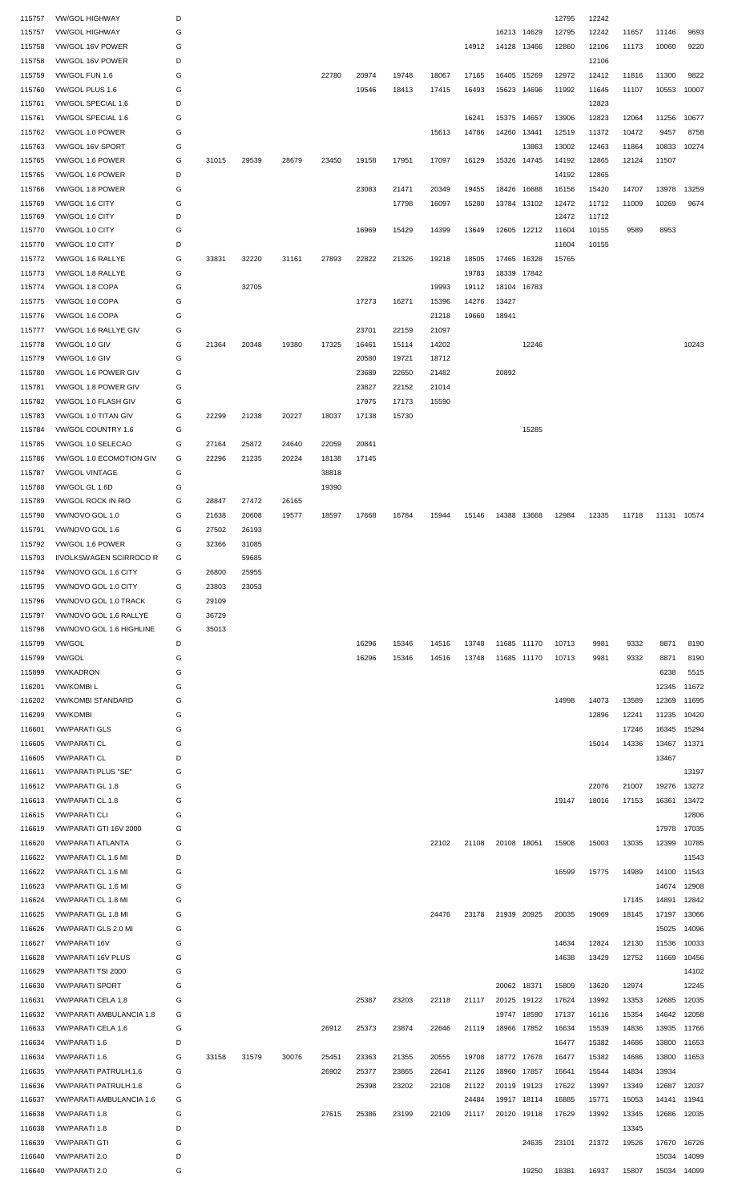| 115757           | <b>VW/GOL HIGHWAY</b>           | D |       |       |       |       |       |       |       |       |             |       | 12795 | 12242 |       |             |       |
|------------------|---------------------------------|---|-------|-------|-------|-------|-------|-------|-------|-------|-------------|-------|-------|-------|-------|-------------|-------|
| 115757           | <b>VW/GOL HIGHWAY</b>           | G |       |       |       |       |       |       |       |       | 16213 14629 |       | 12795 | 12242 | 11657 | 11146       | 9693  |
| 115758           | VW/GOL 16V POWER                | G |       |       |       |       |       |       |       | 14912 | 14128       | 13466 | 12860 | 12106 | 11173 | 10060       | 9220  |
|                  |                                 |   |       |       |       |       |       |       |       |       |             |       |       |       |       |             |       |
| 115758           | VW/GOL 16V POWER                | D |       |       |       |       |       |       |       |       |             |       |       | 12106 |       |             |       |
| 115759           | VW/GOL FUN 1.6                  | G |       |       |       | 22780 | 20974 | 19748 | 18067 | 17165 | 16405       | 15269 | 12972 | 12412 | 11816 | 11300       | 9822  |
| 115760           | VW/GOL PLUS 1.6                 | G |       |       |       |       | 19546 | 18413 | 17415 | 16493 | 15623       | 14696 | 11992 | 11645 | 11107 | 10553       | 10007 |
| 115761           | VW/GOL SPECIAL 1.6              | D |       |       |       |       |       |       |       |       |             |       |       | 12823 |       |             |       |
|                  | VW/GOL SPECIAL 1.6              | G |       |       |       |       |       |       |       | 16241 | 15375       | 14657 | 13906 | 12823 | 12064 | 11256       | 10677 |
| 115761           |                                 |   |       |       |       |       |       |       |       |       |             |       |       |       |       |             |       |
| 115762           | VW/GOL 1.0 POWER                | G |       |       |       |       |       |       | 15613 | 14786 | 14260       | 13441 | 12519 | 11372 | 10472 | 9457        | 8758  |
| 115763           | VW/GOL 16V SPORT                | G |       |       |       |       |       |       |       |       |             | 13863 | 13002 | 12463 | 11864 | 10833       | 10274 |
| 115765           | VW/GOL 1.6 POWER                | G | 31015 | 29539 | 28679 | 23450 | 19158 | 17951 | 17097 | 16129 | 15326       | 14745 | 14192 | 12865 | 12124 | 11507       |       |
| 115765           | VW/GOL 1.6 POWER                | D |       |       |       |       |       |       |       |       |             |       | 14192 | 12865 |       |             |       |
|                  |                                 |   |       |       |       |       |       |       |       |       |             |       |       |       |       |             |       |
| 115766           | VW/GOL 1.8 POWER                | G |       |       |       |       | 23083 | 21471 | 20349 | 19455 | 18426       | 16688 | 16156 | 15420 | 14707 | 13978       | 13259 |
| 115769           | VW/GOL 1.6 CITY                 | G |       |       |       |       |       | 17798 | 16097 | 15280 | 13784       | 13102 | 12472 | 11712 | 11009 | 10269       | 9674  |
| 115769           | VW/GOL 1.6 CITY                 | D |       |       |       |       |       |       |       |       |             |       | 12472 | 11712 |       |             |       |
| 115770           | VW/GOL 1.0 CITY                 | G |       |       |       |       | 16969 | 15429 | 14399 | 13649 | 12605 12212 |       | 11604 | 10155 | 9589  | 8953        |       |
|                  | VW/GOL 1.0 CITY                 | D |       |       |       |       |       |       |       |       |             |       | 11604 | 10155 |       |             |       |
| 115770           |                                 |   |       |       |       |       |       |       |       |       |             |       |       |       |       |             |       |
| 115772           | VW/GOL 1.6 RALLYE               | G | 33831 | 32220 | 31161 | 27893 | 22822 | 21326 | 19218 | 18505 | 17465 16328 |       | 15765 |       |       |             |       |
| 115773           | VW/GOL 1.8 RALLYE               | G |       |       |       |       |       |       |       | 19783 | 18339 17842 |       |       |       |       |             |       |
| 115774           | VW/GOL 1.8 COPA                 | G |       | 32705 |       |       |       |       | 19993 | 19112 | 18104 16783 |       |       |       |       |             |       |
|                  | VW/GOL 1.0 COPA                 |   |       |       |       |       |       |       |       |       |             |       |       |       |       |             |       |
| 115775           |                                 | G |       |       |       |       | 17273 | 16271 | 15396 | 14276 | 13427       |       |       |       |       |             |       |
| 115776           | VW/GOL 1.6 COPA                 | G |       |       |       |       |       |       | 21218 | 19660 | 18941       |       |       |       |       |             |       |
| 115777           | VW/GOL 1.6 RALLYE GIV           | G |       |       |       |       | 23701 | 22159 | 21097 |       |             |       |       |       |       |             |       |
| 115778           | VW/GOL 1.0 GIV                  | G | 21364 | 20348 | 19380 | 17325 | 16461 | 15114 | 14202 |       |             | 12246 |       |       |       |             | 10243 |
| 115779           | VW/GOL 1.6 GIV                  | G |       |       |       |       | 20580 | 19721 | 18712 |       |             |       |       |       |       |             |       |
|                  |                                 |   |       |       |       |       |       |       |       |       |             |       |       |       |       |             |       |
| 115780           | VW/GOL 1.6 POWER GIV            | G |       |       |       |       | 23689 | 22650 | 21482 |       | 20892       |       |       |       |       |             |       |
| 115781           | VW/GOL 1.8 POWER GIV            | G |       |       |       |       | 23827 | 22152 | 21014 |       |             |       |       |       |       |             |       |
| 115782           | VW/GOL 1.0 FLASH GIV            | G |       |       |       |       | 17975 | 17173 | 15590 |       |             |       |       |       |       |             |       |
|                  |                                 | G | 22299 |       |       |       | 17138 |       |       |       |             |       |       |       |       |             |       |
| 115783           | VW/GOL 1.0 TITAN GIV            |   |       | 21238 | 20227 | 18037 |       | 15730 |       |       |             |       |       |       |       |             |       |
| 115784           | VW/GOL COUNTRY 1.6              | G |       |       |       |       |       |       |       |       |             | 15285 |       |       |       |             |       |
| 115785           | VW/GOL 1.0 SELECAO              | G | 27164 | 25872 | 24640 | 22059 | 20841 |       |       |       |             |       |       |       |       |             |       |
| 115786           | VW/GOL 1.0 ECOMOTION GIV        | G | 22296 | 21235 | 20224 | 18138 | 17145 |       |       |       |             |       |       |       |       |             |       |
| 115787           | <b>VW/GOL VINTAGE</b>           | G |       |       |       | 38818 |       |       |       |       |             |       |       |       |       |             |       |
|                  |                                 |   |       |       |       |       |       |       |       |       |             |       |       |       |       |             |       |
| 115788           | VW/GOL GL 1.6D                  | G |       |       |       | 19390 |       |       |       |       |             |       |       |       |       |             |       |
| 115789           | <b>VW/GOL ROCK IN RIO</b>       | G | 28847 | 27472 | 26165 |       |       |       |       |       |             |       |       |       |       |             |       |
| 115790           | VW/NOVO GOL 1.0                 | G | 21638 | 20608 | 19577 | 18597 | 17668 | 16784 | 15944 | 15146 | 14388 13668 |       | 12984 | 12335 | 11718 | 11131 10574 |       |
| 115791           | VW/NOVO GOL 1.6                 | G | 27502 | 26193 |       |       |       |       |       |       |             |       |       |       |       |             |       |
|                  |                                 |   |       |       |       |       |       |       |       |       |             |       |       |       |       |             |       |
| 115792           | VW/GOL 1.6 POWER                | G | 32366 | 31085 |       |       |       |       |       |       |             |       |       |       |       |             |       |
| 115793           | I/VOLKSWAGEN SCIRROCO R         | G |       | 59685 |       |       |       |       |       |       |             |       |       |       |       |             |       |
| 115794           | VW/NOVO GOL 1.6 CITY            | G | 26800 | 25955 |       |       |       |       |       |       |             |       |       |       |       |             |       |
| 115795           | VW/NOVO GOL 1.0 CITY            | G | 23803 | 23053 |       |       |       |       |       |       |             |       |       |       |       |             |       |
|                  |                                 |   |       |       |       |       |       |       |       |       |             |       |       |       |       |             |       |
| 115796           | VW/NOVO GOL 1.0 TRACK           | G | 29109 |       |       |       |       |       |       |       |             |       |       |       |       |             |       |
|                  |                                 |   |       |       |       |       |       |       |       |       |             |       |       |       |       |             |       |
| 115797           | VW/NOVO GOL 1.6 RALLYE          | G | 36729 |       |       |       |       |       |       |       |             |       |       |       |       |             |       |
| 115798           | VW/NOVO GOL 1.6 HIGHLINE        | G | 35013 |       |       |       |       |       |       |       |             |       |       |       |       |             |       |
|                  |                                 |   |       |       |       |       |       |       |       |       |             |       |       |       |       |             |       |
| 115799           | <b>VW/GOL</b>                   | D |       |       |       |       | 16296 | 15346 | 14516 | 13748 | 11685 11170 |       | 10713 | 9981  | 9332  | 8871        | 8190  |
| 115799           | <b>VW/GOL</b>                   | G |       |       |       |       | 16296 | 15346 | 14516 | 13748 | 11685 11170 |       | 10713 | 9981  | 9332  | 8871        | 8190  |
| 115899           | <b>VW/KADRON</b>                | G |       |       |       |       |       |       |       |       |             |       |       |       |       | 6238        | 5515  |
| 116201           | <b>VW/KOMBIL</b>                | G |       |       |       |       |       |       |       |       |             |       |       |       |       | 12345       | 11672 |
|                  |                                 |   |       |       |       |       |       |       |       |       |             |       |       |       |       |             |       |
| 116202           | <b>VW/KOMBI STANDARD</b>        | G |       |       |       |       |       |       |       |       |             |       | 14998 | 14073 | 13589 | 12369       | 11695 |
| 116299           | <b>VW/KOMBI</b>                 | G |       |       |       |       |       |       |       |       |             |       |       | 12896 | 12241 | 11235       | 10420 |
| 116601           | <b>VW/PARATI GLS</b>            | G |       |       |       |       |       |       |       |       |             |       |       |       | 17246 | 16345       | 15294 |
| 116605           | <b>VW/PARATI CL</b>             | G |       |       |       |       |       |       |       |       |             |       |       | 15014 | 14336 | 13467       | 11371 |
|                  |                                 |   |       |       |       |       |       |       |       |       |             |       |       |       |       |             |       |
| 116605           | <b>VW/PARATI CL</b>             | D |       |       |       |       |       |       |       |       |             |       |       |       |       | 13467       |       |
| 116611           | VW/PARATI PLUS "SE"             | G |       |       |       |       |       |       |       |       |             |       |       |       |       |             | 13197 |
| 116612           | VW/PARATI GL 1.8                | G |       |       |       |       |       |       |       |       |             |       |       | 22076 | 21007 | 19276       | 13272 |
| 116613           | VW/PARATI CL 1.8                | G |       |       |       |       |       |       |       |       |             |       | 19147 | 18016 | 17153 | 16361       | 13472 |
| 116615           | <b>VW/PARATI CLI</b>            | G |       |       |       |       |       |       |       |       |             |       |       |       |       |             | 12806 |
|                  |                                 |   |       |       |       |       |       |       |       |       |             |       |       |       |       |             |       |
| 116619           | <b>VW/PARATI GTI 16V 2000</b>   | G |       |       |       |       |       |       |       |       |             |       |       |       |       | 17978       | 17035 |
| 116620           | <b>VW/PARATI ATLANTA</b>        | G |       |       |       |       |       |       | 22102 | 21108 | 20108 18051 |       | 15908 | 15003 | 13035 | 12399       | 10785 |
| 116622           | VW/PARATI CL 1.6 MI             | D |       |       |       |       |       |       |       |       |             |       |       |       |       |             | 11543 |
| 116622           | VW/PARATI CL 1.6 MI             | G |       |       |       |       |       |       |       |       |             |       | 16599 | 15775 | 14989 | 14100       | 11543 |
|                  |                                 |   |       |       |       |       |       |       |       |       |             |       |       |       |       |             |       |
| 116623           | VW/PARATI GL 1.6 MI             | G |       |       |       |       |       |       |       |       |             |       |       |       |       | 14674       | 12908 |
| 116624           | VW/PARATI CL 1.8 MI             | G |       |       |       |       |       |       |       |       |             |       |       |       | 17145 | 14891       | 12842 |
| 116625           | VW/PARATI GL 1.8 MI             | G |       |       |       |       |       |       | 24476 | 23178 | 21939 20925 |       | 20035 | 19069 | 18145 | 17197       | 13066 |
| 116626           | VW/PARATI GLS 2.0 MI            | G |       |       |       |       |       |       |       |       |             |       |       |       |       | 15025       | 14096 |
|                  |                                 |   |       |       |       |       |       |       |       |       |             |       |       |       |       |             |       |
| 116627           | <b>VW/PARATI 16V</b>            | G |       |       |       |       |       |       |       |       |             |       | 14634 | 12824 | 12130 | 11536       | 10033 |
| 116628           | <b>VW/PARATI 16V PLUS</b>       | G |       |       |       |       |       |       |       |       |             |       | 14638 | 13429 | 12752 | 11669       | 10456 |
| 116629           | <b>VW/PARATI TSI 2000</b>       | G |       |       |       |       |       |       |       |       |             |       |       |       |       |             | 14102 |
| 116630           | <b>VW/PARATI SPORT</b>          | G |       |       |       |       |       |       |       |       | 20062 18371 |       | 15809 | 13620 | 12974 |             | 12245 |
|                  |                                 | G |       |       |       |       |       |       |       |       |             |       |       |       |       |             |       |
| 116631           | <b>VW/PARATI CELA 1.8</b>       |   |       |       |       |       | 25387 | 23203 | 22118 | 21117 | 20125       | 19122 | 17624 | 13992 | 13353 | 12685       | 12035 |
| 116632           | VW/PARATI AMBULANCIA 1.8        | G |       |       |       |       |       |       |       |       | 19747       | 18590 | 17137 | 16116 | 15354 | 14642       | 12058 |
| 116633           | <b>VW/PARATI CELA 1.6</b>       | G |       |       |       | 26912 | 25373 | 23874 | 22646 | 21119 | 18966       | 17852 | 16634 | 15539 | 14836 | 13935       | 11766 |
| 116634           | VW/PARATI 1.6                   | D |       |       |       |       |       |       |       |       |             |       | 16477 | 15382 | 14686 | 13800       | 11653 |
|                  |                                 |   |       |       |       |       |       |       |       |       |             |       |       |       |       |             |       |
|                  | VW/PARATI 1.6                   | G | 33158 | 31579 | 30076 | 25451 | 23363 | 21355 | 20555 | 19708 | 18772 17678 |       | 16477 | 15382 | 14686 | 13800       | 11653 |
| 116634<br>116635 | <b>VW/PARATI PATRULH.1.6</b>    | G |       |       |       | 26902 | 25377 | 23865 | 22641 | 21126 | 18960 17857 |       | 16641 | 15544 | 14834 | 13934       |       |
| 116636           | VW/PARATI PATRULH.1.8           |   |       |       |       |       | 25398 | 23202 | 22108 | 21122 | 20119 19123 |       | 17622 | 13997 | 13349 | 12687       | 12037 |
| 116637           | <b>VW/PARATI AMBULANCIA 1.6</b> | G |       |       |       |       |       |       |       | 24484 | 19917 18114 |       | 16885 | 15771 | 15053 | 14141 11941 |       |
|                  |                                 |   |       |       |       |       |       |       |       |       |             |       |       |       |       |             |       |
| 116638           | VW/PARATI 1.8                   | G |       |       |       | 27615 | 25386 | 23199 | 22109 | 21117 | 20120 19118 |       | 17629 | 13992 | 13345 | 12686 12035 |       |
| 116638           | VW/PARATI 1.8                   | D |       |       |       |       |       |       |       |       |             |       |       |       | 13345 |             |       |
| 116639           | <b>VW/PARATI GTI</b>            | G |       |       |       |       |       |       |       |       |             | 24635 | 23101 | 21372 | 19526 | 17670 16726 |       |
| 116640           | VW/PARATI 2.0                   | D |       |       |       |       |       |       |       |       |             |       |       |       |       | 15034 14099 |       |
| 116640           | VW/PARATI 2.0                   | G |       |       |       |       |       |       |       |       |             | 19250 | 18381 | 16937 | 15807 | 15034 14099 |       |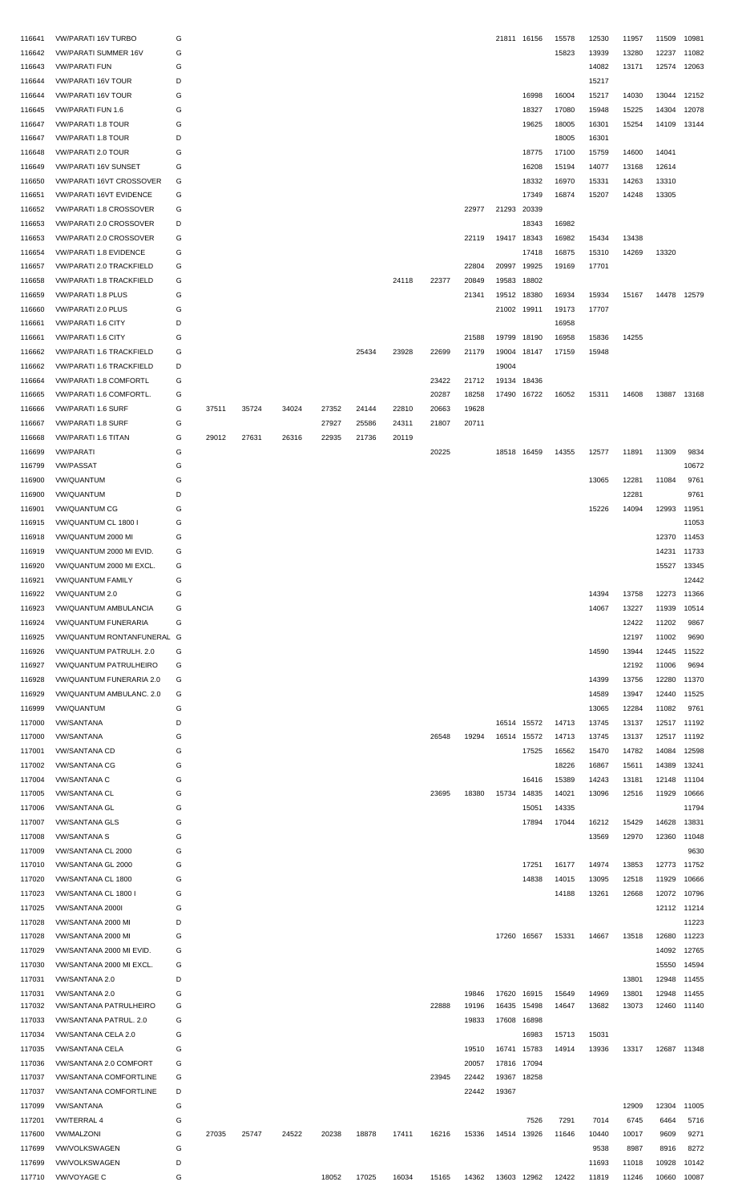| 116641 | <b>VW/PARATI 16V TURBO</b>        | G |       |       |       |       |       |       |       |       | 21811 16156 |       | 15578 | 12530 | 11957 | 11509       | 10981 |
|--------|-----------------------------------|---|-------|-------|-------|-------|-------|-------|-------|-------|-------------|-------|-------|-------|-------|-------------|-------|
| 116642 | <b>VW/PARATI SUMMER 16V</b>       | G |       |       |       |       |       |       |       |       |             |       | 15823 | 13939 | 13280 | 12237       | 11082 |
| 116643 | <b>VW/PARATI FUN</b>              | G |       |       |       |       |       |       |       |       |             |       |       | 14082 | 13171 | 12574       | 12063 |
| 116644 | <b>VW/PARATI 16V TOUR</b>         | D |       |       |       |       |       |       |       |       |             |       |       | 15217 |       |             |       |
| 116644 | <b>VW/PARATI 16V TOUR</b>         | G |       |       |       |       |       |       |       |       |             | 16998 | 16004 | 15217 | 14030 | 13044       | 12152 |
| 116645 | <b>VW/PARATI FUN 1.6</b>          | G |       |       |       |       |       |       |       |       |             | 18327 | 17080 | 15948 | 15225 | 14304       | 12078 |
| 116647 | <b>VW/PARATI 1.8 TOUR</b>         | G |       |       |       |       |       |       |       |       |             | 19625 | 18005 | 16301 | 15254 | 14109       | 13144 |
| 116647 | <b>VW/PARATI 1.8 TOUR</b>         | D |       |       |       |       |       |       |       |       |             |       | 18005 | 16301 |       |             |       |
| 116648 | <b>VW/PARATI 2.0 TOUR</b>         | G |       |       |       |       |       |       |       |       |             | 18775 | 17100 | 15759 | 14600 | 14041       |       |
|        | <b>VW/PARATI 16V SUNSET</b>       | G |       |       |       |       |       |       |       |       |             | 16208 | 15194 | 14077 | 13168 | 12614       |       |
| 116649 |                                   |   |       |       |       |       |       |       |       |       |             |       |       |       |       |             |       |
| 116650 | <b>VW/PARATI 16VT CROSSOVER</b>   | G |       |       |       |       |       |       |       |       |             | 18332 | 16970 | 15331 | 14263 | 13310       |       |
| 116651 | <b>VW/PARATI 16VT EVIDENCE</b>    | G |       |       |       |       |       |       |       |       |             | 17349 | 16874 | 15207 | 14248 | 13305       |       |
| 116652 | <b>VW/PARATI 1.8 CROSSOVER</b>    | G |       |       |       |       |       |       |       | 22977 | 21293       | 20339 |       |       |       |             |       |
| 116653 | VW/PARATI 2.0 CROSSOVER           | D |       |       |       |       |       |       |       |       |             | 18343 | 16982 |       |       |             |       |
| 116653 | VW/PARATI 2.0 CROSSOVER           | G |       |       |       |       |       |       |       | 22119 | 19417 18343 |       | 16982 | 15434 | 13438 |             |       |
| 116654 | <b>VW/PARATI 1.8 EVIDENCE</b>     | G |       |       |       |       |       |       |       |       |             | 17418 | 16875 | 15310 | 14269 | 13320       |       |
| 116657 | VW/PARATI 2.0 TRACKFIELD          | G |       |       |       |       |       |       |       | 22804 | 20997       | 19925 | 19169 | 17701 |       |             |       |
| 116658 | <b>VW/PARATI 1.8 TRACKFIELD</b>   | G |       |       |       |       |       | 24118 | 22377 | 20849 | 19583       | 18802 |       |       |       |             |       |
| 116659 | <b>VW/PARATI 1.8 PLUS</b>         | G |       |       |       |       |       |       |       | 21341 | 19512       | 18380 | 16934 | 15934 | 15167 | 14478       | 12579 |
| 116660 | <b>VW/PARATI 2.0 PLUS</b>         | G |       |       |       |       |       |       |       |       | 21002 19911 |       | 19173 | 17707 |       |             |       |
| 116661 | <b>VW/PARATI 1.6 CITY</b>         | D |       |       |       |       |       |       |       |       |             |       | 16958 |       |       |             |       |
| 116661 | <b>VW/PARATI 1.6 CITY</b>         | G |       |       |       |       |       |       |       | 21588 | 19799       | 18190 | 16958 | 15836 | 14255 |             |       |
| 116662 | <b>VW/PARATI 1.6 TRACKFIELD</b>   | G |       |       |       |       | 25434 | 23928 | 22699 | 21179 | 19004       | 18147 | 17159 | 15948 |       |             |       |
| 116662 | <b>VW/PARATI 1.6 TRACKFIELD</b>   | D |       |       |       |       |       |       |       |       | 19004       |       |       |       |       |             |       |
| 116664 | VW/PARATI 1.8 COMFORTL            | G |       |       |       |       |       |       | 23422 | 21712 | 19134       | 18436 |       |       |       |             |       |
| 116665 | VW/PARATI 1.6 COMFORTL.           | G |       |       |       |       |       |       | 20287 | 18258 | 17490 16722 |       | 16052 | 15311 | 14608 | 13887       | 13168 |
| 116666 | <b>VW/PARATI 1.6 SURF</b>         | G | 37511 | 35724 | 34024 | 27352 | 24144 | 22810 | 20663 | 19628 |             |       |       |       |       |             |       |
| 116667 | <b>VW/PARATI 1.8 SURF</b>         | G |       |       |       | 27927 | 25586 | 24311 | 21807 | 20711 |             |       |       |       |       |             |       |
| 116668 | <b>VW/PARATI 1.6 TITAN</b>        | G | 29012 | 27631 | 26316 | 22935 | 21736 | 20119 |       |       |             |       |       |       |       |             |       |
| 116699 | <b>VW/PARATI</b>                  | G |       |       |       |       |       |       | 20225 |       | 18518 16459 |       | 14355 | 12577 | 11891 | 11309       | 9834  |
| 116799 | <b>VW/PASSAT</b>                  | G |       |       |       |       |       |       |       |       |             |       |       |       |       |             | 10672 |
| 116900 | <b>VW/QUANTUM</b>                 | G |       |       |       |       |       |       |       |       |             |       |       | 13065 | 12281 | 11084       | 9761  |
| 116900 | <b>VW/QUANTUM</b>                 | D |       |       |       |       |       |       |       |       |             |       |       |       | 12281 |             | 9761  |
|        | <b>VW/QUANTUM CG</b>              | G |       |       |       |       |       |       |       |       |             |       |       | 15226 | 14094 | 12993       | 11951 |
| 116901 | VW/QUANTUM CL 1800 I              | G |       |       |       |       |       |       |       |       |             |       |       |       |       |             | 11053 |
| 116915 |                                   |   |       |       |       |       |       |       |       |       |             |       |       |       |       |             |       |
| 116918 | VW/QUANTUM 2000 MI                | G |       |       |       |       |       |       |       |       |             |       |       |       |       | 12370       | 11453 |
| 116919 | VW/QUANTUM 2000 MI EVID.          | G |       |       |       |       |       |       |       |       |             |       |       |       |       | 14231 11733 |       |
| 116920 | VW/QUANTUM 2000 MI EXCL           |   |       |       |       |       |       |       |       |       |             |       |       |       |       | 15527       | 13345 |
| 116921 | <b>VW/QUANTUM FAMILY</b>          | G |       |       |       |       |       |       |       |       |             |       |       |       |       |             | 12442 |
| 116922 | VW/QUANTUM 2.0                    | G |       |       |       |       |       |       |       |       |             |       |       | 14394 | 13758 | 12273       | 11366 |
| 116923 | <b>VW/QUANTUM AMBULANCIA</b>      | G |       |       |       |       |       |       |       |       |             |       |       | 14067 | 13227 | 11939       | 10514 |
| 116924 | <b>VW/QUANTUM FUNERARIA</b>       | G |       |       |       |       |       |       |       |       |             |       |       |       | 12422 | 11202       | 9867  |
| 116925 | <b>VW/QUANTUM RONTANFUNERAL G</b> |   |       |       |       |       |       |       |       |       |             |       |       |       | 12197 | 11002       | 9690  |
| 116926 | VW/QUANTUM PATRULH. 2.0           | G |       |       |       |       |       |       |       |       |             |       |       | 14590 | 13944 | 12445       | 11522 |
| 116927 | <b>VW/QUANTUM PATRULHEIRO</b>     | G |       |       |       |       |       |       |       |       |             |       |       |       | 12192 | 11006       | 9694  |
| 116928 | VW/QUANTUM FUNERARIA 2.0          | G |       |       |       |       |       |       |       |       |             |       |       | 14399 | 13756 | 12280       | 11370 |
| 116929 | VW/QUANTUM AMBULANC. 2.0          | G |       |       |       |       |       |       |       |       |             |       |       | 14589 | 13947 | 12440       | 11525 |
| 116999 | <b>VW/QUANTUM</b>                 | G |       |       |       |       |       |       |       |       |             |       |       | 13065 | 12284 | 11082       | 9761  |
| 117000 | <b>VW/SANTANA</b>                 | D |       |       |       |       |       |       |       |       | 16514       | 15572 | 14713 | 13745 | 13137 | 12517       | 11192 |
| 117000 | <b>VW/SANTANA</b>                 | G |       |       |       |       |       |       | 26548 | 19294 | 16514       | 15572 | 14713 | 13745 | 13137 | 12517       | 11192 |
| 117001 | <b>VW/SANTANA CD</b>              | G |       |       |       |       |       |       |       |       |             | 17525 | 16562 | 15470 | 14782 | 14084       | 12598 |
| 117002 | <b>VW/SANTANA CG</b>              | G |       |       |       |       |       |       |       |       |             |       | 18226 | 16867 | 15611 | 14389       | 13241 |
| 117004 | <b>VW/SANTANA C</b>               | G |       |       |       |       |       |       |       |       |             | 16416 | 15389 | 14243 | 13181 | 12148       | 11104 |
| 117005 | <b>VW/SANTANA CL</b>              | G |       |       |       |       |       |       | 23695 | 18380 | 15734       | 14835 | 14021 | 13096 | 12516 | 11929       | 10666 |
| 117006 | <b>VW/SANTANA GL</b>              | G |       |       |       |       |       |       |       |       |             | 15051 | 14335 |       |       |             | 11794 |
| 117007 | <b>VW/SANTANA GLS</b>             | G |       |       |       |       |       |       |       |       |             | 17894 | 17044 | 16212 | 15429 | 14628       | 13831 |
| 117008 | <b>VW/SANTANA S</b>               | G |       |       |       |       |       |       |       |       |             |       |       | 13569 | 12970 | 12360       | 11048 |
| 117009 | VW/SANTANA CL 2000                | G |       |       |       |       |       |       |       |       |             |       |       |       |       |             | 9630  |
| 117010 | VW/SANTANA GL 2000                | G |       |       |       |       |       |       |       |       |             | 17251 | 16177 | 14974 | 13853 | 12773       | 11752 |
| 117020 | VW/SANTANA CL 1800                | G |       |       |       |       |       |       |       |       |             | 14838 | 14015 | 13095 | 12518 | 11929       | 10666 |
| 117023 | VW/SANTANA CL 1800 I              | G |       |       |       |       |       |       |       |       |             |       | 14188 | 13261 | 12668 | 12072       | 10796 |
|        |                                   |   |       |       |       |       |       |       |       |       |             |       |       |       |       |             |       |
| 117025 | VW/SANTANA 2000I                  | G |       |       |       |       |       |       |       |       |             |       |       |       |       | 12112       | 11214 |
| 117028 | VW/SANTANA 2000 MI                | D |       |       |       |       |       |       |       |       |             |       |       |       |       |             | 11223 |
| 117028 | VW/SANTANA 2000 MI                | G |       |       |       |       |       |       |       |       | 17260       | 16567 | 15331 | 14667 | 13518 | 12680       | 11223 |
| 117029 | VW/SANTANA 2000 MI EVID.          | G |       |       |       |       |       |       |       |       |             |       |       |       |       | 14092       | 12765 |
| 117030 | VW/SANTANA 2000 MI EXCL.          | G |       |       |       |       |       |       |       |       |             |       |       |       |       | 15550       | 14594 |
| 117031 | VW/SANTANA 2.0                    | D |       |       |       |       |       |       |       |       |             |       |       |       | 13801 | 12948       | 11455 |
| 117031 | VW/SANTANA 2.0                    | G |       |       |       |       |       |       |       | 19846 | 17620       | 16915 | 15649 | 14969 | 13801 | 12948       | 11455 |
| 117032 | <b>VW/SANTANA PATRULHEIRO</b>     | G |       |       |       |       |       |       | 22888 | 19196 | 16435       | 15498 | 14647 | 13682 | 13073 | 12460       | 11140 |
| 117033 | VW/SANTANA PATRUL. 2.0            | G |       |       |       |       |       |       |       | 19833 | 17608       | 16898 |       |       |       |             |       |
| 117034 | VW/SANTANA CELA 2.0               | G |       |       |       |       |       |       |       |       |             | 16983 | 15713 | 15031 |       |             |       |
| 117035 | <b>VW/SANTANA CELA</b>            | G |       |       |       |       |       |       |       | 19510 | 16741       | 15783 | 14914 | 13936 | 13317 | 12687       | 11348 |
| 117036 | <b>VW/SANTANA 2.0 COMFORT</b>     | G |       |       |       |       |       |       |       | 20057 | 17816       | 17094 |       |       |       |             |       |
| 117037 | <b>VW/SANTANA COMFORTLINE</b>     | G |       |       |       |       |       |       | 23945 | 22442 | 19367 18258 |       |       |       |       |             |       |
| 117037 | <b>VW/SANTANA COMFORTLINE</b>     | D |       |       |       |       |       |       |       | 22442 | 19367       |       |       |       |       |             |       |
| 117099 | VW/SANTANA                        | G |       |       |       |       |       |       |       |       |             |       |       |       | 12909 | 12304       | 11005 |
| 117201 | <b>VW/TERRAL 4</b>                | G |       |       |       |       |       |       |       |       |             | 7526  | 7291  | 7014  | 6745  | 6464        | 5716  |
| 117600 | <b>VW/MALZONI</b>                 | G | 27035 | 25747 | 24522 | 20238 | 18878 | 17411 | 16216 | 15336 | 14514 13926 |       | 11646 | 10440 | 10017 | 9609        | 9271  |
| 117699 | <b>VW/VOLKSWAGEN</b>              | G |       |       |       |       |       |       |       |       |             |       |       | 9538  | 8987  | 8916        | 8272  |
| 117699 | <b>VW/VOLKSWAGEN</b>              | D |       |       |       |       |       |       |       |       |             |       |       | 11693 | 11018 | 10928       | 10142 |
| 117710 | <b>VW/VOYAGE C</b>                | G |       |       |       | 18052 | 17025 | 16034 | 15165 | 14362 | 13603 12962 |       | 12422 | 11819 | 11246 | 10660       | 10087 |
|        |                                   |   |       |       |       |       |       |       |       |       |             |       |       |       |       |             |       |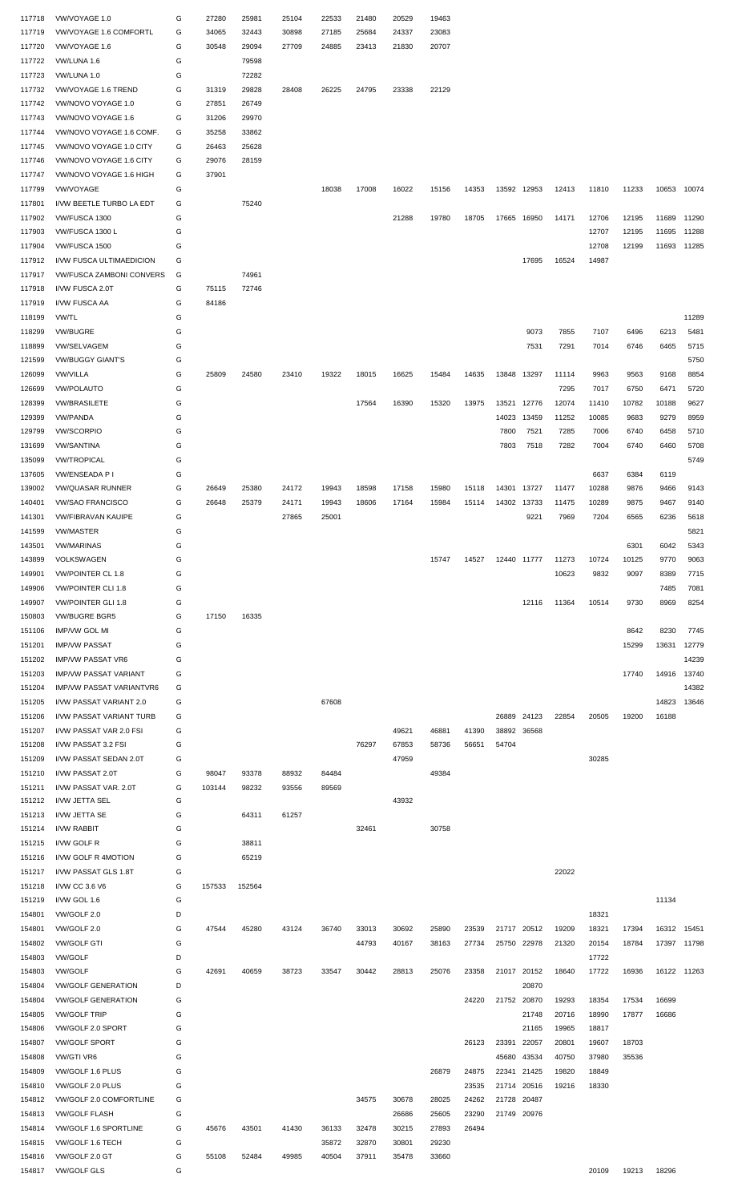| 117718 | VW/VOYAGE 1.0                   | G | 27280  | 25981  | 25104 | 22533 | 21480 | 20529 | 19463 |       |             |             |       |       |       |             |       |
|--------|---------------------------------|---|--------|--------|-------|-------|-------|-------|-------|-------|-------------|-------------|-------|-------|-------|-------------|-------|
| 117719 | VW/VOYAGE 1.6 COMFORTL          | G | 34065  | 32443  | 30898 | 27185 | 25684 | 24337 | 23083 |       |             |             |       |       |       |             |       |
| 117720 | VW/VOYAGE 1.6                   | G | 30548  | 29094  | 27709 | 24885 | 23413 | 21830 | 20707 |       |             |             |       |       |       |             |       |
| 117722 | VW/LUNA 1.6                     | G |        | 79598  |       |       |       |       |       |       |             |             |       |       |       |             |       |
| 117723 | VW/LUNA 1.0                     | G |        | 72282  |       |       |       |       |       |       |             |             |       |       |       |             |       |
| 117732 | VW/VOYAGE 1.6 TREND             | G | 31319  | 29828  | 28408 | 26225 | 24795 | 23338 | 22129 |       |             |             |       |       |       |             |       |
|        |                                 |   |        |        |       |       |       |       |       |       |             |             |       |       |       |             |       |
| 117742 | VW/NOVO VOYAGE 1.0              | G | 27851  | 26749  |       |       |       |       |       |       |             |             |       |       |       |             |       |
| 117743 | VW/NOVO VOYAGE 1.6              | G | 31206  | 29970  |       |       |       |       |       |       |             |             |       |       |       |             |       |
| 117744 | VW/NOVO VOYAGE 1.6 COMF.        | G | 35258  | 33862  |       |       |       |       |       |       |             |             |       |       |       |             |       |
| 117745 | VW/NOVO VOYAGE 1.0 CITY         | G | 26463  | 25628  |       |       |       |       |       |       |             |             |       |       |       |             |       |
| 117746 | VW/NOVO VOYAGE 1.6 CITY         | G | 29076  | 28159  |       |       |       |       |       |       |             |             |       |       |       |             |       |
|        |                                 |   |        |        |       |       |       |       |       |       |             |             |       |       |       |             |       |
| 117747 | VW/NOVO VOYAGE 1.6 HIGH         | G | 37901  |        |       |       |       |       |       |       |             |             |       |       |       |             |       |
| 117799 | <b>VW/VOYAGE</b>                | G |        |        |       | 18038 | 17008 | 16022 | 15156 | 14353 |             | 13592 12953 | 12413 | 11810 | 11233 | 10653       | 10074 |
| 117801 | I/VW BEETLE TURBO LA EDT        | G |        | 75240  |       |       |       |       |       |       |             |             |       |       |       |             |       |
| 117902 | VW/FUSCA 1300                   | G |        |        |       |       |       | 21288 | 19780 | 18705 | 17665 16950 |             | 14171 | 12706 | 12195 | 11689       | 11290 |
| 117903 | VW/FUSCA 1300 L                 | G |        |        |       |       |       |       |       |       |             |             |       | 12707 | 12195 | 11695       | 11288 |
| 117904 | VW/FUSCA 1500                   | G |        |        |       |       |       |       |       |       |             |             |       | 12708 | 12199 | 11693 11285 |       |
|        |                                 |   |        |        |       |       |       |       |       |       |             |             |       |       |       |             |       |
| 117912 | I/VW FUSCA ULTIMAEDICION        | G |        |        |       |       |       |       |       |       |             | 17695       | 16524 | 14987 |       |             |       |
| 117917 | <b>VW/FUSCA ZAMBONI CONVERS</b> | G |        | 74961  |       |       |       |       |       |       |             |             |       |       |       |             |       |
| 117918 | I/VW FUSCA 2.0T                 | G | 75115  | 72746  |       |       |       |       |       |       |             |             |       |       |       |             |       |
| 117919 | I/VW FUSCA AA                   | G | 84186  |        |       |       |       |       |       |       |             |             |       |       |       |             |       |
| 118199 | <b>VW/TL</b>                    | G |        |        |       |       |       |       |       |       |             |             |       |       |       |             | 11289 |
| 118299 | <b>VW/BUGRE</b>                 | G |        |        |       |       |       |       |       |       |             | 9073        | 7855  | 7107  | 6496  | 6213        | 5481  |
|        |                                 |   |        |        |       |       |       |       |       |       |             |             |       |       |       |             |       |
| 118899 | <b>VW/SELVAGEM</b>              | G |        |        |       |       |       |       |       |       |             | 7531        | 7291  | 7014  | 6746  | 6465        | 5715  |
| 121599 | <b>VW/BUGGY GIANT'S</b>         | G |        |        |       |       |       |       |       |       |             |             |       |       |       |             | 5750  |
| 126099 | <b>VW/VILLA</b>                 | G | 25809  | 24580  | 23410 | 19322 | 18015 | 16625 | 15484 | 14635 | 13848       | 13297       | 11114 | 9963  | 9563  | 9168        | 8854  |
| 126699 | <b>VW/POLAUTO</b>               | G |        |        |       |       |       |       |       |       |             |             | 7295  | 7017  | 6750  | 6471        | 5720  |
| 128399 | <b>VW/BRASILETE</b>             | G |        |        |       |       | 17564 | 16390 | 15320 | 13975 | 13521 12776 |             | 12074 | 11410 | 10782 | 10188       | 9627  |
| 129399 | <b>VW/PANDA</b>                 | G |        |        |       |       |       |       |       |       | 14023 13459 |             | 11252 | 10085 | 9683  | 9279        | 8959  |
|        |                                 |   |        |        |       |       |       |       |       |       |             |             |       |       |       |             |       |
| 129799 | <b>VW/SCORPIO</b>               | G |        |        |       |       |       |       |       |       | 7800        | 7521        | 7285  | 7006  | 6740  | 6458        | 5710  |
| 131699 | <b>VW/SANTINA</b>               | G |        |        |       |       |       |       |       |       | 7803        | 7518        | 7282  | 7004  | 6740  | 6460        | 5708  |
| 135099 | <b>VW/TROPICAL</b>              | G |        |        |       |       |       |       |       |       |             |             |       |       |       |             | 5749  |
| 137605 | <b>VW/ENSEADA PI</b>            | G |        |        |       |       |       |       |       |       |             |             |       | 6637  | 6384  | 6119        |       |
| 139002 | <b>VW/QUASAR RUNNER</b>         | G | 26649  | 25380  | 24172 | 19943 | 18598 | 17158 | 15980 | 15118 | 14301 13727 |             | 11477 | 10288 | 9876  | 9466        | 9143  |
|        |                                 | G |        |        |       |       |       |       |       |       |             |             |       |       |       |             |       |
| 140401 | <b>VW/SAO FRANCISCO</b>         |   | 26648  | 25379  | 24171 | 19943 | 18606 | 17164 | 15984 | 15114 | 14302 13733 |             | 11475 | 10289 | 9875  | 9467        | 9140  |
| 141301 | <b>VW/FIBRAVAN KAUIPE</b>       | G |        |        | 27865 | 25001 |       |       |       |       |             | 9221        | 7969  | 7204  | 6565  | 6236        | 5618  |
| 141599 | <b>VW/MASTER</b>                | G |        |        |       |       |       |       |       |       |             |             |       |       |       |             | 5821  |
| 143501 | <b>VW/MARINAS</b>               | G |        |        |       |       |       |       |       |       |             |             |       |       | 6301  | 6042        | 5343  |
| 143899 | VOLKSWAGEN                      | G |        |        |       |       |       |       | 15747 | 14527 | 12440 11777 |             | 11273 | 10724 | 10125 | 9770        | 9063  |
| 149901 | <b>VW/POINTER CL 1.8</b>        | G |        |        |       |       |       |       |       |       |             |             | 10623 | 9832  | 9097  | 8389        | 7715  |
|        |                                 |   |        |        |       |       |       |       |       |       |             |             |       |       |       |             |       |
|        |                                 |   |        |        |       |       |       |       |       |       |             |             |       |       |       |             |       |
| 149906 | <b>VW/POINTER CLI 1.8</b>       | G |        |        |       |       |       |       |       |       |             |             |       |       |       | 7485        | 7081  |
| 149907 | <b>VW/POINTER GLI 1.8</b>       | G |        |        |       |       |       |       |       |       |             | 12116       | 11364 | 10514 | 9730  | 8969        | 8254  |
| 150803 | <b>VW/BUGRE BGR5</b>            | G | 17150  | 16335  |       |       |       |       |       |       |             |             |       |       |       |             |       |
| 151106 | <b>IMP/VW GOL MI</b>            | G |        |        |       |       |       |       |       |       |             |             |       |       | 8642  | 8230        | 7745  |
|        | <b>IMP/VW PASSAT</b>            | G |        |        |       |       |       |       |       |       |             |             |       |       |       |             | 12779 |
| 151201 |                                 |   |        |        |       |       |       |       |       |       |             |             |       |       | 15299 | 13631       |       |
| 151202 | <b>IMP/VW PASSAT VR6</b>        | G |        |        |       |       |       |       |       |       |             |             |       |       |       |             | 14239 |
| 151203 | <b>IMP/VW PASSAT VARIANT</b>    | G |        |        |       |       |       |       |       |       |             |             |       |       | 17740 | 14916       | 13740 |
| 151204 | <b>IMP/VW PASSAT VARIANTVR6</b> | G |        |        |       |       |       |       |       |       |             |             |       |       |       |             | 14382 |
| 151205 | I/VW PASSAT VARIANT 2.0         | G |        |        |       | 67608 |       |       |       |       |             |             |       |       |       | 14823       | 13646 |
| 151206 | I/VW PASSAT VARIANT TURB        | G |        |        |       |       |       |       |       |       | 26889       | 24123       | 22854 | 20505 | 19200 | 16188       |       |
|        |                                 |   |        |        |       |       |       |       |       |       |             |             |       |       |       |             |       |
| 151207 | I/VW PASSAT VAR 2.0 FSI         | G |        |        |       |       |       | 49621 | 46881 | 41390 | 38892       | 36568       |       |       |       |             |       |
| 151208 | I/VW PASSAT 3.2 FSI             | G |        |        |       |       | 76297 | 67853 | 58736 | 56651 | 54704       |             |       |       |       |             |       |
| 151209 | I/VW PASSAT SEDAN 2.0T          | G |        |        |       |       |       | 47959 |       |       |             |             |       | 30285 |       |             |       |
| 151210 | I/VW PASSAT 2.0T                | G | 98047  | 93378  | 88932 | 84484 |       |       | 49384 |       |             |             |       |       |       |             |       |
| 151211 | I/VW PASSAT VAR. 2.0T           | G | 103144 | 98232  | 93556 | 89569 |       |       |       |       |             |             |       |       |       |             |       |
| 151212 | I/VW JETTA SEL                  | G |        |        |       |       |       | 43932 |       |       |             |             |       |       |       |             |       |
| 151213 | I/VW JETTA SE                   | G |        | 64311  | 61257 |       |       |       |       |       |             |             |       |       |       |             |       |
| 151214 | <b>I/VW RABBIT</b>              | G |        |        |       |       | 32461 |       | 30758 |       |             |             |       |       |       |             |       |
|        |                                 |   |        |        |       |       |       |       |       |       |             |             |       |       |       |             |       |
| 151215 | I/VW GOLF R                     | G |        | 38811  |       |       |       |       |       |       |             |             |       |       |       |             |       |
| 151216 | I/VW GOLF R 4MOTION             | G |        | 65219  |       |       |       |       |       |       |             |             |       |       |       |             |       |
| 151217 | I/VW PASSAT GLS 1.8T            | G |        |        |       |       |       |       |       |       |             |             | 22022 |       |       |             |       |
| 151218 | I/VW CC 3.6 V6                  | G | 157533 | 152564 |       |       |       |       |       |       |             |             |       |       |       |             |       |
| 151219 | I/VW GOL 1.6                    | G |        |        |       |       |       |       |       |       |             |             |       |       |       | 11134       |       |
| 154801 | VW/GOLF 2.0                     | D |        |        |       |       |       |       |       |       |             |             |       | 18321 |       |             |       |
|        |                                 |   |        |        |       |       |       |       |       |       |             |             |       |       |       |             |       |
| 154801 | VW/GOLF 2.0                     | G | 47544  | 45280  | 43124 | 36740 | 33013 | 30692 | 25890 | 23539 | 21717 20512 |             | 19209 | 18321 | 17394 | 16312 15451 |       |
| 154802 | <b>VW/GOLF GTI</b>              | G |        |        |       |       | 44793 | 40167 | 38163 | 27734 | 25750       | 22978       | 21320 | 20154 | 18784 | 17397       | 11798 |
| 154803 | <b>VW/GOLF</b>                  | D |        |        |       |       |       |       |       |       |             |             |       | 17722 |       |             |       |
| 154803 | <b>VW/GOLF</b>                  | G | 42691  | 40659  | 38723 | 33547 | 30442 | 28813 | 25076 | 23358 | 21017 20152 |             | 18640 | 17722 | 16936 | 16122 11263 |       |
| 154804 | <b>VW/GOLF GENERATION</b>       | D |        |        |       |       |       |       |       |       |             | 20870       |       |       |       |             |       |
| 154804 | <b>VW/GOLF GENERATION</b>       | G |        |        |       |       |       |       |       | 24220 | 21752 20870 |             | 19293 | 18354 | 17534 | 16699       |       |
|        |                                 |   |        |        |       |       |       |       |       |       |             |             |       |       |       |             |       |
| 154805 | <b>VW/GOLF TRIP</b>             | G |        |        |       |       |       |       |       |       |             | 21748       | 20716 | 18990 | 17877 | 16686       |       |
| 154806 | VW/GOLF 2.0 SPORT               | G |        |        |       |       |       |       |       |       |             | 21165       | 19965 | 18817 |       |             |       |
| 154807 | <b>VW/GOLF SPORT</b>            | G |        |        |       |       |       |       |       | 26123 | 23391       | 22057       | 20801 | 19607 | 18703 |             |       |
| 154808 | <b>VW/GTI VR6</b>               | G |        |        |       |       |       |       |       |       | 45680       | 43534       | 40750 | 37980 | 35536 |             |       |
| 154809 | VW/GOLF 1.6 PLUS                | G |        |        |       |       |       |       | 26879 | 24875 | 22341 21425 |             | 19820 | 18849 |       |             |       |
|        |                                 |   |        |        |       |       |       |       |       |       |             |             |       |       |       |             |       |
| 154810 | VW/GOLF 2.0 PLUS                | G |        |        |       |       |       |       |       | 23535 | 21714 20516 |             | 19216 | 18330 |       |             |       |
| 154812 | VW/GOLF 2.0 COMFORTLINE         | G |        |        |       |       | 34575 | 30678 | 28025 | 24262 | 21728 20487 |             |       |       |       |             |       |
| 154813 | <b>VW/GOLF FLASH</b>            | G |        |        |       |       |       | 26686 | 25605 | 23290 | 21749 20976 |             |       |       |       |             |       |
| 154814 | VW/GOLF 1.6 SPORTLINE           | G | 45676  | 43501  | 41430 | 36133 | 32478 | 30215 | 27893 | 26494 |             |             |       |       |       |             |       |
| 154815 | VW/GOLF 1.6 TECH                | G |        |        |       | 35872 | 32870 | 30801 | 29230 |       |             |             |       |       |       |             |       |
| 154816 | VW/GOLF 2.0 GT                  | G | 55108  | 52484  | 49985 | 40504 | 37911 | 35478 | 33660 |       |             |             |       |       |       |             |       |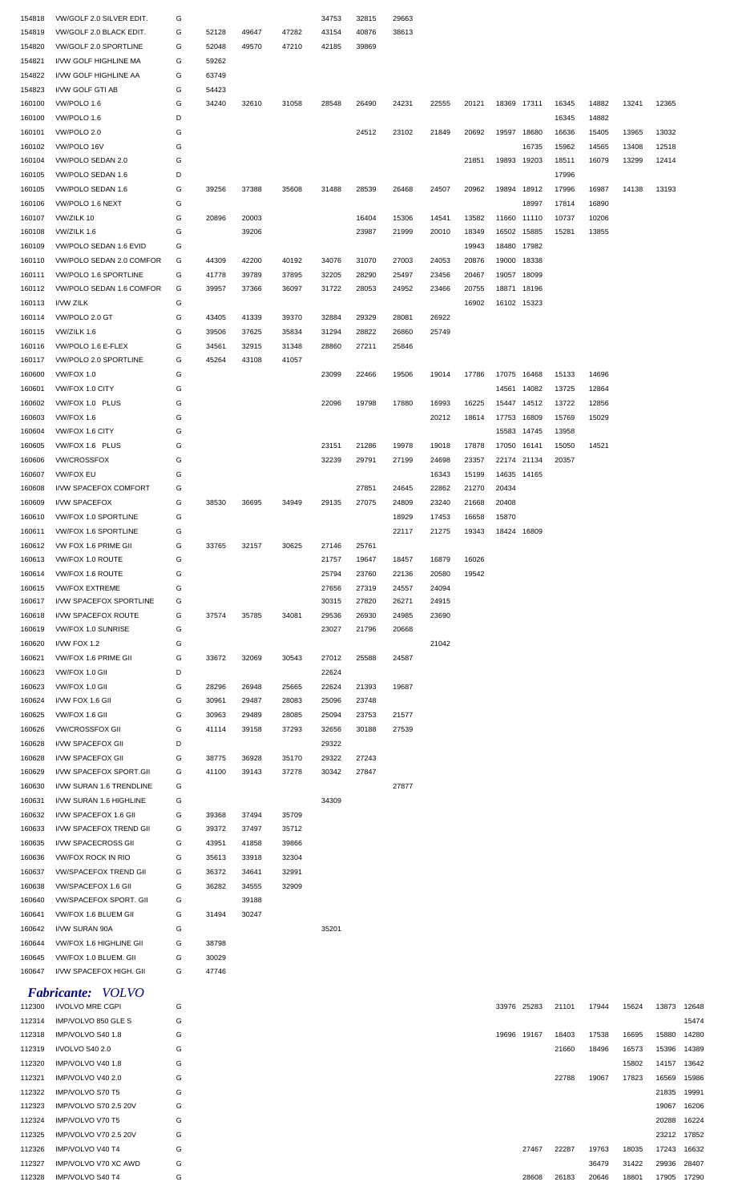| 154818 | VW/GOLF 2.0 SILVER EDIT.      | G |       |       |       | 34753 | 32815 | 29663 |       |       |             |             |       |       |       |       |       |
|--------|-------------------------------|---|-------|-------|-------|-------|-------|-------|-------|-------|-------------|-------------|-------|-------|-------|-------|-------|
| 154819 | VW/GOLF 2.0 BLACK EDIT.       | G | 52128 | 49647 | 47282 | 43154 | 40876 | 38613 |       |       |             |             |       |       |       |       |       |
| 154820 | <b>VW/GOLF 2.0 SPORTLINE</b>  | G | 52048 | 49570 | 47210 | 42185 | 39869 |       |       |       |             |             |       |       |       |       |       |
|        |                               |   |       |       |       |       |       |       |       |       |             |             |       |       |       |       |       |
| 154821 | I/VW GOLF HIGHLINE MA         | G | 59262 |       |       |       |       |       |       |       |             |             |       |       |       |       |       |
| 154822 | I/VW GOLF HIGHLINE AA         | G | 63749 |       |       |       |       |       |       |       |             |             |       |       |       |       |       |
| 154823 | I/VW GOLF GTI AB              | G | 54423 |       |       |       |       |       |       |       |             |             |       |       |       |       |       |
| 160100 | VW/POLO 1.6                   | G | 34240 | 32610 | 31058 | 28548 | 26490 | 24231 | 22555 | 20121 | 18369 17311 |             | 16345 | 14882 | 13241 | 12365 |       |
| 160100 | VW/POLO 1.6                   | D |       |       |       |       |       |       |       |       |             |             | 16345 | 14882 |       |       |       |
|        |                               |   |       |       |       |       |       |       |       |       |             |             |       |       |       |       |       |
| 160101 | VW/POLO 2.0                   | G |       |       |       |       | 24512 | 23102 | 21849 | 20692 | 19597       | 18680       | 16636 | 15405 | 13965 | 13032 |       |
| 160102 | VW/POLO 16V                   | G |       |       |       |       |       |       |       |       |             | 16735       | 15962 | 14565 | 13408 | 12518 |       |
| 160104 | VW/POLO SEDAN 2.0             | G |       |       |       |       |       |       |       | 21851 | 19893       | 19203       | 18511 | 16079 | 13299 | 12414 |       |
| 160105 | VW/POLO SEDAN 1.6             | D |       |       |       |       |       |       |       |       |             |             | 17996 |       |       |       |       |
|        |                               |   |       |       |       |       |       |       |       |       |             |             |       |       |       |       |       |
| 160105 | VW/POLO SEDAN 1.6             | G | 39256 | 37388 | 35608 | 31488 | 28539 | 26468 | 24507 | 20962 | 19894       | 18912       | 17996 | 16987 | 14138 | 13193 |       |
| 160106 | VW/POLO 1.6 NEXT              | G |       |       |       |       |       |       |       |       |             | 18997       | 17814 | 16890 |       |       |       |
| 160107 | VW/ZILK 10                    | G | 20896 | 20003 |       |       | 16404 | 15306 | 14541 | 13582 | 11660 11110 |             | 10737 | 10206 |       |       |       |
| 160108 | VW/ZILK 1.6                   | G |       | 39206 |       |       | 23987 | 21999 | 20010 | 18349 | 16502 15885 |             | 15281 | 13855 |       |       |       |
|        |                               |   |       |       |       |       |       |       |       |       |             |             |       |       |       |       |       |
| 160109 | VW/POLO SEDAN 1.6 EVID        | G |       |       |       |       |       |       |       | 19943 |             | 18480 17982 |       |       |       |       |       |
| 160110 | VW/POLO SEDAN 2.0 COMFOR      | G | 44309 | 42200 | 40192 | 34076 | 31070 | 27003 | 24053 | 20876 | 19000       | 18338       |       |       |       |       |       |
| 160111 | VW/POLO 1.6 SPORTLINE         | G | 41778 | 39789 | 37895 | 32205 | 28290 | 25497 | 23456 | 20467 | 19057 18099 |             |       |       |       |       |       |
| 160112 | VW/POLO SEDAN 1.6 COMFOR      | G | 39957 | 37366 | 36097 | 31722 | 28053 | 24952 | 23466 | 20755 | 18871       | 18196       |       |       |       |       |       |
| 160113 | I/VW ZILK                     | G |       |       |       |       |       |       |       | 16902 | 16102 15323 |             |       |       |       |       |       |
|        |                               |   |       |       |       |       |       |       |       |       |             |             |       |       |       |       |       |
| 160114 | VW/POLO 2.0 GT                | G | 43405 | 41339 | 39370 | 32884 | 29329 | 28081 | 26922 |       |             |             |       |       |       |       |       |
| 160115 | VW/ZILK 1.6                   | G | 39506 | 37625 | 35834 | 31294 | 28822 | 26860 | 25749 |       |             |             |       |       |       |       |       |
| 160116 | VW/POLO 1.6 E-FLEX            | G | 34561 | 32915 | 31348 | 28860 | 27211 | 25846 |       |       |             |             |       |       |       |       |       |
| 160117 | VW/POLO 2.0 SPORTLINE         | G | 45264 | 43108 | 41057 |       |       |       |       |       |             |             |       |       |       |       |       |
|        |                               |   |       |       |       |       |       |       |       |       |             |             |       |       |       |       |       |
| 160600 | <b>VW/FOX 1.0</b>             | G |       |       |       | 23099 | 22466 | 19506 | 19014 | 17786 | 17075 16468 |             | 15133 | 14696 |       |       |       |
| 160601 | VW/FOX 1.0 CITY               | G |       |       |       |       |       |       |       |       |             | 14561 14082 | 13725 | 12864 |       |       |       |
| 160602 | VW/FOX 1.0 PLUS               | G |       |       |       | 22096 | 19798 | 17880 | 16993 | 16225 |             | 15447 14512 | 13722 | 12856 |       |       |       |
| 160603 | <b>VW/FOX 1.6</b>             | G |       |       |       |       |       |       | 20212 | 18614 | 17753 16809 |             | 15769 | 15029 |       |       |       |
|        |                               |   |       |       |       |       |       |       |       |       |             |             |       |       |       |       |       |
| 160604 | VW/FOX 1.6 CITY               | G |       |       |       |       |       |       |       |       | 15583 14745 |             | 13958 |       |       |       |       |
| 160605 | VW/FOX 1.6 PLUS               | G |       |       |       | 23151 | 21286 | 19978 | 19018 | 17878 | 17050 16141 |             | 15050 | 14521 |       |       |       |
| 160606 | <b>VW/CROSSFOX</b>            | G |       |       |       | 32239 | 29791 | 27199 | 24698 | 23357 | 22174 21134 |             | 20357 |       |       |       |       |
| 160607 | <b>VW/FOX EU</b>              | G |       |       |       |       |       |       | 16343 | 15199 | 14635 14165 |             |       |       |       |       |       |
|        | I/VW SPACEFOX COMFORT         |   |       |       |       |       |       |       |       |       |             |             |       |       |       |       |       |
| 160608 |                               | G |       |       |       |       | 27851 | 24645 | 22862 | 21270 | 20434       |             |       |       |       |       |       |
| 160609 | I/VW SPACEFOX                 | G | 38530 | 36695 | 34949 | 29135 | 27075 | 24809 | 23240 | 21668 | 20408       |             |       |       |       |       |       |
| 160610 | <b>VW/FOX 1.0 SPORTLINE</b>   | G |       |       |       |       |       | 18929 | 17453 | 16658 | 15870       |             |       |       |       |       |       |
| 160611 | <b>VW/FOX 1.6 SPORTLINE</b>   | G |       |       |       |       |       | 22117 | 21275 | 19343 | 18424 16809 |             |       |       |       |       |       |
| 160612 | VW FOX 1.6 PRIME GII          | G | 33765 | 32157 | 30625 | 27146 | 25761 |       |       |       |             |             |       |       |       |       |       |
|        |                               |   |       |       |       |       |       |       |       |       |             |             |       |       |       |       |       |
| 160613 | VW/FOX 1.0 ROUTE              | G |       |       |       | 21757 | 19647 | 18457 | 16879 | 16026 |             |             |       |       |       |       |       |
| 160614 | VW/FOX 1.6 ROUTE              | G |       |       |       | 25794 | 23760 | 22136 | 20580 | 19542 |             |             |       |       |       |       |       |
| 160615 | <b>VW/FOX EXTREME</b>         | G |       |       |       | 27656 | 27319 | 24557 | 24094 |       |             |             |       |       |       |       |       |
| 160617 | I/VW SPACEFOX SPORTLINE       | G |       |       |       | 30315 | 27820 | 26271 | 24915 |       |             |             |       |       |       |       |       |
|        |                               |   |       |       |       |       |       |       |       |       |             |             |       |       |       |       |       |
| 160618 | I/VW SPACEFOX ROUTE           | G | 37574 | 35785 | 34081 | 29536 | 26930 | 24985 | 23690 |       |             |             |       |       |       |       |       |
| 160619 | <b>VW/FOX 1.0 SUNRISE</b>     | G |       |       |       | 23027 | 21796 | 20668 |       |       |             |             |       |       |       |       |       |
| 160620 | I/VW FOX 1.2                  | G |       |       |       |       |       |       | 21042 |       |             |             |       |       |       |       |       |
| 160621 | VW/FOX 1.6 PRIME GII          | G | 33672 | 32069 | 30543 | 27012 | 25588 | 24587 |       |       |             |             |       |       |       |       |       |
|        |                               |   |       |       |       |       |       |       |       |       |             |             |       |       |       |       |       |
| 160623 | VW/FOX 1.0 GII                | D |       |       |       | 22624 |       |       |       |       |             |             |       |       |       |       |       |
| 160623 | VW/FOX 1.0 GII                | G | 28296 | 26948 | 25665 | 22624 | 21393 | 19687 |       |       |             |             |       |       |       |       |       |
| 160624 | I/VW FOX 1.6 GII              | G | 30961 | 29487 | 28083 | 25096 | 23748 |       |       |       |             |             |       |       |       |       |       |
| 160625 | VW/FOX 1.6 GII                | G | 30963 | 29489 | 28085 | 25094 | 23753 | 21577 |       |       |             |             |       |       |       |       |       |
|        |                               |   |       |       |       |       |       |       |       |       |             |             |       |       |       |       |       |
| 160626 | <b>VW/CROSSFOX GII</b>        | G | 41114 | 39158 | 37293 | 32656 | 30188 | 27539 |       |       |             |             |       |       |       |       |       |
| 160628 | I/VW SPACEFOX GII             | D |       |       |       | 29322 |       |       |       |       |             |             |       |       |       |       |       |
| 160628 | I/VW SPACEFOX GII             | G | 38775 | 36928 | 35170 | 29322 | 27243 |       |       |       |             |             |       |       |       |       |       |
| 160629 | I/VW SPACEFOX SPORT.GII       | G | 41100 | 39143 | 37278 | 30342 | 27847 |       |       |       |             |             |       |       |       |       |       |
| 160630 | I/VW SURAN 1.6 TRENDLINE      | G |       |       |       |       |       | 27877 |       |       |             |             |       |       |       |       |       |
|        |                               |   |       |       |       |       |       |       |       |       |             |             |       |       |       |       |       |
| 160631 | I/VW SURAN 1.6 HIGHLINE       | G |       |       |       | 34309 |       |       |       |       |             |             |       |       |       |       |       |
| 160632 | I/VW SPACEFOX 1.6 GII         | G | 39368 | 37494 | 35709 |       |       |       |       |       |             |             |       |       |       |       |       |
| 160633 | I/VW SPACEFOX TREND GII       | G | 39372 | 37497 | 35712 |       |       |       |       |       |             |             |       |       |       |       |       |
| 160635 | I/VW SPACECROSS GII           | G | 43951 | 41858 | 39866 |       |       |       |       |       |             |             |       |       |       |       |       |
|        |                               |   |       |       |       |       |       |       |       |       |             |             |       |       |       |       |       |
| 160636 | <b>VW/FOX ROCK IN RIO</b>     | G | 35613 | 33918 | 32304 |       |       |       |       |       |             |             |       |       |       |       |       |
| 160637 | <b>VW/SPACEFOX TREND GII</b>  | G | 36372 | 34641 | 32991 |       |       |       |       |       |             |             |       |       |       |       |       |
| 160638 | VW/SPACEFOX 1.6 GII           | G | 36282 | 34555 | 32909 |       |       |       |       |       |             |             |       |       |       |       |       |
| 160640 | <b>VW/SPACEFOX SPORT. GII</b> | G |       | 39188 |       |       |       |       |       |       |             |             |       |       |       |       |       |
|        |                               |   |       |       |       |       |       |       |       |       |             |             |       |       |       |       |       |
| 160641 | VW/FOX 1.6 BLUEM GII          | G | 31494 | 30247 |       |       |       |       |       |       |             |             |       |       |       |       |       |
| 160642 | I/VW SURAN 90A                | G |       |       |       | 35201 |       |       |       |       |             |             |       |       |       |       |       |
| 160644 | VW/FOX 1.6 HIGHLINE GII       | G | 38798 |       |       |       |       |       |       |       |             |             |       |       |       |       |       |
| 160645 | VW/FOX 1.0 BLUEM. GII         | G | 30029 |       |       |       |       |       |       |       |             |             |       |       |       |       |       |
|        |                               |   |       |       |       |       |       |       |       |       |             |             |       |       |       |       |       |
| 160647 | I/VW SPACEFOX HIGH. GII       | G | 47746 |       |       |       |       |       |       |       |             |             |       |       |       |       |       |
|        | <b>Fabricante:</b> VOLVO      |   |       |       |       |       |       |       |       |       |             |             |       |       |       |       |       |
|        |                               |   |       |       |       |       |       |       |       |       |             |             |       |       |       |       |       |
| 112300 | I/VOLVO MRE CGPI              | G |       |       |       |       |       |       |       |       |             | 33976 25283 | 21101 | 17944 | 15624 | 13873 | 12648 |
| 112314 | IMP/VOLVO 850 GLE S           | G |       |       |       |       |       |       |       |       |             |             |       |       |       |       | 15474 |
| 112318 | IMP/VOLVO S40 1.8             | G |       |       |       |       |       |       |       |       | 19696 19167 |             | 18403 | 17538 | 16695 | 15880 | 14280 |
| 112319 | I/VOLVO S40 2.0               | G |       |       |       |       |       |       |       |       |             |             | 21660 | 18496 | 16573 | 15396 | 14389 |
| 112320 | IMP/VOLVO V40 1.8             | G |       |       |       |       |       |       |       |       |             |             |       |       | 15802 | 14157 | 13642 |
|        |                               |   |       |       |       |       |       |       |       |       |             |             |       |       |       |       |       |

112321 IMP/VOLVO V40 2.0 G<br>
112322 IMP/VOLVO S70 T5 G<br>
112323 IMP/VOLVO S70 2.5 20V G<br>
112324 IMP/VOLVO V70 T5 G<br>
20288 16224 112322 IMP/VOLVO S70 T5 G COMPOS CONTROL CONTROL CONTROL CONTROL CONTROL CONTROL CONTROL CONTROL CONTROL CONTROL CONTROL CONTROL CONTROL CONTROL CONTROL CONTROL CONTROL CONTROL CONTROL CONTROL CONTROL CONTROL CONTROL CONTR 112323 IMP/VOLVO S70 2.5 20V G 19067 C IMP/VOLVO V70 T5 G 20288 16224 IMP/VOLVO V70 2.5 20V G 23212 17852 IMP/VOLVO V40 T4 G 27467 22287 19763 18035 17243 16632 112327 IMP/VOLVO V70 XC AWD G 28407 IMP/VOLVO S40 T4 G 28608 26183 20646 18801 17905 17290